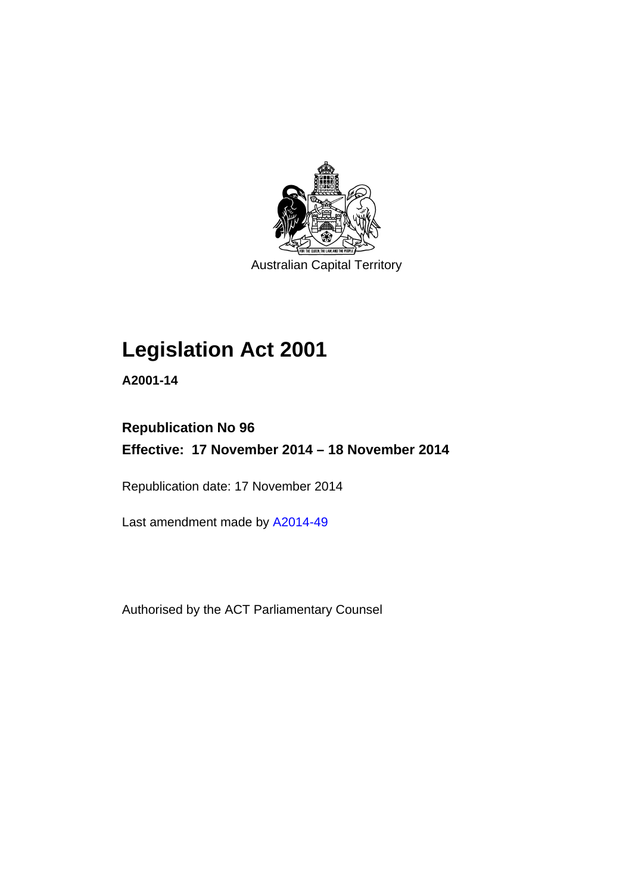

Australian Capital Territory

## **Legislation Act 2001**

**A2001-14** 

## **Republication No 96 Effective: 17 November 2014 – 18 November 2014**

Republication date: 17 November 2014

Last amendment made by [A2014-49](http://www.legislation.act.gov.au/a/2014-49)

Authorised by the ACT Parliamentary Counsel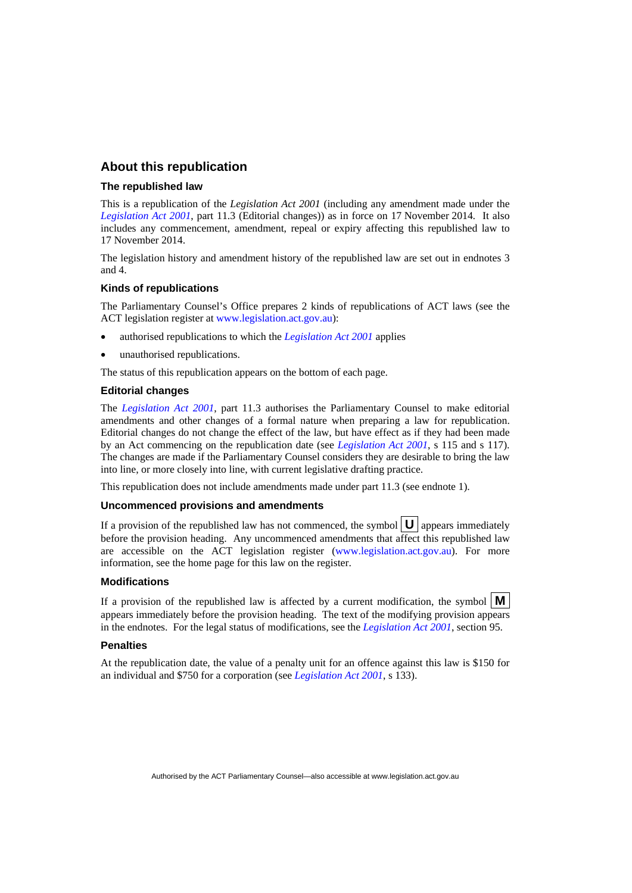## **About this republication**

#### **The republished law**

This is a republication of the *Legislation Act 2001* (including any amendment made under the *[Legislation Act 2001](http://www.legislation.act.gov.au/a/2001-14)*, part 11.3 (Editorial changes)) as in force on 17 November 2014*.* It also includes any commencement, amendment, repeal or expiry affecting this republished law to 17 November 2014.

The legislation history and amendment history of the republished law are set out in endnotes 3 and 4.

#### **Kinds of republications**

The Parliamentary Counsel's Office prepares 2 kinds of republications of ACT laws (see the ACT legislation register at [www.legislation.act.gov.au](http://www.legislation.act.gov.au/)):

- authorised republications to which the *[Legislation Act 2001](http://www.legislation.act.gov.au/a/2001-14)* applies
- unauthorised republications.

The status of this republication appears on the bottom of each page.

#### **Editorial changes**

The *[Legislation Act 2001](http://www.legislation.act.gov.au/a/2001-14)*, part 11.3 authorises the Parliamentary Counsel to make editorial amendments and other changes of a formal nature when preparing a law for republication. Editorial changes do not change the effect of the law, but have effect as if they had been made by an Act commencing on the republication date (see *[Legislation Act 2001](http://www.legislation.act.gov.au/a/2001-14)*, s 115 and s 117). The changes are made if the Parliamentary Counsel considers they are desirable to bring the law into line, or more closely into line, with current legislative drafting practice.

This republication does not include amendments made under part 11.3 (see endnote 1).

#### **Uncommenced provisions and amendments**

If a provision of the republished law has not commenced, the symbol  $\mathbf{U}$  appears immediately before the provision heading. Any uncommenced amendments that affect this republished law are accessible on the ACT legislation register [\(www.legislation.act.gov.au](http://www.legislation.act.gov.au/)). For more information, see the home page for this law on the register.

#### **Modifications**

If a provision of the republished law is affected by a current modification, the symbol  $\mathbf{M}$ appears immediately before the provision heading. The text of the modifying provision appears in the endnotes. For the legal status of modifications, see the *[Legislation Act 2001](http://www.legislation.act.gov.au/a/2001-14)*, section 95.

#### **Penalties**

At the republication date, the value of a penalty unit for an offence against this law is \$150 for an individual and \$750 for a corporation (see *[Legislation Act 2001](http://www.legislation.act.gov.au/a/2001-14)*, s 133).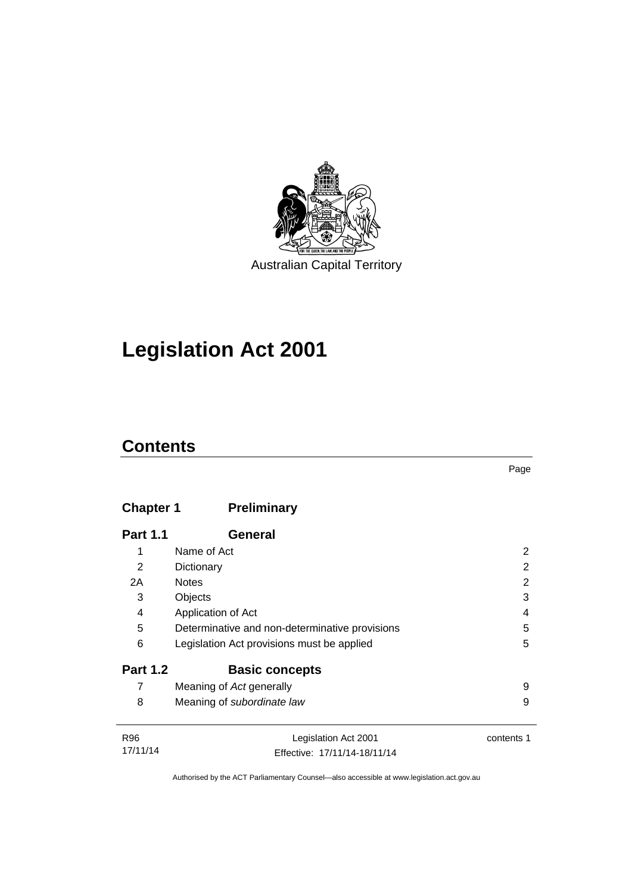

## **Legislation Act 2001**

## **Contents**

## **Chapter 1 [Preliminary](#page-17-0)**

| <b>Part 1.1</b> | General                                        |   |
|-----------------|------------------------------------------------|---|
| 1               | Name of Act                                    | 2 |
| 2               | Dictionary                                     | 2 |
| 2A              | <b>Notes</b>                                   | 2 |
| 3               | Objects                                        | 3 |
| 4               | Application of Act                             | 4 |
| 5               | Determinative and non-determinative provisions | 5 |
| 6               | Legislation Act provisions must be applied     | 5 |
| <b>Part 1.2</b> | <b>Basic concepts</b>                          |   |
| 7               | Meaning of Act generally                       | 9 |
| 8               | Meaning of subordinate law                     | 9 |
|                 |                                                |   |

| R96      | Legislation Act 2001         | contents 1 |
|----------|------------------------------|------------|
| 17/11/14 | Effective: 17/11/14-18/11/14 |            |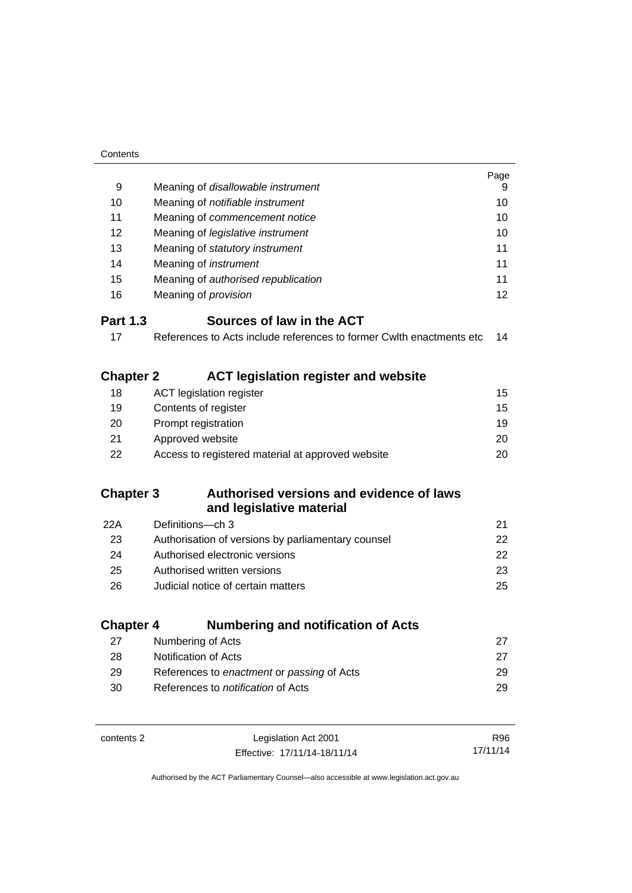| Contents         |                                                                      |          |
|------------------|----------------------------------------------------------------------|----------|
|                  |                                                                      | Page     |
| 9                | Meaning of disallowable instrument                                   | 9        |
| 10               | Meaning of notifiable instrument                                     | 10       |
| 11               | Meaning of commencement notice                                       | 10       |
| 12               | Meaning of legislative instrument                                    | 10       |
| 13               | Meaning of statutory instrument                                      | 11       |
| 14               | Meaning of <i>instrument</i>                                         | 11       |
| 15               | Meaning of authorised republication                                  | 11       |
| 16               | Meaning of <i>provision</i>                                          | 12       |
| <b>Part 1.3</b>  | Sources of law in the ACT                                            |          |
| 17               | References to Acts include references to former Cwlth enactments etc | 14       |
| <b>Chapter 2</b> | <b>ACT legislation register and website</b>                          |          |
| 18               | <b>ACT</b> legislation register                                      | 15       |
| 19               | Contents of register                                                 | 15       |
| 20               | Prompt registration                                                  | 19       |
| 21               | Approved website                                                     | 20       |
| 22               | Access to registered material at approved website                    | 20       |
| <b>Chapter 3</b> | Authorised versions and evidence of laws                             |          |
|                  | and legislative material                                             |          |
| 22A              | Definitions-ch 3                                                     | 21       |
| 23               | Authorisation of versions by parliamentary counsel                   | 22       |
| 24               | Authorised electronic versions                                       | 22       |
| 25               | Authorised written versions                                          | 23       |
| 26               | Judicial notice of certain matters                                   | 25       |
| <b>Chapter 4</b> | <b>Numbering and notification of Acts</b>                            |          |
| 27               | Numbering of Acts                                                    | 27       |
| 28               | Notification of Acts                                                 | 27       |
| 29               | References to enactment or passing of Acts                           | 29       |
| 30               | References to <i>notification</i> of Acts                            | 29       |
|                  |                                                                      |          |
| contents 2       | Legislation Act 2001                                                 | R96      |
|                  | Effective: 17/11/14-18/11/14                                         | 17/11/14 |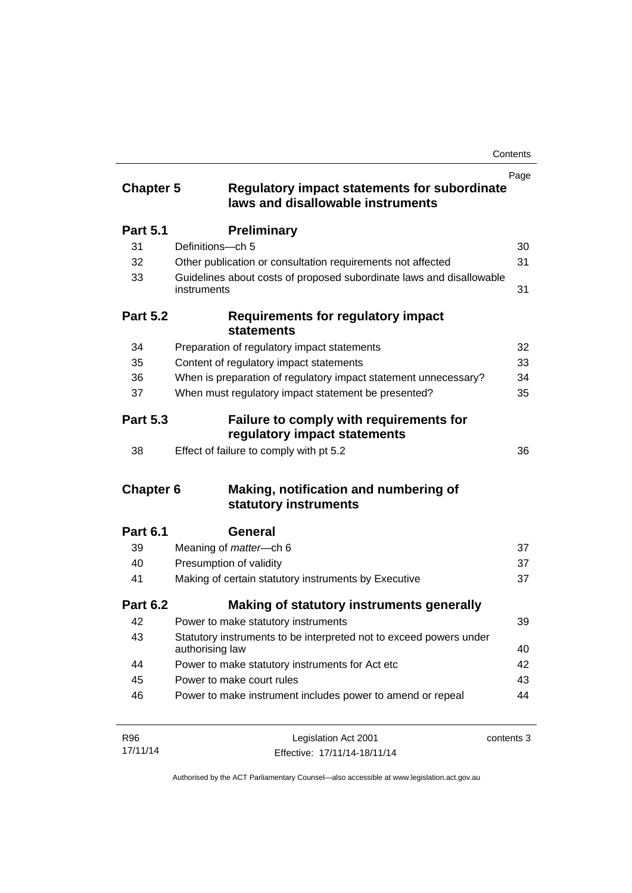|                  |                                                                                          | Page       |
|------------------|------------------------------------------------------------------------------------------|------------|
| <b>Chapter 5</b> | <b>Regulatory impact statements for subordinate</b><br>laws and disallowable instruments |            |
| <b>Part 5.1</b>  | <b>Preliminary</b>                                                                       |            |
| 31               | Definitions-ch 5                                                                         | 30         |
| 32               | Other publication or consultation requirements not affected                              | 31         |
| 33               | Guidelines about costs of proposed subordinate laws and disallowable<br>instruments      | 31         |
| <b>Part 5.2</b>  | <b>Requirements for regulatory impact</b><br><b>statements</b>                           |            |
| 34               | Preparation of regulatory impact statements                                              | 32         |
| 35               | Content of regulatory impact statements                                                  | 33         |
| 36               | When is preparation of regulatory impact statement unnecessary?                          | 34         |
| 37               | When must regulatory impact statement be presented?                                      | 35         |
| <b>Part 5.3</b>  | Failure to comply with requirements for<br>regulatory impact statements                  |            |
| 38               | Effect of failure to comply with pt 5.2                                                  | 36         |
| <b>Chapter 6</b> | Making, notification and numbering of<br>statutory instruments                           |            |
| <b>Part 6.1</b>  | General                                                                                  |            |
| 39               | Meaning of <i>matter</i> -ch 6                                                           | 37         |
| 40               | Presumption of validity                                                                  | 37         |
| 41               | Making of certain statutory instruments by Executive                                     | 37         |
| <b>Part 6.2</b>  | Making of statutory instruments generally                                                |            |
| 42               | Power to make statutory instruments                                                      | 39         |
| 43               | Statutory instruments to be interpreted not to exceed powers under<br>authorising law    | 40         |
| 44               | Power to make statutory instruments for Act etc                                          | 42         |
| 45               | Power to make court rules                                                                | 43         |
| 46               | Power to make instrument includes power to amend or repeal                               | 44         |
| R96              | Legislation Act 2001                                                                     | contents 3 |

| R96      | Legislation Act 2001         | contents 3 |
|----------|------------------------------|------------|
| 17/11/14 | Effective: 17/11/14-18/11/14 |            |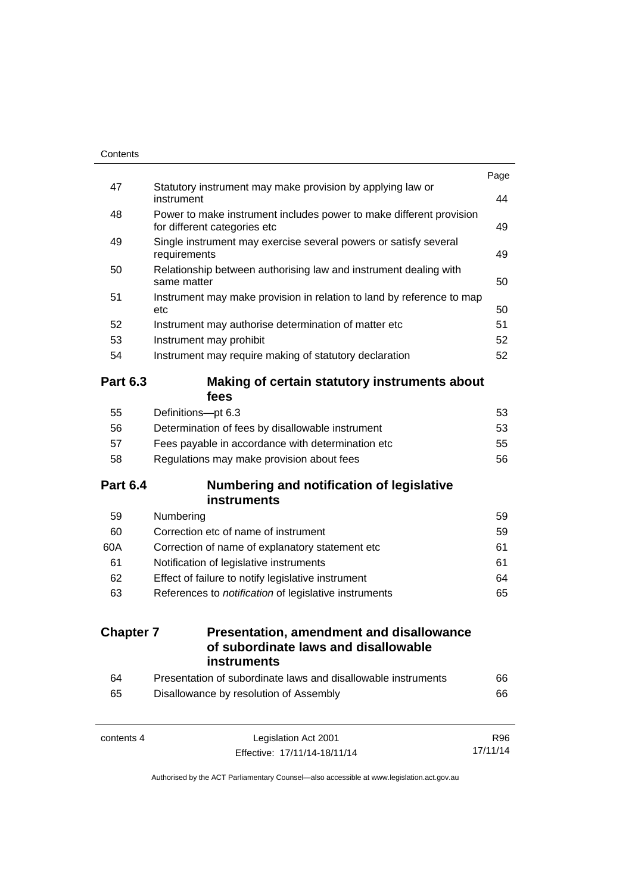| 47               | Statutory instrument may make provision by applying law or<br>instrument                            | 44 |
|------------------|-----------------------------------------------------------------------------------------------------|----|
| 48               | Power to make instrument includes power to make different provision<br>for different categories etc | 49 |
| 49               | Single instrument may exercise several powers or satisfy several<br>requirements                    | 49 |
| 50               | Relationship between authorising law and instrument dealing with<br>same matter                     | 50 |
| 51               | Instrument may make provision in relation to land by reference to map<br>etc                        | 50 |
| 52               | Instrument may authorise determination of matter etc                                                | 51 |
| 53               | Instrument may prohibit                                                                             | 52 |
| 54               | Instrument may require making of statutory declaration                                              | 52 |
| <b>Part 6.3</b>  | Making of certain statutory instruments about<br>fees                                               |    |
| 55               | Definitions-pt 6.3                                                                                  | 53 |
| 56               | Determination of fees by disallowable instrument                                                    | 53 |
| 57               | Fees payable in accordance with determination etc                                                   | 55 |
| 58               | Regulations may make provision about fees                                                           | 56 |
| <b>Part 6.4</b>  | <b>Numbering and notification of legislative</b><br><b>instruments</b>                              |    |
| 59               | Numbering                                                                                           | 59 |
| 60               | Correction etc of name of instrument                                                                | 59 |
| 60A              | Correction of name of explanatory statement etc                                                     | 61 |
| 61               | Notification of legislative instruments                                                             | 61 |
| 62               | Effect of failure to notify legislative instrument                                                  | 64 |
| 63               | References to notification of legislative instruments                                               | 65 |
| <b>Chapter 7</b> | <b>Presentation, amendment and disallowance</b><br>of subordinate laws and disallowable             |    |
|                  | <b>instruments</b>                                                                                  |    |
| 64               | Presentation of subordinate laws and disallowable instruments                                       | 66 |
| 65               | Disallowance by resolution of Assembly                                                              | 66 |

17/11/14

Effective: 17/11/14-18/11/14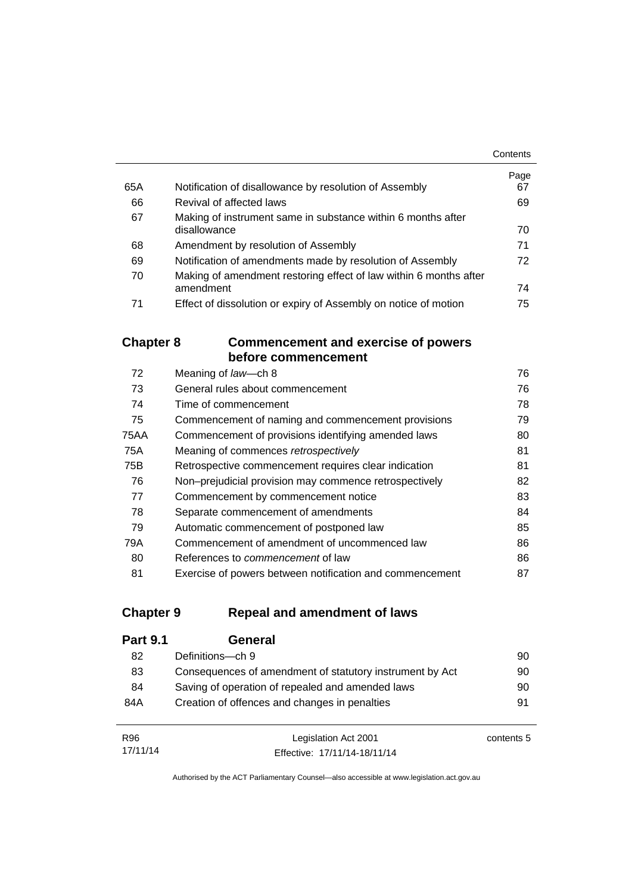|     |                                                                   | Contents |
|-----|-------------------------------------------------------------------|----------|
|     |                                                                   | Page     |
| 65A | Notification of disallowance by resolution of Assembly            | 67       |
| 66  | Revival of affected laws                                          | 69       |
| 67  | Making of instrument same in substance within 6 months after      |          |
|     | disallowance                                                      | 70       |
| 68  | Amendment by resolution of Assembly                               | 71       |
| 69  | Notification of amendments made by resolution of Assembly         | 72       |
| 70  | Making of amendment restoring effect of law within 6 months after |          |
|     | amendment                                                         | 74       |
| 71  | Effect of dissolution or expiry of Assembly on notice of motion   | 75       |

## **Chapter 8 [Commencement and exercise of powers](#page-91-0)  [before commencement](#page-91-0)**

| 72   | Meaning of law-ch 8                                      | 76 |
|------|----------------------------------------------------------|----|
| 73   | General rules about commencement                         | 76 |
| 74   | Time of commencement                                     | 78 |
| 75   | Commencement of naming and commencement provisions       | 79 |
| 75AA | Commencement of provisions identifying amended laws      | 80 |
| 75A  | Meaning of commences retrospectively                     | 81 |
| 75B  | Retrospective commencement requires clear indication     | 81 |
| 76   | Non-prejudicial provision may commence retrospectively   | 82 |
| 77   | Commencement by commencement notice                      | 83 |
| 78   | Separate commencement of amendments                      | 84 |
| 79   | Automatic commencement of postponed law                  | 85 |
| 79A  | Commencement of amendment of uncommenced law             | 86 |
| 80   | References to <i>commencement</i> of law                 | 86 |
| 81   | Exercise of powers between notification and commencement | 87 |

## **Chapter 9 [Repeal and amendment of laws](#page-105-0)**

| <b>Part 9.1</b> | General                                                  |    |
|-----------------|----------------------------------------------------------|----|
| 82              | Definitions-ch 9                                         | 90 |
| 83              | Consequences of amendment of statutory instrument by Act | 90 |
| 84              | Saving of operation of repealed and amended laws         | 90 |
| 84A             | Creation of offences and changes in penalties            | 91 |
|                 |                                                          |    |

| R96      | Legislation Act 2001         | contents 5 |
|----------|------------------------------|------------|
| 17/11/14 | Effective: 17/11/14-18/11/14 |            |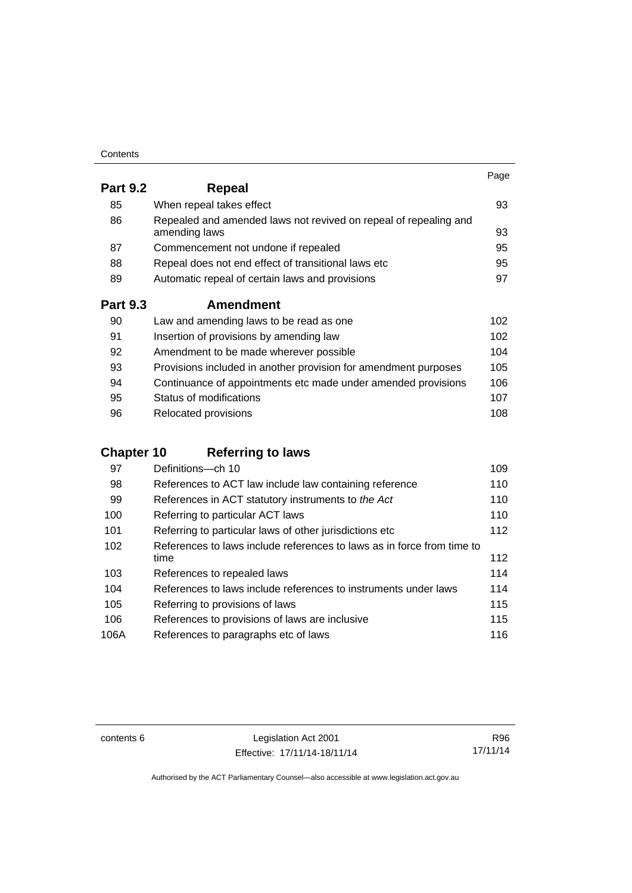| Contents |
|----------|
|----------|

|                 |                                                                                   | Page |
|-----------------|-----------------------------------------------------------------------------------|------|
| <b>Part 9.2</b> | Repeal                                                                            |      |
| 85              | When repeal takes effect                                                          | 93   |
| 86              | Repealed and amended laws not revived on repeal of repealing and<br>amending laws | 93   |
| 87              | Commencement not undone if repealed                                               | 95   |
| 88              | Repeal does not end effect of transitional laws etc                               | 95   |
| 89              | Automatic repeal of certain laws and provisions                                   | 97   |
| <b>Part 9.3</b> | <b>Amendment</b>                                                                  |      |
| 90              | Law and amending laws to be read as one                                           | 102  |
| 91              | Insertion of provisions by amending law                                           | 102  |
| 92              | Amendment to be made wherever possible                                            | 104  |
| 93              | Provisions included in another provision for amendment purposes                   | 105  |
| 94              | Continuance of appointments etc made under amended provisions                     | 106  |
| 95              | Status of modifications                                                           | 107  |

96 Relocated provisions **108** 

## **Chapter 10 [Referring to laws](#page-124-0)**

| 97   | Definitions-ch 10                                                      | 109 |
|------|------------------------------------------------------------------------|-----|
| 98   | References to ACT law include law containing reference                 | 110 |
| 99   | References in ACT statutory instruments to the Act                     | 110 |
| 100  | Referring to particular ACT laws                                       | 110 |
| 101  | Referring to particular laws of other jurisdictions etc                | 112 |
| 102  | References to laws include references to laws as in force from time to |     |
|      | time                                                                   | 112 |
| 103  | References to repealed laws                                            | 114 |
| 104  | References to laws include references to instruments under laws        | 114 |
| 105  | Referring to provisions of laws                                        | 115 |
| 106  | References to provisions of laws are inclusive                         | 115 |
| 106A | References to paragraphs etc of laws                                   | 116 |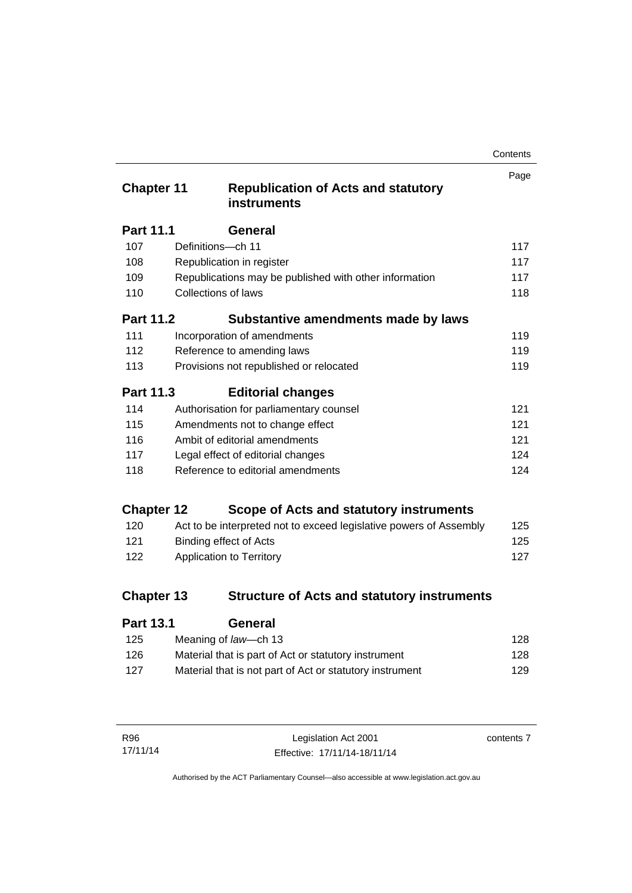| Contents |
|----------|
|----------|

| <b>Chapter 11</b> |                            | <b>Republication of Acts and statutory</b><br>instruments          | Page |
|-------------------|----------------------------|--------------------------------------------------------------------|------|
| Part 11.1         |                            | General                                                            |      |
| 107               | Definitions-ch 11          |                                                                    | 117  |
| 108               |                            | Republication in register                                          | 117  |
| 109               |                            | Republications may be published with other information             | 117  |
| 110               | <b>Collections of laws</b> |                                                                    | 118  |
| <b>Part 11.2</b>  |                            | Substantive amendments made by laws                                |      |
| 111               |                            | Incorporation of amendments                                        | 119  |
| 112               |                            | Reference to amending laws                                         | 119  |
| 113               |                            | Provisions not republished or relocated                            | 119  |
| Part 11.3         |                            | <b>Editorial changes</b>                                           |      |
| 114               |                            | Authorisation for parliamentary counsel                            | 121  |
| 115               |                            | Amendments not to change effect                                    | 121  |
| 116               |                            | Ambit of editorial amendments                                      | 121  |
| 117               |                            | Legal effect of editorial changes                                  | 124  |
| 118               |                            | Reference to editorial amendments                                  | 124  |
| <b>Chapter 12</b> |                            | Scope of Acts and statutory instruments                            |      |
| 120               |                            | Act to be interpreted not to exceed legislative powers of Assembly | 125  |
| 121               |                            | <b>Binding effect of Acts</b>                                      | 125  |
| 122               |                            | Application to Territory                                           | 127  |
| <b>Chapter 13</b> |                            | <b>Structure of Acts and statutory instruments</b>                 |      |
| <b>Part 13.1</b>  |                            | General                                                            |      |

| . u.v. . | ovnoru                                                   |     |
|----------|----------------------------------------------------------|-----|
| 125      | Meaning of law—ch 13                                     | 128 |
| 126      | Material that is part of Act or statutory instrument     | 128 |
| 127      | Material that is not part of Act or statutory instrument | 129 |
|          |                                                          |     |

| R96      | Legislation Act 2001         | contents 7 |
|----------|------------------------------|------------|
| 17/11/14 | Effective: 17/11/14-18/11/14 |            |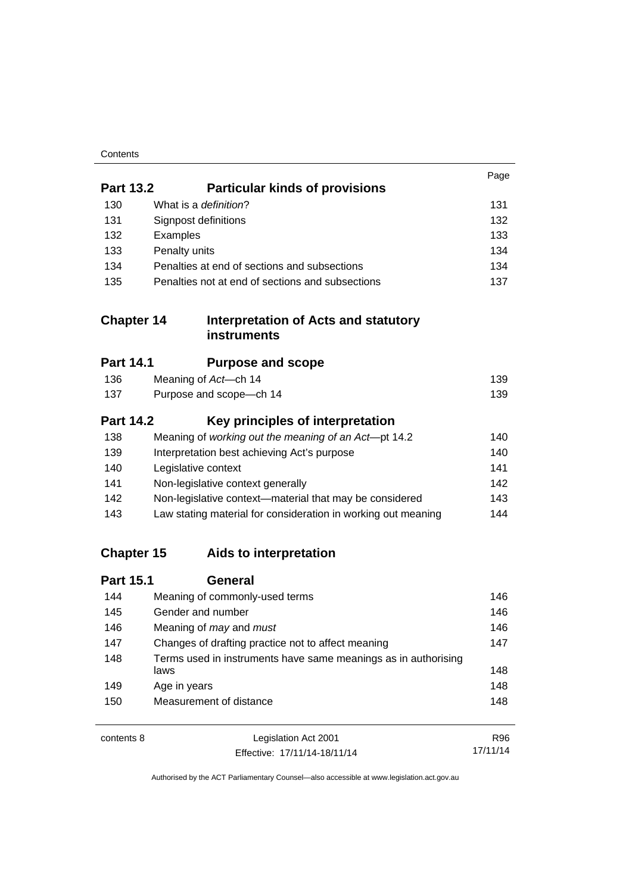| Contents |
|----------|
|----------|

|                   |                                                                        | Page       |
|-------------------|------------------------------------------------------------------------|------------|
| <b>Part 13.2</b>  | <b>Particular kinds of provisions</b>                                  |            |
| 130               | What is a definition?                                                  | 131        |
| 131               | Signpost definitions                                                   | 132        |
| 132               | Examples                                                               | 133        |
| 133               | Penalty units                                                          | 134        |
| 134               | Penalties at end of sections and subsections                           | 134        |
| 135               | Penalties not at end of sections and subsections                       | 137        |
| <b>Chapter 14</b> | <b>Interpretation of Acts and statutory</b><br><b>instruments</b>      |            |
| <b>Part 14.1</b>  | <b>Purpose and scope</b>                                               |            |
| 136               | Meaning of Act-ch 14                                                   | 139        |
| 137               | Purpose and scope-ch 14                                                | 139        |
| <b>Part 14.2</b>  | Key principles of interpretation                                       |            |
| 138               | Meaning of working out the meaning of an Act-pt 14.2                   | 140        |
| 139               | Interpretation best achieving Act's purpose                            | 140        |
| 140               | Legislative context                                                    | 141        |
| 141               | Non-legislative context generally                                      | 142        |
| 142               | Non-legislative context-material that may be considered                | 143        |
| 143               | Law stating material for consideration in working out meaning          | 144        |
| <b>Chapter 15</b> | Aids to interpretation                                                 |            |
| <b>Part 15.1</b>  | <b>General</b>                                                         |            |
| 144               | Meaning of commonly-used terms                                         | 146        |
| 145               | Gender and number                                                      | 146        |
| 146               | Meaning of may and must                                                | 146        |
| 147               | Changes of drafting practice not to affect meaning                     | 147        |
| 148               | Terms used in instruments have same meanings as in authorising<br>laws | 148        |
| 149               | Age in years                                                           | 148        |
| 150               | Measurement of distance                                                | 148        |
| contents 8        | Legislation Act 2001                                                   | <b>R96</b> |

17/11/14

Effective: 17/11/14-18/11/14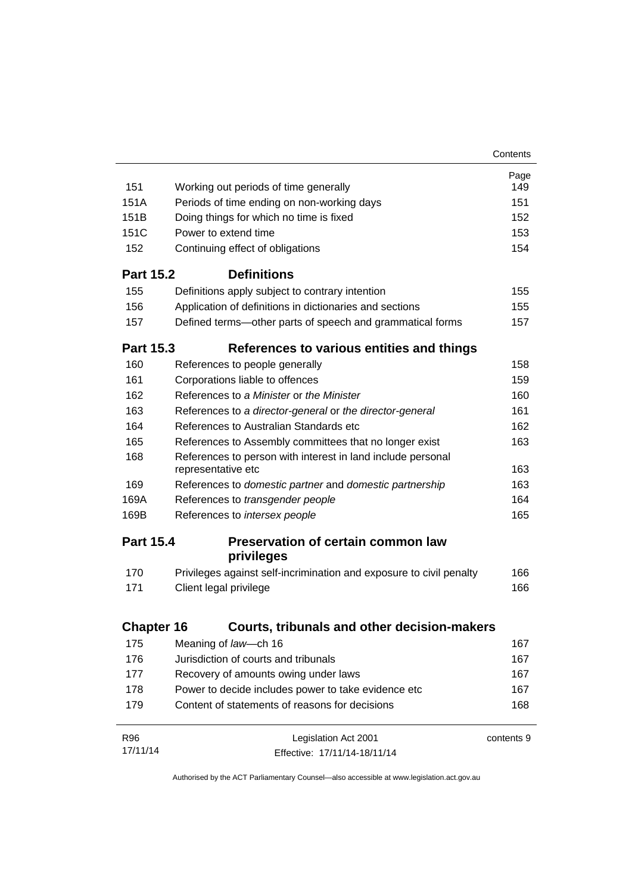|                   |                                                                                                       | Contents   |
|-------------------|-------------------------------------------------------------------------------------------------------|------------|
|                   |                                                                                                       | Page       |
| 151               | Working out periods of time generally                                                                 | 149        |
| 151A              | Periods of time ending on non-working days                                                            | 151        |
| 151B              | Doing things for which no time is fixed                                                               | 152        |
| 151C              | Power to extend time                                                                                  | 153        |
| 152               | Continuing effect of obligations                                                                      | 154        |
| <b>Part 15.2</b>  | <b>Definitions</b>                                                                                    |            |
| 155               | Definitions apply subject to contrary intention                                                       | 155        |
| 156               | Application of definitions in dictionaries and sections                                               | 155        |
| 157               | Defined terms-other parts of speech and grammatical forms                                             | 157        |
| <b>Part 15.3</b>  | References to various entities and things                                                             |            |
| 160               | References to people generally                                                                        | 158        |
| 161               | Corporations liable to offences                                                                       | 159        |
| 162               | References to a Minister or the Minister                                                              | 160        |
| 163               | References to a director-general or the director-general                                              | 161        |
| 164               | References to Australian Standards etc                                                                | 162        |
| 165               | References to Assembly committees that no longer exist                                                | 163        |
| 168               | References to person with interest in land include personal<br>representative etc                     | 163        |
| 169               | References to domestic partner and domestic partnership                                               | 163        |
| 169A              | References to transgender people                                                                      | 164        |
| 169B              | References to intersex people                                                                         | 165        |
| <b>Part 15.4</b>  | <b>Preservation of certain common law</b>                                                             |            |
|                   | privileges                                                                                            |            |
| 170               | Privileges against self-incrimination and exposure to civil penalty                                   | 166        |
| 171               | Client legal privilege                                                                                | 166        |
| <b>Chapter 16</b> | Courts, tribunals and other decision-makers                                                           |            |
| 175               | Meaning of law-ch 16                                                                                  | 167        |
| 176               | Jurisdiction of courts and tribunals                                                                  | 167        |
| 177               | Recovery of amounts owing under laws                                                                  | 167        |
| 178               |                                                                                                       | 167        |
|                   | Power to decide includes power to take evidence etc<br>Content of statements of reasons for decisions |            |
| 179               |                                                                                                       | 168        |
| R96               | Legislation Act 2001                                                                                  | contents 9 |
| 17/11/14          | Effective: 17/11/14-18/11/14                                                                          |            |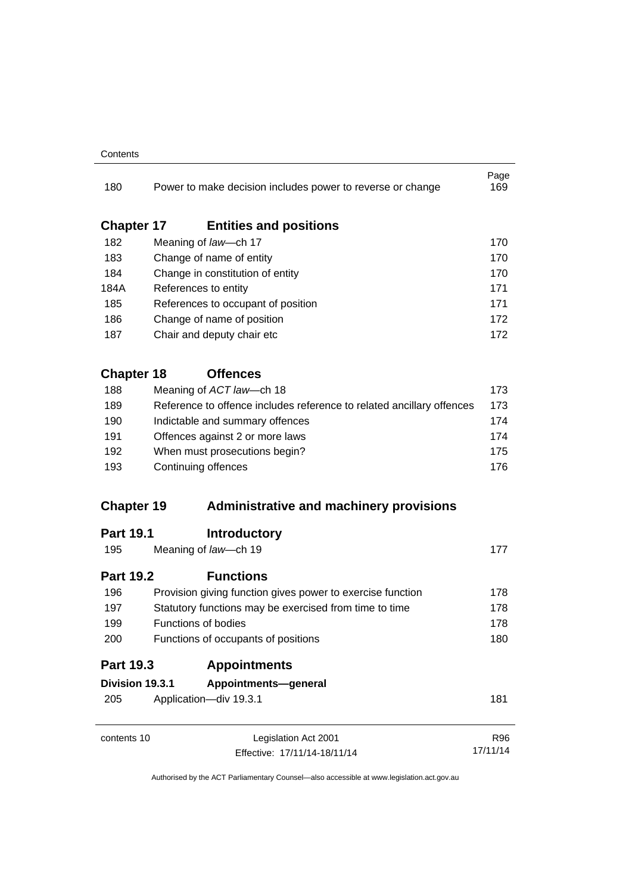#### **Contents**

| 180                      | Power to make decision includes power to reverse or change            | Page<br>169 |
|--------------------------|-----------------------------------------------------------------------|-------------|
|                          |                                                                       |             |
| <b>Chapter 17</b><br>182 | <b>Entities and positions</b><br>Meaning of law-ch 17                 | 170         |
| 183                      | Change of name of entity                                              | 170         |
| 184                      | Change in constitution of entity                                      | 170         |
| 184A                     | References to entity                                                  | 171         |
| 185                      | References to occupant of position                                    | 171         |
| 186                      | Change of name of position                                            | 172         |
| 187                      | Chair and deputy chair etc                                            | 172         |
| <b>Chapter 18</b>        | <b>Offences</b>                                                       |             |
| 188                      | Meaning of ACT law-ch 18                                              | 173         |
| 189                      | Reference to offence includes reference to related ancillary offences | 173         |
| 190                      | Indictable and summary offences                                       | 174         |
| 191                      | Offences against 2 or more laws                                       | 174         |
| 192                      | When must prosecutions begin?                                         | 175         |
| 193                      | Continuing offences                                                   | 176         |
| <b>Chapter 19</b>        | <b>Administrative and machinery provisions</b>                        |             |
| <b>Part 19.1</b>         | <b>Introductory</b>                                                   |             |
| 195                      | Meaning of law-ch 19                                                  | 177         |
| <b>Part 19.2</b>         | <b>Functions</b>                                                      |             |
| 196                      | Provision giving function gives power to exercise function            | 178         |
| 197                      | Statutory functions may be exercised from time to time                | 178         |
| 199                      | <b>Functions of bodies</b>                                            | 178         |
| 200                      | Functions of occupants of positions                                   | 180         |
| <b>Part 19.3</b>         | <b>Appointments</b>                                                   |             |
| Division 19.3.1          | Appointments-general                                                  |             |
| 205                      | Application-div 19.3.1                                                | 181         |
| contents 10              | Legislation Act 2001                                                  | <b>R96</b>  |
|                          | Effective: 17/11/14-18/11/14                                          | 17/11/14    |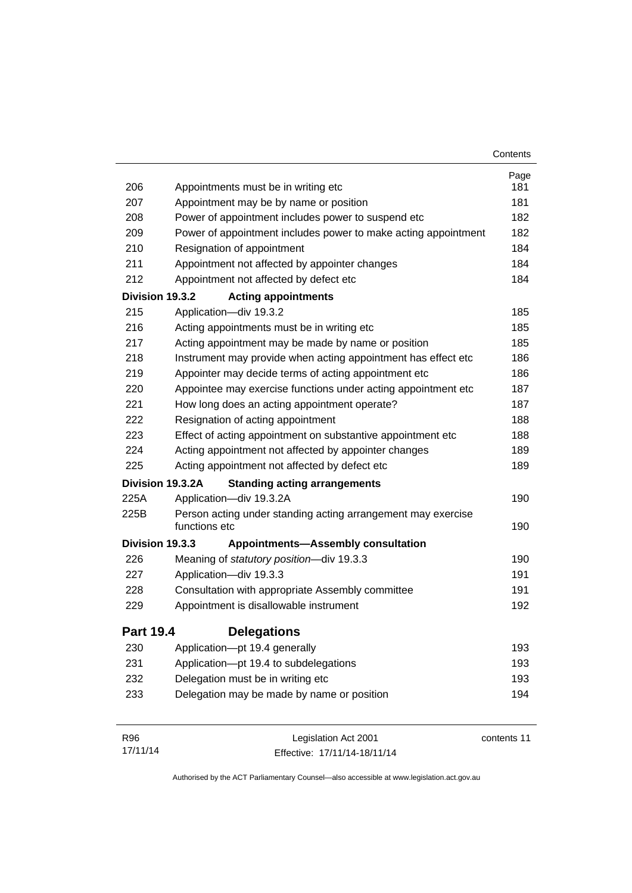|                  |                                                                               | Contents    |
|------------------|-------------------------------------------------------------------------------|-------------|
|                  |                                                                               | Page        |
| 206              | Appointments must be in writing etc                                           | 181         |
| 207              | Appointment may be by name or position                                        | 181         |
| 208              | Power of appointment includes power to suspend etc                            | 182         |
| 209              | Power of appointment includes power to make acting appointment                | 182         |
| 210              | Resignation of appointment                                                    | 184         |
| 211              | Appointment not affected by appointer changes                                 | 184         |
| 212              | Appointment not affected by defect etc                                        | 184         |
| Division 19.3.2  | <b>Acting appointments</b>                                                    |             |
| 215              | Application-div 19.3.2                                                        | 185         |
| 216              | Acting appointments must be in writing etc                                    | 185         |
| 217              | Acting appointment may be made by name or position                            | 185         |
| 218              | Instrument may provide when acting appointment has effect etc                 | 186         |
| 219              | Appointer may decide terms of acting appointment etc                          | 186         |
| 220              | Appointee may exercise functions under acting appointment etc                 | 187         |
| 221              | How long does an acting appointment operate?                                  | 187         |
| 222              | Resignation of acting appointment                                             | 188         |
| 223              | Effect of acting appointment on substantive appointment etc                   | 188         |
| 224              | Acting appointment not affected by appointer changes                          | 189         |
| 225              | Acting appointment not affected by defect etc                                 | 189         |
|                  | Division 19.3.2A<br><b>Standing acting arrangements</b>                       |             |
| 225A             | Application-div 19.3.2A                                                       | 190         |
| 225B             | Person acting under standing acting arrangement may exercise<br>functions etc | 190         |
| Division 19.3.3  | <b>Appointments-Assembly consultation</b>                                     |             |
| 226              | Meaning of statutory position-div 19.3.3                                      | 190         |
| 227              | Application-div 19.3.3                                                        | 191         |
| 228              | Consultation with appropriate Assembly committee                              | 191         |
| 229              | Appointment is disallowable instrument                                        | 192         |
| <b>Part 19.4</b> | <b>Delegations</b>                                                            |             |
| 230              | Application-pt 19.4 generally                                                 | 193         |
| 231              | Application-pt 19.4 to subdelegations                                         | 193         |
| 232              | Delegation must be in writing etc                                             | 193         |
| 233              | Delegation may be made by name or position                                    | 194         |
| R96              | Legislation Act 2001                                                          | contents 11 |

Effective: 17/11/14-18/11/14

17/11/14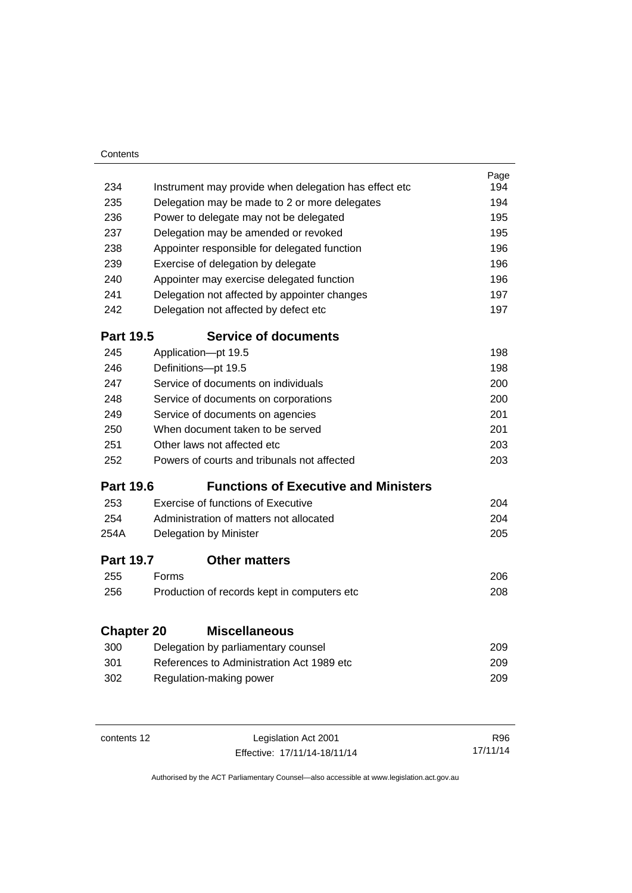| Contents          |                                             |                                                       |      |
|-------------------|---------------------------------------------|-------------------------------------------------------|------|
|                   |                                             |                                                       | Page |
| 234               |                                             | Instrument may provide when delegation has effect etc | 194  |
| 235               |                                             | Delegation may be made to 2 or more delegates         | 194  |
| 236               |                                             | Power to delegate may not be delegated                | 195  |
| 237               |                                             | Delegation may be amended or revoked                  | 195  |
| 238               |                                             | Appointer responsible for delegated function          | 196  |
| 239               |                                             | Exercise of delegation by delegate                    | 196  |
| 240               | Appointer may exercise delegated function   |                                                       | 196  |
| 241               |                                             | Delegation not affected by appointer changes          | 197  |
| 242               |                                             | Delegation not affected by defect etc                 | 197  |
| <b>Part 19.5</b>  |                                             | <b>Service of documents</b>                           |      |
| 245               |                                             | Application-pt 19.5                                   | 198  |
| 246               |                                             | Definitions-pt 19.5                                   | 198  |
| 247               |                                             | Service of documents on individuals                   | 200  |
| 248               | Service of documents on corporations        |                                                       |      |
| 249               |                                             | Service of documents on agencies                      | 201  |
| 250               | When document taken to be served            |                                                       |      |
| 251               | Other laws not affected etc                 |                                                       |      |
| 252               | Powers of courts and tribunals not affected |                                                       |      |
| <b>Part 19.6</b>  |                                             | <b>Functions of Executive and Ministers</b>           |      |
| 253               |                                             | Exercise of functions of Executive                    | 204  |
| 254               | Administration of matters not allocated     |                                                       | 204  |
| 254A              |                                             | Delegation by Minister                                | 205  |
| <b>Part 19.7</b>  |                                             | <b>Other matters</b>                                  |      |
| 255               | Forms                                       |                                                       | 206  |
| 256               |                                             | Production of records kept in computers etc           | 208  |
|                   |                                             |                                                       |      |
| <b>Chapter 20</b> |                                             | <b>Miscellaneous</b>                                  |      |
| 300               | Delegation by parliamentary counsel         |                                                       | 209  |
| 301               |                                             | References to Administration Act 1989 etc             | 209  |
| 302               |                                             | Regulation-making power                               | 209  |
|                   |                                             |                                                       |      |
|                   |                                             |                                                       |      |

| contents 12 | Legislation Act 2001         | R96.     |
|-------------|------------------------------|----------|
|             | Effective: 17/11/14-18/11/14 | 17/11/14 |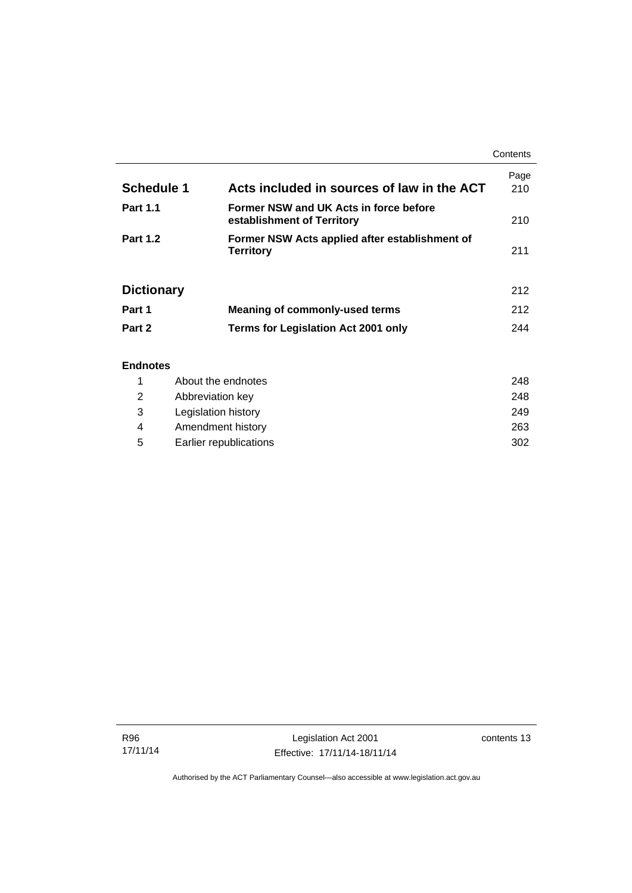|                   |                                                                      | Contents    |
|-------------------|----------------------------------------------------------------------|-------------|
| <b>Schedule 1</b> | Acts included in sources of law in the ACT                           | Page<br>210 |
| <b>Part 1.1</b>   | Former NSW and UK Acts in force before<br>establishment of Territory | 210         |
| <b>Part 1.2</b>   | Former NSW Acts applied after establishment of<br><b>Territory</b>   | 211         |
| <b>Dictionary</b> |                                                                      | 212         |
| Part 1            | Meaning of commonly-used terms                                       | 212         |
| Part 2            | <b>Terms for Legislation Act 2001 only</b>                           | 244         |
| <b>Endnotes</b>   |                                                                      |             |

## 1 [About the endnotes 248](#page-263-1) 2 [Abbreviation key 248](#page-263-2) 3 [Legislation history 249](#page-264-0) 4 [Amendment history 263](#page-278-0) 5 [Earlier republications 302](#page-317-0)

R96 17/11/14

j.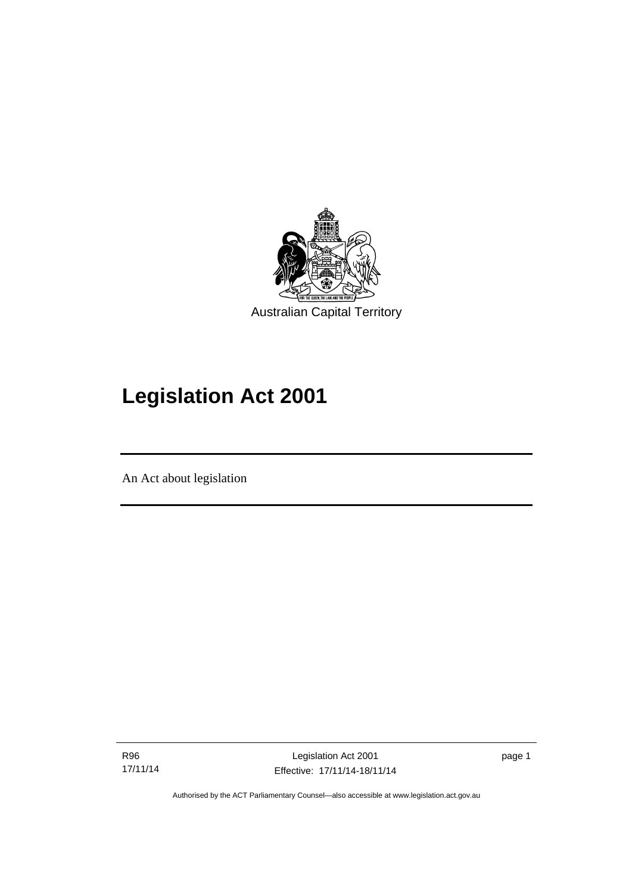

# **Legislation Act 2001**

An Act about legislation

l

R96 17/11/14

Legislation Act 2001 Effective: 17/11/14-18/11/14 page 1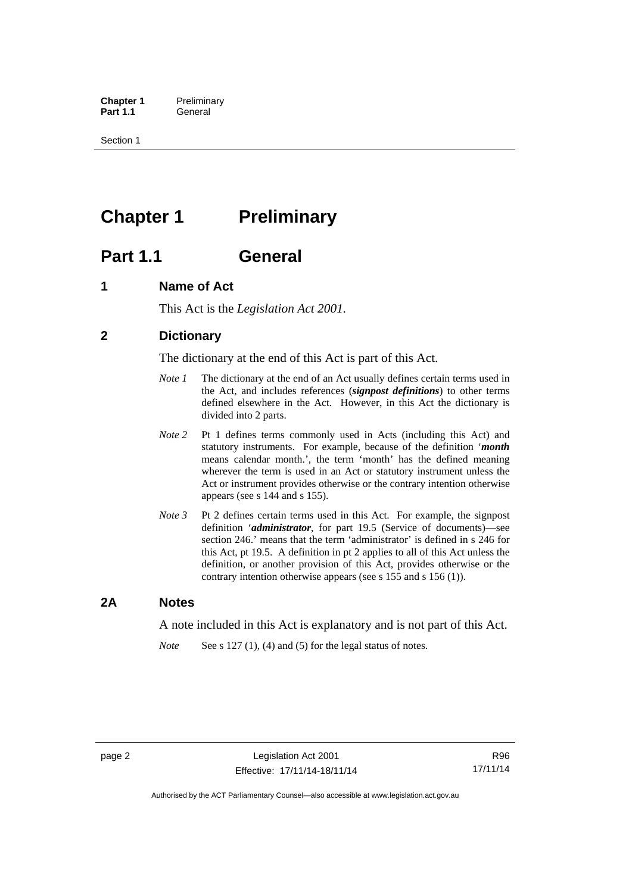**Chapter 1** Preliminary<br>**Part 1.1** General General

Section 1

## <span id="page-17-0"></span>**Chapter 1** Preliminary

## <span id="page-17-1"></span>**Part 1.1 General**

## <span id="page-17-2"></span>**1 Name of Act**

This Act is the *Legislation Act 2001.* 

## <span id="page-17-3"></span>**2 Dictionary**

The dictionary at the end of this Act is part of this Act.

- *Note 1* The dictionary at the end of an Act usually defines certain terms used in the Act, and includes references (*signpost definitions*) to other terms defined elsewhere in the Act. However, in this Act the dictionary is divided into 2 parts.
- *Note 2* Pt 1 defines terms commonly used in Acts (including this Act) and statutory instruments. For example, because of the definition '*month* means calendar month.', the term 'month' has the defined meaning wherever the term is used in an Act or statutory instrument unless the Act or instrument provides otherwise or the contrary intention otherwise appears (see s 144 and s 155).
- *Note 3* Pt 2 defines certain terms used in this Act. For example, the signpost definition '*administrator*, for part 19.5 (Service of documents)—see section 246.' means that the term 'administrator' is defined in s 246 for this Act, pt 19.5. A definition in pt 2 applies to all of this Act unless the definition, or another provision of this Act, provides otherwise or the contrary intention otherwise appears (see s 155 and s 156 (1)).

## <span id="page-17-4"></span>**2A Notes**

A note included in this Act is explanatory and is not part of this Act.

*Note* See s 127 (1), (4) and (5) for the legal status of notes.

R96 17/11/14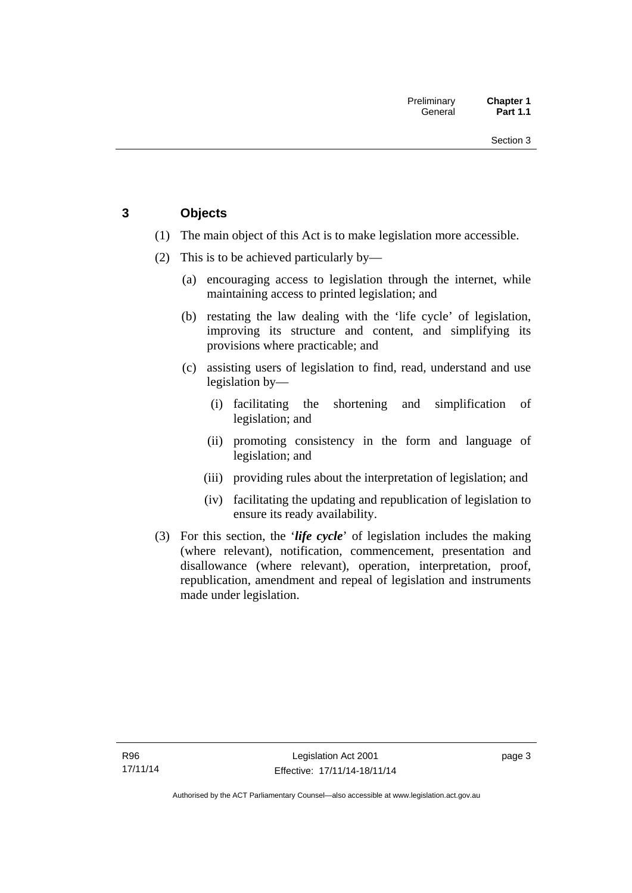## <span id="page-18-0"></span>**3 Objects**

- (1) The main object of this Act is to make legislation more accessible.
- (2) This is to be achieved particularly by—
	- (a) encouraging access to legislation through the internet, while maintaining access to printed legislation; and
	- (b) restating the law dealing with the 'life cycle' of legislation, improving its structure and content, and simplifying its provisions where practicable; and
	- (c) assisting users of legislation to find, read, understand and use legislation by—
		- (i) facilitating the shortening and simplification of legislation; and
		- (ii) promoting consistency in the form and language of legislation; and
		- (iii) providing rules about the interpretation of legislation; and
		- (iv) facilitating the updating and republication of legislation to ensure its ready availability.
- (3) For this section, the '*life cycle*' of legislation includes the making (where relevant), notification, commencement, presentation and disallowance (where relevant), operation, interpretation, proof, republication, amendment and repeal of legislation and instruments made under legislation.

page 3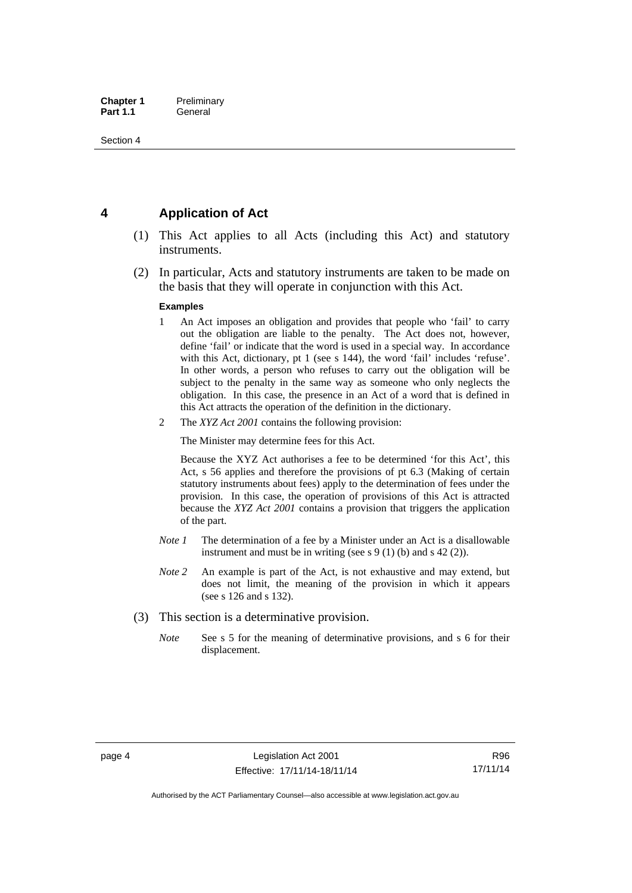## <span id="page-19-0"></span>**4 Application of Act**

- (1) This Act applies to all Acts (including this Act) and statutory instruments.
- (2) In particular, Acts and statutory instruments are taken to be made on the basis that they will operate in conjunction with this Act.

#### **Examples**

- 1 An Act imposes an obligation and provides that people who 'fail' to carry out the obligation are liable to the penalty. The Act does not, however, define 'fail' or indicate that the word is used in a special way. In accordance with this Act, dictionary, pt 1 (see s 144), the word 'fail' includes 'refuse'. In other words, a person who refuses to carry out the obligation will be subject to the penalty in the same way as someone who only neglects the obligation. In this case, the presence in an Act of a word that is defined in this Act attracts the operation of the definition in the dictionary.
- 2 The *XYZ Act 2001* contains the following provision:

The Minister may determine fees for this Act.

Because the XYZ Act authorises a fee to be determined 'for this Act', this Act, s 56 applies and therefore the provisions of pt 6.3 (Making of certain statutory instruments about fees) apply to the determination of fees under the provision. In this case, the operation of provisions of this Act is attracted because the *XYZ Act 2001* contains a provision that triggers the application of the part.

- *Note 1* The determination of a fee by a Minister under an Act is a disallowable instrument and must be in writing (see s 9 (1) (b) and s 42 (2)).
- *Note 2* An example is part of the Act, is not exhaustive and may extend, but does not limit, the meaning of the provision in which it appears (see s 126 and s 132).
- (3) This section is a determinative provision.
	- *Note* See s 5 for the meaning of determinative provisions, and s 6 for their displacement.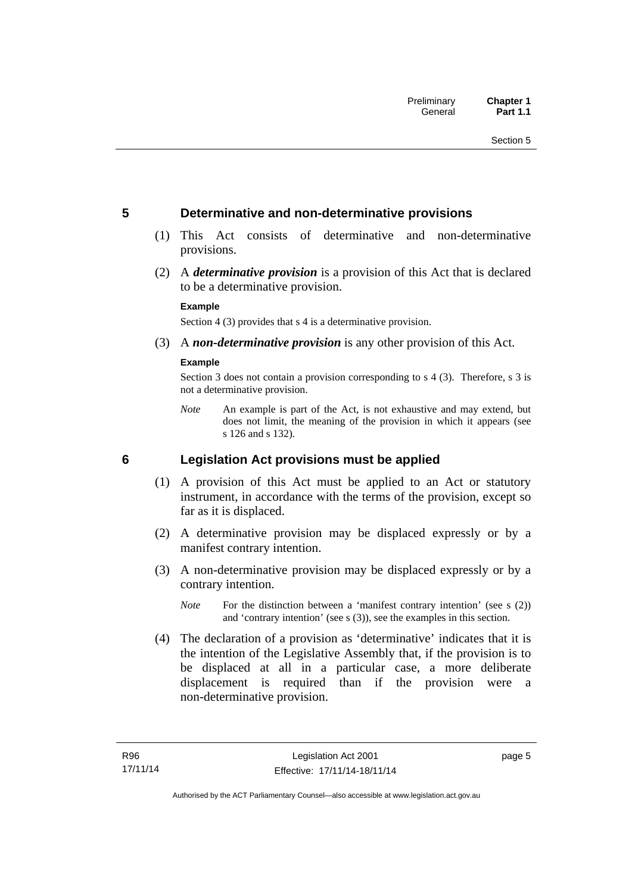## <span id="page-20-0"></span>**5 Determinative and non-determinative provisions**

- (1) This Act consists of determinative and non-determinative provisions.
- (2) A *determinative provision* is a provision of this Act that is declared to be a determinative provision.

#### **Example**

Section 4 (3) provides that s 4 is a determinative provision.

(3) A *non-determinative provision* is any other provision of this Act.

#### **Example**

Section 3 does not contain a provision corresponding to s 4 (3). Therefore, s 3 is not a determinative provision.

*Note* An example is part of the Act, is not exhaustive and may extend, but does not limit, the meaning of the provision in which it appears (see s 126 and s 132).

## <span id="page-20-1"></span>**6 Legislation Act provisions must be applied**

- (1) A provision of this Act must be applied to an Act or statutory instrument, in accordance with the terms of the provision, except so far as it is displaced.
- (2) A determinative provision may be displaced expressly or by a manifest contrary intention.
- (3) A non-determinative provision may be displaced expressly or by a contrary intention.
	- *Note* For the distinction between a 'manifest contrary intention' (see s (2)) and 'contrary intention' (see s (3)), see the examples in this section.
- (4) The declaration of a provision as 'determinative' indicates that it is the intention of the Legislative Assembly that, if the provision is to be displaced at all in a particular case, a more deliberate displacement is required than if the provision were a non-determinative provision.

page 5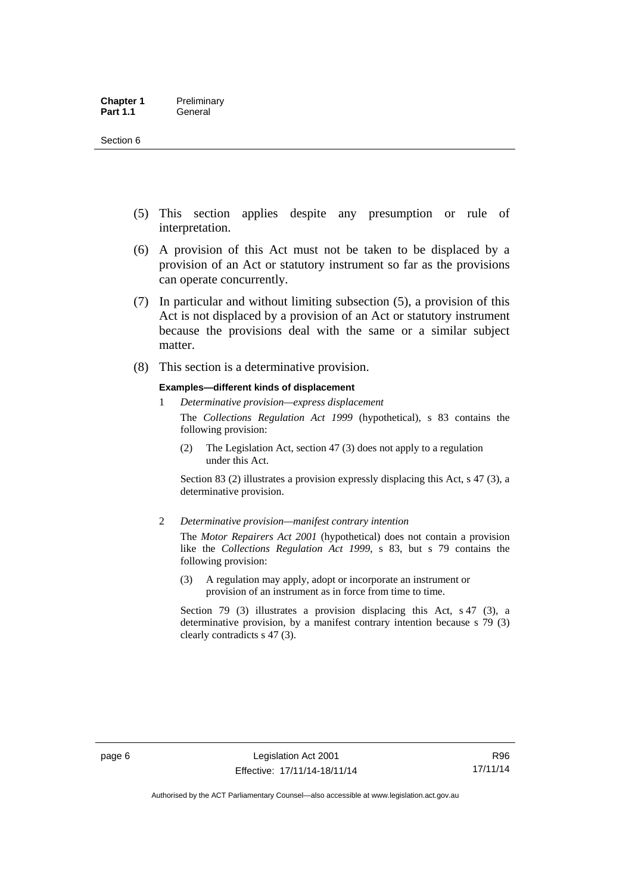- (5) This section applies despite any presumption or rule of interpretation.
- (6) A provision of this Act must not be taken to be displaced by a provision of an Act or statutory instrument so far as the provisions can operate concurrently.
- (7) In particular and without limiting subsection (5), a provision of this Act is not displaced by a provision of an Act or statutory instrument because the provisions deal with the same or a similar subject matter.
- (8) This section is a determinative provision.

#### **Examples—different kinds of displacement**

1 *Determinative provision—express displacement*

The *Collections Regulation Act 1999* (hypothetical), s 83 contains the following provision:

(2) The Legislation Act, section 47 (3) does not apply to a regulation under this Act.

Section 83 (2) illustrates a provision expressly displacing this Act, s 47 (3), a determinative provision.

2 *Determinative provision—manifest contrary intention*

The *Motor Repairers Act 2001* (hypothetical) does not contain a provision like the *Collections Regulation Act 1999*, s 83, but s 79 contains the following provision:

(3) A regulation may apply, adopt or incorporate an instrument or provision of an instrument as in force from time to time.

Section 79 (3) illustrates a provision displacing this Act, s 47 (3), a determinative provision, by a manifest contrary intention because s 79 (3) clearly contradicts s 47 (3).

R96 17/11/14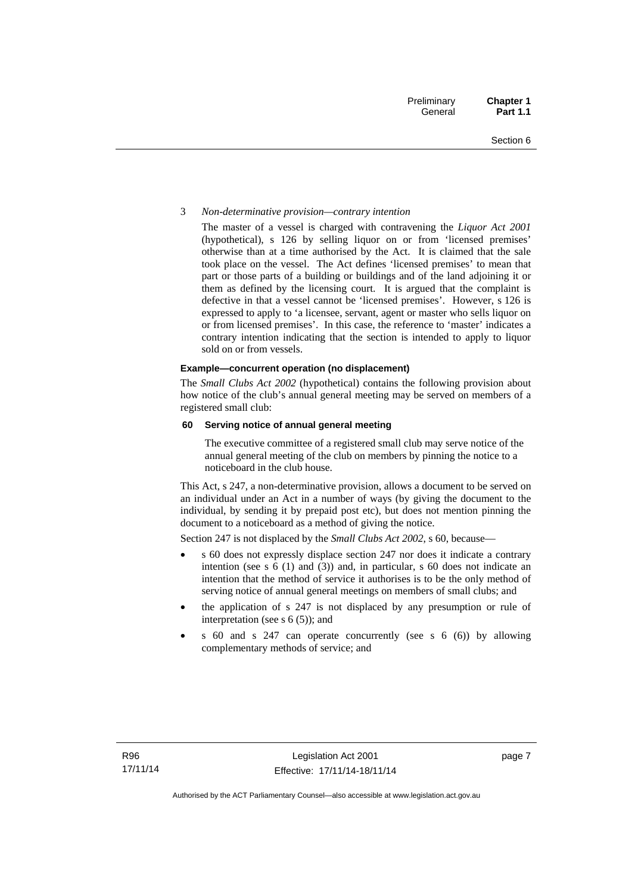#### 3 *Non-determinative provision—contrary intention*

The master of a vessel is charged with contravening the *Liquor Act 2001* (hypothetical), s 126 by selling liquor on or from 'licensed premises' otherwise than at a time authorised by the Act. It is claimed that the sale took place on the vessel. The Act defines 'licensed premises' to mean that part or those parts of a building or buildings and of the land adjoining it or them as defined by the licensing court. It is argued that the complaint is defective in that a vessel cannot be 'licensed premises'. However, s 126 is expressed to apply to 'a licensee, servant, agent or master who sells liquor on or from licensed premises'. In this case, the reference to 'master' indicates a contrary intention indicating that the section is intended to apply to liquor sold on or from vessels.

#### **Example—concurrent operation (no displacement)**

The *Small Clubs Act 2002* (hypothetical) contains the following provision about how notice of the club's annual general meeting may be served on members of a registered small club:

#### **60 Serving notice of annual general meeting**

The executive committee of a registered small club may serve notice of the annual general meeting of the club on members by pinning the notice to a noticeboard in the club house.

This Act, s 247, a non-determinative provision, allows a document to be served on an individual under an Act in a number of ways (by giving the document to the individual, by sending it by prepaid post etc), but does not mention pinning the document to a noticeboard as a method of giving the notice.

Section 247 is not displaced by the *Small Clubs Act 2002*, s 60, because—

- s 60 does not expressly displace section 247 nor does it indicate a contrary intention (see s 6 (1) and (3)) and, in particular, s 60 does not indicate an intention that the method of service it authorises is to be the only method of serving notice of annual general meetings on members of small clubs; and
- the application of s 247 is not displaced by any presumption or rule of interpretation (see s  $6(5)$ ); and
- s 60 and s 247 can operate concurrently (see s 6 (6)) by allowing complementary methods of service; and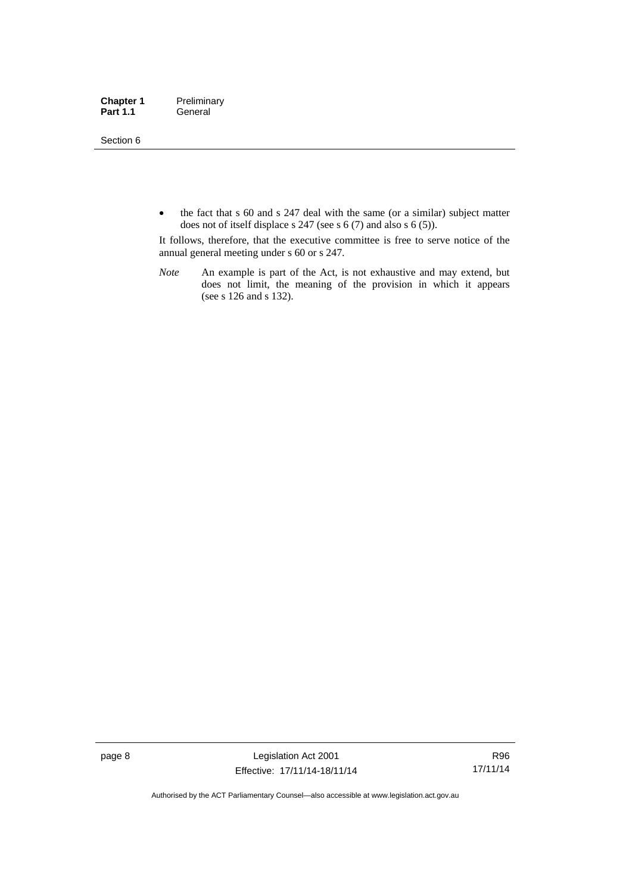Section 6

• the fact that s 60 and s 247 deal with the same (or a similar) subject matter does not of itself displace s 247 (see s 6 (7) and also s 6 (5)).

It follows, therefore, that the executive committee is free to serve notice of the annual general meeting under s 60 or s 247.

*Note* An example is part of the Act, is not exhaustive and may extend, but does not limit, the meaning of the provision in which it appears (see s 126 and s 132).

page 8 Legislation Act 2001 Effective: 17/11/14-18/11/14

R96 17/11/14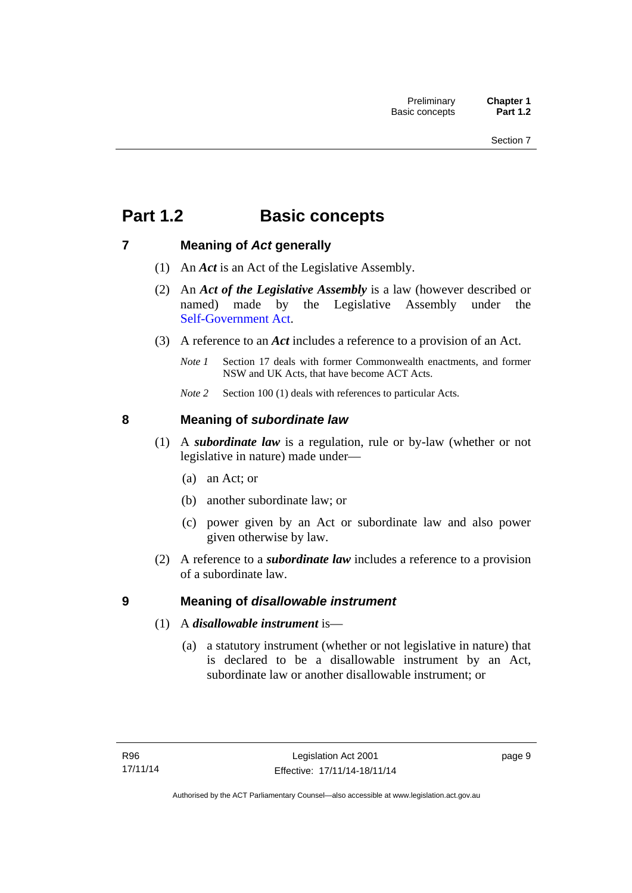## <span id="page-24-0"></span>**Part 1.2 Basic concepts**

## <span id="page-24-1"></span>**7 Meaning of** *Act* **generally**

- (1) An *Act* is an Act of the Legislative Assembly.
- (2) An *Act of the Legislative Assembly* is a law (however described or named) made by the Legislative Assembly under the [Self-Government Act.](http://www.comlaw.gov.au/Series/C2004A03699)
- (3) A reference to an *Act* includes a reference to a provision of an Act.
	- *Note 1* Section 17 deals with former Commonwealth enactments, and former NSW and UK Acts, that have become ACT Acts.
	- *Note 2* Section 100 (1) deals with references to particular Acts.

## <span id="page-24-2"></span>**8 Meaning of** *subordinate law*

- (1) A *subordinate law* is a regulation, rule or by-law (whether or not legislative in nature) made under—
	- (a) an Act; or
	- (b) another subordinate law; or
	- (c) power given by an Act or subordinate law and also power given otherwise by law.
- (2) A reference to a *subordinate law* includes a reference to a provision of a subordinate law.

## <span id="page-24-3"></span>**9 Meaning of** *disallowable instrument*

- (1) A *disallowable instrument* is—
	- (a) a statutory instrument (whether or not legislative in nature) that is declared to be a disallowable instrument by an Act, subordinate law or another disallowable instrument; or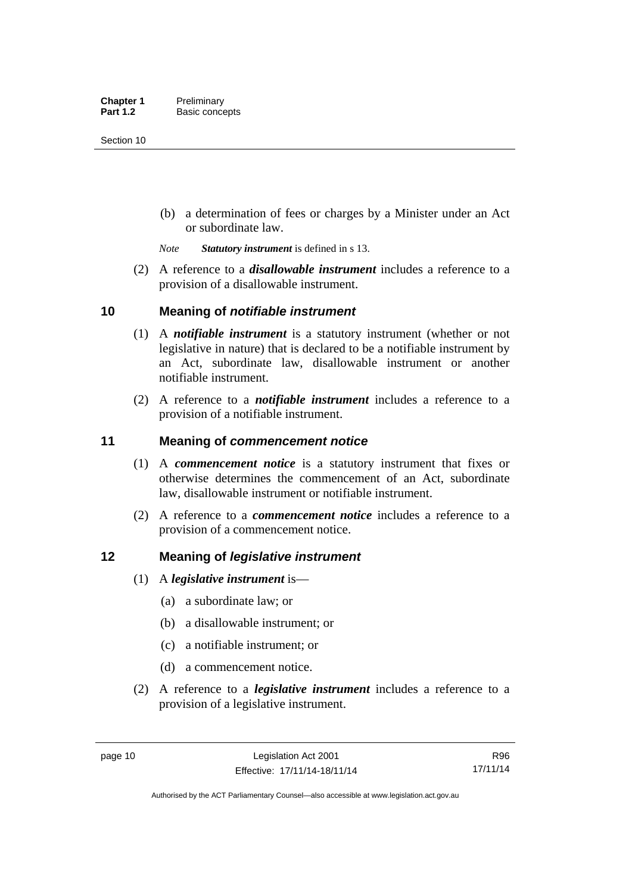(b) a determination of fees or charges by a Minister under an Act or subordinate law.

*Note Statutory instrument* is defined in s 13.

 (2) A reference to a *disallowable instrument* includes a reference to a provision of a disallowable instrument.

## <span id="page-25-0"></span>**10 Meaning of** *notifiable instrument*

- (1) A *notifiable instrument* is a statutory instrument (whether or not legislative in nature) that is declared to be a notifiable instrument by an Act, subordinate law, disallowable instrument or another notifiable instrument.
- (2) A reference to a *notifiable instrument* includes a reference to a provision of a notifiable instrument.

## <span id="page-25-1"></span>**11 Meaning of** *commencement notice*

- (1) A *commencement notice* is a statutory instrument that fixes or otherwise determines the commencement of an Act, subordinate law, disallowable instrument or notifiable instrument.
- (2) A reference to a *commencement notice* includes a reference to a provision of a commencement notice.

## <span id="page-25-2"></span>**12 Meaning of** *legislative instrument*

- (1) A *legislative instrument* is—
	- (a) a subordinate law; or
	- (b) a disallowable instrument; or
	- (c) a notifiable instrument; or
	- (d) a commencement notice.
- (2) A reference to a *legislative instrument* includes a reference to a provision of a legislative instrument.

R96 17/11/14

Authorised by the ACT Parliamentary Counsel—also accessible at www.legislation.act.gov.au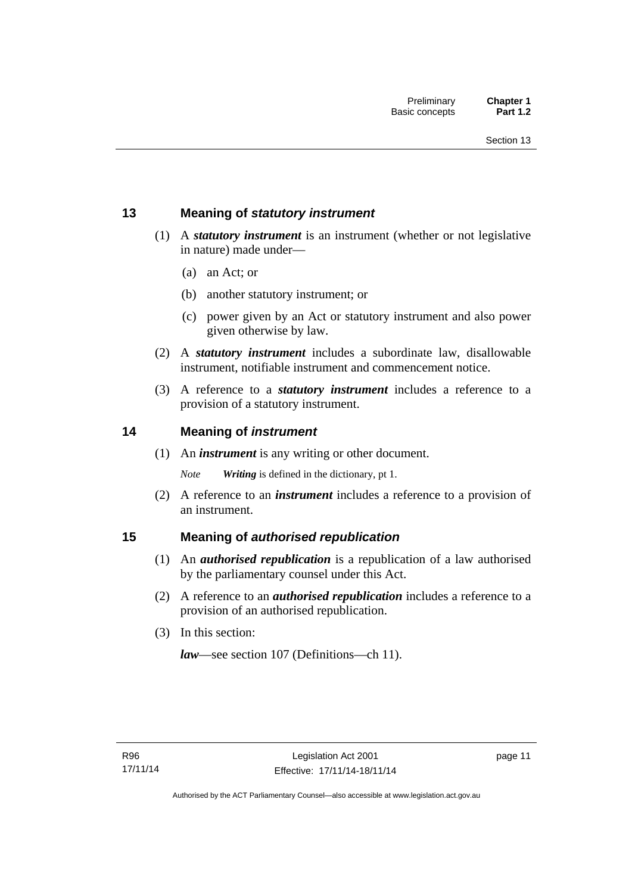## <span id="page-26-0"></span>**13 Meaning of** *statutory instrument*

- (1) A *statutory instrument* is an instrument (whether or not legislative in nature) made under—
	- (a) an Act; or
	- (b) another statutory instrument; or
	- (c) power given by an Act or statutory instrument and also power given otherwise by law.
- (2) A *statutory instrument* includes a subordinate law, disallowable instrument, notifiable instrument and commencement notice.
- (3) A reference to a *statutory instrument* includes a reference to a provision of a statutory instrument.

## <span id="page-26-1"></span>**14 Meaning of** *instrument*

(1) An *instrument* is any writing or other document.

*Note Writing* is defined in the dictionary, pt 1.

 (2) A reference to an *instrument* includes a reference to a provision of an instrument.

## <span id="page-26-2"></span>**15 Meaning of** *authorised republication*

- (1) An *authorised republication* is a republication of a law authorised by the parliamentary counsel under this Act.
- (2) A reference to an *authorised republication* includes a reference to a provision of an authorised republication.
- (3) In this section:

*law*—see section 107 (Definitions—ch 11).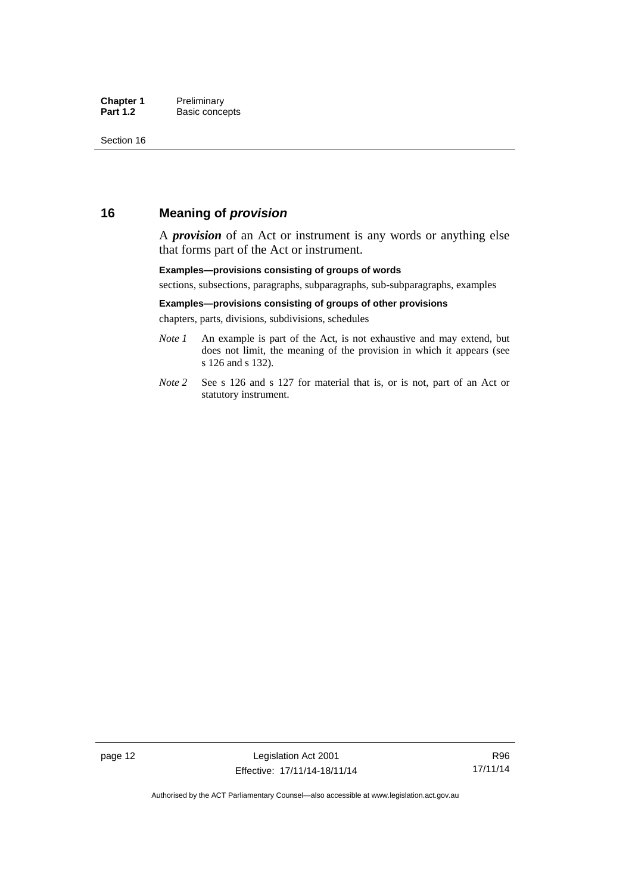## <span id="page-27-0"></span>**16 Meaning of** *provision*

A *provision* of an Act or instrument is any words or anything else that forms part of the Act or instrument.

#### **Examples—provisions consisting of groups of words**

sections, subsections, paragraphs, subparagraphs, sub-subparagraphs, examples

#### **Examples—provisions consisting of groups of other provisions**

chapters, parts, divisions, subdivisions, schedules

- *Note 1* An example is part of the Act, is not exhaustive and may extend, but does not limit, the meaning of the provision in which it appears (see s 126 and s 132).
- *Note 2* See s 126 and s 127 for material that is, or is not, part of an Act or statutory instrument.

R96 17/11/14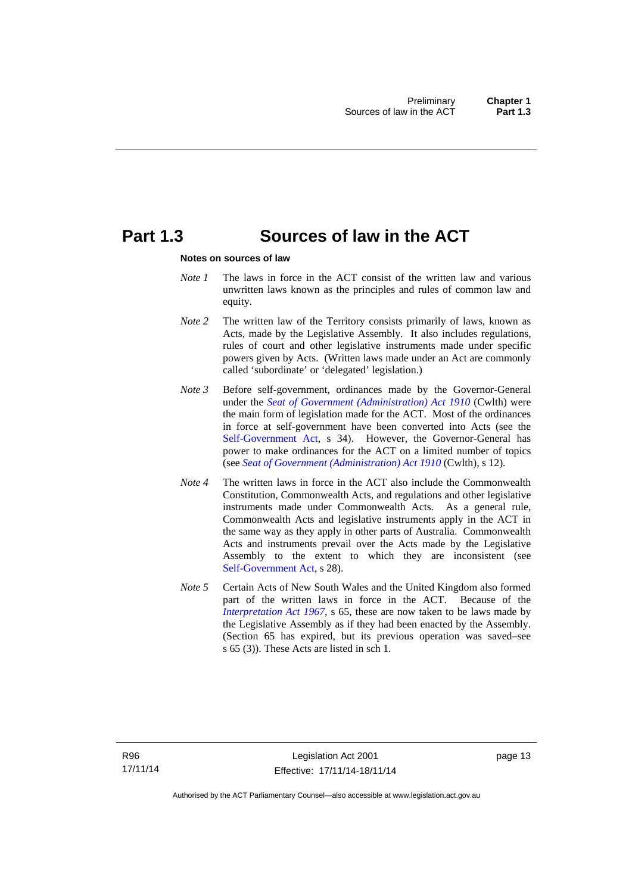## <span id="page-28-0"></span>**Part 1.3 Sources of law in the ACT**

#### **Notes on sources of law**

- *Note 1* The laws in force in the ACT consist of the written law and various unwritten laws known as the principles and rules of common law and equity.
- *Note* 2 The written law of the Territory consists primarily of laws, known as Acts, made by the Legislative Assembly. It also includes regulations, rules of court and other legislative instruments made under specific powers given by Acts. (Written laws made under an Act are commonly called 'subordinate' or 'delegated' legislation.)
- *Note 3* Before self-government, ordinances made by the Governor-General under the *[Seat of Government \(Administration\) Act 1910](http://www.comlaw.gov.au/Series/C2004A07446)* (Cwlth) were the main form of legislation made for the ACT. Most of the ordinances in force at self-government have been converted into Acts (see the [Self-Government Act,](http://www.comlaw.gov.au/Series/C2004A03699) s 34). However, the Governor-General has power to make ordinances for the ACT on a limited number of topics (see *[Seat of Government \(Administration\) Act 1910](http://www.comlaw.gov.au/Series/C2004A07446)* (Cwlth), s 12).
- *Note 4* The written laws in force in the ACT also include the Commonwealth Constitution, Commonwealth Acts, and regulations and other legislative instruments made under Commonwealth Acts. As a general rule, Commonwealth Acts and legislative instruments apply in the ACT in the same way as they apply in other parts of Australia. Commonwealth Acts and instruments prevail over the Acts made by the Legislative Assembly to the extent to which they are inconsistent (see [Self-Government Act](http://www.comlaw.gov.au/Series/C2004A03699), s 28).
- *Note 5* Certain Acts of New South Wales and the United Kingdom also formed part of the written laws in force in the ACT. Because of the *[Interpretation Act 1967](http://www.legislation.act.gov.au/a/1967-48)*, s 65, these are now taken to be laws made by the Legislative Assembly as if they had been enacted by the Assembly. (Section 65 has expired, but its previous operation was saved–see s 65 (3)). These Acts are listed in sch 1.

page 13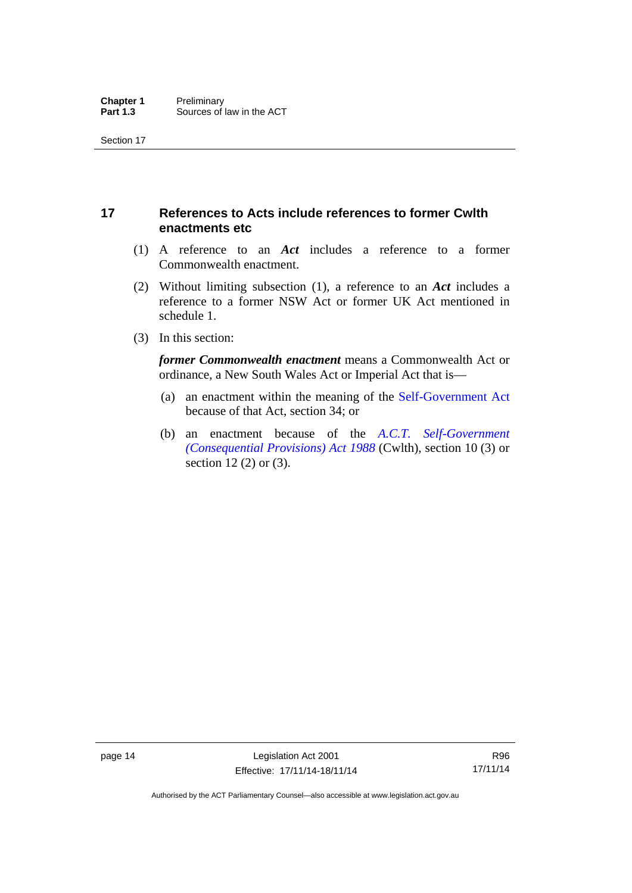## <span id="page-29-0"></span>**17 References to Acts include references to former Cwlth enactments etc**

- (1) A reference to an *Act* includes a reference to a former Commonwealth enactment.
- (2) Without limiting subsection (1), a reference to an *Act* includes a reference to a former NSW Act or former UK Act mentioned in schedule 1.
- (3) In this section:

*former Commonwealth enactment* means a Commonwealth Act or ordinance, a New South Wales Act or Imperial Act that is—

- (a) an enactment within the meaning of the [Self-Government Act](http://www.comlaw.gov.au/Series/C2004A03699) because of that Act, section 34; or
- (b) an enactment because of the *[A.C.T. Self-Government](http://www.comlaw.gov.au/Series/C2004A03702)  [\(Consequential Provisions\) Act 1988](http://www.comlaw.gov.au/Series/C2004A03702)* (Cwlth), section 10 (3) or section 12 (2) or (3).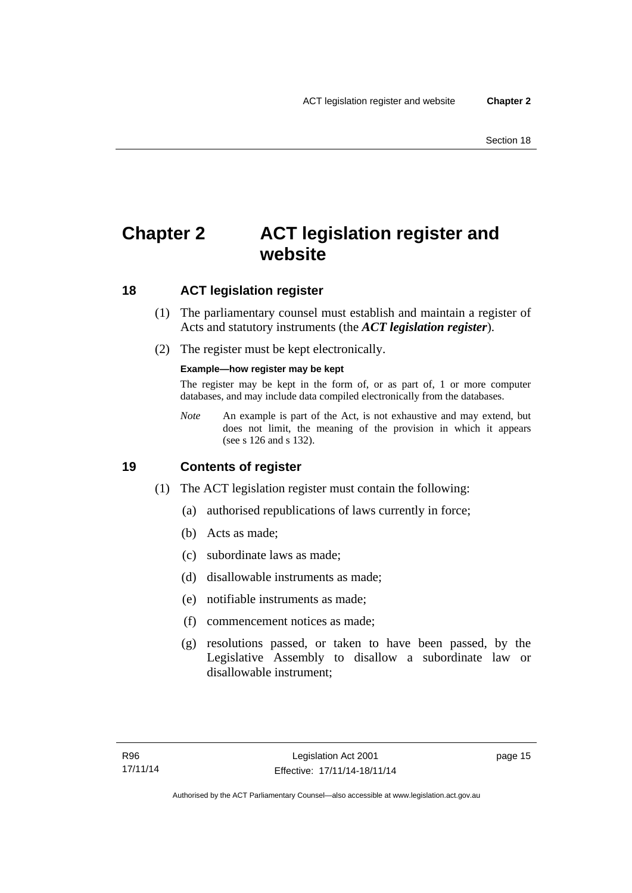## <span id="page-30-0"></span>**Chapter 2 ACT legislation register and website**

## <span id="page-30-1"></span>**18 ACT legislation register**

- (1) The parliamentary counsel must establish and maintain a register of Acts and statutory instruments (the *ACT legislation register*).
- (2) The register must be kept electronically.

### **Example—how register may be kept**

The register may be kept in the form of, or as part of, 1 or more computer databases, and may include data compiled electronically from the databases.

*Note* An example is part of the Act, is not exhaustive and may extend, but does not limit, the meaning of the provision in which it appears (see s 126 and s 132).

## <span id="page-30-2"></span>**19 Contents of register**

- (1) The ACT legislation register must contain the following:
	- (a) authorised republications of laws currently in force;
	- (b) Acts as made;
	- (c) subordinate laws as made;
	- (d) disallowable instruments as made;
	- (e) notifiable instruments as made;
	- (f) commencement notices as made;
	- (g) resolutions passed, or taken to have been passed, by the Legislative Assembly to disallow a subordinate law or disallowable instrument;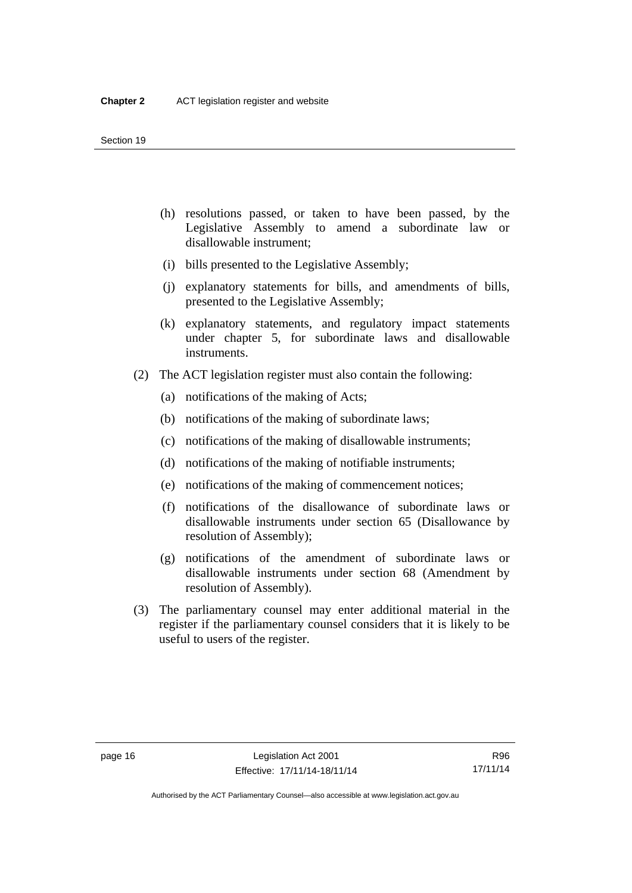- (h) resolutions passed, or taken to have been passed, by the Legislative Assembly to amend a subordinate law or disallowable instrument;
- (i) bills presented to the Legislative Assembly;
- (j) explanatory statements for bills, and amendments of bills, presented to the Legislative Assembly;
- (k) explanatory statements, and regulatory impact statements under chapter 5, for subordinate laws and disallowable instruments.
- (2) The ACT legislation register must also contain the following:
	- (a) notifications of the making of Acts;
	- (b) notifications of the making of subordinate laws;
	- (c) notifications of the making of disallowable instruments;
	- (d) notifications of the making of notifiable instruments;
	- (e) notifications of the making of commencement notices;
	- (f) notifications of the disallowance of subordinate laws or disallowable instruments under section 65 (Disallowance by resolution of Assembly);
	- (g) notifications of the amendment of subordinate laws or disallowable instruments under section 68 (Amendment by resolution of Assembly).
- (3) The parliamentary counsel may enter additional material in the register if the parliamentary counsel considers that it is likely to be useful to users of the register.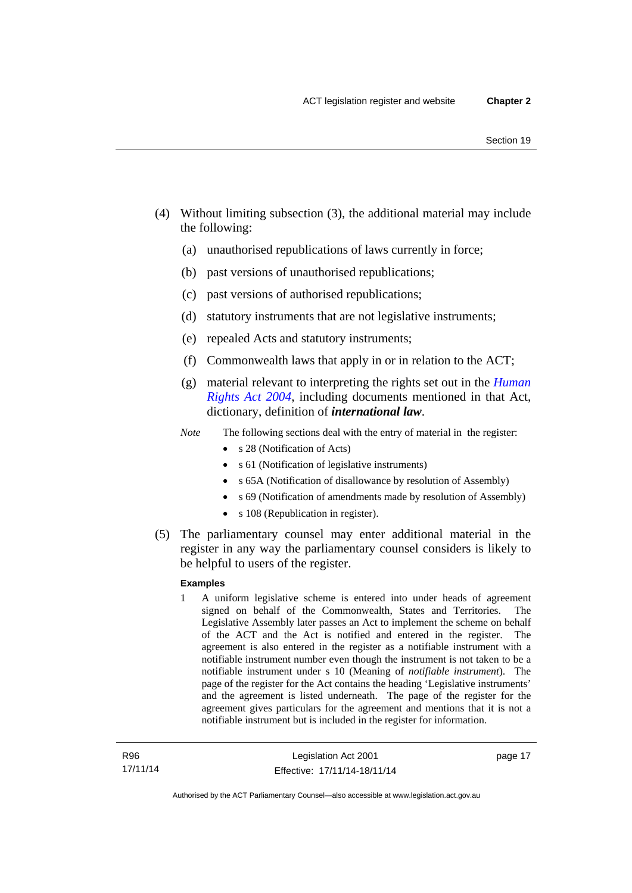- (4) Without limiting subsection (3), the additional material may include the following:
	- (a) unauthorised republications of laws currently in force;
	- (b) past versions of unauthorised republications;
	- (c) past versions of authorised republications;
	- (d) statutory instruments that are not legislative instruments;
	- (e) repealed Acts and statutory instruments;
	- (f) Commonwealth laws that apply in or in relation to the ACT;
	- (g) material relevant to interpreting the rights set out in the *[Human](http://www.legislation.act.gov.au/a/2004-5)  [Rights Act 2004](http://www.legislation.act.gov.au/a/2004-5)*, including documents mentioned in that Act, dictionary, definition of *international law*.
	- *Note* The following sections deal with the entry of material in the register:
		- s 28 (Notification of Acts)
		- s 61 (Notification of legislative instruments)
		- s 65A (Notification of disallowance by resolution of Assembly)
		- s 69 (Notification of amendments made by resolution of Assembly)
		- s 108 (Republication in register).
- (5) The parliamentary counsel may enter additional material in the register in any way the parliamentary counsel considers is likely to be helpful to users of the register.

#### **Examples**

1 A uniform legislative scheme is entered into under heads of agreement signed on behalf of the Commonwealth, States and Territories. The Legislative Assembly later passes an Act to implement the scheme on behalf of the ACT and the Act is notified and entered in the register. The agreement is also entered in the register as a notifiable instrument with a notifiable instrument number even though the instrument is not taken to be a notifiable instrument under s 10 (Meaning of *notifiable instrument*). The page of the register for the Act contains the heading 'Legislative instruments' and the agreement is listed underneath. The page of the register for the agreement gives particulars for the agreement and mentions that it is not a notifiable instrument but is included in the register for information.

page 17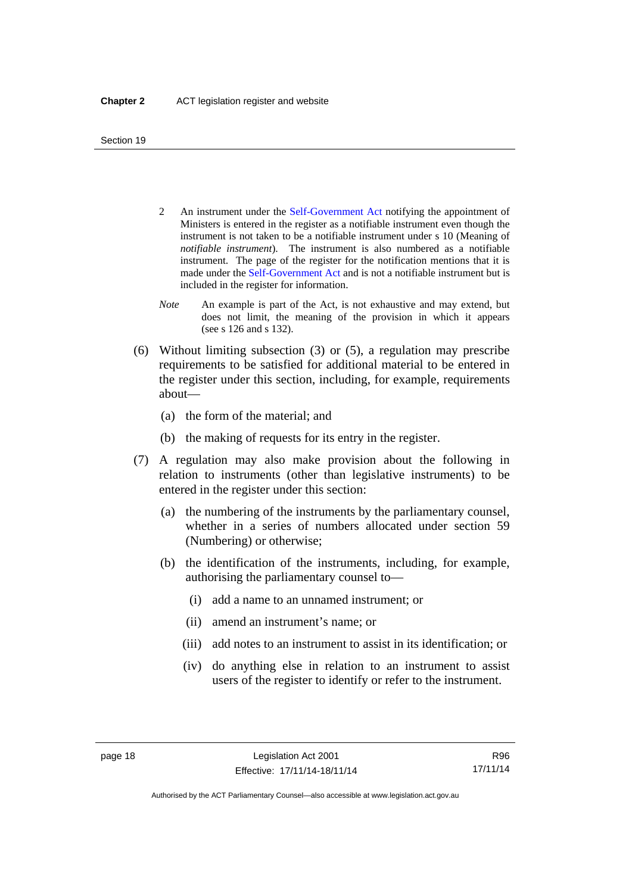- 2 An instrument under the [Self-Government Act](http://www.comlaw.gov.au/Series/C2004A03699) notifying the appointment of Ministers is entered in the register as a notifiable instrument even though the instrument is not taken to be a notifiable instrument under s 10 (Meaning of *notifiable instrument*). The instrument is also numbered as a notifiable instrument. The page of the register for the notification mentions that it is made under the [Self-Government Act](http://www.comlaw.gov.au/Series/C2004A03699) and is not a notifiable instrument but is included in the register for information.
- *Note* An example is part of the Act, is not exhaustive and may extend, but does not limit, the meaning of the provision in which it appears (see s 126 and s 132).
- (6) Without limiting subsection (3) or (5), a regulation may prescribe requirements to be satisfied for additional material to be entered in the register under this section, including, for example, requirements about—
	- (a) the form of the material; and
	- (b) the making of requests for its entry in the register.
- (7) A regulation may also make provision about the following in relation to instruments (other than legislative instruments) to be entered in the register under this section:
	- (a) the numbering of the instruments by the parliamentary counsel, whether in a series of numbers allocated under section 59 (Numbering) or otherwise;
	- (b) the identification of the instruments, including, for example, authorising the parliamentary counsel to—
		- (i) add a name to an unnamed instrument; or
		- (ii) amend an instrument's name; or
		- (iii) add notes to an instrument to assist in its identification; or
		- (iv) do anything else in relation to an instrument to assist users of the register to identify or refer to the instrument.

R96 17/11/14

Authorised by the ACT Parliamentary Counsel—also accessible at www.legislation.act.gov.au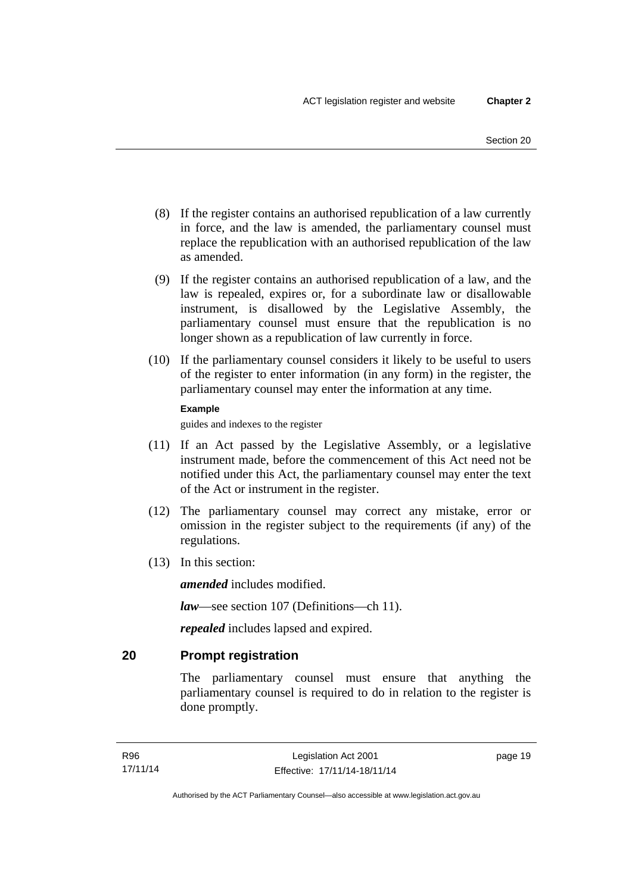- (8) If the register contains an authorised republication of a law currently in force, and the law is amended, the parliamentary counsel must replace the republication with an authorised republication of the law as amended.
- (9) If the register contains an authorised republication of a law, and the law is repealed, expires or, for a subordinate law or disallowable instrument, is disallowed by the Legislative Assembly, the parliamentary counsel must ensure that the republication is no longer shown as a republication of law currently in force.
- (10) If the parliamentary counsel considers it likely to be useful to users of the register to enter information (in any form) in the register, the parliamentary counsel may enter the information at any time.

#### **Example**

guides and indexes to the register

- (11) If an Act passed by the Legislative Assembly, or a legislative instrument made, before the commencement of this Act need not be notified under this Act, the parliamentary counsel may enter the text of the Act or instrument in the register.
- (12) The parliamentary counsel may correct any mistake, error or omission in the register subject to the requirements (if any) of the regulations.
- (13) In this section:

*amended* includes modified.

*law*—see section 107 (Definitions—ch 11).

*repealed* includes lapsed and expired.

## <span id="page-34-0"></span>**20 Prompt registration**

The parliamentary counsel must ensure that anything the parliamentary counsel is required to do in relation to the register is done promptly.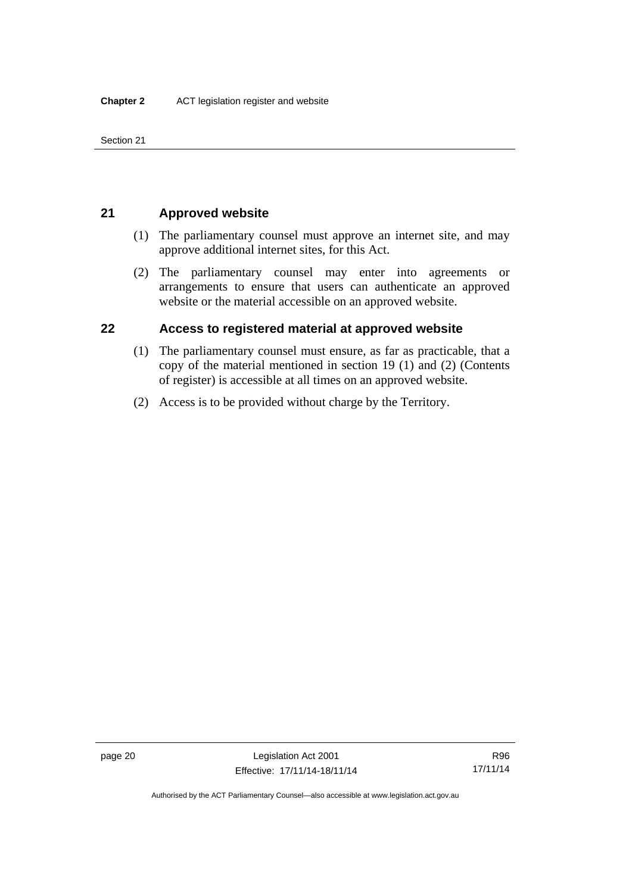Section 21

## <span id="page-35-0"></span>**21 Approved website**

- (1) The parliamentary counsel must approve an internet site, and may approve additional internet sites, for this Act.
- (2) The parliamentary counsel may enter into agreements or arrangements to ensure that users can authenticate an approved website or the material accessible on an approved website.

## <span id="page-35-1"></span>**22 Access to registered material at approved website**

- (1) The parliamentary counsel must ensure, as far as practicable, that a copy of the material mentioned in section 19 (1) and (2) (Contents of register) is accessible at all times on an approved website.
- (2) Access is to be provided without charge by the Territory.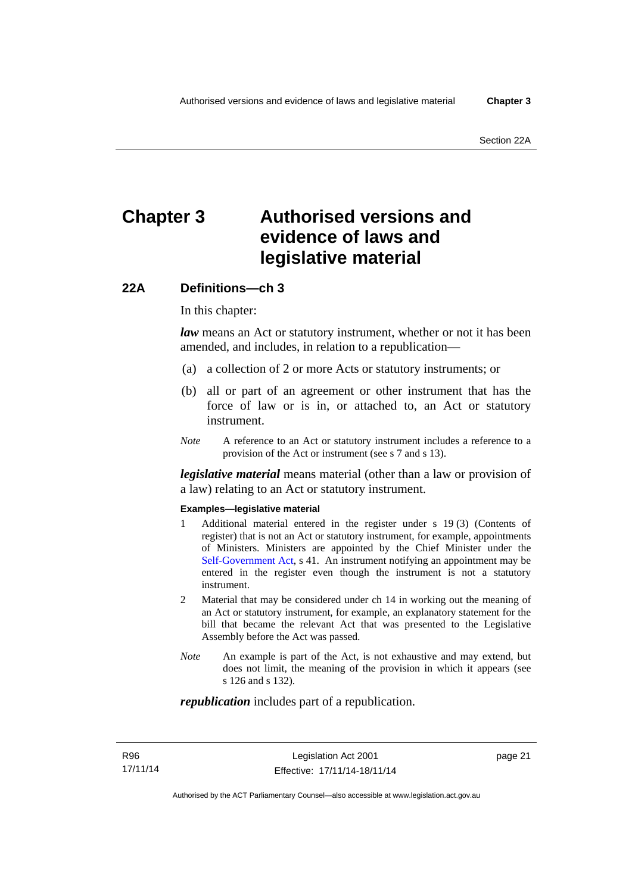# **Chapter 3 Authorised versions and evidence of laws and legislative material**

# **22A Definitions—ch 3**

In this chapter:

*law* means an Act or statutory instrument, whether or not it has been amended, and includes, in relation to a republication—

- (a) a collection of 2 or more Acts or statutory instruments; or
- (b) all or part of an agreement or other instrument that has the force of law or is in, or attached to, an Act or statutory instrument.
- *Note* A reference to an Act or statutory instrument includes a reference to a provision of the Act or instrument (see s 7 and s 13).

*legislative material* means material (other than a law or provision of a law) relating to an Act or statutory instrument.

#### **Examples—legislative material**

- 1 Additional material entered in the register under s 19 (3) (Contents of register) that is not an Act or statutory instrument, for example, appointments of Ministers. Ministers are appointed by the Chief Minister under the [Self-Government Act,](http://www.comlaw.gov.au/Series/C2004A03699) s 41. An instrument notifying an appointment may be entered in the register even though the instrument is not a statutory instrument.
- 2 Material that may be considered under ch 14 in working out the meaning of an Act or statutory instrument, for example, an explanatory statement for the bill that became the relevant Act that was presented to the Legislative Assembly before the Act was passed.
- *Note* An example is part of the Act, is not exhaustive and may extend, but does not limit, the meaning of the provision in which it appears (see s 126 and s 132).

#### *republication* includes part of a republication.

page 21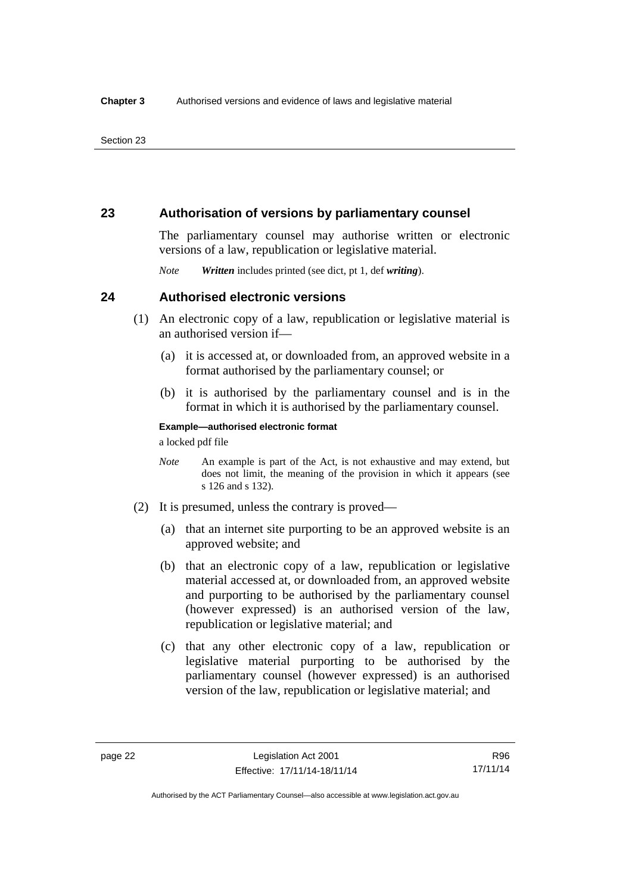# **23 Authorisation of versions by parliamentary counsel**

The parliamentary counsel may authorise written or electronic versions of a law, republication or legislative material.

*Note Written* includes printed (see dict, pt 1, def *writing*).

## **24 Authorised electronic versions**

- (1) An electronic copy of a law, republication or legislative material is an authorised version if—
	- (a) it is accessed at, or downloaded from, an approved website in a format authorised by the parliamentary counsel; or
	- (b) it is authorised by the parliamentary counsel and is in the format in which it is authorised by the parliamentary counsel.

**Example—authorised electronic format** 

a locked pdf file

- *Note* An example is part of the Act, is not exhaustive and may extend, but does not limit, the meaning of the provision in which it appears (see s 126 and s 132).
- (2) It is presumed, unless the contrary is proved—
	- (a) that an internet site purporting to be an approved website is an approved website; and
	- (b) that an electronic copy of a law, republication or legislative material accessed at, or downloaded from, an approved website and purporting to be authorised by the parliamentary counsel (however expressed) is an authorised version of the law, republication or legislative material; and
	- (c) that any other electronic copy of a law, republication or legislative material purporting to be authorised by the parliamentary counsel (however expressed) is an authorised version of the law, republication or legislative material; and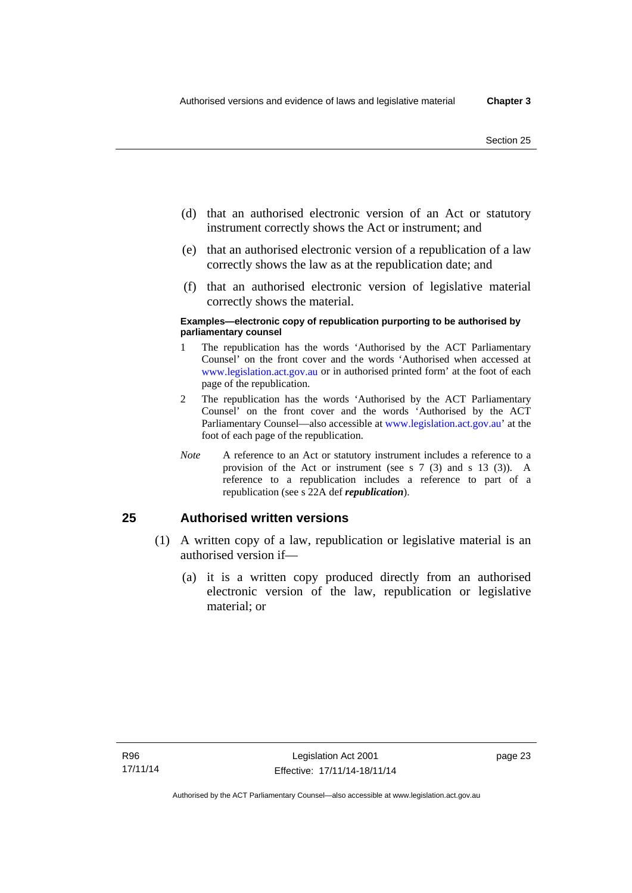- (d) that an authorised electronic version of an Act or statutory instrument correctly shows the Act or instrument; and
- (e) that an authorised electronic version of a republication of a law correctly shows the law as at the republication date; and
- (f) that an authorised electronic version of legislative material correctly shows the material.

#### **Examples—electronic copy of republication purporting to be authorised by parliamentary counsel**

- 1 The republication has the words 'Authorised by the ACT Parliamentary Counsel' on the front cover and the words 'Authorised when accessed at [www.legislation.act.gov.au](http://www.legislation.act.gov.au/) or in authorised printed form' at the foot of each page of the republication.
- 2 The republication has the words 'Authorised by the ACT Parliamentary Counsel' on the front cover and the words 'Authorised by the ACT Parliamentary Counsel—also accessible at [www.legislation.act.gov.au](http://www.legislation.act.gov.au/)' at the foot of each page of the republication.
- *Note* A reference to an Act or statutory instrument includes a reference to a provision of the Act or instrument (see s 7 (3) and s 13 (3)). A reference to a republication includes a reference to part of a republication (see s 22A def *republication*).

# **25 Authorised written versions**

- (1) A written copy of a law, republication or legislative material is an authorised version if—
	- (a) it is a written copy produced directly from an authorised electronic version of the law, republication or legislative material; or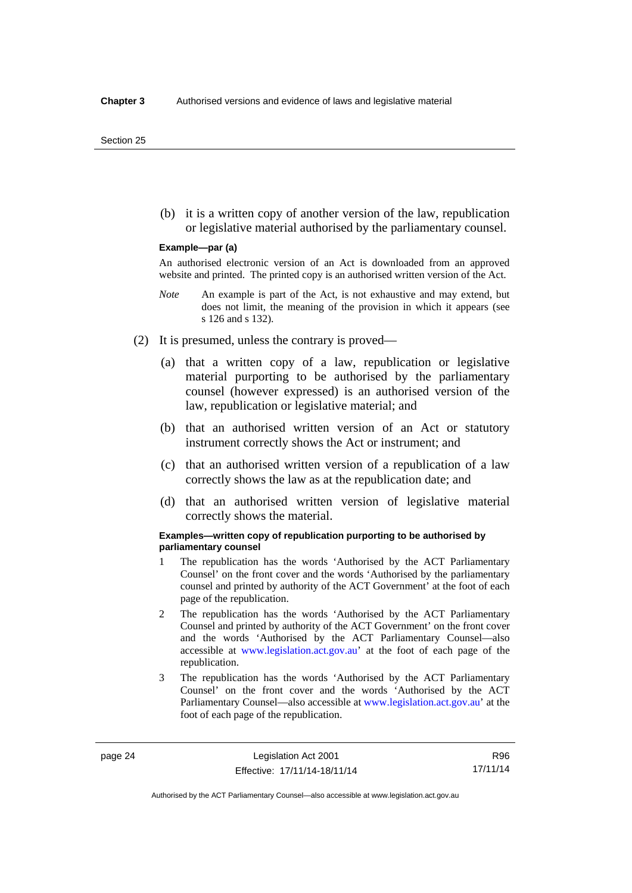(b) it is a written copy of another version of the law, republication or legislative material authorised by the parliamentary counsel.

#### **Example—par (a)**

An authorised electronic version of an Act is downloaded from an approved website and printed. The printed copy is an authorised written version of the Act.

- *Note* An example is part of the Act, is not exhaustive and may extend, but does not limit, the meaning of the provision in which it appears (see s 126 and s 132).
- (2) It is presumed, unless the contrary is proved—
	- (a) that a written copy of a law, republication or legislative material purporting to be authorised by the parliamentary counsel (however expressed) is an authorised version of the law, republication or legislative material; and
	- (b) that an authorised written version of an Act or statutory instrument correctly shows the Act or instrument; and
	- (c) that an authorised written version of a republication of a law correctly shows the law as at the republication date; and
	- (d) that an authorised written version of legislative material correctly shows the material.

#### **Examples—written copy of republication purporting to be authorised by parliamentary counsel**

- 1 The republication has the words 'Authorised by the ACT Parliamentary Counsel' on the front cover and the words 'Authorised by the parliamentary counsel and printed by authority of the ACT Government' at the foot of each page of the republication.
- 2 The republication has the words 'Authorised by the ACT Parliamentary Counsel and printed by authority of the ACT Government' on the front cover and the words 'Authorised by the ACT Parliamentary Counsel—also accessible at [www.legislation.act.gov.au'](http://www.legislation.act.gov.au/) at the foot of each page of the republication.
- 3 The republication has the words 'Authorised by the ACT Parliamentary Counsel' on the front cover and the words 'Authorised by the ACT Parliamentary Counsel—also accessible at [www.legislation.act.gov.au](http://www.legislation.act.gov.au/)' at the foot of each page of the republication.

R96 17/11/14

Authorised by the ACT Parliamentary Counsel—also accessible at www.legislation.act.gov.au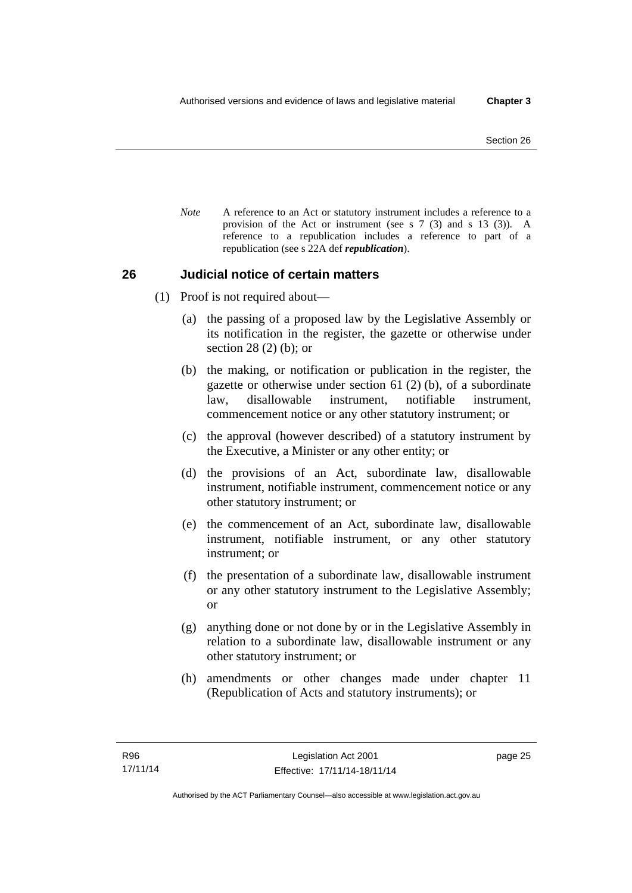*Note* A reference to an Act or statutory instrument includes a reference to a provision of the Act or instrument (see s 7 (3) and s 13 (3)). A reference to a republication includes a reference to part of a republication (see s 22A def *republication*).

## **26 Judicial notice of certain matters**

- (1) Proof is not required about—
	- (a) the passing of a proposed law by the Legislative Assembly or its notification in the register, the gazette or otherwise under section 28 (2) (b); or
	- (b) the making, or notification or publication in the register, the gazette or otherwise under section 61 (2) (b), of a subordinate law, disallowable instrument, notifiable instrument, commencement notice or any other statutory instrument; or
	- (c) the approval (however described) of a statutory instrument by the Executive, a Minister or any other entity; or
	- (d) the provisions of an Act, subordinate law, disallowable instrument, notifiable instrument, commencement notice or any other statutory instrument; or
	- (e) the commencement of an Act, subordinate law, disallowable instrument, notifiable instrument, or any other statutory instrument; or
	- (f) the presentation of a subordinate law, disallowable instrument or any other statutory instrument to the Legislative Assembly; or
	- (g) anything done or not done by or in the Legislative Assembly in relation to a subordinate law, disallowable instrument or any other statutory instrument; or
	- (h) amendments or other changes made under chapter 11 (Republication of Acts and statutory instruments); or

page 25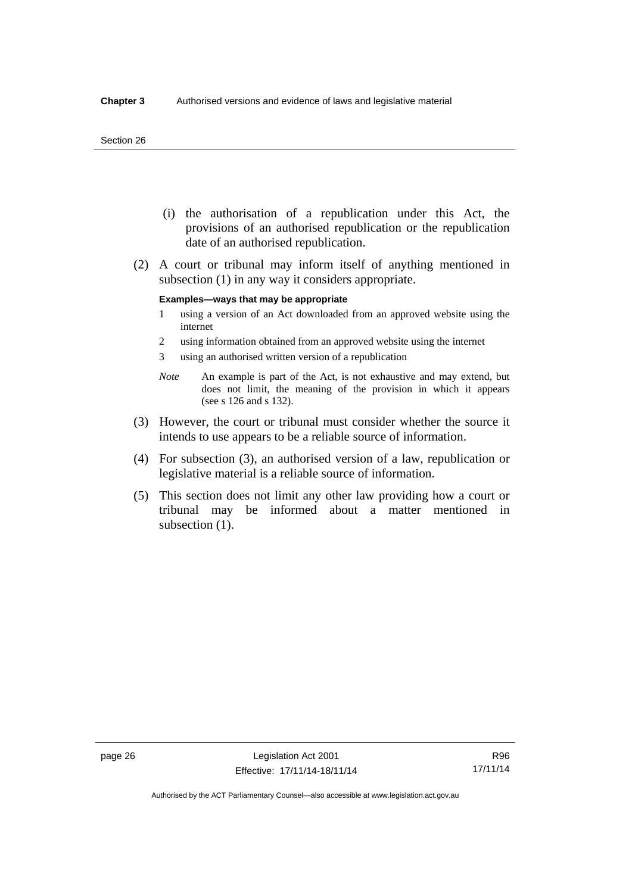#### Section 26

- (i) the authorisation of a republication under this Act, the provisions of an authorised republication or the republication date of an authorised republication.
- (2) A court or tribunal may inform itself of anything mentioned in subsection (1) in any way it considers appropriate.

#### **Examples—ways that may be appropriate**

- 1 using a version of an Act downloaded from an approved website using the internet
- 2 using information obtained from an approved website using the internet
- 3 using an authorised written version of a republication
- *Note* An example is part of the Act, is not exhaustive and may extend, but does not limit, the meaning of the provision in which it appears (see s 126 and s 132).
- (3) However, the court or tribunal must consider whether the source it intends to use appears to be a reliable source of information.
- (4) For subsection (3), an authorised version of a law, republication or legislative material is a reliable source of information.
- (5) This section does not limit any other law providing how a court or tribunal may be informed about a matter mentioned in subsection  $(1)$ .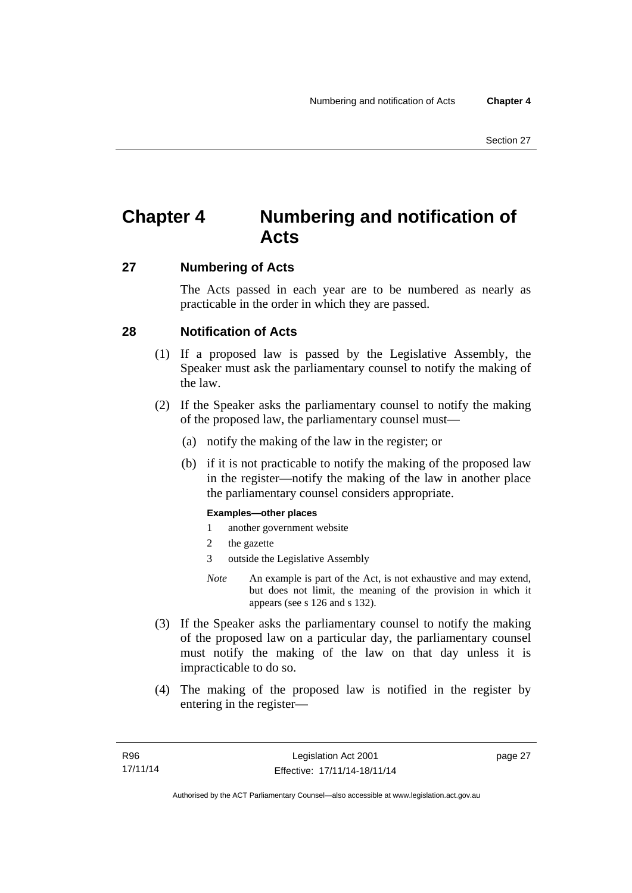# **Chapter 4 Numbering and notification of Acts**

# **27 Numbering of Acts**

The Acts passed in each year are to be numbered as nearly as practicable in the order in which they are passed.

## **28 Notification of Acts**

- (1) If a proposed law is passed by the Legislative Assembly, the Speaker must ask the parliamentary counsel to notify the making of the law.
- (2) If the Speaker asks the parliamentary counsel to notify the making of the proposed law, the parliamentary counsel must—
	- (a) notify the making of the law in the register; or
	- (b) if it is not practicable to notify the making of the proposed law in the register—notify the making of the law in another place the parliamentary counsel considers appropriate.

#### **Examples—other places**

- 1 another government website
- 2 the gazette
- 3 outside the Legislative Assembly
- *Note* An example is part of the Act, is not exhaustive and may extend, but does not limit, the meaning of the provision in which it appears (see s 126 and s 132).
- (3) If the Speaker asks the parliamentary counsel to notify the making of the proposed law on a particular day, the parliamentary counsel must notify the making of the law on that day unless it is impracticable to do so.
- (4) The making of the proposed law is notified in the register by entering in the register—

page 27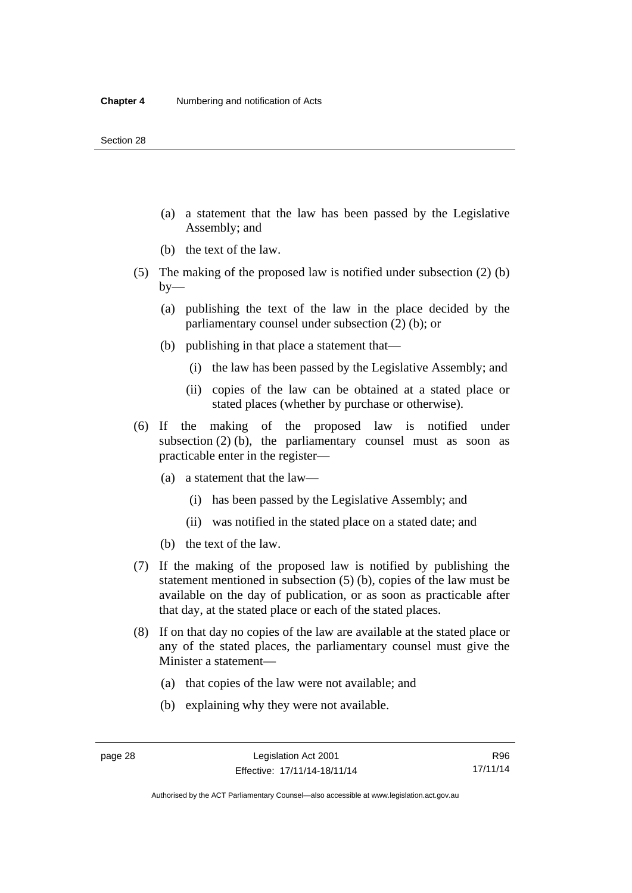- (a) a statement that the law has been passed by the Legislative Assembly; and
- (b) the text of the law.
- (5) The making of the proposed law is notified under subsection (2) (b)  $by-$ 
	- (a) publishing the text of the law in the place decided by the parliamentary counsel under subsection (2) (b); or
	- (b) publishing in that place a statement that—
		- (i) the law has been passed by the Legislative Assembly; and
		- (ii) copies of the law can be obtained at a stated place or stated places (whether by purchase or otherwise).
- (6) If the making of the proposed law is notified under subsection  $(2)$  (b), the parliamentary counsel must as soon as practicable enter in the register—
	- (a) a statement that the law—
		- (i) has been passed by the Legislative Assembly; and
		- (ii) was notified in the stated place on a stated date; and
	- (b) the text of the law.
- (7) If the making of the proposed law is notified by publishing the statement mentioned in subsection (5) (b), copies of the law must be available on the day of publication, or as soon as practicable after that day, at the stated place or each of the stated places.
- (8) If on that day no copies of the law are available at the stated place or any of the stated places, the parliamentary counsel must give the Minister a statement—
	- (a) that copies of the law were not available; and
	- (b) explaining why they were not available.

Authorised by the ACT Parliamentary Counsel—also accessible at www.legislation.act.gov.au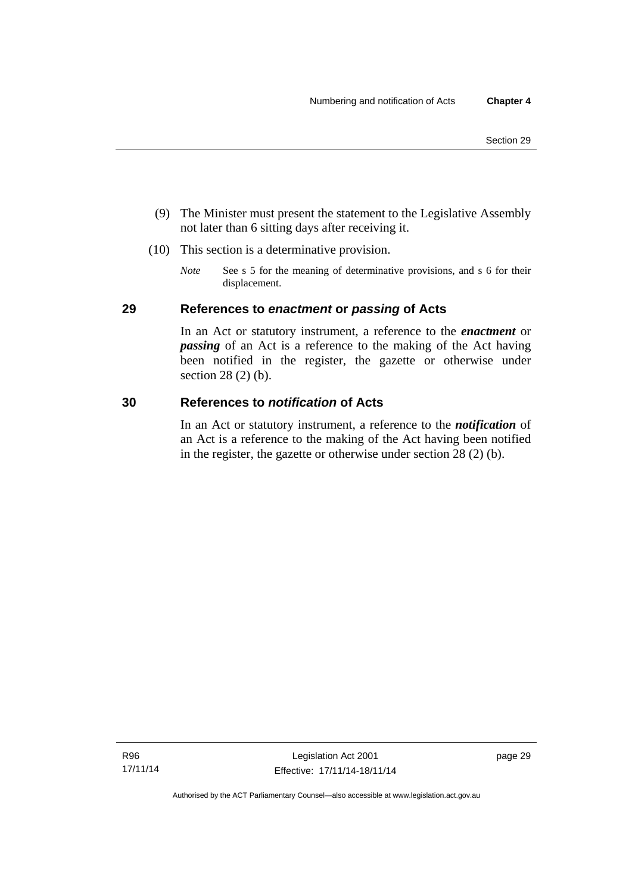- (9) The Minister must present the statement to the Legislative Assembly not later than 6 sitting days after receiving it.
- (10) This section is a determinative provision.
	- *Note* See s 5 for the meaning of determinative provisions, and s 6 for their displacement.

# **29 References to** *enactment* **or** *passing* **of Acts**

In an Act or statutory instrument, a reference to the *enactment* or *passing* of an Act is a reference to the making of the Act having been notified in the register, the gazette or otherwise under section 28 (2) (b).

## **30 References to** *notification* **of Acts**

In an Act or statutory instrument, a reference to the *notification* of an Act is a reference to the making of the Act having been notified in the register, the gazette or otherwise under section 28 (2) (b).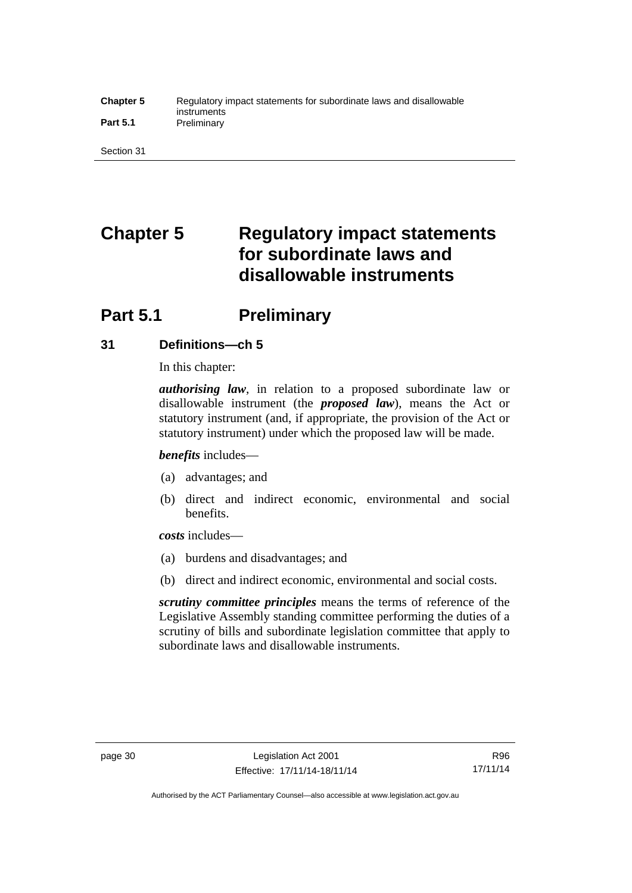#### **Chapter 5** Regulatory impact statements for subordinate laws and disallowable instruments Part 5.1 **Preliminary**

Section 31

# **Chapter 5 Regulatory impact statements for subordinate laws and disallowable instruments**

# **Part 5.1** Preliminary

# **31 Definitions—ch 5**

In this chapter:

*authorising law*, in relation to a proposed subordinate law or disallowable instrument (the *proposed law*), means the Act or statutory instrument (and, if appropriate, the provision of the Act or statutory instrument) under which the proposed law will be made.

*benefits* includes—

- (a) advantages; and
- (b) direct and indirect economic, environmental and social benefits.

*costs* includes—

- (a) burdens and disadvantages; and
- (b) direct and indirect economic, environmental and social costs.

*scrutiny committee principles* means the terms of reference of the Legislative Assembly standing committee performing the duties of a scrutiny of bills and subordinate legislation committee that apply to subordinate laws and disallowable instruments.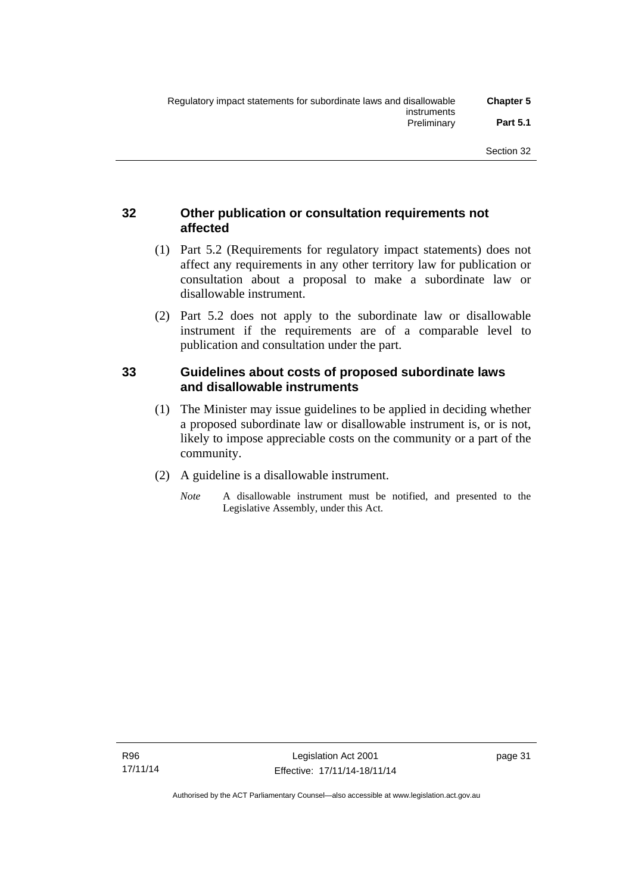# **32 Other publication or consultation requirements not affected**

- (1) Part 5.2 (Requirements for regulatory impact statements) does not affect any requirements in any other territory law for publication or consultation about a proposal to make a subordinate law or disallowable instrument.
- (2) Part 5.2 does not apply to the subordinate law or disallowable instrument if the requirements are of a comparable level to publication and consultation under the part.

## **33 Guidelines about costs of proposed subordinate laws and disallowable instruments**

- (1) The Minister may issue guidelines to be applied in deciding whether a proposed subordinate law or disallowable instrument is, or is not, likely to impose appreciable costs on the community or a part of the community.
- (2) A guideline is a disallowable instrument.
	- *Note* A disallowable instrument must be notified, and presented to the Legislative Assembly, under this Act.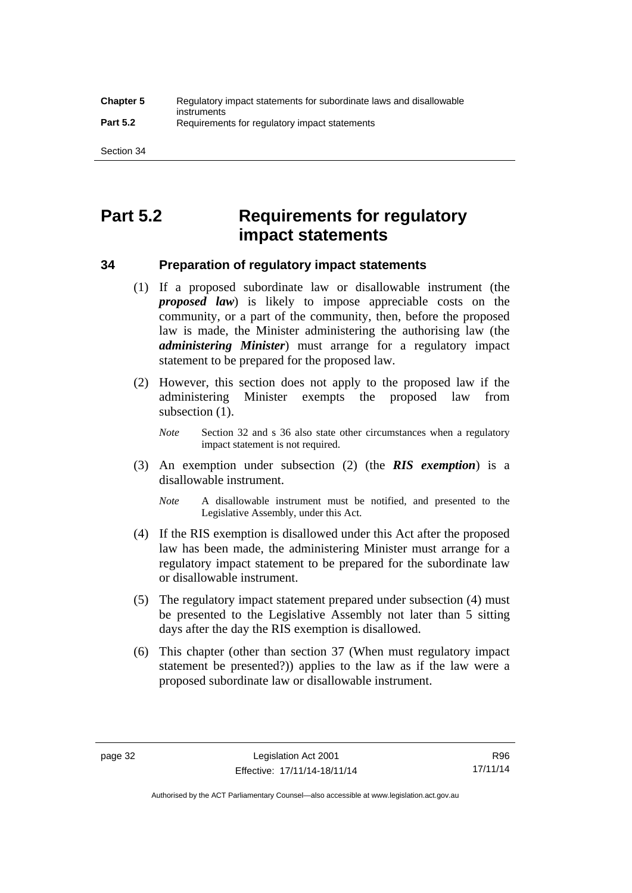# **Part 5.2 Requirements for regulatory impact statements**

## **34 Preparation of regulatory impact statements**

- (1) If a proposed subordinate law or disallowable instrument (the *proposed law*) is likely to impose appreciable costs on the community, or a part of the community, then, before the proposed law is made, the Minister administering the authorising law (the *administering Minister*) must arrange for a regulatory impact statement to be prepared for the proposed law.
- (2) However, this section does not apply to the proposed law if the administering Minister exempts the proposed law from subsection  $(1)$ .

*Note* Section 32 and s 36 also state other circumstances when a regulatory impact statement is not required.

- (3) An exemption under subsection (2) (the *RIS exemption*) is a disallowable instrument.
	- *Note* A disallowable instrument must be notified, and presented to the Legislative Assembly, under this Act.
- (4) If the RIS exemption is disallowed under this Act after the proposed law has been made, the administering Minister must arrange for a regulatory impact statement to be prepared for the subordinate law or disallowable instrument.
- (5) The regulatory impact statement prepared under subsection (4) must be presented to the Legislative Assembly not later than 5 sitting days after the day the RIS exemption is disallowed.
- (6) This chapter (other than section 37 (When must regulatory impact statement be presented?)) applies to the law as if the law were a proposed subordinate law or disallowable instrument.

Authorised by the ACT Parliamentary Counsel—also accessible at www.legislation.act.gov.au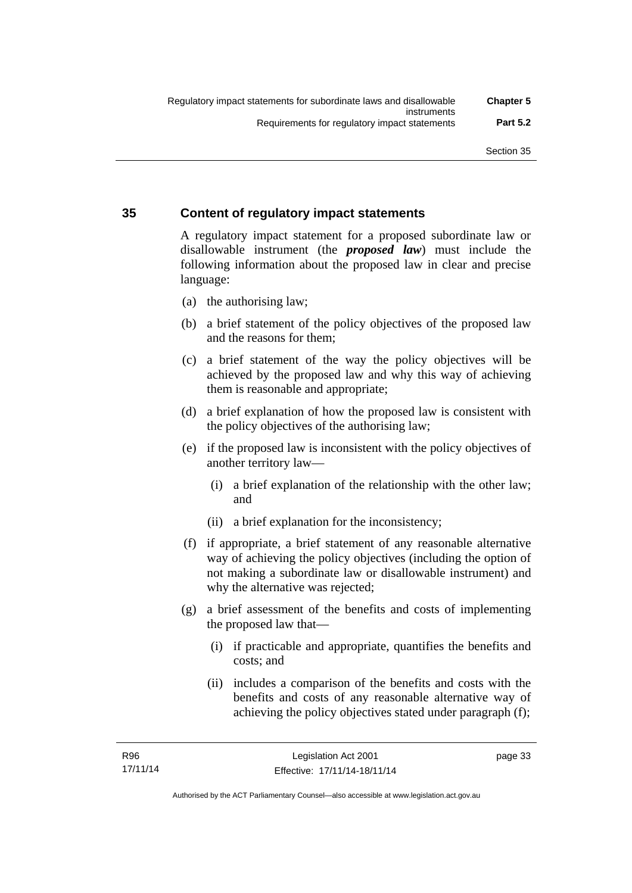# **35 Content of regulatory impact statements**

A regulatory impact statement for a proposed subordinate law or disallowable instrument (the *proposed law*) must include the following information about the proposed law in clear and precise language:

- (a) the authorising law;
- (b) a brief statement of the policy objectives of the proposed law and the reasons for them;
- (c) a brief statement of the way the policy objectives will be achieved by the proposed law and why this way of achieving them is reasonable and appropriate;
- (d) a brief explanation of how the proposed law is consistent with the policy objectives of the authorising law;
- (e) if the proposed law is inconsistent with the policy objectives of another territory law—
	- (i) a brief explanation of the relationship with the other law; and
	- (ii) a brief explanation for the inconsistency;
- (f) if appropriate, a brief statement of any reasonable alternative way of achieving the policy objectives (including the option of not making a subordinate law or disallowable instrument) and why the alternative was rejected;
- (g) a brief assessment of the benefits and costs of implementing the proposed law that—
	- (i) if practicable and appropriate, quantifies the benefits and costs; and
	- (ii) includes a comparison of the benefits and costs with the benefits and costs of any reasonable alternative way of achieving the policy objectives stated under paragraph (f);

page 33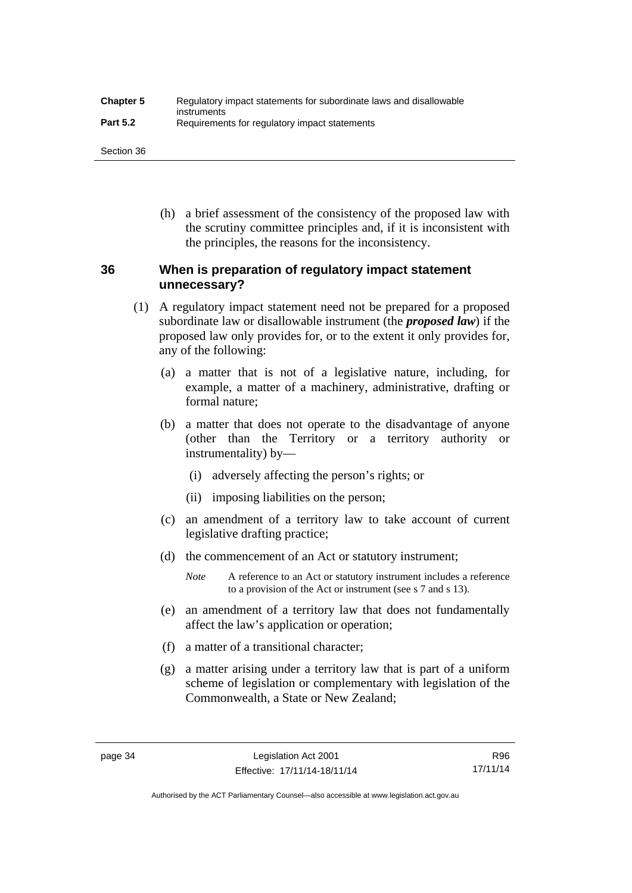| <b>Chapter 5</b> | Regulatory impact statements for subordinate laws and disallowable |
|------------------|--------------------------------------------------------------------|
| <b>Part 5.2</b>  | instruments<br>Requirements for regulatory impact statements       |

Section 36

 (h) a brief assessment of the consistency of the proposed law with the scrutiny committee principles and, if it is inconsistent with the principles, the reasons for the inconsistency.

# **36 When is preparation of regulatory impact statement unnecessary?**

- (1) A regulatory impact statement need not be prepared for a proposed subordinate law or disallowable instrument (the *proposed law*) if the proposed law only provides for, or to the extent it only provides for, any of the following:
	- (a) a matter that is not of a legislative nature, including, for example, a matter of a machinery, administrative, drafting or formal nature;
	- (b) a matter that does not operate to the disadvantage of anyone (other than the Territory or a territory authority or instrumentality) by—
		- (i) adversely affecting the person's rights; or
		- (ii) imposing liabilities on the person;
	- (c) an amendment of a territory law to take account of current legislative drafting practice;
	- (d) the commencement of an Act or statutory instrument;
		- *Note* A reference to an Act or statutory instrument includes a reference to a provision of the Act or instrument (see s 7 and s 13).
	- (e) an amendment of a territory law that does not fundamentally affect the law's application or operation;
	- (f) a matter of a transitional character;
	- (g) a matter arising under a territory law that is part of a uniform scheme of legislation or complementary with legislation of the Commonwealth, a State or New Zealand;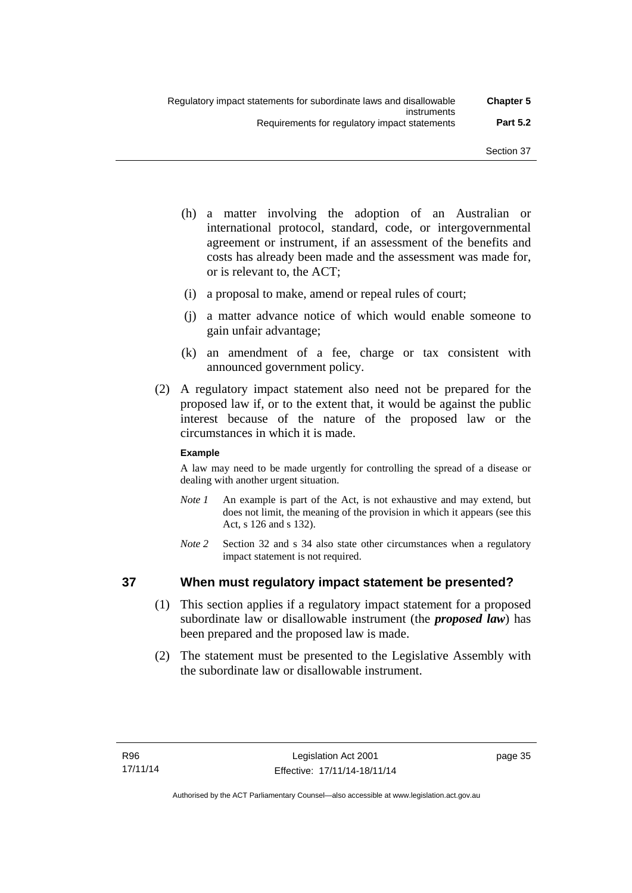- (h) a matter involving the adoption of an Australian or international protocol, standard, code, or intergovernmental agreement or instrument, if an assessment of the benefits and costs has already been made and the assessment was made for, or is relevant to, the ACT;
- (i) a proposal to make, amend or repeal rules of court;
- (j) a matter advance notice of which would enable someone to gain unfair advantage;
- (k) an amendment of a fee, charge or tax consistent with announced government policy.
- (2) A regulatory impact statement also need not be prepared for the proposed law if, or to the extent that, it would be against the public interest because of the nature of the proposed law or the circumstances in which it is made.

#### **Example**

A law may need to be made urgently for controlling the spread of a disease or dealing with another urgent situation.

- *Note 1* An example is part of the Act, is not exhaustive and may extend, but does not limit, the meaning of the provision in which it appears (see this Act, s 126 and s 132).
- *Note* 2 Section 32 and s 34 also state other circumstances when a regulatory impact statement is not required.

## **37 When must regulatory impact statement be presented?**

- (1) This section applies if a regulatory impact statement for a proposed subordinate law or disallowable instrument (the *proposed law*) has been prepared and the proposed law is made.
- (2) The statement must be presented to the Legislative Assembly with the subordinate law or disallowable instrument.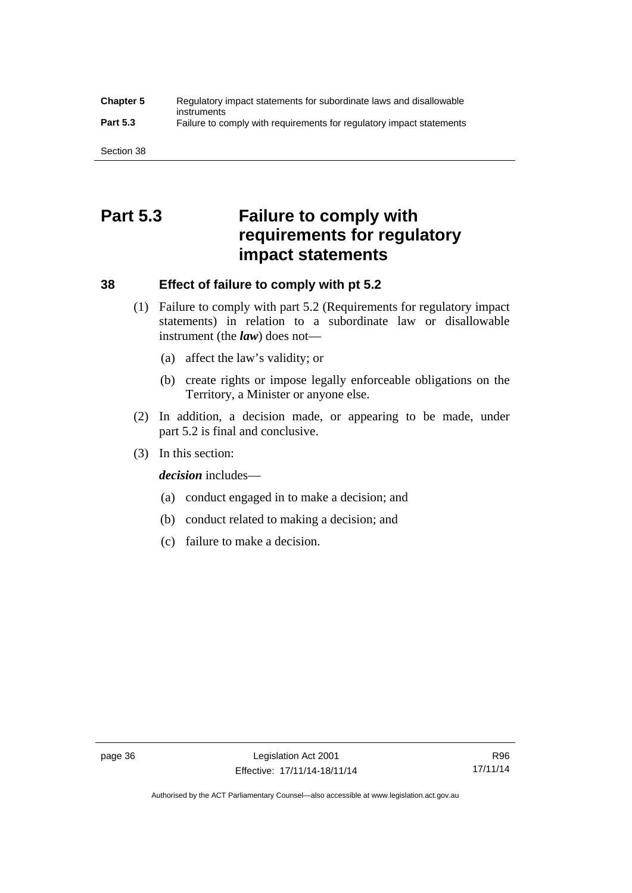#### **Chapter 5** Regulatory impact statements for subordinate laws and disallowable instruments **Part 5.3** Failure to comply with requirements for regulatory impact statements

Section 38

# **Part 5.3 Failure to comply with requirements for regulatory impact statements**

# **38 Effect of failure to comply with pt 5.2**

- (1) Failure to comply with part 5.2 (Requirements for regulatory impact statements) in relation to a subordinate law or disallowable instrument (the *law*) does not—
	- (a) affect the law's validity; or
	- (b) create rights or impose legally enforceable obligations on the Territory, a Minister or anyone else.
- (2) In addition, a decision made, or appearing to be made, under part 5.2 is final and conclusive.
- (3) In this section:

*decision* includes—

- (a) conduct engaged in to make a decision; and
- (b) conduct related to making a decision; and
- (c) failure to make a decision.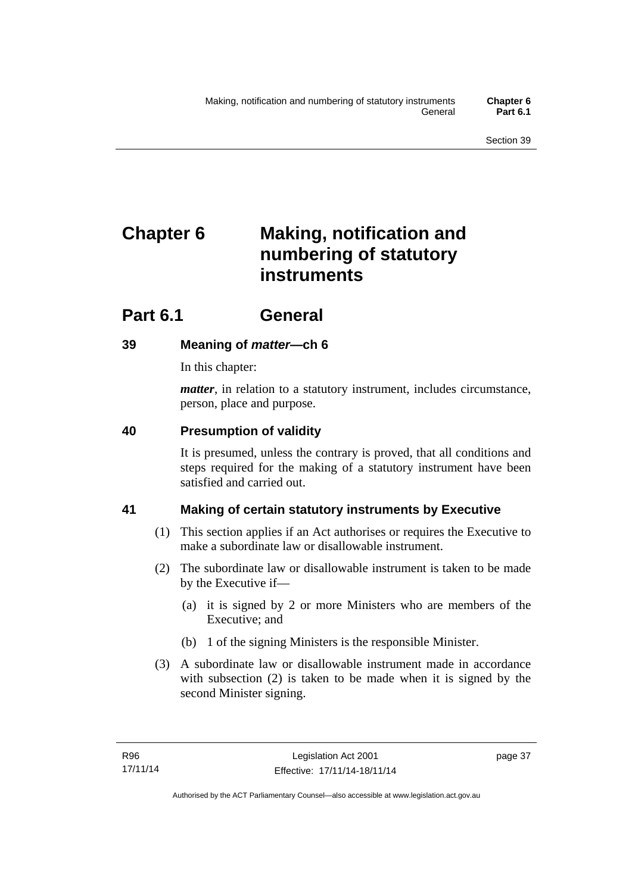# **Chapter 6 Making, notification and numbering of statutory instruments**

# **Part 6.1 General**

# **39 Meaning of** *matter***—ch 6**

In this chapter:

*matter*, in relation to a statutory instrument, includes circumstance, person, place and purpose.

# **40 Presumption of validity**

It is presumed, unless the contrary is proved, that all conditions and steps required for the making of a statutory instrument have been satisfied and carried out.

# **41 Making of certain statutory instruments by Executive**

- (1) This section applies if an Act authorises or requires the Executive to make a subordinate law or disallowable instrument.
- (2) The subordinate law or disallowable instrument is taken to be made by the Executive if—
	- (a) it is signed by 2 or more Ministers who are members of the Executive; and
	- (b) 1 of the signing Ministers is the responsible Minister.
- (3) A subordinate law or disallowable instrument made in accordance with subsection (2) is taken to be made when it is signed by the second Minister signing.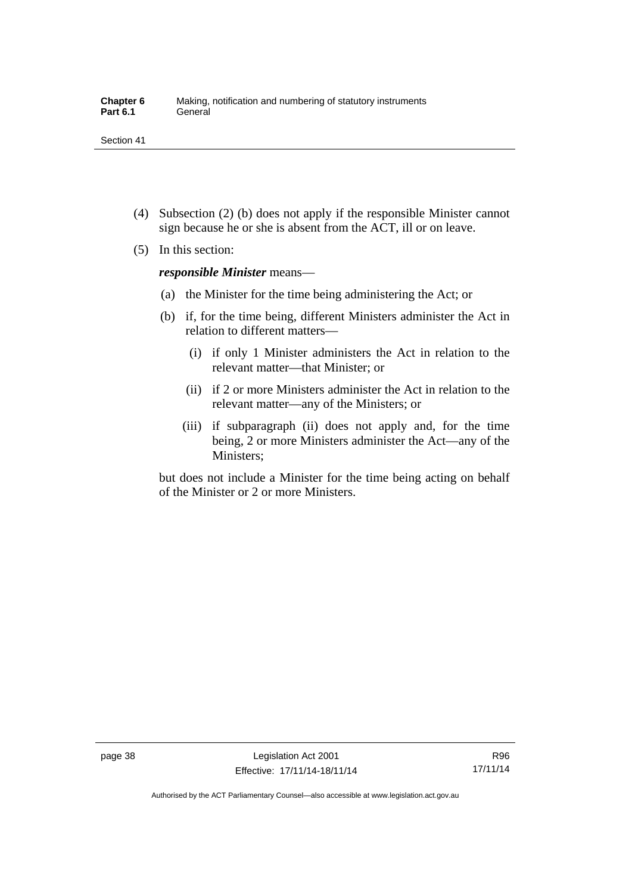- (4) Subsection (2) (b) does not apply if the responsible Minister cannot sign because he or she is absent from the ACT, ill or on leave.
- (5) In this section:

*responsible Minister* means—

- (a) the Minister for the time being administering the Act; or
- (b) if, for the time being, different Ministers administer the Act in relation to different matters—
	- (i) if only 1 Minister administers the Act in relation to the relevant matter—that Minister; or
	- (ii) if 2 or more Ministers administer the Act in relation to the relevant matter—any of the Ministers; or
	- (iii) if subparagraph (ii) does not apply and, for the time being, 2 or more Ministers administer the Act—any of the Ministers;

but does not include a Minister for the time being acting on behalf of the Minister or 2 or more Ministers.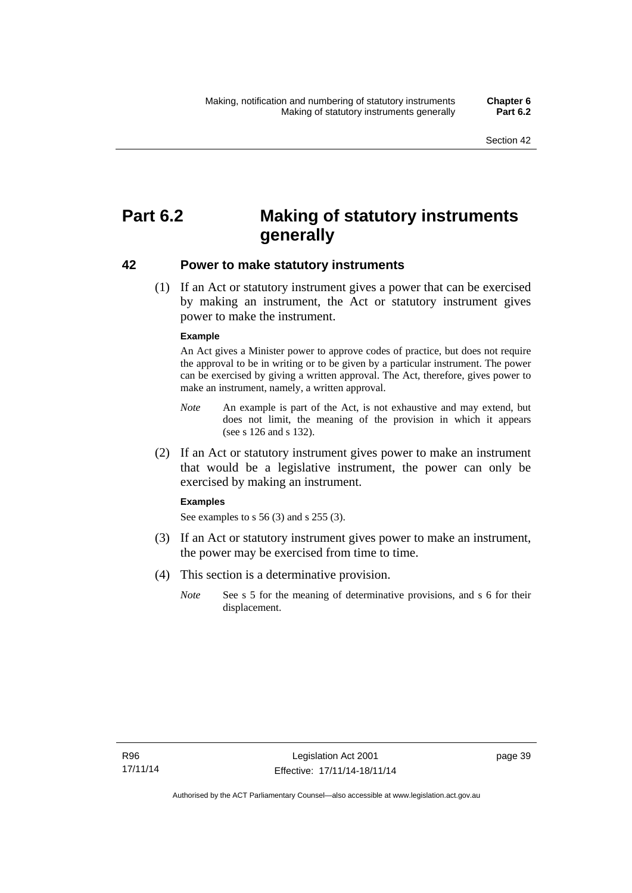# **Part 6.2 Making of statutory instruments generally**

#### **42 Power to make statutory instruments**

 (1) If an Act or statutory instrument gives a power that can be exercised by making an instrument, the Act or statutory instrument gives power to make the instrument.

#### **Example**

An Act gives a Minister power to approve codes of practice, but does not require the approval to be in writing or to be given by a particular instrument. The power can be exercised by giving a written approval. The Act, therefore, gives power to make an instrument, namely, a written approval.

- *Note* An example is part of the Act, is not exhaustive and may extend, but does not limit, the meaning of the provision in which it appears (see s 126 and s 132).
- (2) If an Act or statutory instrument gives power to make an instrument that would be a legislative instrument, the power can only be exercised by making an instrument.

#### **Examples**

See examples to s 56 (3) and s 255 (3).

- (3) If an Act or statutory instrument gives power to make an instrument, the power may be exercised from time to time.
- (4) This section is a determinative provision.
	- *Note* See s 5 for the meaning of determinative provisions, and s 6 for their displacement.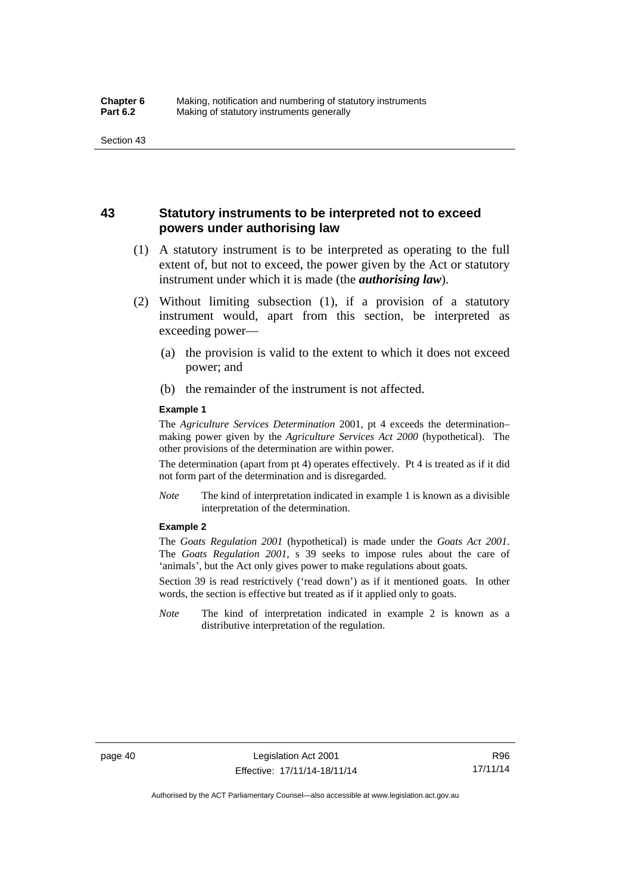# **43 Statutory instruments to be interpreted not to exceed powers under authorising law**

- (1) A statutory instrument is to be interpreted as operating to the full extent of, but not to exceed, the power given by the Act or statutory instrument under which it is made (the *authorising law*).
- (2) Without limiting subsection (1), if a provision of a statutory instrument would, apart from this section, be interpreted as exceeding power—
	- (a) the provision is valid to the extent to which it does not exceed power; and
	- (b) the remainder of the instrument is not affected.

#### **Example 1**

The *Agriculture Services Determination* 2001, pt 4 exceeds the determination– making power given by the *Agriculture Services Act 2000* (hypothetical). The other provisions of the determination are within power.

The determination (apart from pt 4) operates effectively. Pt 4 is treated as if it did not form part of the determination and is disregarded.

*Note* The kind of interpretation indicated in example 1 is known as a divisible interpretation of the determination.

#### **Example 2**

The *Goats Regulation 2001* (hypothetical) is made under the *Goats Act 2001*. The *Goats Regulation 2001*, s 39 seeks to impose rules about the care of 'animals', but the Act only gives power to make regulations about goats.

Section 39 is read restrictively ('read down') as if it mentioned goats. In other words, the section is effective but treated as if it applied only to goats.

*Note* The kind of interpretation indicated in example 2 is known as a distributive interpretation of the regulation.

R96 17/11/14

Authorised by the ACT Parliamentary Counsel—also accessible at www.legislation.act.gov.au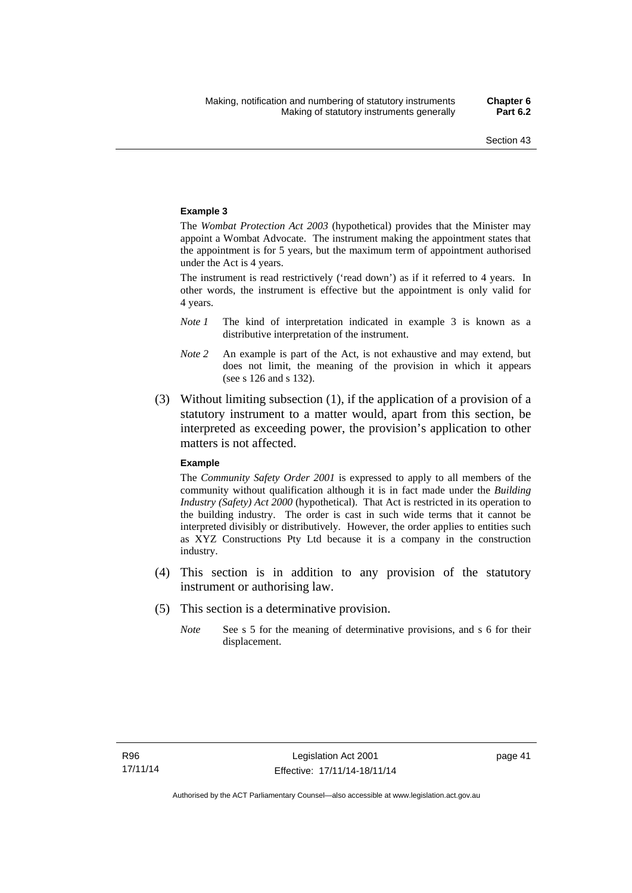#### **Example 3**

The *Wombat Protection Act 2003* (hypothetical) provides that the Minister may appoint a Wombat Advocate. The instrument making the appointment states that the appointment is for 5 years, but the maximum term of appointment authorised under the Act is 4 years.

The instrument is read restrictively ('read down') as if it referred to 4 years. In other words, the instrument is effective but the appointment is only valid for 4 years.

- *Note 1* The kind of interpretation indicated in example 3 is known as a distributive interpretation of the instrument.
- *Note 2* An example is part of the Act, is not exhaustive and may extend, but does not limit, the meaning of the provision in which it appears (see s 126 and s 132).
- (3) Without limiting subsection (1), if the application of a provision of a statutory instrument to a matter would, apart from this section, be interpreted as exceeding power, the provision's application to other matters is not affected.

#### **Example**

The *Community Safety Order 2001* is expressed to apply to all members of the community without qualification although it is in fact made under the *Building Industry (Safety) Act 2000* (hypothetical). That Act is restricted in its operation to the building industry. The order is cast in such wide terms that it cannot be interpreted divisibly or distributively. However, the order applies to entities such as XYZ Constructions Pty Ltd because it is a company in the construction industry.

- (4) This section is in addition to any provision of the statutory instrument or authorising law.
- (5) This section is a determinative provision.
	- *Note* See s 5 for the meaning of determinative provisions, and s 6 for their displacement.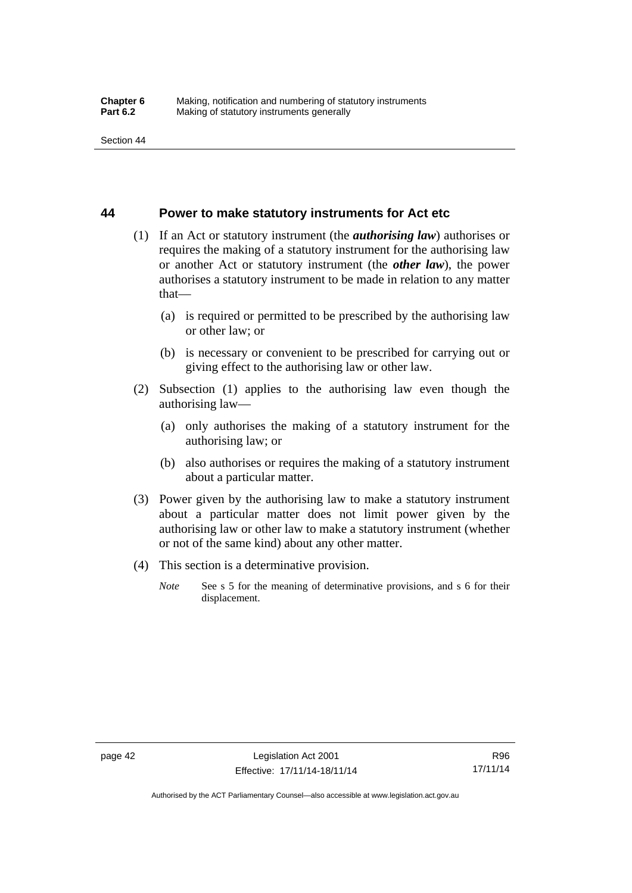#### **44 Power to make statutory instruments for Act etc**

- (1) If an Act or statutory instrument (the *authorising law*) authorises or requires the making of a statutory instrument for the authorising law or another Act or statutory instrument (the *other law*), the power authorises a statutory instrument to be made in relation to any matter that—
	- (a) is required or permitted to be prescribed by the authorising law or other law; or
	- (b) is necessary or convenient to be prescribed for carrying out or giving effect to the authorising law or other law.
- (2) Subsection (1) applies to the authorising law even though the authorising law—
	- (a) only authorises the making of a statutory instrument for the authorising law; or
	- (b) also authorises or requires the making of a statutory instrument about a particular matter.
- (3) Power given by the authorising law to make a statutory instrument about a particular matter does not limit power given by the authorising law or other law to make a statutory instrument (whether or not of the same kind) about any other matter.
- (4) This section is a determinative provision.
	- *Note* See s 5 for the meaning of determinative provisions, and s 6 for their displacement.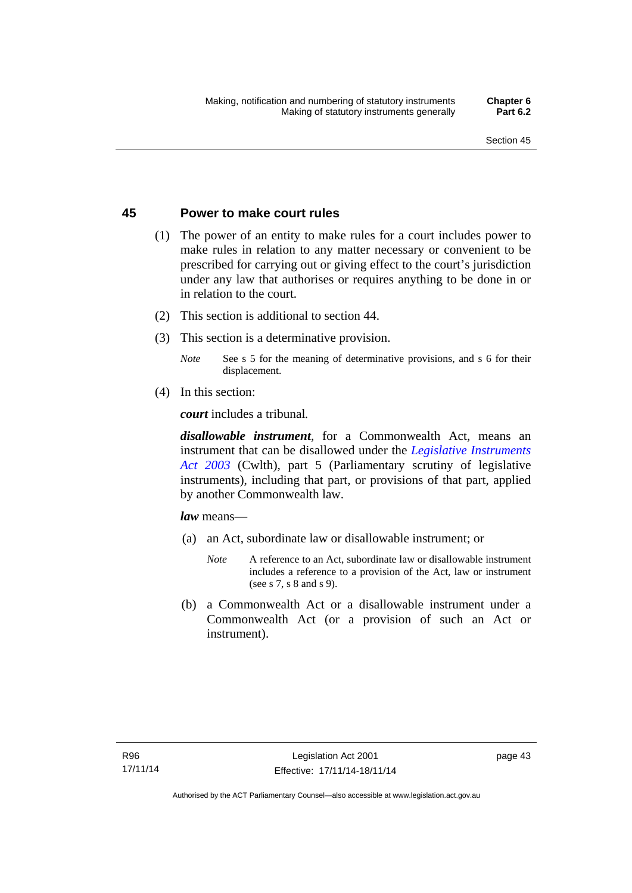## **45 Power to make court rules**

- (1) The power of an entity to make rules for a court includes power to make rules in relation to any matter necessary or convenient to be prescribed for carrying out or giving effect to the court's jurisdiction under any law that authorises or requires anything to be done in or in relation to the court.
- (2) This section is additional to section 44.
- (3) This section is a determinative provision.
	- *Note* See s 5 for the meaning of determinative provisions, and s 6 for their displacement.
- (4) In this section:

*court* includes a tribunal*.*

*disallowable instrument*, for a Commonwealth Act, means an instrument that can be disallowed under the *[Legislative Instruments](http://www.comlaw.gov.au/Series/C2004A01224)  [Act 2003](http://www.comlaw.gov.au/Series/C2004A01224)* (Cwlth), part 5 (Parliamentary scrutiny of legislative instruments), including that part, or provisions of that part, applied by another Commonwealth law.

*law* means—

- (a) an Act, subordinate law or disallowable instrument; or
	- *Note* A reference to an Act, subordinate law or disallowable instrument includes a reference to a provision of the Act, law or instrument (see s 7, s 8 and s 9).
- (b) a Commonwealth Act or a disallowable instrument under a Commonwealth Act (or a provision of such an Act or instrument).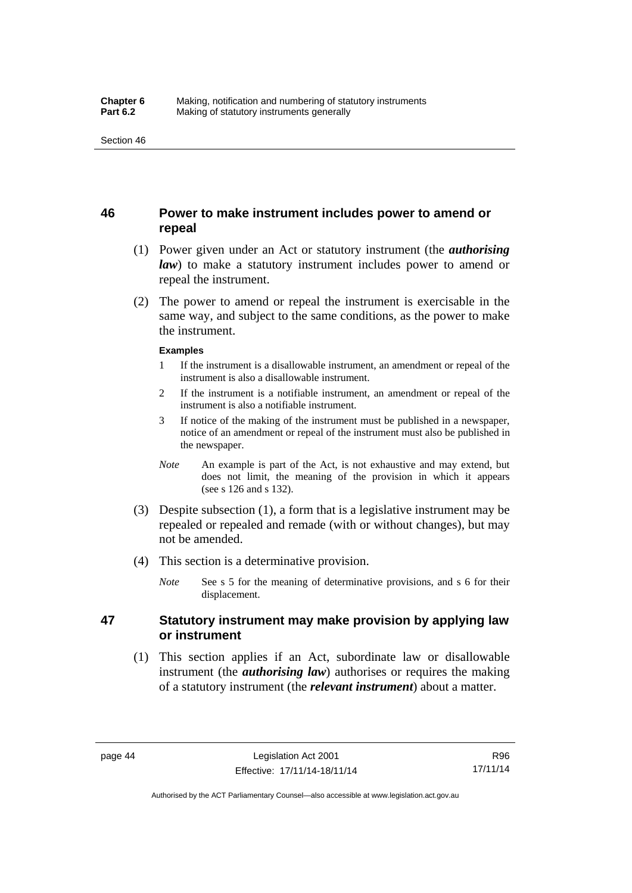# **46 Power to make instrument includes power to amend or repeal**

- (1) Power given under an Act or statutory instrument (the *authorising law*) to make a statutory instrument includes power to amend or repeal the instrument.
- (2) The power to amend or repeal the instrument is exercisable in the same way, and subject to the same conditions, as the power to make the instrument.

#### **Examples**

- 1 If the instrument is a disallowable instrument, an amendment or repeal of the instrument is also a disallowable instrument.
- 2 If the instrument is a notifiable instrument, an amendment or repeal of the instrument is also a notifiable instrument.
- 3 If notice of the making of the instrument must be published in a newspaper, notice of an amendment or repeal of the instrument must also be published in the newspaper.
- *Note* An example is part of the Act, is not exhaustive and may extend, but does not limit, the meaning of the provision in which it appears (see s 126 and s 132).
- (3) Despite subsection (1), a form that is a legislative instrument may be repealed or repealed and remade (with or without changes), but may not be amended.
- (4) This section is a determinative provision.
	- *Note* See s 5 for the meaning of determinative provisions, and s 6 for their displacement.

# **47 Statutory instrument may make provision by applying law or instrument**

 (1) This section applies if an Act, subordinate law or disallowable instrument (the *authorising law*) authorises or requires the making of a statutory instrument (the *relevant instrument*) about a matter.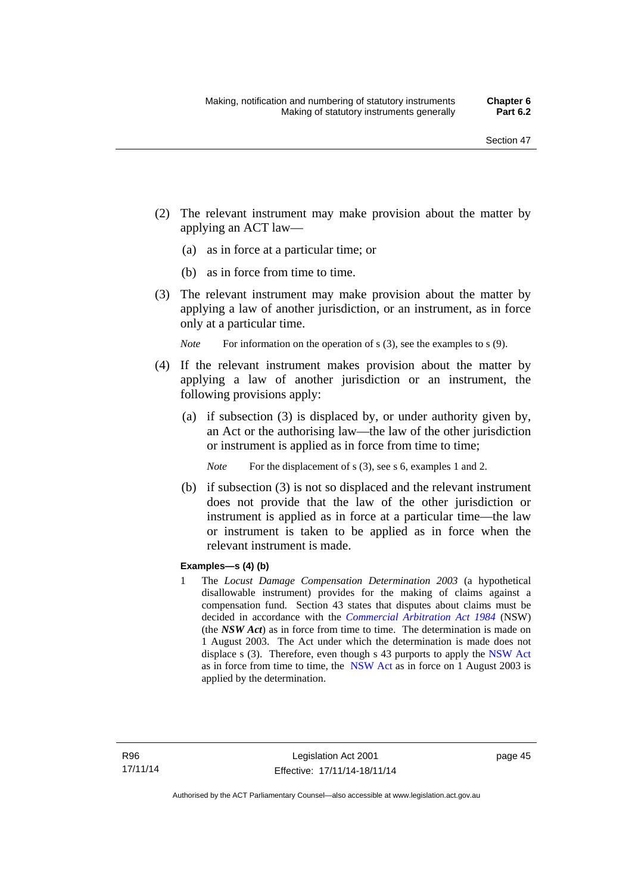- (2) The relevant instrument may make provision about the matter by applying an ACT law—
	- (a) as in force at a particular time; or
	- (b) as in force from time to time.
- (3) The relevant instrument may make provision about the matter by applying a law of another jurisdiction, or an instrument, as in force only at a particular time.

*Note* For information on the operation of s (3), see the examples to s (9).

- (4) If the relevant instrument makes provision about the matter by applying a law of another jurisdiction or an instrument, the following provisions apply:
	- (a) if subsection (3) is displaced by, or under authority given by, an Act or the authorising law—the law of the other jurisdiction or instrument is applied as in force from time to time;
		- *Note* For the displacement of s (3), see s 6, examples 1 and 2.
	- (b) if subsection (3) is not so displaced and the relevant instrument does not provide that the law of the other jurisdiction or instrument is applied as in force at a particular time—the law or instrument is taken to be applied as in force when the relevant instrument is made.

#### **Examples—s (4) (b)**

1 The *Locust Damage Compensation Determination 2003* (a hypothetical disallowable instrument) provides for the making of claims against a compensation fund. Section 43 states that disputes about claims must be decided in accordance with the *[Commercial Arbitration Act 1984](http://www.legislation.nsw.gov.au/maintop/view/repealed/act+160+1984+cd+0+Y)* (NSW) (the *NSW Act*) as in force from time to time. The determination is made on 1 August 2003. The Act under which the determination is made does not displace s (3). Therefore, even though s 43 purports to apply the [NSW Act](http://www.legislation.nsw.gov.au/maintop/view/repealed/act+160+1984+cd+0+Y) as in force from time to time, the [NSW Act](http://www.legislation.nsw.gov.au/maintop/view/repealed/act+160+1984+cd+0+Y) as in force on 1 August 2003 is applied by the determination.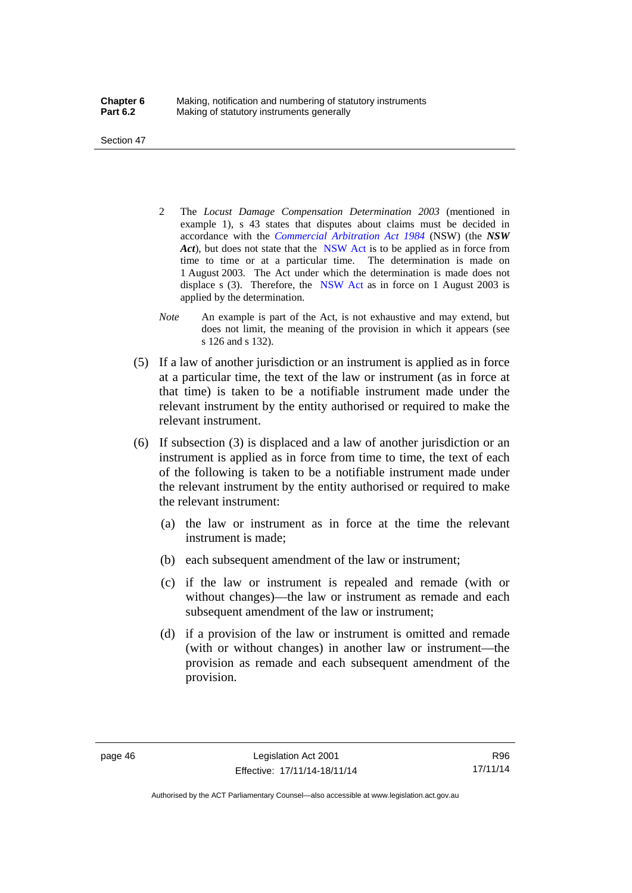Section 47

- 2 The *Locust Damage Compensation Determination 2003* (mentioned in example 1), s 43 states that disputes about claims must be decided in accordance with the *[Commercial Arbitration Act 1984](http://www.legislation.nsw.gov.au/maintop/view/repealed/act+160+1984+cd+0+Y)* (NSW) (the *NSW Act*), but does not state that the [NSW Act](http://www.legislation.nsw.gov.au/maintop/view/repealed/act+160+1984+cd+0+Y) is to be applied as in force from time to time or at a particular time. The determination is made on 1 August 2003. The Act under which the determination is made does not displace s (3). Therefore, the [NSW Act](http://www.legislation.nsw.gov.au/maintop/view/repealed/act+160+1984+cd+0+Y) as in force on 1 August 2003 is applied by the determination.
- *Note* An example is part of the Act, is not exhaustive and may extend, but does not limit, the meaning of the provision in which it appears (see s 126 and s 132).
- (5) If a law of another jurisdiction or an instrument is applied as in force at a particular time, the text of the law or instrument (as in force at that time) is taken to be a notifiable instrument made under the relevant instrument by the entity authorised or required to make the relevant instrument.
- (6) If subsection (3) is displaced and a law of another jurisdiction or an instrument is applied as in force from time to time, the text of each of the following is taken to be a notifiable instrument made under the relevant instrument by the entity authorised or required to make the relevant instrument:
	- (a) the law or instrument as in force at the time the relevant instrument is made;
	- (b) each subsequent amendment of the law or instrument;
	- (c) if the law or instrument is repealed and remade (with or without changes)—the law or instrument as remade and each subsequent amendment of the law or instrument;
	- (d) if a provision of the law or instrument is omitted and remade (with or without changes) in another law or instrument—the provision as remade and each subsequent amendment of the provision.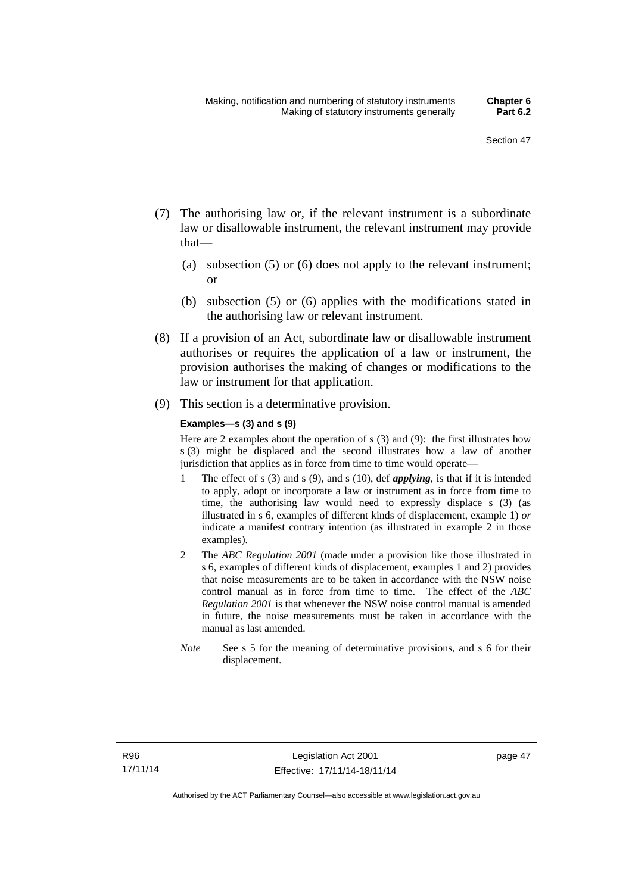- (7) The authorising law or, if the relevant instrument is a subordinate law or disallowable instrument, the relevant instrument may provide that—
	- (a) subsection (5) or (6) does not apply to the relevant instrument; or
	- (b) subsection (5) or (6) applies with the modifications stated in the authorising law or relevant instrument.
- (8) If a provision of an Act, subordinate law or disallowable instrument authorises or requires the application of a law or instrument, the provision authorises the making of changes or modifications to the law or instrument for that application.
- (9) This section is a determinative provision.

#### **Examples—s (3) and s (9)**

Here are 2 examples about the operation of s (3) and (9): the first illustrates how s (3) might be displaced and the second illustrates how a law of another jurisdiction that applies as in force from time to time would operate—

- 1 The effect of s (3) and s (9), and s (10), def *applying*, is that if it is intended to apply, adopt or incorporate a law or instrument as in force from time to time, the authorising law would need to expressly displace s (3) (as illustrated in s 6, examples of different kinds of displacement, example 1) *or* indicate a manifest contrary intention (as illustrated in example 2 in those examples).
- 2 The *ABC Regulation 2001* (made under a provision like those illustrated in s 6, examples of different kinds of displacement, examples 1 and 2) provides that noise measurements are to be taken in accordance with the NSW noise control manual as in force from time to time. The effect of the *ABC Regulation 2001* is that whenever the NSW noise control manual is amended in future, the noise measurements must be taken in accordance with the manual as last amended.
- *Note* See s 5 for the meaning of determinative provisions, and s 6 for their displacement.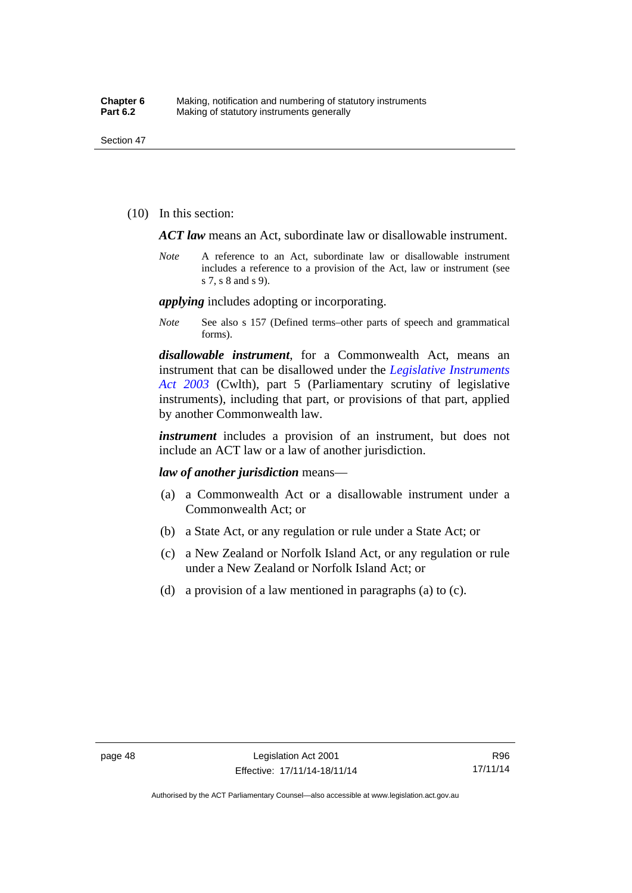(10) In this section:

*ACT law* means an Act, subordinate law or disallowable instrument.

*Note* A reference to an Act, subordinate law or disallowable instrument includes a reference to a provision of the Act, law or instrument (see s 7, s 8 and s 9).

*applying* includes adopting or incorporating.

*Note* See also s 157 (Defined terms–other parts of speech and grammatical forms).

*disallowable instrument*, for a Commonwealth Act, means an instrument that can be disallowed under the *[Legislative Instruments](http://www.comlaw.gov.au/Series/C2004A01224)  [Act 2003](http://www.comlaw.gov.au/Series/C2004A01224)* (Cwlth), part 5 (Parliamentary scrutiny of legislative instruments), including that part, or provisions of that part, applied by another Commonwealth law.

*instrument* includes a provision of an instrument, but does not include an ACT law or a law of another jurisdiction.

*law of another jurisdiction* means—

- (a) a Commonwealth Act or a disallowable instrument under a Commonwealth Act; or
- (b) a State Act, or any regulation or rule under a State Act; or
- (c) a New Zealand or Norfolk Island Act, or any regulation or rule under a New Zealand or Norfolk Island Act; or
- (d) a provision of a law mentioned in paragraphs (a) to (c).

R96 17/11/14

Authorised by the ACT Parliamentary Counsel—also accessible at www.legislation.act.gov.au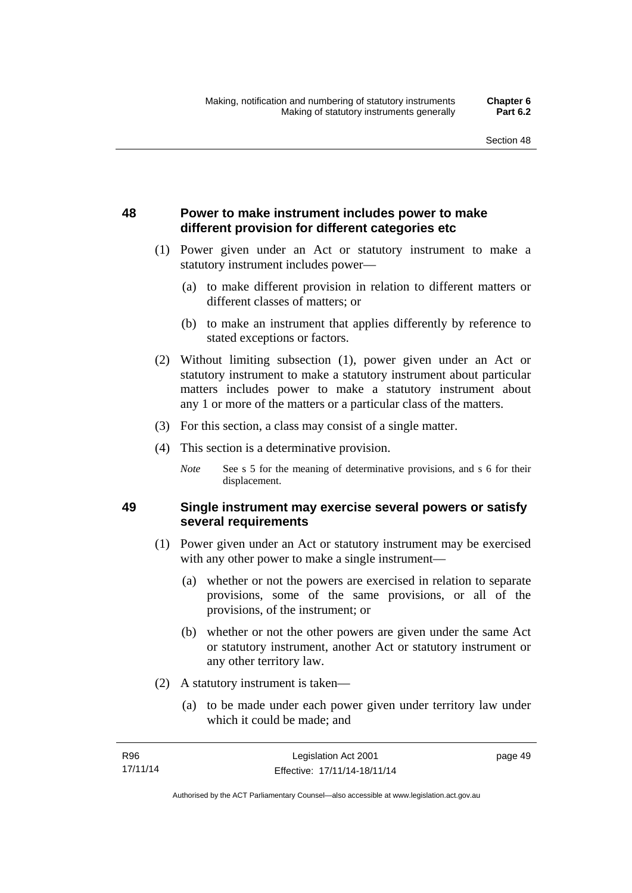# **48 Power to make instrument includes power to make different provision for different categories etc**

- (1) Power given under an Act or statutory instrument to make a statutory instrument includes power—
	- (a) to make different provision in relation to different matters or different classes of matters; or
	- (b) to make an instrument that applies differently by reference to stated exceptions or factors.
- (2) Without limiting subsection (1), power given under an Act or statutory instrument to make a statutory instrument about particular matters includes power to make a statutory instrument about any 1 or more of the matters or a particular class of the matters.
- (3) For this section, a class may consist of a single matter.
- (4) This section is a determinative provision.
	- *Note* See s 5 for the meaning of determinative provisions, and s 6 for their displacement.

# **49 Single instrument may exercise several powers or satisfy several requirements**

- (1) Power given under an Act or statutory instrument may be exercised with any other power to make a single instrument—
	- (a) whether or not the powers are exercised in relation to separate provisions, some of the same provisions, or all of the provisions, of the instrument; or
	- (b) whether or not the other powers are given under the same Act or statutory instrument, another Act or statutory instrument or any other territory law.
- (2) A statutory instrument is taken—
	- (a) to be made under each power given under territory law under which it could be made; and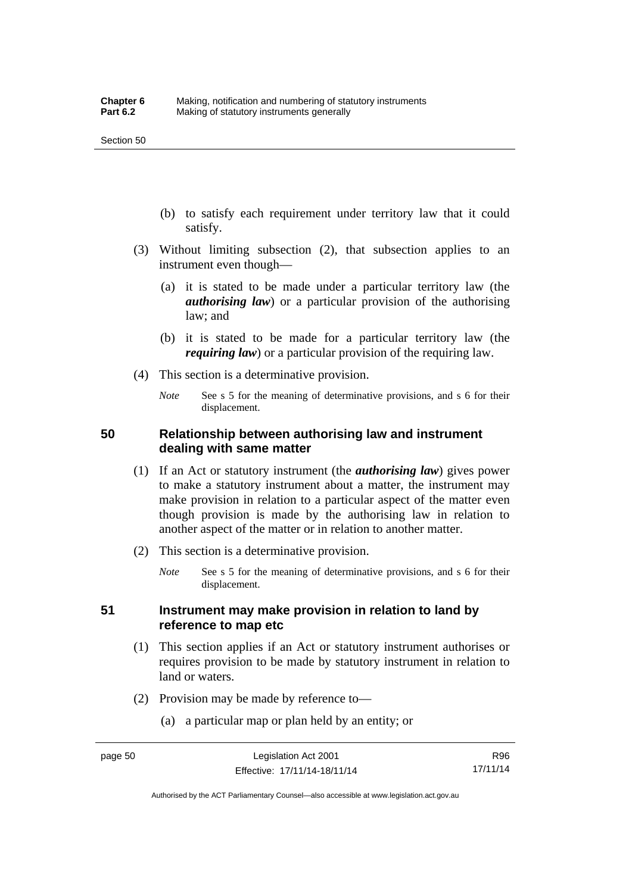- (b) to satisfy each requirement under territory law that it could satisfy.
- (3) Without limiting subsection (2), that subsection applies to an instrument even though—
	- (a) it is stated to be made under a particular territory law (the *authorising law*) or a particular provision of the authorising law; and
	- (b) it is stated to be made for a particular territory law (the *requiring law*) or a particular provision of the requiring law.
- (4) This section is a determinative provision.
	- *Note* See s 5 for the meaning of determinative provisions, and s 6 for their displacement.

### **50 Relationship between authorising law and instrument dealing with same matter**

- (1) If an Act or statutory instrument (the *authorising law*) gives power to make a statutory instrument about a matter, the instrument may make provision in relation to a particular aspect of the matter even though provision is made by the authorising law in relation to another aspect of the matter or in relation to another matter.
- (2) This section is a determinative provision.
	- *Note* See s 5 for the meaning of determinative provisions, and s 6 for their displacement.

## **51 Instrument may make provision in relation to land by reference to map etc**

- (1) This section applies if an Act or statutory instrument authorises or requires provision to be made by statutory instrument in relation to land or waters.
- (2) Provision may be made by reference to—
	- (a) a particular map or plan held by an entity; or

R96 17/11/14

Authorised by the ACT Parliamentary Counsel—also accessible at www.legislation.act.gov.au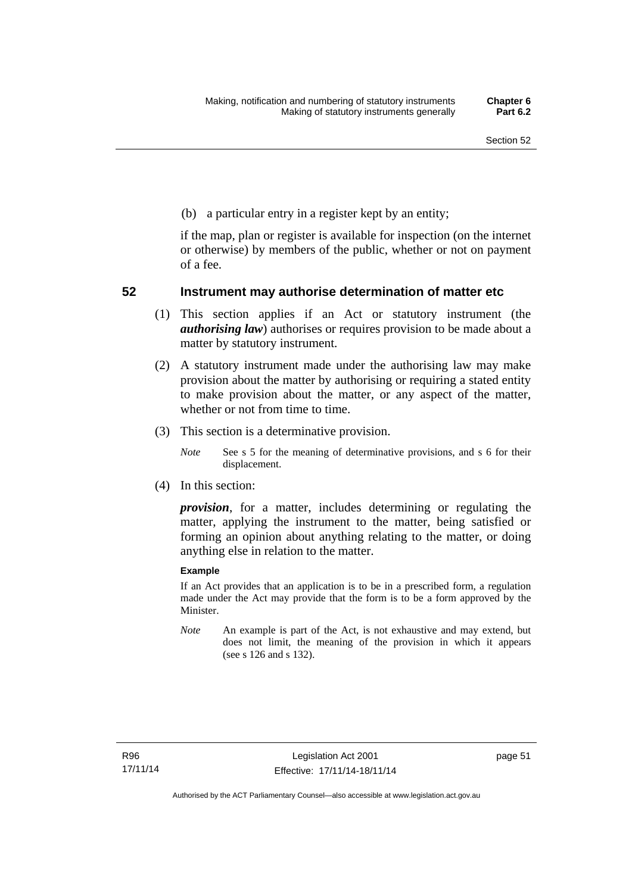(b) a particular entry in a register kept by an entity;

if the map, plan or register is available for inspection (on the internet or otherwise) by members of the public, whether or not on payment of a fee.

### **52 Instrument may authorise determination of matter etc**

- (1) This section applies if an Act or statutory instrument (the *authorising law*) authorises or requires provision to be made about a matter by statutory instrument.
- (2) A statutory instrument made under the authorising law may make provision about the matter by authorising or requiring a stated entity to make provision about the matter, or any aspect of the matter, whether or not from time to time.
- (3) This section is a determinative provision.
	- *Note* See s 5 for the meaning of determinative provisions, and s 6 for their displacement.
- (4) In this section:

*provision*, for a matter, includes determining or regulating the matter, applying the instrument to the matter, being satisfied or forming an opinion about anything relating to the matter, or doing anything else in relation to the matter.

#### **Example**

If an Act provides that an application is to be in a prescribed form, a regulation made under the Act may provide that the form is to be a form approved by the Minister.

*Note* An example is part of the Act, is not exhaustive and may extend, but does not limit, the meaning of the provision in which it appears (see s 126 and s 132).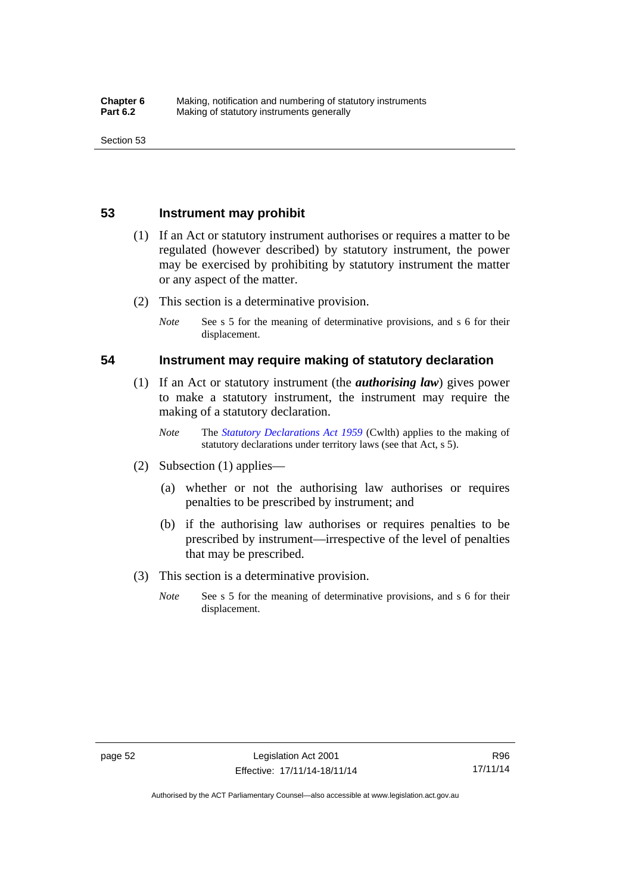## **53 Instrument may prohibit**

- (1) If an Act or statutory instrument authorises or requires a matter to be regulated (however described) by statutory instrument, the power may be exercised by prohibiting by statutory instrument the matter or any aspect of the matter.
- (2) This section is a determinative provision.
	- *Note* See s 5 for the meaning of determinative provisions, and s 6 for their displacement.

#### **54 Instrument may require making of statutory declaration**

- (1) If an Act or statutory instrument (the *authorising law*) gives power to make a statutory instrument, the instrument may require the making of a statutory declaration.
	- *Note* The *[Statutory Declarations Act 1959](http://www.comlaw.gov.au/Series/C2004A07365)* (Cwlth) applies to the making of statutory declarations under territory laws (see that Act, s 5).
- (2) Subsection (1) applies—
	- (a) whether or not the authorising law authorises or requires penalties to be prescribed by instrument; and
	- (b) if the authorising law authorises or requires penalties to be prescribed by instrument—irrespective of the level of penalties that may be prescribed.
- (3) This section is a determinative provision.
	- *Note* See s 5 for the meaning of determinative provisions, and s 6 for their displacement.

Authorised by the ACT Parliamentary Counsel—also accessible at www.legislation.act.gov.au

R96 17/11/14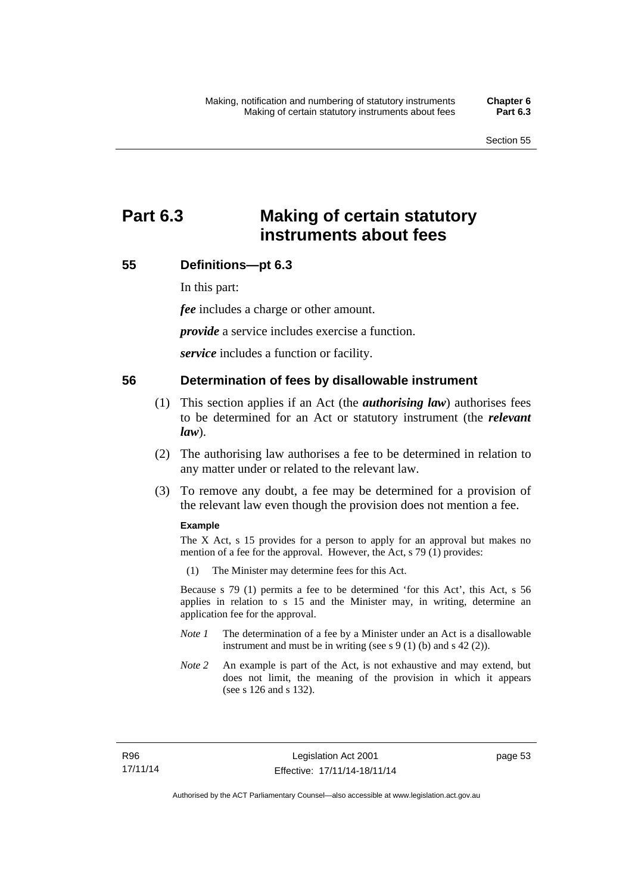# **Part 6.3 Making of certain statutory instruments about fees**

# **55 Definitions—pt 6.3**

In this part:

*fee* includes a charge or other amount.

*provide* a service includes exercise a function.

*service* includes a function or facility.

#### **56 Determination of fees by disallowable instrument**

- (1) This section applies if an Act (the *authorising law*) authorises fees to be determined for an Act or statutory instrument (the *relevant law*).
- (2) The authorising law authorises a fee to be determined in relation to any matter under or related to the relevant law.
- (3) To remove any doubt, a fee may be determined for a provision of the relevant law even though the provision does not mention a fee.

#### **Example**

The X Act, s 15 provides for a person to apply for an approval but makes no mention of a fee for the approval. However, the Act, s 79 (1) provides:

(1) The Minister may determine fees for this Act.

Because s 79 (1) permits a fee to be determined 'for this Act', this Act, s 56 applies in relation to s 15 and the Minister may, in writing, determine an application fee for the approval.

- *Note 1* The determination of a fee by a Minister under an Act is a disallowable instrument and must be in writing (see s 9 (1) (b) and s 42 (2)).
- *Note 2* An example is part of the Act, is not exhaustive and may extend, but does not limit, the meaning of the provision in which it appears (see s 126 and s 132).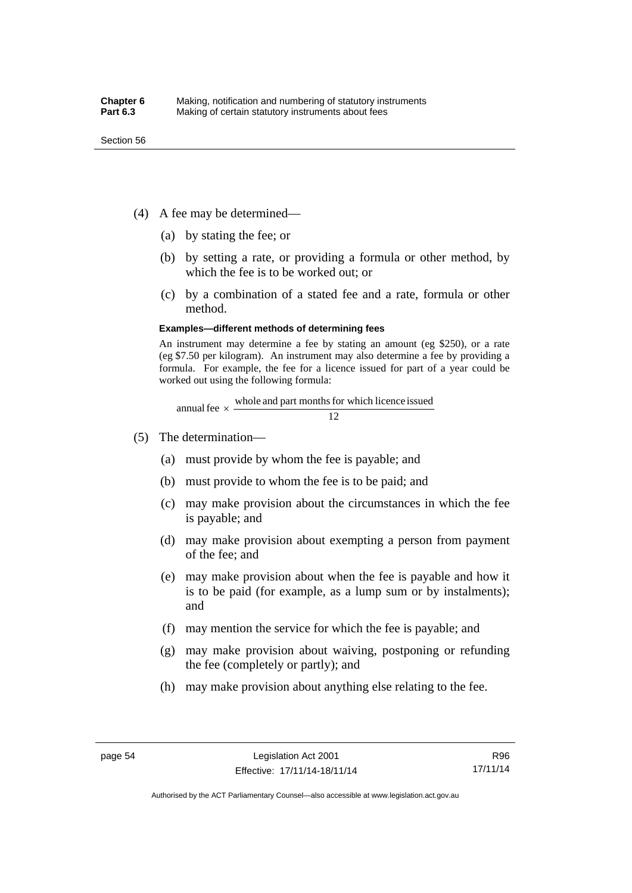- (4) A fee may be determined—
	- (a) by stating the fee; or
	- (b) by setting a rate, or providing a formula or other method, by which the fee is to be worked out; or
	- (c) by a combination of a stated fee and a rate, formula or other method.

#### **Examples—different methods of determining fees**

An instrument may determine a fee by stating an amount (eg \$250), or a rate (eg \$7.50 per kilogram). An instrument may also determine a fee by providing a formula. For example, the fee for a licence issued for part of a year could be worked out using the following formula:

annual fee  $\times$  whole and part months for which licence issued  $\frac{12}{\sqrt{12}}$ 

- (5) The determination—
	- (a) must provide by whom the fee is payable; and
	- (b) must provide to whom the fee is to be paid; and
	- (c) may make provision about the circumstances in which the fee is payable; and
	- (d) may make provision about exempting a person from payment of the fee; and
	- (e) may make provision about when the fee is payable and how it is to be paid (for example, as a lump sum or by instalments); and
	- (f) may mention the service for which the fee is payable; and
	- (g) may make provision about waiving, postponing or refunding the fee (completely or partly); and
	- (h) may make provision about anything else relating to the fee.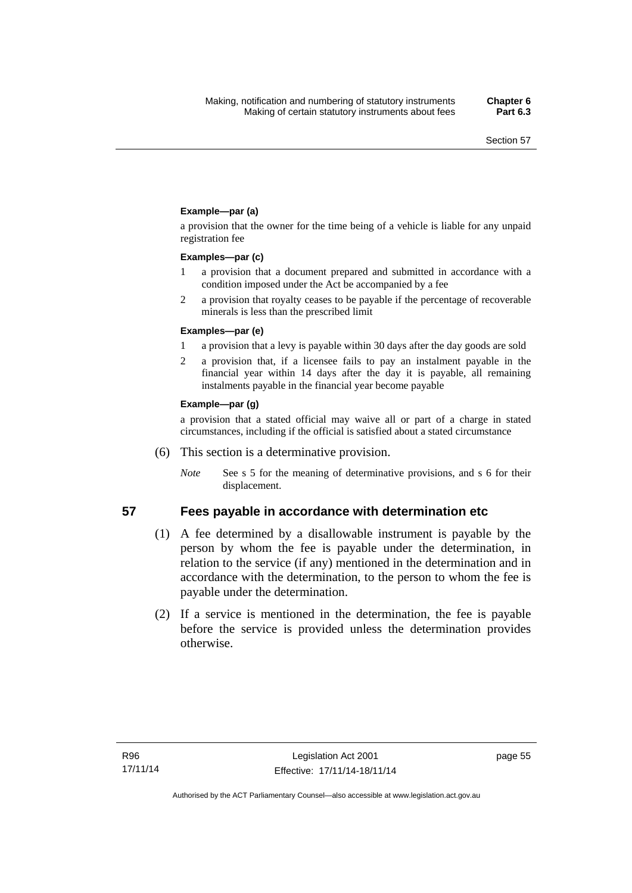#### **Example—par (a)**

a provision that the owner for the time being of a vehicle is liable for any unpaid registration fee

#### **Examples—par (c)**

- 1 a provision that a document prepared and submitted in accordance with a condition imposed under the Act be accompanied by a fee
- 2 a provision that royalty ceases to be payable if the percentage of recoverable minerals is less than the prescribed limit

#### **Examples—par (e)**

- 1 a provision that a levy is payable within 30 days after the day goods are sold
- 2 a provision that, if a licensee fails to pay an instalment payable in the financial year within 14 days after the day it is payable, all remaining instalments payable in the financial year become payable

#### **Example—par (g)**

a provision that a stated official may waive all or part of a charge in stated circumstances, including if the official is satisfied about a stated circumstance

- (6) This section is a determinative provision.
	- *Note* See s 5 for the meaning of determinative provisions, and s 6 for their displacement.

# **57 Fees payable in accordance with determination etc**

- (1) A fee determined by a disallowable instrument is payable by the person by whom the fee is payable under the determination, in relation to the service (if any) mentioned in the determination and in accordance with the determination, to the person to whom the fee is payable under the determination.
- (2) If a service is mentioned in the determination, the fee is payable before the service is provided unless the determination provides otherwise.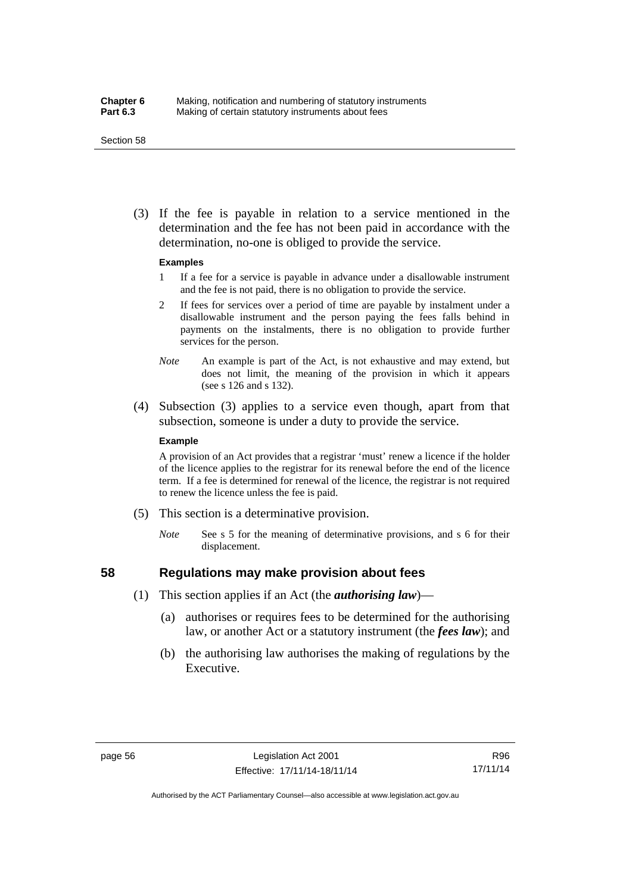#### Section 58

 (3) If the fee is payable in relation to a service mentioned in the determination and the fee has not been paid in accordance with the determination, no-one is obliged to provide the service.

#### **Examples**

- 1 If a fee for a service is payable in advance under a disallowable instrument and the fee is not paid, there is no obligation to provide the service.
- 2 If fees for services over a period of time are payable by instalment under a disallowable instrument and the person paying the fees falls behind in payments on the instalments, there is no obligation to provide further services for the person.
- *Note* An example is part of the Act, is not exhaustive and may extend, but does not limit, the meaning of the provision in which it appears (see s 126 and s 132).
- (4) Subsection (3) applies to a service even though, apart from that subsection, someone is under a duty to provide the service.

#### **Example**

A provision of an Act provides that a registrar 'must' renew a licence if the holder of the licence applies to the registrar for its renewal before the end of the licence term. If a fee is determined for renewal of the licence, the registrar is not required to renew the licence unless the fee is paid.

- (5) This section is a determinative provision.
	- *Note* See s 5 for the meaning of determinative provisions, and s 6 for their displacement.

# **58 Regulations may make provision about fees**

- (1) This section applies if an Act (the *authorising law*)—
	- (a) authorises or requires fees to be determined for the authorising law, or another Act or a statutory instrument (the *fees law*); and
	- (b) the authorising law authorises the making of regulations by the Executive.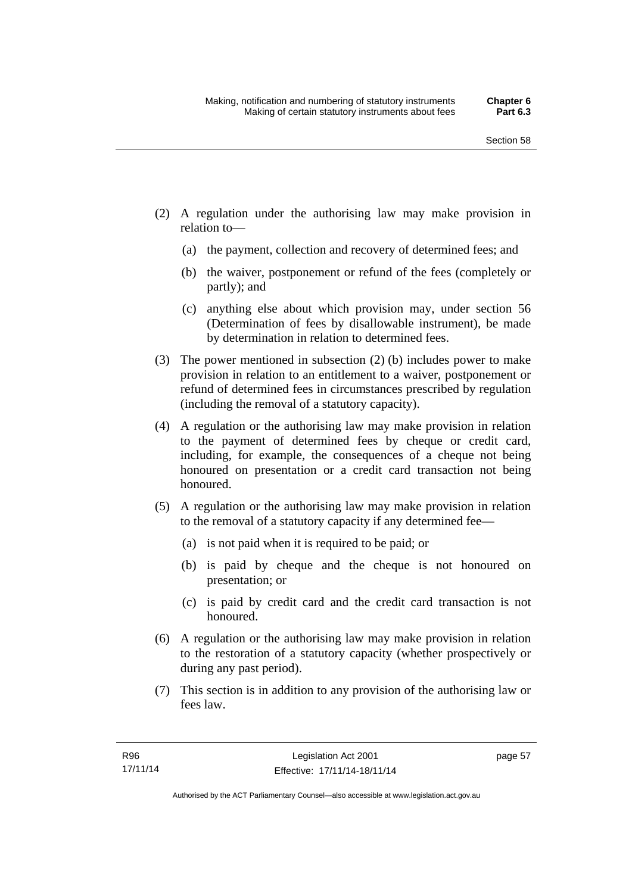- (2) A regulation under the authorising law may make provision in relation to—
	- (a) the payment, collection and recovery of determined fees; and
	- (b) the waiver, postponement or refund of the fees (completely or partly); and
	- (c) anything else about which provision may, under section 56 (Determination of fees by disallowable instrument), be made by determination in relation to determined fees.
- (3) The power mentioned in subsection (2) (b) includes power to make provision in relation to an entitlement to a waiver, postponement or refund of determined fees in circumstances prescribed by regulation (including the removal of a statutory capacity).
- (4) A regulation or the authorising law may make provision in relation to the payment of determined fees by cheque or credit card, including, for example, the consequences of a cheque not being honoured on presentation or a credit card transaction not being honoured.
- (5) A regulation or the authorising law may make provision in relation to the removal of a statutory capacity if any determined fee—
	- (a) is not paid when it is required to be paid; or
	- (b) is paid by cheque and the cheque is not honoured on presentation; or
	- (c) is paid by credit card and the credit card transaction is not honoured.
- (6) A regulation or the authorising law may make provision in relation to the restoration of a statutory capacity (whether prospectively or during any past period).
- (7) This section is in addition to any provision of the authorising law or fees law.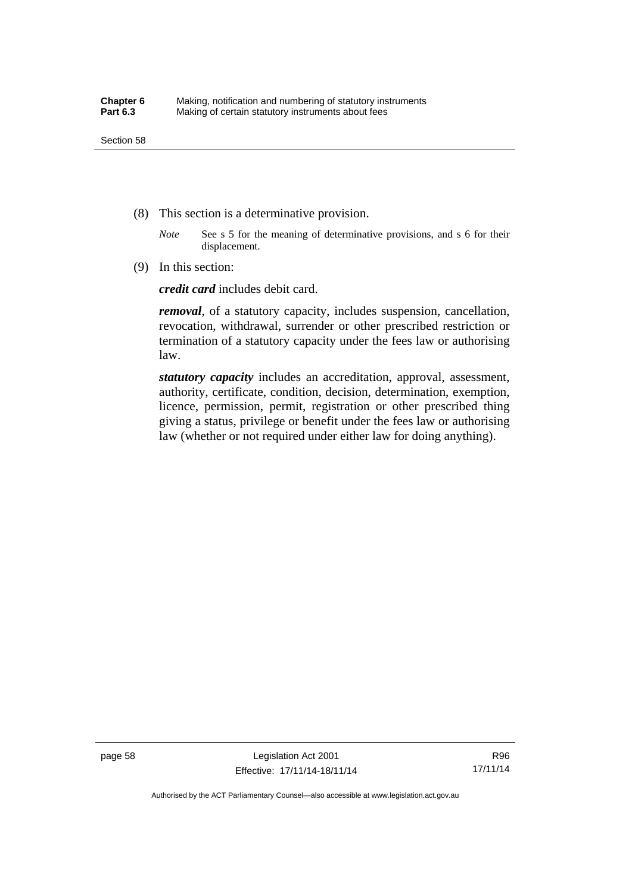- (8) This section is a determinative provision.
	- *Note* See s 5 for the meaning of determinative provisions, and s 6 for their displacement.
- (9) In this section:

*credit card* includes debit card.

*removal*, of a statutory capacity, includes suspension, cancellation, revocation, withdrawal, surrender or other prescribed restriction or termination of a statutory capacity under the fees law or authorising law.

*statutory capacity* includes an accreditation, approval, assessment, authority, certificate, condition, decision, determination, exemption, licence, permission, permit, registration or other prescribed thing giving a status, privilege or benefit under the fees law or authorising law (whether or not required under either law for doing anything).

R96 17/11/14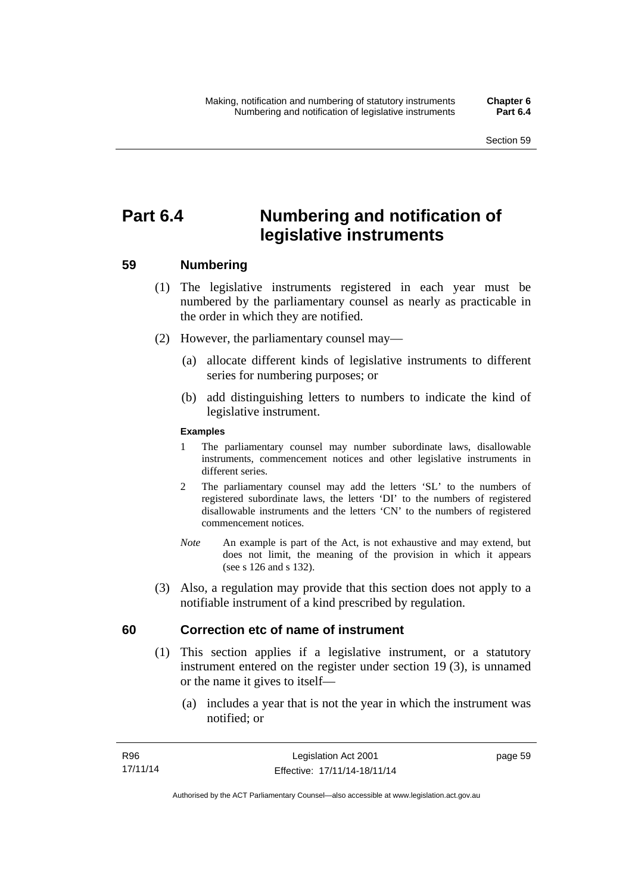# **Part 6.4 Numbering and notification of legislative instruments**

## **59 Numbering**

- (1) The legislative instruments registered in each year must be numbered by the parliamentary counsel as nearly as practicable in the order in which they are notified.
- (2) However, the parliamentary counsel may—
	- (a) allocate different kinds of legislative instruments to different series for numbering purposes; or
	- (b) add distinguishing letters to numbers to indicate the kind of legislative instrument.

## **Examples**

- 1 The parliamentary counsel may number subordinate laws, disallowable instruments, commencement notices and other legislative instruments in different series.
- 2 The parliamentary counsel may add the letters 'SL' to the numbers of registered subordinate laws, the letters 'DI' to the numbers of registered disallowable instruments and the letters 'CN' to the numbers of registered commencement notices.
- *Note* An example is part of the Act, is not exhaustive and may extend, but does not limit, the meaning of the provision in which it appears (see s 126 and s 132).
- (3) Also, a regulation may provide that this section does not apply to a notifiable instrument of a kind prescribed by regulation.

## **60 Correction etc of name of instrument**

- (1) This section applies if a legislative instrument, or a statutory instrument entered on the register under section 19 (3), is unnamed or the name it gives to itself—
	- (a) includes a year that is not the year in which the instrument was notified; or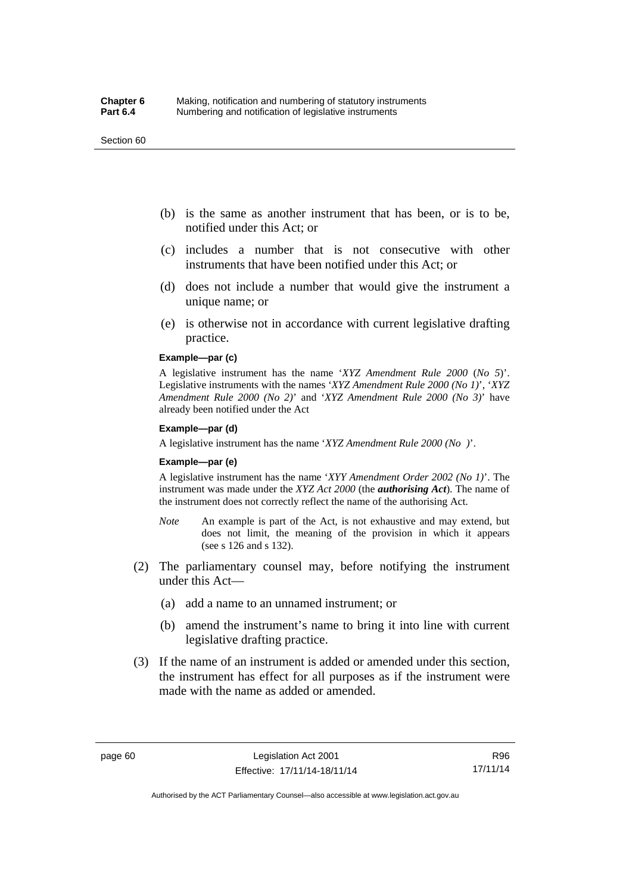#### Section 60

- (b) is the same as another instrument that has been, or is to be, notified under this Act; or
- (c) includes a number that is not consecutive with other instruments that have been notified under this Act; or
- (d) does not include a number that would give the instrument a unique name; or
- (e) is otherwise not in accordance with current legislative drafting practice.

## **Example—par (c)**

A legislative instrument has the name '*XYZ Amendment Rule 2000* (*No 5*)'. Legislative instruments with the names '*XYZ Amendment Rule 2000 (No 1)*', '*XYZ Amendment Rule 2000 (No 2)*' and '*XYZ Amendment Rule 2000 (No 3)*' have already been notified under the Act

#### **Example—par (d)**

A legislative instrument has the name '*XYZ Amendment Rule 2000 (No )*'.

#### **Example—par (e)**

A legislative instrument has the name '*XYY Amendment Order 2002 (No 1)*'. The instrument was made under the *XYZ Act 2000* (the *authorising Act*). The name of the instrument does not correctly reflect the name of the authorising Act.

- *Note* An example is part of the Act, is not exhaustive and may extend, but does not limit, the meaning of the provision in which it appears (see s 126 and s 132).
- (2) The parliamentary counsel may, before notifying the instrument under this Act—
	- (a) add a name to an unnamed instrument; or
	- (b) amend the instrument's name to bring it into line with current legislative drafting practice.
- (3) If the name of an instrument is added or amended under this section, the instrument has effect for all purposes as if the instrument were made with the name as added or amended.

R96 17/11/14

Authorised by the ACT Parliamentary Counsel—also accessible at www.legislation.act.gov.au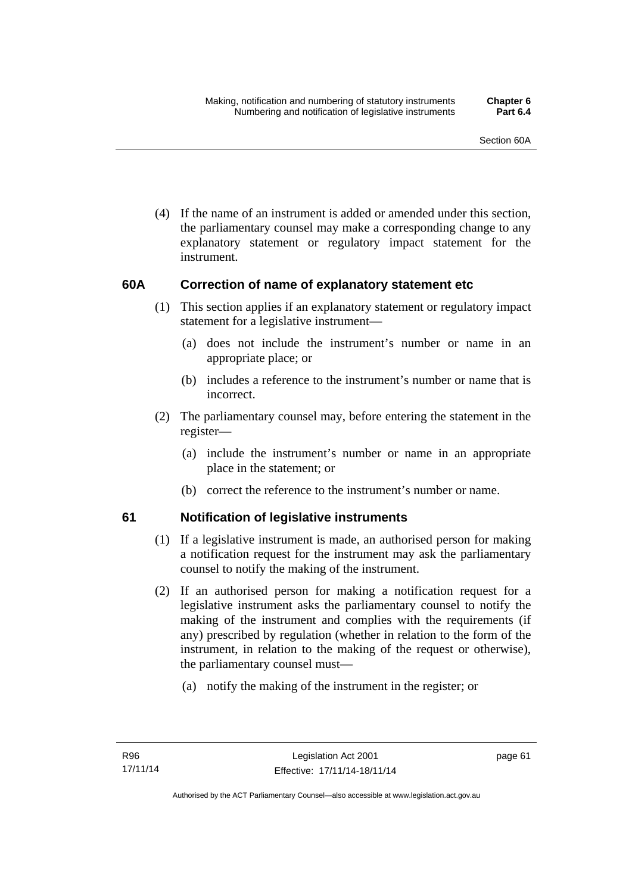(4) If the name of an instrument is added or amended under this section, the parliamentary counsel may make a corresponding change to any explanatory statement or regulatory impact statement for the instrument.

## **60A Correction of name of explanatory statement etc**

- (1) This section applies if an explanatory statement or regulatory impact statement for a legislative instrument—
	- (a) does not include the instrument's number or name in an appropriate place; or
	- (b) includes a reference to the instrument's number or name that is incorrect.
- (2) The parliamentary counsel may, before entering the statement in the register—
	- (a) include the instrument's number or name in an appropriate place in the statement; or
	- (b) correct the reference to the instrument's number or name.

## **61 Notification of legislative instruments**

- (1) If a legislative instrument is made, an authorised person for making a notification request for the instrument may ask the parliamentary counsel to notify the making of the instrument.
- (2) If an authorised person for making a notification request for a legislative instrument asks the parliamentary counsel to notify the making of the instrument and complies with the requirements (if any) prescribed by regulation (whether in relation to the form of the instrument, in relation to the making of the request or otherwise), the parliamentary counsel must—
	- (a) notify the making of the instrument in the register; or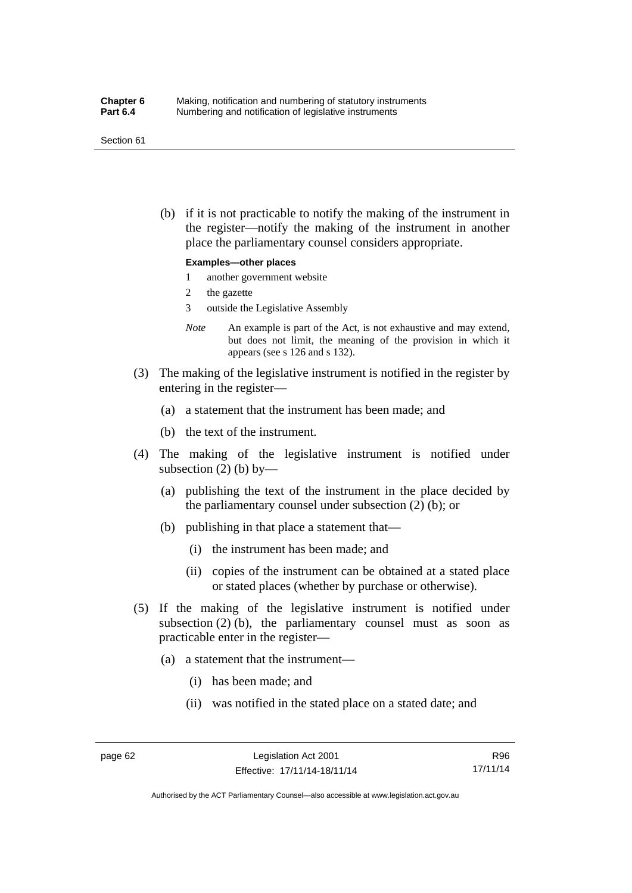#### Section 61

 (b) if it is not practicable to notify the making of the instrument in the register—notify the making of the instrument in another place the parliamentary counsel considers appropriate.

#### **Examples—other places**

- 1 another government website
- 2 the gazette
- 3 outside the Legislative Assembly
- *Note* An example is part of the Act, is not exhaustive and may extend, but does not limit, the meaning of the provision in which it appears (see s 126 and s 132).
- (3) The making of the legislative instrument is notified in the register by entering in the register—
	- (a) a statement that the instrument has been made; and
	- (b) the text of the instrument.
- (4) The making of the legislative instrument is notified under subsection  $(2)$  (b) by—
	- (a) publishing the text of the instrument in the place decided by the parliamentary counsel under subsection (2) (b); or
	- (b) publishing in that place a statement that—
		- (i) the instrument has been made; and
		- (ii) copies of the instrument can be obtained at a stated place or stated places (whether by purchase or otherwise).
- (5) If the making of the legislative instrument is notified under subsection  $(2)$  (b), the parliamentary counsel must as soon as practicable enter in the register—
	- (a) a statement that the instrument—
		- (i) has been made; and
		- (ii) was notified in the stated place on a stated date; and

R96 17/11/14

Authorised by the ACT Parliamentary Counsel—also accessible at www.legislation.act.gov.au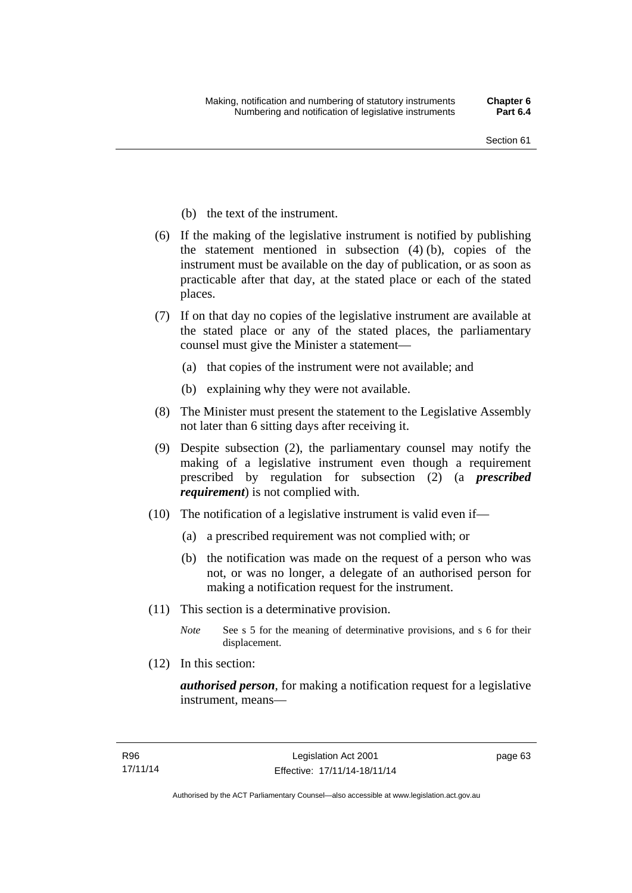- (b) the text of the instrument.
- (6) If the making of the legislative instrument is notified by publishing the statement mentioned in subsection (4) (b), copies of the instrument must be available on the day of publication, or as soon as practicable after that day, at the stated place or each of the stated places.
- (7) If on that day no copies of the legislative instrument are available at the stated place or any of the stated places, the parliamentary counsel must give the Minister a statement—
	- (a) that copies of the instrument were not available; and
	- (b) explaining why they were not available.
- (8) The Minister must present the statement to the Legislative Assembly not later than 6 sitting days after receiving it.
- (9) Despite subsection (2), the parliamentary counsel may notify the making of a legislative instrument even though a requirement prescribed by regulation for subsection (2) (a *prescribed requirement*) is not complied with.
- (10) The notification of a legislative instrument is valid even if—
	- (a) a prescribed requirement was not complied with; or
	- (b) the notification was made on the request of a person who was not, or was no longer, a delegate of an authorised person for making a notification request for the instrument.
- (11) This section is a determinative provision.
	- *Note* See s 5 for the meaning of determinative provisions, and s 6 for their displacement.
- (12) In this section:

*authorised person*, for making a notification request for a legislative instrument, means—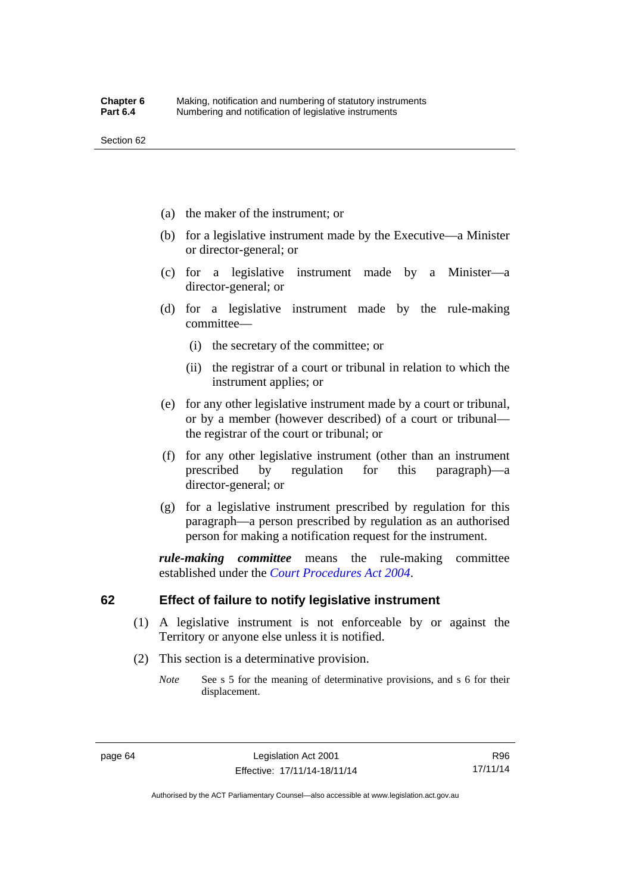- (a) the maker of the instrument; or
- (b) for a legislative instrument made by the Executive—a Minister or director-general; or
- (c) for a legislative instrument made by a Minister—a director-general; or
- (d) for a legislative instrument made by the rule-making committee—
	- (i) the secretary of the committee; or
	- (ii) the registrar of a court or tribunal in relation to which the instrument applies; or
- (e) for any other legislative instrument made by a court or tribunal, or by a member (however described) of a court or tribunal the registrar of the court or tribunal; or
- (f) for any other legislative instrument (other than an instrument prescribed by regulation for this paragraph)—a director-general; or
- (g) for a legislative instrument prescribed by regulation for this paragraph—a person prescribed by regulation as an authorised person for making a notification request for the instrument.

*rule-making committee* means the rule-making committee established under the *[Court Procedures Act 2004](http://www.legislation.act.gov.au/a/2004-59)*.

## **62 Effect of failure to notify legislative instrument**

- (1) A legislative instrument is not enforceable by or against the Territory or anyone else unless it is notified.
- (2) This section is a determinative provision.
	- *Note* See s 5 for the meaning of determinative provisions, and s 6 for their displacement.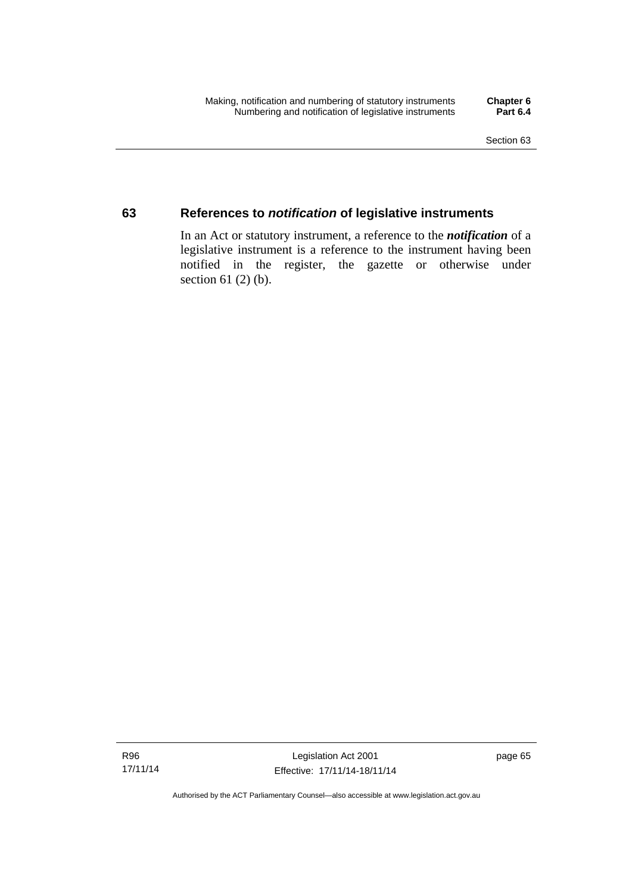## **63 References to** *notification* **of legislative instruments**

In an Act or statutory instrument, a reference to the *notification* of a legislative instrument is a reference to the instrument having been notified in the register, the gazette or otherwise under section  $61$  (2) (b).

Authorised by the ACT Parliamentary Counsel—also accessible at www.legislation.act.gov.au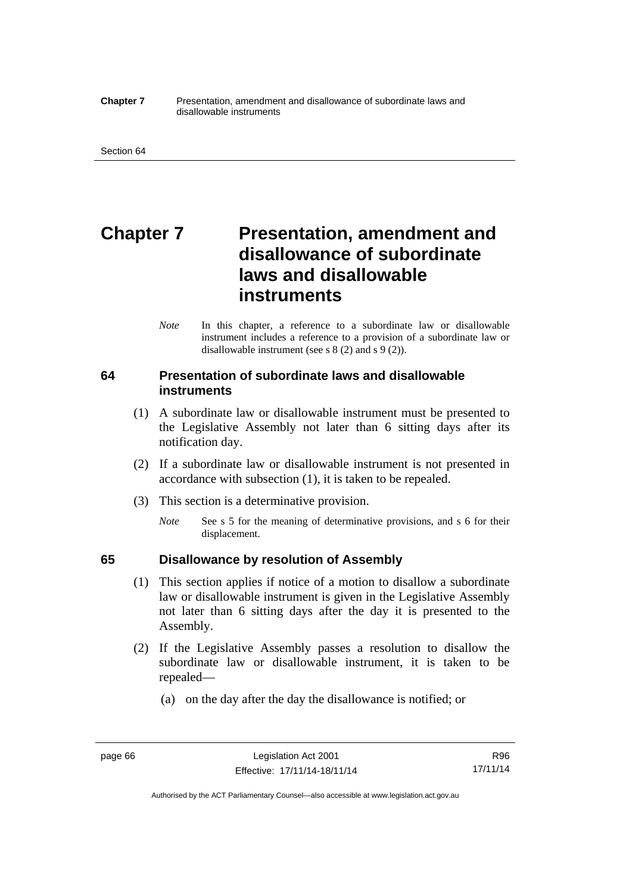#### **Chapter 7** Presentation, amendment and disallowance of subordinate laws and disallowable instruments

# **Chapter 7** Presentation, amendment and **disallowance of subordinate laws and disallowable instruments**

*Note* In this chapter, a reference to a subordinate law or disallowable instrument includes a reference to a provision of a subordinate law or disallowable instrument (see s 8 (2) and s 9 (2)).

## **64 Presentation of subordinate laws and disallowable instruments**

- (1) A subordinate law or disallowable instrument must be presented to the Legislative Assembly not later than 6 sitting days after its notification day.
- (2) If a subordinate law or disallowable instrument is not presented in accordance with subsection (1), it is taken to be repealed.
- (3) This section is a determinative provision.
	- *Note* See s 5 for the meaning of determinative provisions, and s 6 for their displacement.

## **65 Disallowance by resolution of Assembly**

- (1) This section applies if notice of a motion to disallow a subordinate law or disallowable instrument is given in the Legislative Assembly not later than 6 sitting days after the day it is presented to the Assembly.
- (2) If the Legislative Assembly passes a resolution to disallow the subordinate law or disallowable instrument, it is taken to be repealed—
	- (a) on the day after the day the disallowance is notified; or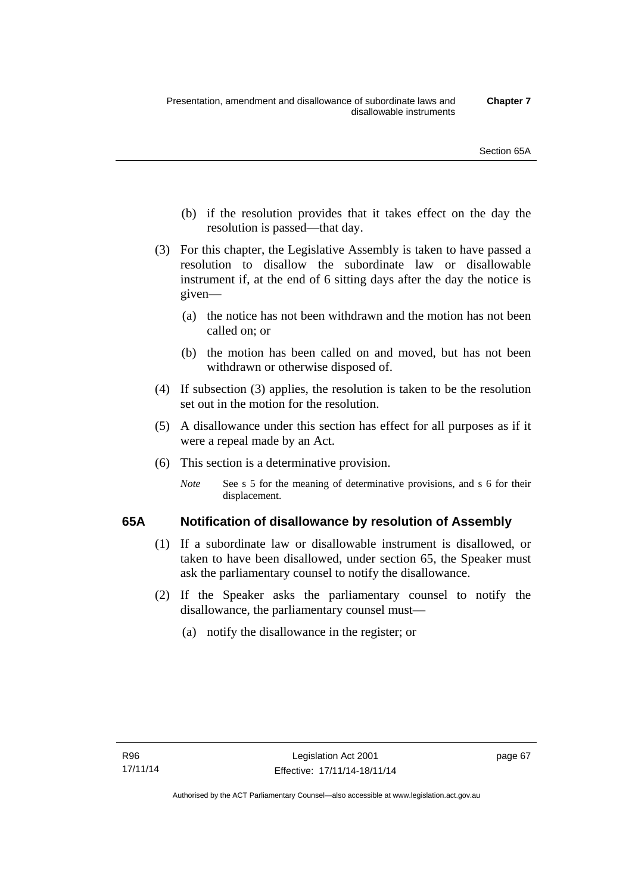- (b) if the resolution provides that it takes effect on the day the resolution is passed—that day.
- (3) For this chapter, the Legislative Assembly is taken to have passed a resolution to disallow the subordinate law or disallowable instrument if, at the end of 6 sitting days after the day the notice is given—
	- (a) the notice has not been withdrawn and the motion has not been called on; or
	- (b) the motion has been called on and moved, but has not been withdrawn or otherwise disposed of.
- (4) If subsection (3) applies, the resolution is taken to be the resolution set out in the motion for the resolution.
- (5) A disallowance under this section has effect for all purposes as if it were a repeal made by an Act.
- (6) This section is a determinative provision.
	- *Note* See s 5 for the meaning of determinative provisions, and s 6 for their displacement.

## **65A Notification of disallowance by resolution of Assembly**

- (1) If a subordinate law or disallowable instrument is disallowed, or taken to have been disallowed, under section 65, the Speaker must ask the parliamentary counsel to notify the disallowance.
- (2) If the Speaker asks the parliamentary counsel to notify the disallowance, the parliamentary counsel must—
	- (a) notify the disallowance in the register; or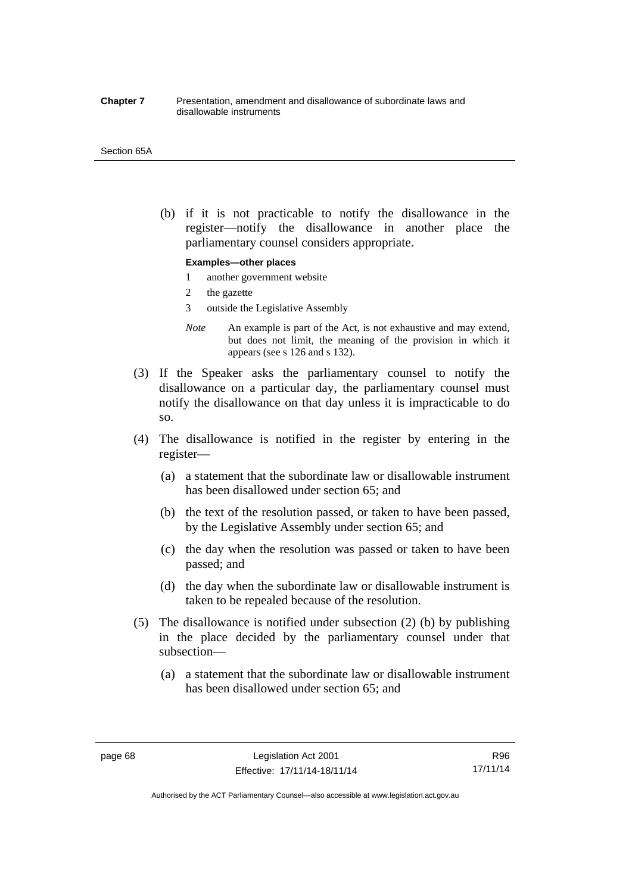#### **Chapter 7** Presentation, amendment and disallowance of subordinate laws and disallowable instruments

#### Section 65A

 (b) if it is not practicable to notify the disallowance in the register—notify the disallowance in another place the parliamentary counsel considers appropriate.

#### **Examples—other places**

- 1 another government website
- 2 the gazette
- 3 outside the Legislative Assembly
- *Note* An example is part of the Act, is not exhaustive and may extend, but does not limit, the meaning of the provision in which it appears (see s 126 and s 132).
- (3) If the Speaker asks the parliamentary counsel to notify the disallowance on a particular day, the parliamentary counsel must notify the disallowance on that day unless it is impracticable to do so.
- (4) The disallowance is notified in the register by entering in the register—
	- (a) a statement that the subordinate law or disallowable instrument has been disallowed under section 65; and
	- (b) the text of the resolution passed, or taken to have been passed, by the Legislative Assembly under section 65; and
	- (c) the day when the resolution was passed or taken to have been passed; and
	- (d) the day when the subordinate law or disallowable instrument is taken to be repealed because of the resolution.
- (5) The disallowance is notified under subsection (2) (b) by publishing in the place decided by the parliamentary counsel under that subsection—
	- (a) a statement that the subordinate law or disallowable instrument has been disallowed under section 65; and

R96 17/11/14

Authorised by the ACT Parliamentary Counsel—also accessible at www.legislation.act.gov.au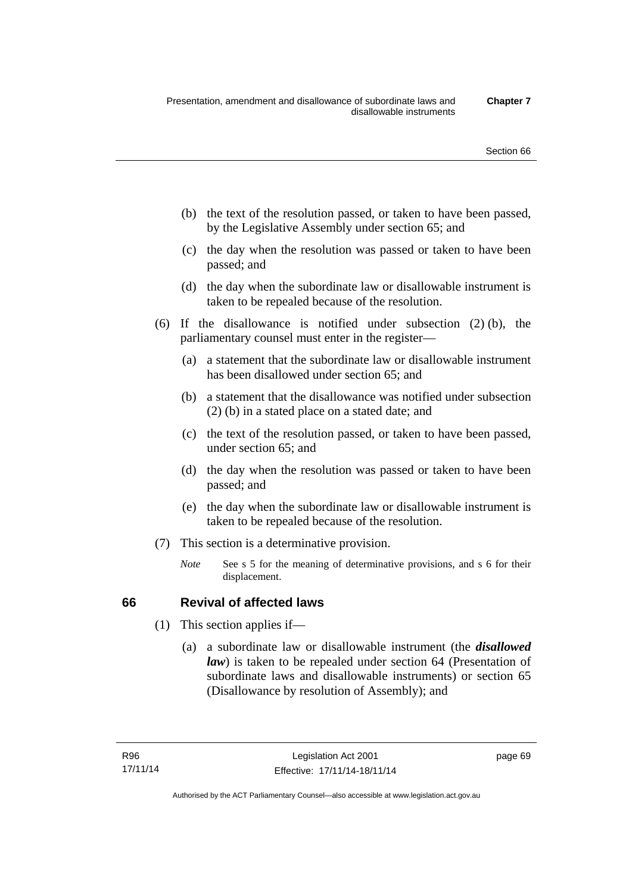- (b) the text of the resolution passed, or taken to have been passed, by the Legislative Assembly under section 65; and
- (c) the day when the resolution was passed or taken to have been passed; and
- (d) the day when the subordinate law or disallowable instrument is taken to be repealed because of the resolution.
- (6) If the disallowance is notified under subsection (2) (b), the parliamentary counsel must enter in the register—
	- (a) a statement that the subordinate law or disallowable instrument has been disallowed under section 65; and
	- (b) a statement that the disallowance was notified under subsection (2) (b) in a stated place on a stated date; and
	- (c) the text of the resolution passed, or taken to have been passed, under section 65; and
	- (d) the day when the resolution was passed or taken to have been passed; and
	- (e) the day when the subordinate law or disallowable instrument is taken to be repealed because of the resolution.
- (7) This section is a determinative provision.
	- *Note* See s 5 for the meaning of determinative provisions, and s 6 for their displacement.

## **66 Revival of affected laws**

- (1) This section applies if—
	- (a) a subordinate law or disallowable instrument (the *disallowed law*) is taken to be repealed under section 64 (Presentation of subordinate laws and disallowable instruments) or section 65 (Disallowance by resolution of Assembly); and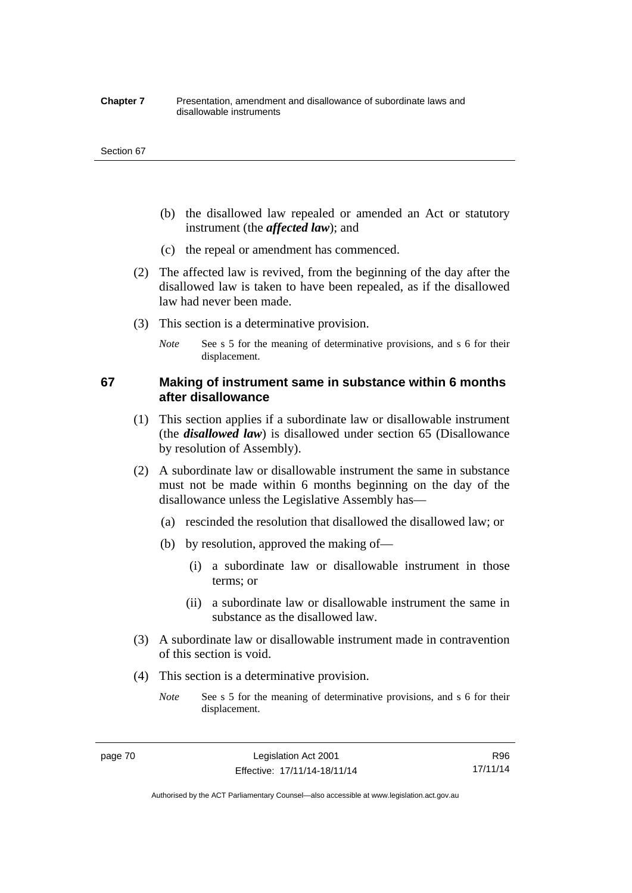#### **Chapter 7** Presentation, amendment and disallowance of subordinate laws and disallowable instruments

#### Section 67

- (b) the disallowed law repealed or amended an Act or statutory instrument (the *affected law*); and
- (c) the repeal or amendment has commenced.
- (2) The affected law is revived, from the beginning of the day after the disallowed law is taken to have been repealed, as if the disallowed law had never been made.
- (3) This section is a determinative provision.
	- *Note* See s 5 for the meaning of determinative provisions, and s 6 for their displacement.

## **67 Making of instrument same in substance within 6 months after disallowance**

- (1) This section applies if a subordinate law or disallowable instrument (the *disallowed law*) is disallowed under section 65 (Disallowance by resolution of Assembly).
- (2) A subordinate law or disallowable instrument the same in substance must not be made within 6 months beginning on the day of the disallowance unless the Legislative Assembly has—
	- (a) rescinded the resolution that disallowed the disallowed law; or
	- (b) by resolution, approved the making of—
		- (i) a subordinate law or disallowable instrument in those terms; or
		- (ii) a subordinate law or disallowable instrument the same in substance as the disallowed law.
- (3) A subordinate law or disallowable instrument made in contravention of this section is void.
- (4) This section is a determinative provision.
	- *Note* See s 5 for the meaning of determinative provisions, and s 6 for their displacement.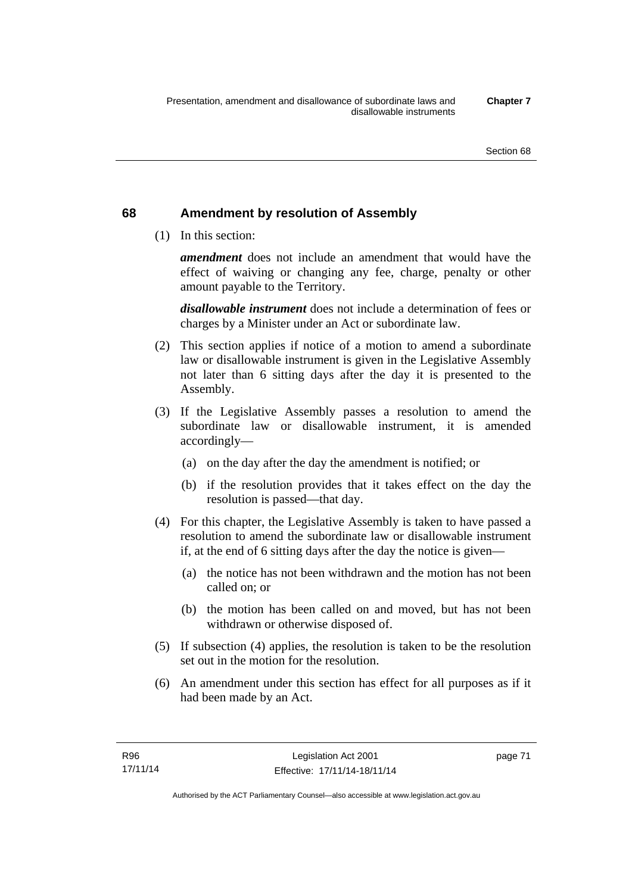## **68 Amendment by resolution of Assembly**

(1) In this section:

*amendment* does not include an amendment that would have the effect of waiving or changing any fee, charge, penalty or other amount payable to the Territory.

*disallowable instrument* does not include a determination of fees or charges by a Minister under an Act or subordinate law.

- (2) This section applies if notice of a motion to amend a subordinate law or disallowable instrument is given in the Legislative Assembly not later than 6 sitting days after the day it is presented to the Assembly.
- (3) If the Legislative Assembly passes a resolution to amend the subordinate law or disallowable instrument, it is amended accordingly—
	- (a) on the day after the day the amendment is notified; or
	- (b) if the resolution provides that it takes effect on the day the resolution is passed—that day.
- (4) For this chapter, the Legislative Assembly is taken to have passed a resolution to amend the subordinate law or disallowable instrument if, at the end of 6 sitting days after the day the notice is given—
	- (a) the notice has not been withdrawn and the motion has not been called on; or
	- (b) the motion has been called on and moved, but has not been withdrawn or otherwise disposed of.
- (5) If subsection (4) applies, the resolution is taken to be the resolution set out in the motion for the resolution.
- (6) An amendment under this section has effect for all purposes as if it had been made by an Act.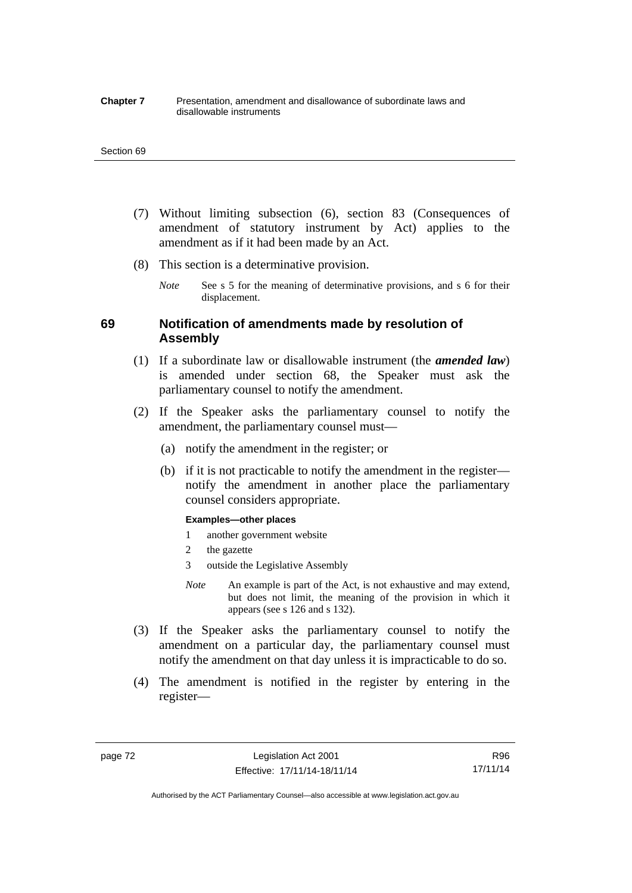#### **Chapter 7** Presentation, amendment and disallowance of subordinate laws and disallowable instruments

#### Section 69

- (7) Without limiting subsection (6), section 83 (Consequences of amendment of statutory instrument by Act) applies to the amendment as if it had been made by an Act.
- (8) This section is a determinative provision.
	- *Note* See s 5 for the meaning of determinative provisions, and s 6 for their displacement.

## **69 Notification of amendments made by resolution of Assembly**

- (1) If a subordinate law or disallowable instrument (the *amended law*) is amended under section 68, the Speaker must ask the parliamentary counsel to notify the amendment.
- (2) If the Speaker asks the parliamentary counsel to notify the amendment, the parliamentary counsel must—
	- (a) notify the amendment in the register; or
	- (b) if it is not practicable to notify the amendment in the register notify the amendment in another place the parliamentary counsel considers appropriate.

#### **Examples—other places**

- 1 another government website
- 2 the gazette
- 3 outside the Legislative Assembly
- *Note* An example is part of the Act, is not exhaustive and may extend, but does not limit, the meaning of the provision in which it appears (see s 126 and s 132).
- (3) If the Speaker asks the parliamentary counsel to notify the amendment on a particular day, the parliamentary counsel must notify the amendment on that day unless it is impracticable to do so.
- (4) The amendment is notified in the register by entering in the register—

R96 17/11/14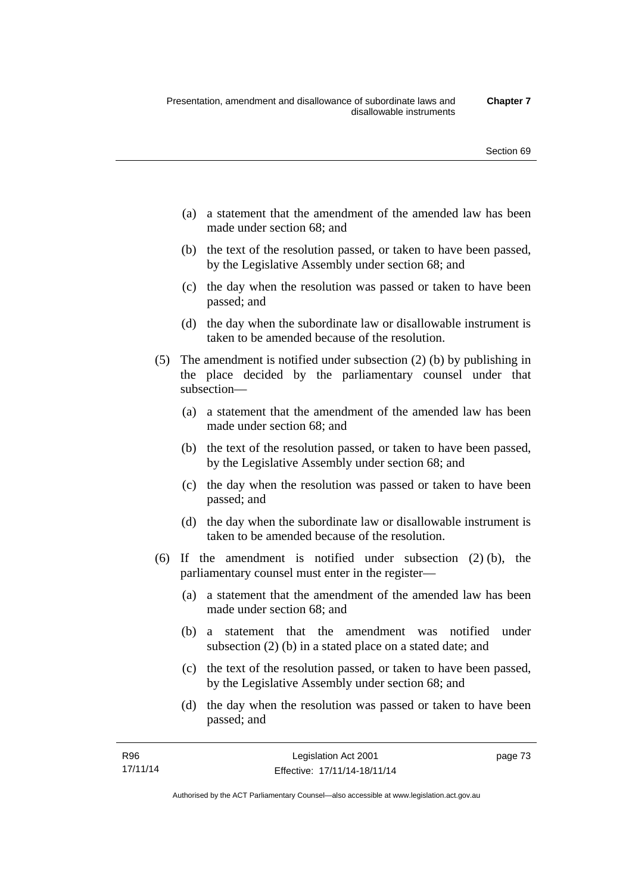- (a) a statement that the amendment of the amended law has been made under section 68; and
- (b) the text of the resolution passed, or taken to have been passed, by the Legislative Assembly under section 68; and
- (c) the day when the resolution was passed or taken to have been passed; and
- (d) the day when the subordinate law or disallowable instrument is taken to be amended because of the resolution.
- (5) The amendment is notified under subsection (2) (b) by publishing in the place decided by the parliamentary counsel under that subsection—
	- (a) a statement that the amendment of the amended law has been made under section 68; and
	- (b) the text of the resolution passed, or taken to have been passed, by the Legislative Assembly under section 68; and
	- (c) the day when the resolution was passed or taken to have been passed; and
	- (d) the day when the subordinate law or disallowable instrument is taken to be amended because of the resolution.
- (6) If the amendment is notified under subsection (2) (b), the parliamentary counsel must enter in the register—
	- (a) a statement that the amendment of the amended law has been made under section 68; and
	- (b) a statement that the amendment was notified under subsection (2) (b) in a stated place on a stated date; and
	- (c) the text of the resolution passed, or taken to have been passed, by the Legislative Assembly under section 68; and
	- (d) the day when the resolution was passed or taken to have been passed; and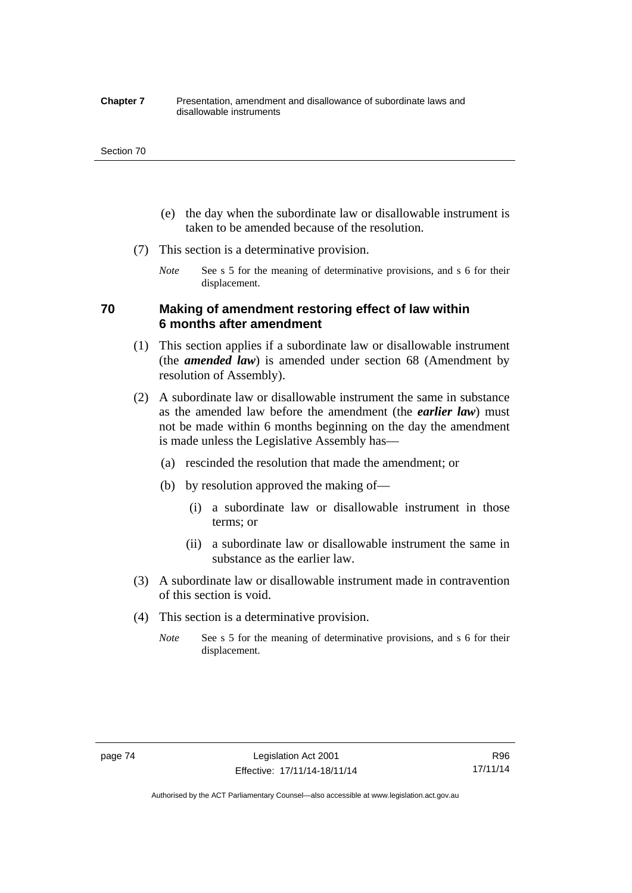#### **Chapter 7** Presentation, amendment and disallowance of subordinate laws and disallowable instruments

#### Section 70

- (e) the day when the subordinate law or disallowable instrument is taken to be amended because of the resolution.
- (7) This section is a determinative provision.
	- *Note* See s 5 for the meaning of determinative provisions, and s 6 for their displacement.

## **70 Making of amendment restoring effect of law within 6 months after amendment**

- (1) This section applies if a subordinate law or disallowable instrument (the *amended law*) is amended under section 68 (Amendment by resolution of Assembly).
- (2) A subordinate law or disallowable instrument the same in substance as the amended law before the amendment (the *earlier law*) must not be made within 6 months beginning on the day the amendment is made unless the Legislative Assembly has—
	- (a) rescinded the resolution that made the amendment; or
	- (b) by resolution approved the making of—
		- (i) a subordinate law or disallowable instrument in those terms; or
		- (ii) a subordinate law or disallowable instrument the same in substance as the earlier law.
- (3) A subordinate law or disallowable instrument made in contravention of this section is void.
- (4) This section is a determinative provision.
	- *Note* See s 5 for the meaning of determinative provisions, and s 6 for their displacement.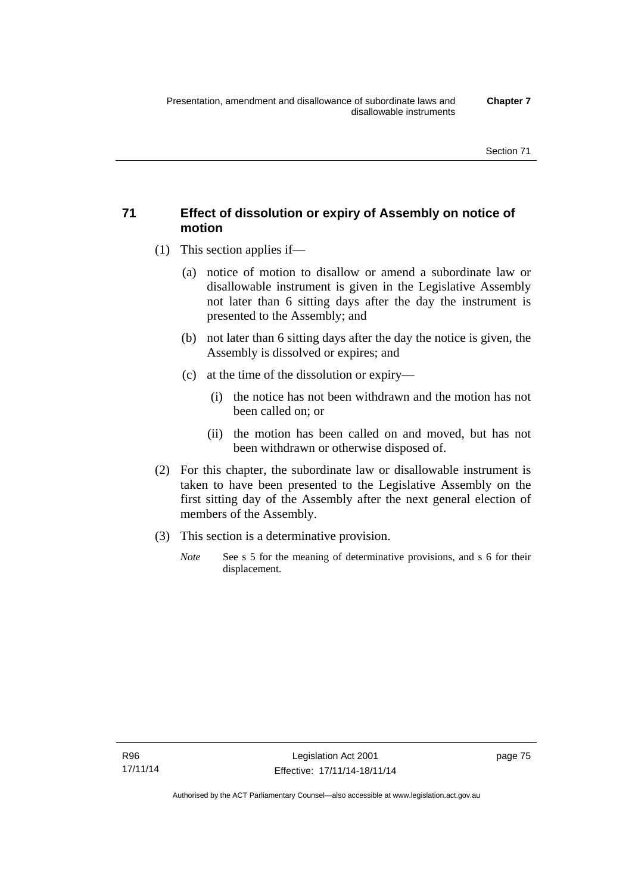## **71 Effect of dissolution or expiry of Assembly on notice of motion**

- (1) This section applies if—
	- (a) notice of motion to disallow or amend a subordinate law or disallowable instrument is given in the Legislative Assembly not later than 6 sitting days after the day the instrument is presented to the Assembly; and
	- (b) not later than 6 sitting days after the day the notice is given, the Assembly is dissolved or expires; and
	- (c) at the time of the dissolution or expiry—
		- (i) the notice has not been withdrawn and the motion has not been called on; or
		- (ii) the motion has been called on and moved, but has not been withdrawn or otherwise disposed of.
- (2) For this chapter, the subordinate law or disallowable instrument is taken to have been presented to the Legislative Assembly on the first sitting day of the Assembly after the next general election of members of the Assembly.
- (3) This section is a determinative provision.
	- *Note* See s 5 for the meaning of determinative provisions, and s 6 for their displacement.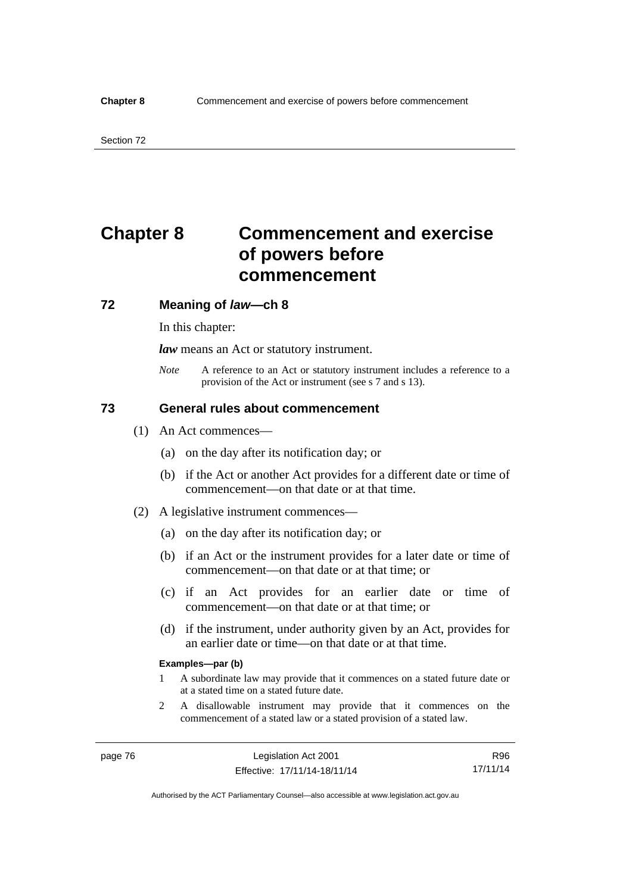# **Chapter 8 Commencement and exercise of powers before commencement**

### **72 Meaning of** *law***—ch 8**

In this chapter:

*law* means an Act or statutory instrument.

*Note* A reference to an Act or statutory instrument includes a reference to a provision of the Act or instrument (see s 7 and s 13).

## **73 General rules about commencement**

- (1) An Act commences—
	- (a) on the day after its notification day; or
	- (b) if the Act or another Act provides for a different date or time of commencement—on that date or at that time.
- (2) A legislative instrument commences—
	- (a) on the day after its notification day; or
	- (b) if an Act or the instrument provides for a later date or time of commencement—on that date or at that time; or
	- (c) if an Act provides for an earlier date or time of commencement—on that date or at that time; or
	- (d) if the instrument, under authority given by an Act, provides for an earlier date or time—on that date or at that time.

#### **Examples—par (b)**

- 1 A subordinate law may provide that it commences on a stated future date or at a stated time on a stated future date.
- 2 A disallowable instrument may provide that it commences on the commencement of a stated law or a stated provision of a stated law.

R96 17/11/14

Authorised by the ACT Parliamentary Counsel—also accessible at www.legislation.act.gov.au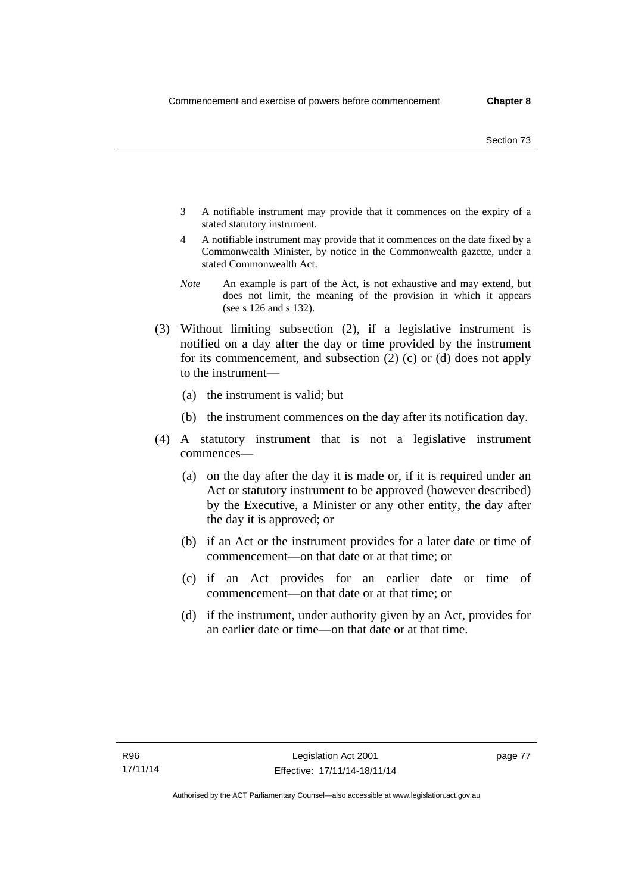- 3 A notifiable instrument may provide that it commences on the expiry of a stated statutory instrument.
- 4 A notifiable instrument may provide that it commences on the date fixed by a Commonwealth Minister, by notice in the Commonwealth gazette, under a stated Commonwealth Act.
- *Note* An example is part of the Act, is not exhaustive and may extend, but does not limit, the meaning of the provision in which it appears (see s 126 and s 132).
- (3) Without limiting subsection (2), if a legislative instrument is notified on a day after the day or time provided by the instrument for its commencement, and subsection (2) (c) or (d) does not apply to the instrument—
	- (a) the instrument is valid; but
	- (b) the instrument commences on the day after its notification day.
- (4) A statutory instrument that is not a legislative instrument commences—
	- (a) on the day after the day it is made or, if it is required under an Act or statutory instrument to be approved (however described) by the Executive, a Minister or any other entity, the day after the day it is approved; or
	- (b) if an Act or the instrument provides for a later date or time of commencement—on that date or at that time; or
	- (c) if an Act provides for an earlier date or time of commencement—on that date or at that time; or
	- (d) if the instrument, under authority given by an Act, provides for an earlier date or time—on that date or at that time.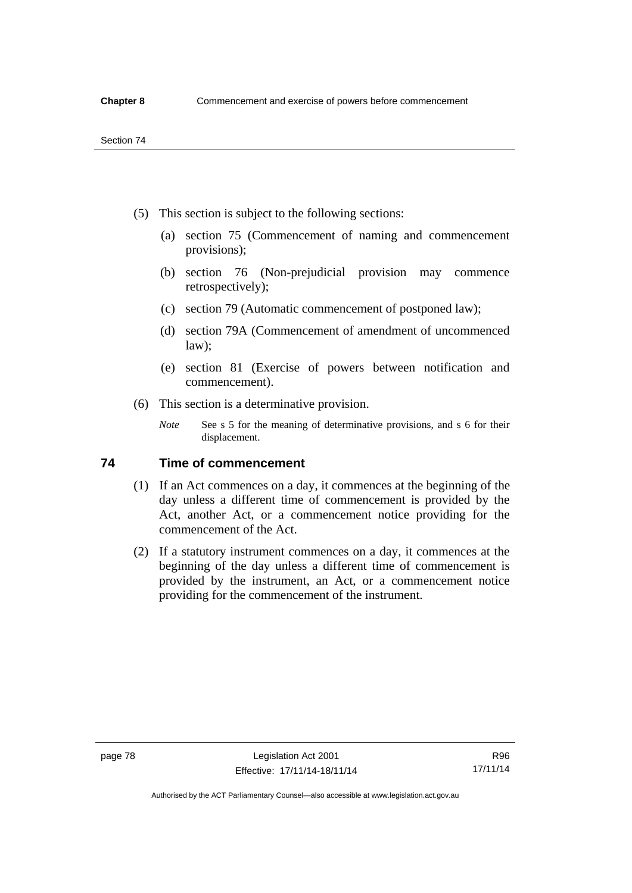- (5) This section is subject to the following sections:
	- (a) section 75 (Commencement of naming and commencement provisions);
	- (b) section 76 (Non-prejudicial provision may commence retrospectively);
	- (c) section 79 (Automatic commencement of postponed law);
	- (d) section 79A (Commencement of amendment of uncommenced law);
	- (e) section 81 (Exercise of powers between notification and commencement).
- (6) This section is a determinative provision.
	- *Note* See s 5 for the meaning of determinative provisions, and s 6 for their displacement.

## **74 Time of commencement**

- (1) If an Act commences on a day, it commences at the beginning of the day unless a different time of commencement is provided by the Act, another Act, or a commencement notice providing for the commencement of the Act.
- (2) If a statutory instrument commences on a day, it commences at the beginning of the day unless a different time of commencement is provided by the instrument, an Act, or a commencement notice providing for the commencement of the instrument.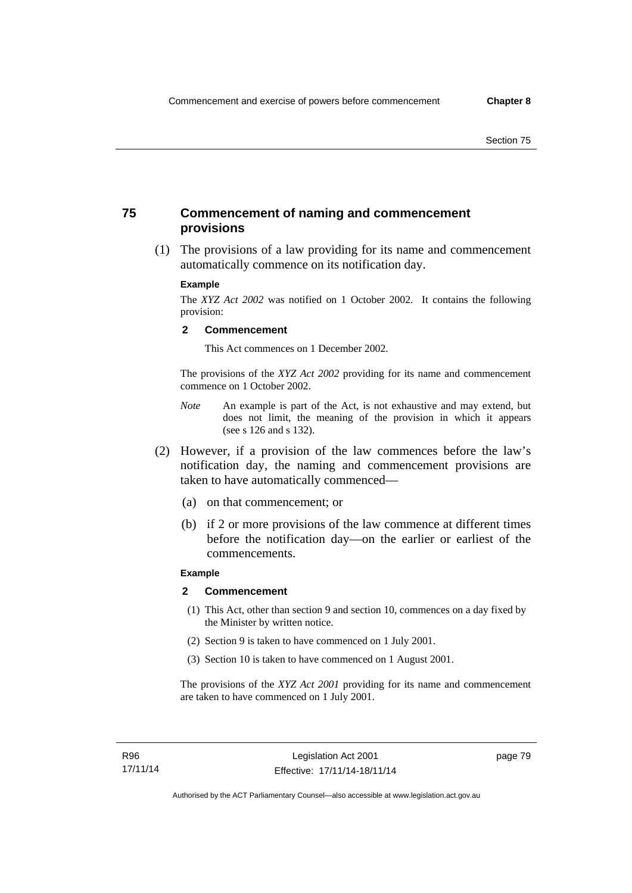## **75 Commencement of naming and commencement provisions**

 (1) The provisions of a law providing for its name and commencement automatically commence on its notification day.

### **Example**

The *XYZ Act 2002* was notified on 1 October 2002. It contains the following provision:

#### **2 Commencement**

This Act commences on 1 December 2002.

The provisions of the *XYZ Act 2002* providing for its name and commencement commence on 1 October 2002.

- *Note* An example is part of the Act, is not exhaustive and may extend, but does not limit, the meaning of the provision in which it appears (see s 126 and s 132).
- (2) However, if a provision of the law commences before the law's notification day, the naming and commencement provisions are taken to have automatically commenced—
	- (a) on that commencement; or
	- (b) if 2 or more provisions of the law commence at different times before the notification day—on the earlier or earliest of the commencements.

## **Example**

#### **2 Commencement**

- (1) This Act, other than section 9 and section 10, commences on a day fixed by the Minister by written notice.
- (2) Section 9 is taken to have commenced on 1 July 2001.
- (3) Section 10 is taken to have commenced on 1 August 2001.

The provisions of the *XYZ Act 2001* providing for its name and commencement are taken to have commenced on 1 July 2001.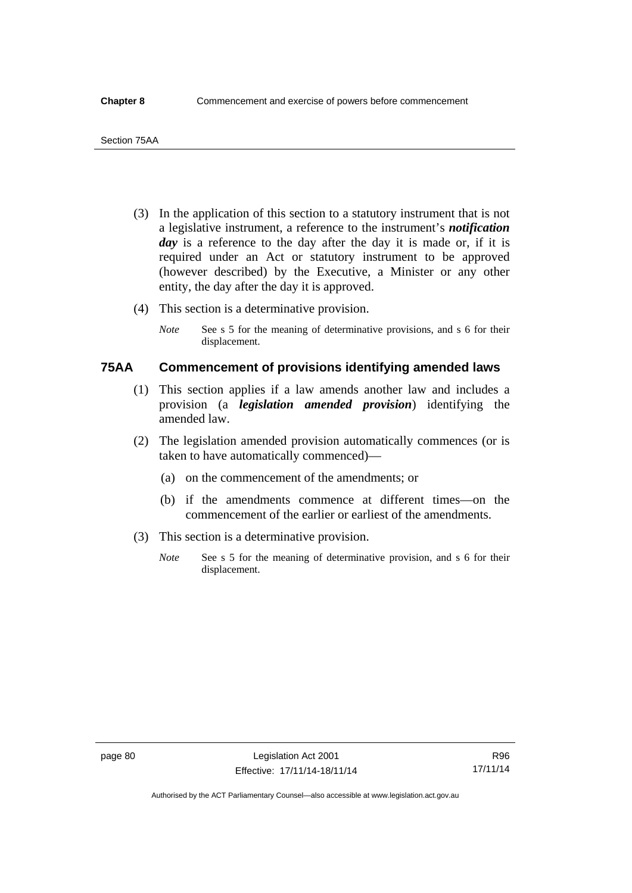- (3) In the application of this section to a statutory instrument that is not a legislative instrument, a reference to the instrument's *notification*  day is a reference to the day after the day it is made or, if it is required under an Act or statutory instrument to be approved (however described) by the Executive, a Minister or any other entity, the day after the day it is approved.
- (4) This section is a determinative provision.
	- *Note* See s 5 for the meaning of determinative provisions, and s 6 for their displacement.

## **75AA Commencement of provisions identifying amended laws**

- (1) This section applies if a law amends another law and includes a provision (a *legislation amended provision*) identifying the amended law.
- (2) The legislation amended provision automatically commences (or is taken to have automatically commenced)—
	- (a) on the commencement of the amendments; or
	- (b) if the amendments commence at different times—on the commencement of the earlier or earliest of the amendments.
- (3) This section is a determinative provision.
	- *Note* See s 5 for the meaning of determinative provision, and s 6 for their displacement.

Authorised by the ACT Parliamentary Counsel—also accessible at www.legislation.act.gov.au

R96 17/11/14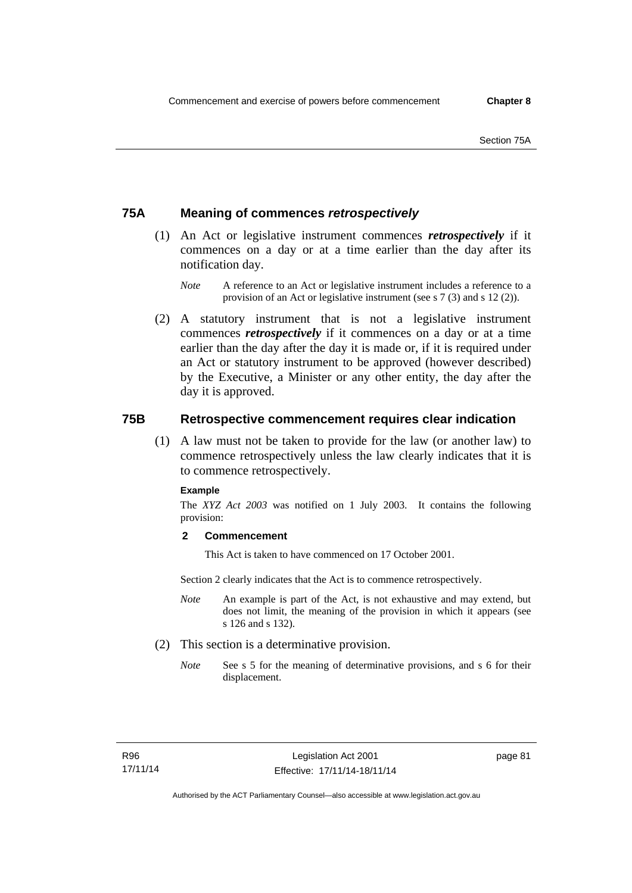## **75A Meaning of commences** *retrospectively*

- (1) An Act or legislative instrument commences *retrospectively* if it commences on a day or at a time earlier than the day after its notification day.
	- *Note* A reference to an Act or legislative instrument includes a reference to a provision of an Act or legislative instrument (see s 7 (3) and s 12 (2)).
- (2) A statutory instrument that is not a legislative instrument commences *retrospectively* if it commences on a day or at a time earlier than the day after the day it is made or, if it is required under an Act or statutory instrument to be approved (however described) by the Executive, a Minister or any other entity, the day after the day it is approved.

## **75B Retrospective commencement requires clear indication**

(1) A law must not be taken to provide for the law (or another law) to commence retrospectively unless the law clearly indicates that it is to commence retrospectively.

#### **Example**

The *XYZ Act 2003* was notified on 1 July 2003. It contains the following provision:

### **2 Commencement**

This Act is taken to have commenced on 17 October 2001.

Section 2 clearly indicates that the Act is to commence retrospectively.

- *Note* An example is part of the Act, is not exhaustive and may extend, but does not limit, the meaning of the provision in which it appears (see s 126 and s 132).
- (2) This section is a determinative provision.
	- *Note* See s 5 for the meaning of determinative provisions, and s 6 for their displacement.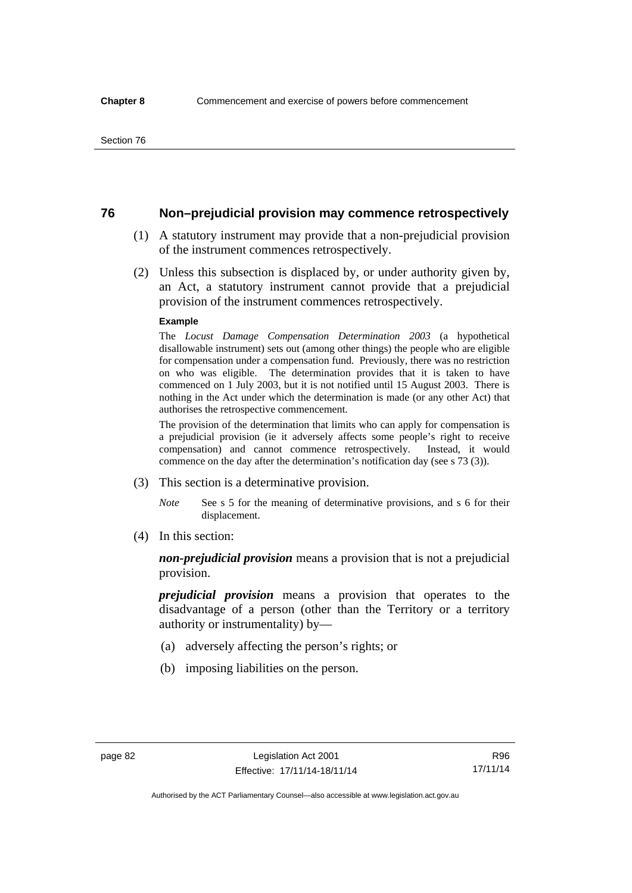## **76 Non–prejudicial provision may commence retrospectively**

- (1) A statutory instrument may provide that a non-prejudicial provision of the instrument commences retrospectively.
- (2) Unless this subsection is displaced by, or under authority given by, an Act, a statutory instrument cannot provide that a prejudicial provision of the instrument commences retrospectively.

#### **Example**

The *Locust Damage Compensation Determination 2003* (a hypothetical disallowable instrument) sets out (among other things) the people who are eligible for compensation under a compensation fund. Previously, there was no restriction on who was eligible. The determination provides that it is taken to have commenced on 1 July 2003, but it is not notified until 15 August 2003. There is nothing in the Act under which the determination is made (or any other Act) that authorises the retrospective commencement.

The provision of the determination that limits who can apply for compensation is a prejudicial provision (ie it adversely affects some people's right to receive compensation) and cannot commence retrospectively. Instead, it would commence on the day after the determination's notification day (see s 73 (3)).

- (3) This section is a determinative provision.
	- *Note* See s 5 for the meaning of determinative provisions, and s 6 for their displacement.
- (4) In this section:

*non-prejudicial provision* means a provision that is not a prejudicial provision.

*prejudicial provision* means a provision that operates to the disadvantage of a person (other than the Territory or a territory authority or instrumentality) by—

- (a) adversely affecting the person's rights; or
- (b) imposing liabilities on the person.

R96 17/11/14

Authorised by the ACT Parliamentary Counsel—also accessible at www.legislation.act.gov.au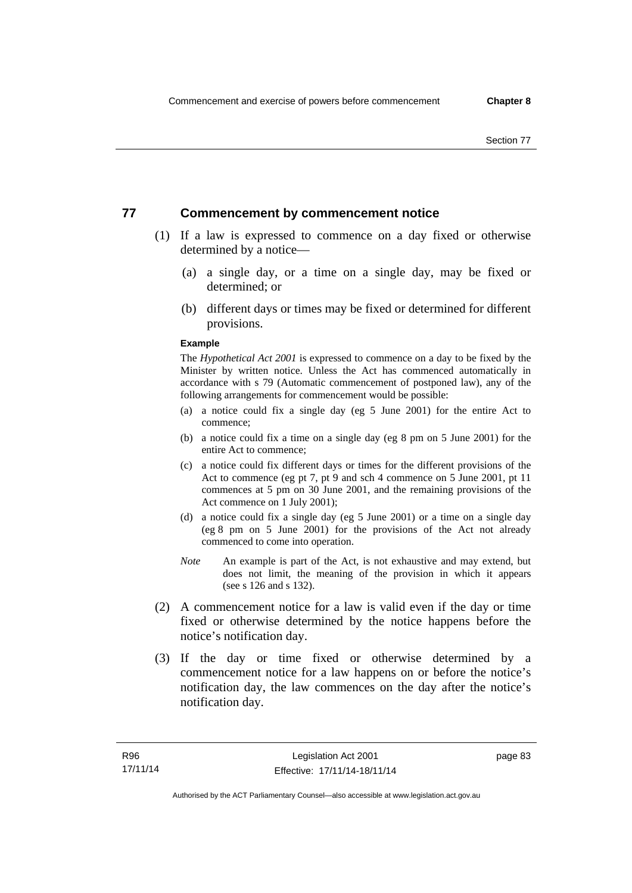## **77 Commencement by commencement notice**

- (1) If a law is expressed to commence on a day fixed or otherwise determined by a notice—
	- (a) a single day, or a time on a single day, may be fixed or determined; or
	- (b) different days or times may be fixed or determined for different provisions.

#### **Example**

The *Hypothetical Act 2001* is expressed to commence on a day to be fixed by the Minister by written notice. Unless the Act has commenced automatically in accordance with s 79 (Automatic commencement of postponed law), any of the following arrangements for commencement would be possible:

- (a) a notice could fix a single day (eg 5 June 2001) for the entire Act to commence;
- (b) a notice could fix a time on a single day (eg 8 pm on 5 June 2001) for the entire Act to commence;
- (c) a notice could fix different days or times for the different provisions of the Act to commence (eg pt 7, pt 9 and sch 4 commence on 5 June 2001, pt 11 commences at 5 pm on 30 June 2001, and the remaining provisions of the Act commence on 1 July 2001);
- (d) a notice could fix a single day (eg 5 June 2001) or a time on a single day (eg 8 pm on 5 June 2001) for the provisions of the Act not already commenced to come into operation.
- *Note* An example is part of the Act, is not exhaustive and may extend, but does not limit, the meaning of the provision in which it appears (see s 126 and s 132).
- (2) A commencement notice for a law is valid even if the day or time fixed or otherwise determined by the notice happens before the notice's notification day.
- (3) If the day or time fixed or otherwise determined by a commencement notice for a law happens on or before the notice's notification day, the law commences on the day after the notice's notification day.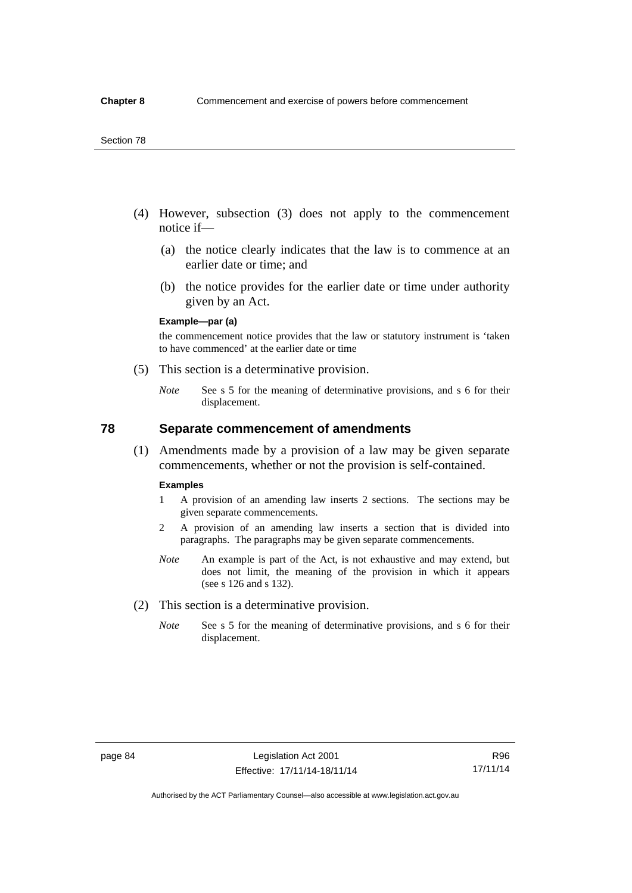- (4) However, subsection (3) does not apply to the commencement notice if—
	- (a) the notice clearly indicates that the law is to commence at an earlier date or time; and
	- (b) the notice provides for the earlier date or time under authority given by an Act.

### **Example—par (a)**

the commencement notice provides that the law or statutory instrument is 'taken to have commenced' at the earlier date or time

- (5) This section is a determinative provision.
	- *Note* See s 5 for the meaning of determinative provisions, and s 6 for their displacement.

## **78 Separate commencement of amendments**

 (1) Amendments made by a provision of a law may be given separate commencements, whether or not the provision is self-contained.

#### **Examples**

- 1 A provision of an amending law inserts 2 sections. The sections may be given separate commencements.
- 2 A provision of an amending law inserts a section that is divided into paragraphs. The paragraphs may be given separate commencements.
- *Note* An example is part of the Act, is not exhaustive and may extend, but does not limit, the meaning of the provision in which it appears (see s 126 and s 132).
- (2) This section is a determinative provision.
	- *Note* See s 5 for the meaning of determinative provisions, and s 6 for their displacement.

R96 17/11/14

Authorised by the ACT Parliamentary Counsel—also accessible at www.legislation.act.gov.au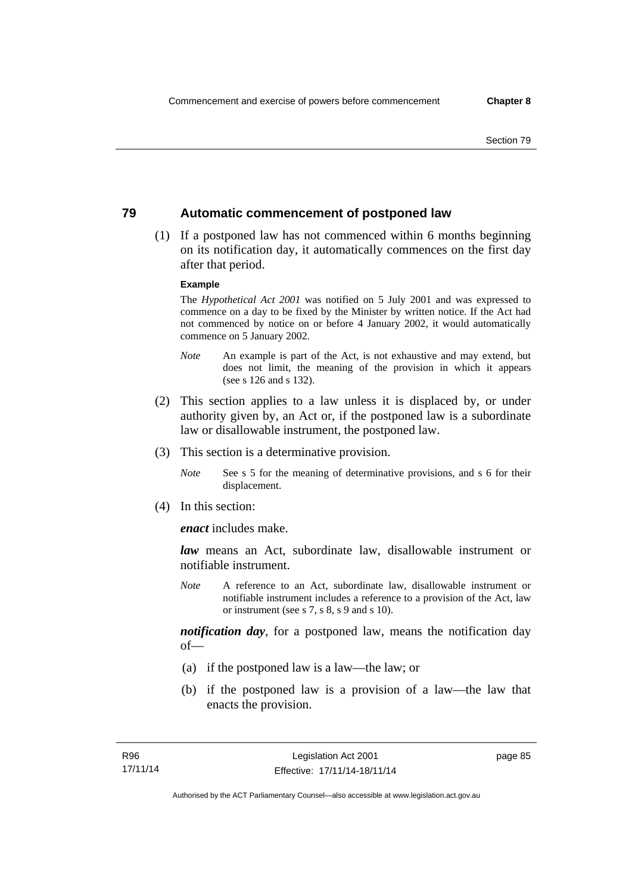## **79 Automatic commencement of postponed law**

 (1) If a postponed law has not commenced within 6 months beginning on its notification day, it automatically commences on the first day after that period.

### **Example**

The *Hypothetical Act 2001* was notified on 5 July 2001 and was expressed to commence on a day to be fixed by the Minister by written notice. If the Act had not commenced by notice on or before 4 January 2002, it would automatically commence on 5 January 2002.

- *Note* An example is part of the Act, is not exhaustive and may extend, but does not limit, the meaning of the provision in which it appears (see s 126 and s 132).
- (2) This section applies to a law unless it is displaced by, or under authority given by, an Act or, if the postponed law is a subordinate law or disallowable instrument, the postponed law.
- (3) This section is a determinative provision.
	- *Note* See s 5 for the meaning of determinative provisions, and s 6 for their displacement.
- (4) In this section:

*enact* includes make.

*law* means an Act, subordinate law, disallowable instrument or notifiable instrument.

*Note* A reference to an Act, subordinate law, disallowable instrument or notifiable instrument includes a reference to a provision of the Act, law or instrument (see s 7, s 8, s 9 and s 10).

*notification day*, for a postponed law, means the notification day  $of$ 

- (a) if the postponed law is a law—the law; or
- (b) if the postponed law is a provision of a law—the law that enacts the provision.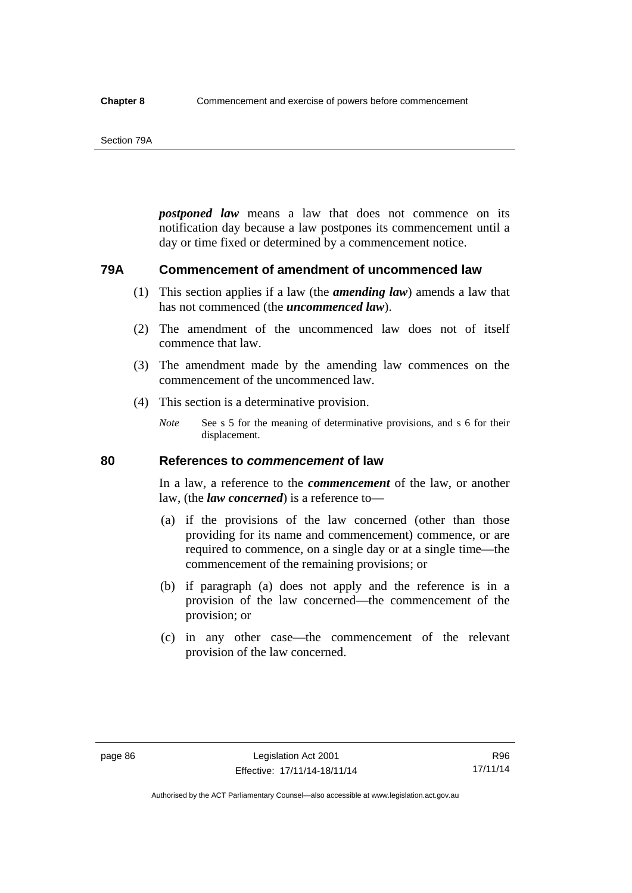#### Section 79A

*postponed law* means a law that does not commence on its notification day because a law postpones its commencement until a day or time fixed or determined by a commencement notice.

## **79A Commencement of amendment of uncommenced law**

- (1) This section applies if a law (the *amending law*) amends a law that has not commenced (the *uncommenced law*).
- (2) The amendment of the uncommenced law does not of itself commence that law.
- (3) The amendment made by the amending law commences on the commencement of the uncommenced law.
- (4) This section is a determinative provision.
	- *Note* See s 5 for the meaning of determinative provisions, and s 6 for their displacement.

## **80 References to** *commencement* **of law**

In a law, a reference to the *commencement* of the law, or another law, (the *law concerned*) is a reference to—

- (a) if the provisions of the law concerned (other than those providing for its name and commencement) commence, or are required to commence, on a single day or at a single time—the commencement of the remaining provisions; or
- (b) if paragraph (a) does not apply and the reference is in a provision of the law concerned—the commencement of the provision; or
- (c) in any other case—the commencement of the relevant provision of the law concerned.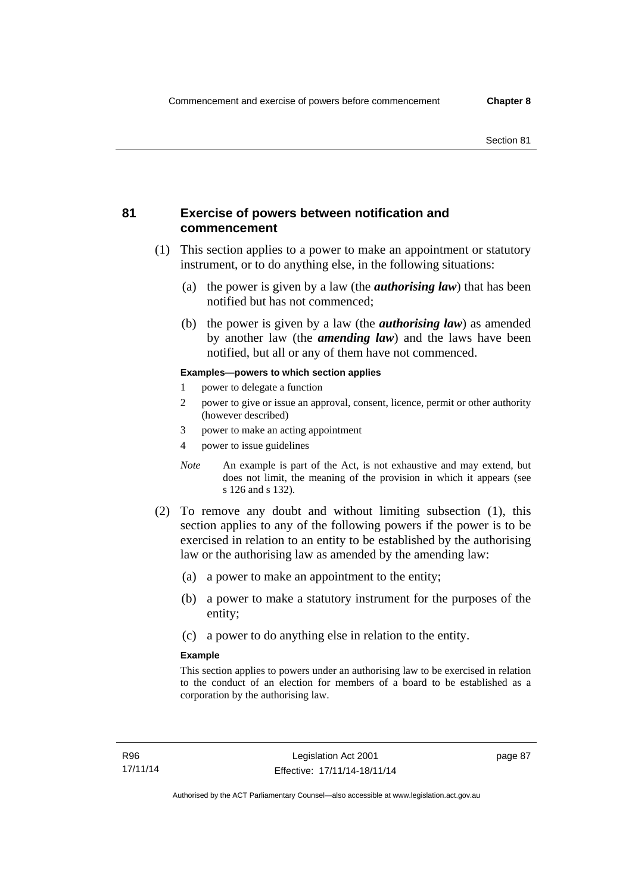## **81 Exercise of powers between notification and commencement**

- (1) This section applies to a power to make an appointment or statutory instrument, or to do anything else, in the following situations:
	- (a) the power is given by a law (the *authorising law*) that has been notified but has not commenced;
	- (b) the power is given by a law (the *authorising law*) as amended by another law (the *amending law*) and the laws have been notified, but all or any of them have not commenced.

### **Examples—powers to which section applies**

- 1 power to delegate a function
- 2 power to give or issue an approval, consent, licence, permit or other authority (however described)
- 3 power to make an acting appointment
- 4 power to issue guidelines
- *Note* An example is part of the Act, is not exhaustive and may extend, but does not limit, the meaning of the provision in which it appears (see s 126 and s 132).
- (2) To remove any doubt and without limiting subsection (1), this section applies to any of the following powers if the power is to be exercised in relation to an entity to be established by the authorising law or the authorising law as amended by the amending law:
	- (a) a power to make an appointment to the entity;
	- (b) a power to make a statutory instrument for the purposes of the entity;
	- (c) a power to do anything else in relation to the entity.

### **Example**

This section applies to powers under an authorising law to be exercised in relation to the conduct of an election for members of a board to be established as a corporation by the authorising law.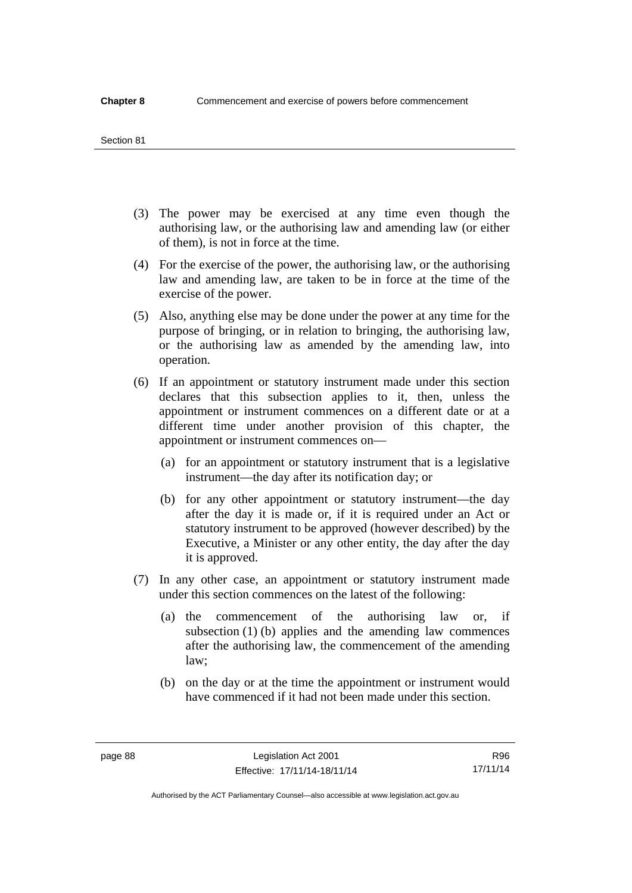#### Section 81

- (3) The power may be exercised at any time even though the authorising law, or the authorising law and amending law (or either of them), is not in force at the time.
- (4) For the exercise of the power, the authorising law, or the authorising law and amending law, are taken to be in force at the time of the exercise of the power.
- (5) Also, anything else may be done under the power at any time for the purpose of bringing, or in relation to bringing, the authorising law, or the authorising law as amended by the amending law, into operation.
- (6) If an appointment or statutory instrument made under this section declares that this subsection applies to it, then, unless the appointment or instrument commences on a different date or at a different time under another provision of this chapter, the appointment or instrument commences on—
	- (a) for an appointment or statutory instrument that is a legislative instrument—the day after its notification day; or
	- (b) for any other appointment or statutory instrument—the day after the day it is made or, if it is required under an Act or statutory instrument to be approved (however described) by the Executive, a Minister or any other entity, the day after the day it is approved.
- (7) In any other case, an appointment or statutory instrument made under this section commences on the latest of the following:
	- (a) the commencement of the authorising law or, if subsection (1) (b) applies and the amending law commences after the authorising law, the commencement of the amending law;
	- (b) on the day or at the time the appointment or instrument would have commenced if it had not been made under this section.

R96 17/11/14

Authorised by the ACT Parliamentary Counsel—also accessible at www.legislation.act.gov.au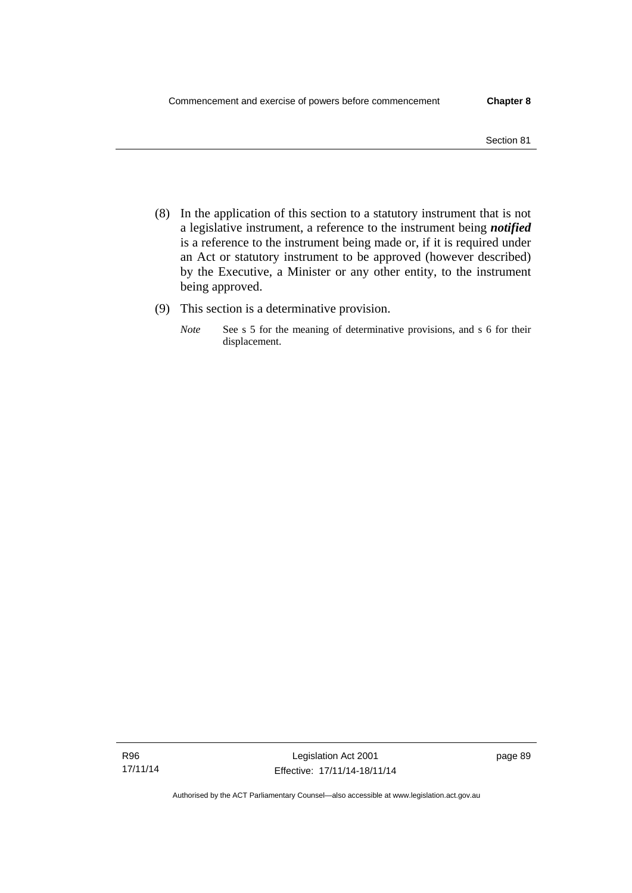- Section 81
- (8) In the application of this section to a statutory instrument that is not a legislative instrument, a reference to the instrument being *notified*  is a reference to the instrument being made or, if it is required under an Act or statutory instrument to be approved (however described) by the Executive, a Minister or any other entity, to the instrument being approved.
- (9) This section is a determinative provision.
	- *Note* See s 5 for the meaning of determinative provisions, and s 6 for their displacement.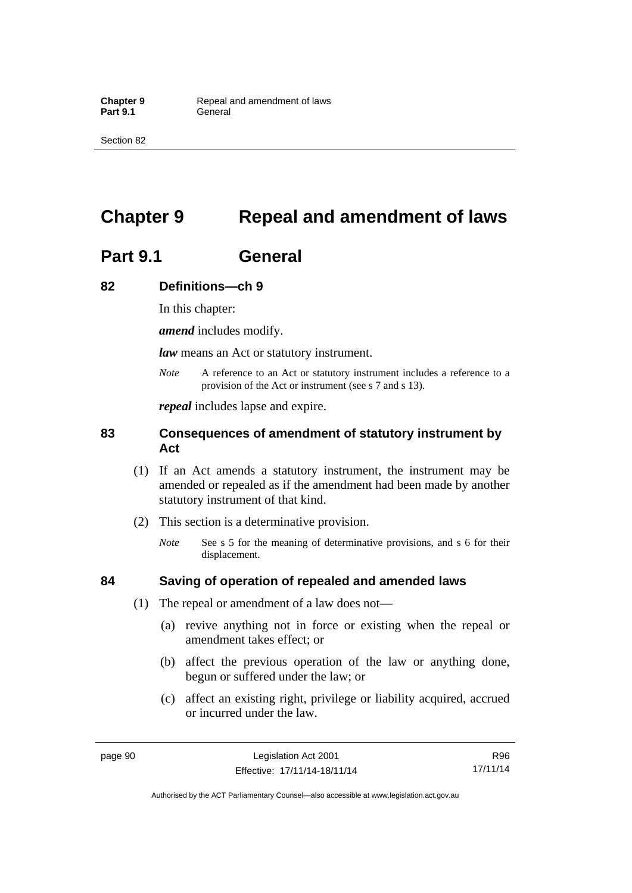Section 82

# **Chapter 9 Repeal and amendment of laws**

# **Part 9.1 General**

## **82 Definitions—ch 9**

In this chapter:

*amend* includes modify.

*law* means an Act or statutory instrument.

*Note* A reference to an Act or statutory instrument includes a reference to a provision of the Act or instrument (see s 7 and s 13).

*repeal* includes lapse and expire.

## **83 Consequences of amendment of statutory instrument by Act**

- (1) If an Act amends a statutory instrument, the instrument may be amended or repealed as if the amendment had been made by another statutory instrument of that kind.
- (2) This section is a determinative provision.
	- *Note* See s 5 for the meaning of determinative provisions, and s 6 for their displacement.

## **84 Saving of operation of repealed and amended laws**

- (1) The repeal or amendment of a law does not—
	- (a) revive anything not in force or existing when the repeal or amendment takes effect; or
	- (b) affect the previous operation of the law or anything done, begun or suffered under the law; or
	- (c) affect an existing right, privilege or liability acquired, accrued or incurred under the law.

R96 17/11/14

Authorised by the ACT Parliamentary Counsel—also accessible at www.legislation.act.gov.au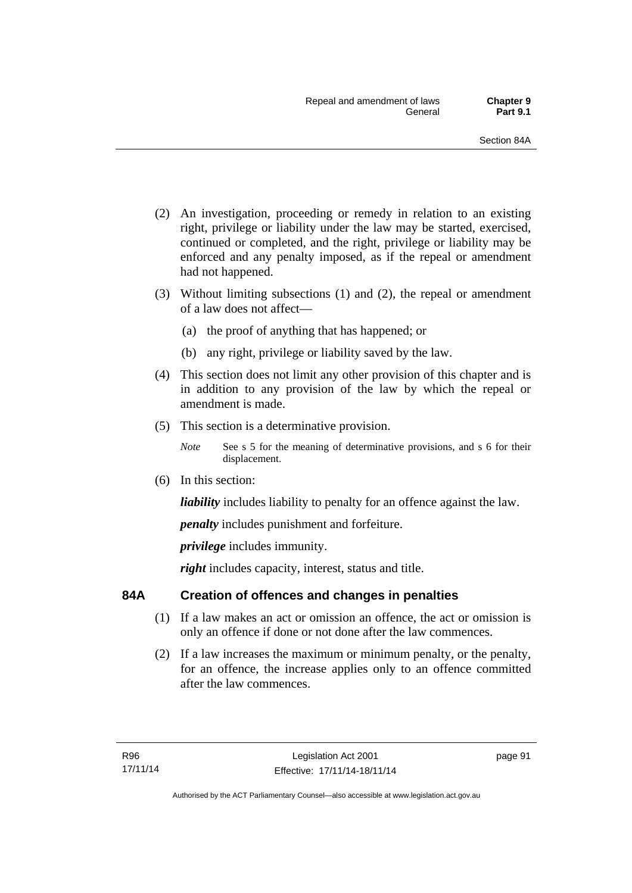- (2) An investigation, proceeding or remedy in relation to an existing right, privilege or liability under the law may be started, exercised, continued or completed, and the right, privilege or liability may be enforced and any penalty imposed, as if the repeal or amendment had not happened.
- (3) Without limiting subsections (1) and (2), the repeal or amendment of a law does not affect—
	- (a) the proof of anything that has happened; or
	- (b) any right, privilege or liability saved by the law.
- (4) This section does not limit any other provision of this chapter and is in addition to any provision of the law by which the repeal or amendment is made.
- (5) This section is a determinative provision.
	- *Note* See s 5 for the meaning of determinative provisions, and s 6 for their displacement.
- (6) In this section:

*liability* includes liability to penalty for an offence against the law.

*penalty* includes punishment and forfeiture.

*privilege* includes immunity.

right includes capacity, interest, status and title.

## **84A Creation of offences and changes in penalties**

- (1) If a law makes an act or omission an offence, the act or omission is only an offence if done or not done after the law commences.
- (2) If a law increases the maximum or minimum penalty, or the penalty, for an offence, the increase applies only to an offence committed after the law commences.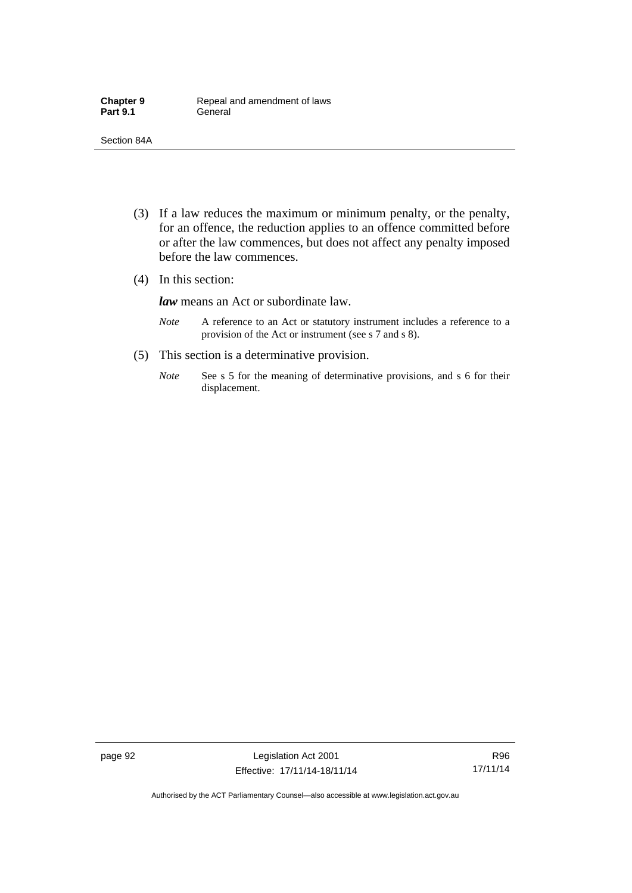- (3) If a law reduces the maximum or minimum penalty, or the penalty, for an offence, the reduction applies to an offence committed before or after the law commences, but does not affect any penalty imposed before the law commences.
- (4) In this section:

*law* means an Act or subordinate law.

- *Note* A reference to an Act or statutory instrument includes a reference to a provision of the Act or instrument (see s 7 and s 8).
- (5) This section is a determinative provision.
	- *Note* See s 5 for the meaning of determinative provisions, and s 6 for their displacement.

R96 17/11/14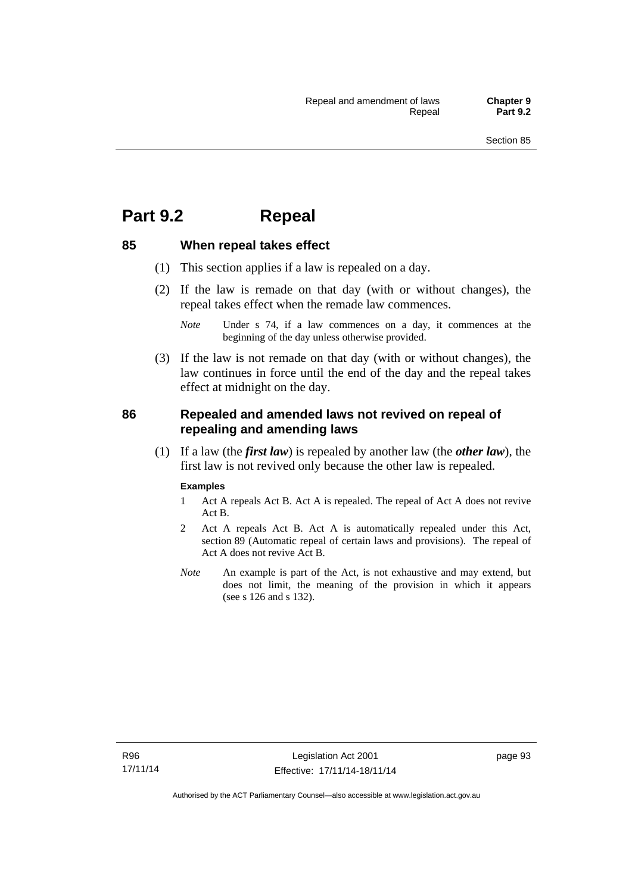## **Part 9.2 Repeal**

## **85 When repeal takes effect**

- (1) This section applies if a law is repealed on a day.
- (2) If the law is remade on that day (with or without changes), the repeal takes effect when the remade law commences.

 (3) If the law is not remade on that day (with or without changes), the law continues in force until the end of the day and the repeal takes effect at midnight on the day.

## **86 Repealed and amended laws not revived on repeal of repealing and amending laws**

 (1) If a law (the *first law*) is repealed by another law (the *other law*), the first law is not revived only because the other law is repealed.

#### **Examples**

- 1 Act A repeals Act B. Act A is repealed. The repeal of Act A does not revive Act B.
- 2 Act A repeals Act B. Act A is automatically repealed under this Act, section 89 (Automatic repeal of certain laws and provisions). The repeal of Act A does not revive Act B.
- *Note* An example is part of the Act, is not exhaustive and may extend, but does not limit, the meaning of the provision in which it appears (see s 126 and s 132).

*Note* Under s 74, if a law commences on a day, it commences at the beginning of the day unless otherwise provided.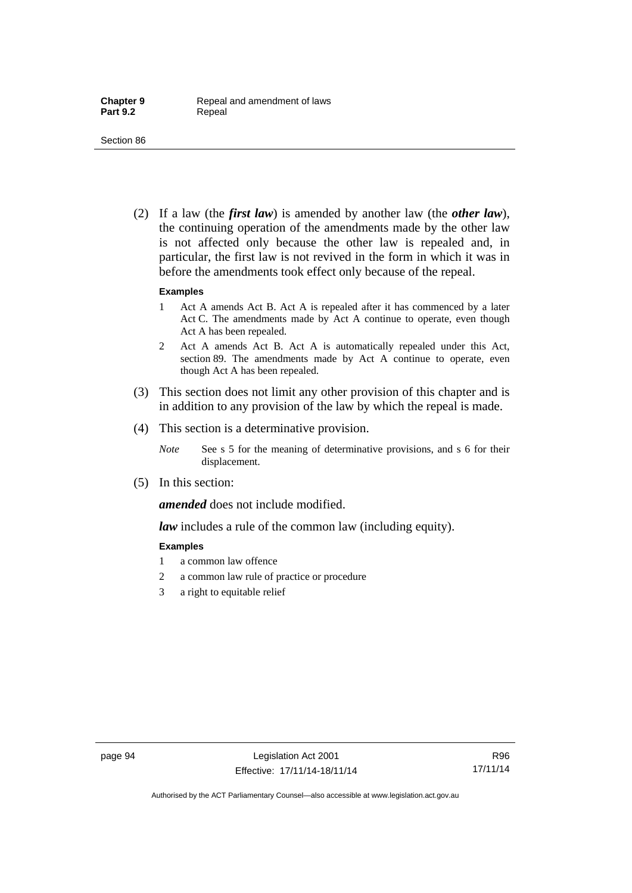(2) If a law (the *first law*) is amended by another law (the *other law*), the continuing operation of the amendments made by the other law is not affected only because the other law is repealed and, in particular, the first law is not revived in the form in which it was in before the amendments took effect only because of the repeal.

#### **Examples**

- 1 Act A amends Act B. Act A is repealed after it has commenced by a later Act C. The amendments made by Act A continue to operate, even though Act A has been repealed.
- 2 Act A amends Act B. Act A is automatically repealed under this Act, section 89. The amendments made by Act A continue to operate, even though Act A has been repealed.
- (3) This section does not limit any other provision of this chapter and is in addition to any provision of the law by which the repeal is made.
- (4) This section is a determinative provision.
	- *Note* See s 5 for the meaning of determinative provisions, and s 6 for their displacement.
- (5) In this section:

*amended* does not include modified.

*law* includes a rule of the common law (including equity).

#### **Examples**

- 1 a common law offence
- 2 a common law rule of practice or procedure
- 3 a right to equitable relief

R96 17/11/14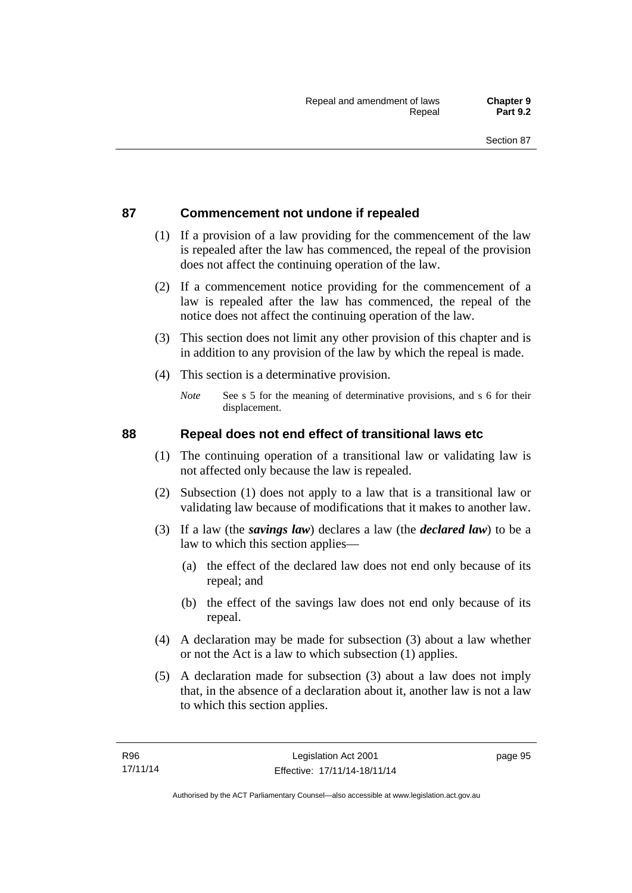## **87 Commencement not undone if repealed**

- (1) If a provision of a law providing for the commencement of the law is repealed after the law has commenced, the repeal of the provision does not affect the continuing operation of the law.
- (2) If a commencement notice providing for the commencement of a law is repealed after the law has commenced, the repeal of the notice does not affect the continuing operation of the law.
- (3) This section does not limit any other provision of this chapter and is in addition to any provision of the law by which the repeal is made.
- (4) This section is a determinative provision.
	- *Note* See s 5 for the meaning of determinative provisions, and s 6 for their displacement.

## **88 Repeal does not end effect of transitional laws etc**

- (1) The continuing operation of a transitional law or validating law is not affected only because the law is repealed.
- (2) Subsection (1) does not apply to a law that is a transitional law or validating law because of modifications that it makes to another law.
- (3) If a law (the *savings law*) declares a law (the *declared law*) to be a law to which this section applies—
	- (a) the effect of the declared law does not end only because of its repeal; and
	- (b) the effect of the savings law does not end only because of its repeal.
- (4) A declaration may be made for subsection (3) about a law whether or not the Act is a law to which subsection (1) applies.
- (5) A declaration made for subsection (3) about a law does not imply that, in the absence of a declaration about it, another law is not a law to which this section applies.

page 95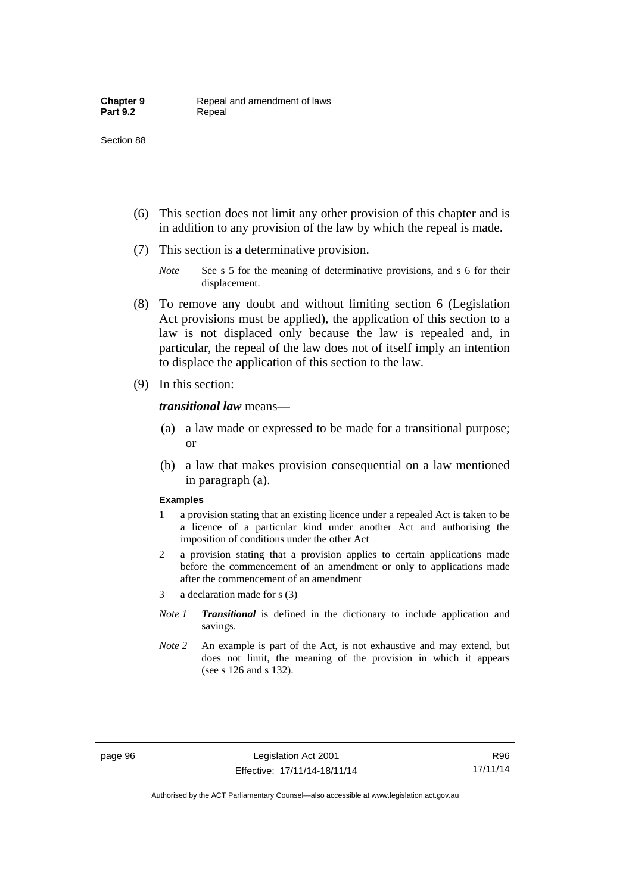- (6) This section does not limit any other provision of this chapter and is in addition to any provision of the law by which the repeal is made.
- (7) This section is a determinative provision.
	- *Note* See s 5 for the meaning of determinative provisions, and s 6 for their displacement.
- (8) To remove any doubt and without limiting section 6 (Legislation Act provisions must be applied), the application of this section to a law is not displaced only because the law is repealed and, in particular, the repeal of the law does not of itself imply an intention to displace the application of this section to the law.
- (9) In this section:

*transitional law* means—

- (a) a law made or expressed to be made for a transitional purpose; or
- (b) a law that makes provision consequential on a law mentioned in paragraph (a).

#### **Examples**

- 1 a provision stating that an existing licence under a repealed Act is taken to be a licence of a particular kind under another Act and authorising the imposition of conditions under the other Act
- 2 a provision stating that a provision applies to certain applications made before the commencement of an amendment or only to applications made after the commencement of an amendment
- 3 a declaration made for s (3)
- *Note 1 Transitional* is defined in the dictionary to include application and savings.
- *Note 2* An example is part of the Act, is not exhaustive and may extend, but does not limit, the meaning of the provision in which it appears (see s 126 and s 132).

R96 17/11/14

Authorised by the ACT Parliamentary Counsel—also accessible at www.legislation.act.gov.au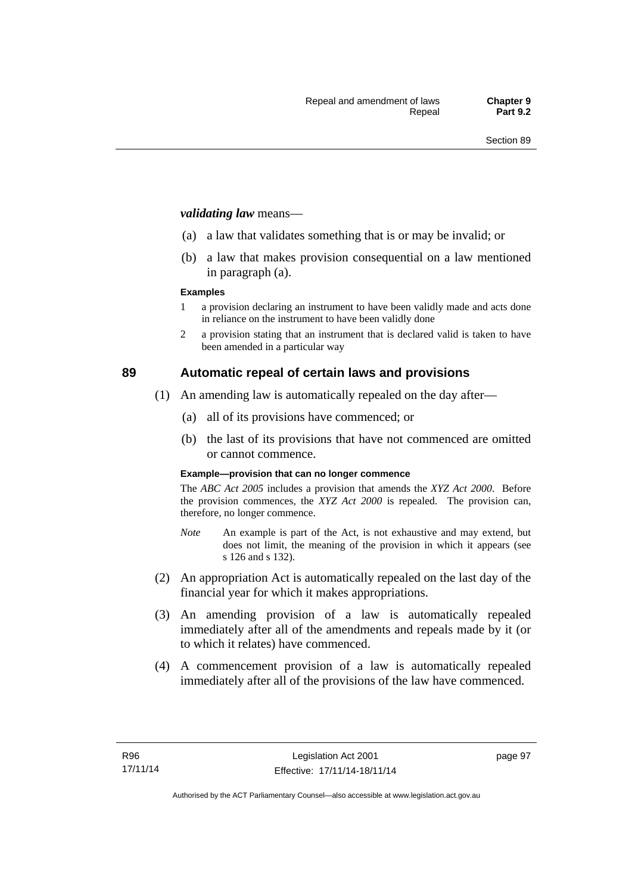#### *validating law* means—

- (a) a law that validates something that is or may be invalid; or
- (b) a law that makes provision consequential on a law mentioned in paragraph (a).

#### **Examples**

- 1 a provision declaring an instrument to have been validly made and acts done in reliance on the instrument to have been validly done
- 2 a provision stating that an instrument that is declared valid is taken to have been amended in a particular way

## **89 Automatic repeal of certain laws and provisions**

- (1) An amending law is automatically repealed on the day after—
	- (a) all of its provisions have commenced; or
	- (b) the last of its provisions that have not commenced are omitted or cannot commence.

#### **Example—provision that can no longer commence**

The *ABC Act 2005* includes a provision that amends the *XYZ Act 2000*. Before the provision commences, the *XYZ Act 2000* is repealed. The provision can, therefore, no longer commence.

- *Note* An example is part of the Act, is not exhaustive and may extend, but does not limit, the meaning of the provision in which it appears (see s 126 and s 132).
- (2) An appropriation Act is automatically repealed on the last day of the financial year for which it makes appropriations.
- (3) An amending provision of a law is automatically repealed immediately after all of the amendments and repeals made by it (or to which it relates) have commenced.
- (4) A commencement provision of a law is automatically repealed immediately after all of the provisions of the law have commenced.

page 97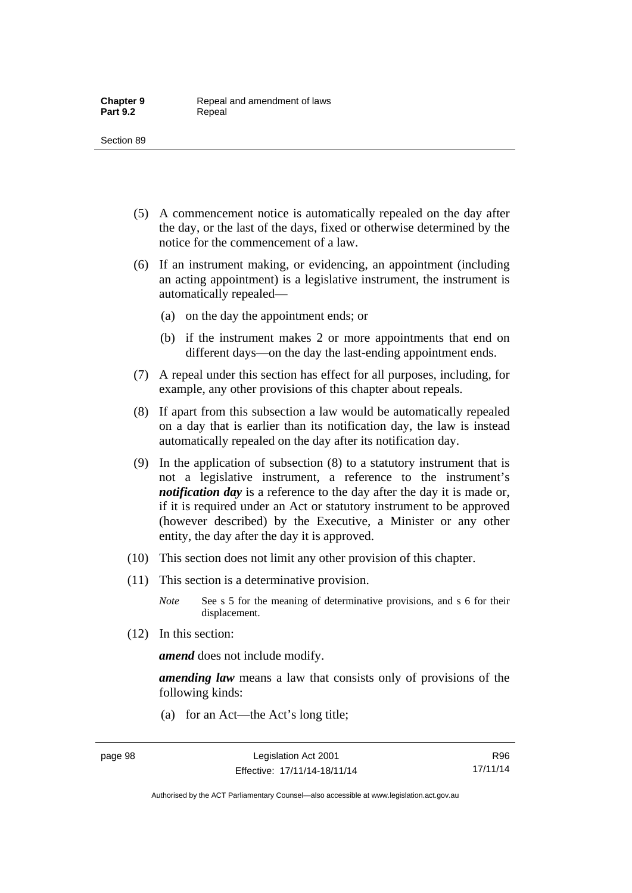- (5) A commencement notice is automatically repealed on the day after the day, or the last of the days, fixed or otherwise determined by the notice for the commencement of a law.
- (6) If an instrument making, or evidencing, an appointment (including an acting appointment) is a legislative instrument, the instrument is automatically repealed—
	- (a) on the day the appointment ends; or
	- (b) if the instrument makes 2 or more appointments that end on different days—on the day the last-ending appointment ends.
- (7) A repeal under this section has effect for all purposes, including, for example, any other provisions of this chapter about repeals.
- (8) If apart from this subsection a law would be automatically repealed on a day that is earlier than its notification day, the law is instead automatically repealed on the day after its notification day.
- (9) In the application of subsection (8) to a statutory instrument that is not a legislative instrument, a reference to the instrument's *notification day* is a reference to the day after the day it is made or, if it is required under an Act or statutory instrument to be approved (however described) by the Executive, a Minister or any other entity, the day after the day it is approved.
- (10) This section does not limit any other provision of this chapter.
- (11) This section is a determinative provision.
	- *Note* See s 5 for the meaning of determinative provisions, and s 6 for their displacement.
- (12) In this section:

*amend* does not include modify.

*amending law* means a law that consists only of provisions of the following kinds:

(a) for an Act—the Act's long title;

R96 17/11/14

Authorised by the ACT Parliamentary Counsel—also accessible at www.legislation.act.gov.au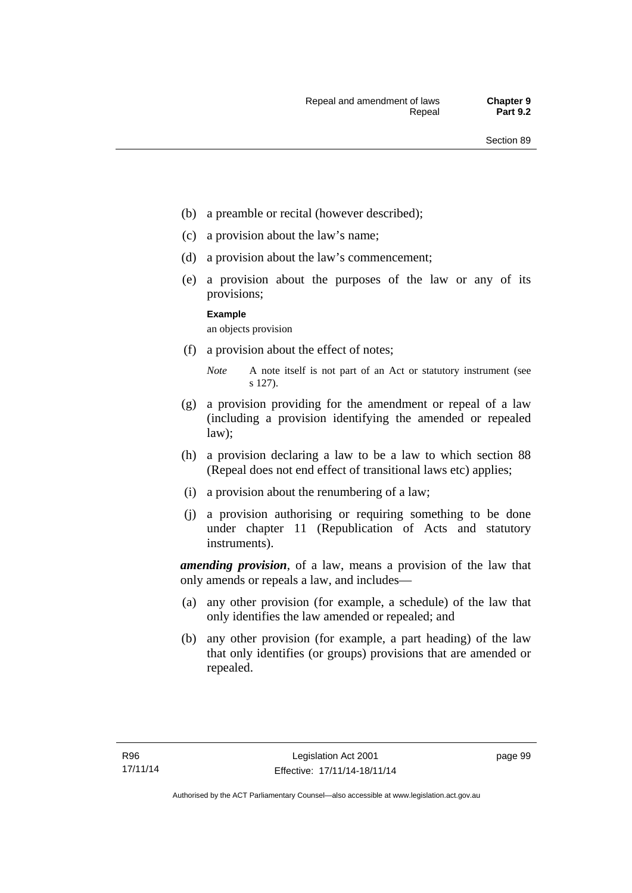- (b) a preamble or recital (however described);
- (c) a provision about the law's name;
- (d) a provision about the law's commencement;
- (e) a provision about the purposes of the law or any of its provisions;

#### **Example**

an objects provision

(f) a provision about the effect of notes;

- (g) a provision providing for the amendment or repeal of a law (including a provision identifying the amended or repealed law);
- (h) a provision declaring a law to be a law to which section 88 (Repeal does not end effect of transitional laws etc) applies;
- (i) a provision about the renumbering of a law;
- (j) a provision authorising or requiring something to be done under chapter 11 (Republication of Acts and statutory instruments).

*amending provision*, of a law, means a provision of the law that only amends or repeals a law, and includes—

- (a) any other provision (for example, a schedule) of the law that only identifies the law amended or repealed; and
- (b) any other provision (for example, a part heading) of the law that only identifies (or groups) provisions that are amended or repealed.

*Note* A note itself is not part of an Act or statutory instrument (see s 127).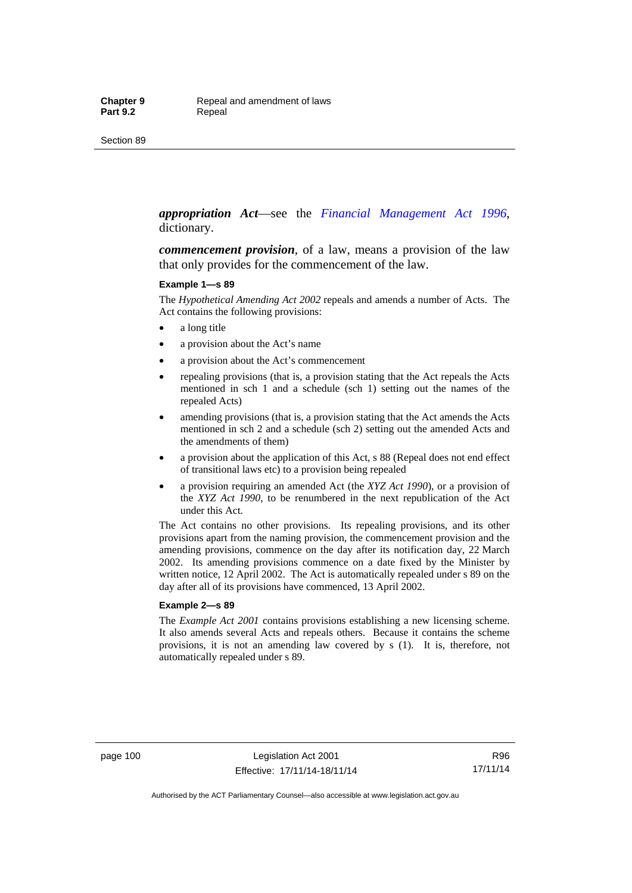#### *appropriation Act*—see the *[Financial Management Act 1996](http://www.legislation.act.gov.au/a/1996-22)*, dictionary.

*commencement provision*, of a law, means a provision of the law that only provides for the commencement of the law.

#### **Example 1—s 89**

The *Hypothetical Amending Act 2002* repeals and amends a number of Acts. The Act contains the following provisions:

- a long title
- a provision about the Act's name
- a provision about the Act's commencement
- repealing provisions (that is, a provision stating that the Act repeals the Acts mentioned in sch 1 and a schedule (sch 1) setting out the names of the repealed Acts)
- amending provisions (that is, a provision stating that the Act amends the Acts mentioned in sch 2 and a schedule (sch 2) setting out the amended Acts and the amendments of them)
- a provision about the application of this Act, s 88 (Repeal does not end effect of transitional laws etc) to a provision being repealed
- a provision requiring an amended Act (the *XYZ Act 1990*), or a provision of the *XYZ Act 1990*, to be renumbered in the next republication of the Act under this Act.

The Act contains no other provisions. Its repealing provisions, and its other provisions apart from the naming provision, the commencement provision and the amending provisions, commence on the day after its notification day, 22 March 2002. Its amending provisions commence on a date fixed by the Minister by written notice, 12 April 2002. The Act is automatically repealed under s 89 on the day after all of its provisions have commenced, 13 April 2002.

#### **Example 2—s 89**

The *Example Act 2001* contains provisions establishing a new licensing scheme. It also amends several Acts and repeals others. Because it contains the scheme provisions, it is not an amending law covered by s (1). It is, therefore, not automatically repealed under s 89.

page 100 Legislation Act 2001 Effective: 17/11/14-18/11/14

R96 17/11/14

Authorised by the ACT Parliamentary Counsel—also accessible at www.legislation.act.gov.au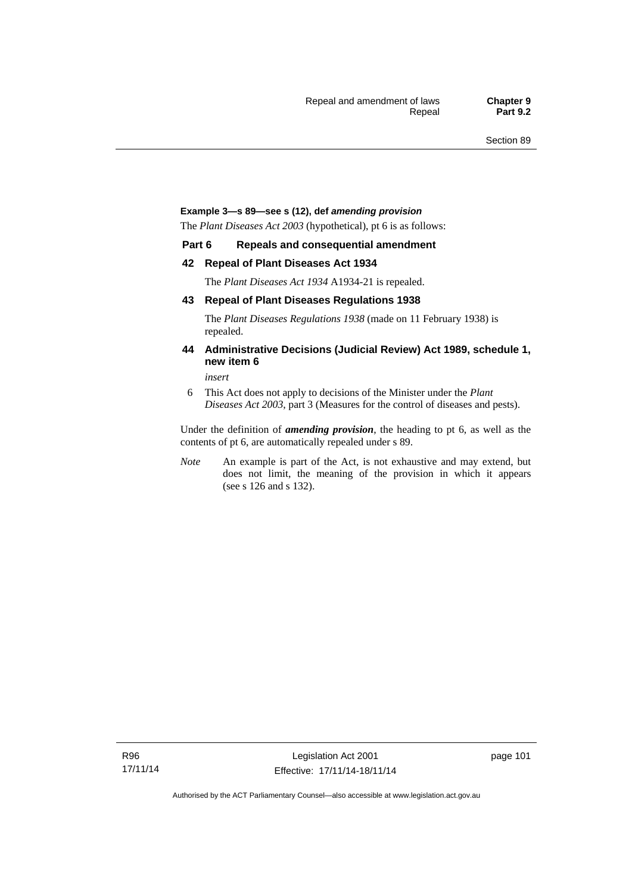#### **Example 3—s 89—see s (12), def** *amending provision*

The *Plant Diseases Act 2003* (hypothetical), pt 6 is as follows:

#### **Part 6 Repeals and consequential amendment**

#### **42 Repeal of Plant Diseases Act 1934**

The *Plant Diseases Act 1934* A1934-21 is repealed.

#### **43 Repeal of Plant Diseases Regulations 1938**

The *Plant Diseases Regulations 1938* (made on 11 February 1938) is repealed.

#### **44 Administrative Decisions (Judicial Review) Act 1989, schedule 1, new item 6**

*insert* 

6 This Act does not apply to decisions of the Minister under the *Plant Diseases Act 2003*, part 3 (Measures for the control of diseases and pests).

Under the definition of *amending provision*, the heading to pt 6, as well as the contents of pt 6, are automatically repealed under s 89.

*Note* An example is part of the Act, is not exhaustive and may extend, but does not limit, the meaning of the provision in which it appears (see s 126 and s 132).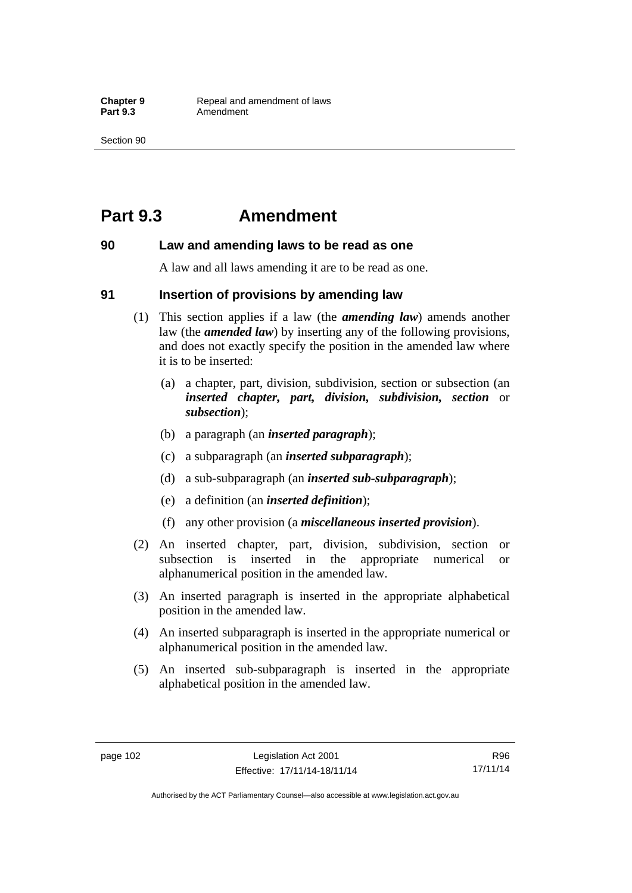## **Part 9.3 Amendment**

#### **90 Law and amending laws to be read as one**

A law and all laws amending it are to be read as one.

#### **91 Insertion of provisions by amending law**

- (1) This section applies if a law (the *amending law*) amends another law (the *amended law*) by inserting any of the following provisions, and does not exactly specify the position in the amended law where it is to be inserted:
	- (a) a chapter, part, division, subdivision, section or subsection (an *inserted chapter, part, division, subdivision, section* or *subsection*);
	- (b) a paragraph (an *inserted paragraph*);
	- (c) a subparagraph (an *inserted subparagraph*);
	- (d) a sub-subparagraph (an *inserted sub-subparagraph*);
	- (e) a definition (an *inserted definition*);
	- (f) any other provision (a *miscellaneous inserted provision*).
- (2) An inserted chapter, part, division, subdivision, section or subsection is inserted in the appropriate numerical or alphanumerical position in the amended law.
- (3) An inserted paragraph is inserted in the appropriate alphabetical position in the amended law.
- (4) An inserted subparagraph is inserted in the appropriate numerical or alphanumerical position in the amended law.
- (5) An inserted sub-subparagraph is inserted in the appropriate alphabetical position in the amended law.

R96 17/11/14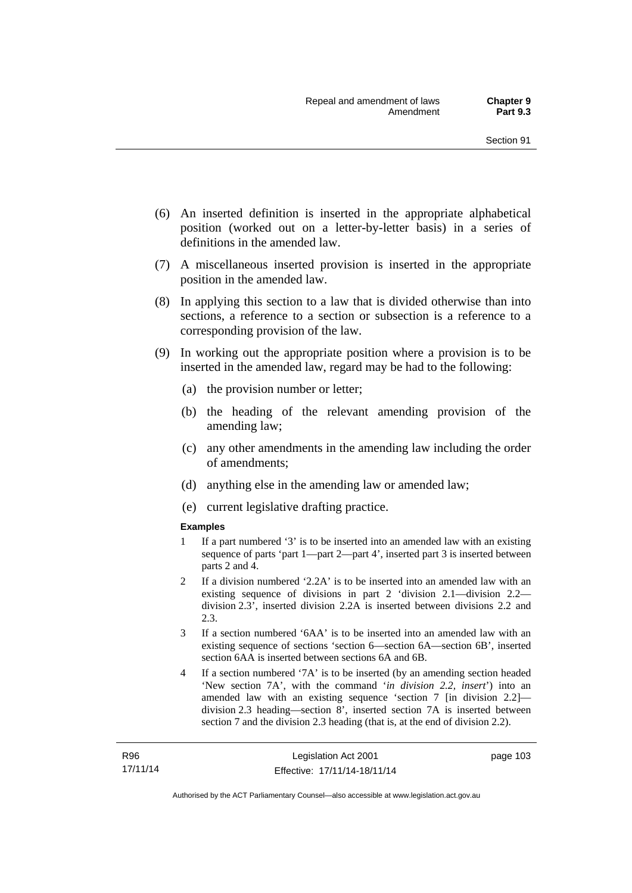- (6) An inserted definition is inserted in the appropriate alphabetical position (worked out on a letter-by-letter basis) in a series of definitions in the amended law.
- (7) A miscellaneous inserted provision is inserted in the appropriate position in the amended law.
- (8) In applying this section to a law that is divided otherwise than into sections, a reference to a section or subsection is a reference to a corresponding provision of the law.
- (9) In working out the appropriate position where a provision is to be inserted in the amended law, regard may be had to the following:
	- (a) the provision number or letter;
	- (b) the heading of the relevant amending provision of the amending law;
	- (c) any other amendments in the amending law including the order of amendments;
	- (d) anything else in the amending law or amended law;
	- (e) current legislative drafting practice.

#### **Examples**

- 1 If a part numbered '3' is to be inserted into an amended law with an existing sequence of parts 'part 1—part 2—part 4', inserted part 3 is inserted between parts 2 and 4.
- 2 If a division numbered '2.2A' is to be inserted into an amended law with an existing sequence of divisions in part 2 'division 2.1—division 2.2 division 2.3', inserted division 2.2A is inserted between divisions 2.2 and 2.3.
- 3 If a section numbered '6AA' is to be inserted into an amended law with an existing sequence of sections 'section 6—section 6A—section 6B', inserted section 6AA is inserted between sections 6A and 6B.
- 4 If a section numbered '7A' is to be inserted (by an amending section headed 'New section 7A', with the command '*in division 2.2, insert*') into an amended law with an existing sequence 'section 7 [in division 2.2] division 2.3 heading—section 8', inserted section 7A is inserted between section 7 and the division 2.3 heading (that is, at the end of division 2.2).

page 103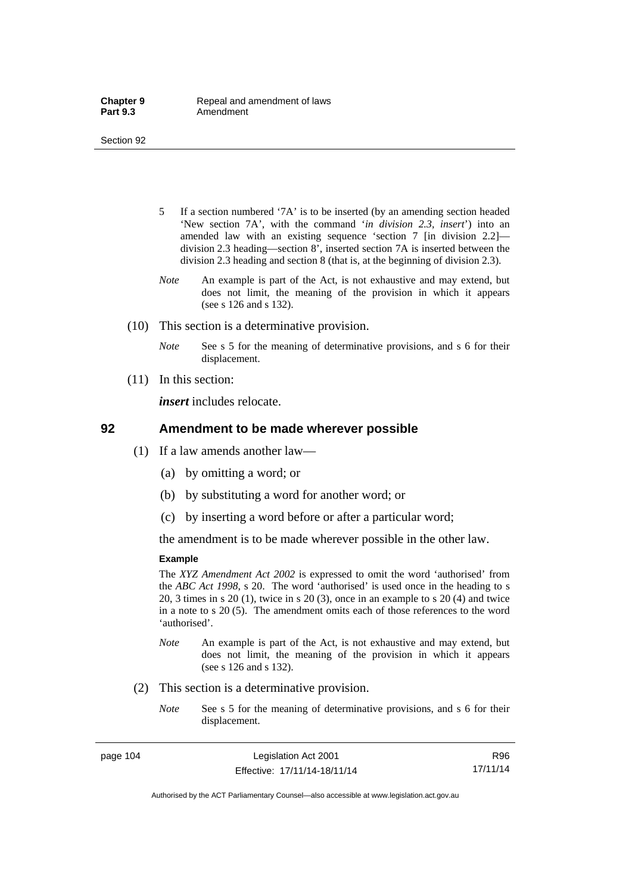- 5 If a section numbered '7A' is to be inserted (by an amending section headed 'New section 7A', with the command '*in division 2.3, insert*') into an amended law with an existing sequence 'section 7 [in division 2.2] division 2.3 heading—section 8', inserted section 7A is inserted between the division 2.3 heading and section 8 (that is, at the beginning of division 2.3).
- *Note* An example is part of the Act, is not exhaustive and may extend, but does not limit, the meaning of the provision in which it appears (see s 126 and s 132).
- (10) This section is a determinative provision.
	- *Note* See s 5 for the meaning of determinative provisions, and s 6 for their displacement.
- (11) In this section:

*insert* includes relocate.

#### **92 Amendment to be made wherever possible**

- (1) If a law amends another law—
	- (a) by omitting a word; or
	- (b) by substituting a word for another word; or
	- (c) by inserting a word before or after a particular word;

the amendment is to be made wherever possible in the other law.

#### **Example**

The *XYZ Amendment Act 2002* is expressed to omit the word 'authorised' from the *ABC Act 1998*, s 20. The word 'authorised' is used once in the heading to s 20, 3 times in s 20 (1), twice in s 20 (3), once in an example to s 20 (4) and twice in a note to s 20 (5). The amendment omits each of those references to the word 'authorised'.

- *Note* An example is part of the Act, is not exhaustive and may extend, but does not limit, the meaning of the provision in which it appears (see s 126 and s 132).
- (2) This section is a determinative provision.
	- *Note* See s 5 for the meaning of determinative provisions, and s 6 for their displacement.

R96 17/11/14

Authorised by the ACT Parliamentary Counsel—also accessible at www.legislation.act.gov.au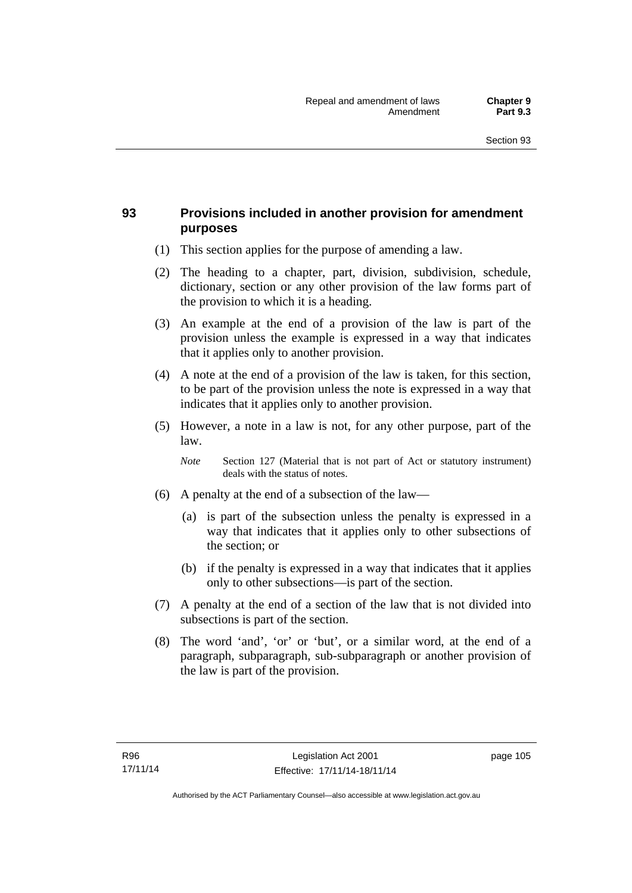## **93 Provisions included in another provision for amendment purposes**

- (1) This section applies for the purpose of amending a law.
- (2) The heading to a chapter, part, division, subdivision, schedule, dictionary, section or any other provision of the law forms part of the provision to which it is a heading.
- (3) An example at the end of a provision of the law is part of the provision unless the example is expressed in a way that indicates that it applies only to another provision.
- (4) A note at the end of a provision of the law is taken, for this section, to be part of the provision unless the note is expressed in a way that indicates that it applies only to another provision.
- (5) However, a note in a law is not, for any other purpose, part of the law.

*Note* Section 127 (Material that is not part of Act or statutory instrument) deals with the status of notes.

- (6) A penalty at the end of a subsection of the law—
	- (a) is part of the subsection unless the penalty is expressed in a way that indicates that it applies only to other subsections of the section; or
	- (b) if the penalty is expressed in a way that indicates that it applies only to other subsections—is part of the section.
- (7) A penalty at the end of a section of the law that is not divided into subsections is part of the section.
- (8) The word 'and', 'or' or 'but', or a similar word, at the end of a paragraph, subparagraph, sub-subparagraph or another provision of the law is part of the provision.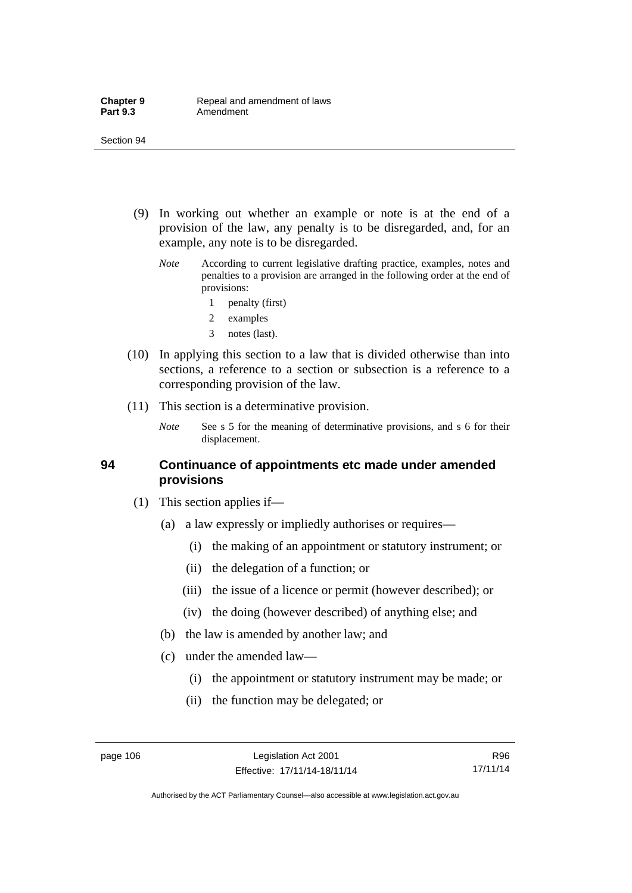- (9) In working out whether an example or note is at the end of a provision of the law, any penalty is to be disregarded, and, for an example, any note is to be disregarded.
	- *Note* According to current legislative drafting practice, examples, notes and penalties to a provision are arranged in the following order at the end of provisions:
		- 1 penalty (first)
		- 2 examples
		- 3 notes (last).
- (10) In applying this section to a law that is divided otherwise than into sections, a reference to a section or subsection is a reference to a corresponding provision of the law.
- (11) This section is a determinative provision.
	- *Note* See s 5 for the meaning of determinative provisions, and s 6 for their displacement.

#### **94 Continuance of appointments etc made under amended provisions**

- (1) This section applies if—
	- (a) a law expressly or impliedly authorises or requires—
		- (i) the making of an appointment or statutory instrument; or
		- (ii) the delegation of a function; or
		- (iii) the issue of a licence or permit (however described); or
		- (iv) the doing (however described) of anything else; and
	- (b) the law is amended by another law; and
	- (c) under the amended law—
		- (i) the appointment or statutory instrument may be made; or
		- (ii) the function may be delegated; or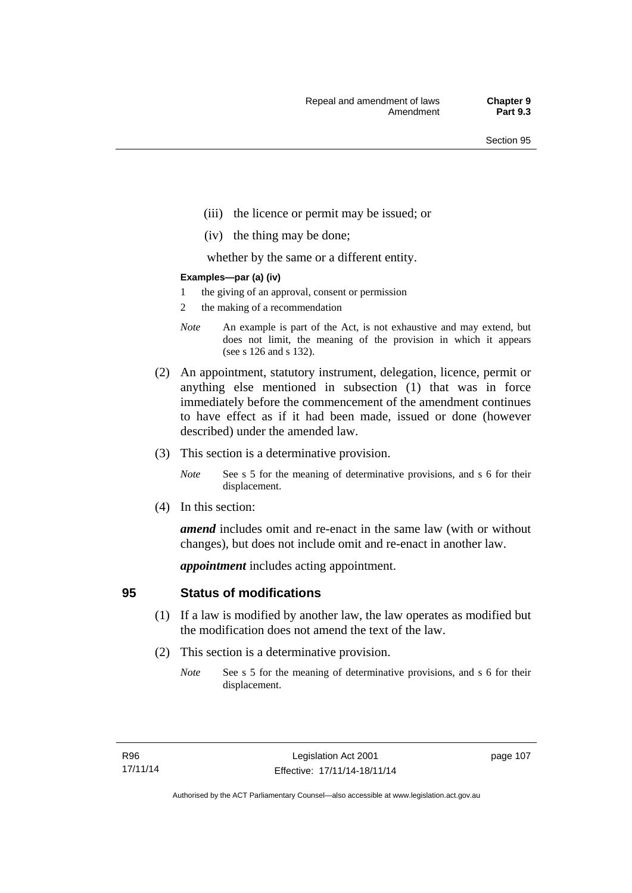- (iii) the licence or permit may be issued; or
- (iv) the thing may be done;

whether by the same or a different entity.

#### **Examples—par (a) (iv)**

- 1 the giving of an approval, consent or permission
- 2 the making of a recommendation
- *Note* An example is part of the Act, is not exhaustive and may extend, but does not limit, the meaning of the provision in which it appears (see s 126 and s 132).
- (2) An appointment, statutory instrument, delegation, licence, permit or anything else mentioned in subsection (1) that was in force immediately before the commencement of the amendment continues to have effect as if it had been made, issued or done (however described) under the amended law.
- (3) This section is a determinative provision.
	- *Note* See s 5 for the meaning of determinative provisions, and s 6 for their displacement.
- (4) In this section:

*amend* includes omit and re-enact in the same law (with or without changes), but does not include omit and re-enact in another law.

*appointment* includes acting appointment.

## **95 Status of modifications**

- (1) If a law is modified by another law, the law operates as modified but the modification does not amend the text of the law.
- (2) This section is a determinative provision.
	- *Note* See s 5 for the meaning of determinative provisions, and s 6 for their displacement.

page 107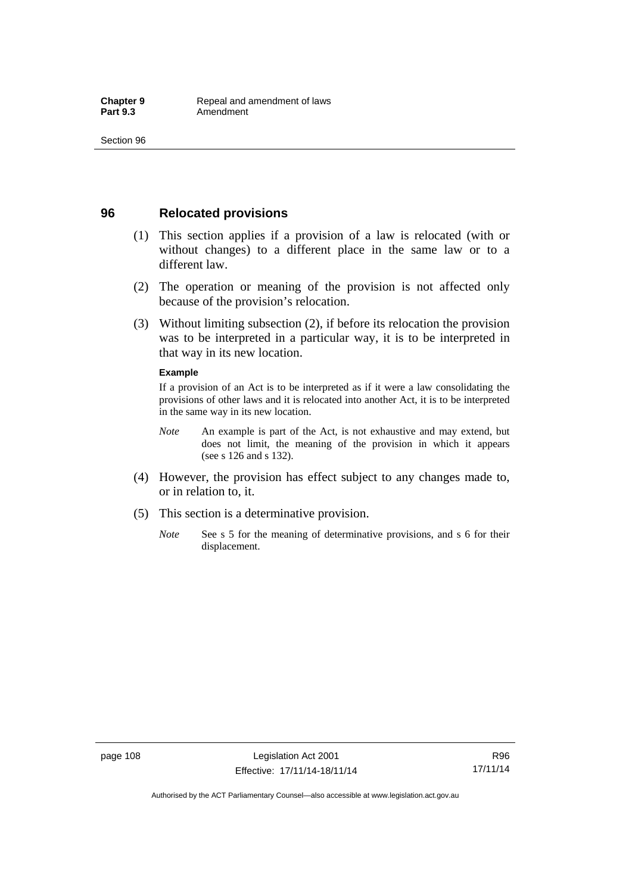## **96 Relocated provisions**

- (1) This section applies if a provision of a law is relocated (with or without changes) to a different place in the same law or to a different law.
- (2) The operation or meaning of the provision is not affected only because of the provision's relocation.
- (3) Without limiting subsection (2), if before its relocation the provision was to be interpreted in a particular way, it is to be interpreted in that way in its new location.

#### **Example**

If a provision of an Act is to be interpreted as if it were a law consolidating the provisions of other laws and it is relocated into another Act, it is to be interpreted in the same way in its new location.

- *Note* An example is part of the Act, is not exhaustive and may extend, but does not limit, the meaning of the provision in which it appears (see s 126 and s 132).
- (4) However, the provision has effect subject to any changes made to, or in relation to, it.
- (5) This section is a determinative provision.
	- *Note* See s 5 for the meaning of determinative provisions, and s 6 for their displacement.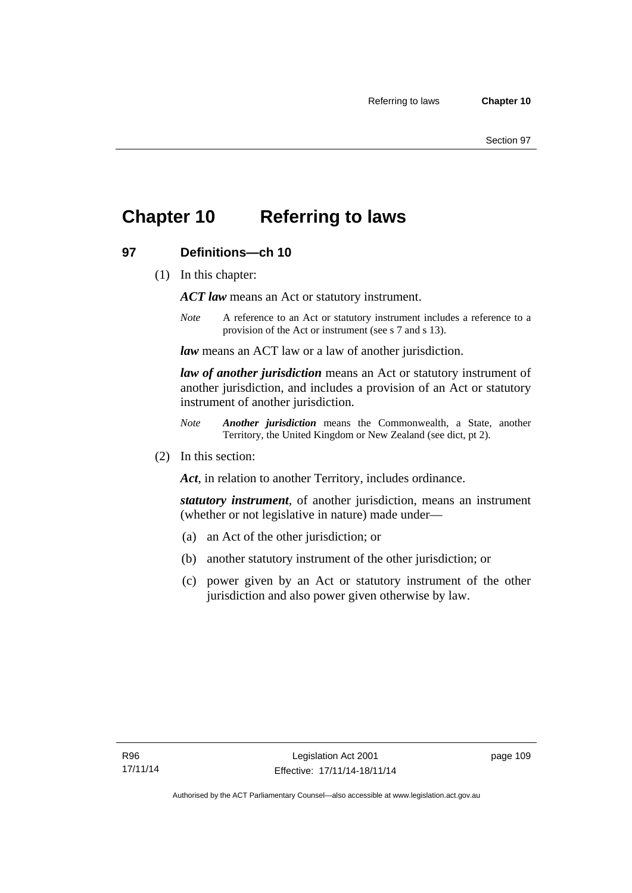## **Chapter 10 Referring to laws**

## **97 Definitions—ch 10**

(1) In this chapter:

*ACT law* means an Act or statutory instrument.

*Note* A reference to an Act or statutory instrument includes a reference to a provision of the Act or instrument (see s 7 and s 13).

*law* means an ACT law or a law of another jurisdiction.

*law of another jurisdiction* means an Act or statutory instrument of another jurisdiction, and includes a provision of an Act or statutory instrument of another jurisdiction.

- *Note Another jurisdiction* means the Commonwealth, a State, another Territory, the United Kingdom or New Zealand (see dict, pt 2).
- (2) In this section:

*Act*, in relation to another Territory, includes ordinance.

*statutory instrument*, of another jurisdiction, means an instrument (whether or not legislative in nature) made under—

- (a) an Act of the other jurisdiction; or
- (b) another statutory instrument of the other jurisdiction; or
- (c) power given by an Act or statutory instrument of the other jurisdiction and also power given otherwise by law.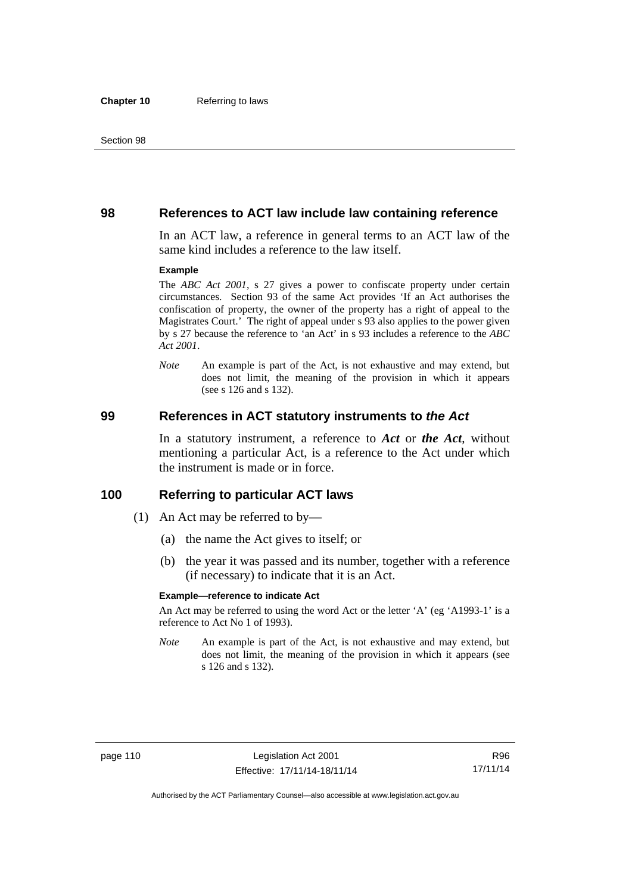#### **98 References to ACT law include law containing reference**

In an ACT law, a reference in general terms to an ACT law of the same kind includes a reference to the law itself.

#### **Example**

The *ABC Act 2001*, s 27 gives a power to confiscate property under certain circumstances. Section 93 of the same Act provides 'If an Act authorises the confiscation of property, the owner of the property has a right of appeal to the Magistrates Court.' The right of appeal under s 93 also applies to the power given by s 27 because the reference to 'an Act' in s 93 includes a reference to the *ABC Act 2001*.

*Note* An example is part of the Act, is not exhaustive and may extend, but does not limit, the meaning of the provision in which it appears (see s 126 and s 132).

#### **99 References in ACT statutory instruments to** *the Act*

In a statutory instrument, a reference to *Act* or *the Act*, without mentioning a particular Act, is a reference to the Act under which the instrument is made or in force.

#### **100 Referring to particular ACT laws**

- (1) An Act may be referred to by—
	- (a) the name the Act gives to itself; or
	- (b) the year it was passed and its number, together with a reference (if necessary) to indicate that it is an Act.

#### **Example—reference to indicate Act**

An Act may be referred to using the word Act or the letter 'A' (eg 'A1993-1' is a reference to Act No 1 of 1993).

*Note* An example is part of the Act, is not exhaustive and may extend, but does not limit, the meaning of the provision in which it appears (see s 126 and s 132).

R96 17/11/14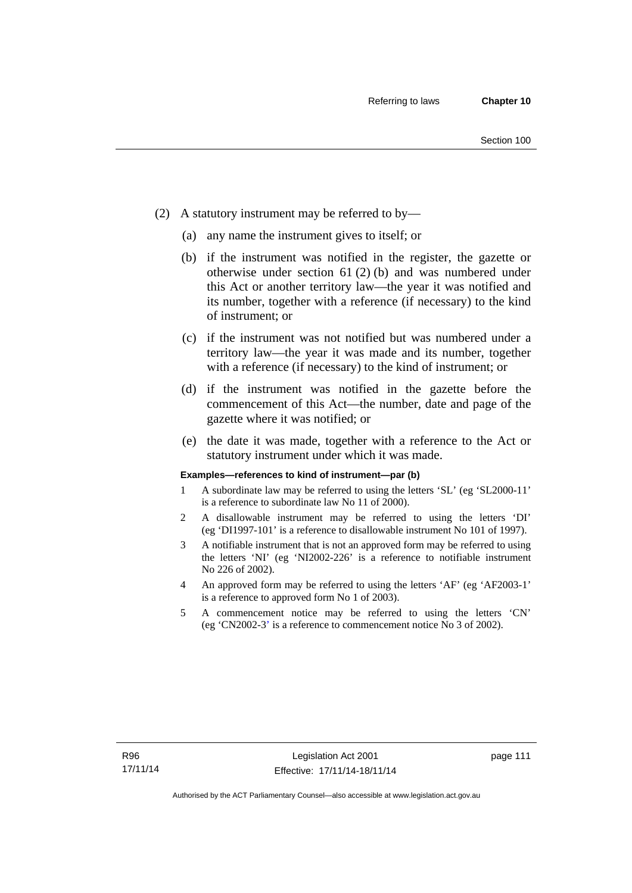- (2) A statutory instrument may be referred to by—
	- (a) any name the instrument gives to itself; or
	- (b) if the instrument was notified in the register, the gazette or otherwise under section 61 (2) (b) and was numbered under this Act or another territory law—the year it was notified and its number, together with a reference (if necessary) to the kind of instrument; or
	- (c) if the instrument was not notified but was numbered under a territory law—the year it was made and its number, together with a reference (if necessary) to the kind of instrument; or
	- (d) if the instrument was notified in the gazette before the commencement of this Act—the number, date and page of the gazette where it was notified; or
	- (e) the date it was made, together with a reference to the Act or statutory instrument under which it was made.

#### **Examples—references to kind of instrument—par (b)**

- 1 A subordinate law may be referred to using the letters 'SL' (eg 'SL2000-11' is a reference to subordinate law No 11 of 2000).
- 2 A disallowable instrument may be referred to using the letters 'DI' (eg 'DI1997-101' is a reference to disallowable instrument No 101 of 1997).
- 3 A notifiable instrument that is not an approved form may be referred to using the letters 'NI' (eg 'NI2002-226' is a reference to notifiable instrument No 226 of 2002).
- 4 An approved form may be referred to using the letters 'AF' (eg 'AF2003-1' is a reference to approved form No 1 of 2003).
- 5 A commencement notice may be referred to using the letters 'CN' (eg 'CN2002-3' is a reference to commencement notice No 3 of 2002).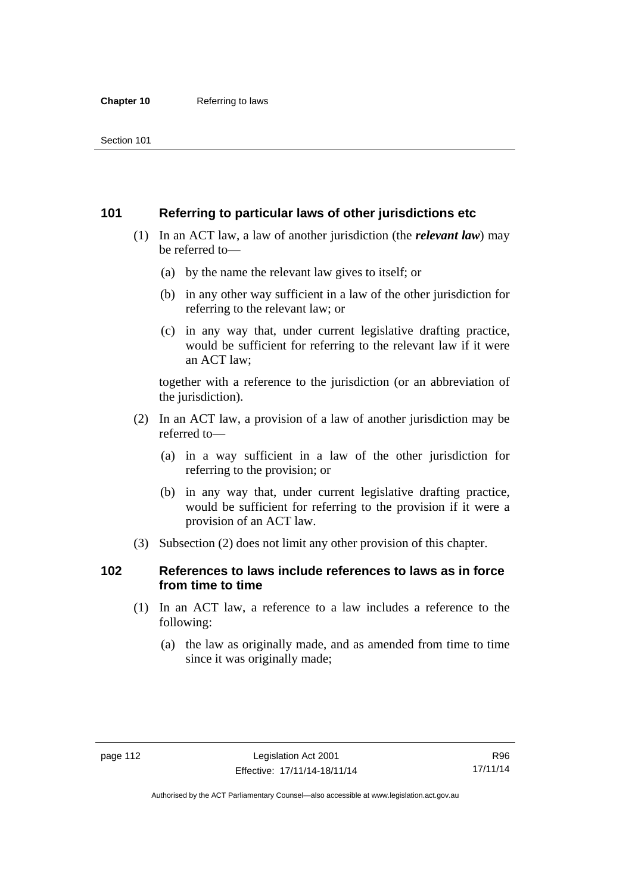## **101 Referring to particular laws of other jurisdictions etc**

- (1) In an ACT law, a law of another jurisdiction (the *relevant law*) may be referred to—
	- (a) by the name the relevant law gives to itself; or
	- (b) in any other way sufficient in a law of the other jurisdiction for referring to the relevant law; or
	- (c) in any way that, under current legislative drafting practice, would be sufficient for referring to the relevant law if it were an ACT law;

together with a reference to the jurisdiction (or an abbreviation of the jurisdiction).

- (2) In an ACT law, a provision of a law of another jurisdiction may be referred to—
	- (a) in a way sufficient in a law of the other jurisdiction for referring to the provision; or
	- (b) in any way that, under current legislative drafting practice, would be sufficient for referring to the provision if it were a provision of an ACT law.
- (3) Subsection (2) does not limit any other provision of this chapter.

## **102 References to laws include references to laws as in force from time to time**

- (1) In an ACT law, a reference to a law includes a reference to the following:
	- (a) the law as originally made, and as amended from time to time since it was originally made;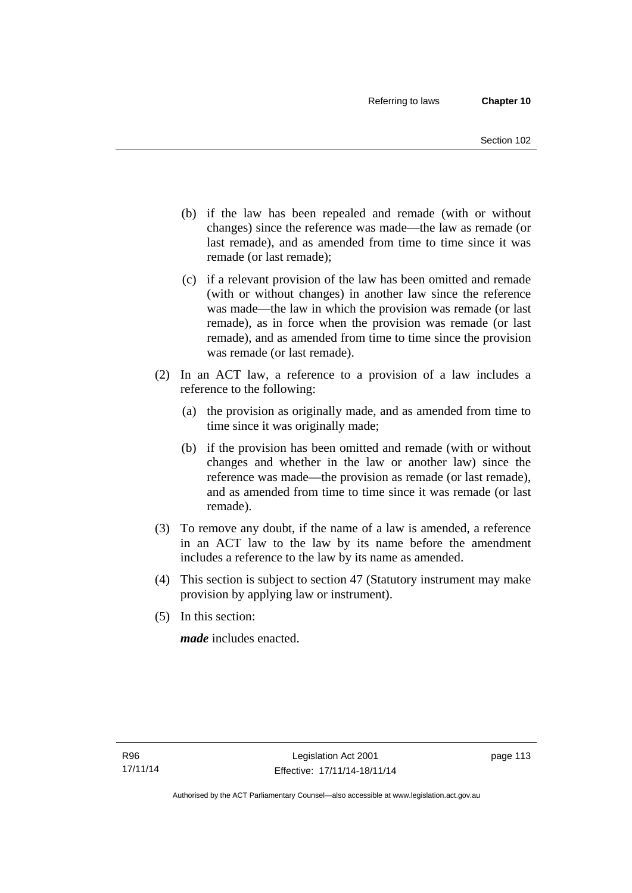- (b) if the law has been repealed and remade (with or without changes) since the reference was made—the law as remade (or last remade), and as amended from time to time since it was remade (or last remade);
- (c) if a relevant provision of the law has been omitted and remade (with or without changes) in another law since the reference was made—the law in which the provision was remade (or last remade), as in force when the provision was remade (or last remade), and as amended from time to time since the provision was remade (or last remade).
- (2) In an ACT law, a reference to a provision of a law includes a reference to the following:
	- (a) the provision as originally made, and as amended from time to time since it was originally made;
	- (b) if the provision has been omitted and remade (with or without changes and whether in the law or another law) since the reference was made—the provision as remade (or last remade), and as amended from time to time since it was remade (or last remade).
- (3) To remove any doubt, if the name of a law is amended, a reference in an ACT law to the law by its name before the amendment includes a reference to the law by its name as amended.
- (4) This section is subject to section 47 (Statutory instrument may make provision by applying law or instrument).
- (5) In this section:

*made* includes enacted.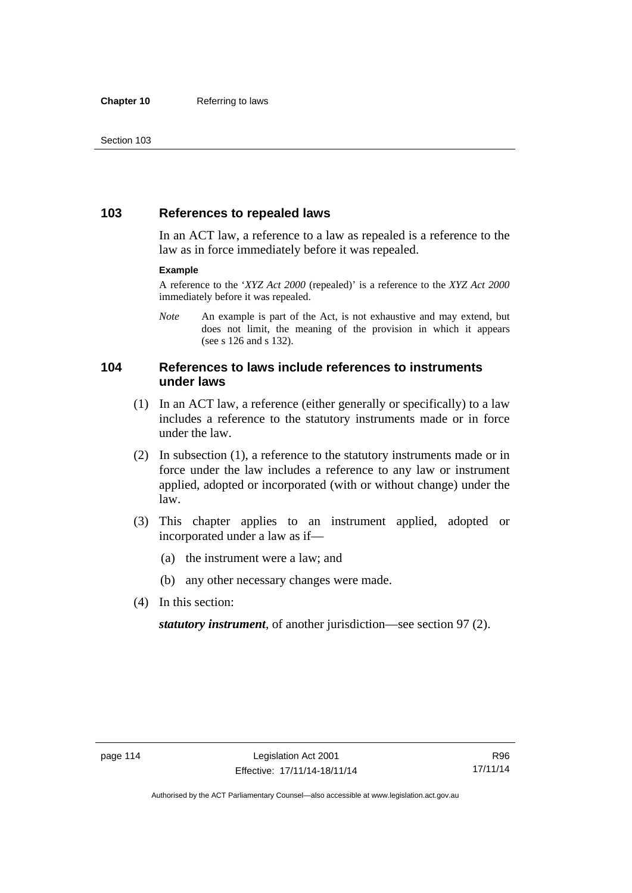## **103 References to repealed laws**

In an ACT law, a reference to a law as repealed is a reference to the law as in force immediately before it was repealed.

#### **Example**

A reference to the '*XYZ Act 2000* (repealed)' is a reference to the *XYZ Act 2000* immediately before it was repealed.

*Note* An example is part of the Act, is not exhaustive and may extend, but does not limit, the meaning of the provision in which it appears (see s 126 and s 132).

## **104 References to laws include references to instruments under laws**

- (1) In an ACT law, a reference (either generally or specifically) to a law includes a reference to the statutory instruments made or in force under the law.
- (2) In subsection (1), a reference to the statutory instruments made or in force under the law includes a reference to any law or instrument applied, adopted or incorporated (with or without change) under the law.
- (3) This chapter applies to an instrument applied, adopted or incorporated under a law as if—
	- (a) the instrument were a law; and
	- (b) any other necessary changes were made.
- (4) In this section:

*statutory instrument*, of another jurisdiction—see section 97 (2).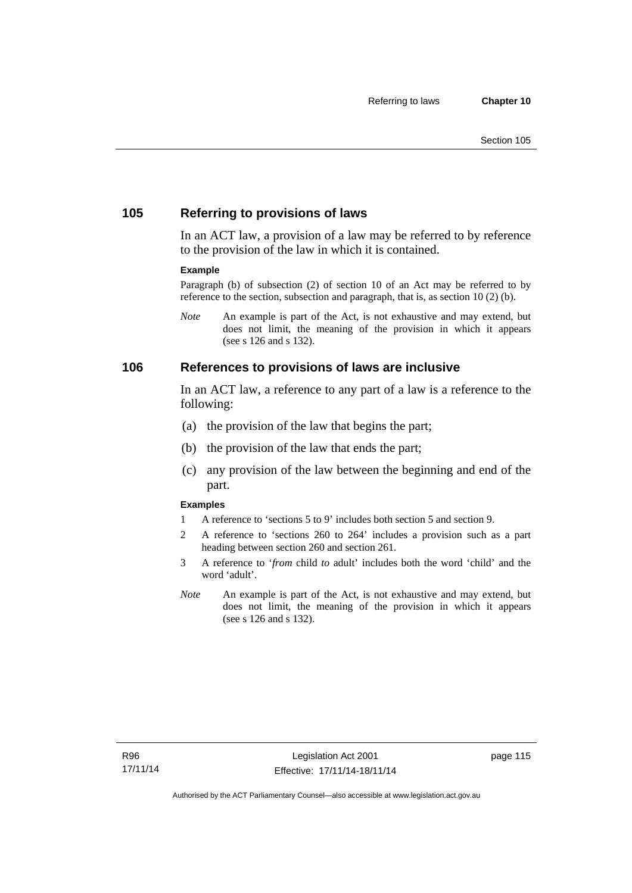## **105 Referring to provisions of laws**

In an ACT law, a provision of a law may be referred to by reference to the provision of the law in which it is contained.

#### **Example**

Paragraph (b) of subsection (2) of section 10 of an Act may be referred to by reference to the section, subsection and paragraph, that is, as section 10 (2) (b).

*Note* An example is part of the Act, is not exhaustive and may extend, but does not limit, the meaning of the provision in which it appears (see s 126 and s 132).

#### **106 References to provisions of laws are inclusive**

In an ACT law, a reference to any part of a law is a reference to the following:

- (a) the provision of the law that begins the part;
- (b) the provision of the law that ends the part;
- (c) any provision of the law between the beginning and end of the part.

#### **Examples**

- 1 A reference to 'sections 5 to 9' includes both section 5 and section 9.
- 2 A reference to 'sections 260 to 264' includes a provision such as a part heading between section 260 and section 261.
- 3 A reference to '*from* child *to* adult' includes both the word 'child' and the word 'adult'.
- *Note* An example is part of the Act, is not exhaustive and may extend, but does not limit, the meaning of the provision in which it appears (see s 126 and s 132).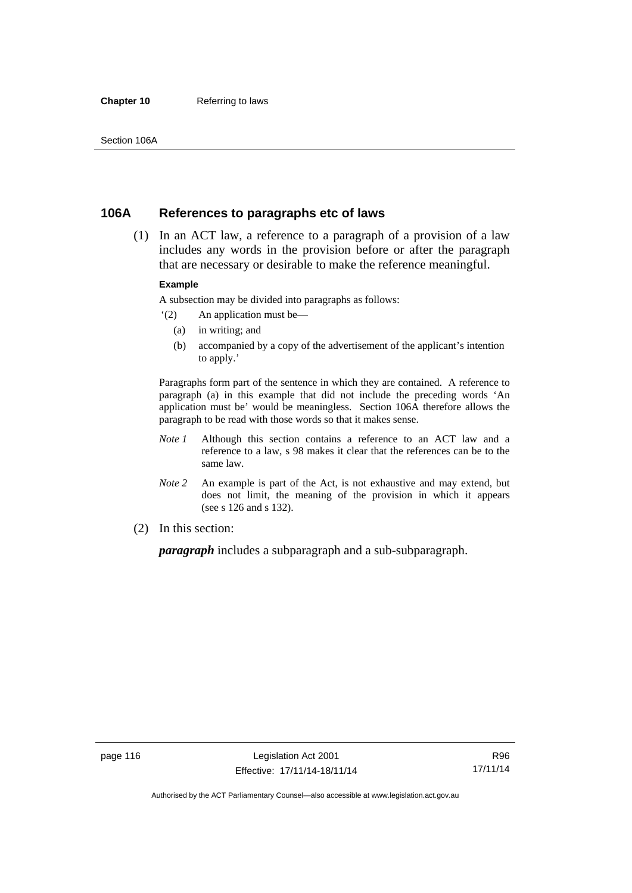#### **Chapter 10** Referring to laws

## **106A References to paragraphs etc of laws**

 (1) In an ACT law, a reference to a paragraph of a provision of a law includes any words in the provision before or after the paragraph that are necessary or desirable to make the reference meaningful.

#### **Example**

A subsection may be divided into paragraphs as follows:

- '(2) An application must be—
	- (a) in writing; and
	- (b) accompanied by a copy of the advertisement of the applicant's intention to apply.'

Paragraphs form part of the sentence in which they are contained. A reference to paragraph (a) in this example that did not include the preceding words 'An application must be' would be meaningless. Section 106A therefore allows the paragraph to be read with those words so that it makes sense.

- *Note 1* Although this section contains a reference to an ACT law and a reference to a law, s 98 makes it clear that the references can be to the same law.
- *Note 2* An example is part of the Act, is not exhaustive and may extend, but does not limit, the meaning of the provision in which it appears (see s 126 and s 132).
- (2) In this section:

*paragraph* includes a subparagraph and a sub-subparagraph.

R96 17/11/14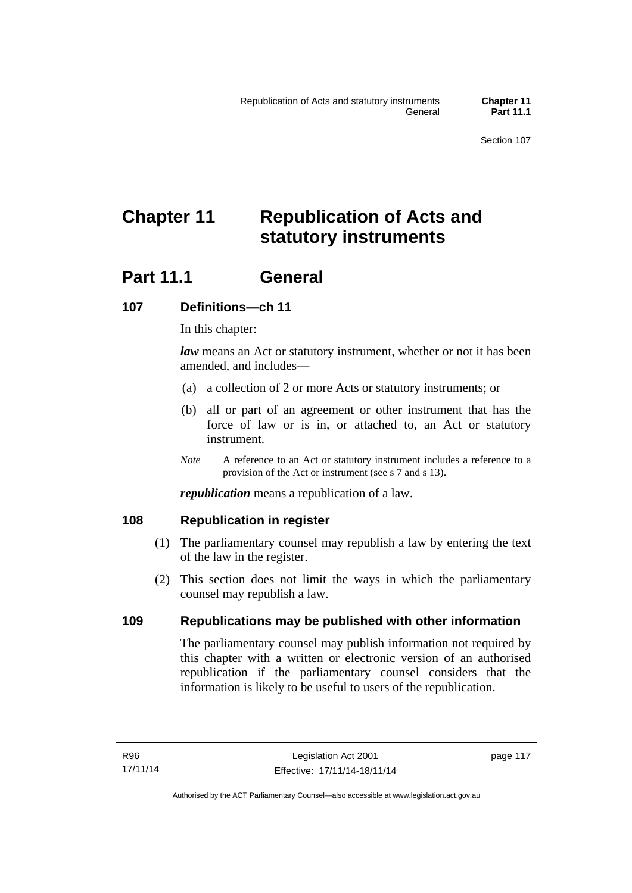# **Chapter 11 Republication of Acts and statutory instruments**

## **Part 11.1 General**

## **107 Definitions—ch 11**

In this chapter:

*law* means an Act or statutory instrument, whether or not it has been amended, and includes—

- (a) a collection of 2 or more Acts or statutory instruments; or
- (b) all or part of an agreement or other instrument that has the force of law or is in, or attached to, an Act or statutory instrument.
- *Note* A reference to an Act or statutory instrument includes a reference to a provision of the Act or instrument (see s 7 and s 13).

*republication* means a republication of a law.

## **108 Republication in register**

- (1) The parliamentary counsel may republish a law by entering the text of the law in the register.
- (2) This section does not limit the ways in which the parliamentary counsel may republish a law.

## **109 Republications may be published with other information**

The parliamentary counsel may publish information not required by this chapter with a written or electronic version of an authorised republication if the parliamentary counsel considers that the information is likely to be useful to users of the republication.

page 117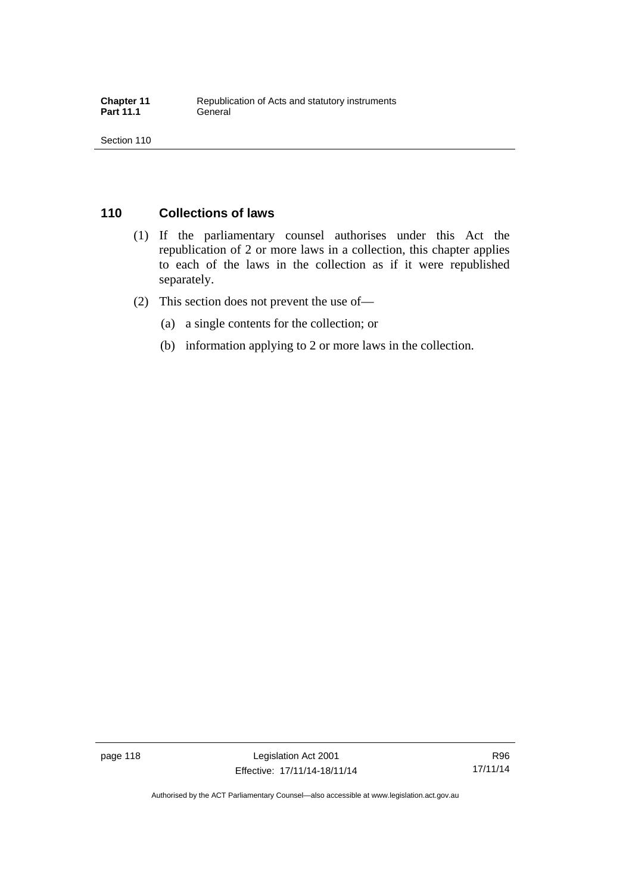## **110 Collections of laws**

- (1) If the parliamentary counsel authorises under this Act the republication of 2 or more laws in a collection, this chapter applies to each of the laws in the collection as if it were republished separately.
- (2) This section does not prevent the use of—
	- (a) a single contents for the collection; or
	- (b) information applying to 2 or more laws in the collection.

page 118 Legislation Act 2001 Effective: 17/11/14-18/11/14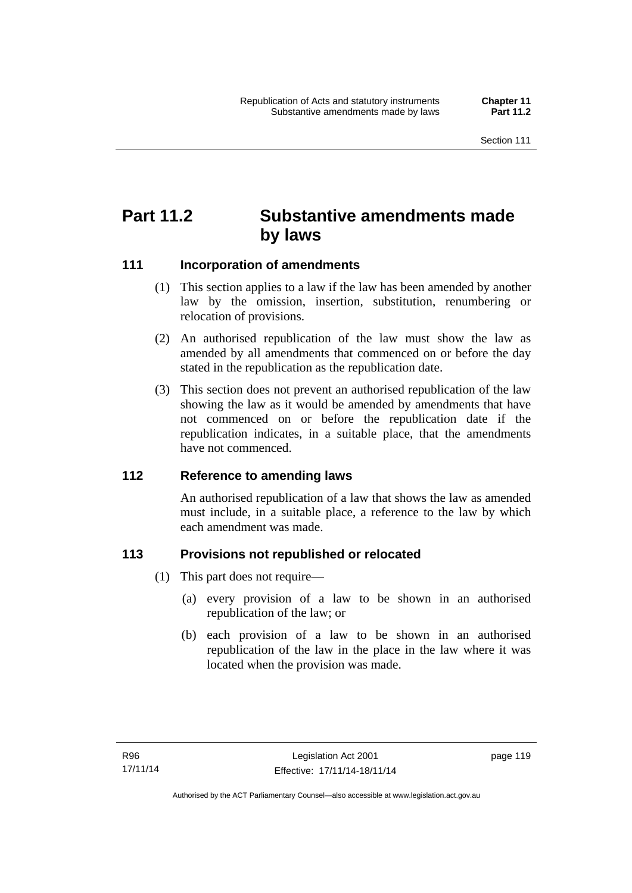## **Part 11.2 Substantive amendments made by laws**

## **111 Incorporation of amendments**

- (1) This section applies to a law if the law has been amended by another law by the omission, insertion, substitution, renumbering or relocation of provisions.
- (2) An authorised republication of the law must show the law as amended by all amendments that commenced on or before the day stated in the republication as the republication date.
- (3) This section does not prevent an authorised republication of the law showing the law as it would be amended by amendments that have not commenced on or before the republication date if the republication indicates, in a suitable place, that the amendments have not commenced.

## **112 Reference to amending laws**

An authorised republication of a law that shows the law as amended must include, in a suitable place, a reference to the law by which each amendment was made.

## **113 Provisions not republished or relocated**

- (1) This part does not require—
	- (a) every provision of a law to be shown in an authorised republication of the law; or
	- (b) each provision of a law to be shown in an authorised republication of the law in the place in the law where it was located when the provision was made.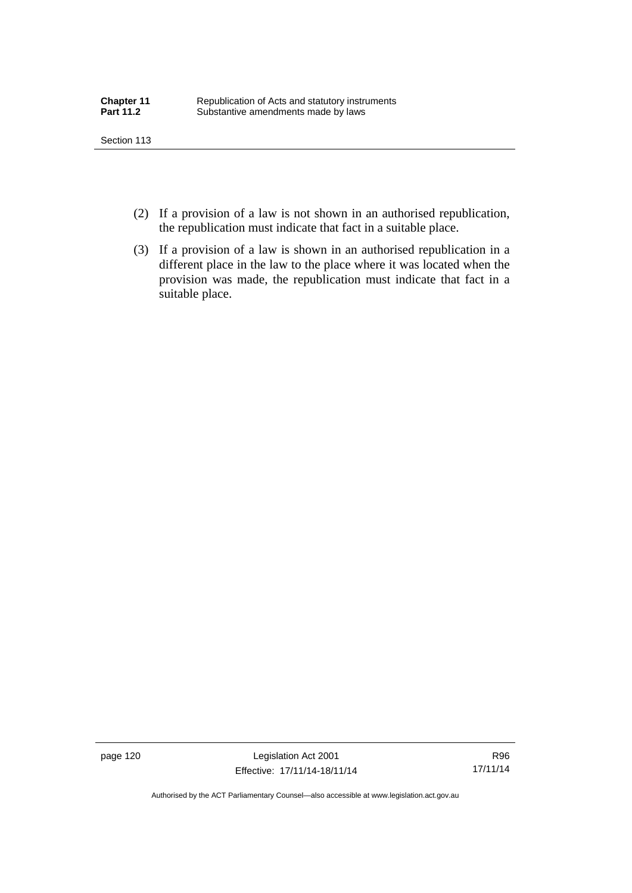- (2) If a provision of a law is not shown in an authorised republication, the republication must indicate that fact in a suitable place.
- (3) If a provision of a law is shown in an authorised republication in a different place in the law to the place where it was located when the provision was made, the republication must indicate that fact in a suitable place.

page 120 Legislation Act 2001 Effective: 17/11/14-18/11/14

R96 17/11/14

Authorised by the ACT Parliamentary Counsel—also accessible at www.legislation.act.gov.au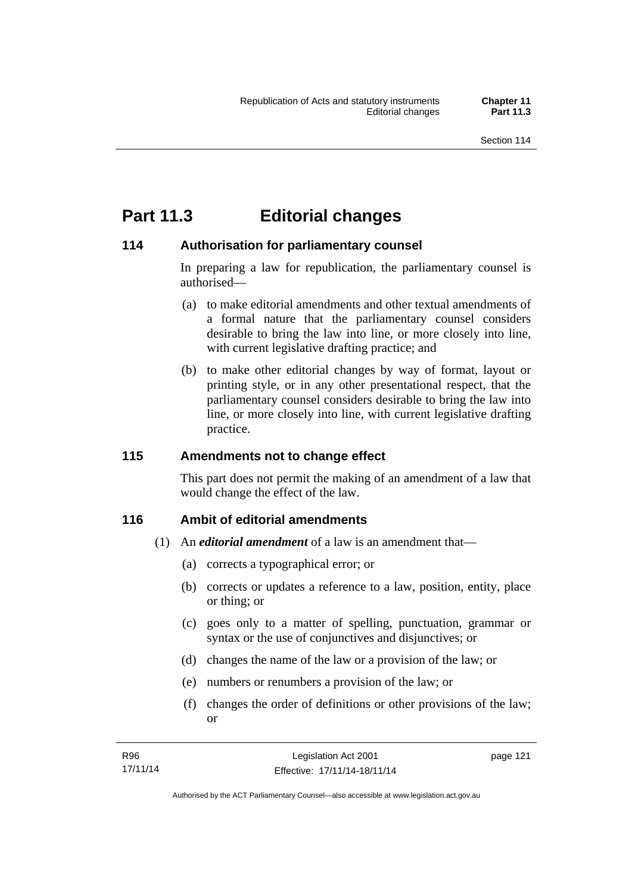## **Part 11.3 Editorial changes**

## **114 Authorisation for parliamentary counsel**

In preparing a law for republication, the parliamentary counsel is authorised—

- (a) to make editorial amendments and other textual amendments of a formal nature that the parliamentary counsel considers desirable to bring the law into line, or more closely into line, with current legislative drafting practice; and
- (b) to make other editorial changes by way of format, layout or printing style, or in any other presentational respect, that the parliamentary counsel considers desirable to bring the law into line, or more closely into line, with current legislative drafting practice.

## **115 Amendments not to change effect**

This part does not permit the making of an amendment of a law that would change the effect of the law.

## **116 Ambit of editorial amendments**

- (1) An *editorial amendment* of a law is an amendment that—
	- (a) corrects a typographical error; or
	- (b) corrects or updates a reference to a law, position, entity, place or thing; or
	- (c) goes only to a matter of spelling, punctuation, grammar or syntax or the use of conjunctives and disjunctives; or
	- (d) changes the name of the law or a provision of the law; or
	- (e) numbers or renumbers a provision of the law; or
	- (f) changes the order of definitions or other provisions of the law; or

page 121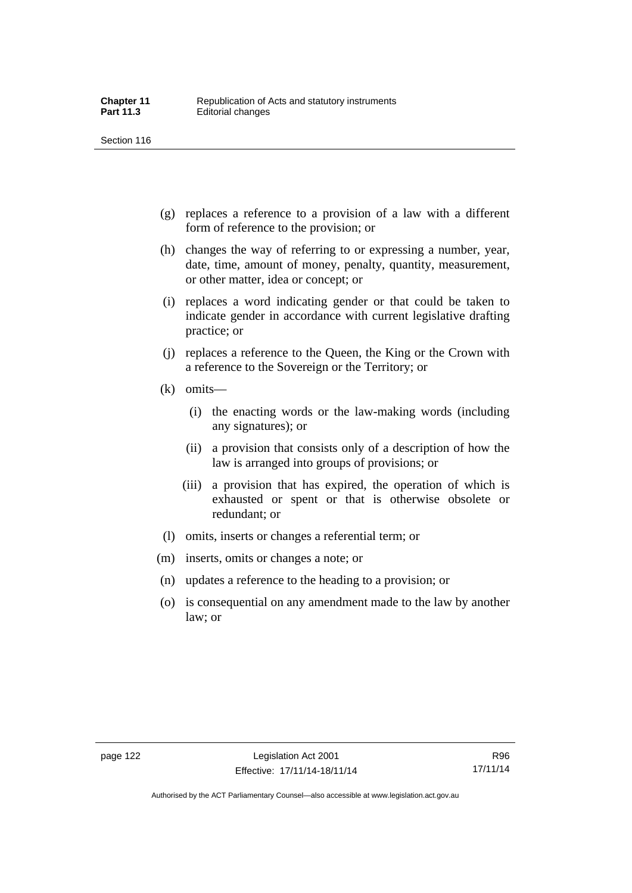- (g) replaces a reference to a provision of a law with a different form of reference to the provision; or
- (h) changes the way of referring to or expressing a number, year, date, time, amount of money, penalty, quantity, measurement, or other matter, idea or concept; or
- (i) replaces a word indicating gender or that could be taken to indicate gender in accordance with current legislative drafting practice; or
- (j) replaces a reference to the Queen, the King or the Crown with a reference to the Sovereign or the Territory; or
- (k) omits—
	- (i) the enacting words or the law-making words (including any signatures); or
	- (ii) a provision that consists only of a description of how the law is arranged into groups of provisions; or
	- (iii) a provision that has expired, the operation of which is exhausted or spent or that is otherwise obsolete or redundant; or
- (l) omits, inserts or changes a referential term; or
- (m) inserts, omits or changes a note; or
- (n) updates a reference to the heading to a provision; or
- (o) is consequential on any amendment made to the law by another law; or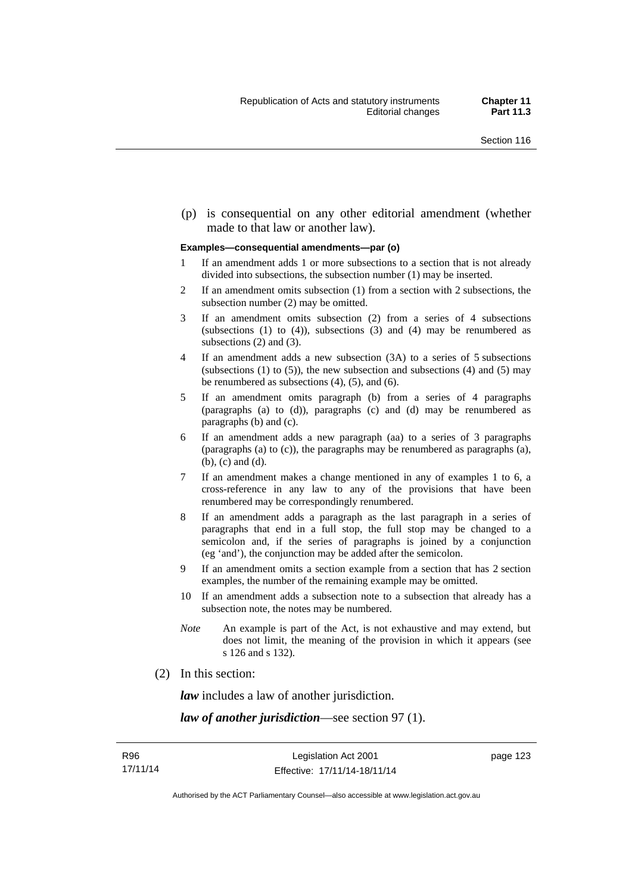(p) is consequential on any other editorial amendment (whether made to that law or another law).

#### **Examples—consequential amendments—par (o)**

- 1 If an amendment adds 1 or more subsections to a section that is not already divided into subsections, the subsection number (1) may be inserted.
- 2 If an amendment omits subsection (1) from a section with 2 subsections, the subsection number (2) may be omitted.
- 3 If an amendment omits subsection (2) from a series of 4 subsections (subsections  $(1)$  to  $(4)$ ), subsections  $(3)$  and  $(4)$  may be renumbered as subsections (2) and (3).
- 4 If an amendment adds a new subsection (3A) to a series of 5 subsections (subsections  $(1)$  to  $(5)$ ), the new subsection and subsections  $(4)$  and  $(5)$  may be renumbered as subsections (4), (5), and (6).
- 5 If an amendment omits paragraph (b) from a series of 4 paragraphs (paragraphs (a) to (d)), paragraphs (c) and (d) may be renumbered as paragraphs (b) and (c).
- 6 If an amendment adds a new paragraph (aa) to a series of 3 paragraphs (paragraphs (a) to (c)), the paragraphs may be renumbered as paragraphs (a), (b), (c) and (d).
- 7 If an amendment makes a change mentioned in any of examples 1 to 6, a cross-reference in any law to any of the provisions that have been renumbered may be correspondingly renumbered.
- 8 If an amendment adds a paragraph as the last paragraph in a series of paragraphs that end in a full stop, the full stop may be changed to a semicolon and, if the series of paragraphs is joined by a conjunction (eg 'and'), the conjunction may be added after the semicolon.
- 9 If an amendment omits a section example from a section that has 2 section examples, the number of the remaining example may be omitted.
- 10 If an amendment adds a subsection note to a subsection that already has a subsection note, the notes may be numbered.
- *Note* An example is part of the Act, is not exhaustive and may extend, but does not limit, the meaning of the provision in which it appears (see s 126 and s 132).
- (2) In this section:

*law* includes a law of another jurisdiction.

*law of another jurisdiction*—see section 97 (1).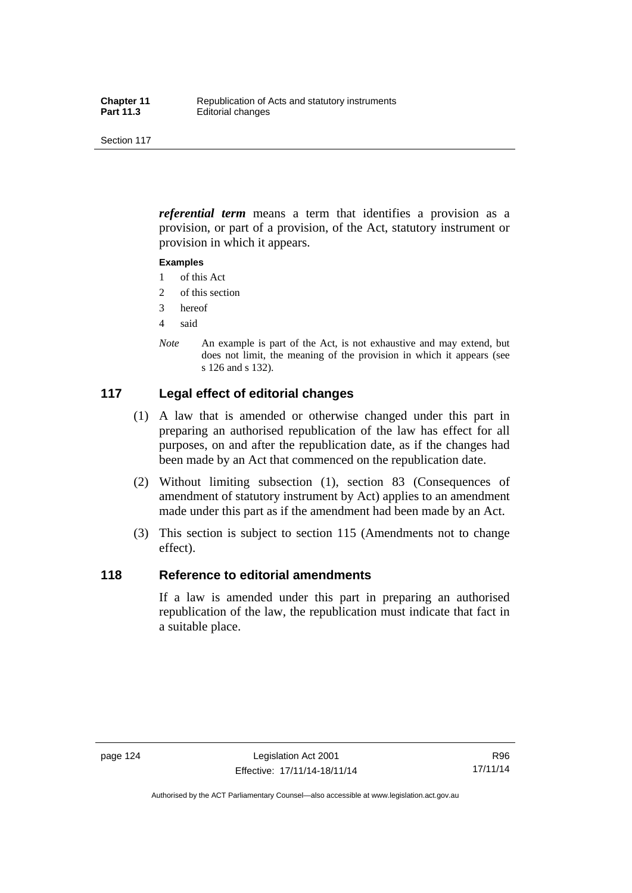*referential term* means a term that identifies a provision as a provision, or part of a provision, of the Act, statutory instrument or provision in which it appears.

#### **Examples**

- 1 of this Act
- 2 of this section
- 3 hereof
- 4 said
- *Note* An example is part of the Act, is not exhaustive and may extend, but does not limit, the meaning of the provision in which it appears (see s 126 and s 132).

## **117 Legal effect of editorial changes**

- (1) A law that is amended or otherwise changed under this part in preparing an authorised republication of the law has effect for all purposes, on and after the republication date, as if the changes had been made by an Act that commenced on the republication date.
- (2) Without limiting subsection (1), section 83 (Consequences of amendment of statutory instrument by Act) applies to an amendment made under this part as if the amendment had been made by an Act.
- (3) This section is subject to section 115 (Amendments not to change effect).

## **118 Reference to editorial amendments**

If a law is amended under this part in preparing an authorised republication of the law, the republication must indicate that fact in a suitable place.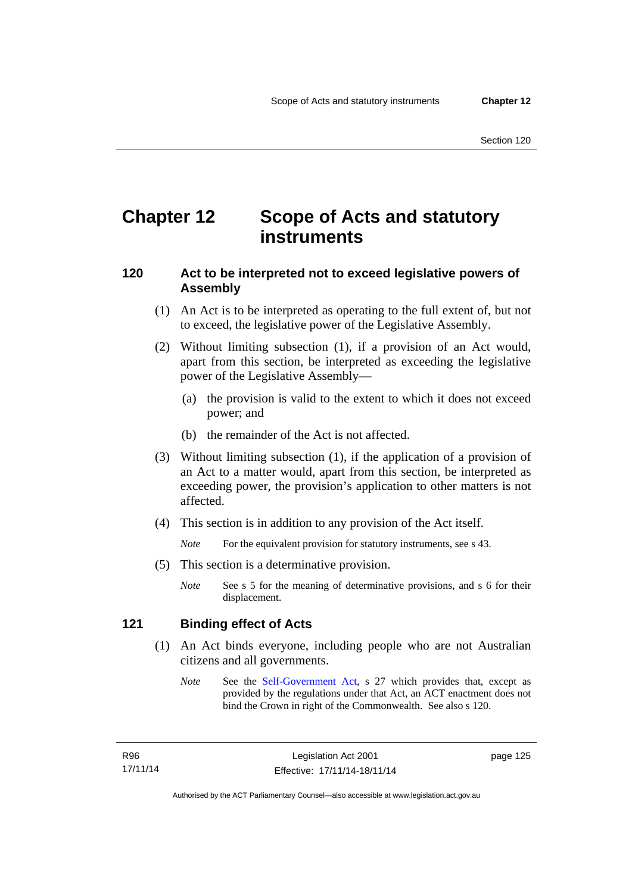## **Chapter 12 Scope of Acts and statutory instruments**

## **120 Act to be interpreted not to exceed legislative powers of Assembly**

- (1) An Act is to be interpreted as operating to the full extent of, but not to exceed, the legislative power of the Legislative Assembly.
- (2) Without limiting subsection (1), if a provision of an Act would, apart from this section, be interpreted as exceeding the legislative power of the Legislative Assembly—
	- (a) the provision is valid to the extent to which it does not exceed power; and
	- (b) the remainder of the Act is not affected.
- (3) Without limiting subsection (1), if the application of a provision of an Act to a matter would, apart from this section, be interpreted as exceeding power, the provision's application to other matters is not affected.
- (4) This section is in addition to any provision of the Act itself.

*Note* For the equivalent provision for statutory instruments, see s 43.

- (5) This section is a determinative provision.
	- *Note* See s 5 for the meaning of determinative provisions, and s 6 for their displacement.

## **121 Binding effect of Acts**

- (1) An Act binds everyone, including people who are not Australian citizens and all governments.
	- *Note* See the [Self-Government Act](http://www.comlaw.gov.au/Series/C2004A03699), s 27 which provides that, except as provided by the regulations under that Act, an ACT enactment does not bind the Crown in right of the Commonwealth. See also s 120.

page 125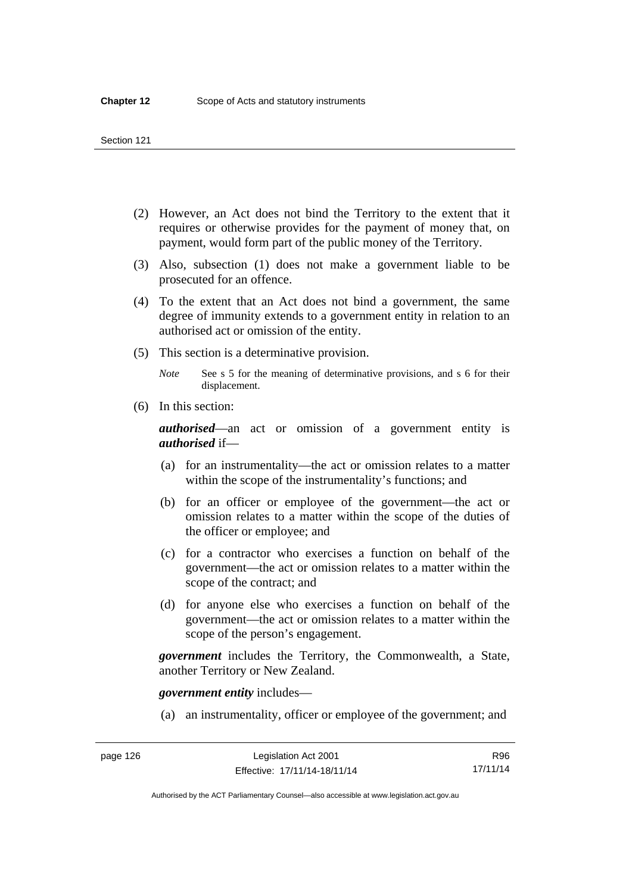- (2) However, an Act does not bind the Territory to the extent that it requires or otherwise provides for the payment of money that, on payment, would form part of the public money of the Territory.
- (3) Also, subsection (1) does not make a government liable to be prosecuted for an offence.
- (4) To the extent that an Act does not bind a government, the same degree of immunity extends to a government entity in relation to an authorised act or omission of the entity.
- (5) This section is a determinative provision.

*Note* See s 5 for the meaning of determinative provisions, and s 6 for their displacement.

(6) In this section:

*authorised*—an act or omission of a government entity is *authorised* if—

- (a) for an instrumentality—the act or omission relates to a matter within the scope of the instrumentality's functions; and
- (b) for an officer or employee of the government—the act or omission relates to a matter within the scope of the duties of the officer or employee; and
- (c) for a contractor who exercises a function on behalf of the government—the act or omission relates to a matter within the scope of the contract; and
- (d) for anyone else who exercises a function on behalf of the government—the act or omission relates to a matter within the scope of the person's engagement.

*government* includes the Territory, the Commonwealth, a State, another Territory or New Zealand.

*government entity* includes—

(a) an instrumentality, officer or employee of the government; and

Authorised by the ACT Parliamentary Counsel—also accessible at www.legislation.act.gov.au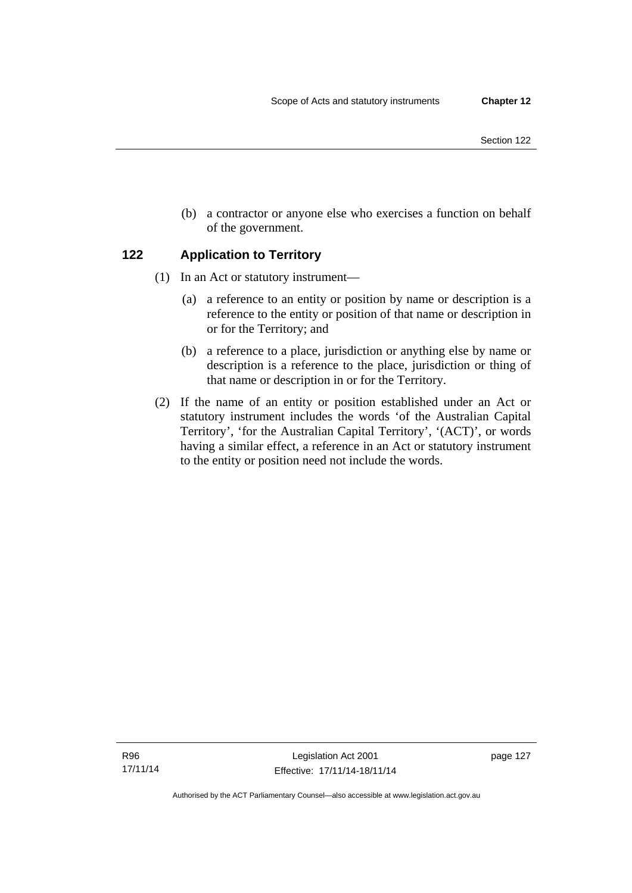- Section 122
- (b) a contractor or anyone else who exercises a function on behalf of the government.

## **122 Application to Territory**

- (1) In an Act or statutory instrument—
	- (a) a reference to an entity or position by name or description is a reference to the entity or position of that name or description in or for the Territory; and
	- (b) a reference to a place, jurisdiction or anything else by name or description is a reference to the place, jurisdiction or thing of that name or description in or for the Territory.
- (2) If the name of an entity or position established under an Act or statutory instrument includes the words 'of the Australian Capital Territory', 'for the Australian Capital Territory', '(ACT)', or words having a similar effect, a reference in an Act or statutory instrument to the entity or position need not include the words.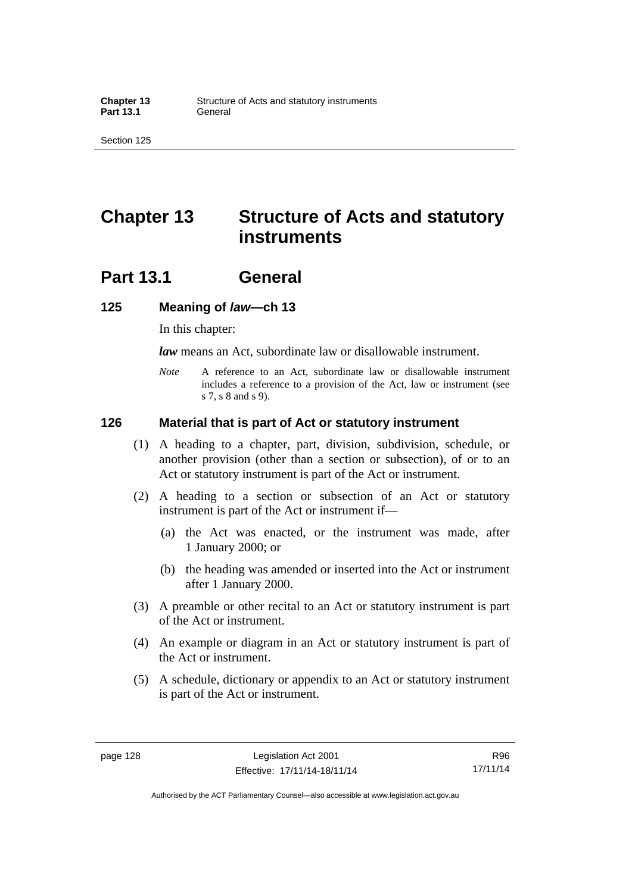## **Chapter 13 Structure of Acts and statutory instruments**

## **Part 13.1 General**

#### **125 Meaning of** *law***—ch 13**

In this chapter:

*law* means an Act, subordinate law or disallowable instrument.

*Note* A reference to an Act, subordinate law or disallowable instrument includes a reference to a provision of the Act, law or instrument (see s 7, s 8 and s 9).

#### **126 Material that is part of Act or statutory instrument**

- (1) A heading to a chapter, part, division, subdivision, schedule, or another provision (other than a section or subsection), of or to an Act or statutory instrument is part of the Act or instrument.
- (2) A heading to a section or subsection of an Act or statutory instrument is part of the Act or instrument if—
	- (a) the Act was enacted, or the instrument was made, after 1 January 2000; or
	- (b) the heading was amended or inserted into the Act or instrument after 1 January 2000.
- (3) A preamble or other recital to an Act or statutory instrument is part of the Act or instrument.
- (4) An example or diagram in an Act or statutory instrument is part of the Act or instrument.
- (5) A schedule, dictionary or appendix to an Act or statutory instrument is part of the Act or instrument.

R96 17/11/14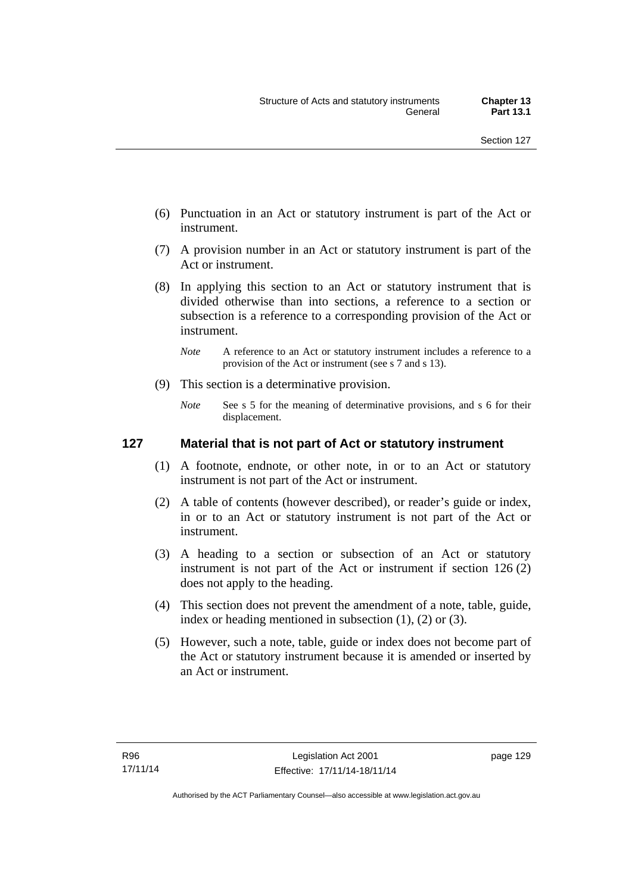- (6) Punctuation in an Act or statutory instrument is part of the Act or instrument.
- (7) A provision number in an Act or statutory instrument is part of the Act or instrument.
- (8) In applying this section to an Act or statutory instrument that is divided otherwise than into sections, a reference to a section or subsection is a reference to a corresponding provision of the Act or instrument.
	- *Note* A reference to an Act or statutory instrument includes a reference to a provision of the Act or instrument (see s 7 and s 13).
- (9) This section is a determinative provision.
	- *Note* See s 5 for the meaning of determinative provisions, and s 6 for their displacement.

## **127 Material that is not part of Act or statutory instrument**

- (1) A footnote, endnote, or other note, in or to an Act or statutory instrument is not part of the Act or instrument.
- (2) A table of contents (however described), or reader's guide or index, in or to an Act or statutory instrument is not part of the Act or instrument.
- (3) A heading to a section or subsection of an Act or statutory instrument is not part of the Act or instrument if section 126 (2) does not apply to the heading.
- (4) This section does not prevent the amendment of a note, table, guide, index or heading mentioned in subsection (1), (2) or (3).
- (5) However, such a note, table, guide or index does not become part of the Act or statutory instrument because it is amended or inserted by an Act or instrument.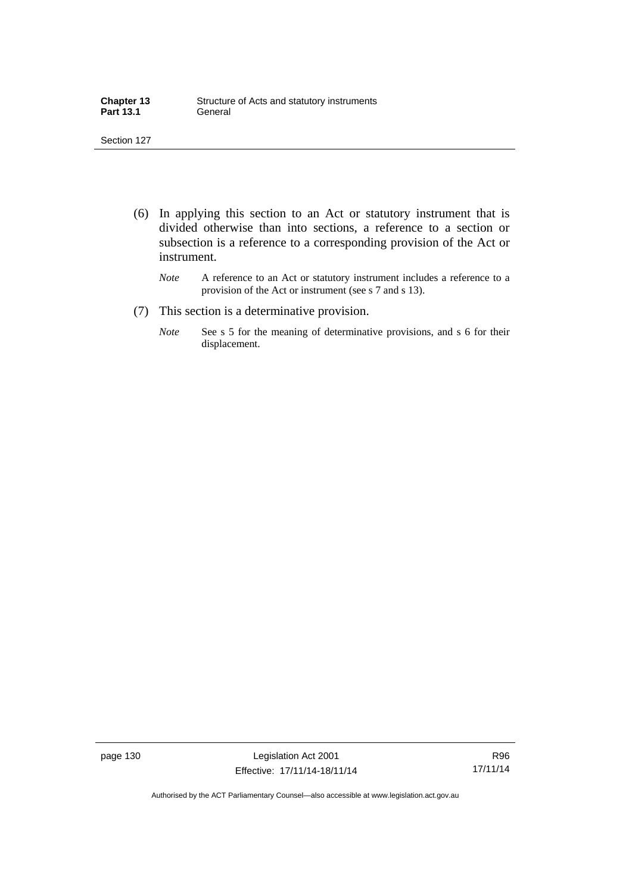| <b>Chapter 13</b> | Structure of Acts and statutory instruments |
|-------------------|---------------------------------------------|
| <b>Part 13.1</b>  | General                                     |

- (6) In applying this section to an Act or statutory instrument that is divided otherwise than into sections, a reference to a section or subsection is a reference to a corresponding provision of the Act or instrument.
	- *Note* A reference to an Act or statutory instrument includes a reference to a provision of the Act or instrument (see s 7 and s 13).
- (7) This section is a determinative provision.
	- *Note* See s 5 for the meaning of determinative provisions, and s 6 for their displacement.

page 130 Legislation Act 2001 Effective: 17/11/14-18/11/14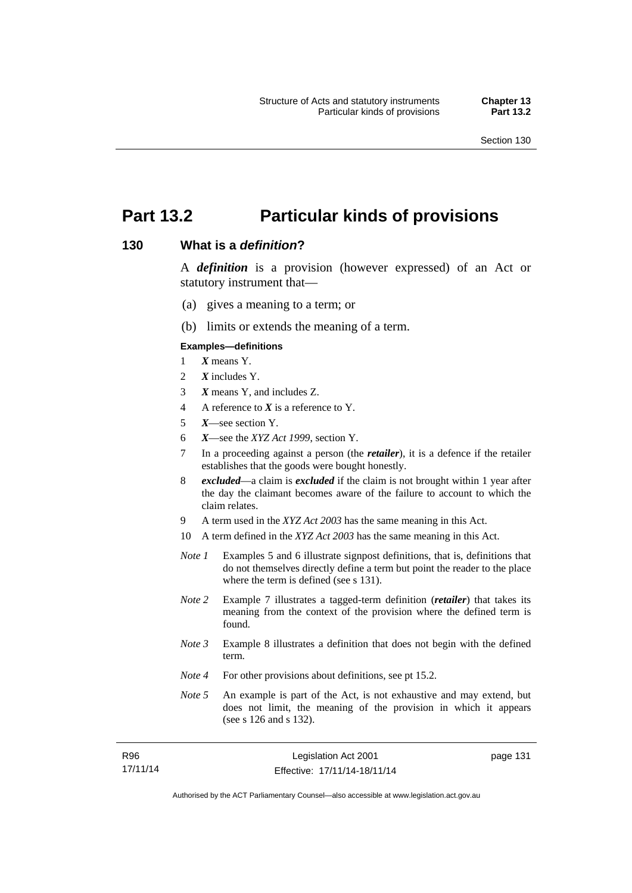# **Part 13.2 Particular kinds of provisions**

#### **130 What is a** *definition***?**

A *definition* is a provision (however expressed) of an Act or statutory instrument that—

- (a) gives a meaning to a term; or
- (b) limits or extends the meaning of a term.

#### **Examples—definitions**

- 1 *X* means Y.
- 2 *X* includes Y.
- 3 *X* means Y, and includes Z.
- 4 A reference to *X* is a reference to Y.
- 5 *X*—see section Y.
- 6 *X*—see the *XYZ Act 1999*, section Y.
- 7 In a proceeding against a person (the *retailer*), it is a defence if the retailer establishes that the goods were bought honestly.
- 8 *excluded*—a claim is *excluded* if the claim is not brought within 1 year after the day the claimant becomes aware of the failure to account to which the claim relates.
- 9 A term used in the *XYZ Act 2003* has the same meaning in this Act.
- 10 A term defined in the *XYZ Act 2003* has the same meaning in this Act.
- *Note 1* Examples 5 and 6 illustrate signpost definitions, that is, definitions that do not themselves directly define a term but point the reader to the place where the term is defined (see s 131).
- *Note 2* Example 7 illustrates a tagged-term definition (*retailer*) that takes its meaning from the context of the provision where the defined term is found.
- *Note 3* Example 8 illustrates a definition that does not begin with the defined term.
- *Note 4* For other provisions about definitions, see pt 15.2.
- *Note 5* An example is part of the Act, is not exhaustive and may extend, but does not limit, the meaning of the provision in which it appears (see s 126 and s 132).

| R96      | Legislation Act 2001         |
|----------|------------------------------|
| 17/11/14 | Effective: 17/11/14-18/11/14 |

page 131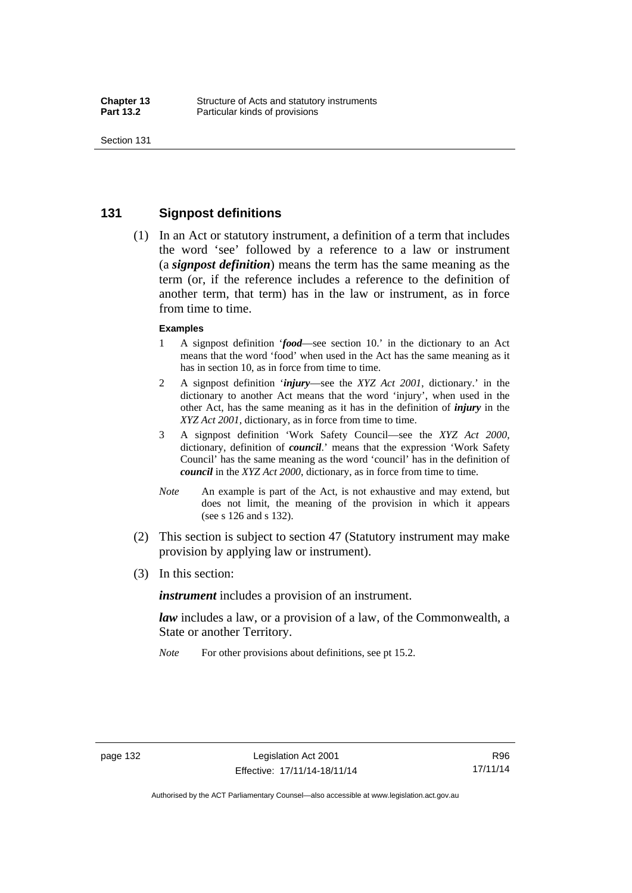## **131 Signpost definitions**

 (1) In an Act or statutory instrument, a definition of a term that includes the word 'see' followed by a reference to a law or instrument (a *signpost definition*) means the term has the same meaning as the term (or, if the reference includes a reference to the definition of another term, that term) has in the law or instrument, as in force from time to time.

#### **Examples**

- 1 A signpost definition '*food*—see section 10.' in the dictionary to an Act means that the word 'food' when used in the Act has the same meaning as it has in section 10, as in force from time to time.
- 2 A signpost definition '*injury*—see the *XYZ Act 2001*, dictionary.' in the dictionary to another Act means that the word 'injury', when used in the other Act, has the same meaning as it has in the definition of *injury* in the *XYZ Act 2001*, dictionary, as in force from time to time.
- 3 A signpost definition 'Work Safety Council—see the *XYZ Act 2000*, dictionary, definition of *council*.' means that the expression 'Work Safety Council' has the same meaning as the word 'council' has in the definition of *council* in the *XYZ Act 2000*, dictionary, as in force from time to time.
- *Note* An example is part of the Act, is not exhaustive and may extend, but does not limit, the meaning of the provision in which it appears (see s 126 and s 132).
- (2) This section is subject to section 47 (Statutory instrument may make provision by applying law or instrument).
- (3) In this section:

*instrument* includes a provision of an instrument.

*law* includes a law, or a provision of a law, of the Commonwealth, a State or another Territory.

*Note* For other provisions about definitions, see pt 15.2.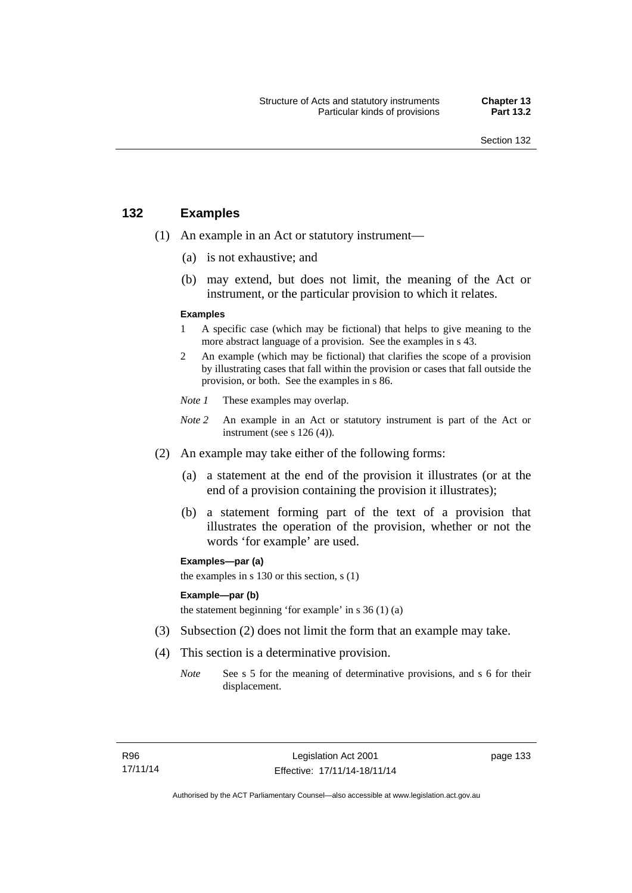## **132 Examples**

- (1) An example in an Act or statutory instrument—
	- (a) is not exhaustive; and
	- (b) may extend, but does not limit, the meaning of the Act or instrument, or the particular provision to which it relates.

#### **Examples**

- 1 A specific case (which may be fictional) that helps to give meaning to the more abstract language of a provision. See the examples in s 43.
- 2 An example (which may be fictional) that clarifies the scope of a provision by illustrating cases that fall within the provision or cases that fall outside the provision, or both. See the examples in s 86.
- *Note 1* These examples may overlap.
- *Note* 2 An example in an Act or statutory instrument is part of the Act or instrument (see s 126 (4)).
- (2) An example may take either of the following forms:
	- (a) a statement at the end of the provision it illustrates (or at the end of a provision containing the provision it illustrates);
	- (b) a statement forming part of the text of a provision that illustrates the operation of the provision, whether or not the words 'for example' are used.

**Examples—par (a)** 

the examples in s 130 or this section, s (1)

#### **Example—par (b)**

the statement beginning 'for example' in s 36 (1) (a)

- (3) Subsection (2) does not limit the form that an example may take.
- (4) This section is a determinative provision.
	- *Note* See s 5 for the meaning of determinative provisions, and s 6 for their displacement.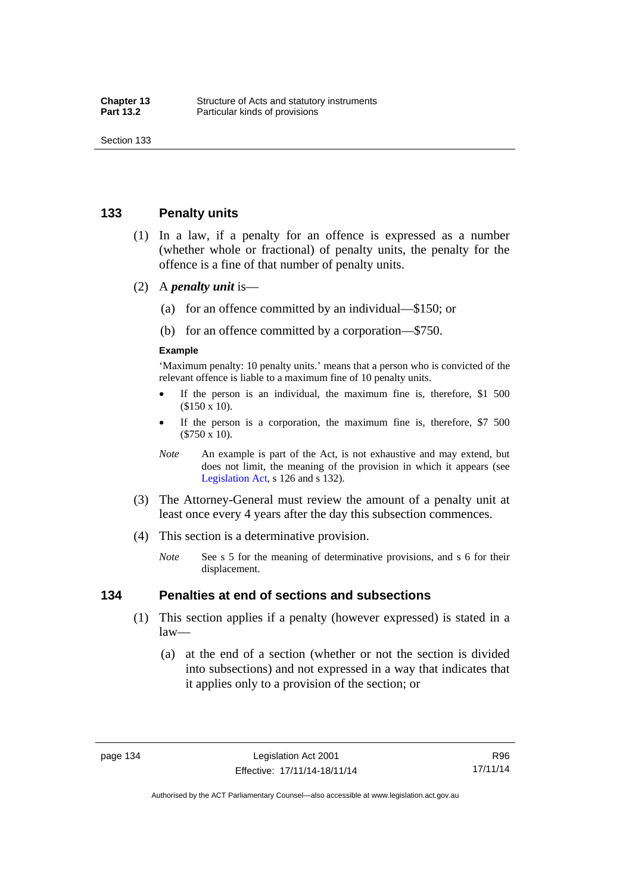## **133 Penalty units**

- (1) In a law, if a penalty for an offence is expressed as a number (whether whole or fractional) of penalty units, the penalty for the offence is a fine of that number of penalty units.
- (2) A *penalty unit* is—
	- (a) for an offence committed by an individual—\$150; or
	- (b) for an offence committed by a corporation—\$750.

#### **Example**

'Maximum penalty: 10 penalty units.' means that a person who is convicted of the relevant offence is liable to a maximum fine of 10 penalty units.

- If the person is an individual, the maximum fine is, therefore, \$1 500 (\$150 x 10).
- If the person is a corporation, the maximum fine is, therefore, \$7 500 (\$750 x 10).
- *Note* An example is part of the Act, is not exhaustive and may extend, but does not limit, the meaning of the provision in which it appears (see [Legislation Act,](http://www.legislation.act.gov.au/a/2001-14) s 126 and s 132).
- (3) The Attorney-General must review the amount of a penalty unit at least once every 4 years after the day this subsection commences.
- (4) This section is a determinative provision.
	- *Note* See s 5 for the meaning of determinative provisions, and s 6 for their displacement.

#### **134 Penalties at end of sections and subsections**

- (1) This section applies if a penalty (however expressed) is stated in a law—
	- (a) at the end of a section (whether or not the section is divided into subsections) and not expressed in a way that indicates that it applies only to a provision of the section; or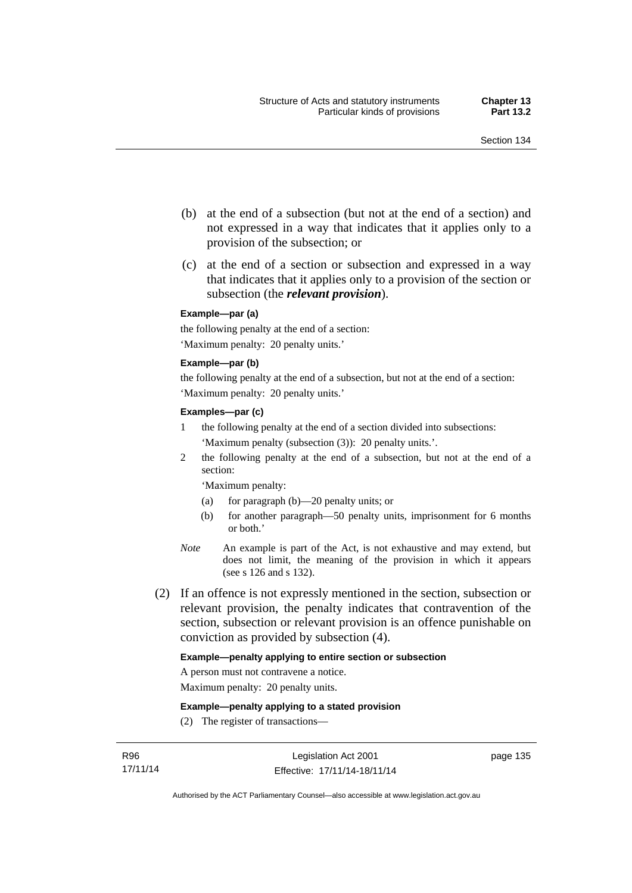- (b) at the end of a subsection (but not at the end of a section) and not expressed in a way that indicates that it applies only to a provision of the subsection; or
- (c) at the end of a section or subsection and expressed in a way that indicates that it applies only to a provision of the section or subsection (the *relevant provision*).

#### **Example—par (a)**

the following penalty at the end of a section: 'Maximum penalty: 20 penalty units.'

#### **Example—par (b)**

the following penalty at the end of a subsection, but not at the end of a section: 'Maximum penalty: 20 penalty units.'

#### **Examples—par (c)**

- 1 the following penalty at the end of a section divided into subsections: 'Maximum penalty (subsection (3)): 20 penalty units.'.
- 2 the following penalty at the end of a subsection, but not at the end of a section:

'Maximum penalty:

- (a) for paragraph (b)—20 penalty units; or
- (b) for another paragraph—50 penalty units, imprisonment for 6 months or both.'
- *Note* An example is part of the Act, is not exhaustive and may extend, but does not limit, the meaning of the provision in which it appears (see s 126 and s 132).
- (2) If an offence is not expressly mentioned in the section, subsection or relevant provision, the penalty indicates that contravention of the section, subsection or relevant provision is an offence punishable on conviction as provided by subsection (4).

#### **Example—penalty applying to entire section or subsection**

A person must not contravene a notice.

Maximum penalty: 20 penalty units.

**Example—penalty applying to a stated provision** 

(2) The register of transactions—

page 135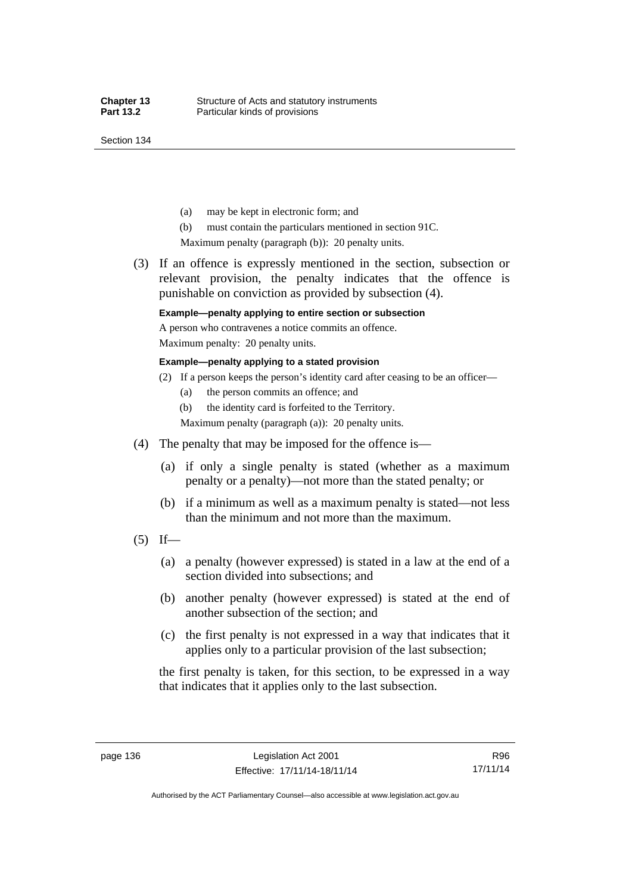Section 134

- (a) may be kept in electronic form; and
- (b) must contain the particulars mentioned in section 91C.

Maximum penalty (paragraph (b)): 20 penalty units.

 (3) If an offence is expressly mentioned in the section, subsection or relevant provision, the penalty indicates that the offence is punishable on conviction as provided by subsection (4).

## **Example—penalty applying to entire section or subsection**

A person who contravenes a notice commits an offence. Maximum penalty: 20 penalty units.

**Example—penalty applying to a stated provision** 

- (2) If a person keeps the person's identity card after ceasing to be an officer—
	- (a) the person commits an offence; and
	- (b) the identity card is forfeited to the Territory.

Maximum penalty (paragraph (a)): 20 penalty units.

- (4) The penalty that may be imposed for the offence is—
	- (a) if only a single penalty is stated (whether as a maximum penalty or a penalty)—not more than the stated penalty; or
	- (b) if a minimum as well as a maximum penalty is stated—not less than the minimum and not more than the maximum.
- $(5)$  If—
	- (a) a penalty (however expressed) is stated in a law at the end of a section divided into subsections; and
	- (b) another penalty (however expressed) is stated at the end of another subsection of the section; and
	- (c) the first penalty is not expressed in a way that indicates that it applies only to a particular provision of the last subsection;

the first penalty is taken, for this section, to be expressed in a way that indicates that it applies only to the last subsection.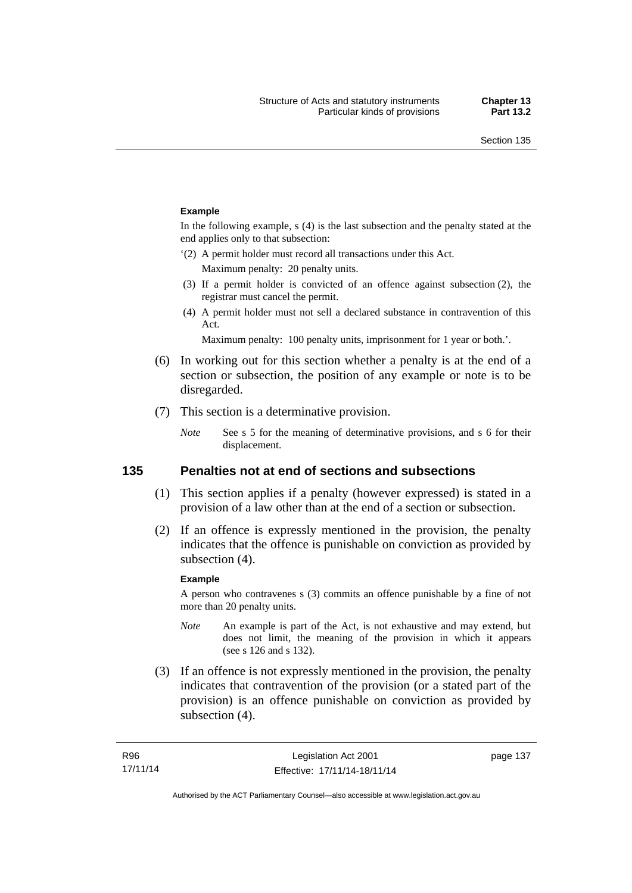#### **Example**

In the following example, s (4) is the last subsection and the penalty stated at the end applies only to that subsection:

'(2) A permit holder must record all transactions under this Act.

Maximum penalty: 20 penalty units.

- (3) If a permit holder is convicted of an offence against subsection (2), the registrar must cancel the permit.
- (4) A permit holder must not sell a declared substance in contravention of this Act.

Maximum penalty: 100 penalty units, imprisonment for 1 year or both.'.

- (6) In working out for this section whether a penalty is at the end of a section or subsection, the position of any example or note is to be disregarded.
- (7) This section is a determinative provision.
	- *Note* See s 5 for the meaning of determinative provisions, and s 6 for their displacement.

## **135 Penalties not at end of sections and subsections**

- (1) This section applies if a penalty (however expressed) is stated in a provision of a law other than at the end of a section or subsection.
- (2) If an offence is expressly mentioned in the provision, the penalty indicates that the offence is punishable on conviction as provided by subsection (4).

#### **Example**

A person who contravenes s (3) commits an offence punishable by a fine of not more than 20 penalty units.

- *Note* An example is part of the Act, is not exhaustive and may extend, but does not limit, the meaning of the provision in which it appears (see s 126 and s 132).
- (3) If an offence is not expressly mentioned in the provision, the penalty indicates that contravention of the provision (or a stated part of the provision) is an offence punishable on conviction as provided by subsection (4).

page 137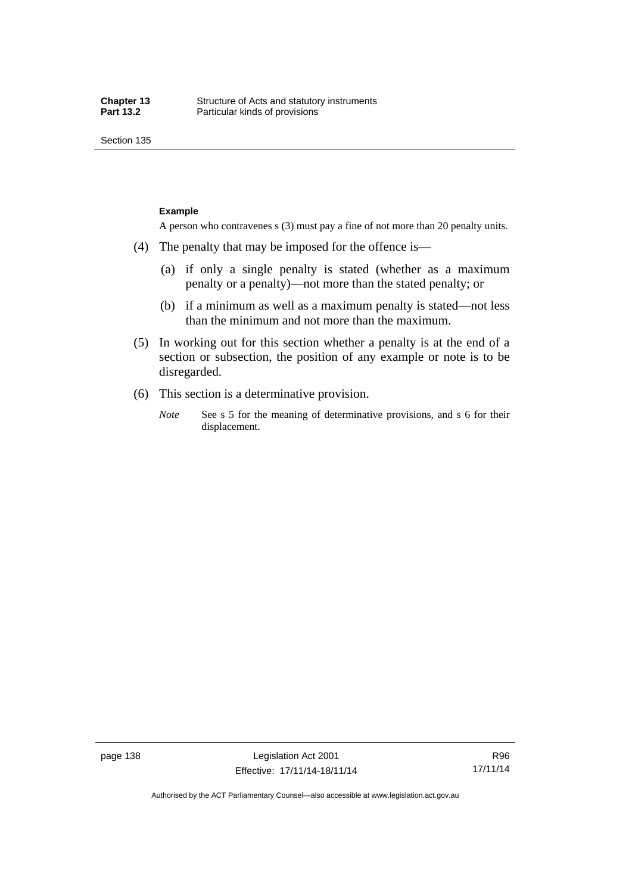Section 135

#### **Example**

A person who contravenes s (3) must pay a fine of not more than 20 penalty units.

- (4) The penalty that may be imposed for the offence is—
	- (a) if only a single penalty is stated (whether as a maximum penalty or a penalty)—not more than the stated penalty; or
	- (b) if a minimum as well as a maximum penalty is stated—not less than the minimum and not more than the maximum.
- (5) In working out for this section whether a penalty is at the end of a section or subsection, the position of any example or note is to be disregarded.
- (6) This section is a determinative provision.
	- *Note* See s 5 for the meaning of determinative provisions, and s 6 for their displacement.

R96 17/11/14

Authorised by the ACT Parliamentary Counsel—also accessible at www.legislation.act.gov.au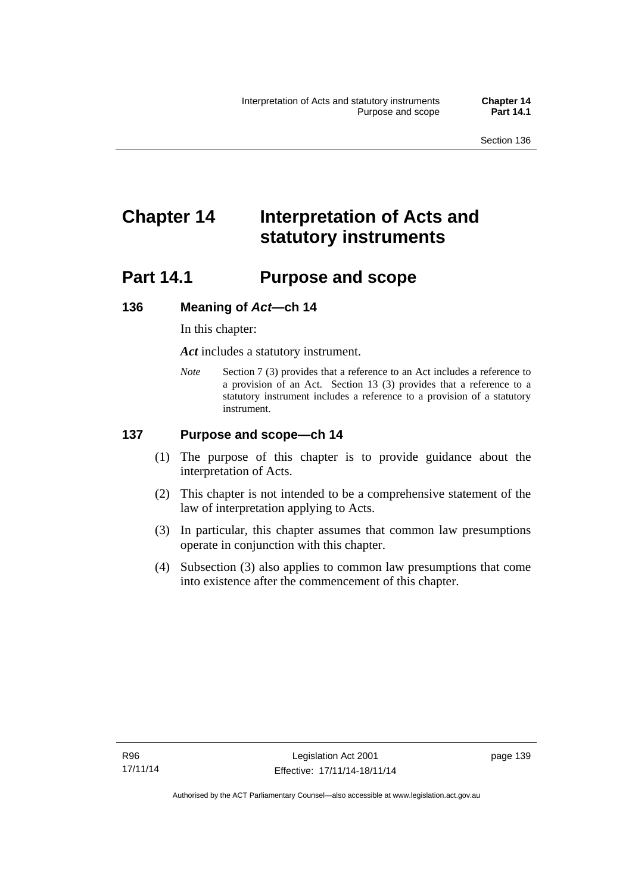# **Chapter 14 Interpretation of Acts and statutory instruments**

# **Part 14.1 Purpose and scope**

## **136 Meaning of** *Act***—ch 14**

In this chapter:

*Act* includes a statutory instrument.

*Note* Section 7 (3) provides that a reference to an Act includes a reference to a provision of an Act. Section 13 (3) provides that a reference to a statutory instrument includes a reference to a provision of a statutory instrument.

## **137 Purpose and scope—ch 14**

- (1) The purpose of this chapter is to provide guidance about the interpretation of Acts.
- (2) This chapter is not intended to be a comprehensive statement of the law of interpretation applying to Acts.
- (3) In particular, this chapter assumes that common law presumptions operate in conjunction with this chapter.
- (4) Subsection (3) also applies to common law presumptions that come into existence after the commencement of this chapter.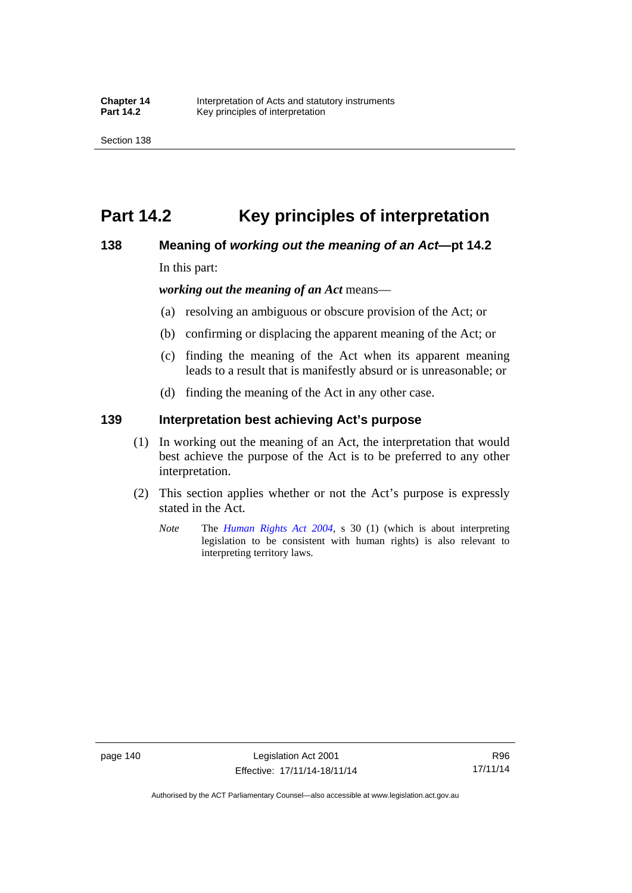# **Part 14.2 Key principles of interpretation**

## **138 Meaning of** *working out the meaning of an Act***—pt 14.2**

In this part:

*working out the meaning of an Act* means—

- (a) resolving an ambiguous or obscure provision of the Act; or
- (b) confirming or displacing the apparent meaning of the Act; or
- (c) finding the meaning of the Act when its apparent meaning leads to a result that is manifestly absurd or is unreasonable; or
- (d) finding the meaning of the Act in any other case.

## **139 Interpretation best achieving Act's purpose**

- (1) In working out the meaning of an Act, the interpretation that would best achieve the purpose of the Act is to be preferred to any other interpretation.
- (2) This section applies whether or not the Act's purpose is expressly stated in the Act.
	- *Note* The *[Human Rights Act 2004](http://www.legislation.act.gov.au/a/2004-5)*, s 30 (1) (which is about interpreting legislation to be consistent with human rights) is also relevant to interpreting territory laws.

R96 17/11/14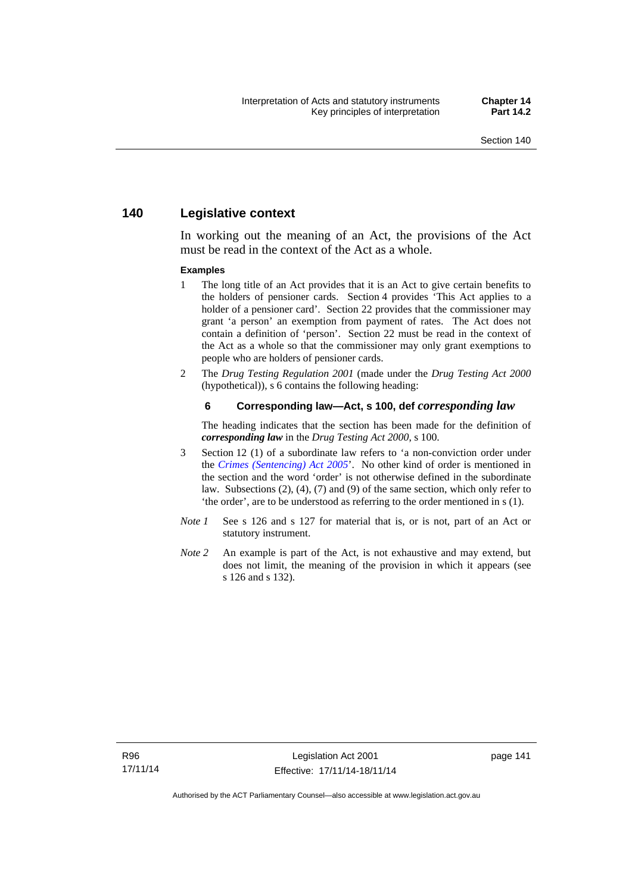## **140 Legislative context**

In working out the meaning of an Act, the provisions of the Act must be read in the context of the Act as a whole.

#### **Examples**

- 1 The long title of an Act provides that it is an Act to give certain benefits to the holders of pensioner cards. Section 4 provides 'This Act applies to a holder of a pensioner card'. Section 22 provides that the commissioner may grant 'a person' an exemption from payment of rates. The Act does not contain a definition of 'person'. Section 22 must be read in the context of the Act as a whole so that the commissioner may only grant exemptions to people who are holders of pensioner cards.
- 2 The *Drug Testing Regulation 2001* (made under the *Drug Testing Act 2000* (hypothetical)), s 6 contains the following heading:

#### **6 Corresponding law—Act, s 100, def** *corresponding law*

The heading indicates that the section has been made for the definition of *corresponding law* in the *Drug Testing Act 2000*, s 100.

- 3 Section 12 (1) of a subordinate law refers to 'a non-conviction order under the *[Crimes \(Sentencing\) Act 2005](http://www.legislation.act.gov.au/a/2005-58)*'. No other kind of order is mentioned in the section and the word 'order' is not otherwise defined in the subordinate law. Subsections (2), (4), (7) and (9) of the same section, which only refer to 'the order', are to be understood as referring to the order mentioned in s (1).
- *Note 1* See s 126 and s 127 for material that is, or is not, part of an Act or statutory instrument.
- *Note 2* An example is part of the Act, is not exhaustive and may extend, but does not limit, the meaning of the provision in which it appears (see s 126 and s 132).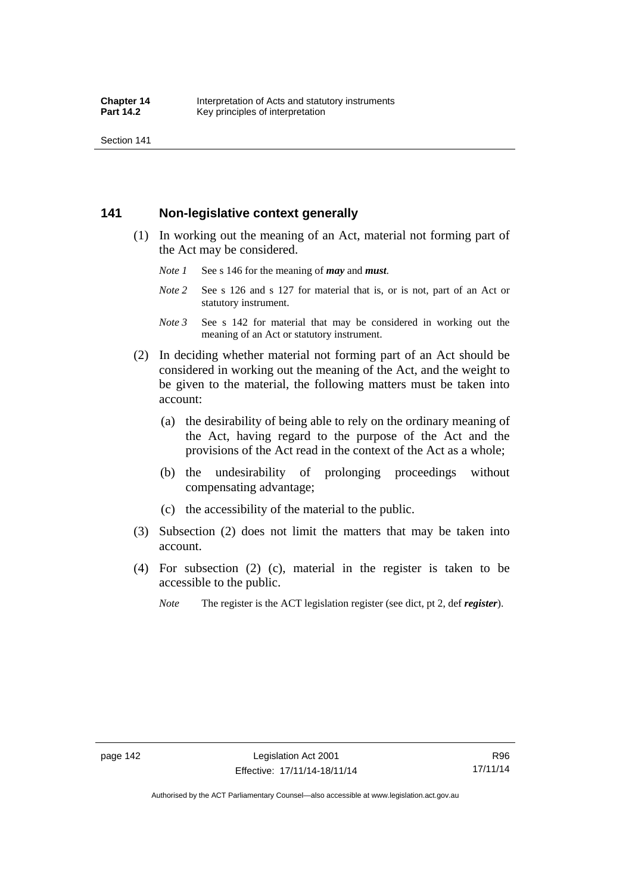Section 141

## **141 Non-legislative context generally**

- (1) In working out the meaning of an Act, material not forming part of the Act may be considered.
	- *Note 1* See s 146 for the meaning of *may* and *must*.
	- *Note* 2 See s 126 and s 127 for material that is, or is not, part of an Act or statutory instrument.
	- *Note 3* See s 142 for material that may be considered in working out the meaning of an Act or statutory instrument.
- (2) In deciding whether material not forming part of an Act should be considered in working out the meaning of the Act, and the weight to be given to the material, the following matters must be taken into account:
	- (a) the desirability of being able to rely on the ordinary meaning of the Act, having regard to the purpose of the Act and the provisions of the Act read in the context of the Act as a whole;
	- (b) the undesirability of prolonging proceedings without compensating advantage;
	- (c) the accessibility of the material to the public.
- (3) Subsection (2) does not limit the matters that may be taken into account.
- (4) For subsection (2) (c), material in the register is taken to be accessible to the public.
	- *Note* The register is the ACT legislation register (see dict, pt 2, def *register*).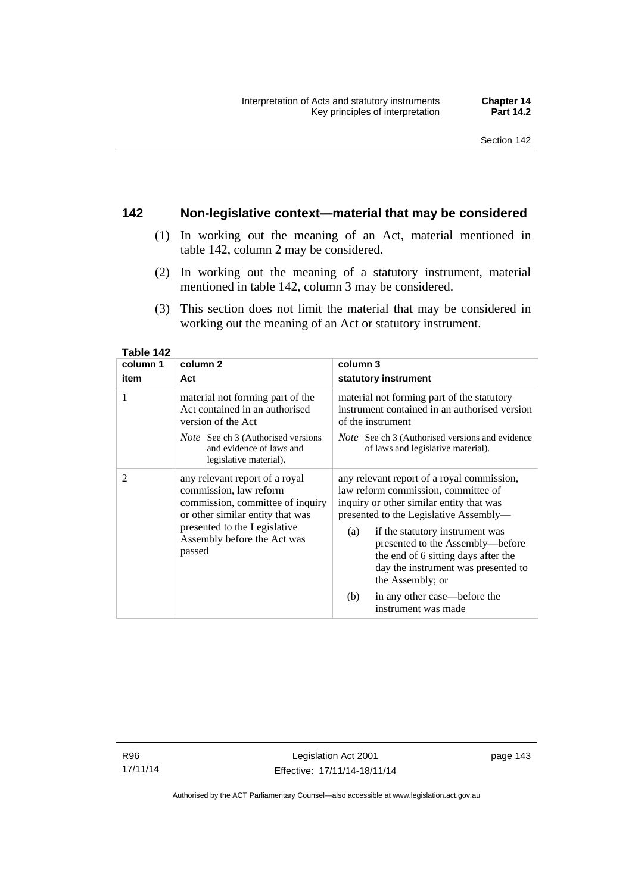## **142 Non-legislative context—material that may be considered**

- (1) In working out the meaning of an Act, material mentioned in table 142, column 2 may be considered.
- (2) In working out the meaning of a statutory instrument, material mentioned in table 142, column 3 may be considered.
- (3) This section does not limit the material that may be considered in working out the meaning of an Act or statutory instrument.

| column 1       | column 2                                                                                                                                                                                                  | column 3                                                                                                                                                                                                                                                                                                                                                |
|----------------|-----------------------------------------------------------------------------------------------------------------------------------------------------------------------------------------------------------|---------------------------------------------------------------------------------------------------------------------------------------------------------------------------------------------------------------------------------------------------------------------------------------------------------------------------------------------------------|
| item           | Act                                                                                                                                                                                                       | statutory instrument                                                                                                                                                                                                                                                                                                                                    |
| 1              | material not forming part of the<br>Act contained in an authorised<br>version of the Act                                                                                                                  | material not forming part of the statutory<br>instrument contained in an authorised version<br>of the instrument<br><i>Note</i> See ch 3 (Authorised versions and evidence                                                                                                                                                                              |
|                | <i>Note</i> See ch 3 (Authorised versions<br>and evidence of laws and<br>legislative material).                                                                                                           | of laws and legislative material).                                                                                                                                                                                                                                                                                                                      |
| $\overline{2}$ | any relevant report of a royal<br>commission, law reform<br>commission, committee of inquiry<br>or other similar entity that was<br>presented to the Legislative<br>Assembly before the Act was<br>passed | any relevant report of a royal commission,<br>law reform commission, committee of<br>inquiry or other similar entity that was<br>presented to the Legislative Assembly—<br>if the statutory instrument was<br>(a)<br>presented to the Assembly-before<br>the end of 6 sitting days after the<br>day the instrument was presented to<br>the Assembly; or |
|                |                                                                                                                                                                                                           | in any other case—before the<br>(b)<br>instrument was made                                                                                                                                                                                                                                                                                              |

**Table 142** 

R96 17/11/14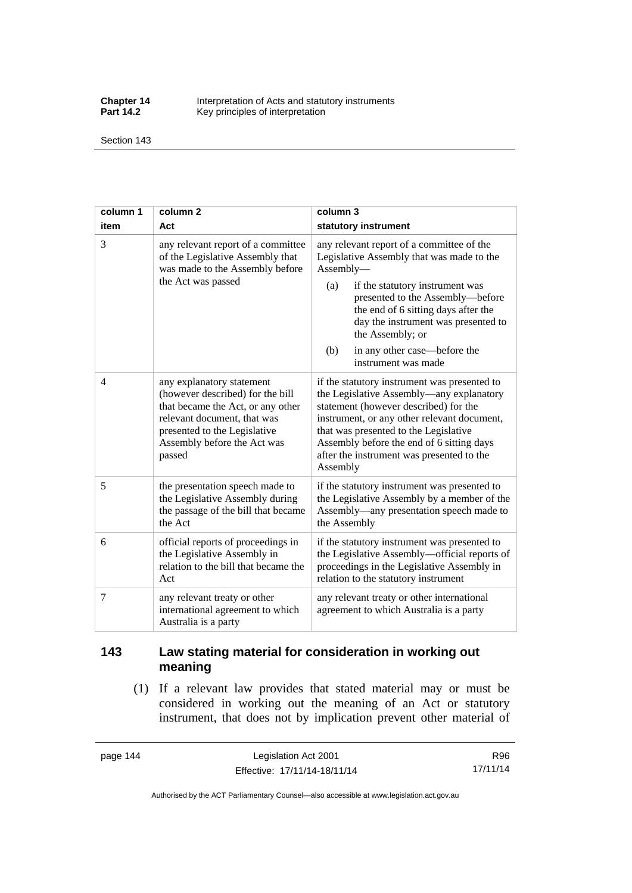**Chapter 14** Interpretation of Acts and statutory instruments<br>**Part 14.2** Key principles of interpretation Key principles of interpretation

Section 143

| column 1       | column <sub>2</sub>                                                                                                                                                                                        | column 3                                                                                                                                                                                                                                                                                                                                          |
|----------------|------------------------------------------------------------------------------------------------------------------------------------------------------------------------------------------------------------|---------------------------------------------------------------------------------------------------------------------------------------------------------------------------------------------------------------------------------------------------------------------------------------------------------------------------------------------------|
| item           | Act                                                                                                                                                                                                        | statutory instrument                                                                                                                                                                                                                                                                                                                              |
| 3              | any relevant report of a committee<br>of the Legislative Assembly that<br>was made to the Assembly before<br>the Act was passed                                                                            | any relevant report of a committee of the<br>Legislative Assembly that was made to the<br>Assembly-<br>(a)<br>if the statutory instrument was<br>presented to the Assembly-before<br>the end of 6 sitting days after the<br>day the instrument was presented to<br>the Assembly; or<br>in any other case—before the<br>(b)<br>instrument was made |
| $\overline{4}$ | any explanatory statement<br>(however described) for the bill<br>that became the Act, or any other<br>relevant document, that was<br>presented to the Legislative<br>Assembly before the Act was<br>passed | if the statutory instrument was presented to<br>the Legislative Assembly—any explanatory<br>statement (however described) for the<br>instrument, or any other relevant document,<br>that was presented to the Legislative<br>Assembly before the end of 6 sitting days<br>after the instrument was presented to the<br>Assembly                   |
| 5              | the presentation speech made to<br>the Legislative Assembly during<br>the passage of the bill that became<br>the Act                                                                                       | if the statutory instrument was presented to<br>the Legislative Assembly by a member of the<br>Assembly—any presentation speech made to<br>the Assembly                                                                                                                                                                                           |
| 6              | official reports of proceedings in<br>the Legislative Assembly in<br>relation to the bill that became the<br>Act                                                                                           | if the statutory instrument was presented to<br>the Legislative Assembly-official reports of<br>proceedings in the Legislative Assembly in<br>relation to the statutory instrument                                                                                                                                                                |
| 7              | any relevant treaty or other<br>international agreement to which<br>Australia is a party                                                                                                                   | any relevant treaty or other international<br>agreement to which Australia is a party                                                                                                                                                                                                                                                             |

## **143 Law stating material for consideration in working out meaning**

 (1) If a relevant law provides that stated material may or must be considered in working out the meaning of an Act or statutory instrument, that does not by implication prevent other material of

page 144 Legislation Act 2001 Effective: 17/11/14-18/11/14

R96 17/11/14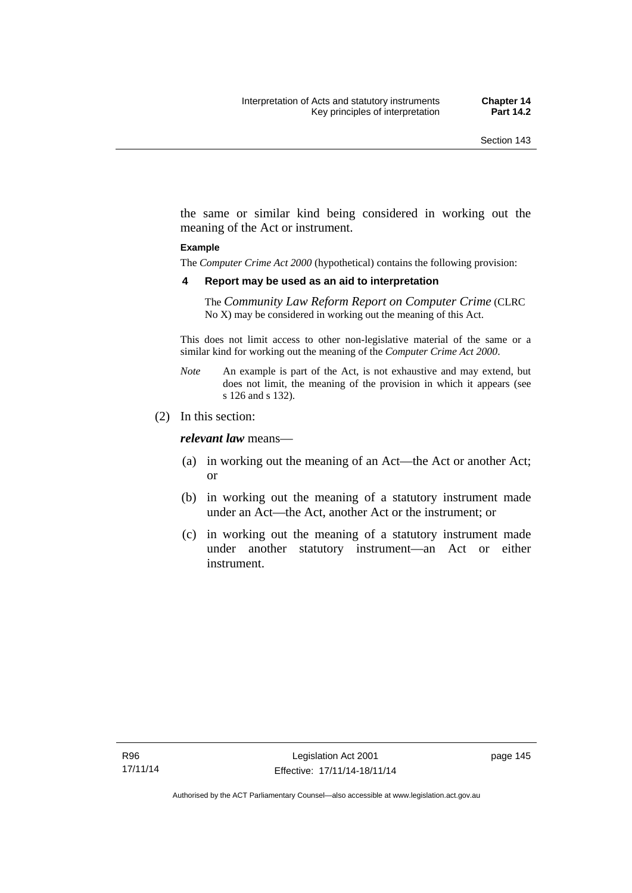the same or similar kind being considered in working out the meaning of the Act or instrument.

#### **Example**

The *Computer Crime Act 2000* (hypothetical) contains the following provision:

#### **4 Report may be used as an aid to interpretation**

The *Community Law Reform Report on Computer Crime* (CLRC No X) may be considered in working out the meaning of this Act.

This does not limit access to other non-legislative material of the same or a similar kind for working out the meaning of the *Computer Crime Act 2000*.

- *Note* An example is part of the Act, is not exhaustive and may extend, but does not limit, the meaning of the provision in which it appears (see s 126 and s 132).
- (2) In this section:

*relevant law* means—

- (a) in working out the meaning of an Act—the Act or another Act; or
- (b) in working out the meaning of a statutory instrument made under an Act—the Act, another Act or the instrument; or
- (c) in working out the meaning of a statutory instrument made under another statutory instrument—an Act or either instrument.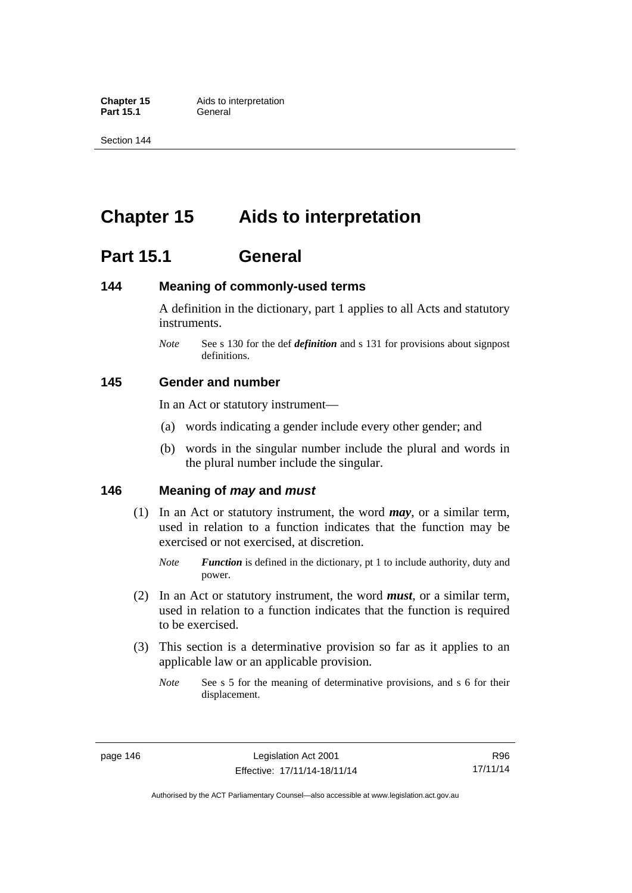**Part 15.1** 

Section 144

# **Chapter 15 Aids to interpretation**

# **Part 15.1 General**

## **144 Meaning of commonly-used terms**

A definition in the dictionary, part 1 applies to all Acts and statutory instruments.

*Note* See s 130 for the def *definition* and s 131 for provisions about signpost definitions.

## **145 Gender and number**

In an Act or statutory instrument—

- (a) words indicating a gender include every other gender; and
- (b) words in the singular number include the plural and words in the plural number include the singular.

## **146 Meaning of** *may* **and** *must*

- (1) In an Act or statutory instrument, the word *may*, or a similar term, used in relation to a function indicates that the function may be exercised or not exercised, at discretion.
	- *Note Function* is defined in the dictionary, pt 1 to include authority, duty and power.
- (2) In an Act or statutory instrument, the word *must*, or a similar term, used in relation to a function indicates that the function is required to be exercised.
- (3) This section is a determinative provision so far as it applies to an applicable law or an applicable provision.
	- *Note* See s 5 for the meaning of determinative provisions, and s 6 for their displacement.

R96 17/11/14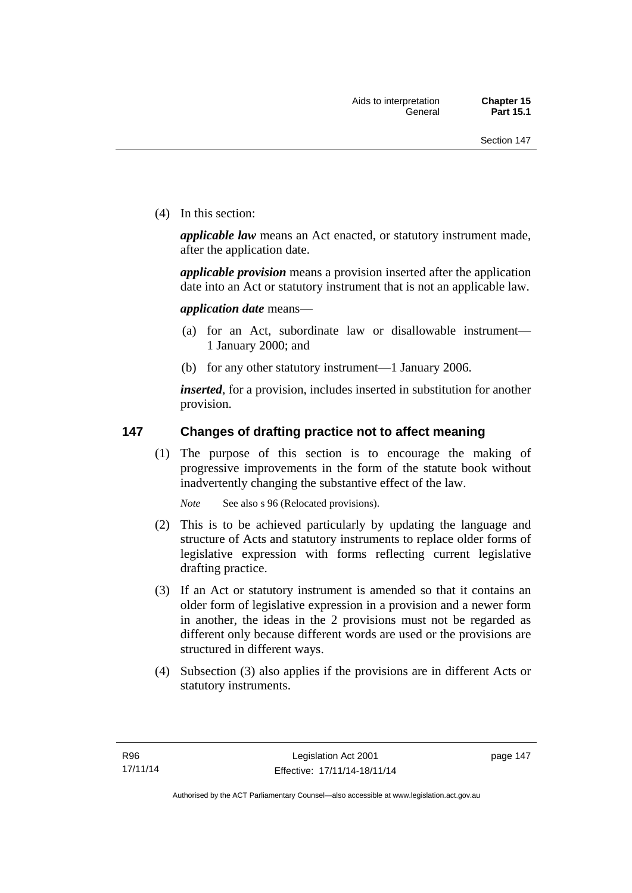(4) In this section:

*applicable law* means an Act enacted, or statutory instrument made, after the application date.

*applicable provision* means a provision inserted after the application date into an Act or statutory instrument that is not an applicable law.

*application date* means—

- (a) for an Act, subordinate law or disallowable instrument— 1 January 2000; and
- (b) for any other statutory instrument—1 January 2006.

*inserted*, for a provision, includes inserted in substitution for another provision.

## **147 Changes of drafting practice not to affect meaning**

(1) The purpose of this section is to encourage the making of progressive improvements in the form of the statute book without inadvertently changing the substantive effect of the law.

*Note* See also s 96 (Relocated provisions).

- (2) This is to be achieved particularly by updating the language and structure of Acts and statutory instruments to replace older forms of legislative expression with forms reflecting current legislative drafting practice.
- (3) If an Act or statutory instrument is amended so that it contains an older form of legislative expression in a provision and a newer form in another, the ideas in the 2 provisions must not be regarded as different only because different words are used or the provisions are structured in different ways.
- (4) Subsection (3) also applies if the provisions are in different Acts or statutory instruments.

page 147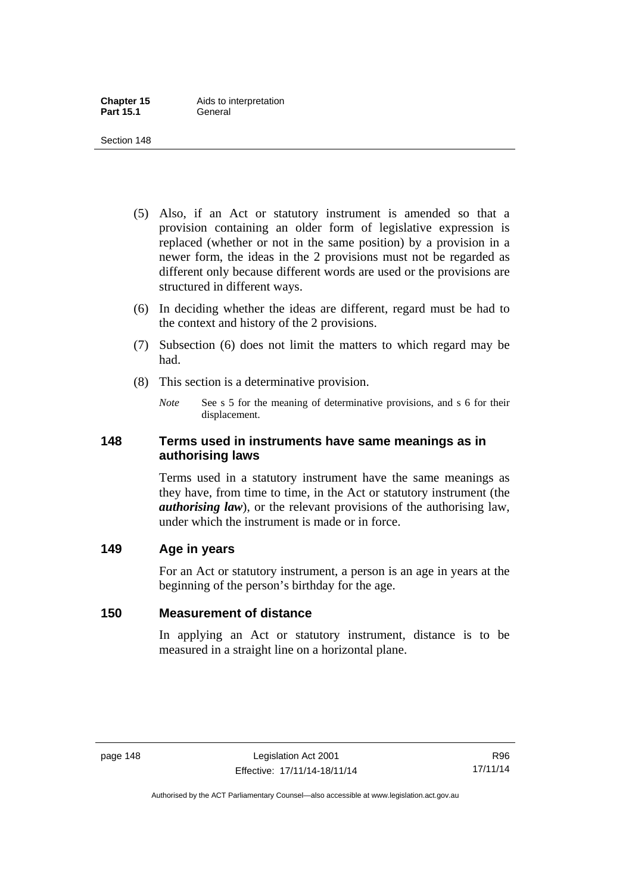- (5) Also, if an Act or statutory instrument is amended so that a provision containing an older form of legislative expression is replaced (whether or not in the same position) by a provision in a newer form, the ideas in the 2 provisions must not be regarded as different only because different words are used or the provisions are structured in different ways.
- (6) In deciding whether the ideas are different, regard must be had to the context and history of the 2 provisions.
- (7) Subsection (6) does not limit the matters to which regard may be had.
- (8) This section is a determinative provision.
	- *Note* See s 5 for the meaning of determinative provisions, and s 6 for their displacement.

## **148 Terms used in instruments have same meanings as in authorising laws**

Terms used in a statutory instrument have the same meanings as they have, from time to time, in the Act or statutory instrument (the *authorising law*), or the relevant provisions of the authorising law, under which the instrument is made or in force.

## **149 Age in years**

For an Act or statutory instrument, a person is an age in years at the beginning of the person's birthday for the age.

## **150 Measurement of distance**

In applying an Act or statutory instrument, distance is to be measured in a straight line on a horizontal plane.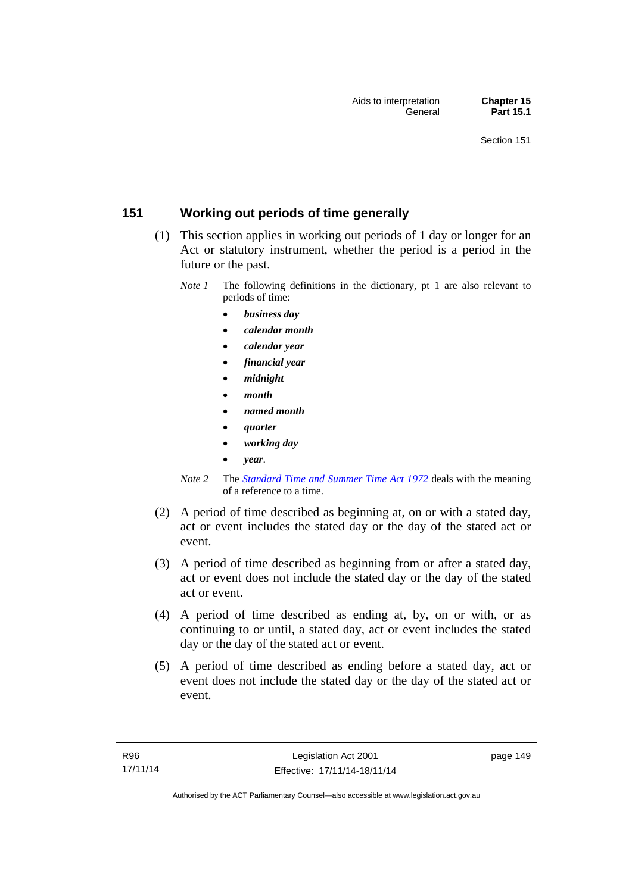## **151 Working out periods of time generally**

- (1) This section applies in working out periods of 1 day or longer for an Act or statutory instrument, whether the period is a period in the future or the past.
	- *Note 1* The following definitions in the dictionary, pt 1 are also relevant to periods of time:
		- *business day*
		- *calendar month*
		- *calendar year*
		- *financial year*
		- *midnight*
		- *month*
		- *named month*
		- *quarter*
		- *working day*
		- *year*.
	- *Note 2* The *[Standard Time and Summer Time Act 1972](http://www.legislation.act.gov.au/a/1972-34)* deals with the meaning of a reference to a time.
- (2) A period of time described as beginning at, on or with a stated day, act or event includes the stated day or the day of the stated act or event.
- (3) A period of time described as beginning from or after a stated day, act or event does not include the stated day or the day of the stated act or event.
- (4) A period of time described as ending at, by, on or with, or as continuing to or until, a stated day, act or event includes the stated day or the day of the stated act or event.
- (5) A period of time described as ending before a stated day, act or event does not include the stated day or the day of the stated act or event.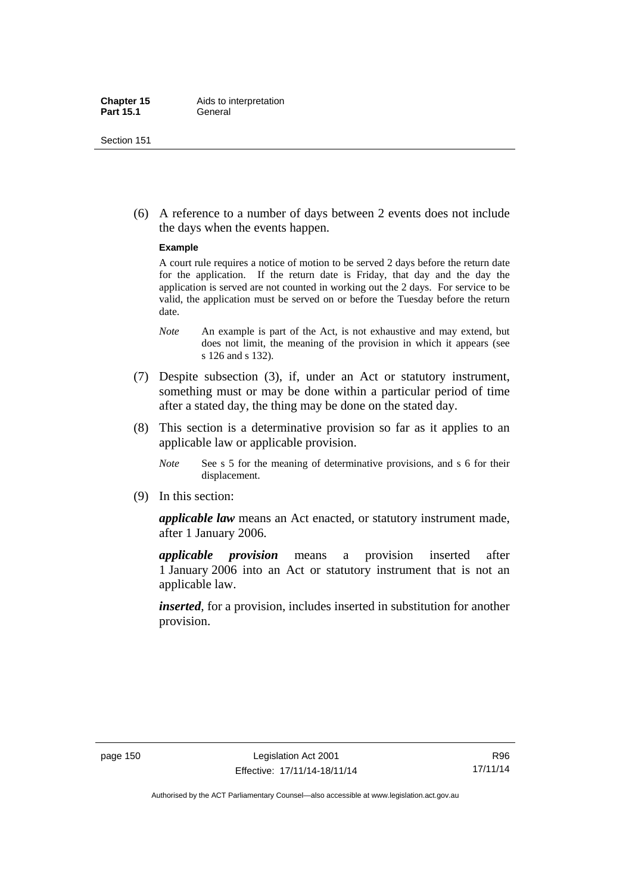(6) A reference to a number of days between 2 events does not include the days when the events happen.

#### **Example**

A court rule requires a notice of motion to be served 2 days before the return date for the application. If the return date is Friday, that day and the day the application is served are not counted in working out the 2 days. For service to be valid, the application must be served on or before the Tuesday before the return date.

- *Note* An example is part of the Act, is not exhaustive and may extend, but does not limit, the meaning of the provision in which it appears (see s 126 and s 132).
- (7) Despite subsection (3), if, under an Act or statutory instrument, something must or may be done within a particular period of time after a stated day, the thing may be done on the stated day.
- (8) This section is a determinative provision so far as it applies to an applicable law or applicable provision.
	- *Note* See s 5 for the meaning of determinative provisions, and s 6 for their displacement.
- (9) In this section:

*applicable law* means an Act enacted, or statutory instrument made, after 1 January 2006.

*applicable provision* means a provision inserted after 1 January 2006 into an Act or statutory instrument that is not an applicable law.

*inserted*, for a provision, includes inserted in substitution for another provision.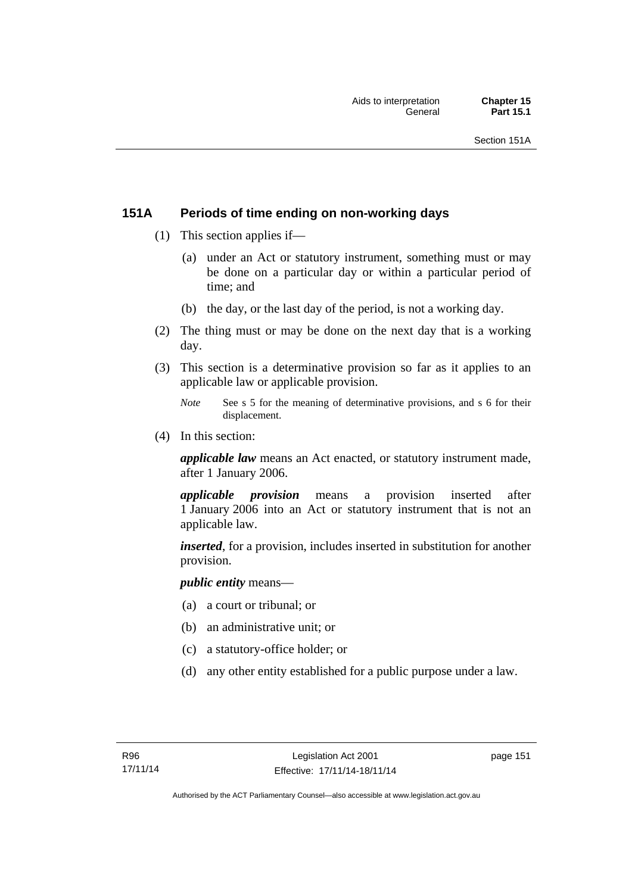## **151A Periods of time ending on non-working days**

- (1) This section applies if—
	- (a) under an Act or statutory instrument, something must or may be done on a particular day or within a particular period of time; and
	- (b) the day, or the last day of the period, is not a working day.
- (2) The thing must or may be done on the next day that is a working day.
- (3) This section is a determinative provision so far as it applies to an applicable law or applicable provision.
	- *Note* See s 5 for the meaning of determinative provisions, and s 6 for their displacement.
- (4) In this section:

*applicable law* means an Act enacted, or statutory instrument made, after 1 January 2006.

*applicable provision* means a provision inserted after 1 January 2006 into an Act or statutory instrument that is not an applicable law.

*inserted*, for a provision, includes inserted in substitution for another provision.

*public entity* means—

- (a) a court or tribunal; or
- (b) an administrative unit; or
- (c) a statutory-office holder; or
- (d) any other entity established for a public purpose under a law.

page 151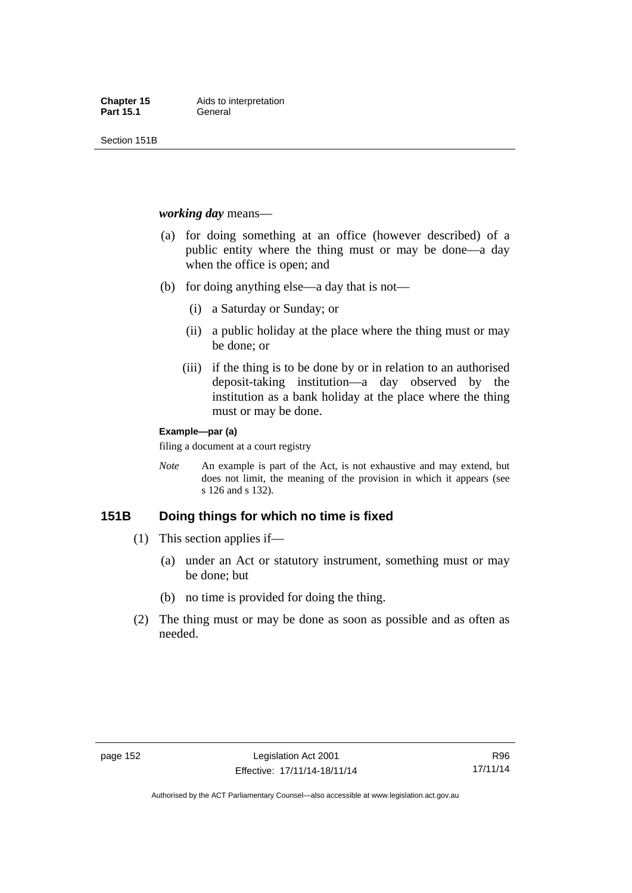Section 151B

*working day* means—

- (a) for doing something at an office (however described) of a public entity where the thing must or may be done—a day when the office is open; and
- (b) for doing anything else—a day that is not—
	- (i) a Saturday or Sunday; or
	- (ii) a public holiday at the place where the thing must or may be done; or
	- (iii) if the thing is to be done by or in relation to an authorised deposit-taking institution—a day observed by the institution as a bank holiday at the place where the thing must or may be done.

#### **Example—par (a)**

filing a document at a court registry

*Note* An example is part of the Act, is not exhaustive and may extend, but does not limit, the meaning of the provision in which it appears (see s 126 and s 132).

## **151B Doing things for which no time is fixed**

- (1) This section applies if—
	- (a) under an Act or statutory instrument, something must or may be done; but
	- (b) no time is provided for doing the thing.
- (2) The thing must or may be done as soon as possible and as often as needed.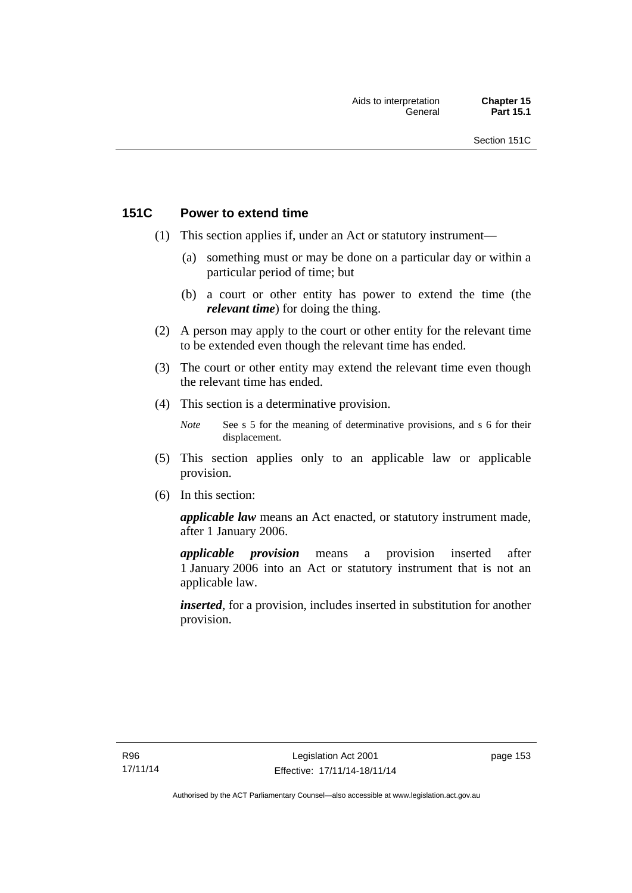## **151C Power to extend time**

- (1) This section applies if, under an Act or statutory instrument—
	- (a) something must or may be done on a particular day or within a particular period of time; but
	- (b) a court or other entity has power to extend the time (the *relevant time*) for doing the thing.
- (2) A person may apply to the court or other entity for the relevant time to be extended even though the relevant time has ended.
- (3) The court or other entity may extend the relevant time even though the relevant time has ended.
- (4) This section is a determinative provision.
	- *Note* See s 5 for the meaning of determinative provisions, and s 6 for their displacement.
- (5) This section applies only to an applicable law or applicable provision.
- (6) In this section:

*applicable law* means an Act enacted, or statutory instrument made, after 1 January 2006.

*applicable provision* means a provision inserted after 1 January 2006 into an Act or statutory instrument that is not an applicable law.

*inserted*, for a provision, includes inserted in substitution for another provision.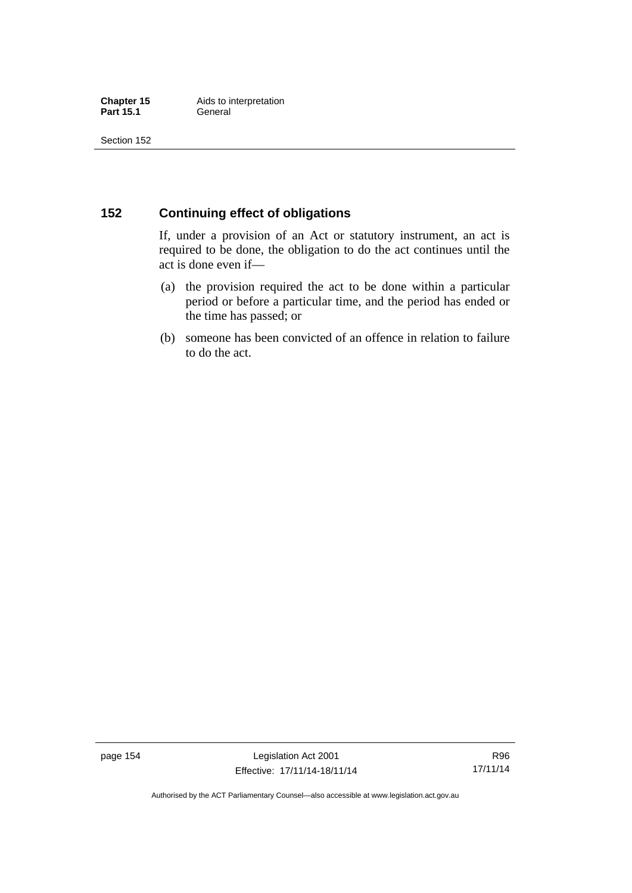## **152 Continuing effect of obligations**

If, under a provision of an Act or statutory instrument, an act is required to be done, the obligation to do the act continues until the act is done even if—

- (a) the provision required the act to be done within a particular period or before a particular time, and the period has ended or the time has passed; or
- (b) someone has been convicted of an offence in relation to failure to do the act.

page 154 Legislation Act 2001 Effective: 17/11/14-18/11/14

R96 17/11/14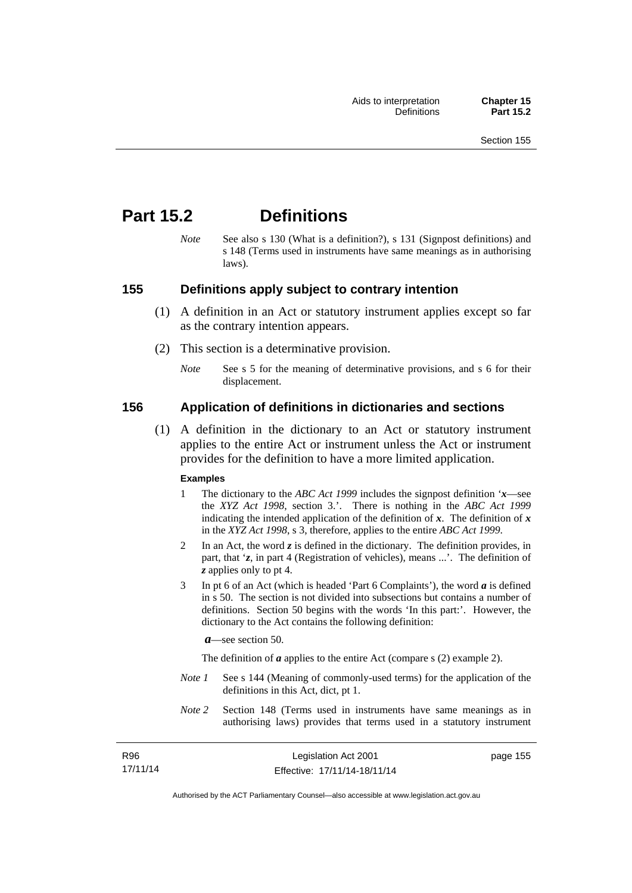# **Part 15.2 Definitions**

*Note* See also s 130 (What is a definition?), s 131 (Signpost definitions) and s 148 (Terms used in instruments have same meanings as in authorising laws).

## **155 Definitions apply subject to contrary intention**

- (1) A definition in an Act or statutory instrument applies except so far as the contrary intention appears.
- (2) This section is a determinative provision.
	- *Note* See s 5 for the meaning of determinative provisions, and s 6 for their displacement.

## **156 Application of definitions in dictionaries and sections**

 (1) A definition in the dictionary to an Act or statutory instrument applies to the entire Act or instrument unless the Act or instrument provides for the definition to have a more limited application.

#### **Examples**

- 1 The dictionary to the *ABC Act 1999* includes the signpost definition '*x*—see the *XYZ Act 1998*, section 3.'. There is nothing in the *ABC Act 1999* indicating the intended application of the definition of  $x$ . The definition of  $x$ in the *XYZ Act 1998*, s 3, therefore, applies to the entire *ABC Act 1999*.
- 2 In an Act, the word *z* is defined in the dictionary. The definition provides, in part, that '*z*, in part 4 (Registration of vehicles), means ...'. The definition of *z* applies only to pt 4.
- 3 In pt 6 of an Act (which is headed 'Part 6 Complaints'), the word *a* is defined in s 50. The section is not divided into subsections but contains a number of definitions. Section 50 begins with the words 'In this part:'. However, the dictionary to the Act contains the following definition:

*a*—see section 50.

The definition of *a* applies to the entire Act (compare s (2) example 2).

- *Note 1* See s 144 (Meaning of commonly-used terms) for the application of the definitions in this Act, dict, pt 1.
- *Note 2* Section 148 (Terms used in instruments have same meanings as in authorising laws) provides that terms used in a statutory instrument

R96 17/11/14 page 155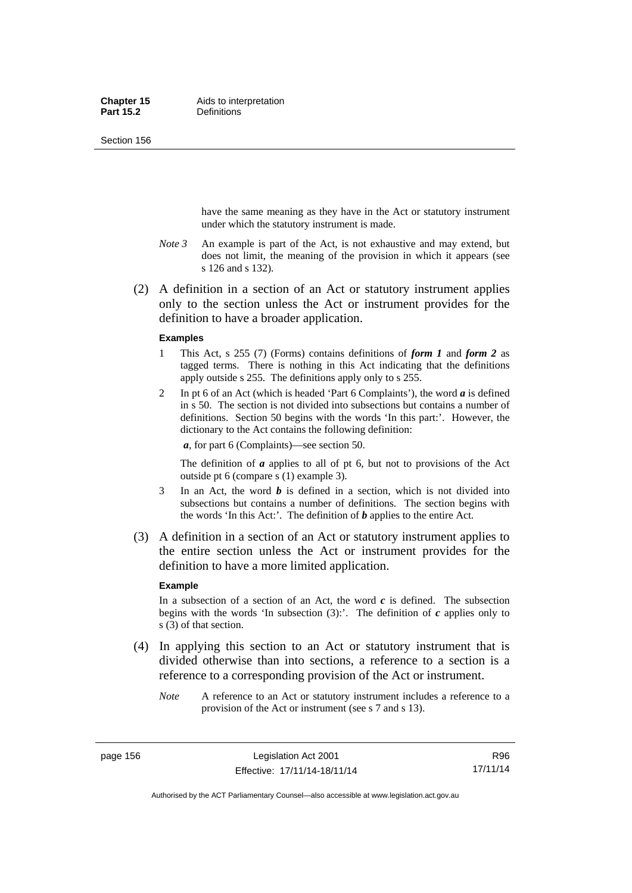Section 156

have the same meaning as they have in the Act or statutory instrument under which the statutory instrument is made.

- *Note 3* An example is part of the Act, is not exhaustive and may extend, but does not limit, the meaning of the provision in which it appears (see s 126 and s 132).
- (2) A definition in a section of an Act or statutory instrument applies only to the section unless the Act or instrument provides for the definition to have a broader application.

#### **Examples**

- 1 This Act, s 255 (7) (Forms) contains definitions of *form 1* and *form 2* as tagged terms. There is nothing in this Act indicating that the definitions apply outside s 255. The definitions apply only to s 255.
- 2 In pt 6 of an Act (which is headed 'Part 6 Complaints'), the word *a* is defined in s 50. The section is not divided into subsections but contains a number of definitions. Section 50 begins with the words 'In this part:'. However, the dictionary to the Act contains the following definition:

*a*, for part 6 (Complaints)—see section 50.

The definition of *a* applies to all of pt 6, but not to provisions of the Act outside pt 6 (compare s (1) example 3).

- 3 In an Act, the word *b* is defined in a section, which is not divided into subsections but contains a number of definitions. The section begins with the words 'In this Act:'. The definition of *b* applies to the entire Act.
- (3) A definition in a section of an Act or statutory instrument applies to the entire section unless the Act or instrument provides for the definition to have a more limited application.

#### **Example**

In a subsection of a section of an Act, the word  $c$  is defined. The subsection begins with the words 'In subsection  $(3)$ :'. The definition of  $c$  applies only to s (3) of that section.

- (4) In applying this section to an Act or statutory instrument that is divided otherwise than into sections, a reference to a section is a reference to a corresponding provision of the Act or instrument.
	- *Note* A reference to an Act or statutory instrument includes a reference to a provision of the Act or instrument (see s 7 and s 13).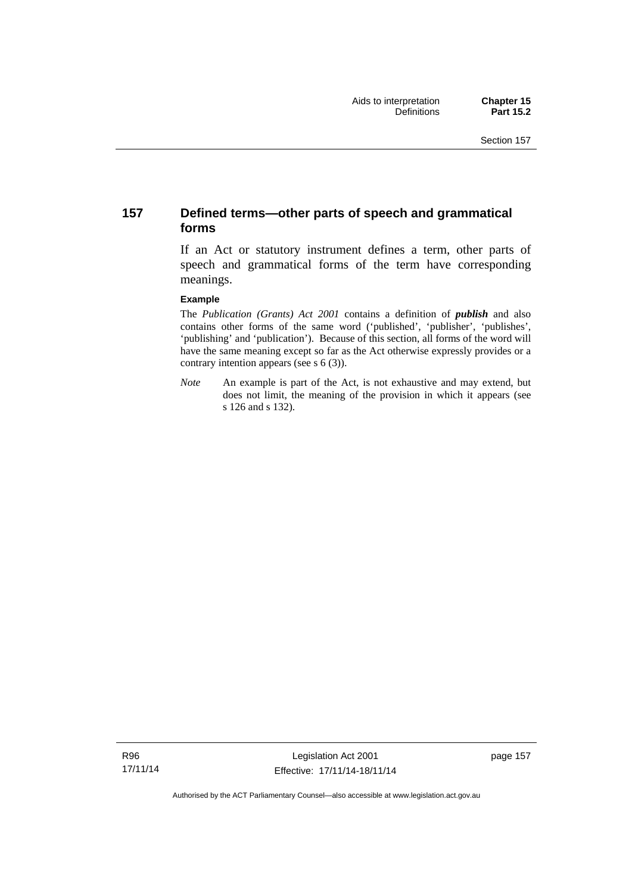## **157 Defined terms—other parts of speech and grammatical forms**

If an Act or statutory instrument defines a term, other parts of speech and grammatical forms of the term have corresponding meanings.

#### **Example**

The *Publication (Grants) Act 2001* contains a definition of *publish* and also contains other forms of the same word ('published', 'publisher', 'publishes', 'publishing' and 'publication'). Because of this section, all forms of the word will have the same meaning except so far as the Act otherwise expressly provides or a contrary intention appears (see s 6 (3)).

*Note* An example is part of the Act, is not exhaustive and may extend, but does not limit, the meaning of the provision in which it appears (see s 126 and s 132).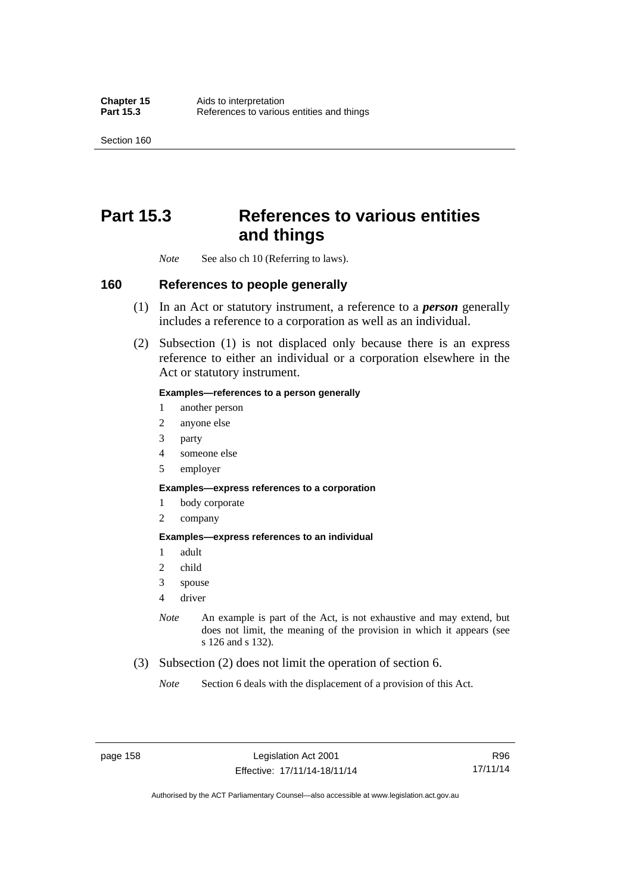Section 160

# **Part 15.3 References to various entities and things**

*Note* See also ch 10 (Referring to laws).

#### **160 References to people generally**

- (1) In an Act or statutory instrument, a reference to a *person* generally includes a reference to a corporation as well as an individual.
- (2) Subsection (1) is not displaced only because there is an express reference to either an individual or a corporation elsewhere in the Act or statutory instrument.

#### **Examples—references to a person generally**

- 1 another person
- 2 anyone else
- 3 party
- 4 someone else
- 5 employer

#### **Examples—express references to a corporation**

- 1 body corporate
- 2 company

#### **Examples—express references to an individual**

- 1 adult
- 2 child
- 3 spouse
- 4 driver
- *Note* An example is part of the Act, is not exhaustive and may extend, but does not limit, the meaning of the provision in which it appears (see s 126 and s 132).
- (3) Subsection (2) does not limit the operation of section 6.
	- *Note* Section 6 deals with the displacement of a provision of this Act.

R96 17/11/14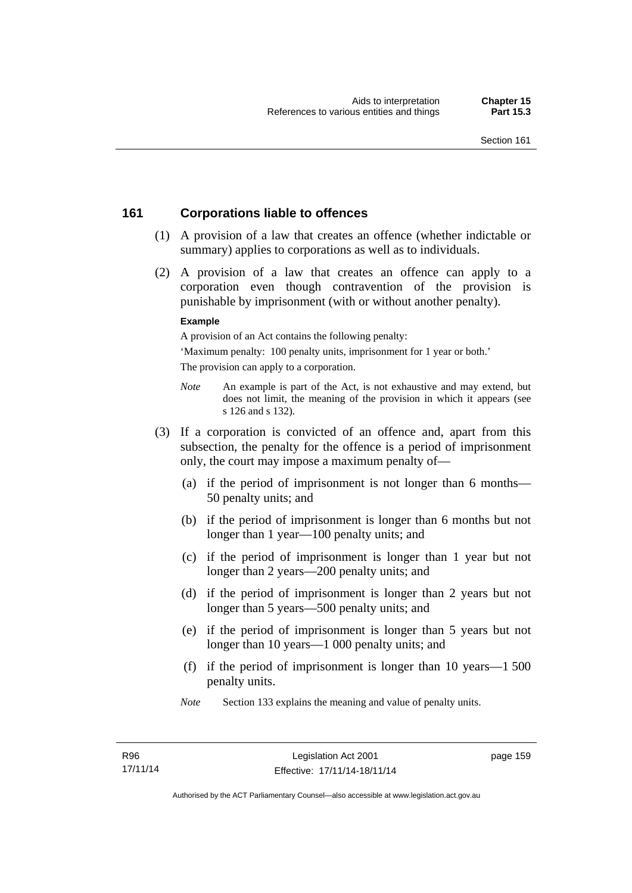## **161 Corporations liable to offences**

- (1) A provision of a law that creates an offence (whether indictable or summary) applies to corporations as well as to individuals.
- (2) A provision of a law that creates an offence can apply to a corporation even though contravention of the provision is punishable by imprisonment (with or without another penalty).

#### **Example**

A provision of an Act contains the following penalty:

'Maximum penalty: 100 penalty units, imprisonment for 1 year or both.' The provision can apply to a corporation.

- *Note* An example is part of the Act, is not exhaustive and may extend, but does not limit, the meaning of the provision in which it appears (see s 126 and s 132).
- (3) If a corporation is convicted of an offence and, apart from this subsection, the penalty for the offence is a period of imprisonment only, the court may impose a maximum penalty of—
	- (a) if the period of imprisonment is not longer than 6 months— 50 penalty units; and
	- (b) if the period of imprisonment is longer than 6 months but not longer than 1 year—100 penalty units; and
	- (c) if the period of imprisonment is longer than 1 year but not longer than 2 years—200 penalty units; and
	- (d) if the period of imprisonment is longer than 2 years but not longer than 5 years—500 penalty units; and
	- (e) if the period of imprisonment is longer than 5 years but not longer than 10 years—1 000 penalty units; and
	- (f) if the period of imprisonment is longer than 10 years—1 500 penalty units.
	- *Note* Section 133 explains the meaning and value of penalty units.

page 159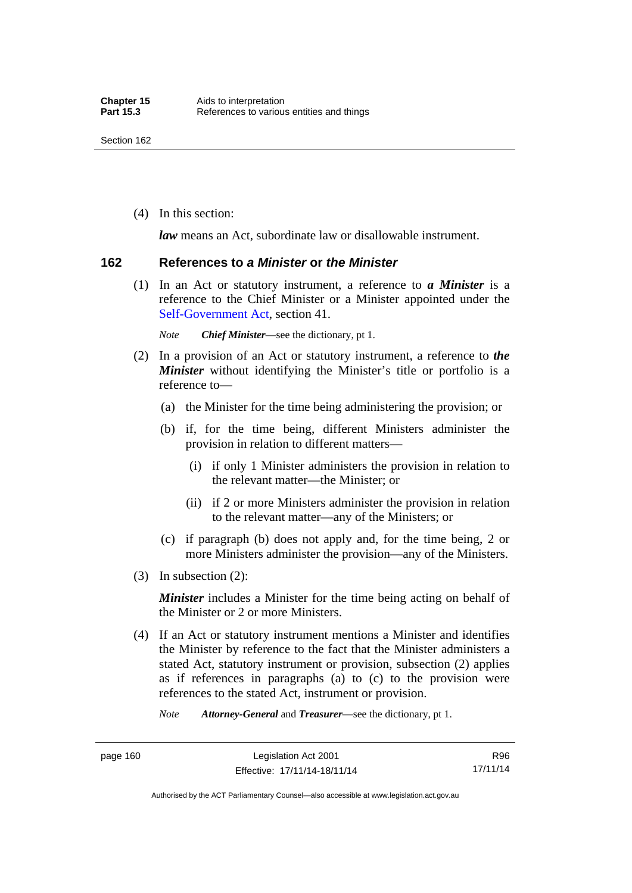(4) In this section:

*law* means an Act, subordinate law or disallowable instrument.

#### **162 References to** *a Minister* **or** *the Minister*

 (1) In an Act or statutory instrument, a reference to *a Minister* is a reference to the Chief Minister or a Minister appointed under the [Self-Government Act,](http://www.comlaw.gov.au/Series/C2004A03699) section 41.

*Note Chief Minister*—see the dictionary, pt 1.

- (2) In a provision of an Act or statutory instrument, a reference to *the Minister* without identifying the Minister's title or portfolio is a reference to—
	- (a) the Minister for the time being administering the provision; or
	- (b) if, for the time being, different Ministers administer the provision in relation to different matters—
		- (i) if only 1 Minister administers the provision in relation to the relevant matter—the Minister; or
		- (ii) if 2 or more Ministers administer the provision in relation to the relevant matter—any of the Ministers; or
	- (c) if paragraph (b) does not apply and, for the time being, 2 or more Ministers administer the provision—any of the Ministers.
- (3) In subsection (2):

*Minister* includes a Minister for the time being acting on behalf of the Minister or 2 or more Ministers.

 (4) If an Act or statutory instrument mentions a Minister and identifies the Minister by reference to the fact that the Minister administers a stated Act, statutory instrument or provision, subsection (2) applies as if references in paragraphs (a) to (c) to the provision were references to the stated Act, instrument or provision.

*Note Attorney-General* and *Treasurer*—see the dictionary, pt 1.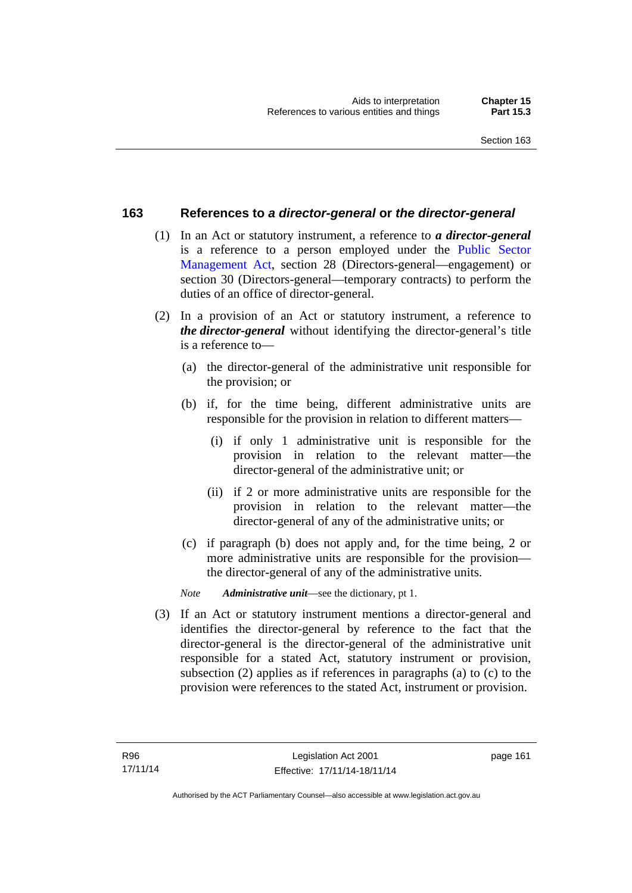## **163 References to** *a director-general* **or** *the director-general*

- (1) In an Act or statutory instrument, a reference to *a director-general* is a reference to a person employed under the [Public Sector](http://www.legislation.act.gov.au/a/1994-37)  [Management Act,](http://www.legislation.act.gov.au/a/1994-37) section 28 (Directors-general—engagement) or section 30 (Directors-general—temporary contracts) to perform the duties of an office of director-general.
- (2) In a provision of an Act or statutory instrument, a reference to *the director-general* without identifying the director-general's title is a reference to—
	- (a) the director-general of the administrative unit responsible for the provision; or
	- (b) if, for the time being, different administrative units are responsible for the provision in relation to different matters—
		- (i) if only 1 administrative unit is responsible for the provision in relation to the relevant matter—the director-general of the administrative unit; or
		- (ii) if 2 or more administrative units are responsible for the provision in relation to the relevant matter—the director-general of any of the administrative units; or
	- (c) if paragraph (b) does not apply and, for the time being, 2 or more administrative units are responsible for the provision the director-general of any of the administrative units.
	- *Note Administrative unit*—see the dictionary, pt 1.
- (3) If an Act or statutory instrument mentions a director-general and identifies the director-general by reference to the fact that the director-general is the director-general of the administrative unit responsible for a stated Act, statutory instrument or provision, subsection (2) applies as if references in paragraphs (a) to (c) to the provision were references to the stated Act, instrument or provision.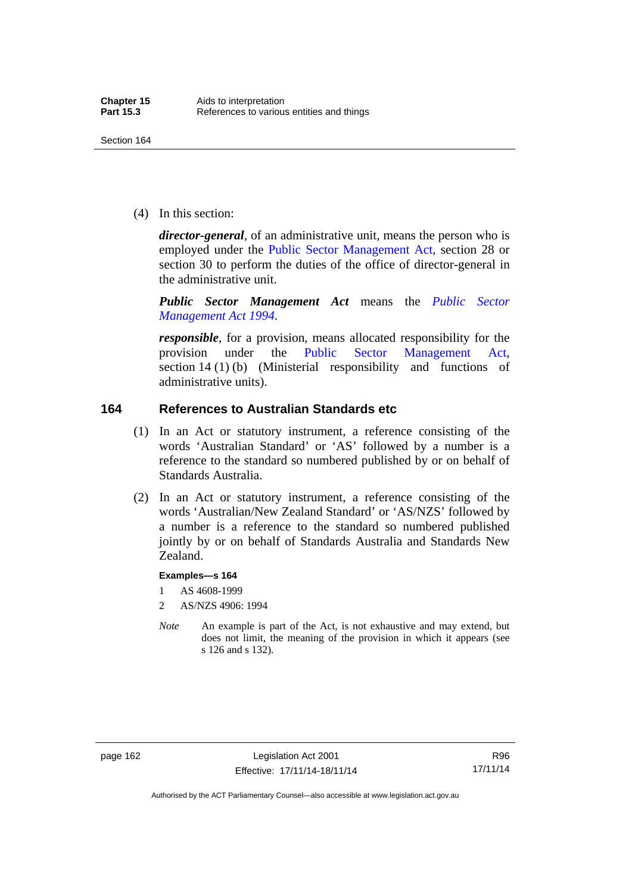(4) In this section:

*director-general*, of an administrative unit, means the person who is employed under the [Public Sector Management Act,](http://www.legislation.act.gov.au/a/1994-37) section 28 or section 30 to perform the duties of the office of director-general in the administrative unit.

*Public Sector Management Act* means the *[Public Sector](http://www.legislation.act.gov.au/a/1994-37)  [Management Act 1994](http://www.legislation.act.gov.au/a/1994-37)*.

*responsible*, for a provision, means allocated responsibility for the provision under the [Public Sector Management Act](http://www.legislation.act.gov.au/a/1994-37), section 14 (1) (b) (Ministerial responsibility and functions of administrative units).

## **164 References to Australian Standards etc**

- (1) In an Act or statutory instrument, a reference consisting of the words 'Australian Standard' or 'AS' followed by a number is a reference to the standard so numbered published by or on behalf of Standards Australia.
- (2) In an Act or statutory instrument, a reference consisting of the words 'Australian/New Zealand Standard' or 'AS/NZS' followed by a number is a reference to the standard so numbered published jointly by or on behalf of Standards Australia and Standards New Zealand.

#### **Examples—s 164**

- 1 AS 4608-1999
- 2 AS/NZS 4906: 1994
- *Note* An example is part of the Act, is not exhaustive and may extend, but does not limit, the meaning of the provision in which it appears (see s 126 and s 132).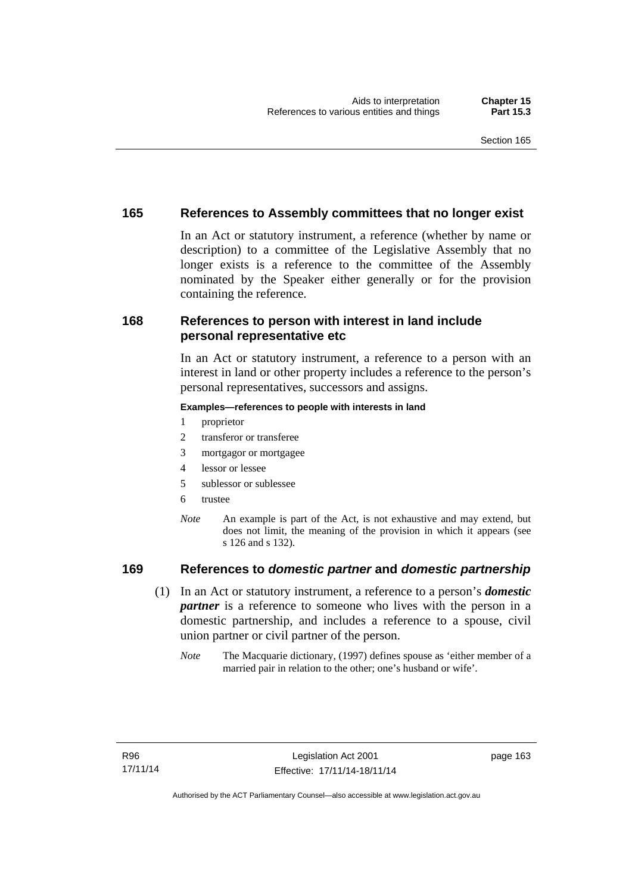## **165 References to Assembly committees that no longer exist**

In an Act or statutory instrument, a reference (whether by name or description) to a committee of the Legislative Assembly that no longer exists is a reference to the committee of the Assembly nominated by the Speaker either generally or for the provision containing the reference.

## **168 References to person with interest in land include personal representative etc**

In an Act or statutory instrument, a reference to a person with an interest in land or other property includes a reference to the person's personal representatives, successors and assigns.

#### **Examples—references to people with interests in land**

- 1 proprietor
- 2 transferor or transferee
- 3 mortgagor or mortgagee
- 4 lessor or lessee
- 5 sublessor or sublessee
- 6 trustee
- *Note* An example is part of the Act, is not exhaustive and may extend, but does not limit, the meaning of the provision in which it appears (see s 126 and s 132).

## **169 References to** *domestic partner* **and** *domestic partnership*

- (1) In an Act or statutory instrument, a reference to a person's *domestic partner* is a reference to someone who lives with the person in a domestic partnership, and includes a reference to a spouse, civil union partner or civil partner of the person.
	- *Note* The Macquarie dictionary, (1997) defines spouse as 'either member of a married pair in relation to the other; one's husband or wife'.

page 163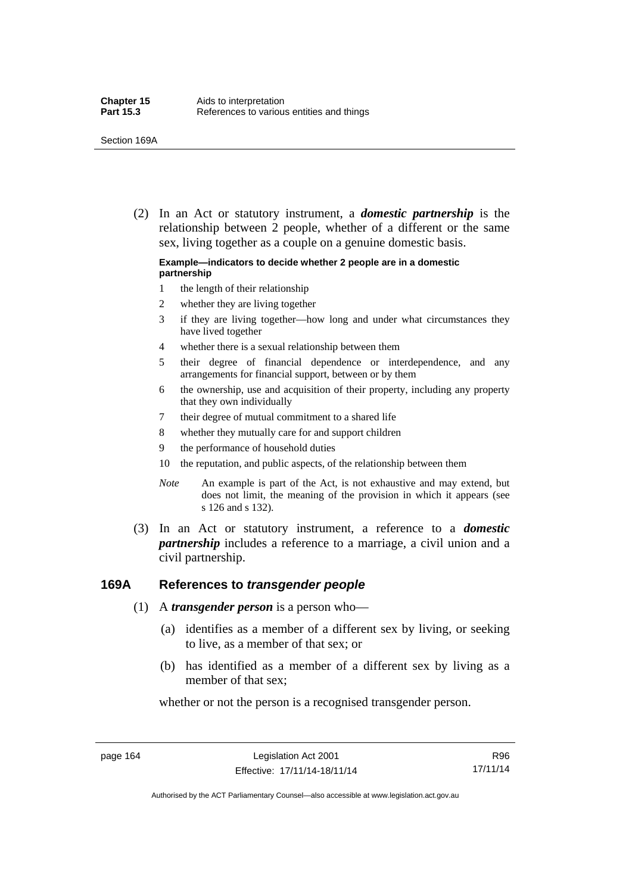(2) In an Act or statutory instrument, a *domestic partnership* is the relationship between 2 people, whether of a different or the same sex, living together as a couple on a genuine domestic basis.

#### **Example—indicators to decide whether 2 people are in a domestic partnership**

- 1 the length of their relationship
- 2 whether they are living together
- 3 if they are living together—how long and under what circumstances they have lived together
- 4 whether there is a sexual relationship between them
- 5 their degree of financial dependence or interdependence, and any arrangements for financial support, between or by them
- 6 the ownership, use and acquisition of their property, including any property that they own individually
- 7 their degree of mutual commitment to a shared life
- 8 whether they mutually care for and support children
- 9 the performance of household duties
- 10 the reputation, and public aspects, of the relationship between them
- *Note* An example is part of the Act, is not exhaustive and may extend, but does not limit, the meaning of the provision in which it appears (see s 126 and s 132).
- (3) In an Act or statutory instrument, a reference to a *domestic partnership* includes a reference to a marriage, a civil union and a civil partnership.

#### **169A References to** *transgender people*

- (1) A *transgender person* is a person who—
	- (a) identifies as a member of a different sex by living, or seeking to live, as a member of that sex; or
	- (b) has identified as a member of a different sex by living as a member of that sex;

whether or not the person is a recognised transgender person.

page 164 Legislation Act 2001 Effective: 17/11/14-18/11/14

R96 17/11/14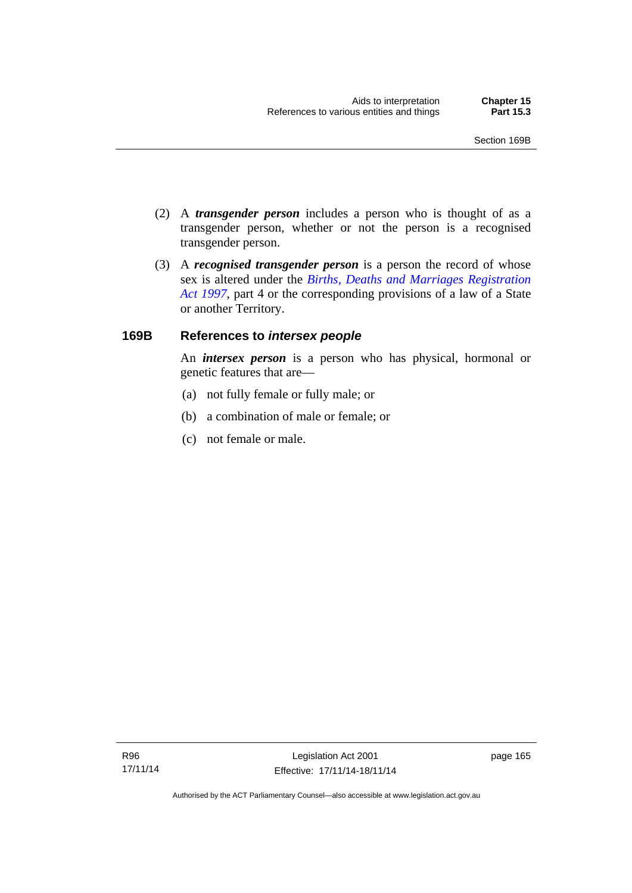- (2) A *transgender person* includes a person who is thought of as a transgender person, whether or not the person is a recognised transgender person.
- (3) A *recognised transgender person* is a person the record of whose sex is altered under the *[Births, Deaths and Marriages Registration](http://www.legislation.act.gov.au/a/1997-112)  [Act 1997](http://www.legislation.act.gov.au/a/1997-112)*, part 4 or the corresponding provisions of a law of a State or another Territory.

## **169B References to** *intersex people*

An *intersex person* is a person who has physical, hormonal or genetic features that are—

- (a) not fully female or fully male; or
- (b) a combination of male or female; or
- (c) not female or male.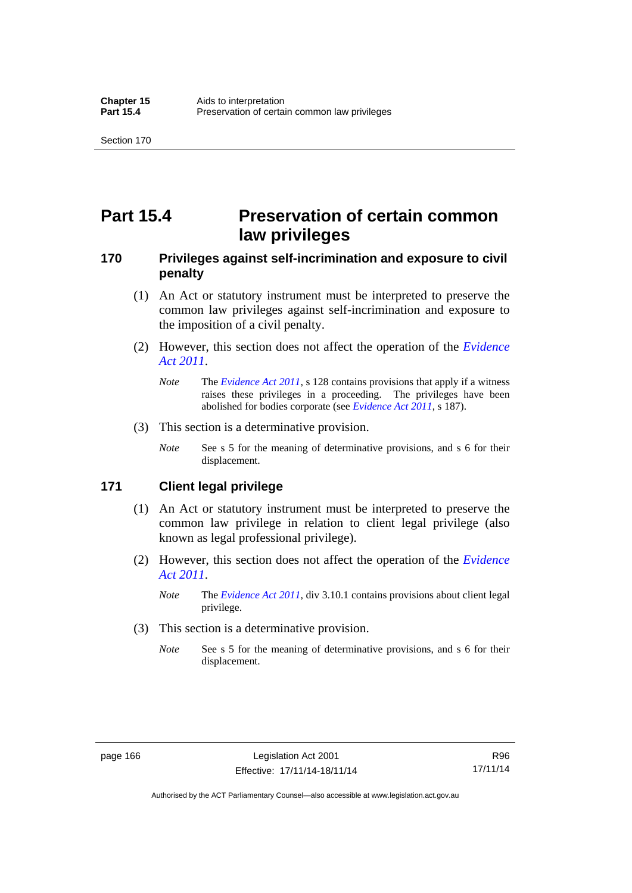# **Part 15.4 Preservation of certain common law privileges**

## **170 Privileges against self-incrimination and exposure to civil penalty**

- (1) An Act or statutory instrument must be interpreted to preserve the common law privileges against self-incrimination and exposure to the imposition of a civil penalty.
- (2) However, this section does not affect the operation of the *[Evidence](http://www.legislation.act.gov.au/a/2011-12)  [Act 2011](http://www.legislation.act.gov.au/a/2011-12)*.
	- *Note* The *[Evidence Act 2011](http://www.legislation.act.gov.au/a/2011-12)*, s 128 contains provisions that apply if a witness raises these privileges in a proceeding. The privileges have been abolished for bodies corporate (see *[Evidence Act 2011](http://www.legislation.act.gov.au/a/2011-12)*, s 187).
- (3) This section is a determinative provision.
	- *Note* See s 5 for the meaning of determinative provisions, and s 6 for their displacement.

## **171 Client legal privilege**

- (1) An Act or statutory instrument must be interpreted to preserve the common law privilege in relation to client legal privilege (also known as legal professional privilege).
- (2) However, this section does not affect the operation of the *[Evidence](http://www.legislation.act.gov.au/a/2011-12)  [Act 2011](http://www.legislation.act.gov.au/a/2011-12)*.
	- *Note* The *[Evidence Act 2011](http://www.legislation.act.gov.au/a/2011-12)*, div 3.10.1 contains provisions about client legal privilege.
- (3) This section is a determinative provision.
	- *Note* See s 5 for the meaning of determinative provisions, and s 6 for their displacement.

R96 17/11/14

Authorised by the ACT Parliamentary Counsel—also accessible at www.legislation.act.gov.au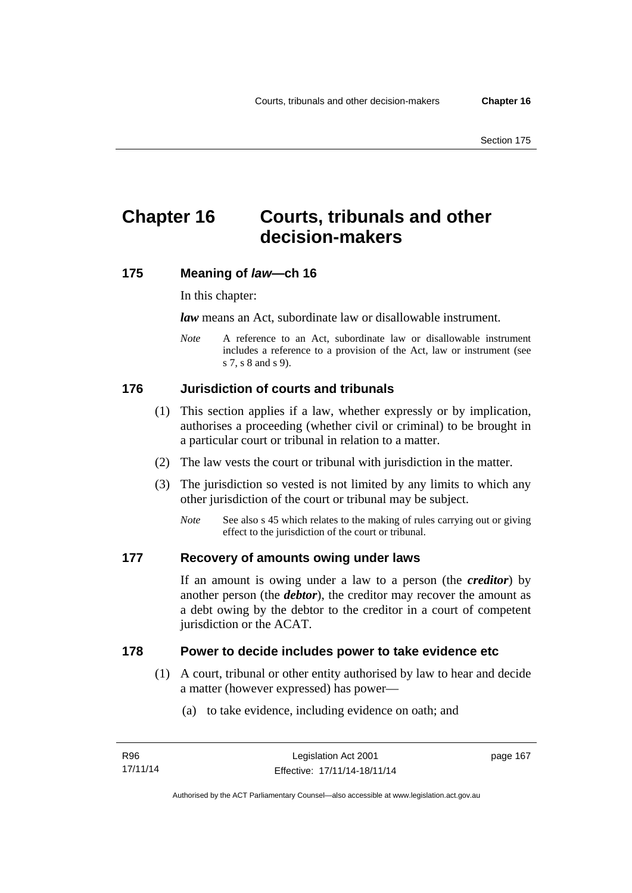# **Chapter 16 Courts, tribunals and other decision-makers**

## **175 Meaning of** *law***—ch 16**

In this chapter:

*law* means an Act, subordinate law or disallowable instrument.

*Note* A reference to an Act, subordinate law or disallowable instrument includes a reference to a provision of the Act, law or instrument (see s 7, s 8 and s 9).

# **176 Jurisdiction of courts and tribunals**

- (1) This section applies if a law, whether expressly or by implication, authorises a proceeding (whether civil or criminal) to be brought in a particular court or tribunal in relation to a matter.
- (2) The law vests the court or tribunal with jurisdiction in the matter.
- (3) The jurisdiction so vested is not limited by any limits to which any other jurisdiction of the court or tribunal may be subject.
	- *Note* See also s 45 which relates to the making of rules carrying out or giving effect to the jurisdiction of the court or tribunal.

## **177 Recovery of amounts owing under laws**

If an amount is owing under a law to a person (the *creditor*) by another person (the *debtor*), the creditor may recover the amount as a debt owing by the debtor to the creditor in a court of competent jurisdiction or the ACAT.

### **178 Power to decide includes power to take evidence etc**

- (1) A court, tribunal or other entity authorised by law to hear and decide a matter (however expressed) has power—
	- (a) to take evidence, including evidence on oath; and

page 167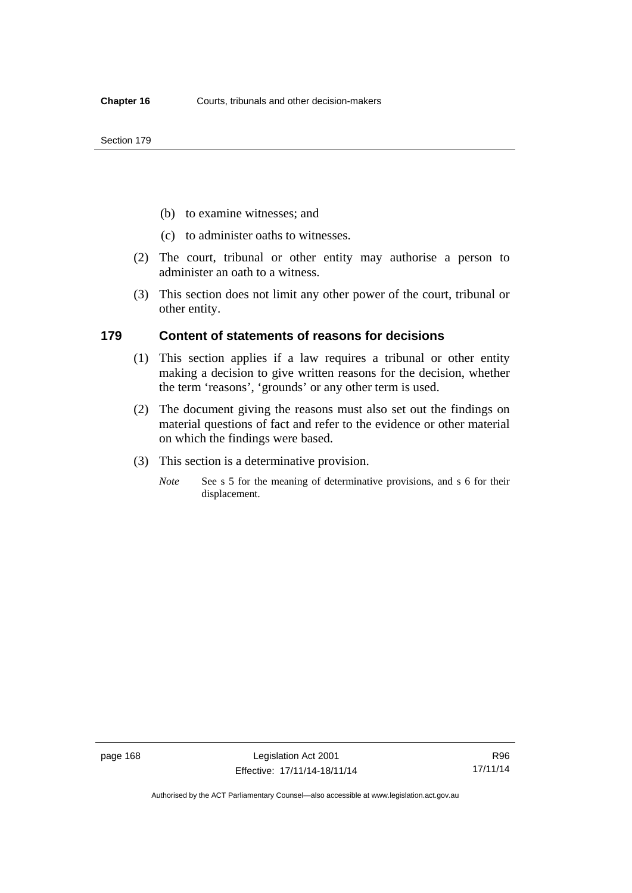- (b) to examine witnesses; and
- (c) to administer oaths to witnesses.
- (2) The court, tribunal or other entity may authorise a person to administer an oath to a witness.
- (3) This section does not limit any other power of the court, tribunal or other entity.

### **179 Content of statements of reasons for decisions**

- (1) This section applies if a law requires a tribunal or other entity making a decision to give written reasons for the decision, whether the term 'reasons', 'grounds' or any other term is used.
- (2) The document giving the reasons must also set out the findings on material questions of fact and refer to the evidence or other material on which the findings were based.
- (3) This section is a determinative provision.
	- *Note* See s 5 for the meaning of determinative provisions, and s 6 for their displacement.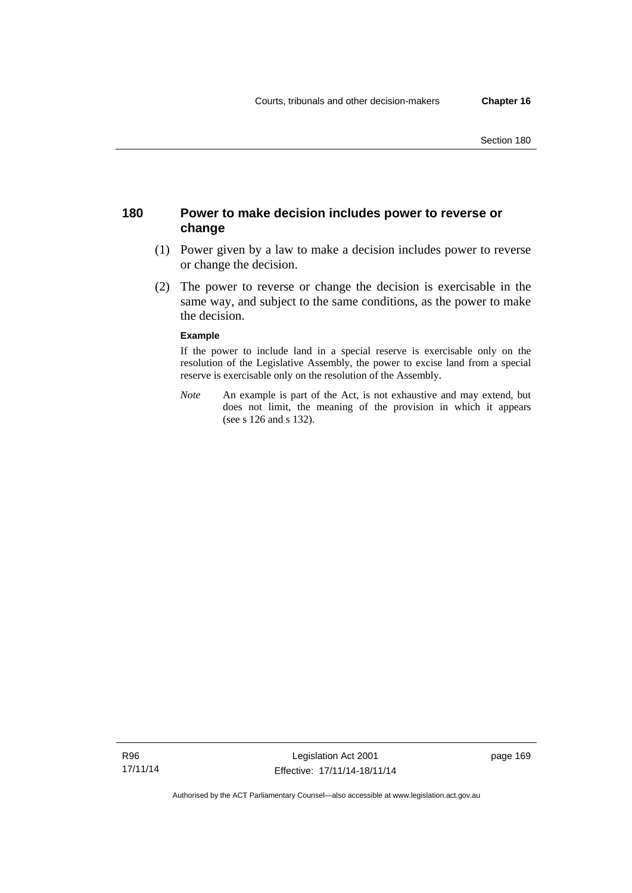## **180 Power to make decision includes power to reverse or change**

- (1) Power given by a law to make a decision includes power to reverse or change the decision.
- (2) The power to reverse or change the decision is exercisable in the same way, and subject to the same conditions, as the power to make the decision.

#### **Example**

If the power to include land in a special reserve is exercisable only on the resolution of the Legislative Assembly, the power to excise land from a special reserve is exercisable only on the resolution of the Assembly.

*Note* An example is part of the Act, is not exhaustive and may extend, but does not limit, the meaning of the provision in which it appears (see s 126 and s 132).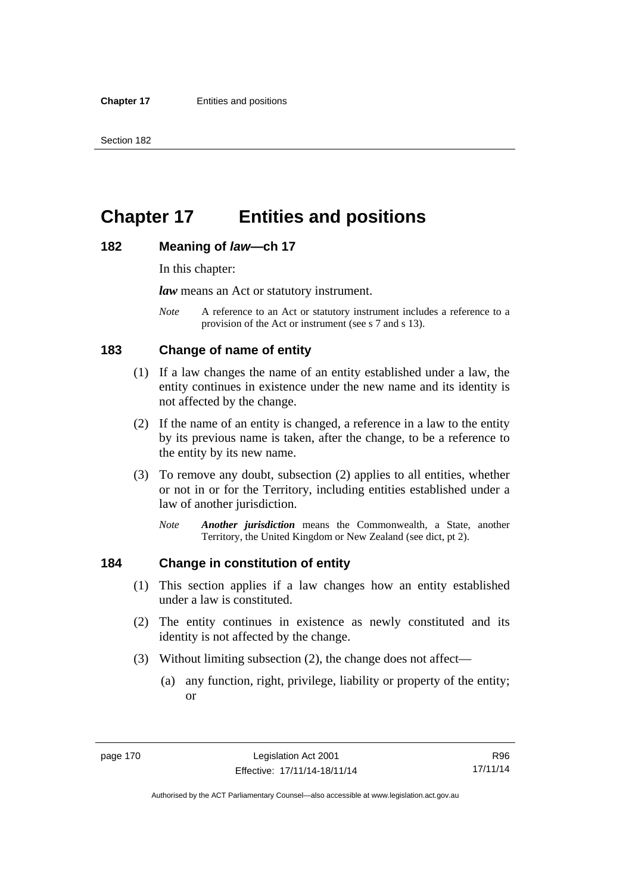# **Chapter 17 Entities and positions**

### **182 Meaning of** *law***—ch 17**

In this chapter:

*law* means an Act or statutory instrument.

*Note* A reference to an Act or statutory instrument includes a reference to a provision of the Act or instrument (see s 7 and s 13).

## **183 Change of name of entity**

- (1) If a law changes the name of an entity established under a law, the entity continues in existence under the new name and its identity is not affected by the change.
- (2) If the name of an entity is changed, a reference in a law to the entity by its previous name is taken, after the change, to be a reference to the entity by its new name.
- (3) To remove any doubt, subsection (2) applies to all entities, whether or not in or for the Territory, including entities established under a law of another jurisdiction.
	- *Note Another jurisdiction* means the Commonwealth, a State, another Territory, the United Kingdom or New Zealand (see dict, pt 2).

## **184 Change in constitution of entity**

- (1) This section applies if a law changes how an entity established under a law is constituted.
- (2) The entity continues in existence as newly constituted and its identity is not affected by the change.
- (3) Without limiting subsection (2), the change does not affect—
	- (a) any function, right, privilege, liability or property of the entity; or

R96 17/11/14

Authorised by the ACT Parliamentary Counsel—also accessible at www.legislation.act.gov.au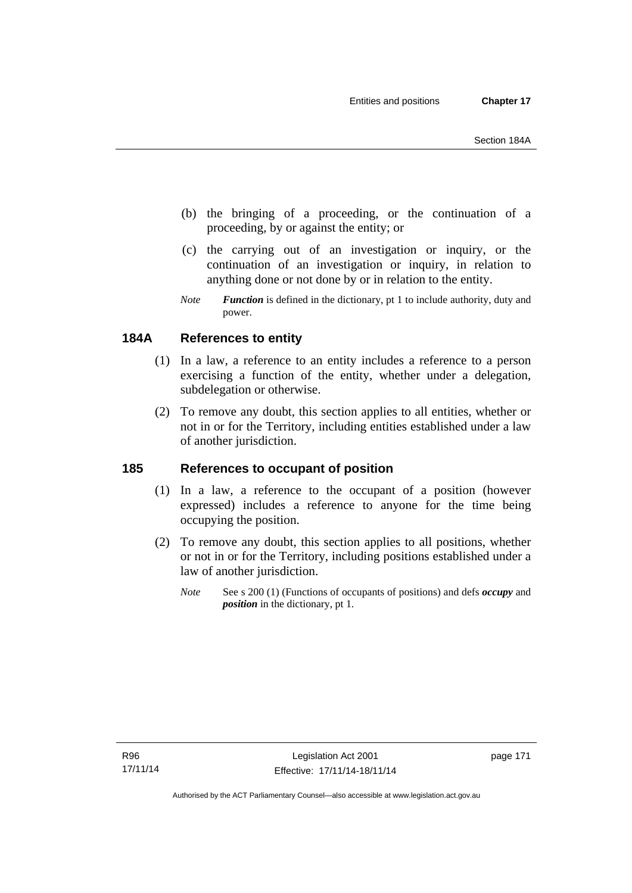- (b) the bringing of a proceeding, or the continuation of a proceeding, by or against the entity; or
- (c) the carrying out of an investigation or inquiry, or the continuation of an investigation or inquiry, in relation to anything done or not done by or in relation to the entity.
- *Note Function* is defined in the dictionary, pt 1 to include authority, duty and power.

# **184A References to entity**

- (1) In a law, a reference to an entity includes a reference to a person exercising a function of the entity, whether under a delegation, subdelegation or otherwise.
- (2) To remove any doubt, this section applies to all entities, whether or not in or for the Territory, including entities established under a law of another jurisdiction.

# **185 References to occupant of position**

- (1) In a law, a reference to the occupant of a position (however expressed) includes a reference to anyone for the time being occupying the position.
- (2) To remove any doubt, this section applies to all positions, whether or not in or for the Territory, including positions established under a law of another jurisdiction.
	- *Note* See s 200 (1) (Functions of occupants of positions) and defs *occupy* and *position* in the dictionary, pt 1.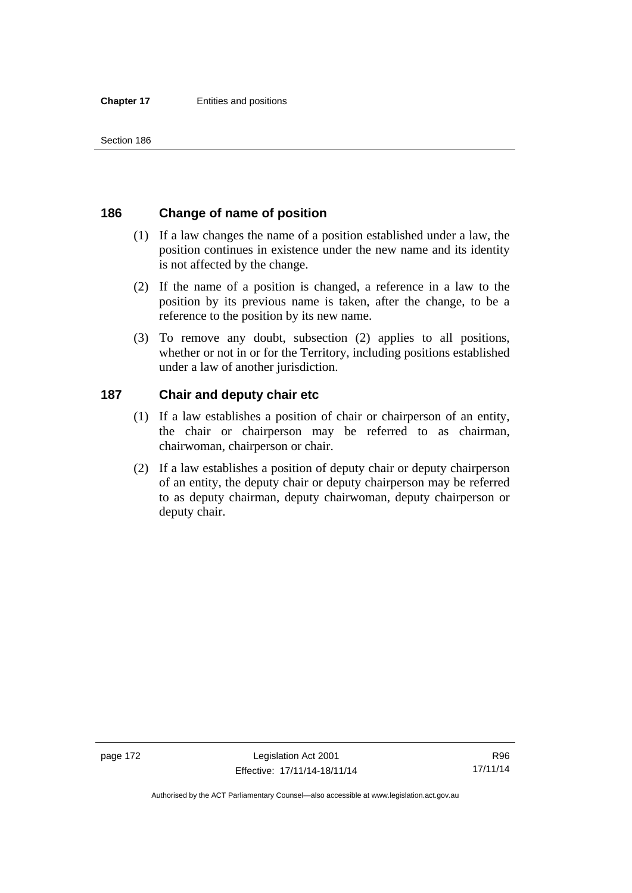## **186 Change of name of position**

- (1) If a law changes the name of a position established under a law, the position continues in existence under the new name and its identity is not affected by the change.
- (2) If the name of a position is changed, a reference in a law to the position by its previous name is taken, after the change, to be a reference to the position by its new name.
- (3) To remove any doubt, subsection (2) applies to all positions, whether or not in or for the Territory, including positions established under a law of another jurisdiction.

## **187 Chair and deputy chair etc**

- (1) If a law establishes a position of chair or chairperson of an entity, the chair or chairperson may be referred to as chairman, chairwoman, chairperson or chair.
- (2) If a law establishes a position of deputy chair or deputy chairperson of an entity, the deputy chair or deputy chairperson may be referred to as deputy chairman, deputy chairwoman, deputy chairperson or deputy chair.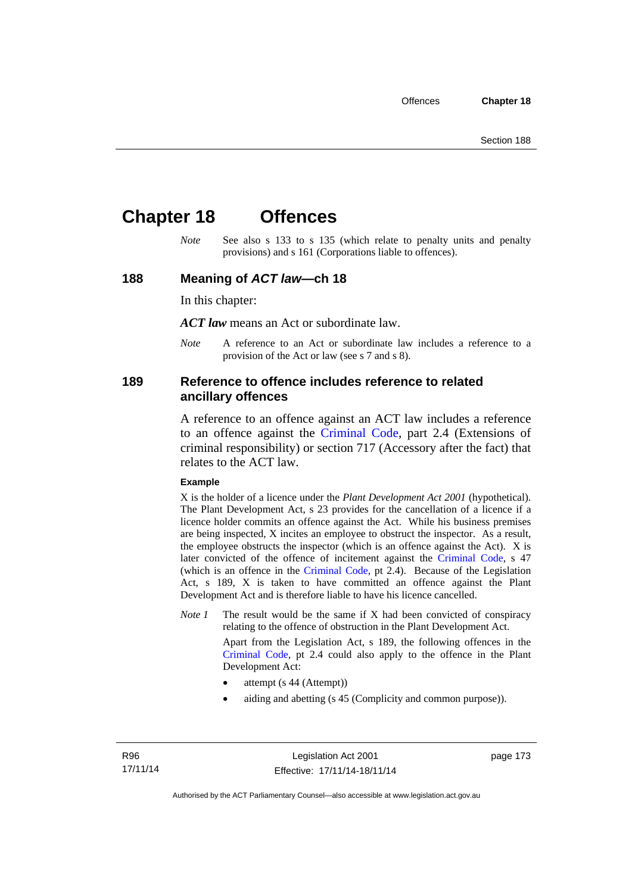# **Chapter 18 Offences**

*Note* See also s 133 to s 135 (which relate to penalty units and penalty provisions) and s 161 (Corporations liable to offences).

## **188 Meaning of** *ACT law***—ch 18**

In this chapter:

*ACT law* means an Act or subordinate law.

*Note* A reference to an Act or subordinate law includes a reference to a provision of the Act or law (see s 7 and s 8).

## **189 Reference to offence includes reference to related ancillary offences**

A reference to an offence against an ACT law includes a reference to an offence against the [Criminal Code,](http://www.legislation.act.gov.au/a/2002-51) part 2.4 (Extensions of criminal responsibility) or section 717 (Accessory after the fact) that relates to the ACT law.

### **Example**

X is the holder of a licence under the *Plant Development Act 2001* (hypothetical). The Plant Development Act, s 23 provides for the cancellation of a licence if a licence holder commits an offence against the Act. While his business premises are being inspected, X incites an employee to obstruct the inspector. As a result, the employee obstructs the inspector (which is an offence against the Act). X is later convicted of the offence of incitement against the [Criminal Code](http://www.legislation.act.gov.au/a/2002-51), s 47 (which is an offence in the [Criminal Code,](http://www.legislation.act.gov.au/a/2002-51) pt 2.4). Because of the Legislation Act, s 189, X is taken to have committed an offence against the Plant Development Act and is therefore liable to have his licence cancelled.

*Note 1* The result would be the same if X had been convicted of conspiracy relating to the offence of obstruction in the Plant Development Act.

> Apart from the Legislation Act, s 189, the following offences in the [Criminal Code,](http://www.legislation.act.gov.au/a/2002-51) pt 2.4 could also apply to the offence in the Plant Development Act:

- attempt (s 44 (Attempt))
- aiding and abetting (s 45 (Complicity and common purpose)).

page 173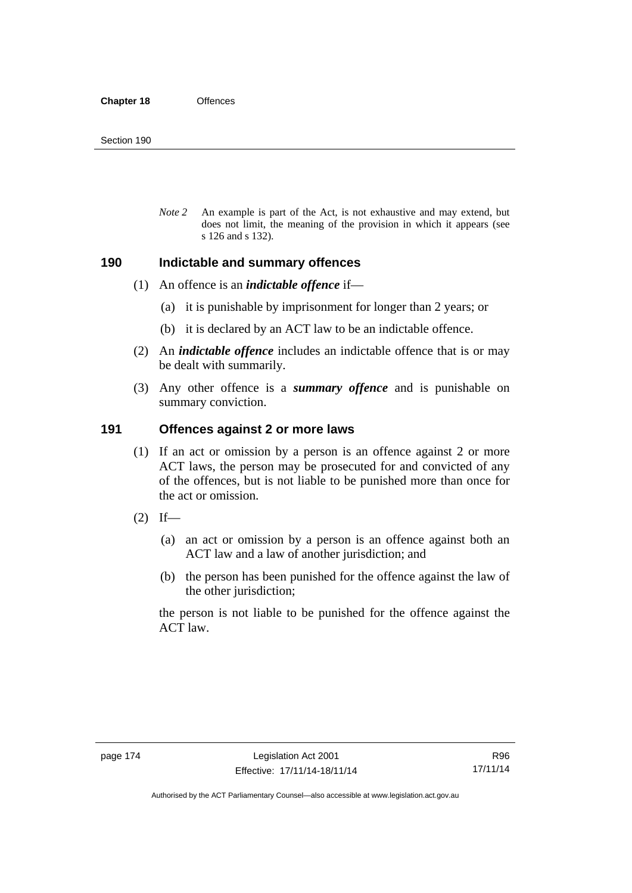*Note 2* An example is part of the Act, is not exhaustive and may extend, but does not limit, the meaning of the provision in which it appears (see s 126 and s 132).

## **190 Indictable and summary offences**

- (1) An offence is an *indictable offence* if—
	- (a) it is punishable by imprisonment for longer than 2 years; or
	- (b) it is declared by an ACT law to be an indictable offence.
- (2) An *indictable offence* includes an indictable offence that is or may be dealt with summarily.
- (3) Any other offence is a *summary offence* and is punishable on summary conviction.

## **191 Offences against 2 or more laws**

- (1) If an act or omission by a person is an offence against 2 or more ACT laws, the person may be prosecuted for and convicted of any of the offences, but is not liable to be punished more than once for the act or omission.
- $(2)$  If—
	- (a) an act or omission by a person is an offence against both an ACT law and a law of another jurisdiction; and
	- (b) the person has been punished for the offence against the law of the other jurisdiction;

the person is not liable to be punished for the offence against the ACT law.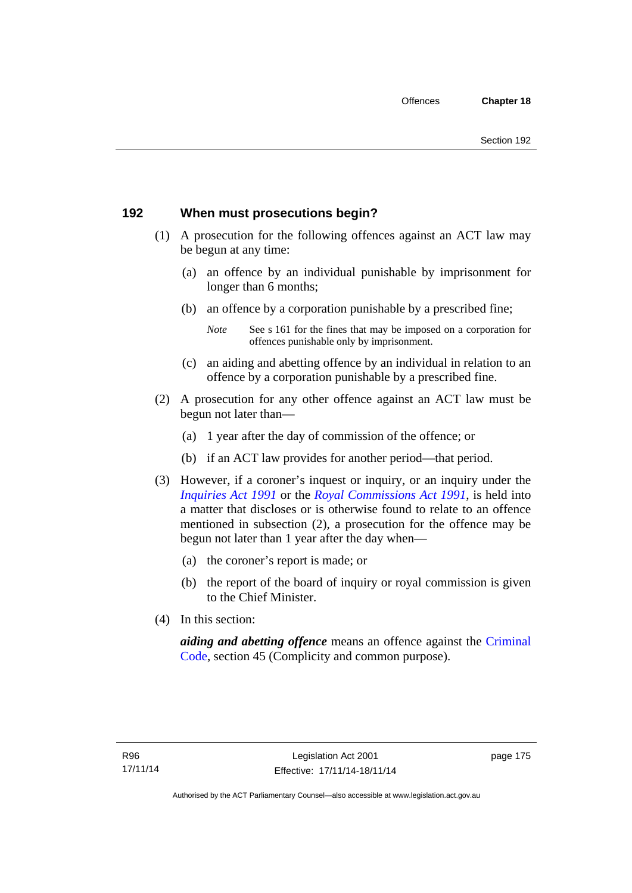# **192 When must prosecutions begin?**

- (1) A prosecution for the following offences against an ACT law may be begun at any time:
	- (a) an offence by an individual punishable by imprisonment for longer than 6 months;
	- (b) an offence by a corporation punishable by a prescribed fine;
		- *Note* See s 161 for the fines that may be imposed on a corporation for offences punishable only by imprisonment.
	- (c) an aiding and abetting offence by an individual in relation to an offence by a corporation punishable by a prescribed fine.
- (2) A prosecution for any other offence against an ACT law must be begun not later than—
	- (a) 1 year after the day of commission of the offence; or
	- (b) if an ACT law provides for another period—that period.
- (3) However, if a coroner's inquest or inquiry, or an inquiry under the *[Inquiries Act 1991](http://www.legislation.act.gov.au/a/1991-2)* or the *[Royal Commissions Act 1991](http://www.legislation.act.gov.au/a/1991-1)*, is held into a matter that discloses or is otherwise found to relate to an offence mentioned in subsection (2), a prosecution for the offence may be begun not later than 1 year after the day when—
	- (a) the coroner's report is made; or
	- (b) the report of the board of inquiry or royal commission is given to the Chief Minister.
- (4) In this section:

*aiding and abetting offence* means an offence against the [Criminal](http://www.legislation.act.gov.au/a/2002-51)  [Code](http://www.legislation.act.gov.au/a/2002-51), section 45 (Complicity and common purpose).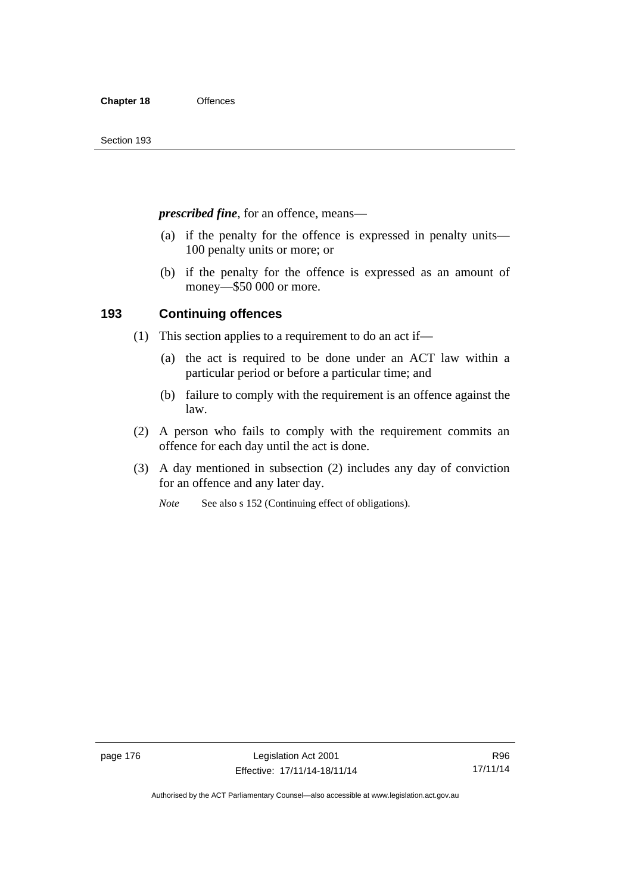*prescribed fine*, for an offence, means—

- (a) if the penalty for the offence is expressed in penalty units— 100 penalty units or more; or
- (b) if the penalty for the offence is expressed as an amount of money—\$50 000 or more.

## **193 Continuing offences**

- (1) This section applies to a requirement to do an act if—
	- (a) the act is required to be done under an ACT law within a particular period or before a particular time; and
	- (b) failure to comply with the requirement is an offence against the law.
- (2) A person who fails to comply with the requirement commits an offence for each day until the act is done.
- (3) A day mentioned in subsection (2) includes any day of conviction for an offence and any later day.

*Note* See also s 152 (Continuing effect of obligations).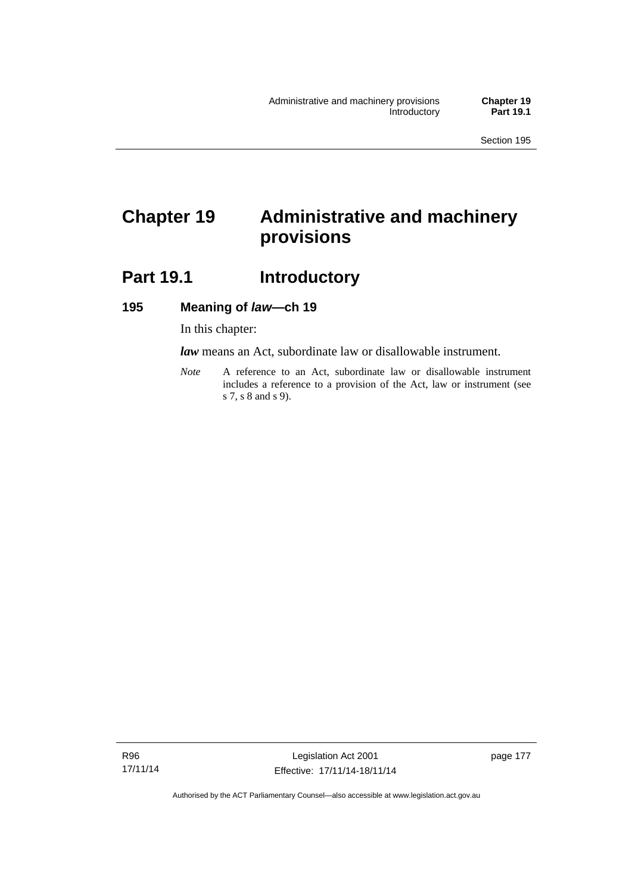# **Chapter 19 Administrative and machinery provisions**

# Part 19.1 **Introductory**

## **195 Meaning of** *law***—ch 19**

In this chapter:

*law* means an Act, subordinate law or disallowable instrument.

*Note* A reference to an Act, subordinate law or disallowable instrument includes a reference to a provision of the Act, law or instrument (see s 7, s 8 and s 9).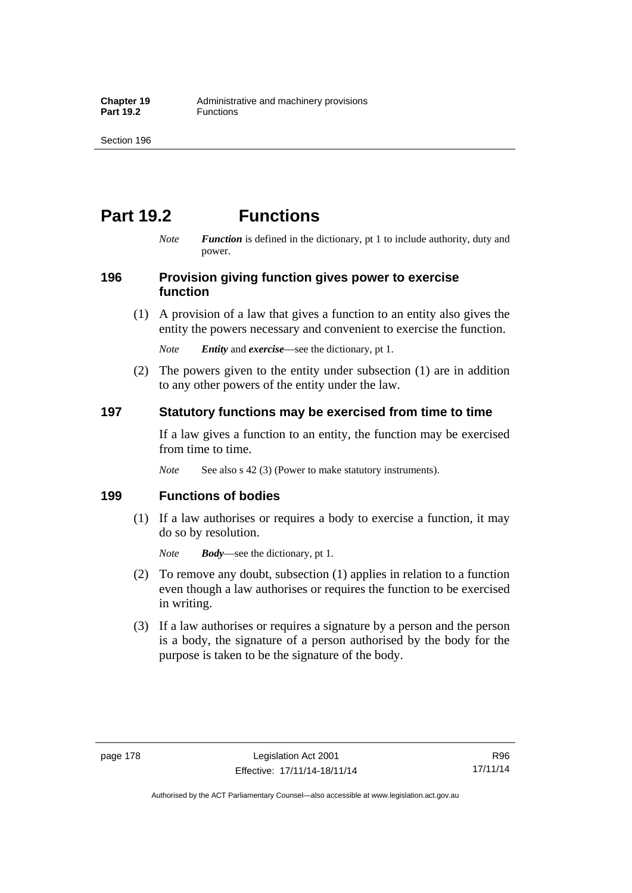# **Part 19.2 Functions**

*Note Function* is defined in the dictionary, pt 1 to include authority, duty and power.

## **196 Provision giving function gives power to exercise function**

 (1) A provision of a law that gives a function to an entity also gives the entity the powers necessary and convenient to exercise the function.

*Note Entity* and *exercise*—see the dictionary, pt 1.

 (2) The powers given to the entity under subsection (1) are in addition to any other powers of the entity under the law.

## **197 Statutory functions may be exercised from time to time**

If a law gives a function to an entity, the function may be exercised from time to time.

*Note* See also s 42 (3) (Power to make statutory instruments).

## **199 Functions of bodies**

 (1) If a law authorises or requires a body to exercise a function, it may do so by resolution.

*Note Body*—see the dictionary, pt 1.

- (2) To remove any doubt, subsection (1) applies in relation to a function even though a law authorises or requires the function to be exercised in writing.
- (3) If a law authorises or requires a signature by a person and the person is a body, the signature of a person authorised by the body for the purpose is taken to be the signature of the body.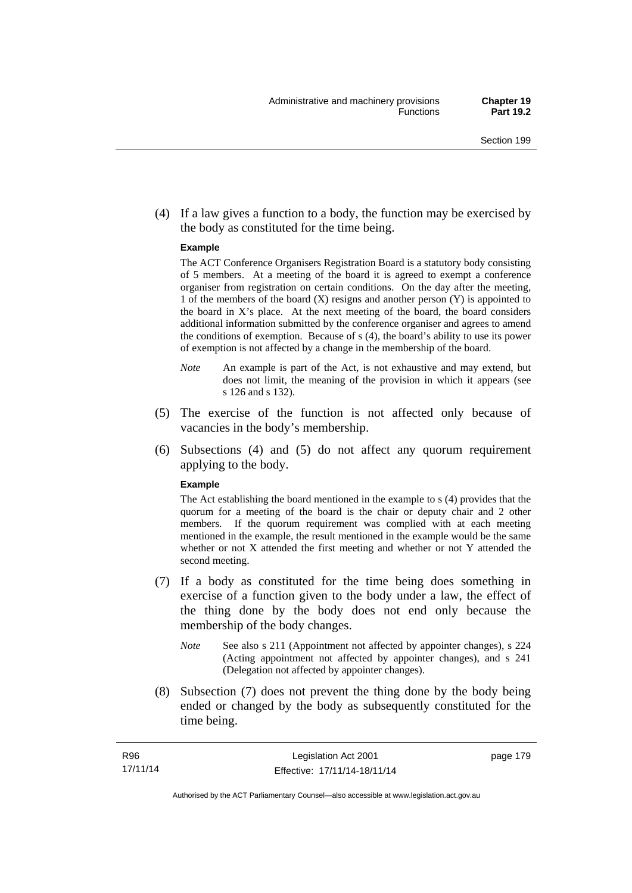(4) If a law gives a function to a body, the function may be exercised by the body as constituted for the time being.

#### **Example**

The ACT Conference Organisers Registration Board is a statutory body consisting of 5 members. At a meeting of the board it is agreed to exempt a conference organiser from registration on certain conditions. On the day after the meeting, 1 of the members of the board (X) resigns and another person (Y) is appointed to the board in  $X$ 's place. At the next meeting of the board, the board considers additional information submitted by the conference organiser and agrees to amend the conditions of exemption. Because of s (4), the board's ability to use its power of exemption is not affected by a change in the membership of the board.

- *Note* An example is part of the Act, is not exhaustive and may extend, but does not limit, the meaning of the provision in which it appears (see s 126 and s 132).
- (5) The exercise of the function is not affected only because of vacancies in the body's membership.
- (6) Subsections (4) and (5) do not affect any quorum requirement applying to the body.

#### **Example**

The Act establishing the board mentioned in the example to s (4) provides that the quorum for a meeting of the board is the chair or deputy chair and 2 other members. If the quorum requirement was complied with at each meeting mentioned in the example, the result mentioned in the example would be the same whether or not X attended the first meeting and whether or not Y attended the second meeting.

- (7) If a body as constituted for the time being does something in exercise of a function given to the body under a law, the effect of the thing done by the body does not end only because the membership of the body changes.
	- *Note* See also s 211 (Appointment not affected by appointer changes), s 224 (Acting appointment not affected by appointer changes), and s 241 (Delegation not affected by appointer changes).
- (8) Subsection (7) does not prevent the thing done by the body being ended or changed by the body as subsequently constituted for the time being.

page 179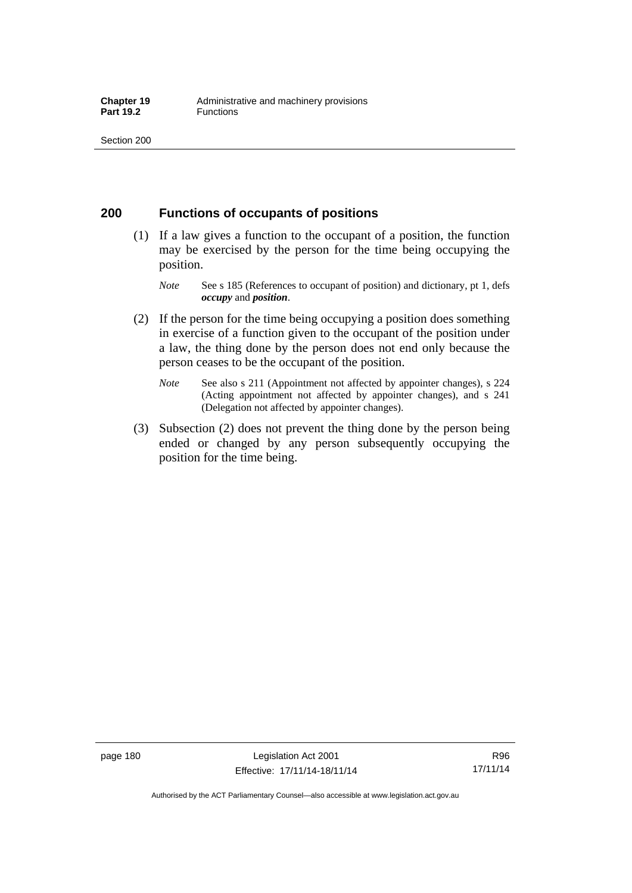## **200 Functions of occupants of positions**

- (1) If a law gives a function to the occupant of a position, the function may be exercised by the person for the time being occupying the position.
	- *Note* See s 185 (References to occupant of position) and dictionary, pt 1, defs *occupy* and *position*.
- (2) If the person for the time being occupying a position does something in exercise of a function given to the occupant of the position under a law, the thing done by the person does not end only because the person ceases to be the occupant of the position.
	- *Note* See also s 211 (Appointment not affected by appointer changes), s 224 (Acting appointment not affected by appointer changes), and s 241 (Delegation not affected by appointer changes).
- (3) Subsection (2) does not prevent the thing done by the person being ended or changed by any person subsequently occupying the position for the time being.

R96 17/11/14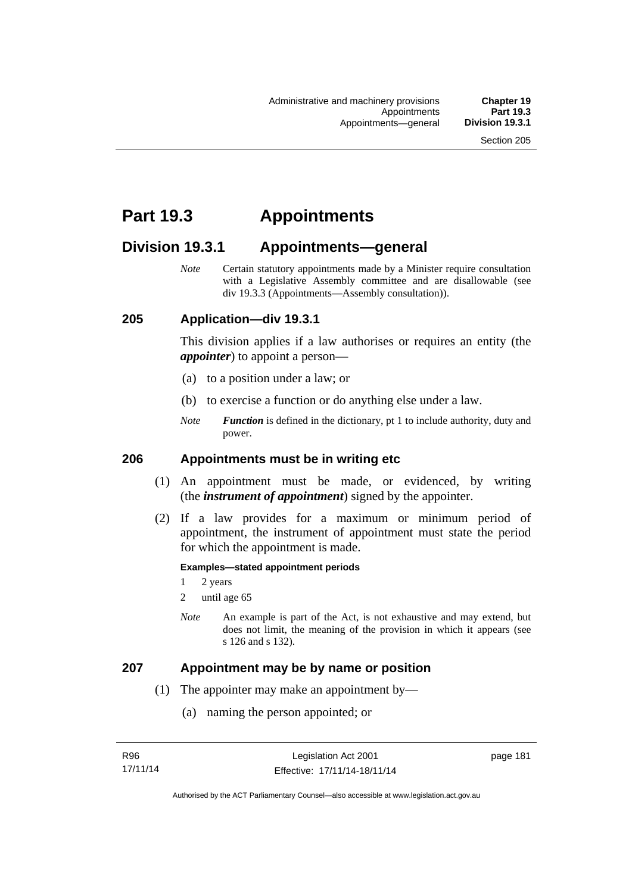# **Part 19.3 Appointments**

# **Division 19.3.1 Appointments—general**

*Note* Certain statutory appointments made by a Minister require consultation with a Legislative Assembly committee and are disallowable (see div 19.3.3 (Appointments—Assembly consultation)).

## **205 Application—div 19.3.1**

This division applies if a law authorises or requires an entity (the *appointer*) to appoint a person—

- (a) to a position under a law; or
- (b) to exercise a function or do anything else under a law.
- *Note Function* is defined in the dictionary, pt 1 to include authority, duty and power.

## **206 Appointments must be in writing etc**

- (1) An appointment must be made, or evidenced, by writing (the *instrument of appointment*) signed by the appointer.
- (2) If a law provides for a maximum or minimum period of appointment, the instrument of appointment must state the period for which the appointment is made.

#### **Examples—stated appointment periods**

- 1 2 years
- 2 until age 65
- *Note* An example is part of the Act, is not exhaustive and may extend, but does not limit, the meaning of the provision in which it appears (see s 126 and s 132).

### **207 Appointment may be by name or position**

- (1) The appointer may make an appointment by—
	- (a) naming the person appointed; or

page 181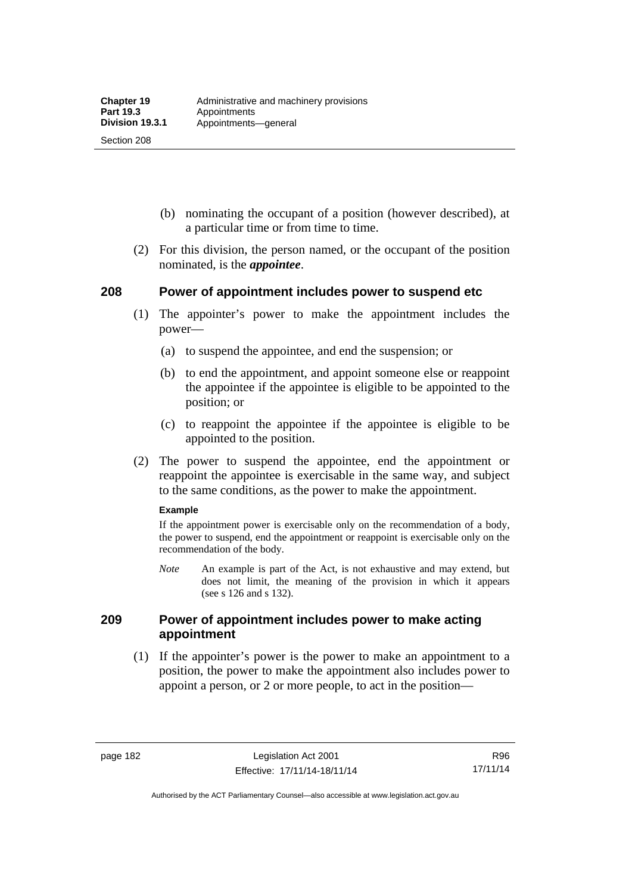Section 208

- (b) nominating the occupant of a position (however described), at a particular time or from time to time.
- (2) For this division, the person named, or the occupant of the position nominated, is the *appointee*.

## **208 Power of appointment includes power to suspend etc**

- (1) The appointer's power to make the appointment includes the power—
	- (a) to suspend the appointee, and end the suspension; or
	- (b) to end the appointment, and appoint someone else or reappoint the appointee if the appointee is eligible to be appointed to the position; or
	- (c) to reappoint the appointee if the appointee is eligible to be appointed to the position.
- (2) The power to suspend the appointee, end the appointment or reappoint the appointee is exercisable in the same way, and subject to the same conditions, as the power to make the appointment.

#### **Example**

If the appointment power is exercisable only on the recommendation of a body, the power to suspend, end the appointment or reappoint is exercisable only on the recommendation of the body.

*Note* An example is part of the Act, is not exhaustive and may extend, but does not limit, the meaning of the provision in which it appears (see s 126 and s 132).

## **209 Power of appointment includes power to make acting appointment**

 (1) If the appointer's power is the power to make an appointment to a position, the power to make the appointment also includes power to appoint a person, or 2 or more people, to act in the position—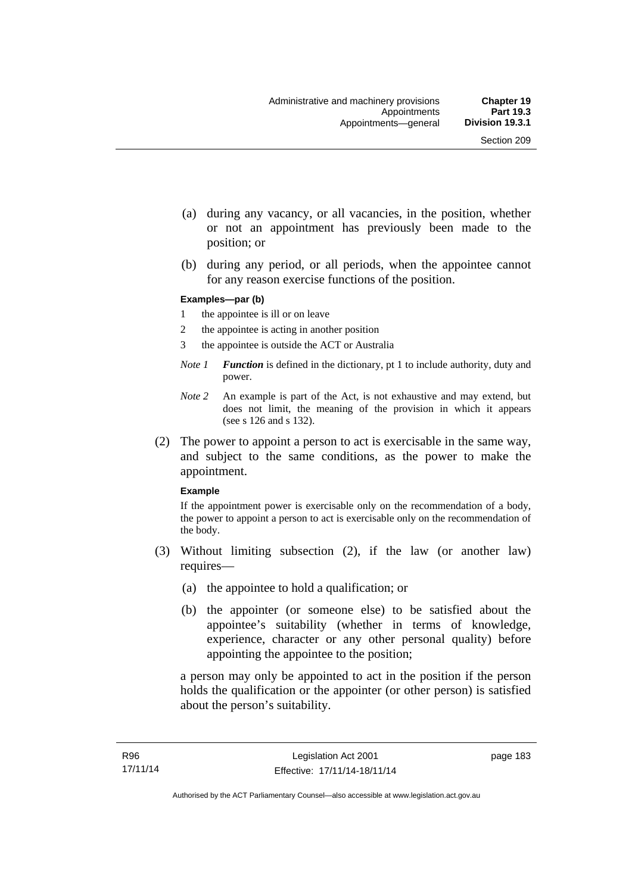- (a) during any vacancy, or all vacancies, in the position, whether or not an appointment has previously been made to the position; or
- (b) during any period, or all periods, when the appointee cannot for any reason exercise functions of the position.

#### **Examples—par (b)**

- 1 the appointee is ill or on leave
- 2 the appointee is acting in another position
- 3 the appointee is outside the ACT or Australia
- *Note 1 Function* is defined in the dictionary, pt 1 to include authority, duty and power.
- *Note 2* An example is part of the Act, is not exhaustive and may extend, but does not limit, the meaning of the provision in which it appears (see s 126 and s 132).
- (2) The power to appoint a person to act is exercisable in the same way, and subject to the same conditions, as the power to make the appointment.

#### **Example**

If the appointment power is exercisable only on the recommendation of a body, the power to appoint a person to act is exercisable only on the recommendation of the body.

- (3) Without limiting subsection (2), if the law (or another law) requires—
	- (a) the appointee to hold a qualification; or
	- (b) the appointer (or someone else) to be satisfied about the appointee's suitability (whether in terms of knowledge, experience, character or any other personal quality) before appointing the appointee to the position;

a person may only be appointed to act in the position if the person holds the qualification or the appointer (or other person) is satisfied about the person's suitability.

page 183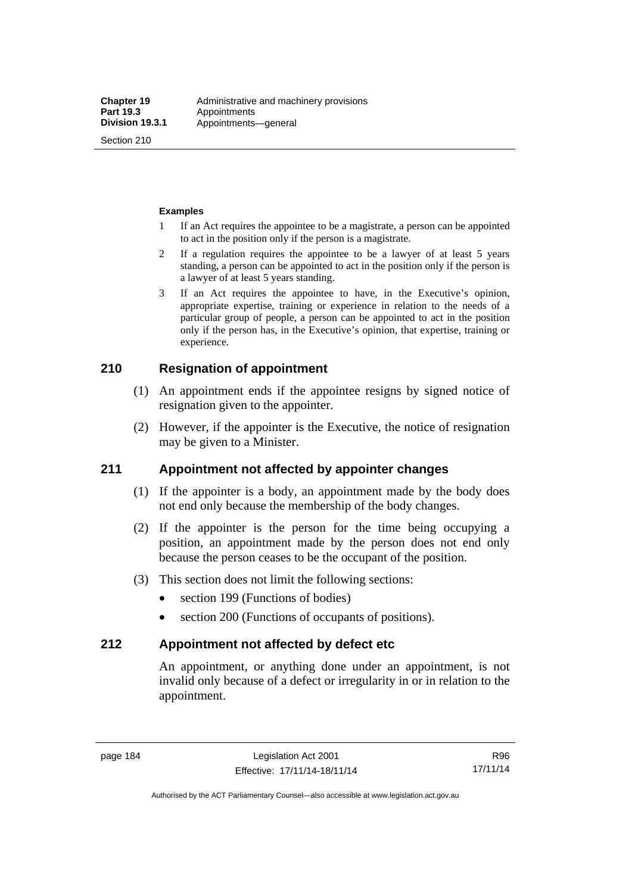Section 210

#### **Examples**

- 1 If an Act requires the appointee to be a magistrate, a person can be appointed to act in the position only if the person is a magistrate.
- 2 If a regulation requires the appointee to be a lawyer of at least 5 years standing, a person can be appointed to act in the position only if the person is a lawyer of at least 5 years standing.
- 3 If an Act requires the appointee to have, in the Executive's opinion, appropriate expertise, training or experience in relation to the needs of a particular group of people, a person can be appointed to act in the position only if the person has, in the Executive's opinion, that expertise, training or experience.

# **210 Resignation of appointment**

- (1) An appointment ends if the appointee resigns by signed notice of resignation given to the appointer.
- (2) However, if the appointer is the Executive, the notice of resignation may be given to a Minister.

## **211 Appointment not affected by appointer changes**

- (1) If the appointer is a body, an appointment made by the body does not end only because the membership of the body changes.
- (2) If the appointer is the person for the time being occupying a position, an appointment made by the person does not end only because the person ceases to be the occupant of the position.
- (3) This section does not limit the following sections:
	- section 199 (Functions of bodies)
	- section 200 (Functions of occupants of positions).

## **212 Appointment not affected by defect etc**

An appointment, or anything done under an appointment, is not invalid only because of a defect or irregularity in or in relation to the appointment.

R96 17/11/14

Authorised by the ACT Parliamentary Counsel—also accessible at www.legislation.act.gov.au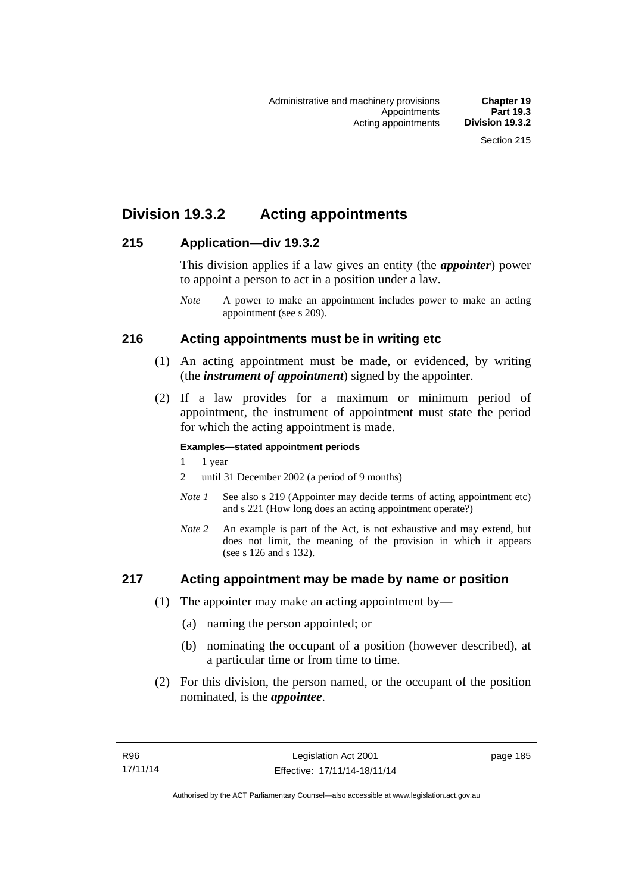# **Division 19.3.2 Acting appointments**

## **215 Application—div 19.3.2**

This division applies if a law gives an entity (the *appointer*) power to appoint a person to act in a position under a law.

# **216 Acting appointments must be in writing etc**

- (1) An acting appointment must be made, or evidenced, by writing (the *instrument of appointment*) signed by the appointer.
- (2) If a law provides for a maximum or minimum period of appointment, the instrument of appointment must state the period for which the acting appointment is made.

### **Examples—stated appointment periods**

- 1 1 year
- 2 until 31 December 2002 (a period of 9 months)
- *Note 1* See also s 219 (Appointer may decide terms of acting appointment etc) and s 221 (How long does an acting appointment operate?)
- *Note 2* An example is part of the Act, is not exhaustive and may extend, but does not limit, the meaning of the provision in which it appears (see s 126 and s 132).

## **217 Acting appointment may be made by name or position**

- (1) The appointer may make an acting appointment by—
	- (a) naming the person appointed; or
	- (b) nominating the occupant of a position (however described), at a particular time or from time to time.
- (2) For this division, the person named, or the occupant of the position nominated, is the *appointee*.

*Note* A power to make an appointment includes power to make an acting appointment (see s 209).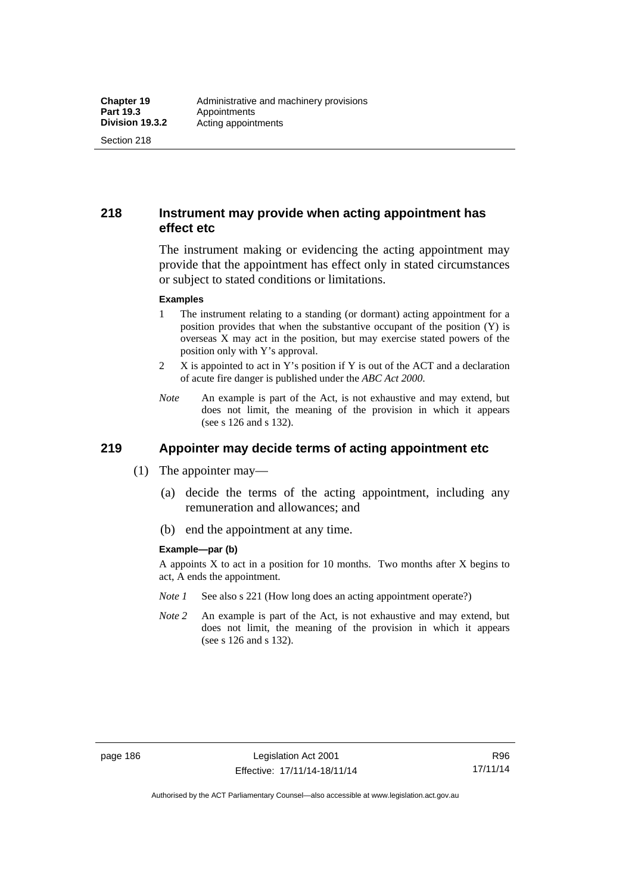Section 218

# **218 Instrument may provide when acting appointment has effect etc**

The instrument making or evidencing the acting appointment may provide that the appointment has effect only in stated circumstances or subject to stated conditions or limitations.

#### **Examples**

- 1 The instrument relating to a standing (or dormant) acting appointment for a position provides that when the substantive occupant of the position (Y) is overseas X may act in the position, but may exercise stated powers of the position only with Y's approval.
- 2 X is appointed to act in Y's position if Y is out of the ACT and a declaration of acute fire danger is published under the *ABC Act 2000*.
- *Note* An example is part of the Act, is not exhaustive and may extend, but does not limit, the meaning of the provision in which it appears (see s 126 and s 132).

# **219 Appointer may decide terms of acting appointment etc**

- (1) The appointer may—
	- (a) decide the terms of the acting appointment, including any remuneration and allowances; and
	- (b) end the appointment at any time.

#### **Example—par (b)**

A appoints X to act in a position for 10 months. Two months after X begins to act, A ends the appointment.

- *Note 1* See also s 221 (How long does an acting appointment operate?)
- *Note 2* An example is part of the Act, is not exhaustive and may extend, but does not limit, the meaning of the provision in which it appears (see s 126 and s 132).

R96 17/11/14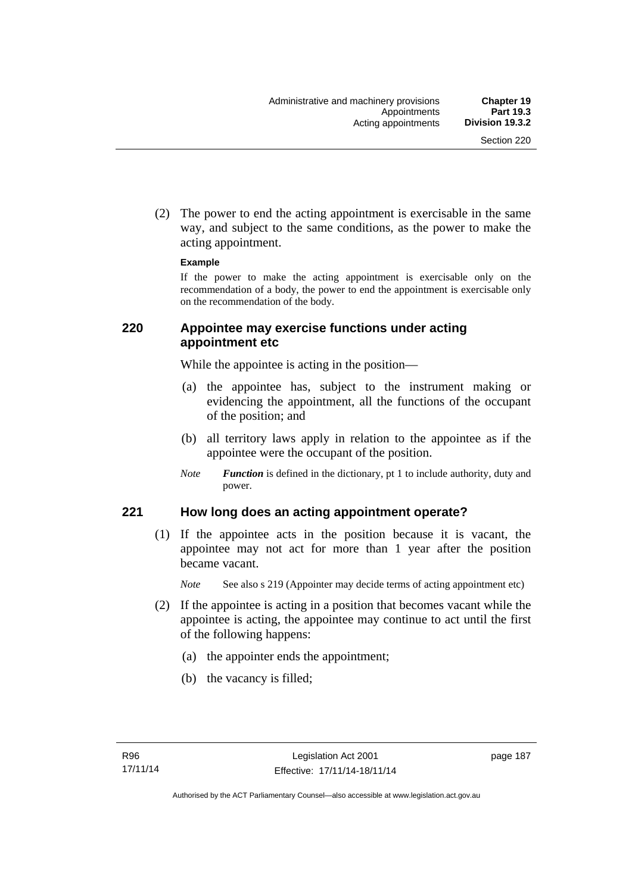(2) The power to end the acting appointment is exercisable in the same way, and subject to the same conditions, as the power to make the acting appointment.

#### **Example**

If the power to make the acting appointment is exercisable only on the recommendation of a body, the power to end the appointment is exercisable only on the recommendation of the body.

## **220 Appointee may exercise functions under acting appointment etc**

While the appointee is acting in the position—

- (a) the appointee has, subject to the instrument making or evidencing the appointment, all the functions of the occupant of the position; and
- (b) all territory laws apply in relation to the appointee as if the appointee were the occupant of the position.
- *Note Function* is defined in the dictionary, pt 1 to include authority, duty and power.

## **221 How long does an acting appointment operate?**

 (1) If the appointee acts in the position because it is vacant, the appointee may not act for more than 1 year after the position became vacant.

*Note* See also s 219 (Appointer may decide terms of acting appointment etc)

- (2) If the appointee is acting in a position that becomes vacant while the appointee is acting, the appointee may continue to act until the first of the following happens:
	- (a) the appointer ends the appointment;
	- (b) the vacancy is filled;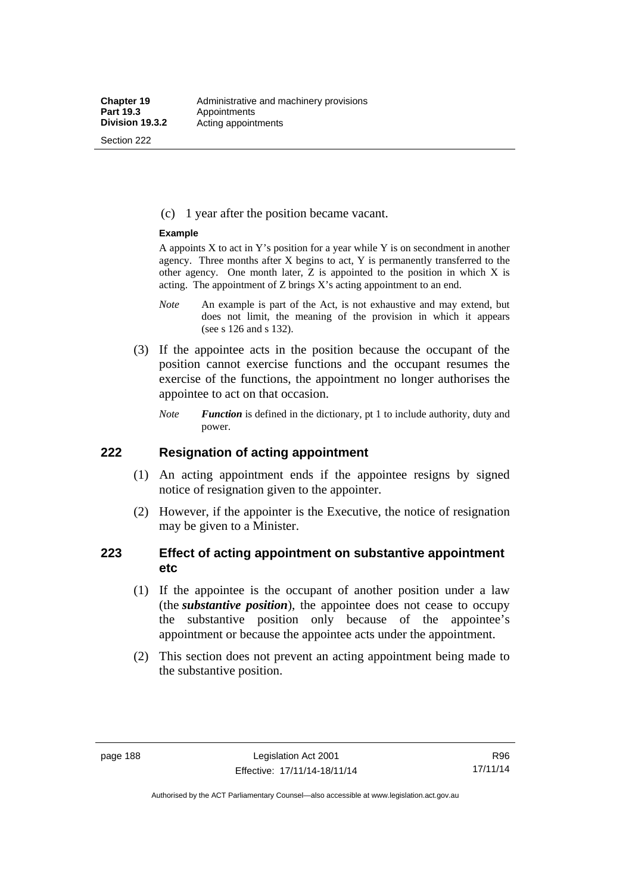Section 222

(c) 1 year after the position became vacant.

#### **Example**

A appoints  $X$  to act in Y's position for a year while Y is on secondment in another agency. Three months after X begins to act, Y is permanently transferred to the other agency. One month later,  $Z$  is appointed to the position in which  $X$  is acting. The appointment of Z brings X's acting appointment to an end.

- *Note* An example is part of the Act, is not exhaustive and may extend, but does not limit, the meaning of the provision in which it appears (see s 126 and s 132).
- (3) If the appointee acts in the position because the occupant of the position cannot exercise functions and the occupant resumes the exercise of the functions, the appointment no longer authorises the appointee to act on that occasion.
	- *Note Function* is defined in the dictionary, pt 1 to include authority, duty and power.

## **222 Resignation of acting appointment**

- (1) An acting appointment ends if the appointee resigns by signed notice of resignation given to the appointer.
- (2) However, if the appointer is the Executive, the notice of resignation may be given to a Minister.

## **223 Effect of acting appointment on substantive appointment etc**

- (1) If the appointee is the occupant of another position under a law (the *substantive position*), the appointee does not cease to occupy the substantive position only because of the appointee's appointment or because the appointee acts under the appointment.
- (2) This section does not prevent an acting appointment being made to the substantive position.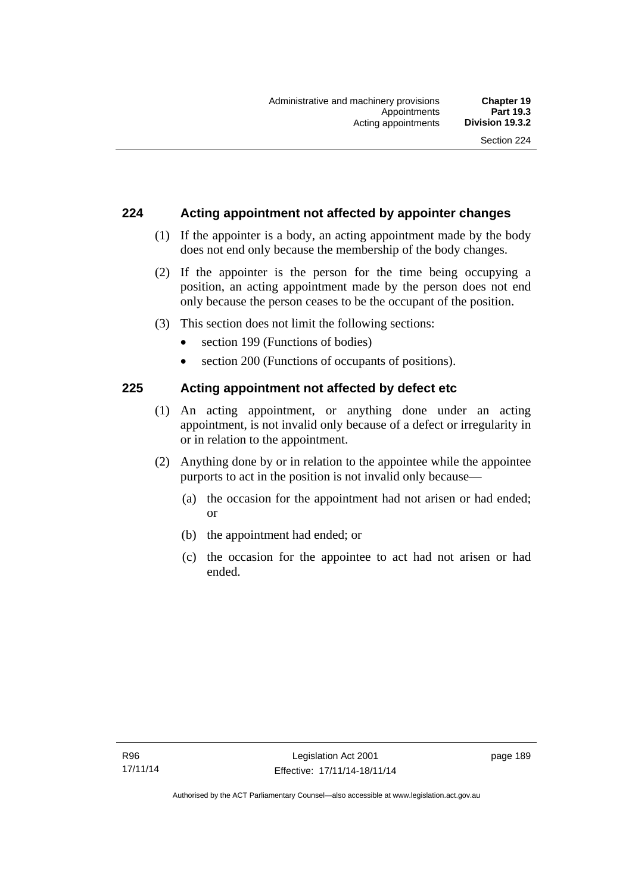## **224 Acting appointment not affected by appointer changes**

- (1) If the appointer is a body, an acting appointment made by the body does not end only because the membership of the body changes.
- (2) If the appointer is the person for the time being occupying a position, an acting appointment made by the person does not end only because the person ceases to be the occupant of the position.
- (3) This section does not limit the following sections:
	- section 199 (Functions of bodies)
	- section 200 (Functions of occupants of positions).

## **225 Acting appointment not affected by defect etc**

- (1) An acting appointment, or anything done under an acting appointment, is not invalid only because of a defect or irregularity in or in relation to the appointment.
- (2) Anything done by or in relation to the appointee while the appointee purports to act in the position is not invalid only because—
	- (a) the occasion for the appointment had not arisen or had ended; or
	- (b) the appointment had ended; or
	- (c) the occasion for the appointee to act had not arisen or had ended.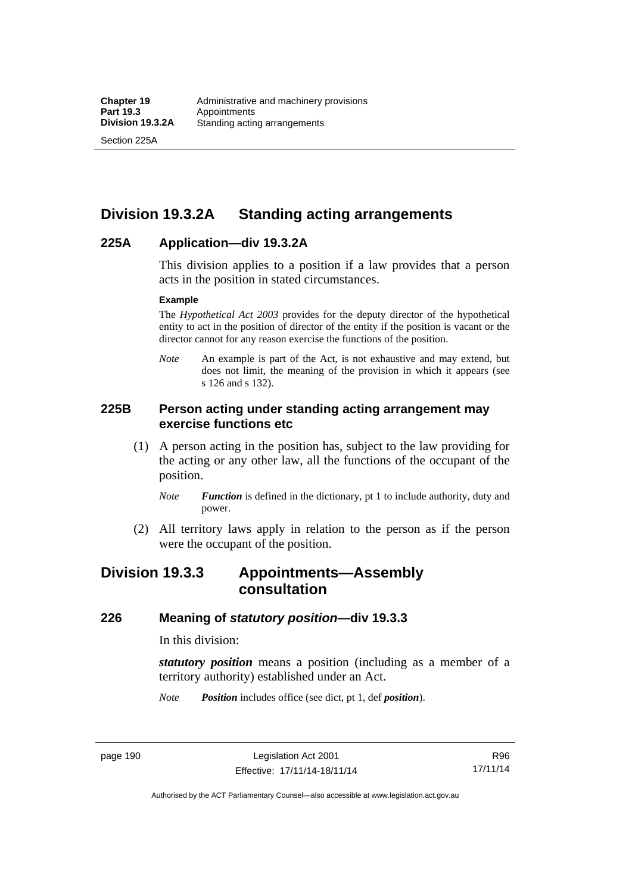Section 225A

# **Division 19.3.2A Standing acting arrangements**

## **225A Application—div 19.3.2A**

This division applies to a position if a law provides that a person acts in the position in stated circumstances.

#### **Example**

The *Hypothetical Act 2003* provides for the deputy director of the hypothetical entity to act in the position of director of the entity if the position is vacant or the director cannot for any reason exercise the functions of the position.

*Note* An example is part of the Act, is not exhaustive and may extend, but does not limit, the meaning of the provision in which it appears (see s 126 and s 132).

## **225B Person acting under standing acting arrangement may exercise functions etc**

- (1) A person acting in the position has, subject to the law providing for the acting or any other law, all the functions of the occupant of the position.
	- *Note Function* is defined in the dictionary, pt 1 to include authority, duty and power.
- (2) All territory laws apply in relation to the person as if the person were the occupant of the position.

# **Division 19.3.3 Appointments—Assembly consultation**

## **226 Meaning of** *statutory position***—div 19.3.3**

In this division:

*statutory position* means a position (including as a member of a territory authority) established under an Act.

*Note Position* includes office (see dict, pt 1, def *position*).

page 190 Legislation Act 2001 Effective: 17/11/14-18/11/14

R96 17/11/14

Authorised by the ACT Parliamentary Counsel—also accessible at www.legislation.act.gov.au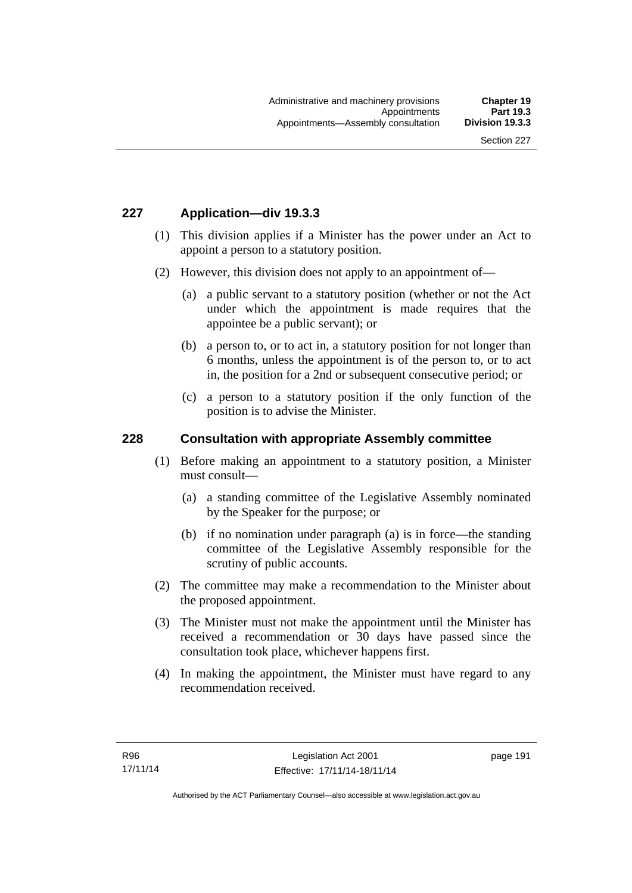## **227 Application—div 19.3.3**

- (1) This division applies if a Minister has the power under an Act to appoint a person to a statutory position.
- (2) However, this division does not apply to an appointment of—
	- (a) a public servant to a statutory position (whether or not the Act under which the appointment is made requires that the appointee be a public servant); or
	- (b) a person to, or to act in, a statutory position for not longer than 6 months, unless the appointment is of the person to, or to act in, the position for a 2nd or subsequent consecutive period; or
	- (c) a person to a statutory position if the only function of the position is to advise the Minister.

### **228 Consultation with appropriate Assembly committee**

- (1) Before making an appointment to a statutory position, a Minister must consult—
	- (a) a standing committee of the Legislative Assembly nominated by the Speaker for the purpose; or
	- (b) if no nomination under paragraph (a) is in force—the standing committee of the Legislative Assembly responsible for the scrutiny of public accounts.
- (2) The committee may make a recommendation to the Minister about the proposed appointment.
- (3) The Minister must not make the appointment until the Minister has received a recommendation or 30 days have passed since the consultation took place, whichever happens first.
- (4) In making the appointment, the Minister must have regard to any recommendation received.

page 191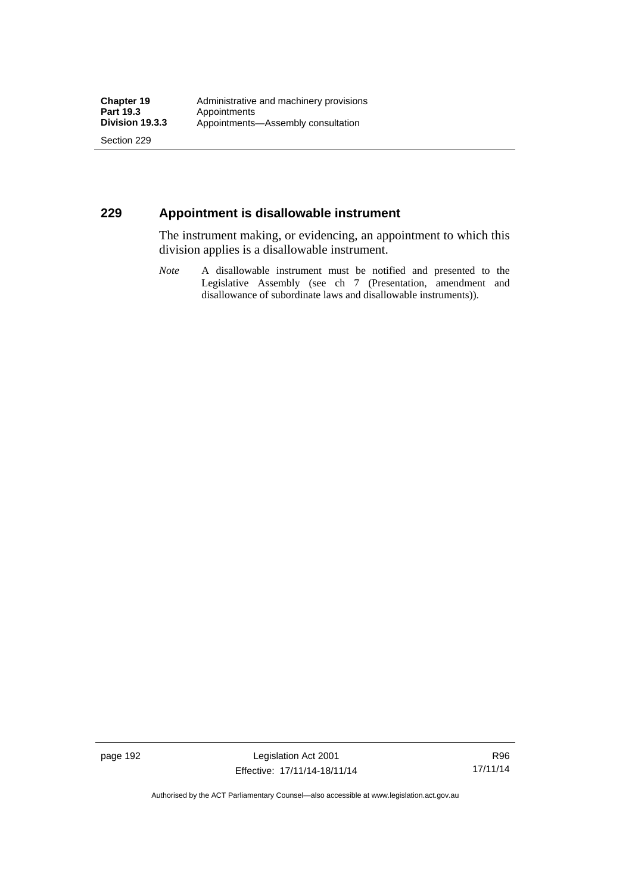Section 229

## **229 Appointment is disallowable instrument**

The instrument making, or evidencing, an appointment to which this division applies is a disallowable instrument.

*Note* A disallowable instrument must be notified and presented to the Legislative Assembly (see ch 7 (Presentation, amendment and disallowance of subordinate laws and disallowable instruments)).

page 192 Legislation Act 2001 Effective: 17/11/14-18/11/14

R96 17/11/14

Authorised by the ACT Parliamentary Counsel—also accessible at www.legislation.act.gov.au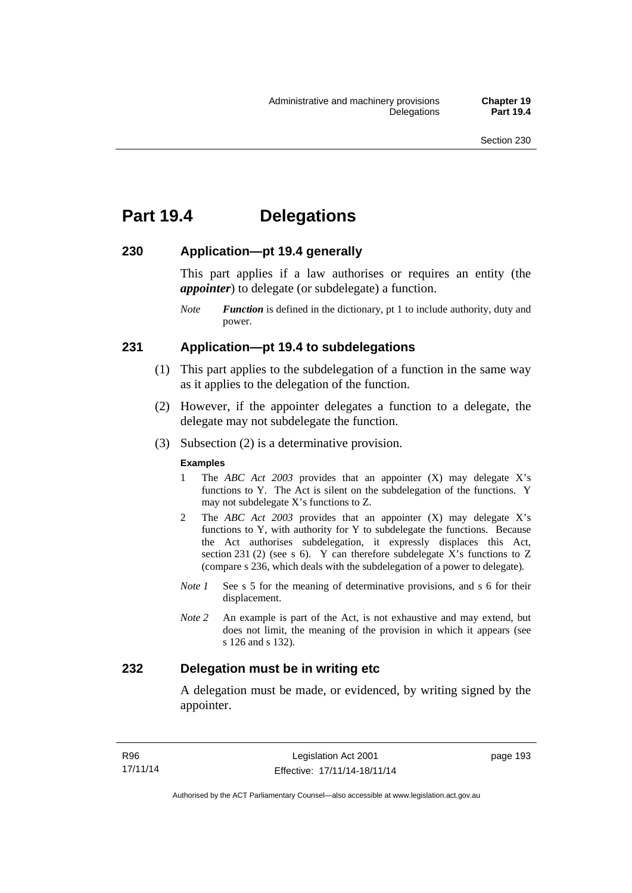# **Part 19.4 Delegations**

## **230 Application—pt 19.4 generally**

This part applies if a law authorises or requires an entity (the *appointer*) to delegate (or subdelegate) a function.

*Note Function* is defined in the dictionary, pt 1 to include authority, duty and power.

## **231 Application—pt 19.4 to subdelegations**

- (1) This part applies to the subdelegation of a function in the same way as it applies to the delegation of the function.
- (2) However, if the appointer delegates a function to a delegate, the delegate may not subdelegate the function.
- (3) Subsection (2) is a determinative provision.

#### **Examples**

- 1 The *ABC Act 2003* provides that an appointer (X) may delegate X's functions to Y. The Act is silent on the subdelegation of the functions. Y may not subdelegate X's functions to Z.
- 2 The *ABC Act 2003* provides that an appointer (X) may delegate X's functions to Y, with authority for Y to subdelegate the functions. Because the Act authorises subdelegation, it expressly displaces this Act, section 231 (2) (see s 6). Y can therefore subdelegate  $\overline{X}$ 's functions to Z (compare s 236, which deals with the subdelegation of a power to delegate)*.*
- *Note 1* See s 5 for the meaning of determinative provisions, and s 6 for their displacement.
- *Note 2* An example is part of the Act, is not exhaustive and may extend, but does not limit, the meaning of the provision in which it appears (see s 126 and s 132).

## **232 Delegation must be in writing etc**

A delegation must be made, or evidenced, by writing signed by the appointer.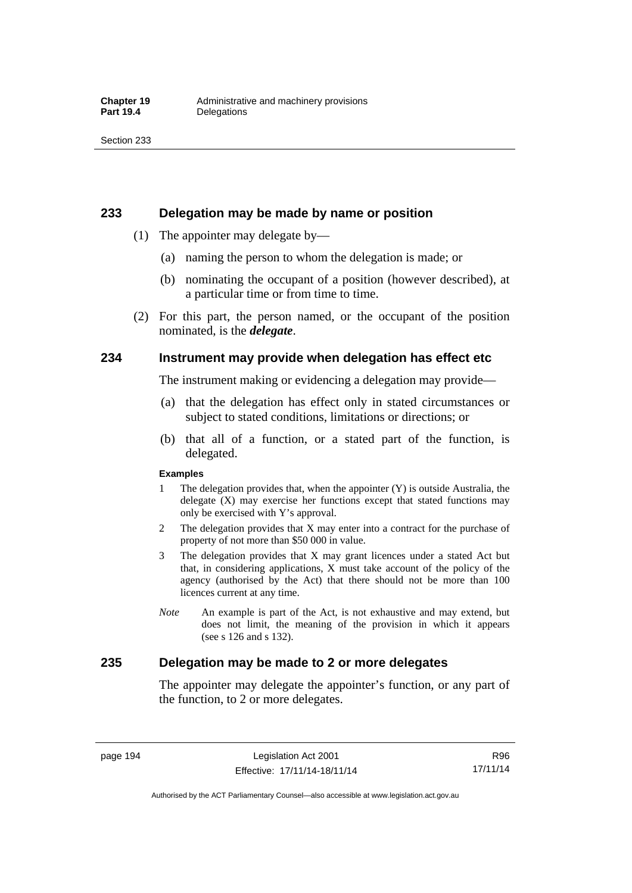### **233 Delegation may be made by name or position**

- (1) The appointer may delegate by—
	- (a) naming the person to whom the delegation is made; or
	- (b) nominating the occupant of a position (however described), at a particular time or from time to time.
- (2) For this part, the person named, or the occupant of the position nominated, is the *delegate*.

## **234 Instrument may provide when delegation has effect etc**

The instrument making or evidencing a delegation may provide—

- (a) that the delegation has effect only in stated circumstances or subject to stated conditions, limitations or directions; or
- (b) that all of a function, or a stated part of the function, is delegated.

#### **Examples**

- 1 The delegation provides that, when the appointer (Y) is outside Australia, the delegate (X) may exercise her functions except that stated functions may only be exercised with Y's approval.
- 2 The delegation provides that X may enter into a contract for the purchase of property of not more than \$50 000 in value.
- 3 The delegation provides that X may grant licences under a stated Act but that, in considering applications, X must take account of the policy of the agency (authorised by the Act) that there should not be more than 100 licences current at any time.
- *Note* An example is part of the Act, is not exhaustive and may extend, but does not limit, the meaning of the provision in which it appears (see s 126 and s 132).

## **235 Delegation may be made to 2 or more delegates**

The appointer may delegate the appointer's function, or any part of the function, to 2 or more delegates.

page 194 Legislation Act 2001 Effective: 17/11/14-18/11/14

Authorised by the ACT Parliamentary Counsel—also accessible at www.legislation.act.gov.au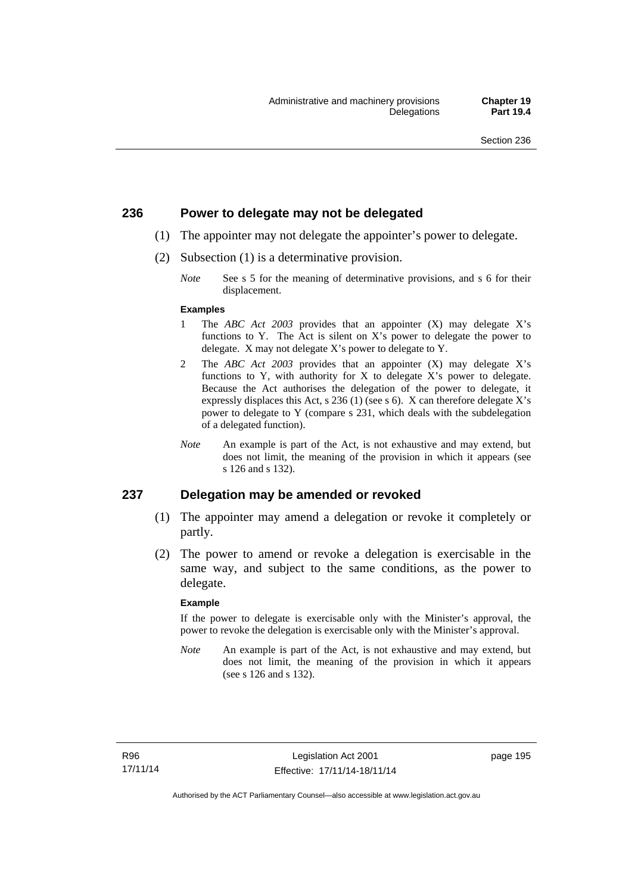## **236 Power to delegate may not be delegated**

- (1) The appointer may not delegate the appointer's power to delegate.
- (2) Subsection (1) is a determinative provision.
	- *Note* See s 5 for the meaning of determinative provisions, and s 6 for their displacement.

#### **Examples**

- 1 The *ABC Act 2003* provides that an appointer (X) may delegate X's functions to Y. The Act is silent on X's power to delegate the power to delegate. X may not delegate X's power to delegate to Y.
- 2 The *ABC Act 2003* provides that an appointer (X) may delegate X's functions to Y, with authority for X to delegate X's power to delegate. Because the Act authorises the delegation of the power to delegate, it expressly displaces this Act, s 236 (1) (see s 6). X can therefore delegate X's power to delegate to Y (compare s 231, which deals with the subdelegation of a delegated function).
- *Note* An example is part of the Act, is not exhaustive and may extend, but does not limit, the meaning of the provision in which it appears (see s 126 and s 132).

### **237 Delegation may be amended or revoked**

- (1) The appointer may amend a delegation or revoke it completely or partly.
- (2) The power to amend or revoke a delegation is exercisable in the same way, and subject to the same conditions, as the power to delegate.

#### **Example**

If the power to delegate is exercisable only with the Minister's approval, the power to revoke the delegation is exercisable only with the Minister's approval.

*Note* An example is part of the Act, is not exhaustive and may extend, but does not limit, the meaning of the provision in which it appears (see s 126 and s 132).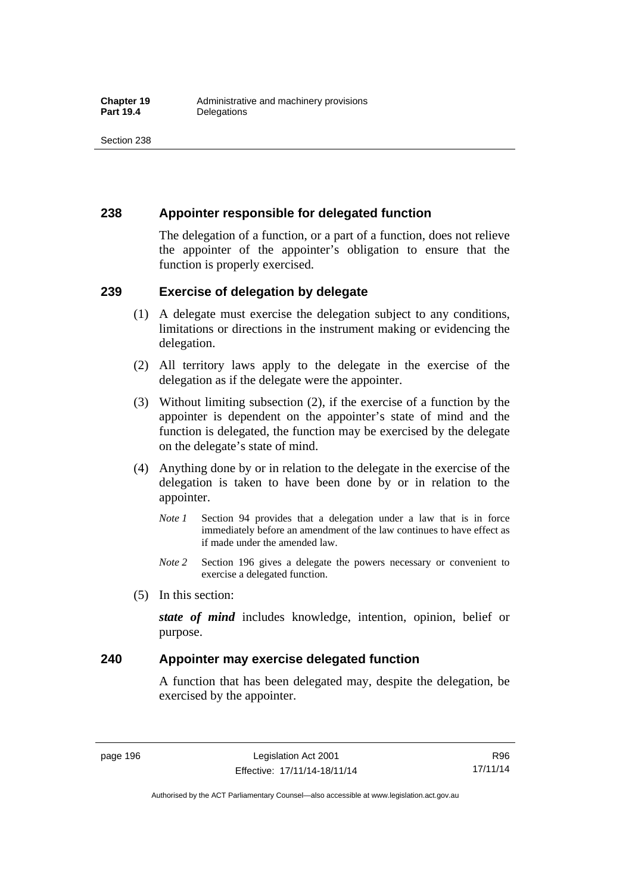## **238 Appointer responsible for delegated function**

The delegation of a function, or a part of a function, does not relieve the appointer of the appointer's obligation to ensure that the function is properly exercised.

## **239 Exercise of delegation by delegate**

- (1) A delegate must exercise the delegation subject to any conditions, limitations or directions in the instrument making or evidencing the delegation.
- (2) All territory laws apply to the delegate in the exercise of the delegation as if the delegate were the appointer.
- (3) Without limiting subsection (2), if the exercise of a function by the appointer is dependent on the appointer's state of mind and the function is delegated, the function may be exercised by the delegate on the delegate's state of mind.
- (4) Anything done by or in relation to the delegate in the exercise of the delegation is taken to have been done by or in relation to the appointer.
	- *Note 1* Section 94 provides that a delegation under a law that is in force immediately before an amendment of the law continues to have effect as if made under the amended law.
	- *Note 2* Section 196 gives a delegate the powers necessary or convenient to exercise a delegated function.
- (5) In this section:

*state of mind* includes knowledge, intention, opinion, belief or purpose.

## **240 Appointer may exercise delegated function**

A function that has been delegated may, despite the delegation, be exercised by the appointer.

page 196 Legislation Act 2001 Effective: 17/11/14-18/11/14

Authorised by the ACT Parliamentary Counsel—also accessible at www.legislation.act.gov.au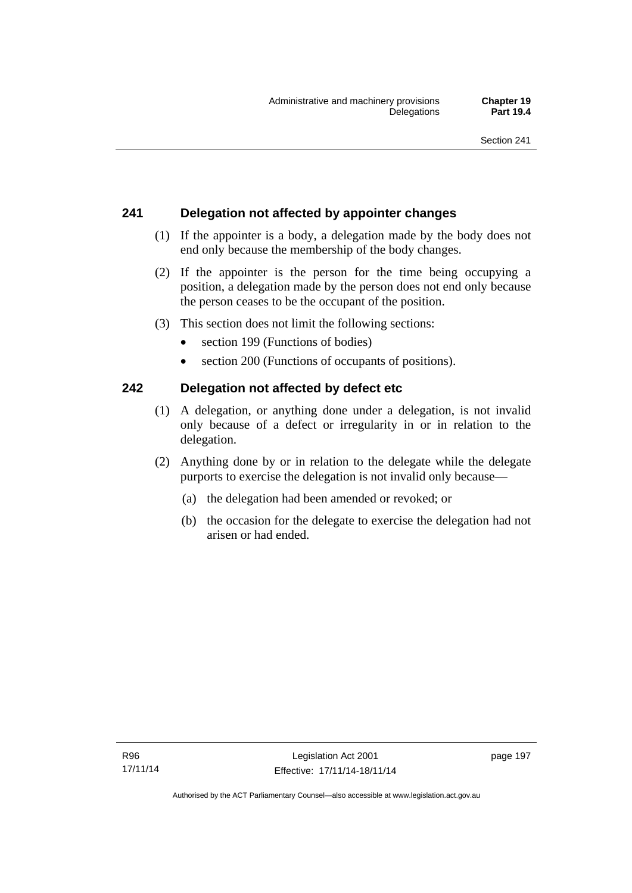# **241 Delegation not affected by appointer changes**

- (1) If the appointer is a body, a delegation made by the body does not end only because the membership of the body changes.
- (2) If the appointer is the person for the time being occupying a position, a delegation made by the person does not end only because the person ceases to be the occupant of the position.
- (3) This section does not limit the following sections:
	- section 199 (Functions of bodies)
	- section 200 (Functions of occupants of positions).

# **242 Delegation not affected by defect etc**

- (1) A delegation, or anything done under a delegation, is not invalid only because of a defect or irregularity in or in relation to the delegation.
- (2) Anything done by or in relation to the delegate while the delegate purports to exercise the delegation is not invalid only because—
	- (a) the delegation had been amended or revoked; or
	- (b) the occasion for the delegate to exercise the delegation had not arisen or had ended.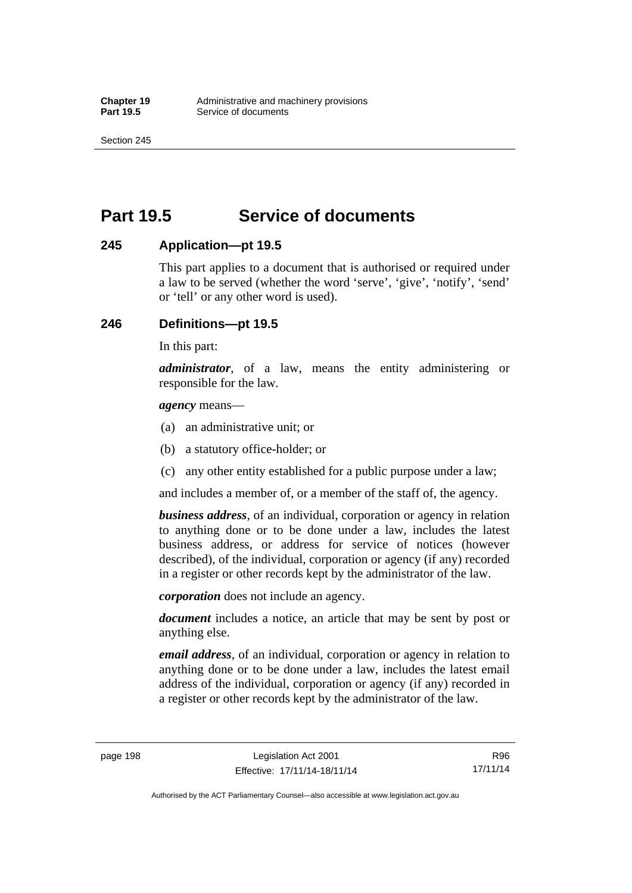Section 245

# **Part 19.5 Service of documents**

## **245 Application—pt 19.5**

This part applies to a document that is authorised or required under a law to be served (whether the word 'serve', 'give', 'notify', 'send' or 'tell' or any other word is used).

# **246 Definitions—pt 19.5**

In this part:

*administrator*, of a law, means the entity administering or responsible for the law.

*agency* means—

- (a) an administrative unit; or
- (b) a statutory office-holder; or
- (c) any other entity established for a public purpose under a law;

and includes a member of, or a member of the staff of, the agency.

*business address*, of an individual, corporation or agency in relation to anything done or to be done under a law, includes the latest business address, or address for service of notices (however described), of the individual, corporation or agency (if any) recorded in a register or other records kept by the administrator of the law.

*corporation* does not include an agency.

*document* includes a notice, an article that may be sent by post or anything else.

*email address*, of an individual, corporation or agency in relation to anything done or to be done under a law, includes the latest email address of the individual, corporation or agency (if any) recorded in a register or other records kept by the administrator of the law.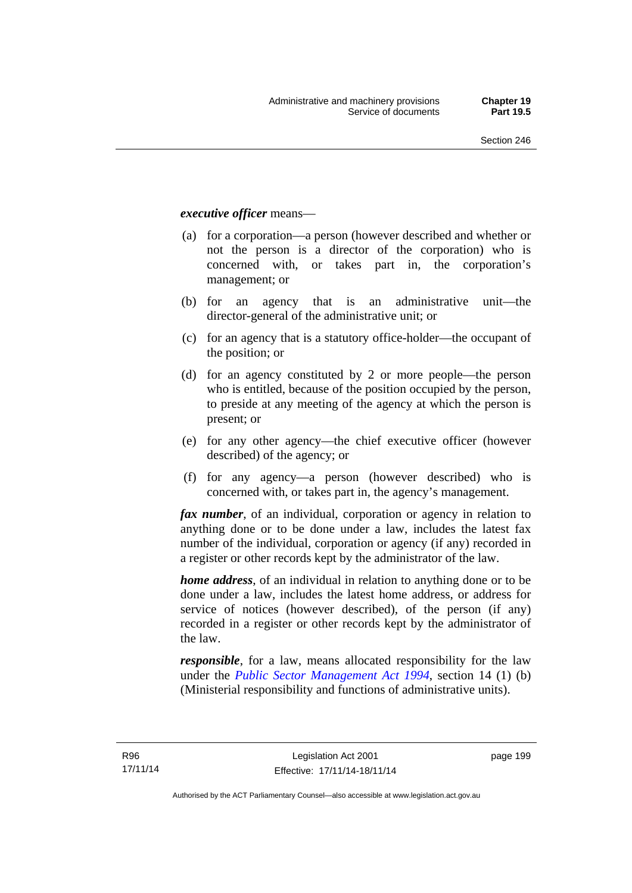### *executive officer* means—

- (a) for a corporation—a person (however described and whether or not the person is a director of the corporation) who is concerned with, or takes part in, the corporation's management; or
- (b) for an agency that is an administrative unit—the director-general of the administrative unit; or
- (c) for an agency that is a statutory office-holder—the occupant of the position; or
- (d) for an agency constituted by 2 or more people—the person who is entitled, because of the position occupied by the person, to preside at any meeting of the agency at which the person is present; or
- (e) for any other agency—the chief executive officer (however described) of the agency; or
- (f) for any agency—a person (however described) who is concerned with, or takes part in, the agency's management.

*fax number*, of an individual, corporation or agency in relation to anything done or to be done under a law, includes the latest fax number of the individual, corporation or agency (if any) recorded in a register or other records kept by the administrator of the law.

*home address*, of an individual in relation to anything done or to be done under a law, includes the latest home address, or address for service of notices (however described), of the person (if any) recorded in a register or other records kept by the administrator of the law.

*responsible*, for a law, means allocated responsibility for the law under the *[Public Sector Management Act 1994](http://www.legislation.act.gov.au/a/1994-37)*, section 14 (1) (b) (Ministerial responsibility and functions of administrative units).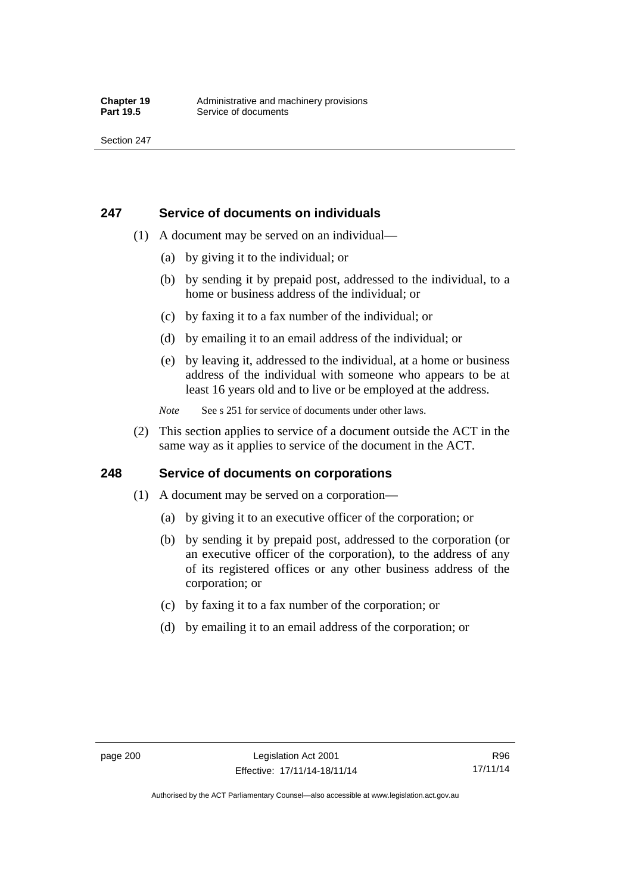## **247 Service of documents on individuals**

- (1) A document may be served on an individual—
	- (a) by giving it to the individual; or
	- (b) by sending it by prepaid post, addressed to the individual, to a home or business address of the individual; or
	- (c) by faxing it to a fax number of the individual; or
	- (d) by emailing it to an email address of the individual; or
	- (e) by leaving it, addressed to the individual, at a home or business address of the individual with someone who appears to be at least 16 years old and to live or be employed at the address.
	- *Note* See s 251 for service of documents under other laws.
- (2) This section applies to service of a document outside the ACT in the same way as it applies to service of the document in the ACT.

# **248 Service of documents on corporations**

- (1) A document may be served on a corporation—
	- (a) by giving it to an executive officer of the corporation; or
	- (b) by sending it by prepaid post, addressed to the corporation (or an executive officer of the corporation), to the address of any of its registered offices or any other business address of the corporation; or
	- (c) by faxing it to a fax number of the corporation; or
	- (d) by emailing it to an email address of the corporation; or

Authorised by the ACT Parliamentary Counsel—also accessible at www.legislation.act.gov.au

R96 17/11/14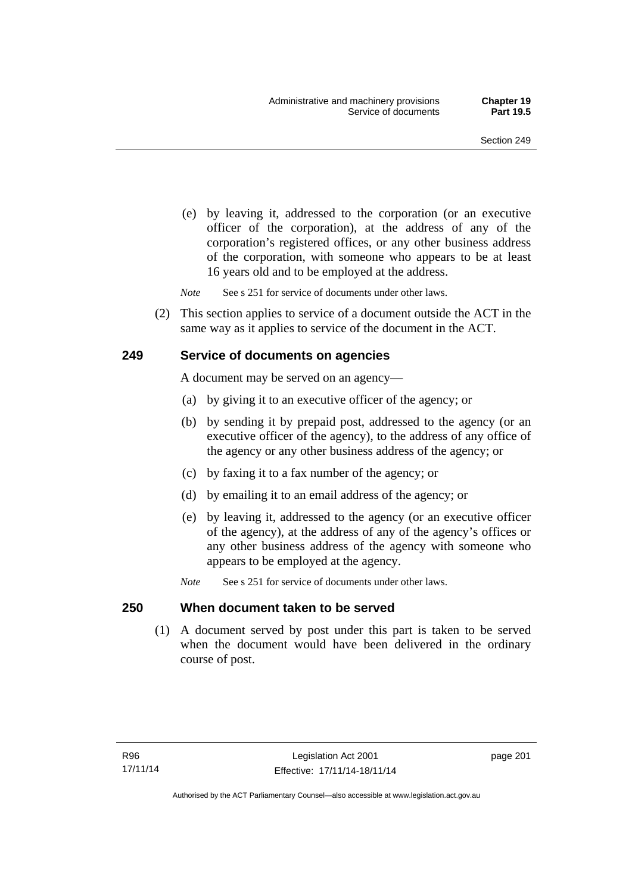(e) by leaving it, addressed to the corporation (or an executive officer of the corporation), at the address of any of the corporation's registered offices, or any other business address of the corporation, with someone who appears to be at least 16 years old and to be employed at the address.

*Note* See s 251 for service of documents under other laws.

 (2) This section applies to service of a document outside the ACT in the same way as it applies to service of the document in the ACT.

### **249 Service of documents on agencies**

A document may be served on an agency—

- (a) by giving it to an executive officer of the agency; or
- (b) by sending it by prepaid post, addressed to the agency (or an executive officer of the agency), to the address of any office of the agency or any other business address of the agency; or
- (c) by faxing it to a fax number of the agency; or
- (d) by emailing it to an email address of the agency; or
- (e) by leaving it, addressed to the agency (or an executive officer of the agency), at the address of any of the agency's offices or any other business address of the agency with someone who appears to be employed at the agency.
- *Note* See s 251 for service of documents under other laws.

### **250 When document taken to be served**

 (1) A document served by post under this part is taken to be served when the document would have been delivered in the ordinary course of post.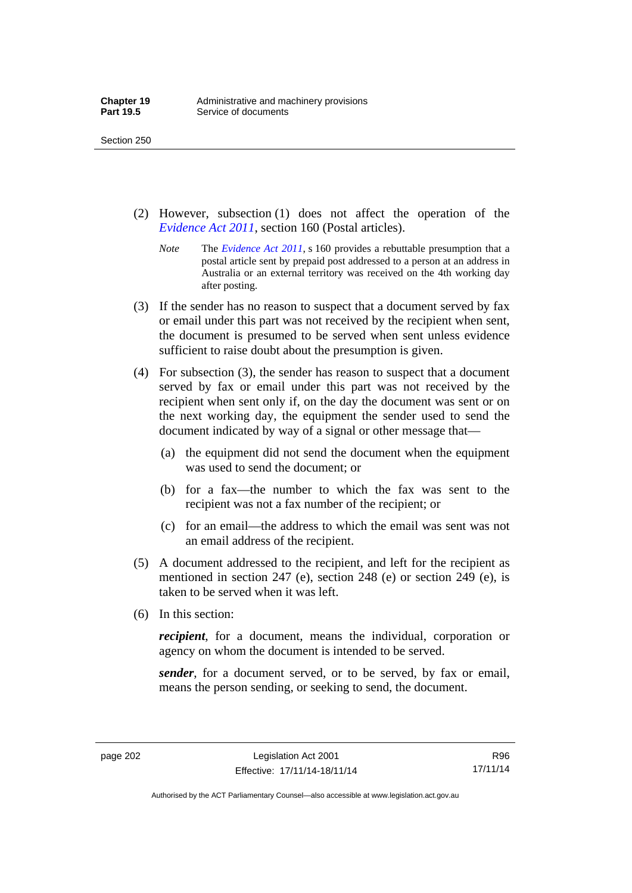- (2) However, subsection (1) does not affect the operation of the *[Evidence Act 2011](http://www.legislation.act.gov.au/a/2011-12)*, section 160 (Postal articles).
	- *Note* The *[Evidence Act 2011](http://www.legislation.act.gov.au/a/2011-12)*, s 160 provides a rebuttable presumption that a postal article sent by prepaid post addressed to a person at an address in Australia or an external territory was received on the 4th working day after posting.
- (3) If the sender has no reason to suspect that a document served by fax or email under this part was not received by the recipient when sent, the document is presumed to be served when sent unless evidence sufficient to raise doubt about the presumption is given.
- (4) For subsection (3), the sender has reason to suspect that a document served by fax or email under this part was not received by the recipient when sent only if, on the day the document was sent or on the next working day, the equipment the sender used to send the document indicated by way of a signal or other message that—
	- (a) the equipment did not send the document when the equipment was used to send the document; or
	- (b) for a fax—the number to which the fax was sent to the recipient was not a fax number of the recipient; or
	- (c) for an email—the address to which the email was sent was not an email address of the recipient.
- (5) A document addressed to the recipient, and left for the recipient as mentioned in section 247 (e), section 248 (e) or section 249 (e), is taken to be served when it was left.
- (6) In this section:

*recipient*, for a document, means the individual, corporation or agency on whom the document is intended to be served.

*sender*, for a document served, or to be served, by fax or email, means the person sending, or seeking to send, the document.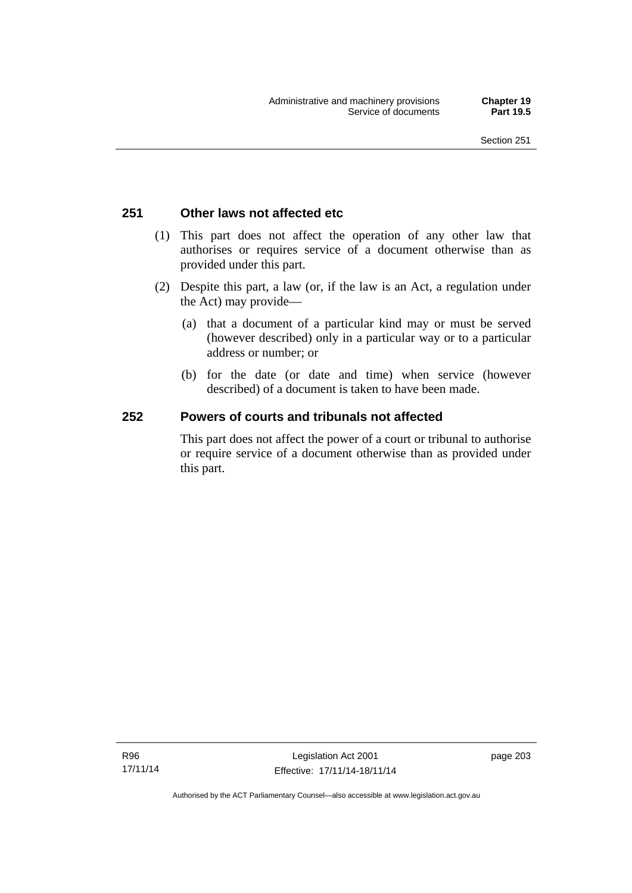### **251 Other laws not affected etc**

- (1) This part does not affect the operation of any other law that authorises or requires service of a document otherwise than as provided under this part.
- (2) Despite this part, a law (or, if the law is an Act, a regulation under the Act) may provide—
	- (a) that a document of a particular kind may or must be served (however described) only in a particular way or to a particular address or number; or
	- (b) for the date (or date and time) when service (however described) of a document is taken to have been made.

### **252 Powers of courts and tribunals not affected**

This part does not affect the power of a court or tribunal to authorise or require service of a document otherwise than as provided under this part.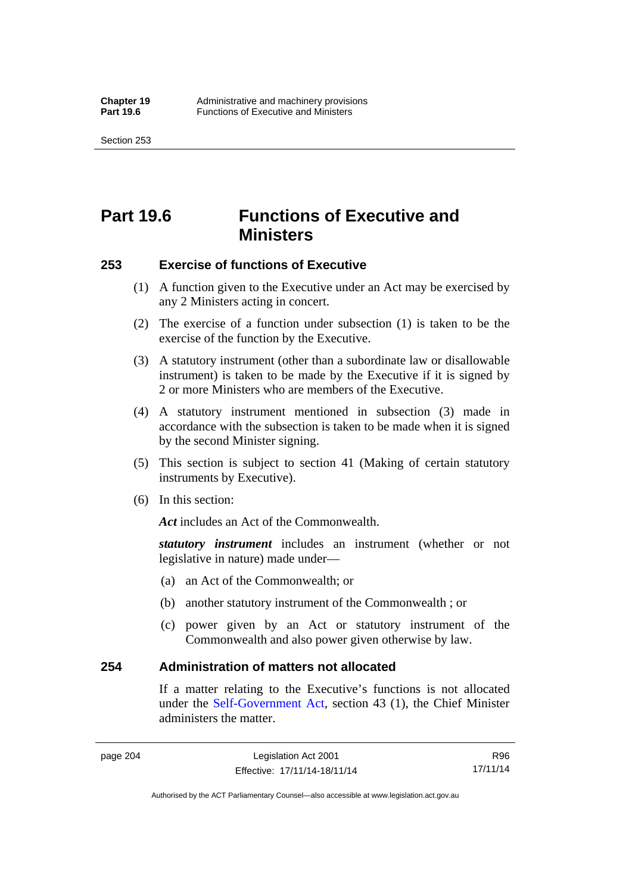Section 253

# **Part 19.6 Functions of Executive and Ministers**

### **253 Exercise of functions of Executive**

- (1) A function given to the Executive under an Act may be exercised by any 2 Ministers acting in concert.
- (2) The exercise of a function under subsection (1) is taken to be the exercise of the function by the Executive.
- (3) A statutory instrument (other than a subordinate law or disallowable instrument) is taken to be made by the Executive if it is signed by 2 or more Ministers who are members of the Executive.
- (4) A statutory instrument mentioned in subsection (3) made in accordance with the subsection is taken to be made when it is signed by the second Minister signing.
- (5) This section is subject to section 41 (Making of certain statutory instruments by Executive).
- (6) In this section:

Act includes an Act of the Commonwealth.

*statutory instrument* includes an instrument (whether or not legislative in nature) made under—

- (a) an Act of the Commonwealth; or
- (b) another statutory instrument of the Commonwealth ; or
- (c) power given by an Act or statutory instrument of the Commonwealth and also power given otherwise by law.

### **254 Administration of matters not allocated**

If a matter relating to the Executive's functions is not allocated under the [Self-Government Act,](http://www.comlaw.gov.au/Series/C2004A03699) section 43 (1), the Chief Minister administers the matter.

R96 17/11/14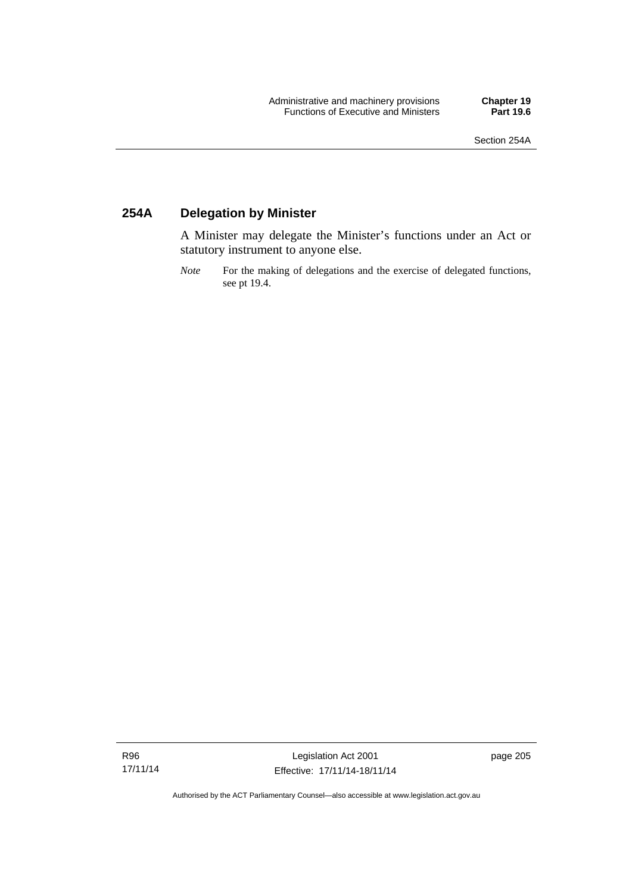### **254A Delegation by Minister**

A Minister may delegate the Minister's functions under an Act or statutory instrument to anyone else.

*Note* For the making of delegations and the exercise of delegated functions, see pt 19.4.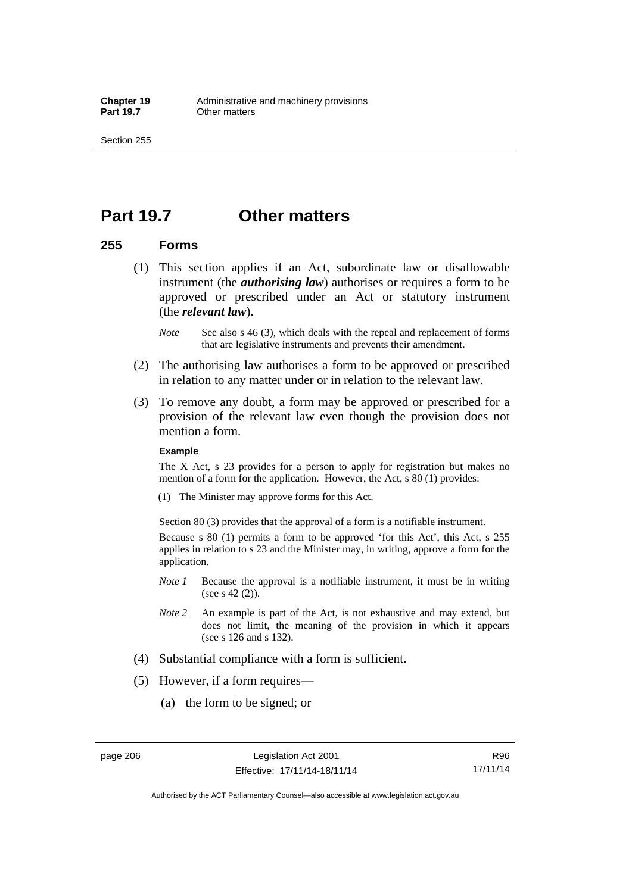### **Part 19.7 Other matters**

### **255 Forms**

- (1) This section applies if an Act, subordinate law or disallowable instrument (the *authorising law*) authorises or requires a form to be approved or prescribed under an Act or statutory instrument (the *relevant law*).
	- *Note* See also s 46 (3), which deals with the repeal and replacement of forms that are legislative instruments and prevents their amendment.
- (2) The authorising law authorises a form to be approved or prescribed in relation to any matter under or in relation to the relevant law.
- (3) To remove any doubt, a form may be approved or prescribed for a provision of the relevant law even though the provision does not mention a form.

#### **Example**

The X Act, s 23 provides for a person to apply for registration but makes no mention of a form for the application. However, the Act, s 80 (1) provides:

(1) The Minister may approve forms for this Act.

Section 80 (3) provides that the approval of a form is a notifiable instrument.

Because s 80 (1) permits a form to be approved 'for this Act', this Act, s 255 applies in relation to s 23 and the Minister may, in writing, approve a form for the application.

- *Note 1* Because the approval is a notifiable instrument, it must be in writing (see s 42 (2)).
- *Note 2* An example is part of the Act, is not exhaustive and may extend, but does not limit, the meaning of the provision in which it appears (see s 126 and s 132).
- (4) Substantial compliance with a form is sufficient.
- (5) However, if a form requires—
	- (a) the form to be signed; or

R96 17/11/14

Authorised by the ACT Parliamentary Counsel—also accessible at www.legislation.act.gov.au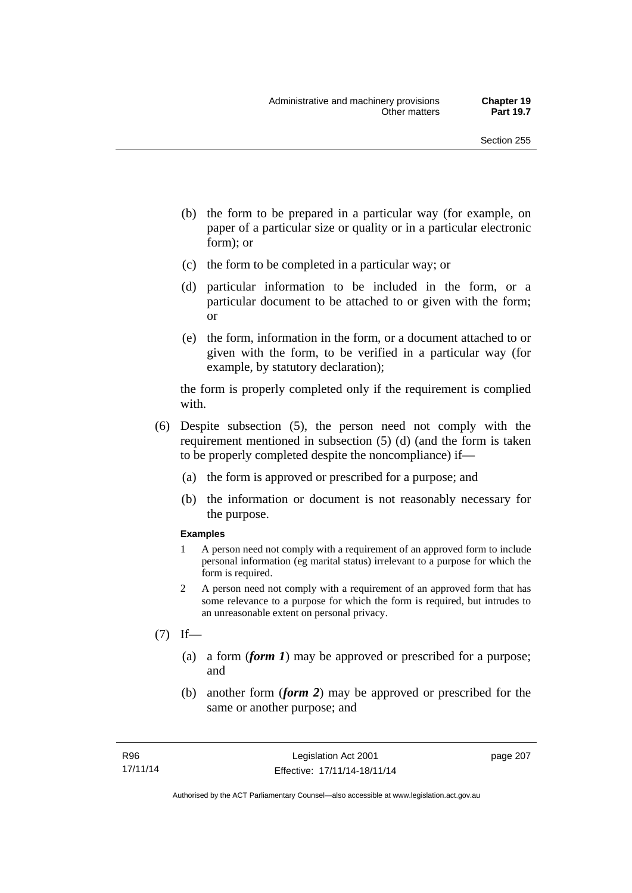- (b) the form to be prepared in a particular way (for example, on paper of a particular size or quality or in a particular electronic form); or
- (c) the form to be completed in a particular way; or
- (d) particular information to be included in the form, or a particular document to be attached to or given with the form; or
- (e) the form, information in the form, or a document attached to or given with the form, to be verified in a particular way (for example, by statutory declaration);

the form is properly completed only if the requirement is complied with.

- (6) Despite subsection (5), the person need not comply with the requirement mentioned in subsection (5) (d) (and the form is taken to be properly completed despite the noncompliance) if—
	- (a) the form is approved or prescribed for a purpose; and
	- (b) the information or document is not reasonably necessary for the purpose.

### **Examples**

- 1 A person need not comply with a requirement of an approved form to include personal information (eg marital status) irrelevant to a purpose for which the form is required.
- 2 A person need not comply with a requirement of an approved form that has some relevance to a purpose for which the form is required, but intrudes to an unreasonable extent on personal privacy.
- $(7)$  If—
	- (a) a form (*form 1*) may be approved or prescribed for a purpose; and
	- (b) another form (*form 2*) may be approved or prescribed for the same or another purpose; and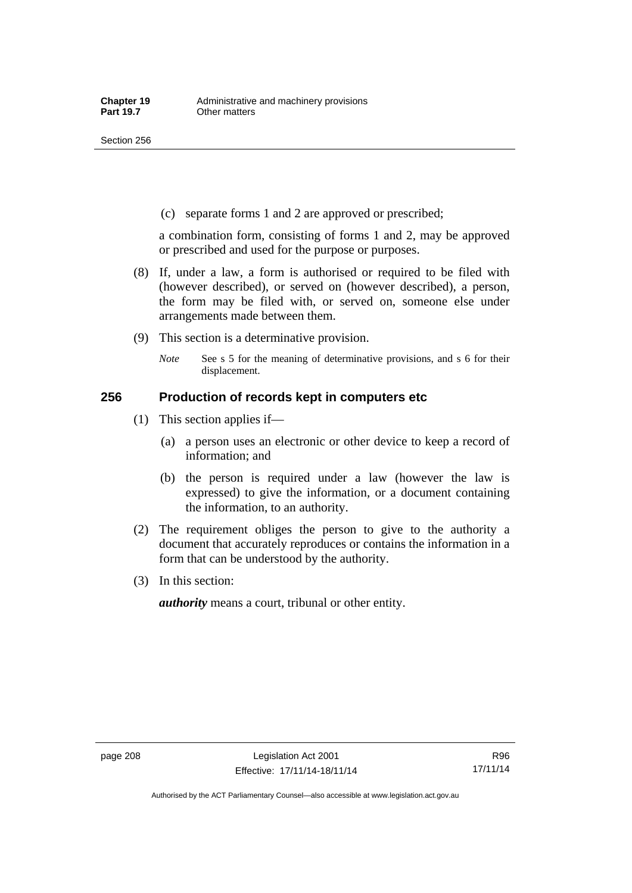(c) separate forms 1 and 2 are approved or prescribed;

a combination form, consisting of forms 1 and 2, may be approved or prescribed and used for the purpose or purposes.

- (8) If, under a law, a form is authorised or required to be filed with (however described), or served on (however described), a person, the form may be filed with, or served on, someone else under arrangements made between them.
- (9) This section is a determinative provision.
	- *Note* See s 5 for the meaning of determinative provisions, and s 6 for their displacement.

### **256 Production of records kept in computers etc**

- (1) This section applies if—
	- (a) a person uses an electronic or other device to keep a record of information; and
	- (b) the person is required under a law (however the law is expressed) to give the information, or a document containing the information, to an authority.
- (2) The requirement obliges the person to give to the authority a document that accurately reproduces or contains the information in a form that can be understood by the authority.
- (3) In this section:

*authority* means a court, tribunal or other entity.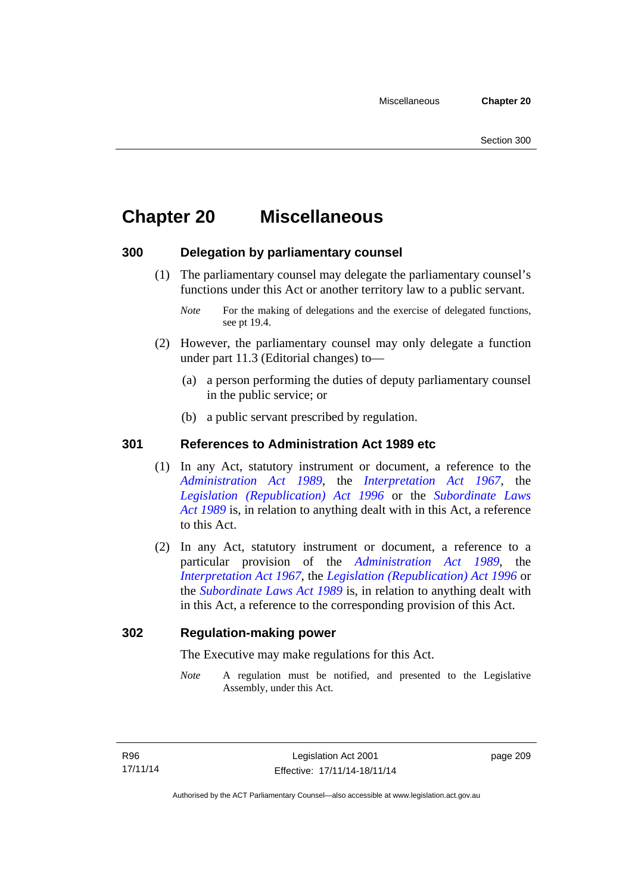# **Chapter 20 Miscellaneous**

### **300 Delegation by parliamentary counsel**

 (1) The parliamentary counsel may delegate the parliamentary counsel's functions under this Act or another territory law to a public servant.

- (2) However, the parliamentary counsel may only delegate a function under part 11.3 (Editorial changes) to—
	- (a) a person performing the duties of deputy parliamentary counsel in the public service; or
	- (b) a public servant prescribed by regulation.

### **301 References to Administration Act 1989 etc**

- (1) In any Act, statutory instrument or document, a reference to the *[Administration Act 1989](http://www.legislation.act.gov.au/a/alt_a1989-41co)*, the *[Interpretation Act 1967](http://www.legislation.act.gov.au/a/1967-48)*, the *[Legislation \(Republication\) Act 1996](http://www.legislation.act.gov.au/a/1996-51)* or the *[Subordinate Laws](http://www.legislation.act.gov.au/a/alt_a1989-24co)  [Act 1989](http://www.legislation.act.gov.au/a/alt_a1989-24co)* is, in relation to anything dealt with in this Act, a reference to this Act.
- (2) In any Act, statutory instrument or document, a reference to a particular provision of the *[Administration Act 1989](http://www.legislation.act.gov.au/a/alt_a1989-41co)*, the *[Interpretation Act 1967](http://www.legislation.act.gov.au/a/1967-48)*, the *[Legislation \(Republication\) Act 1996](http://www.legislation.act.gov.au/a/1996-51)* or the *[Subordinate Laws Act 1989](http://www.legislation.act.gov.au/a/alt_a1989-24co)* is, in relation to anything dealt with in this Act, a reference to the corresponding provision of this Act.

### **302 Regulation-making power**

The Executive may make regulations for this Act.

*Note* A regulation must be notified, and presented to the Legislative Assembly, under this Act.

*Note* For the making of delegations and the exercise of delegated functions, see pt 19.4.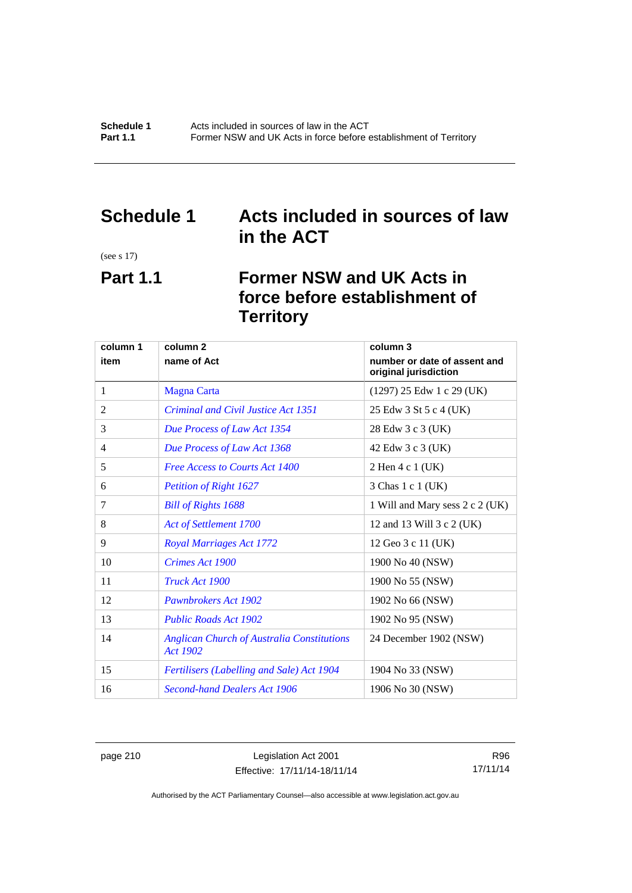### **Schedule 1 Acts included in sources of law in the ACT**

(see s 17)

# **Part 1.1 Former NSW and UK Acts in force before establishment of Territory**

| column 1 | column 2                                                             | column 3                                              |
|----------|----------------------------------------------------------------------|-------------------------------------------------------|
| item     | name of Act                                                          | number or date of assent and<br>original jurisdiction |
| 1        | <b>Magna Carta</b>                                                   | $(1297)$ 25 Edw 1 c 29 (UK)                           |
| 2        | Criminal and Civil Justice Act 1351                                  | 25 Edw 3 St 5 c 4 (UK)                                |
| 3        | Due Process of Law Act 1354                                          | 28 Edw 3 c 3 (UK)                                     |
| 4        | Due Process of Law Act 1368                                          | 42 Edw 3 c 3 (UK)                                     |
| 5        | <b>Free Access to Courts Act 1400</b>                                | 2 Hen 4 c 1 (UK)                                      |
| 6        | <b>Petition of Right 1627</b>                                        | 3 Chas 1 c 1 (UK)                                     |
| 7        | <b>Bill of Rights 1688</b>                                           | 1 Will and Mary sess 2 c 2 (UK)                       |
| 8        | Act of Settlement 1700                                               | 12 and 13 Will 3 c 2 (UK)                             |
| 9        | <b>Royal Marriages Act 1772</b>                                      | 12 Geo 3 c 11 (UK)                                    |
| 10       | Crimes Act 1900                                                      | 1900 No 40 (NSW)                                      |
| 11       | Truck Act 1900                                                       | 1900 No 55 (NSW)                                      |
| 12       | <b>Pawnbrokers Act 1902</b>                                          | 1902 No 66 (NSW)                                      |
| 13       | <b>Public Roads Act 1902</b>                                         | 1902 No 95 (NSW)                                      |
| 14       | <b>Anglican Church of Australia Constitutions</b><br><b>Act 1902</b> | 24 December 1902 (NSW)                                |
| 15       | <b>Fertilisers (Labelling and Sale) Act 1904</b>                     | 1904 No 33 (NSW)                                      |
| 16       | <b>Second-hand Dealers Act 1906</b>                                  | 1906 No 30 (NSW)                                      |

page 210 Legislation Act 2001 Effective: 17/11/14-18/11/14

R96 17/11/14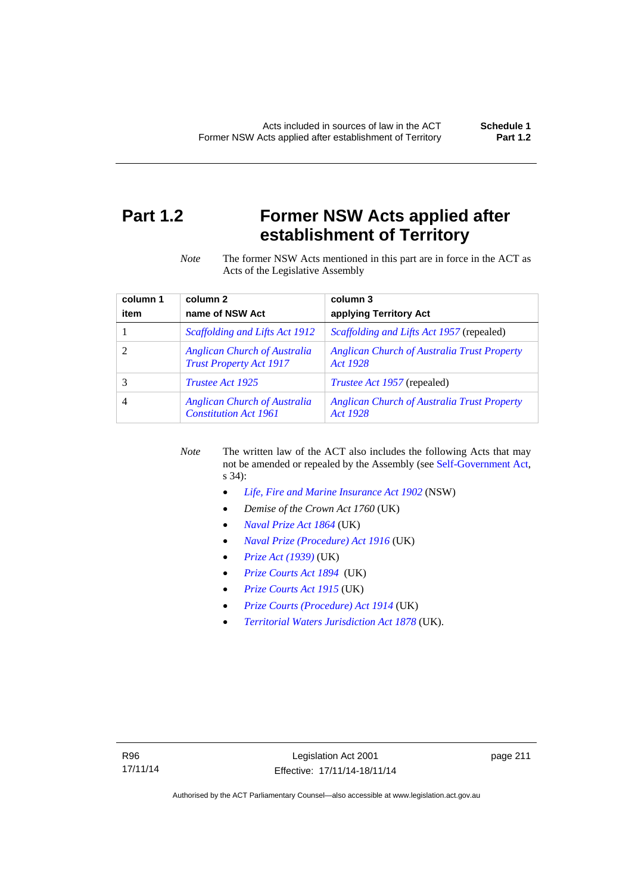# **Part 1.2 Former NSW Acts applied after establishment of Territory**

*Note* The former NSW Acts mentioned in this part are in force in the ACT as Acts of the Legislative Assembly

| column 1 | column <sub>2</sub>                                                   | column 3                                                       |
|----------|-----------------------------------------------------------------------|----------------------------------------------------------------|
| item     | name of NSW Act                                                       | applying Territory Act                                         |
|          | Scaffolding and Lifts Act 1912                                        | <i>Scaffolding and Lifts Act 1957</i> (repealed)               |
|          | <b>Anglican Church of Australia</b><br><b>Trust Property Act 1917</b> | <b>Anglican Church of Australia Trust Property</b><br>Act 1928 |
|          | <i>Trustee Act 1925</i>                                               | <i>Trustee Act 1957</i> (repealed)                             |
| 4        | <b>Anglican Church of Australia</b><br><b>Constitution Act 1961</b>   | <b>Anglican Church of Australia Trust Property</b><br>Act 1928 |

*Note* The written law of the ACT also includes the following Acts that may not be amended or repealed by the Assembly (see [Self-Government Act,](http://www.comlaw.gov.au/Series/C2004A03699) s 34):

- *[Life, Fire and Marine Insurance Act 1902](http://www.legislation.nsw.gov.au/maintop/scanact/sessional/NONE/0)* (NSW)
- *Demise of the Crown Act 1760* (UK)
- *[Naval Prize Act 1864](http://www.legislation.gov.uk/ukpga/Vict/27-28/25/contents)* (UK)
- *[Naval Prize \(Procedure\) Act 1916](http://www.legislation.gov.uk/ukpga/Geo5/6-7/2/contents)* (UK)
- *[Prize Act \(1939\)](http://www.legislation.gov.uk/ukpga/Geo6/2-3/65/contents)* (UK)
- *[Prize Courts Act 1894](http://www.legislation.gov.uk/ukpga/Vict/57-58/39/contents)* (UK)
- *[Prize Courts Act 1915](http://www.legislation.gov.uk/ukpga/Geo5/5-6/57/contents)* (UK)
- *[Prize Courts \(Procedure\) Act 1914](http://www.legislation.gov.uk/ukpga/Geo5/4-5/13/contents)* (UK)
- *[Territorial Waters Jurisdiction Act 1878](http://www.legislation.gov.uk/ukpga/Vict/41-42/73/contents)* (UK).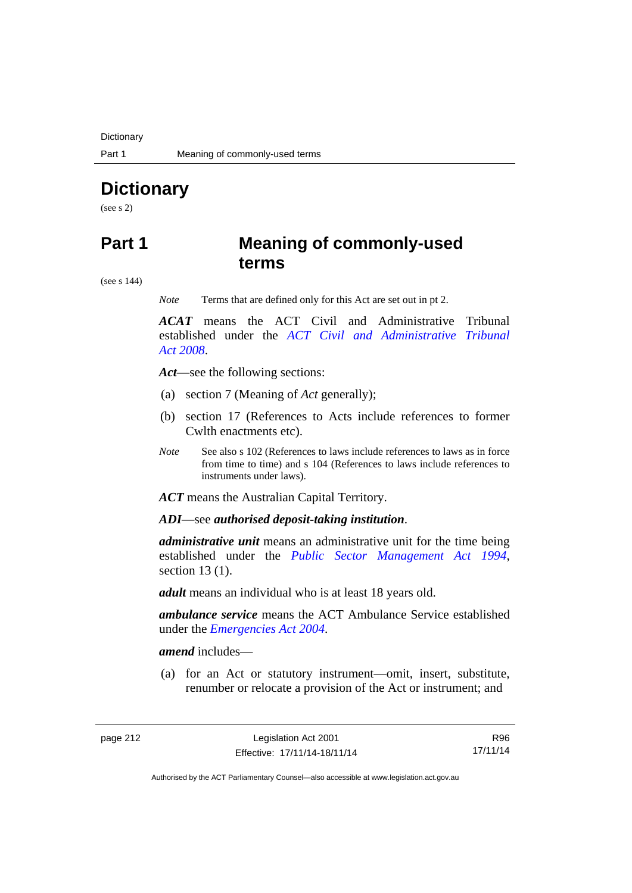**Dictionary** 

# **Dictionary**

(see s 2)

### **Part 1 Meaning of commonly-used terms**

(see s 144)

*Note* Terms that are defined only for this Act are set out in pt 2.

*ACAT* means the ACT Civil and Administrative Tribunal established under the *[ACT Civil and Administrative Tribunal](http://www.legislation.act.gov.au/a/2008-35)  [Act 2008](http://www.legislation.act.gov.au/a/2008-35)*.

*Act*—see the following sections:

- (a) section 7 (Meaning of *Act* generally);
- (b) section 17 (References to Acts include references to former Cwlth enactments etc).
- *Note* See also s 102 (References to laws include references to laws as in force from time to time) and s 104 (References to laws include references to instruments under laws).

*ACT* means the Australian Capital Territory.

*ADI*—see *authorised deposit-taking institution*.

*administrative unit* means an administrative unit for the time being established under the *[Public Sector Management Act 1994](http://www.legislation.act.gov.au/a/1994-37)*, section 13 (1).

*adult* means an individual who is at least 18 years old.

*ambulance service* means the ACT Ambulance Service established under the *[Emergencies Act 2004](http://www.legislation.act.gov.au/a/2004-28)*.

*amend* includes—

(a) for an Act or statutory instrument—omit, insert, substitute, renumber or relocate a provision of the Act or instrument; and

R96 17/11/14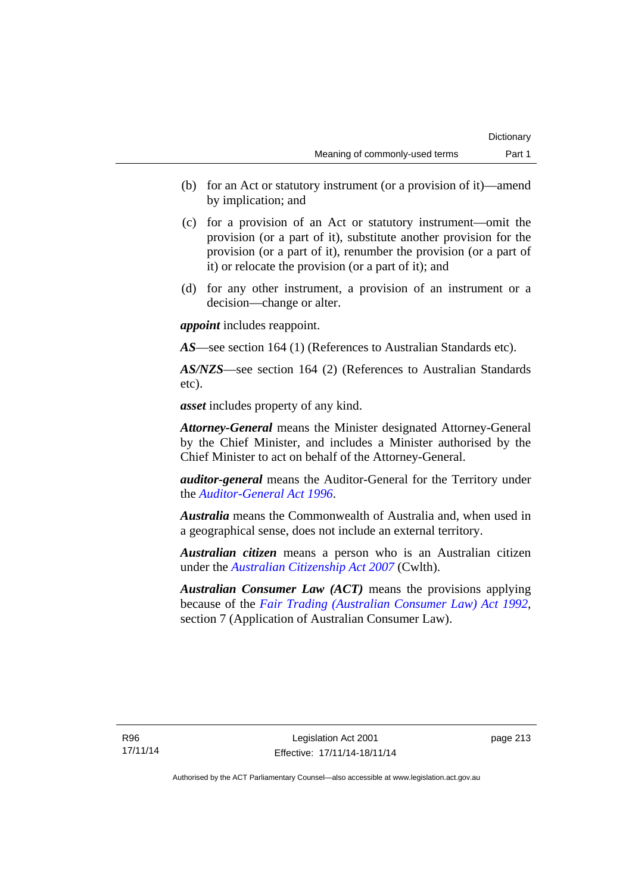- (b) for an Act or statutory instrument (or a provision of it)—amend by implication; and
- (c) for a provision of an Act or statutory instrument—omit the provision (or a part of it), substitute another provision for the provision (or a part of it), renumber the provision (or a part of it) or relocate the provision (or a part of it); and
- (d) for any other instrument, a provision of an instrument or a decision—change or alter.

*appoint* includes reappoint.

*AS*—see section 164 (1) (References to Australian Standards etc).

*AS/NZS*—see section 164 (2) (References to Australian Standards etc).

*asset* includes property of any kind.

*Attorney-General* means the Minister designated Attorney-General by the Chief Minister, and includes a Minister authorised by the Chief Minister to act on behalf of the Attorney-General.

*auditor-general* means the Auditor-General for the Territory under the *[Auditor-General Act 1996](http://www.legislation.act.gov.au/a/1996-23)*.

*Australia* means the Commonwealth of Australia and, when used in a geographical sense, does not include an external territory.

*Australian citizen* means a person who is an Australian citizen under the *[Australian Citizenship Act 2007](http://www.comlaw.gov.au/Series/C2007A00020)* (Cwlth).

*Australian Consumer Law (ACT)* means the provisions applying because of the *[Fair Trading \(Australian Consumer Law\) Act 1992](http://www.legislation.act.gov.au/a/1992-72)*, section 7 (Application of Australian Consumer Law).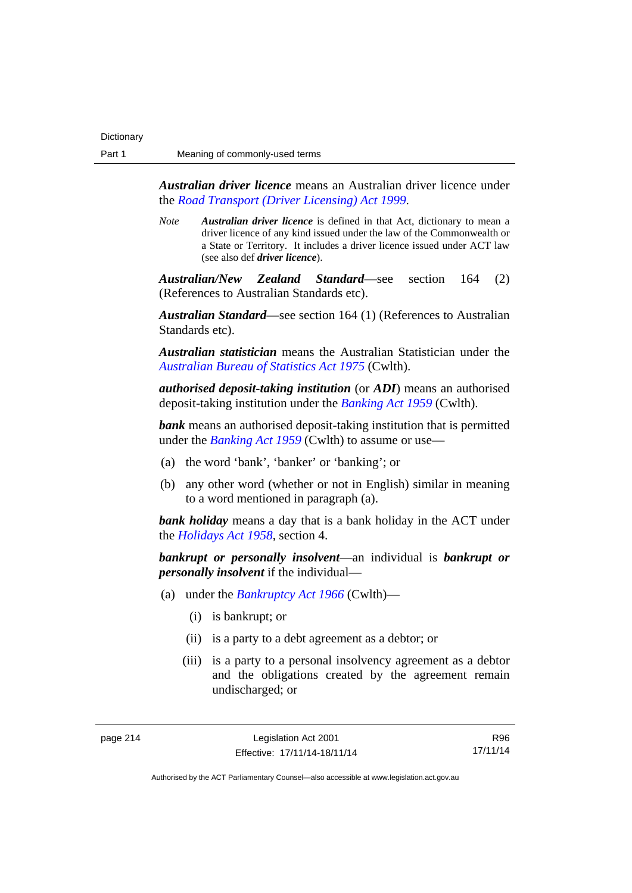*Australian driver licence* means an Australian driver licence under the *[Road Transport \(Driver Licensing\) Act 1999](http://www.legislation.act.gov.au/a/1999-78)*.

*Note Australian driver licence* is defined in that Act, dictionary to mean a driver licence of any kind issued under the law of the Commonwealth or a State or Territory. It includes a driver licence issued under ACT law (see also def *driver licence*).

*Australian/New Zealand Standard*—see section 164 (2) (References to Australian Standards etc).

*Australian Standard*—see section 164 (1) (References to Australian Standards etc).

*Australian statistician* means the Australian Statistician under the *[Australian Bureau of Statistics Act 1975](http://www.comlaw.gov.au/Series/C2004A00282)* (Cwlth).

*authorised deposit-taking institution* (or *ADI*) means an authorised deposit-taking institution under the *[Banking Act 1959](http://www.comlaw.gov.au/Series/C2004A07357)* (Cwlth).

**bank** means an authorised deposit-taking institution that is permitted under the *[Banking Act 1959](http://www.comlaw.gov.au/Series/C2004A07357)* (Cwlth) to assume or use—

- (a) the word 'bank', 'banker' or 'banking'; or
- (b) any other word (whether or not in English) similar in meaning to a word mentioned in paragraph (a).

*bank holiday* means a day that is a bank holiday in the ACT under the *[Holidays Act 1958](http://www.legislation.act.gov.au/a/1958-19)*, section 4.

*bankrupt or personally insolvent*—an individual is *bankrupt or personally insolvent* if the individual—

- (a) under the *[Bankruptcy Act 1966](http://www.comlaw.gov.au/Series/C2004A07422)* (Cwlth)—
	- (i) is bankrupt; or
	- (ii) is a party to a debt agreement as a debtor; or
	- (iii) is a party to a personal insolvency agreement as a debtor and the obligations created by the agreement remain undischarged; or

R96 17/11/14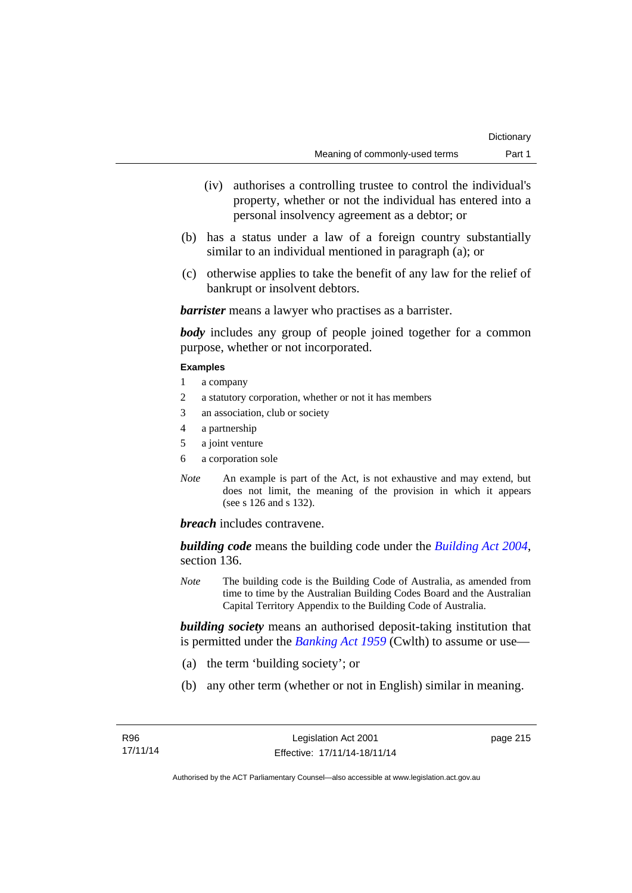- (iv) authorises a controlling trustee to control the individual's property, whether or not the individual has entered into a personal insolvency agreement as a debtor; or
- (b) has a status under a law of a foreign country substantially similar to an individual mentioned in paragraph (a); or
- (c) otherwise applies to take the benefit of any law for the relief of bankrupt or insolvent debtors.

*barrister* means a lawyer who practises as a barrister.

*body* includes any group of people joined together for a common purpose, whether or not incorporated.

### **Examples**

- 1 a company
- 2 a statutory corporation, whether or not it has members
- 3 an association, club or society
- 4 a partnership
- 5 a joint venture
- 6 a corporation sole
- *Note* An example is part of the Act, is not exhaustive and may extend, but does not limit, the meaning of the provision in which it appears (see s 126 and s 132).

*breach* includes contravene.

*building code* means the building code under the *[Building Act 2004](http://www.legislation.act.gov.au/a/2004-11)*, section 136.

*Note* The building code is the Building Code of Australia, as amended from time to time by the Australian Building Codes Board and the Australian Capital Territory Appendix to the Building Code of Australia.

*building society* means an authorised deposit-taking institution that is permitted under the *[Banking Act 1959](http://www.comlaw.gov.au/Series/C2004A07357)* (Cwlth) to assume or use—

- (a) the term 'building society'; or
- (b) any other term (whether or not in English) similar in meaning.

page 215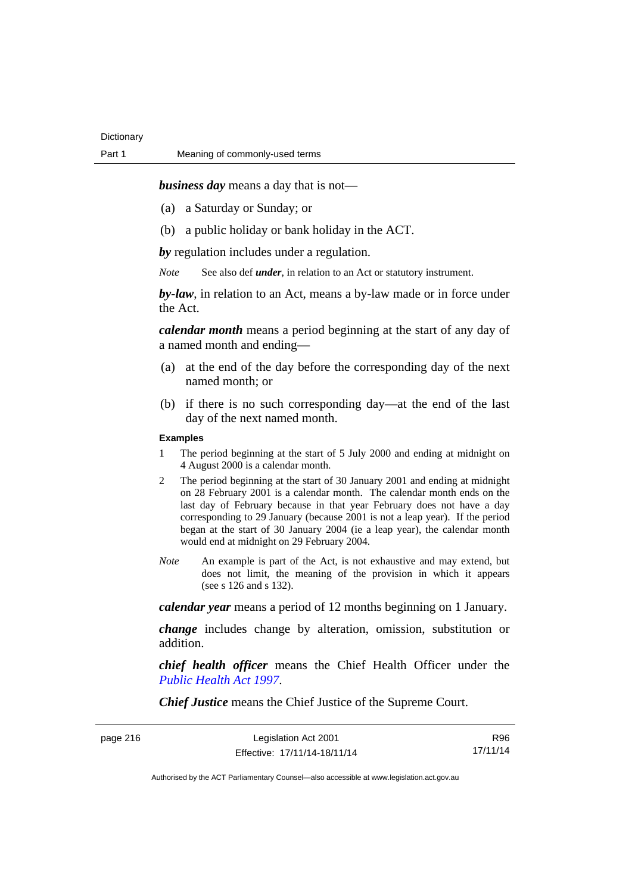*business day* means a day that is not—

- (a) a Saturday or Sunday; or
- (b) a public holiday or bank holiday in the ACT.

*by* regulation includes under a regulation.

*Note* See also def *under*, in relation to an Act or statutory instrument.

*by-law*, in relation to an Act, means a by-law made or in force under the Act.

*calendar month* means a period beginning at the start of any day of a named month and ending—

- (a) at the end of the day before the corresponding day of the next named month; or
- (b) if there is no such corresponding day—at the end of the last day of the next named month.

### **Examples**

- 1 The period beginning at the start of 5 July 2000 and ending at midnight on 4 August 2000 is a calendar month.
- 2 The period beginning at the start of 30 January 2001 and ending at midnight on 28 February 2001 is a calendar month. The calendar month ends on the last day of February because in that year February does not have a day corresponding to 29 January (because 2001 is not a leap year). If the period began at the start of 30 January 2004 (ie a leap year), the calendar month would end at midnight on 29 February 2004.
- *Note* An example is part of the Act, is not exhaustive and may extend, but does not limit, the meaning of the provision in which it appears (see s 126 and s 132).

*calendar year* means a period of 12 months beginning on 1 January.

*change* includes change by alteration, omission, substitution or addition.

*chief health officer* means the Chief Health Officer under the *[Public Health Act 1997](http://www.legislation.act.gov.au/a/1997-69)*.

*Chief Justice* means the Chief Justice of the Supreme Court.

page 216

| Legislation Act 2001         | R96      |
|------------------------------|----------|
| Effective: 17/11/14-18/11/14 | 17/11/14 |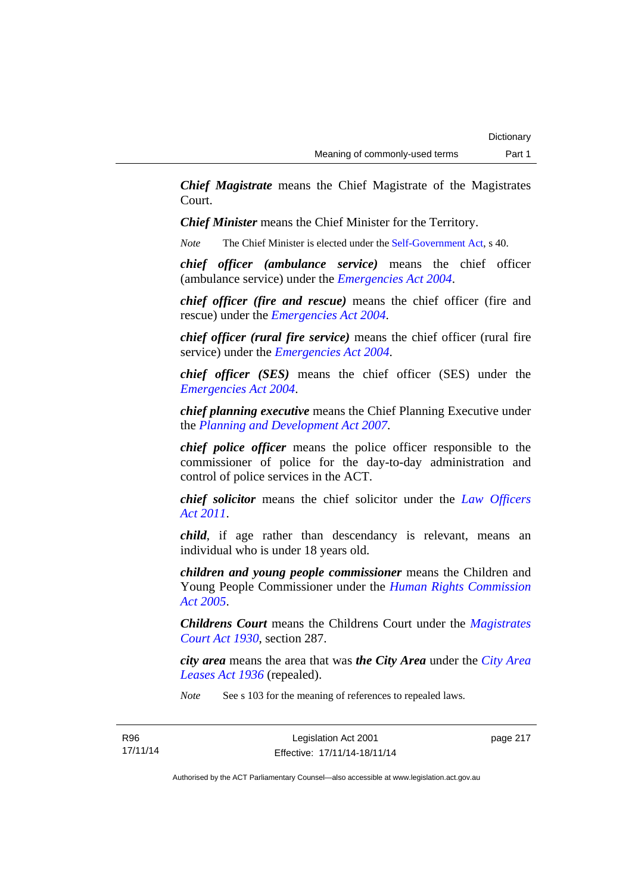*Chief Magistrate* means the Chief Magistrate of the Magistrates Court.

*Chief Minister* means the Chief Minister for the Territory.

*Note* The Chief Minister is elected under the [Self-Government Act](http://www.comlaw.gov.au/Series/C2004A03699), s 40.

*chief officer (ambulance service)* means the chief officer (ambulance service) under the *[Emergencies Act 2004](http://www.legislation.act.gov.au/a/2004-28)*.

*chief officer (fire and rescue)* means the chief officer (fire and rescue) under the *[Emergencies Act 2004](http://www.legislation.act.gov.au/a/2004-28)*.

*chief officer (rural fire service)* means the chief officer (rural fire service) under the *[Emergencies Act 2004](http://www.legislation.act.gov.au/a/2004-28)*.

*chief officer (SES)* means the chief officer (SES) under the *[Emergencies Act 2004](http://www.legislation.act.gov.au/a/2004-28)*.

*chief planning executive* means the Chief Planning Executive under the *[Planning and Development Act 2007](http://www.legislation.act.gov.au/a/2007-24)*.

*chief police officer* means the police officer responsible to the commissioner of police for the day-to-day administration and control of police services in the ACT.

*chief solicitor* means the chief solicitor under the *[Law Officers](http://www.legislation.act.gov.au/a/2011-30)  [Act 2011](http://www.legislation.act.gov.au/a/2011-30)*.

*child*, if age rather than descendancy is relevant, means an individual who is under 18 years old.

*children and young people commissioner* means the Children and Young People Commissioner under the *[Human Rights Commission](http://www.legislation.act.gov.au/a/2005-40)  [Act 2005](http://www.legislation.act.gov.au/a/2005-40)*.

*Childrens Court* means the Childrens Court under the *[Magistrates](http://www.legislation.act.gov.au/a/1930-21)  [Court Act 1930](http://www.legislation.act.gov.au/a/1930-21)*, section 287.

*city area* means the area that was *the City Area* under the *[City Area](http://www.legislation.act.gov.au/a/1936-31)  [Leases Act 1936](http://www.legislation.act.gov.au/a/1936-31)* (repealed).

*Note* See s 103 for the meaning of references to repealed laws.

page 217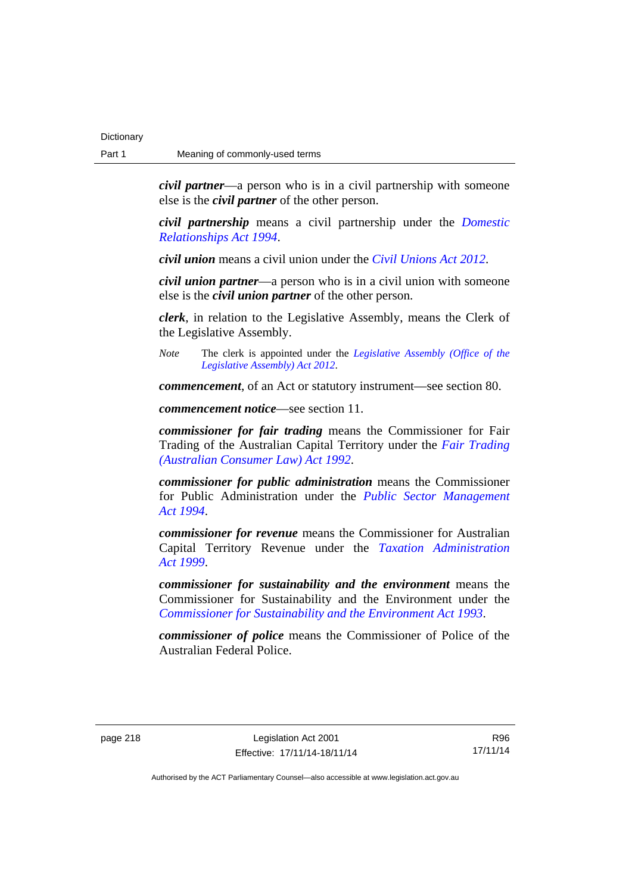*civil partner*—a person who is in a civil partnership with someone else is the *civil partner* of the other person.

*civil partnership* means a civil partnership under the *[Domestic](http://www.legislation.act.gov.au/a/1994-28)  [Relationships Act 1994](http://www.legislation.act.gov.au/a/1994-28)*.

*civil union* means a civil union under the *[Civil Unions Act 2012](http://www.legislation.act.gov.au/a/2012-40)*.

*civil union partner*—a person who is in a civil union with someone else is the *civil union partner* of the other person.

*clerk*, in relation to the Legislative Assembly, means the Clerk of the Legislative Assembly.

*Note* The clerk is appointed under the *[Legislative Assembly \(Office of the](http://www.legislation.act.gov.au/a/2012-26)  [Legislative Assembly\) Act 2012](http://www.legislation.act.gov.au/a/2012-26)*.

*commencement*, of an Act or statutory instrument—see section 80.

*commencement notice*—see section 11.

*commissioner for fair trading* means the Commissioner for Fair Trading of the Australian Capital Territory under the *[Fair Trading](http://www.legislation.act.gov.au/a/1992-72)  [\(Australian Consumer Law\) Act 1992](http://www.legislation.act.gov.au/a/1992-72)*.

*commissioner for public administration* means the Commissioner for Public Administration under the *[Public Sector Management](http://www.legislation.act.gov.au/a/1994-37)  [Act 1994](http://www.legislation.act.gov.au/a/1994-37)*.

*commissioner for revenue* means the Commissioner for Australian Capital Territory Revenue under the *[Taxation Administration](http://www.legislation.act.gov.au/a/1999-4)  [Act 1999](http://www.legislation.act.gov.au/a/1999-4)*.

*commissioner for sustainability and the environment* means the Commissioner for Sustainability and the Environment under the *[Commissioner for Sustainability and the Environment Act 1993](http://www.legislation.act.gov.au/a/1993-37)*.

*commissioner of police* means the Commissioner of Police of the Australian Federal Police.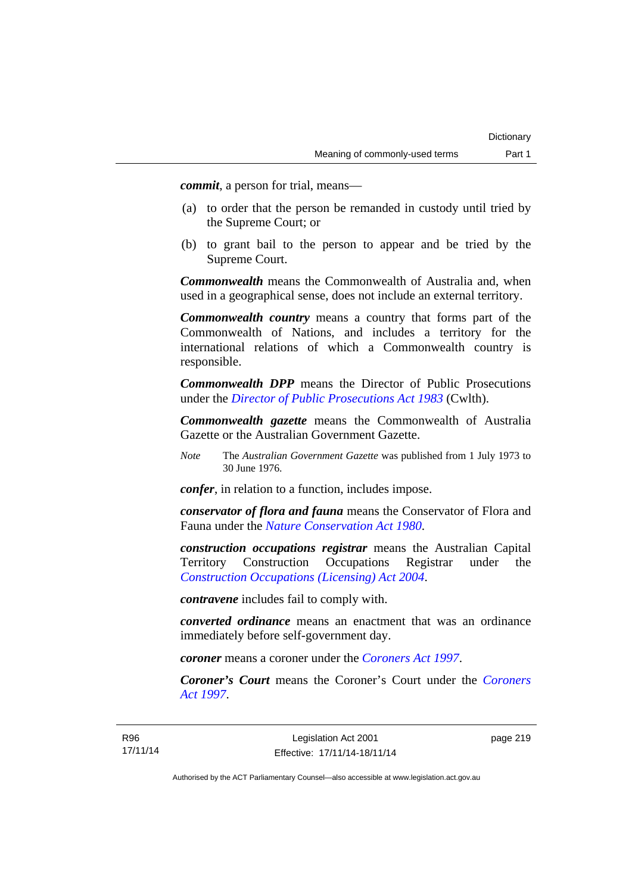*commit*, a person for trial, means—

- (a) to order that the person be remanded in custody until tried by the Supreme Court; or
- (b) to grant bail to the person to appear and be tried by the Supreme Court.

*Commonwealth* means the Commonwealth of Australia and, when used in a geographical sense, does not include an external territory.

*Commonwealth country* means a country that forms part of the Commonwealth of Nations, and includes a territory for the international relations of which a Commonwealth country is responsible.

*Commonwealth DPP* means the Director of Public Prosecutions under the *[Director of Public Prosecutions Act 1983](http://www.comlaw.gov.au/Series/C2004A02830)* (Cwlth).

*Commonwealth gazette* means the Commonwealth of Australia Gazette or the Australian Government Gazette.

*Note* The *Australian Government Gazette* was published from 1 July 1973 to 30 June 1976.

*confer*, in relation to a function, includes impose.

*conservator of flora and fauna* means the Conservator of Flora and Fauna under the *[Nature Conservation Act 1980](http://www.legislation.act.gov.au/a/1980-20)*.

*construction occupations registrar* means the Australian Capital Territory Construction Occupations Registrar under the *[Construction Occupations \(Licensing\) Act 2004](http://www.legislation.act.gov.au/a/2004-12)*.

*contravene* includes fail to comply with.

*converted ordinance* means an enactment that was an ordinance immediately before self-government day.

*coroner* means a coroner under the *[Coroners Act 1997](http://www.legislation.act.gov.au/a/1997-57)*.

*Coroner's Court* means the Coroner's Court under the *[Coroners](http://www.legislation.act.gov.au/a/1997-57)  [Act 1997](http://www.legislation.act.gov.au/a/1997-57)*.

page 219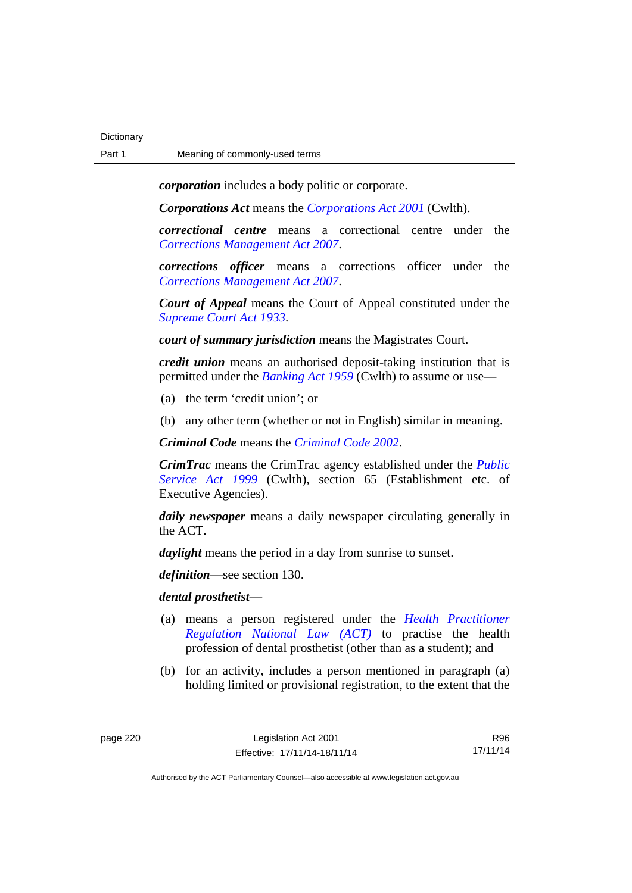*corporation* includes a body politic or corporate.

*Corporations Act* means the *[Corporations Act 2001](http://www.comlaw.gov.au/Series/C2004A00818)* (Cwlth).

*correctional centre* means a correctional centre under the *[Corrections Management Act 2007](http://www.legislation.act.gov.au/a/2007-15)*.

*corrections officer* means a corrections officer under the *[Corrections Management Act 2007](http://www.legislation.act.gov.au/a/2007-15)*.

*Court of Appeal* means the Court of Appeal constituted under the *[Supreme Court Act 1933](http://www.legislation.act.gov.au/a/1933-34)*.

*court of summary jurisdiction* means the Magistrates Court.

*credit union* means an authorised deposit-taking institution that is permitted under the *[Banking Act 1959](http://www.comlaw.gov.au/Series/C2004A07357)* (Cwlth) to assume or use—

- (a) the term 'credit union'; or
- (b) any other term (whether or not in English) similar in meaning.

*Criminal Code* means the *[Criminal Code 2002](http://www.legislation.act.gov.au/a/2002-51)*.

*CrimTrac* means the CrimTrac agency established under the *[Public](http://www.comlaw.gov.au/Series/C2004A00538)  [Service Act 1999](http://www.comlaw.gov.au/Series/C2004A00538)* (Cwlth), section 65 (Establishment etc. of Executive Agencies).

*daily newspaper* means a daily newspaper circulating generally in the ACT.

*daylight* means the period in a day from sunrise to sunset.

*definition*—see section 130.

### *dental prosthetist*—

- (a) means a person registered under the *[Health Practitioner](http://www.legislation.act.gov.au/a/db_39269/default.asp)  [Regulation National Law \(ACT\)](http://www.legislation.act.gov.au/a/db_39269/default.asp)* to practise the health profession of dental prosthetist (other than as a student); and
- (b) for an activity, includes a person mentioned in paragraph (a) holding limited or provisional registration, to the extent that the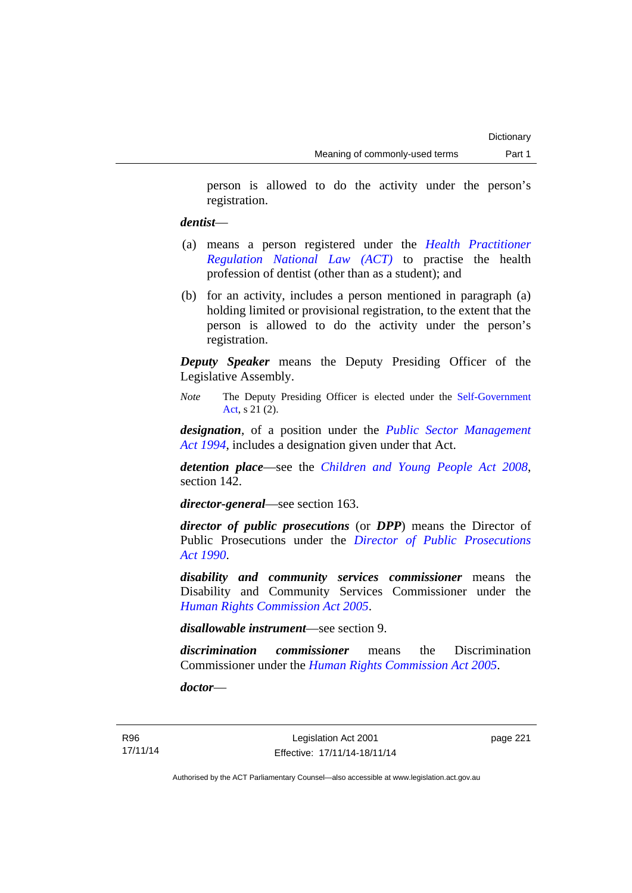person is allowed to do the activity under the person's registration.

### *dentist*—

- (a) means a person registered under the *[Health Practitioner](http://www.legislation.act.gov.au/a/db_39269/default.asp)  [Regulation National Law \(ACT\)](http://www.legislation.act.gov.au/a/db_39269/default.asp)* to practise the health profession of dentist (other than as a student); and
- (b) for an activity, includes a person mentioned in paragraph (a) holding limited or provisional registration, to the extent that the person is allowed to do the activity under the person's registration.

*Deputy Speaker* means the Deputy Presiding Officer of the Legislative Assembly.

*Note* The Deputy Presiding Officer is elected under the [Self-Government](http://www.comlaw.gov.au/Series/C2004A03699)  [Act](http://www.comlaw.gov.au/Series/C2004A03699), s 21 (2).

*designation*, of a position under the *[Public Sector Management](http://www.legislation.act.gov.au/a/1994-37)  [Act 1994](http://www.legislation.act.gov.au/a/1994-37)*, includes a designation given under that Act.

*detention place*—see the *[Children and Young People Act 2008](http://www.legislation.act.gov.au/a/2008-19)*, section 142.

*director-general*—see section 163.

*director of public prosecutions* (or *DPP*) means the Director of Public Prosecutions under the *[Director of Public Prosecutions](http://www.legislation.act.gov.au/a/1990-22)  [Act 1990](http://www.legislation.act.gov.au/a/1990-22)*.

*disability and community services commissioner* means the Disability and Community Services Commissioner under the *[Human Rights Commission Act 2005](http://www.legislation.act.gov.au/a/2005-40)*.

*disallowable instrument*—see section 9.

*discrimination commissioner* means the Discrimination Commissioner under the *[Human Rights Commission Act 2005](http://www.legislation.act.gov.au/a/2005-40)*.

*doctor*—

page 221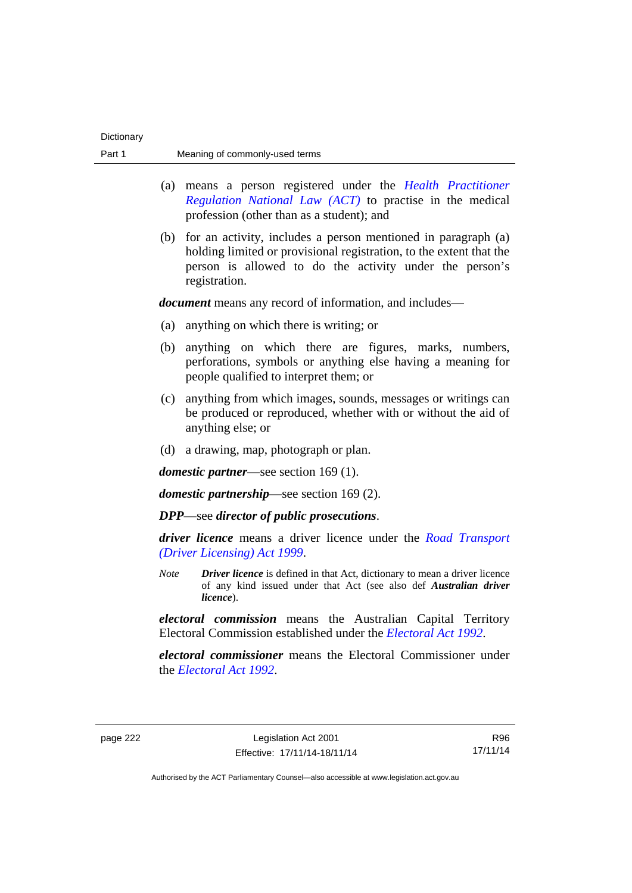| Part 1   |             | Meaning of commonly-used terms                                                                                                                                                                                       |
|----------|-------------|----------------------------------------------------------------------------------------------------------------------------------------------------------------------------------------------------------------------|
|          | (a)         | means a person registered under the <i>Health Practitioner</i><br>Regulation National Law (ACT) to practise in the medical<br>profession (other than as a student); and                                              |
|          |             | (b) for an activity, includes a person mentioned in paragraph (a)<br>holding limited or provisional registration, to the extent that the<br>person is allowed to do the activity under the person's<br>registration. |
|          |             | <i>document</i> means any record of information, and includes—                                                                                                                                                       |
|          | (a)         | anything on which there is writing; or                                                                                                                                                                               |
|          | (b)         | anything on which there are figures, marks, numbers,<br>perforations, symbols or anything else having a meaning for<br>people qualified to interpret them; or                                                        |
|          | (c)         | anything from which images, sounds, messages or writings can<br>be produced or reproduced, whether with or without the aid of<br>anything else; or                                                                   |
|          |             | (d) a drawing, map, photograph or plan.                                                                                                                                                                              |
|          |             | <i>domestic partner</i> —see section 169 (1).                                                                                                                                                                        |
|          |             | <i>domestic partnership</i> —see section $169(2)$ .                                                                                                                                                                  |
|          |             | <b>DPP</b> —see director of public prosecutions.                                                                                                                                                                     |
|          |             | <i>driver licence</i> means a driver licence under the <i>Road Transport</i><br>(Driver Licensing) Act 1999.                                                                                                         |
|          | <b>Note</b> | <b>Driver licence</b> is defined in that Act, dictionary to mean a driver licence<br>of any kind issued under that Act (see also def Australian driver<br>licence).                                                  |
|          |             | electoral commission means the Australian Capital Territory<br>Electoral Commission established under the <i>Electoral Act 1992</i> .                                                                                |
|          |             | electoral commissioner means the Electoral Commissioner under<br>the <i>Electoral Act 1992</i> .                                                                                                                     |
| page 222 |             | Legislation Act 2001<br>R96<br>17/11/14<br>Effective: 17/11/14-18/11/14                                                                                                                                              |

Dictionary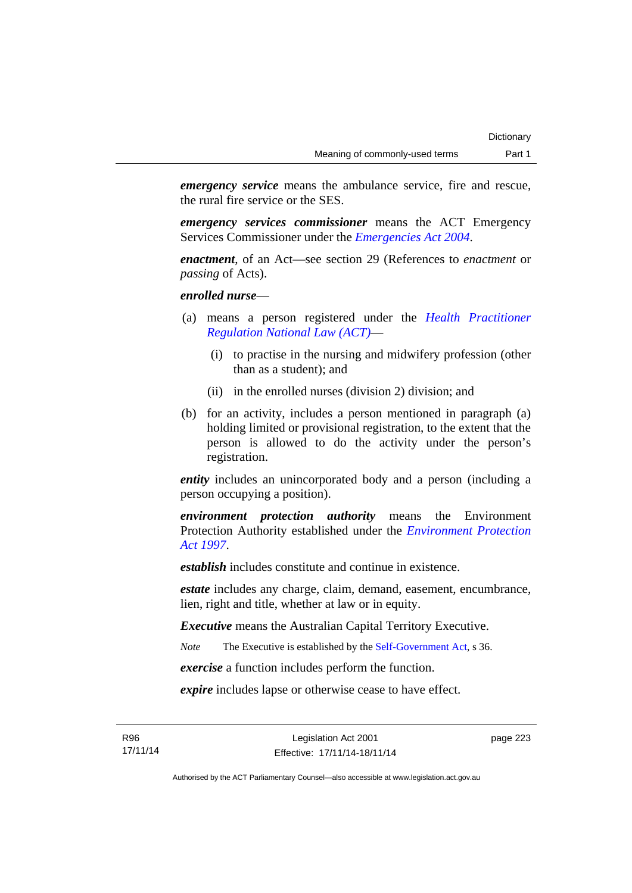*emergency service* means the ambulance service, fire and rescue, the rural fire service or the SES.

*emergency services commissioner* means the ACT Emergency Services Commissioner under the *[Emergencies Act 2004](http://www.legislation.act.gov.au/a/2004-28)*.

*enactment*, of an Act—see section 29 (References to *enactment* or *passing* of Acts).

*enrolled nurse*—

- (a) means a person registered under the *[Health Practitioner](http://www.legislation.act.gov.au/a/db_39269/default.asp)  [Regulation National Law \(ACT\)](http://www.legislation.act.gov.au/a/db_39269/default.asp)*—
	- (i) to practise in the nursing and midwifery profession (other than as a student); and
	- (ii) in the enrolled nurses (division 2) division; and
- (b) for an activity, includes a person mentioned in paragraph (a) holding limited or provisional registration, to the extent that the person is allowed to do the activity under the person's registration.

*entity* includes an unincorporated body and a person (including a person occupying a position).

*environment protection authority* means the Environment Protection Authority established under the *[Environment Protection](http://www.legislation.act.gov.au/a/1997-92)  [Act 1997](http://www.legislation.act.gov.au/a/1997-92)*.

*establish* includes constitute and continue in existence.

*estate* includes any charge, claim, demand, easement, encumbrance, lien, right and title, whether at law or in equity.

*Executive* means the Australian Capital Territory Executive.

*Note* The Executive is established by the [Self-Government Act](http://www.comlaw.gov.au/Series/C2004A03699), s 36.

*exercise* a function includes perform the function.

*expire* includes lapse or otherwise cease to have effect.

R96 17/11/14 page 223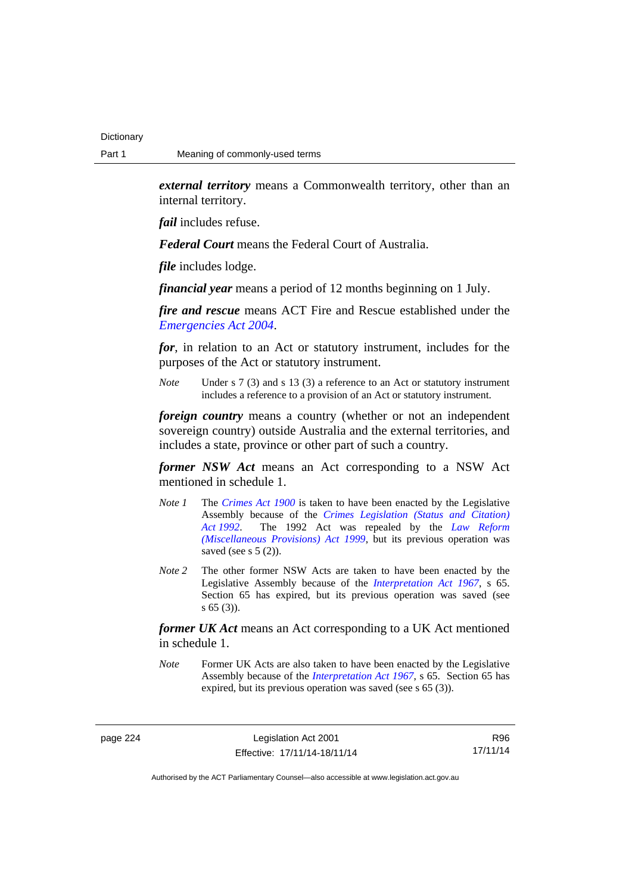*external territory* means a Commonwealth territory, other than an internal territory.

*fail* includes refuse.

*Federal Court* means the Federal Court of Australia.

*file* includes lodge.

*financial year* means a period of 12 months beginning on 1 July.

*fire and rescue* means ACT Fire and Rescue established under the *[Emergencies Act 2004](http://www.legislation.act.gov.au/a/2004-28)*.

*for*, in relation to an Act or statutory instrument, includes for the purposes of the Act or statutory instrument.

*Note* Under s 7 (3) and s 13 (3) a reference to an Act or statutory instrument includes a reference to a provision of an Act or statutory instrument.

*foreign country* means a country (whether or not an independent sovereign country) outside Australia and the external territories, and includes a state, province or other part of such a country.

*former NSW Act* means an Act corresponding to a NSW Act mentioned in schedule 1.

- *Note 1* The *[Crimes Act 1900](http://www.legislation.act.gov.au/a/1900-40)* is taken to have been enacted by the Legislative Assembly because of the *[Crimes Legislation \(Status and Citation\)](http://www.legislation.act.gov.au/a/1992-6)  [Act 1992](http://www.legislation.act.gov.au/a/1992-6)*. The 1992 Act was repealed by the *[Law Reform](http://www.legislation.act.gov.au/a/1999-66)  [\(Miscellaneous Provisions\) Act 1999](http://www.legislation.act.gov.au/a/1999-66)*, but its previous operation was saved (see s  $5(2)$ ).
- *Note 2* The other former NSW Acts are taken to have been enacted by the Legislative Assembly because of the *[Interpretation Act 1967](http://www.legislation.act.gov.au/a/1967-48)*, s 65. Section 65 has expired, but its previous operation was saved (see s 65 (3)).

*former UK Act* means an Act corresponding to a UK Act mentioned in schedule 1.

*Note* Former UK Acts are also taken to have been enacted by the Legislative Assembly because of the *[Interpretation Act 1967](http://www.legislation.act.gov.au/a/1967-48)*, s 65. Section 65 has expired, but its previous operation was saved (see s 65 (3)).

page 224 Legislation Act 2001 Effective: 17/11/14-18/11/14

R96 17/11/14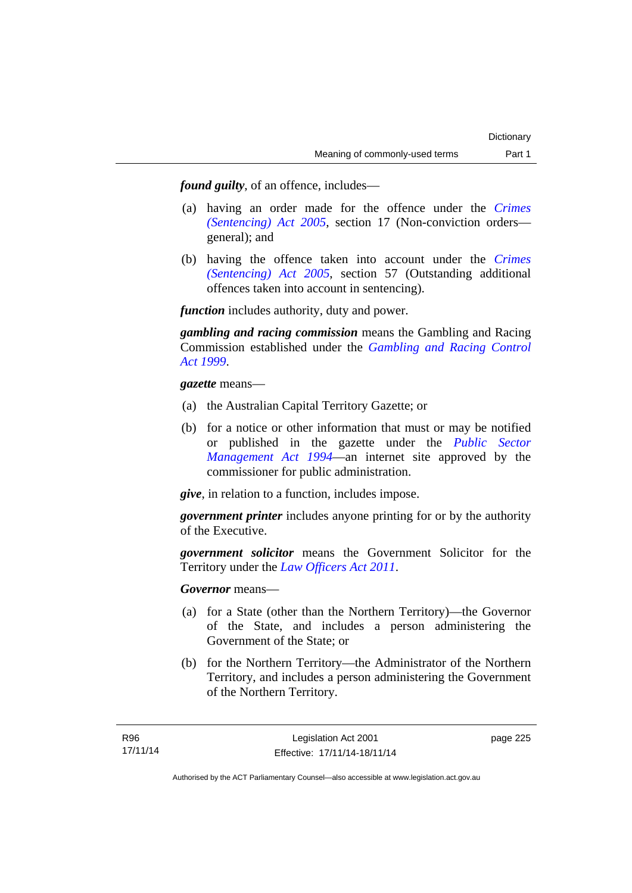*found guilty*, of an offence, includes—

- (a) having an order made for the offence under the *[Crimes](http://www.legislation.act.gov.au/a/2005-58)  [\(Sentencing\) Act 2005](http://www.legislation.act.gov.au/a/2005-58)*, section 17 (Non-conviction orders general); and
- (b) having the offence taken into account under the *[Crimes](http://www.legislation.act.gov.au/a/2005-58)  [\(Sentencing\) Act 2005](http://www.legislation.act.gov.au/a/2005-58)*, section 57 (Outstanding additional offences taken into account in sentencing).

*function* includes authority, duty and power.

*gambling and racing commission* means the Gambling and Racing Commission established under the *[Gambling and Racing Control](http://www.legislation.act.gov.au/a/1999-46)  [Act 1999](http://www.legislation.act.gov.au/a/1999-46)*.

*gazette* means—

- (a) the Australian Capital Territory Gazette; or
- (b) for a notice or other information that must or may be notified or published in the gazette under the *[Public Sector](http://www.legislation.act.gov.au/a/1994-37)  [Management Act 1994](http://www.legislation.act.gov.au/a/1994-37)*—an internet site approved by the commissioner for public administration.

*give*, in relation to a function, includes impose.

*government printer* includes anyone printing for or by the authority of the Executive.

*government solicitor* means the Government Solicitor for the Territory under the *[Law Officers Act 2011](http://www.legislation.act.gov.au/a/2011-30)*.

*Governor* means—

- (a) for a State (other than the Northern Territory)—the Governor of the State, and includes a person administering the Government of the State; or
- (b) for the Northern Territory—the Administrator of the Northern Territory, and includes a person administering the Government of the Northern Territory.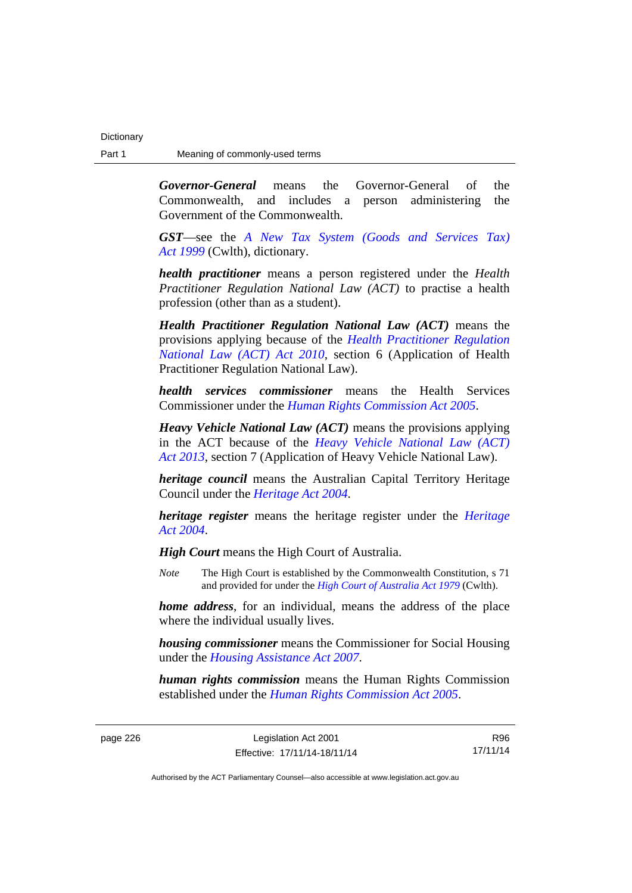*Governor-General* means the Governor-General of the Commonwealth, and includes a person administering the Government of the Commonwealth.

*GST*—see the *[A New Tax System \(Goods and Services Tax\)](http://www.comlaw.gov.au/Series/C2004A00446)  [Act 1999](http://www.comlaw.gov.au/Series/C2004A00446)* (Cwlth), dictionary.

*health practitioner* means a person registered under the *Health Practitioner Regulation National Law (ACT)* to practise a health profession (other than as a student).

*Health Practitioner Regulation National Law (ACT)* means the provisions applying because of the *[Health Practitioner Regulation](http://www.legislation.act.gov.au/a/2010-10)  [National Law \(ACT\) Act 2010](http://www.legislation.act.gov.au/a/2010-10)*, section 6 (Application of Health Practitioner Regulation National Law).

*health services commissioner* means the Health Services Commissioner under the *[Human Rights Commission Act 2005](http://www.legislation.act.gov.au/a/2005-40)*.

*Heavy Vehicle National Law (ACT)* means the provisions applying in the ACT because of the *[Heavy Vehicle National Law \(ACT\)](http://www.legislation.act.gov.au/a/2013-51/default.asp)  [Act 2013](http://www.legislation.act.gov.au/a/2013-51/default.asp)*, section 7 (Application of Heavy Vehicle National Law).

*heritage council* means the Australian Capital Territory Heritage Council under the *[Heritage Act 2004](http://www.legislation.act.gov.au/a/2004-57)*.

*heritage register* means the heritage register under the *[Heritage](http://www.legislation.act.gov.au/a/2004-57)  [Act 2004](http://www.legislation.act.gov.au/a/2004-57)*.

*High Court* means the High Court of Australia.

*Note* The High Court is established by the Commonwealth Constitution, s 71 and provided for under the *[High Court of Australia Act 1979](http://www.comlaw.gov.au/Series/C2004A02147)* (Cwlth).

*home address*, for an individual, means the address of the place where the individual usually lives.

*housing commissioner* means the Commissioner for Social Housing under the *[Housing Assistance Act 2007](http://www.legislation.act.gov.au/a/2007-8)*.

*human rights commission* means the Human Rights Commission established under the *[Human Rights Commission Act 2005](http://www.legislation.act.gov.au/a/2005-40)*.

R96 17/11/14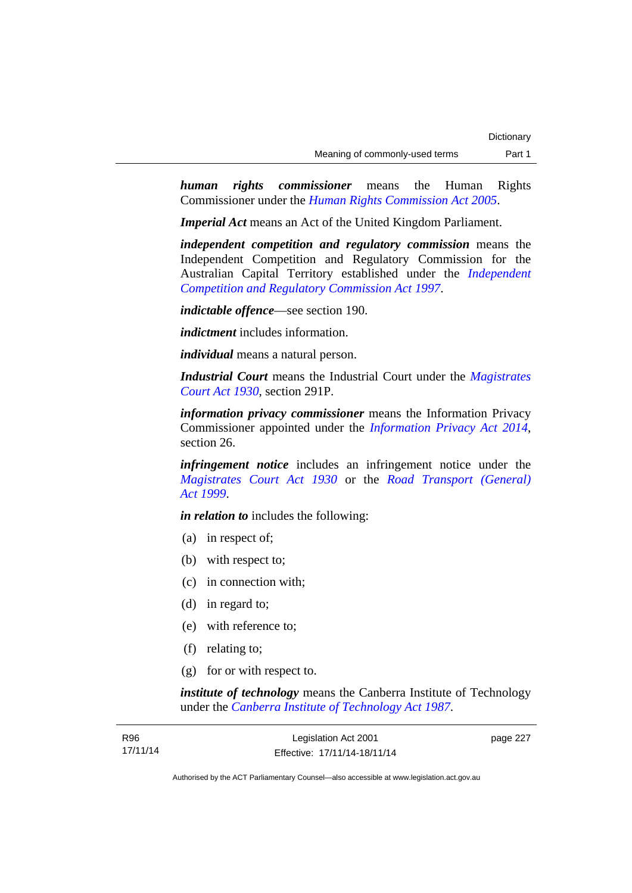*human rights commissioner* means the Human Rights Commissioner under the *[Human Rights Commission Act 2005](http://www.legislation.act.gov.au/a/2005-40)*.

*Imperial Act* means an Act of the United Kingdom Parliament.

*independent competition and regulatory commission* means the Independent Competition and Regulatory Commission for the Australian Capital Territory established under the *[Independent](http://www.legislation.act.gov.au/a/1997-77)  [Competition and Regulatory Commission Act 1997](http://www.legislation.act.gov.au/a/1997-77)*.

*indictable offence*—see section 190.

*indictment* includes information.

*individual* means a natural person.

*Industrial Court* means the Industrial Court under the *[Magistrates](http://www.legislation.act.gov.au/a/1930-21)  [Court Act 1930](http://www.legislation.act.gov.au/a/1930-21)*, section 291P.

*information privacy commissioner* means the Information Privacy Commissioner appointed under the *[Information Privacy Act 2014](http://www.legislation.act.gov.au/a/2014-24/default.asp)*, section 26.

*infringement notice* includes an infringement notice under the *[Magistrates Court Act 1930](http://www.legislation.act.gov.au/a/1930-21)* or the *[Road Transport \(General\)](http://www.legislation.act.gov.au/a/1999-77)  [Act 1999](http://www.legislation.act.gov.au/a/1999-77)*.

*in relation to* includes the following:

- (a) in respect of;
- (b) with respect to;
- (c) in connection with;
- (d) in regard to;
- (e) with reference to;
- (f) relating to;
- (g) for or with respect to.

*institute of technology* means the Canberra Institute of Technology under the *[Canberra Institute of Technology Act 1987](http://www.legislation.act.gov.au/a/1987-71)*.

| R96      | Legislation Act 2001         | page 227 |
|----------|------------------------------|----------|
| 17/11/14 | Effective: 17/11/14-18/11/14 |          |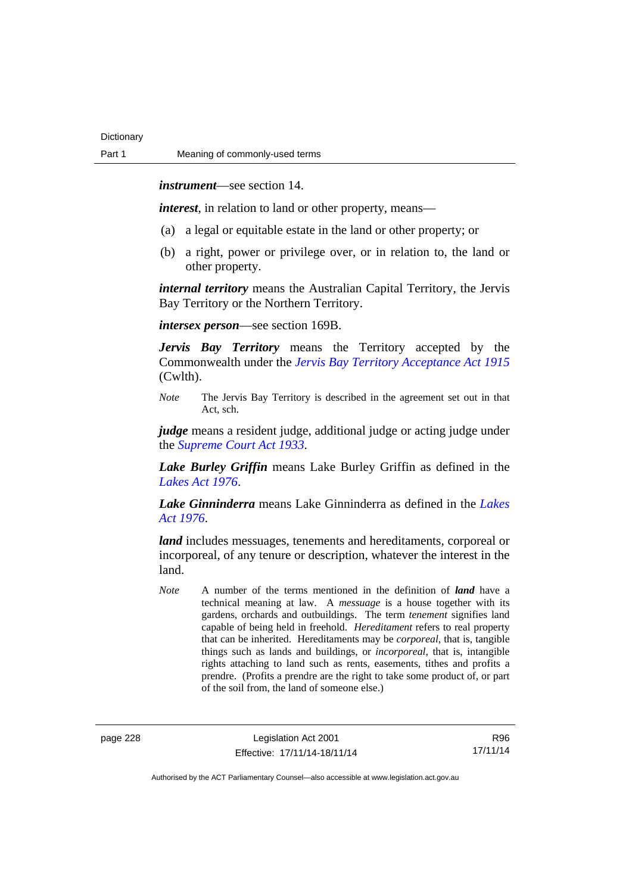*instrument*—see section 14.

*interest*, in relation to land or other property, means—

- (a) a legal or equitable estate in the land or other property; or
- (b) a right, power or privilege over, or in relation to, the land or other property.

*internal territory* means the Australian Capital Territory, the Jervis Bay Territory or the Northern Territory.

*intersex person*—see section 169B.

*Jervis Bay Territory* means the Territory accepted by the Commonwealth under the *[Jervis Bay Territory Acceptance Act 1915](http://www.comlaw.gov.au/Series/C2004A07489)* (Cwlth).

*Note* The Jervis Bay Territory is described in the agreement set out in that Act, sch.

*judge* means a resident judge, additional judge or acting judge under the *[Supreme Court Act 1933](http://www.legislation.act.gov.au/a/1933-34)*.

*Lake Burley Griffin* means Lake Burley Griffin as defined in the *[Lakes Act 1976](http://www.legislation.act.gov.au/a/1976-65)*.

*Lake Ginninderra* means Lake Ginninderra as defined in the *[Lakes](http://www.legislation.act.gov.au/a/1976-65)  [Act 1976](http://www.legislation.act.gov.au/a/1976-65)*.

*land* includes messuages, tenements and hereditaments, corporeal or incorporeal, of any tenure or description, whatever the interest in the land.

*Note* A number of the terms mentioned in the definition of *land* have a technical meaning at law. A *messuage* is a house together with its gardens, orchards and outbuildings. The term *tenement* signifies land capable of being held in freehold. *Hereditament* refers to real property that can be inherited. Hereditaments may be *corporeal*, that is, tangible things such as lands and buildings, or *incorporeal*, that is, intangible rights attaching to land such as rents, easements, tithes and profits a prendre. (Profits a prendre are the right to take some product of, or part of the soil from, the land of someone else.)

page 228 Legislation Act 2001 Effective: 17/11/14-18/11/14

R96 17/11/14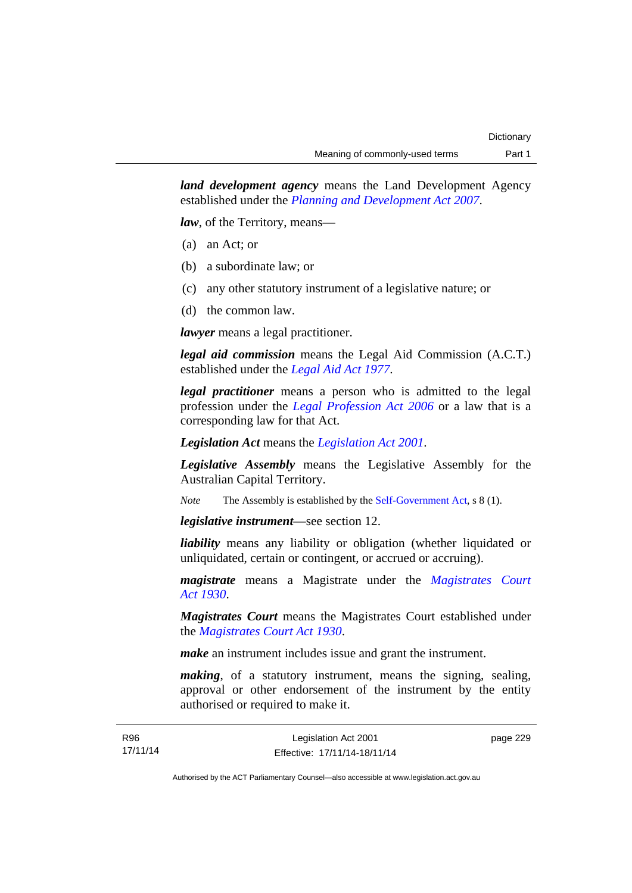*land development agency* means the Land Development Agency established under the *[Planning and Development Act 2007](http://www.legislation.act.gov.au/a/2007-24)*.

*law*, of the Territory, means—

- (a) an Act; or
- (b) a subordinate law; or
- (c) any other statutory instrument of a legislative nature; or
- (d) the common law.

*lawyer* means a legal practitioner.

*legal aid commission* means the Legal Aid Commission (A.C.T.) established under the *[Legal Aid Act 1977](http://www.legislation.act.gov.au/a/1977-31)*.

*legal practitioner* means a person who is admitted to the legal profession under the *[Legal Profession Act 2006](http://www.legislation.act.gov.au/a/2006-25)* or a law that is a corresponding law for that Act.

*Legislation Act* means the *[Legislation Act 2001](http://www.legislation.act.gov.au/a/2001-14)*.

*Legislative Assembly* means the Legislative Assembly for the Australian Capital Territory.

*Note* The Assembly is established by the [Self-Government Act](http://www.comlaw.gov.au/Series/C2004A03699), s 8 (1).

*legislative instrument*—see section 12.

*liability* means any liability or obligation (whether liquidated or unliquidated, certain or contingent, or accrued or accruing).

*magistrate* means a Magistrate under the *[Magistrates Court](http://www.legislation.act.gov.au/a/1930-21)  [Act 1930](http://www.legislation.act.gov.au/a/1930-21)*.

*Magistrates Court* means the Magistrates Court established under the *[Magistrates Court Act 1930](http://www.legislation.act.gov.au/a/1930-21)*.

*make* an instrument includes issue and grant the instrument.

*making*, of a statutory instrument, means the signing, sealing, approval or other endorsement of the instrument by the entity authorised or required to make it.

R96 17/11/14 page 229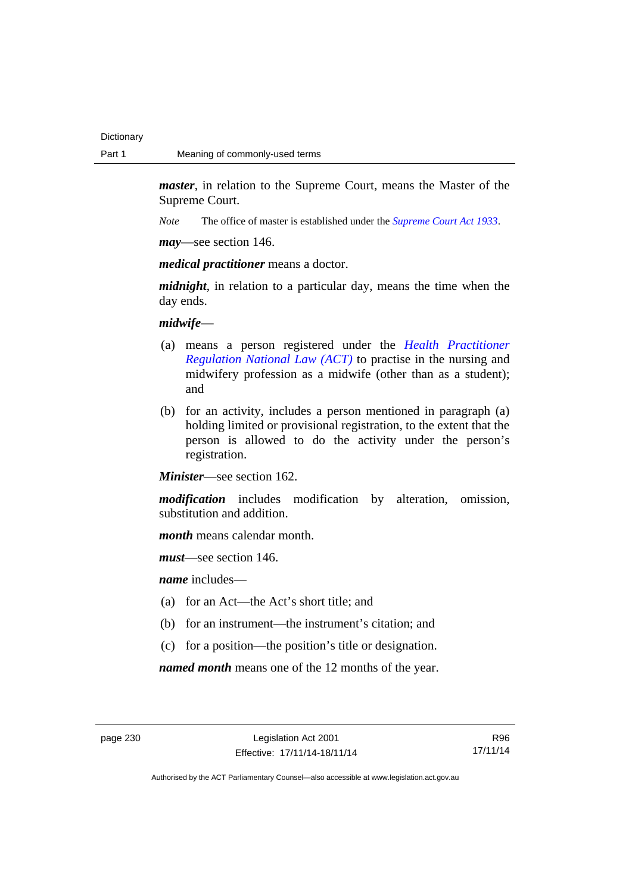*master*, in relation to the Supreme Court, means the Master of the Supreme Court.

*Note* The office of master is established under the *[Supreme Court Act 1933](http://www.legislation.act.gov.au/a/1933-34)*.

*may*—see section 146.

*medical practitioner* means a doctor.

*midnight*, in relation to a particular day, means the time when the day ends.

### *midwife*—

- (a) means a person registered under the *[Health Practitioner](http://www.legislation.act.gov.au/a/db_39269/default.asp)  [Regulation National Law \(ACT\)](http://www.legislation.act.gov.au/a/db_39269/default.asp)* to practise in the nursing and midwifery profession as a midwife (other than as a student); and
- (b) for an activity, includes a person mentioned in paragraph (a) holding limited or provisional registration, to the extent that the person is allowed to do the activity under the person's registration.

*Minister*—see section 162.

*modification* includes modification by alteration, omission, substitution and addition.

*month* means calendar month.

*must*—see section 146.

*name* includes—

- (a) for an Act—the Act's short title; and
- (b) for an instrument—the instrument's citation; and
- (c) for a position—the position's title or designation.

*named month* means one of the 12 months of the year.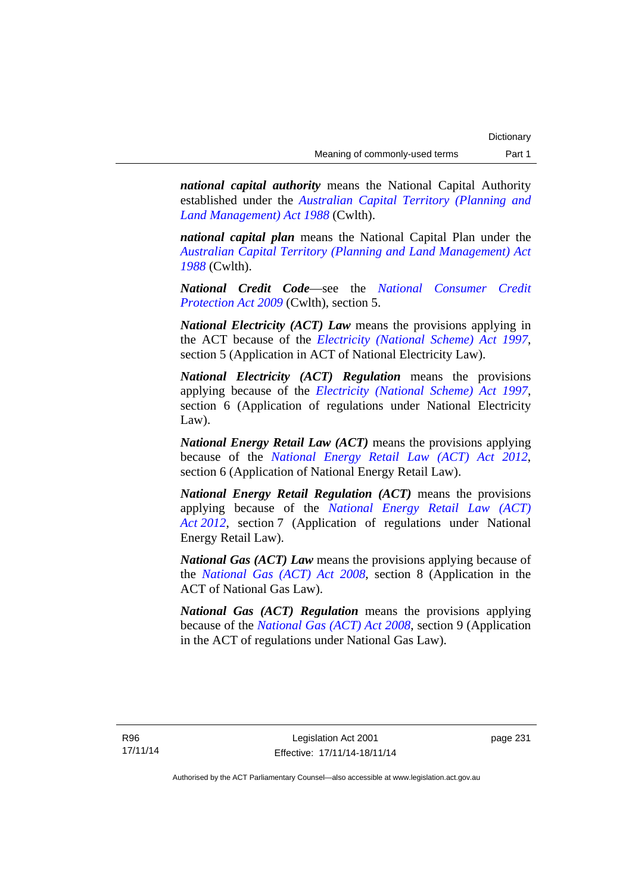*national capital authority* means the National Capital Authority established under the *[Australian Capital Territory \(Planning and](http://www.comlaw.gov.au/Series/C2004A03701)  [Land Management\) Act 1988](http://www.comlaw.gov.au/Series/C2004A03701)* (Cwlth).

*national capital plan* means the National Capital Plan under the *[Australian Capital Territory \(Planning and Land Management\) Act](http://www.comlaw.gov.au/Series/C2004A03701)  [1988](http://www.comlaw.gov.au/Series/C2004A03701)* (Cwlth).

*National Credit Code*—see the *[National Consumer Credit](http://www.comlaw.gov.au/Series/C2009A00134)  [Protection Act 2009](http://www.comlaw.gov.au/Series/C2009A00134)* (Cwlth), section 5.

*National Electricity (ACT) Law* means the provisions applying in the ACT because of the *[Electricity \(National Scheme\) Act 1997](http://www.legislation.act.gov.au/a/1997-79)*, section 5 (Application in ACT of National Electricity Law).

*National Electricity (ACT) Regulation* means the provisions applying because of the *[Electricity \(National Scheme\) Act 1997](http://www.legislation.act.gov.au/a/1997-79)*, section 6 (Application of regulations under National Electricity Law).

*National Energy Retail Law (ACT)* means the provisions applying because of the *[National Energy Retail Law \(ACT\) Act 2012](http://www.legislation.act.gov.au/a/2012-31)*, section 6 (Application of National Energy Retail Law).

*National Energy Retail Regulation (ACT)* means the provisions applying because of the *[National Energy Retail Law \(ACT\)](http://www.legislation.act.gov.au/a/2012-31)  [Act 2012](http://www.legislation.act.gov.au/a/2012-31)*, section 7 (Application of regulations under National Energy Retail Law).

*National Gas (ACT) Law* means the provisions applying because of the *[National Gas \(ACT\) Act 2008](http://www.legislation.act.gov.au/a/2008-15)*, section 8 (Application in the ACT of National Gas Law).

*National Gas (ACT) Regulation* means the provisions applying because of the *[National Gas \(ACT\) Act 2008](http://www.legislation.act.gov.au/a/2008-15)*, section 9 (Application in the ACT of regulations under National Gas Law).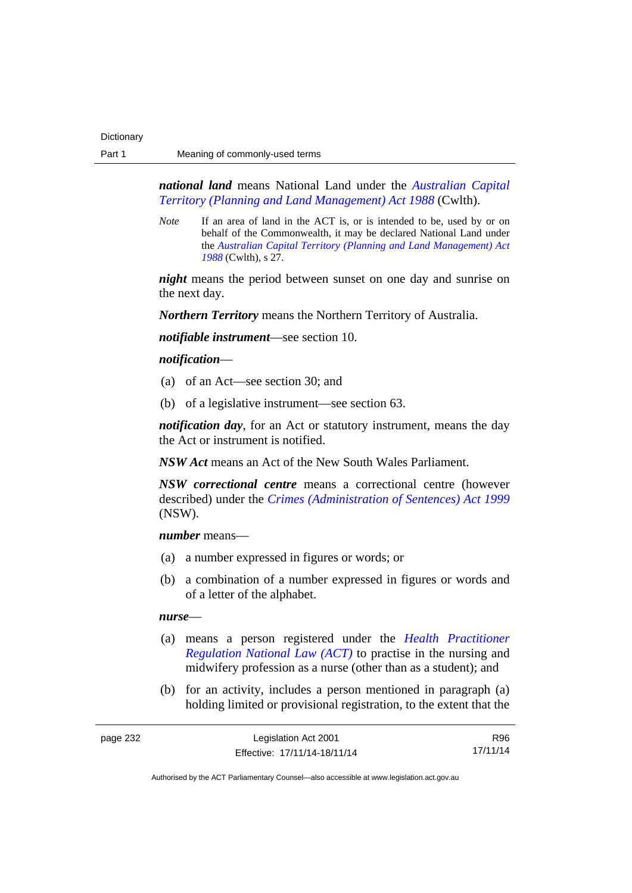*national land* means National Land under the *[Australian Capital](http://www.comlaw.gov.au/Series/C2004A03701)  [Territory \(Planning and Land Management\) Act 1988](http://www.comlaw.gov.au/Series/C2004A03701)* (Cwlth).

*Note* If an area of land in the ACT is, or is intended to be, used by or on behalf of the Commonwealth, it may be declared National Land under the *[Australian Capital Territory \(Planning and Land Management\) Act](http://www.comlaw.gov.au/Series/C2004A03701)  [1988](http://www.comlaw.gov.au/Series/C2004A03701)* (Cwlth), s 27.

*night* means the period between sunset on one day and sunrise on the next day.

*Northern Territory* means the Northern Territory of Australia.

*notifiable instrument*—see section 10.

### *notification*—

- (a) of an Act—see section 30; and
- (b) of a legislative instrument—see section 63.

*notification day*, for an Act or statutory instrument, means the day the Act or instrument is notified.

*NSW Act* means an Act of the New South Wales Parliament.

*NSW correctional centre* means a correctional centre (however described) under the *[Crimes \(Administration of Sentences\) Act 1999](http://www.legislation.nsw.gov.au/maintop/view/inforce/act+93+1999+cd+0+N)* (NSW).

*number* means—

- (a) a number expressed in figures or words; or
- (b) a combination of a number expressed in figures or words and of a letter of the alphabet.

### *nurse*—

- (a) means a person registered under the *[Health Practitioner](http://www.legislation.act.gov.au/a/db_39269/default.asp)  [Regulation National Law \(ACT\)](http://www.legislation.act.gov.au/a/db_39269/default.asp)* to practise in the nursing and midwifery profession as a nurse (other than as a student); and
- (b) for an activity, includes a person mentioned in paragraph (a) holding limited or provisional registration, to the extent that the

| page 232 | Legislation Act 2001         | R96      |
|----------|------------------------------|----------|
|          | Effective: 17/11/14-18/11/14 | 17/11/14 |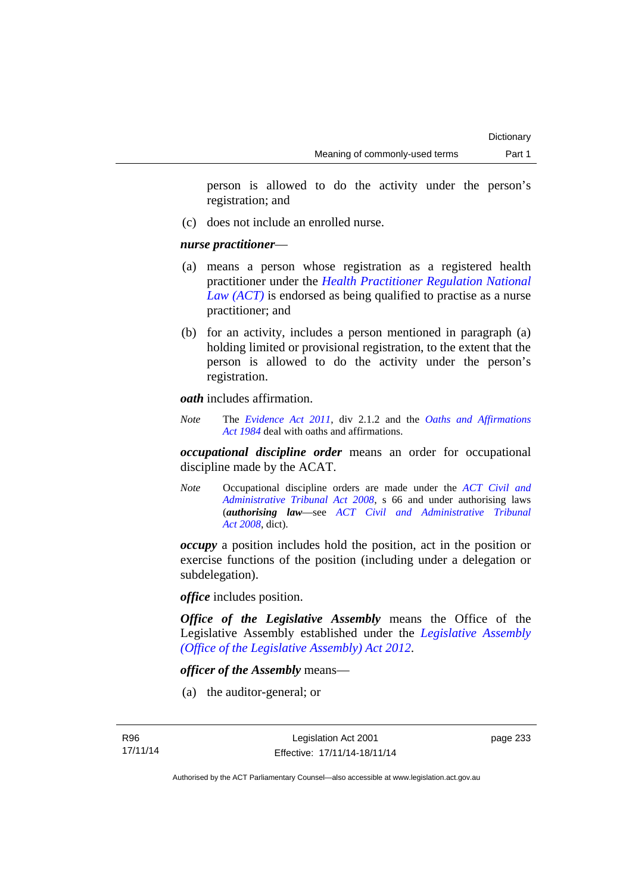person is allowed to do the activity under the person's registration; and

(c) does not include an enrolled nurse.

### *nurse practitioner*—

- (a) means a person whose registration as a registered health practitioner under the *[Health Practitioner Regulation National](http://www.legislation.act.gov.au/a/db_39269/default.asp)  [Law \(ACT\)](http://www.legislation.act.gov.au/a/db_39269/default.asp)* is endorsed as being qualified to practise as a nurse practitioner; and
- (b) for an activity, includes a person mentioned in paragraph (a) holding limited or provisional registration, to the extent that the person is allowed to do the activity under the person's registration.

*oath* includes affirmation.

*Note* The *[Evidence Act 2011](http://www.legislation.act.gov.au/a/2011-12)*, div 2.1.2 and the *[Oaths and Affirmations](http://www.legislation.act.gov.au/a/1984-79)  [Act 1984](http://www.legislation.act.gov.au/a/1984-79)* deal with oaths and affirmations.

*occupational discipline order* means an order for occupational discipline made by the ACAT.

*Note* Occupational discipline orders are made under the *[ACT Civil and](http://www.legislation.act.gov.au/a/2008-35)  [Administrative Tribunal Act 2008](http://www.legislation.act.gov.au/a/2008-35)*, s 66 and under authorising laws (*authorising law*—see *[ACT Civil and Administrative Tribunal](http://www.legislation.act.gov.au/a/2008-35)  [Act 2008](http://www.legislation.act.gov.au/a/2008-35)*, dict).

*occupy* a position includes hold the position, act in the position or exercise functions of the position (including under a delegation or subdelegation).

*office* includes position.

*Office of the Legislative Assembly* means the Office of the Legislative Assembly established under the *[Legislative Assembly](http://www.legislation.act.gov.au/a/2012-26)  [\(Office of the Legislative Assembly\) Act 2012](http://www.legislation.act.gov.au/a/2012-26)*.

### *officer of the Assembly* means—

(a) the auditor-general; or

page 233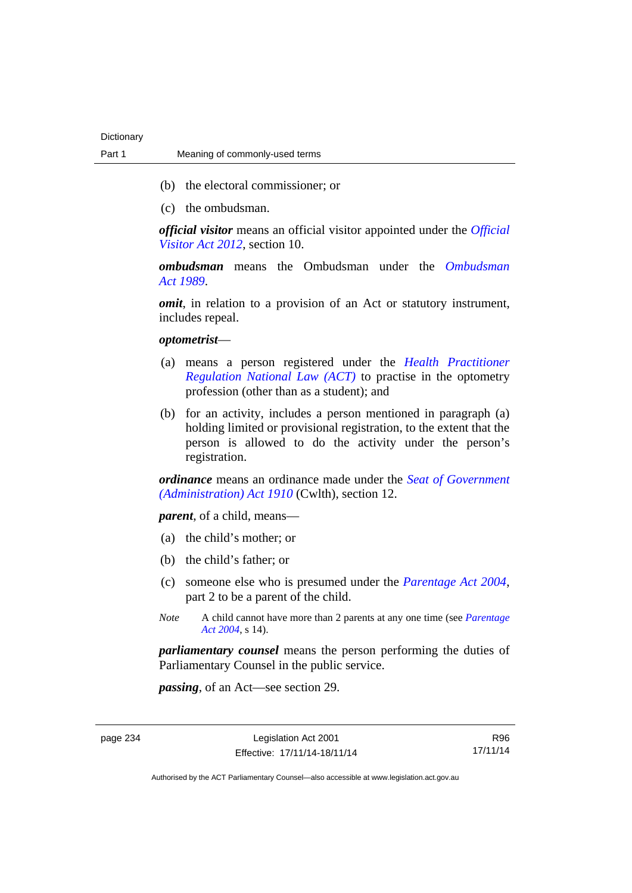- (b) the electoral commissioner; or
- (c) the ombudsman.

*official visitor* means an official visitor appointed under the *[Official](http://www.legislation.act.gov.au/a/2012-33)  [Visitor Act 2012](http://www.legislation.act.gov.au/a/2012-33)*, section 10.

*ombudsman* means the Ombudsman under the *[Ombudsman](http://www.legislation.act.gov.au/a/alt_a1989-45co)  [Act 1989](http://www.legislation.act.gov.au/a/alt_a1989-45co)*.

*omit*, in relation to a provision of an Act or statutory instrument, includes repeal.

#### *optometrist*—

- (a) means a person registered under the *[Health Practitioner](http://www.legislation.act.gov.au/a/db_39269/default.asp)  [Regulation National Law \(ACT\)](http://www.legislation.act.gov.au/a/db_39269/default.asp)* to practise in the optometry profession (other than as a student); and
- (b) for an activity, includes a person mentioned in paragraph (a) holding limited or provisional registration, to the extent that the person is allowed to do the activity under the person's registration.

*ordinance* means an ordinance made under the *[Seat of Government](http://www.comlaw.gov.au/Series/C2004A07446)  [\(Administration\) Act 1910](http://www.comlaw.gov.au/Series/C2004A07446)* (Cwlth), section 12.

*parent*, of a child, means—

- (a) the child's mother; or
- (b) the child's father; or
- (c) someone else who is presumed under the *[Parentage Act 2004](http://www.legislation.act.gov.au/a/2004-1)*, part 2 to be a parent of the child.
- *Note* A child cannot have more than 2 parents at any one time (see *[Parentage](http://www.legislation.act.gov.au/a/2004-1)  [Act 2004](http://www.legislation.act.gov.au/a/2004-1)*, s 14).

*parliamentary counsel* means the person performing the duties of Parliamentary Counsel in the public service.

*passing*, of an Act—see section 29.

R96 17/11/14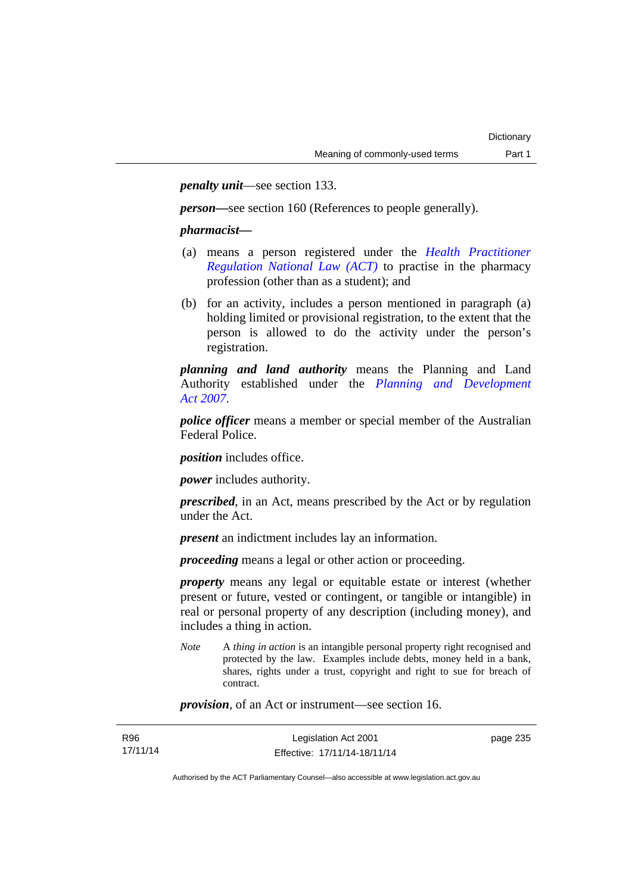*penalty unit*—see section 133.

*person—*see section 160 (References to people generally).

### *pharmacist***—**

- (a) means a person registered under the *[Health Practitioner](http://www.legislation.act.gov.au/a/db_39269/default.asp)  [Regulation National Law \(ACT\)](http://www.legislation.act.gov.au/a/db_39269/default.asp)* to practise in the pharmacy profession (other than as a student); and
- (b) for an activity, includes a person mentioned in paragraph (a) holding limited or provisional registration, to the extent that the person is allowed to do the activity under the person's registration.

*planning and land authority* means the Planning and Land Authority established under the *[Planning and Development](http://www.legislation.act.gov.au/a/2007-24)  [Act 2007](http://www.legislation.act.gov.au/a/2007-24)*.

*police officer* means a member or special member of the Australian Federal Police.

*position* includes office.

*power* includes authority.

*prescribed*, in an Act, means prescribed by the Act or by regulation under the Act.

*present* an indictment includes lay an information.

*proceeding* means a legal or other action or proceeding.

*property* means any legal or equitable estate or interest (whether present or future, vested or contingent, or tangible or intangible) in real or personal property of any description (including money), and includes a thing in action.

*Note* A *thing in action* is an intangible personal property right recognised and protected by the law. Examples include debts, money held in a bank, shares, rights under a trust, copyright and right to sue for breach of contract.

*provision*, of an Act or instrument—see section 16.

| R96      | Legislation Act 2001         | page 235 |
|----------|------------------------------|----------|
| 17/11/14 | Effective: 17/11/14-18/11/14 |          |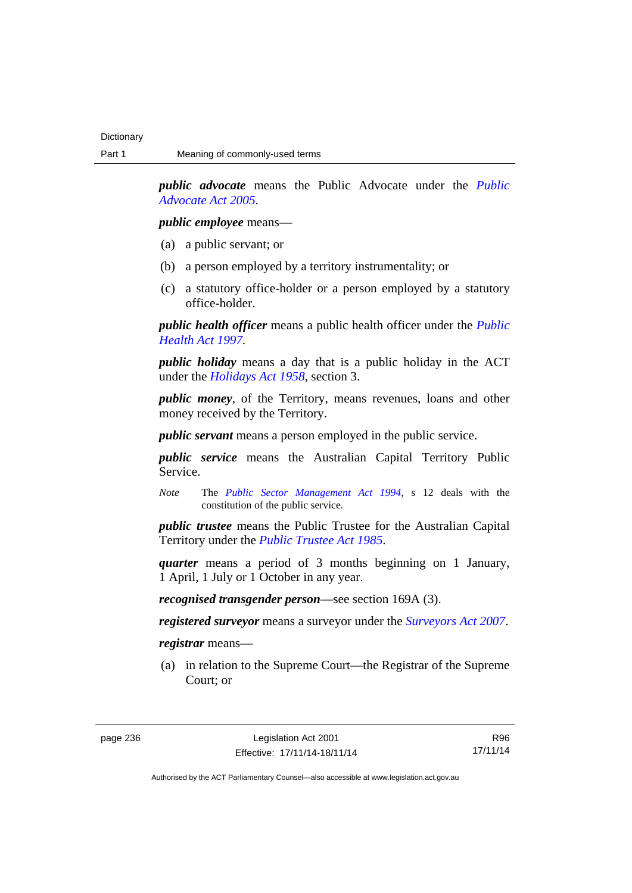*public advocate* means the Public Advocate under the *[Public](http://www.legislation.act.gov.au/a/2005-47)  [Advocate Act 2005](http://www.legislation.act.gov.au/a/2005-47)*.

### *public employee* means—

- (a) a public servant; or
- (b) a person employed by a territory instrumentality; or
- (c) a statutory office-holder or a person employed by a statutory office-holder.

*public health officer* means a public health officer under the *[Public](http://www.legislation.act.gov.au/a/1997-69)  [Health Act 1997.](http://www.legislation.act.gov.au/a/1997-69)*

*public holiday* means a day that is a public holiday in the ACT under the *[Holidays Act 1958](http://www.legislation.act.gov.au/a/1958-19)*, section 3.

*public money*, of the Territory, means revenues, loans and other money received by the Territory.

*public servant* means a person employed in the public service.

*public service* means the Australian Capital Territory Public Service.

*Note* The *[Public Sector Management Act 1994](http://www.legislation.act.gov.au/a/1994-37)*, s 12 deals with the constitution of the public service.

*public trustee* means the Public Trustee for the Australian Capital Territory under the *[Public Trustee Act 1985](http://www.legislation.act.gov.au/a/1985-8)*.

*quarter* means a period of 3 months beginning on 1 January, 1 April, 1 July or 1 October in any year.

*recognised transgender person*—see section 169A (3).

*registered surveyor* means a surveyor under the *[Surveyors Act 2007](http://www.legislation.act.gov.au/a/2007-33)*.

*registrar* means—

 (a) in relation to the Supreme Court—the Registrar of the Supreme Court; or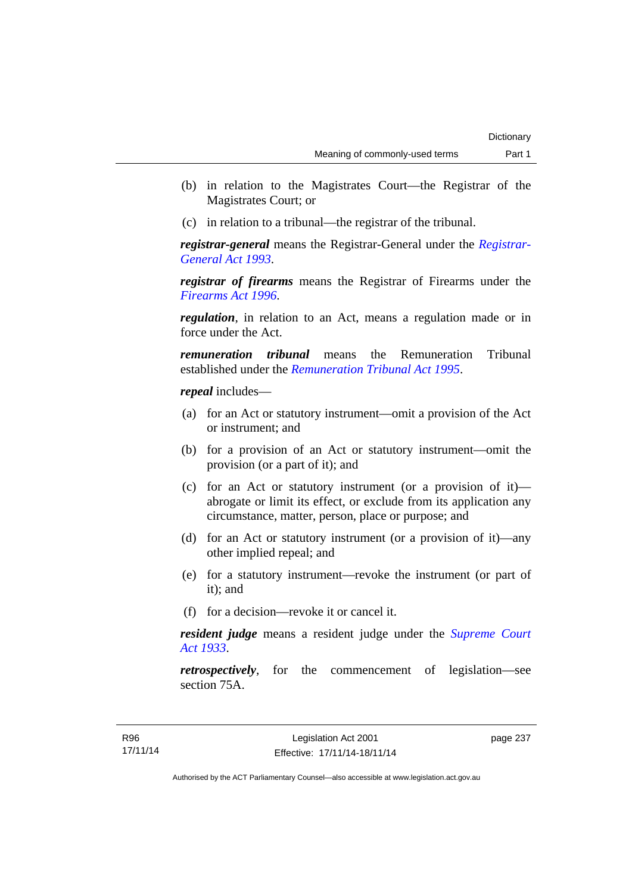- (b) in relation to the Magistrates Court—the Registrar of the Magistrates Court; or
- (c) in relation to a tribunal—the registrar of the tribunal.

*registrar-general* means the Registrar-General under the *[Registrar-](http://www.legislation.act.gov.au/a/1993-63)[General Act 1993](http://www.legislation.act.gov.au/a/1993-63)*.

*registrar of firearms* means the Registrar of Firearms under the *[Firearms Act 1996](http://www.legislation.act.gov.au/a/1996-74)*.

*regulation*, in relation to an Act, means a regulation made or in force under the Act.

*remuneration tribunal* means the Remuneration Tribunal established under the *[Remuneration Tribunal Act 1995](http://www.legislation.act.gov.au/a/1995-55)*.

*repeal* includes—

- (a) for an Act or statutory instrument—omit a provision of the Act or instrument; and
- (b) for a provision of an Act or statutory instrument—omit the provision (or a part of it); and
- (c) for an Act or statutory instrument (or a provision of it) abrogate or limit its effect, or exclude from its application any circumstance, matter, person, place or purpose; and
- (d) for an Act or statutory instrument (or a provision of it)—any other implied repeal; and
- (e) for a statutory instrument—revoke the instrument (or part of it); and
- (f) for a decision—revoke it or cancel it.

*resident judge* means a resident judge under the *[Supreme Court](http://www.legislation.act.gov.au/a/1933-34)  [Act 1933](http://www.legislation.act.gov.au/a/1933-34)*.

*retrospectively*, for the commencement of legislation—see section 75A.

page 237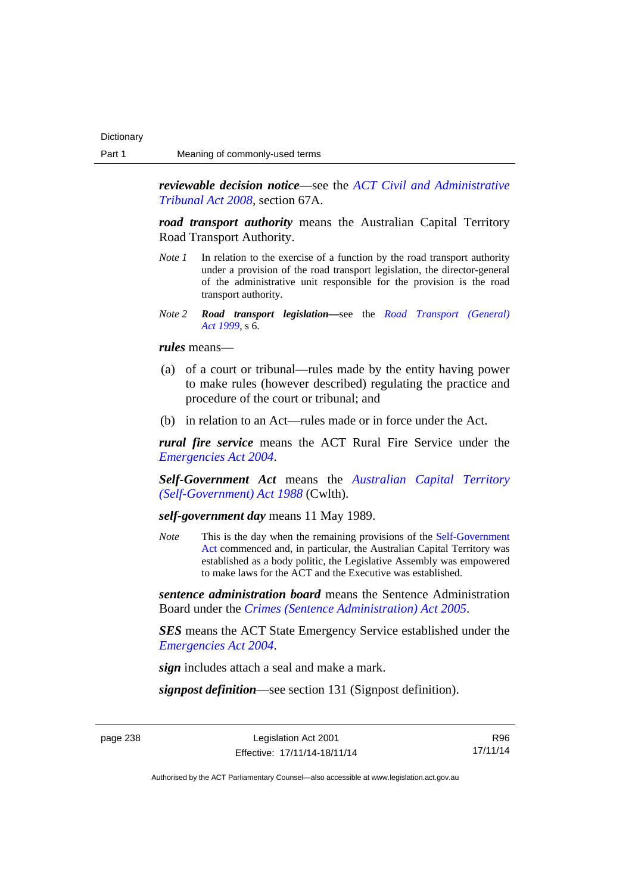*reviewable decision notice*—see the *[ACT Civil and Administrative](http://www.legislation.act.gov.au/a/2008-35)  [Tribunal Act 2008](http://www.legislation.act.gov.au/a/2008-35)*, section 67A.

*road transport authority* means the Australian Capital Territory Road Transport Authority.

- *Note 1* In relation to the exercise of a function by the road transport authority under a provision of the road transport legislation, the director-general of the administrative unit responsible for the provision is the road transport authority.
- *Note 2 Road transport legislation––*see the *[Road Transport \(General\)](http://www.legislation.act.gov.au/a/1999-77)  [Act 1999](http://www.legislation.act.gov.au/a/1999-77)*, s 6.

*rules* means—

- (a) of a court or tribunal—rules made by the entity having power to make rules (however described) regulating the practice and procedure of the court or tribunal; and
- (b) in relation to an Act—rules made or in force under the Act.

*rural fire service* means the ACT Rural Fire Service under the *[Emergencies Act 2004](http://www.legislation.act.gov.au/a/2004-28)*.

*Self-Government Act* means the *[Australian Capital Territory](http://www.comlaw.gov.au/Series/C2004A03699)  [\(Self-Government\) Act 1988](http://www.comlaw.gov.au/Series/C2004A03699)* (Cwlth).

*self-government day* means 11 May 1989.

*Note* This is the day when the remaining provisions of the Self-Government [Act](http://www.comlaw.gov.au/Series/C2004A03699) commenced and, in particular, the Australian Capital Territory was established as a body politic, the Legislative Assembly was empowered to make laws for the ACT and the Executive was established.

*sentence administration board* means the Sentence Administration Board under the *[Crimes \(Sentence Administration\) Act 2005](http://www.legislation.act.gov.au/a/2005-59)*.

*SES* means the ACT State Emergency Service established under the *[Emergencies Act 2004](http://www.legislation.act.gov.au/a/2004-28)*.

*sign* includes attach a seal and make a mark.

*signpost definition*—see section 131 (Signpost definition).

page 238 Legislation Act 2001 Effective: 17/11/14-18/11/14

R96 17/11/14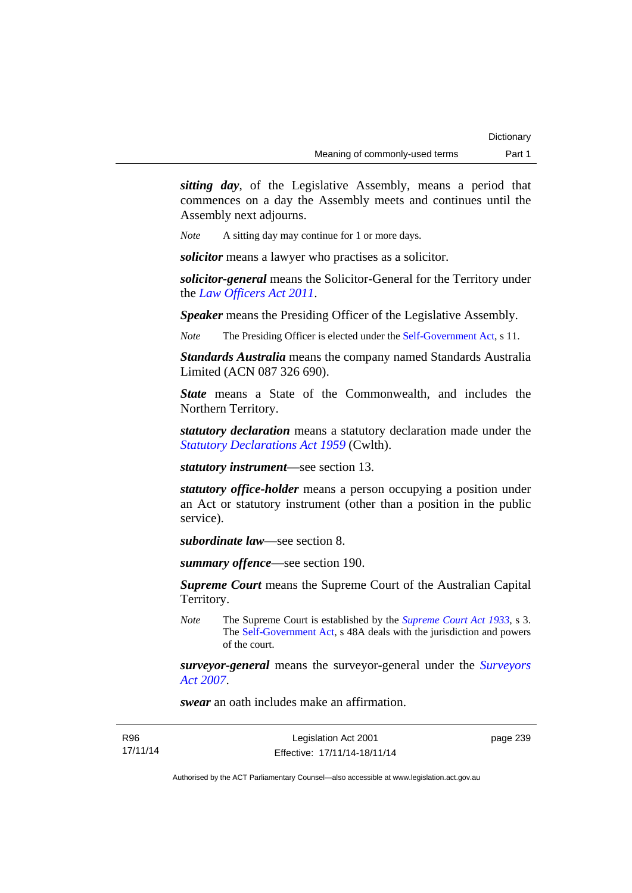*sitting day*, of the Legislative Assembly, means a period that commences on a day the Assembly meets and continues until the Assembly next adjourns.

*Note* A sitting day may continue for 1 or more days.

*solicitor* means a lawyer who practises as a solicitor.

*solicitor-general* means the Solicitor-General for the Territory under the *[Law Officers Act 2011](http://www.legislation.act.gov.au/a/2011-30)*.

*Speaker* means the Presiding Officer of the Legislative Assembly.

*Note* The Presiding Officer is elected under the [Self-Government Act](http://www.comlaw.gov.au/Series/C2004A03699), s 11.

*Standards Australia* means the company named Standards Australia Limited (ACN 087 326 690).

*State* means a State of the Commonwealth, and includes the Northern Territory.

*statutory declaration* means a statutory declaration made under the *[Statutory Declarations Act 1959](http://www.comlaw.gov.au/Series/C2004A07365)* (Cwlth).

*statutory instrument*—see section 13.

*statutory office-holder* means a person occupying a position under an Act or statutory instrument (other than a position in the public service).

*subordinate law*—see section 8.

*summary offence*—see section 190.

*Supreme Court* means the Supreme Court of the Australian Capital Territory.

*Note* The Supreme Court is established by the *[Supreme Court Act 1933](http://www.legislation.act.gov.au/a/1933-34)*, s 3. The [Self-Government Act](http://www.comlaw.gov.au/Series/C2004A03699), s 48A deals with the jurisdiction and powers of the court.

*surveyor-general* means the surveyor-general under the *[Surveyors](http://www.legislation.act.gov.au/a/2007-33)  [Act 2007](http://www.legislation.act.gov.au/a/2007-33)*.

*swear* an oath includes make an affirmation.

R96 17/11/14 page 239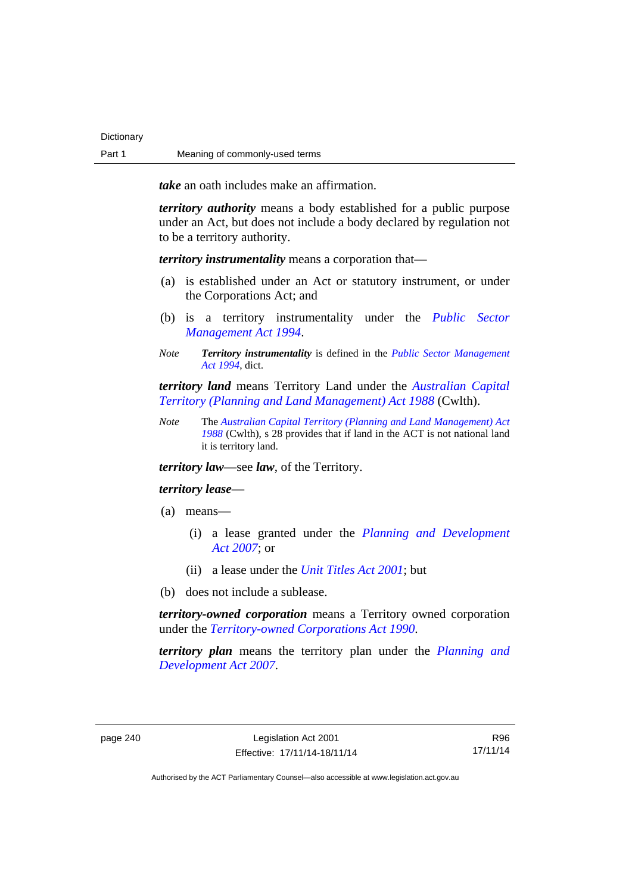**Dictionary** 

*take* an oath includes make an affirmation.

*territory authority* means a body established for a public purpose under an Act, but does not include a body declared by regulation not to be a territory authority.

*territory instrumentality* means a corporation that—

- (a) is established under an Act or statutory instrument, or under the Corporations Act; and
- (b) is a territory instrumentality under the *[Public Sector](http://www.legislation.act.gov.au/a/1994-37)  [Management Act 1994](http://www.legislation.act.gov.au/a/1994-37)*.
- *Note Territory instrumentality* is defined in the *[Public Sector Management](http://www.legislation.act.gov.au/a/1994-37)  [Act 1994](http://www.legislation.act.gov.au/a/1994-37)*, dict.

*territory land* means Territory Land under the *[Australian Capital](http://www.comlaw.gov.au/Series/C2004A03701)  [Territory \(Planning and Land Management\) Act 1988](http://www.comlaw.gov.au/Series/C2004A03701)* (Cwlth).

*Note* The *[Australian Capital Territory \(Planning and Land Management\) Act](http://www.comlaw.gov.au/Series/C2004A03701)  [1988](http://www.comlaw.gov.au/Series/C2004A03701)* (Cwlth), s 28 provides that if land in the ACT is not national land it is territory land.

*territory law*—see *law*, of the Territory.

#### *territory lease*—

- (a) means—
	- (i) a lease granted under the *[Planning and Development](http://www.legislation.act.gov.au/a/2007-24)  [Act 2007](http://www.legislation.act.gov.au/a/2007-24)*; or
	- (ii) a lease under the *[Unit Titles Act 2001](http://www.legislation.act.gov.au/a/2001-16)*; but
- (b) does not include a sublease.

*territory-owned corporation* means a Territory owned corporation under the *[Territory-owned Corporations Act 1990](http://www.legislation.act.gov.au/a/1990-53)*.

*territory plan* means the territory plan under the *[Planning and](http://www.legislation.act.gov.au/a/2007-24)  [Development Act 2007](http://www.legislation.act.gov.au/a/2007-24)*.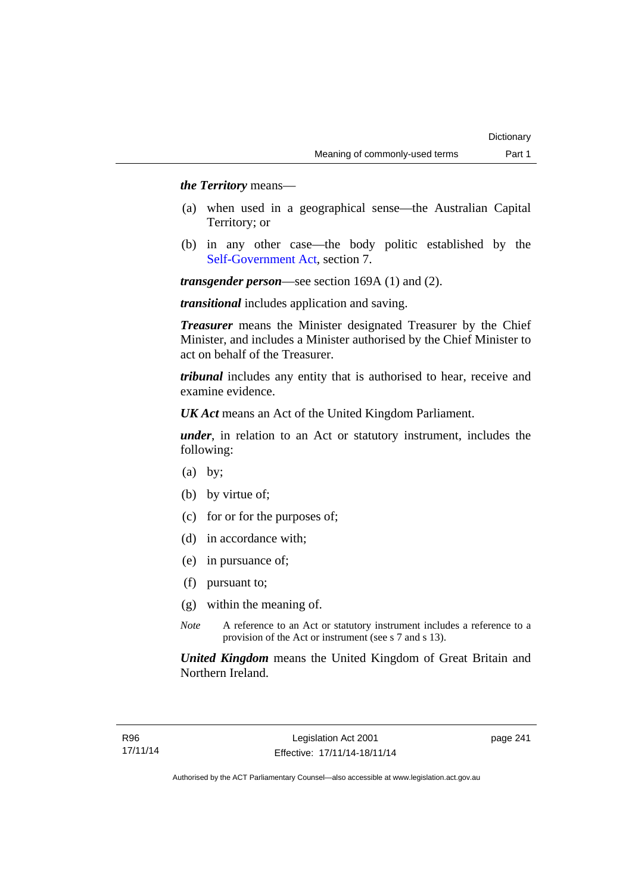## *the Territory* means—

- (a) when used in a geographical sense—the Australian Capital Territory; or
- (b) in any other case—the body politic established by the [Self-Government Act,](http://www.comlaw.gov.au/Series/C2004A03699) section 7.

*transgender person*—see section 169A (1) and (2).

*transitional* includes application and saving.

*Treasurer* means the Minister designated Treasurer by the Chief Minister, and includes a Minister authorised by the Chief Minister to act on behalf of the Treasurer.

*tribunal* includes any entity that is authorised to hear, receive and examine evidence.

*UK Act* means an Act of the United Kingdom Parliament.

*under*, in relation to an Act or statutory instrument, includes the following:

- (a) by;
- (b) by virtue of;
- (c) for or for the purposes of;
- (d) in accordance with;
- (e) in pursuance of;
- (f) pursuant to;
- (g) within the meaning of.
- *Note* A reference to an Act or statutory instrument includes a reference to a provision of the Act or instrument (see s 7 and s 13).

*United Kingdom* means the United Kingdom of Great Britain and Northern Ireland.

page 241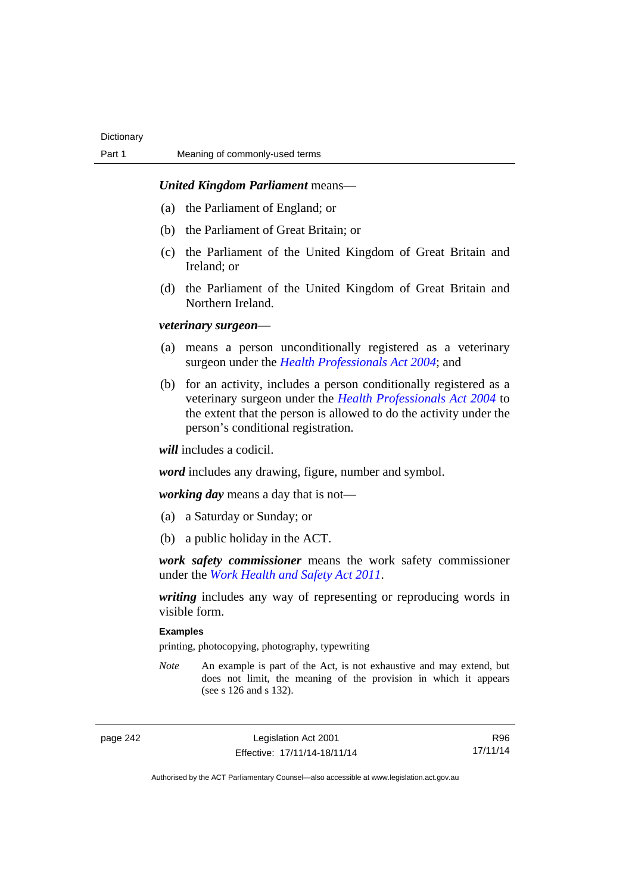## *United Kingdom Parliament* means—

- (a) the Parliament of England; or
- (b) the Parliament of Great Britain; or
- (c) the Parliament of the United Kingdom of Great Britain and Ireland; or
- (d) the Parliament of the United Kingdom of Great Britain and Northern Ireland.

#### *veterinary surgeon*—

- (a) means a person unconditionally registered as a veterinary surgeon under the *[Health Professionals Act 2004](http://www.legislation.act.gov.au/a/2004-38)*; and
- (b) for an activity, includes a person conditionally registered as a veterinary surgeon under the *[Health Professionals Act 2004](http://www.legislation.act.gov.au/a/2004-38)* to the extent that the person is allowed to do the activity under the person's conditional registration.

*will* includes a codicil.

*word* includes any drawing, figure, number and symbol.

*working day* means a day that is not—

- (a) a Saturday or Sunday; or
- (b) a public holiday in the ACT.

*work safety commissioner* means the work safety commissioner under the *[Work Health and Safety Act 2011](http://www.legislation.act.gov.au/a/2011-35)*.

*writing* includes any way of representing or reproducing words in visible form.

## **Examples**

printing, photocopying, photography, typewriting

*Note* An example is part of the Act, is not exhaustive and may extend, but does not limit, the meaning of the provision in which it appears (see s 126 and s 132).

page 242 Legislation Act 2001 Effective: 17/11/14-18/11/14

R96 17/11/14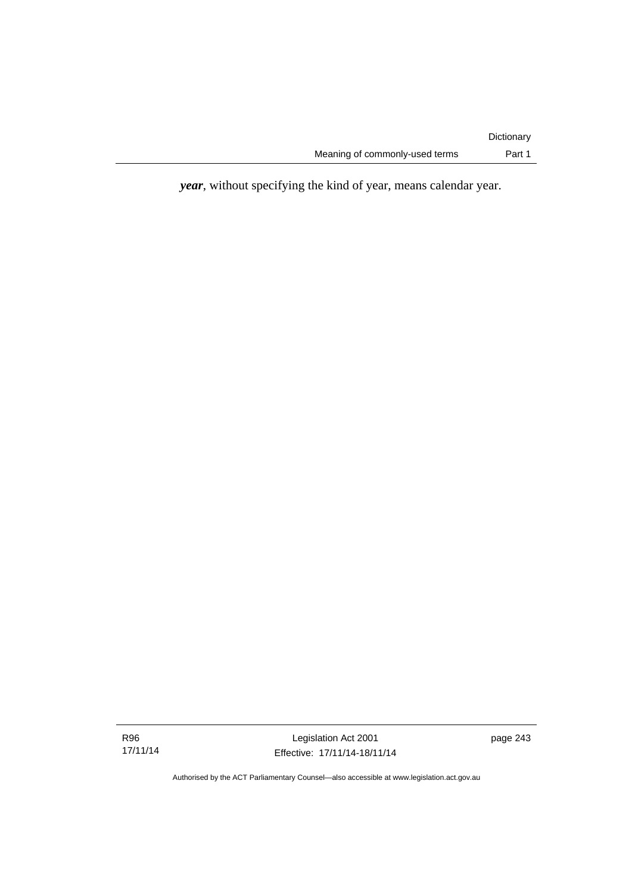*year*, without specifying the kind of year, means calendar year.

Legislation Act 2001 Effective: 17/11/14-18/11/14 page 243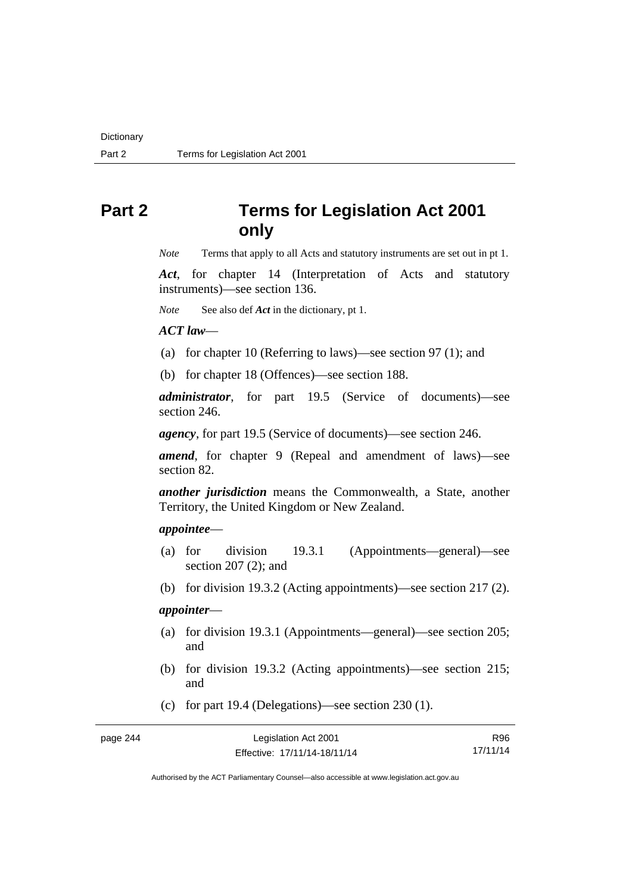# **Part 2 Terms for Legislation Act 2001 only**

*Note* Terms that apply to all Acts and statutory instruments are set out in pt 1.

*Act*, for chapter 14 (Interpretation of Acts and statutory instruments)—see section 136.

*Note* See also def *Act* in the dictionary, pt 1.

*ACT law*—

(a) for chapter 10 (Referring to laws)—see section 97 (1); and

(b) for chapter 18 (Offences)—see section 188.

*administrator*, for part 19.5 (Service of documents)—see section 246.

*agency*, for part 19.5 (Service of documents)—see section 246.

*amend*, for chapter 9 (Repeal and amendment of laws)—see section 82.

*another jurisdiction* means the Commonwealth, a State, another Territory, the United Kingdom or New Zealand.

## *appointee*—

- (a) for division 19.3.1 (Appointments—general)—see section 207 (2); and
- (b) for division 19.3.2 (Acting appointments)—see section 217 (2).

## *appointer*—

- (a) for division 19.3.1 (Appointments—general)—see section 205; and
- (b) for division 19.3.2 (Acting appointments)—see section 215; and
- (c) for part 19.4 (Delegations)—see section 230 (1).

page 244

| Legislation Act 2001         | R96      |
|------------------------------|----------|
| Effective: 17/11/14-18/11/14 | 17/11/14 |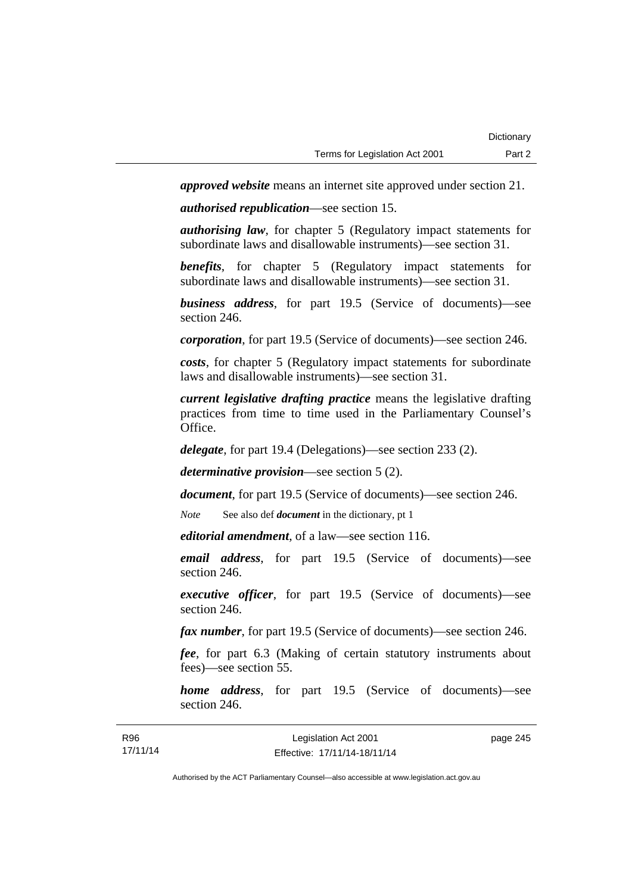*approved website* means an internet site approved under section 21.

*authorised republication*—see section 15.

*authorising law*, for chapter 5 (Regulatory impact statements for subordinate laws and disallowable instruments)—see section 31.

*benefits*, for chapter 5 (Regulatory impact statements for subordinate laws and disallowable instruments)—see section 31.

*business address*, for part 19.5 (Service of documents)—see section 246.

*corporation*, for part 19.5 (Service of documents)—see section 246.

*costs*, for chapter 5 (Regulatory impact statements for subordinate laws and disallowable instruments)—see section 31.

*current legislative drafting practice* means the legislative drafting practices from time to time used in the Parliamentary Counsel's Office.

*delegate*, for part 19.4 (Delegations)—see section 233 (2).

*determinative provision*—see section 5 (2).

*document*, for part 19.5 (Service of documents)—see section 246.

*Note* See also def *document* in the dictionary, pt 1

*editorial amendment*, of a law—see section 116.

*email address*, for part 19.5 (Service of documents)—see section 246.

*executive officer*, for part 19.5 (Service of documents)—see section 246.

*fax number*, for part 19.5 (Service of documents)—see section 246.

*fee*, for part 6.3 (Making of certain statutory instruments about fees)—see section 55.

*home address*, for part 19.5 (Service of documents)—see section 246.

page 245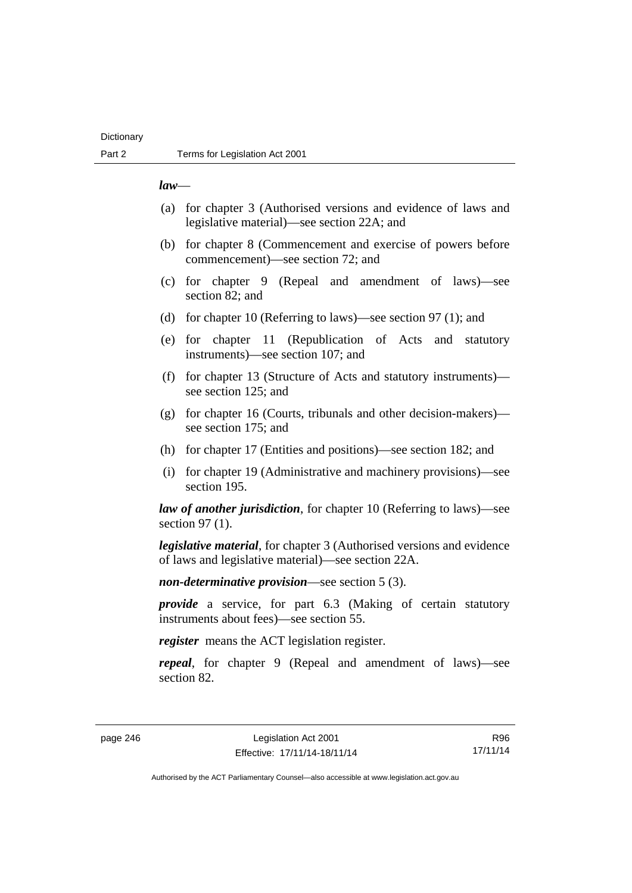## **Dictionary**

#### *law*—

- (a) for chapter 3 (Authorised versions and evidence of laws and legislative material)—see section 22A; and
- (b) for chapter 8 (Commencement and exercise of powers before commencement)—see section 72; and
- (c) for chapter 9 (Repeal and amendment of laws)—see section 82; and
- (d) for chapter 10 (Referring to laws)—see section 97 (1); and
- (e) for chapter 11 (Republication of Acts and statutory instruments)—see section 107; and
- (f) for chapter 13 (Structure of Acts and statutory instruments) see section 125; and
- (g) for chapter 16 (Courts, tribunals and other decision-makers) see section 175; and
- (h) for chapter 17 (Entities and positions)—see section 182; and
- (i) for chapter 19 (Administrative and machinery provisions)—see section 195.

*law of another jurisdiction*, for chapter 10 (Referring to laws)—see section 97 (1).

*legislative material*, for chapter 3 (Authorised versions and evidence of laws and legislative material)—see section 22A.

*non-determinative provision*—see section 5 (3).

*provide* a service, for part 6.3 (Making of certain statutory instruments about fees)—see section 55.

*register* means the ACT legislation register.

*repeal*, for chapter 9 (Repeal and amendment of laws)—see section 82.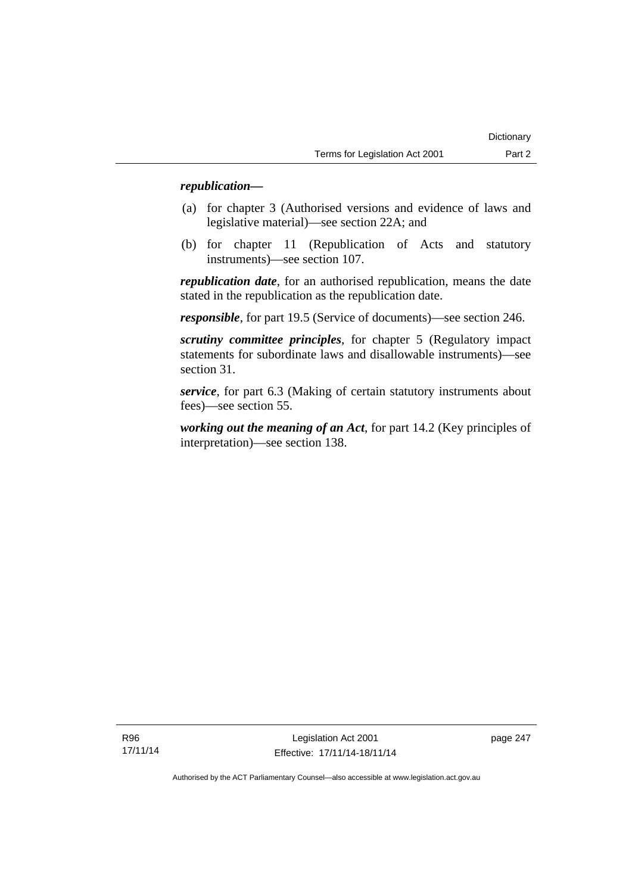## *republication—*

- (a) for chapter 3 (Authorised versions and evidence of laws and legislative material)—see section 22A; and
- (b) for chapter 11 (Republication of Acts and statutory instruments)—see section 107.

*republication date*, for an authorised republication, means the date stated in the republication as the republication date.

*responsible*, for part 19.5 (Service of documents)—see section 246.

*scrutiny committee principles*, for chapter 5 (Regulatory impact statements for subordinate laws and disallowable instruments)—see section 31.

*service*, for part 6.3 (Making of certain statutory instruments about fees)—see section 55.

*working out the meaning of an Act*, for part 14.2 (Key principles of interpretation)—see section 138.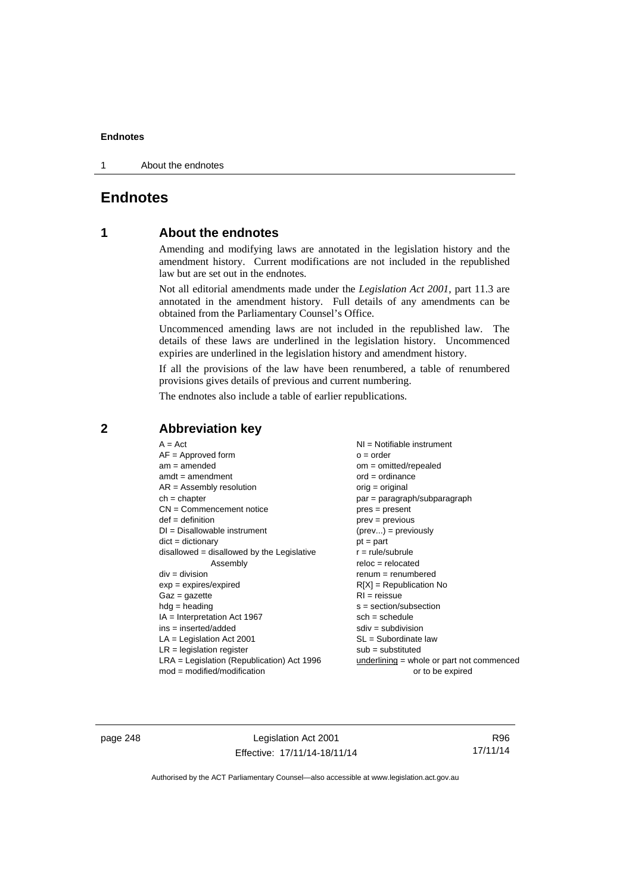1 About the endnotes

## **Endnotes**

## **1 About the endnotes**

Amending and modifying laws are annotated in the legislation history and the amendment history. Current modifications are not included in the republished law but are set out in the endnotes.

Not all editorial amendments made under the *Legislation Act 2001*, part 11.3 are annotated in the amendment history. Full details of any amendments can be obtained from the Parliamentary Counsel's Office.

Uncommenced amending laws are not included in the republished law. The details of these laws are underlined in the legislation history. Uncommenced expiries are underlined in the legislation history and amendment history.

If all the provisions of the law have been renumbered, a table of renumbered provisions gives details of previous and current numbering.

The endnotes also include a table of earlier republications.

| $A = Act$<br>$AF =$ Approved form<br>$am = amended$<br>$amdt = amendment$<br>$AR = Assembly resolution$<br>$ch = chapter$<br>$CN =$ Commencement notice<br>$def = definition$<br>$DI = Disallowable instrument$<br>$dict = dictionary$<br>$disallowed = disallowed by the Legislative$<br>Assembly<br>$div = division$<br>$exp = expires/expired$<br>$Gaz = gazette$<br>$hdg =$ heading<br>$IA = Interpretation Act 1967$<br>$ins = inserted/added$ | $NI = Notifiable$ instrument<br>$o = order$<br>$om = omitted/repealed$<br>$ord = ordinance$<br>$orig = original$<br>$par = paragraph/subparagraph$<br>$pres = present$<br>$prev = previous$<br>$(\text{prev}) = \text{previously}$<br>$pt = part$<br>$r = rule/subrule$<br>$reloc = relocated$<br>$renum = renumbered$<br>$R[X]$ = Republication No<br>$RI = reissue$<br>$s = section/subsection$<br>$sch = schedule$<br>$sdiv = subdivision$ |
|-----------------------------------------------------------------------------------------------------------------------------------------------------------------------------------------------------------------------------------------------------------------------------------------------------------------------------------------------------------------------------------------------------------------------------------------------------|-----------------------------------------------------------------------------------------------------------------------------------------------------------------------------------------------------------------------------------------------------------------------------------------------------------------------------------------------------------------------------------------------------------------------------------------------|
|                                                                                                                                                                                                                                                                                                                                                                                                                                                     |                                                                                                                                                                                                                                                                                                                                                                                                                                               |
|                                                                                                                                                                                                                                                                                                                                                                                                                                                     |                                                                                                                                                                                                                                                                                                                                                                                                                                               |
| $LA =$ Legislation Act 2001                                                                                                                                                                                                                                                                                                                                                                                                                         | $SL = Subordinate$ law                                                                                                                                                                                                                                                                                                                                                                                                                        |
| $LR =$ legislation register                                                                                                                                                                                                                                                                                                                                                                                                                         | $sub =$ substituted                                                                                                                                                                                                                                                                                                                                                                                                                           |
| $LRA =$ Legislation (Republication) Act 1996                                                                                                                                                                                                                                                                                                                                                                                                        | underlining = whole or part not commenced                                                                                                                                                                                                                                                                                                                                                                                                     |
| $mod = modified/modification$                                                                                                                                                                                                                                                                                                                                                                                                                       | or to be expired                                                                                                                                                                                                                                                                                                                                                                                                                              |

**2 Abbreviation key** 

page 248 Legislation Act 2001 Effective: 17/11/14-18/11/14

R96 17/11/14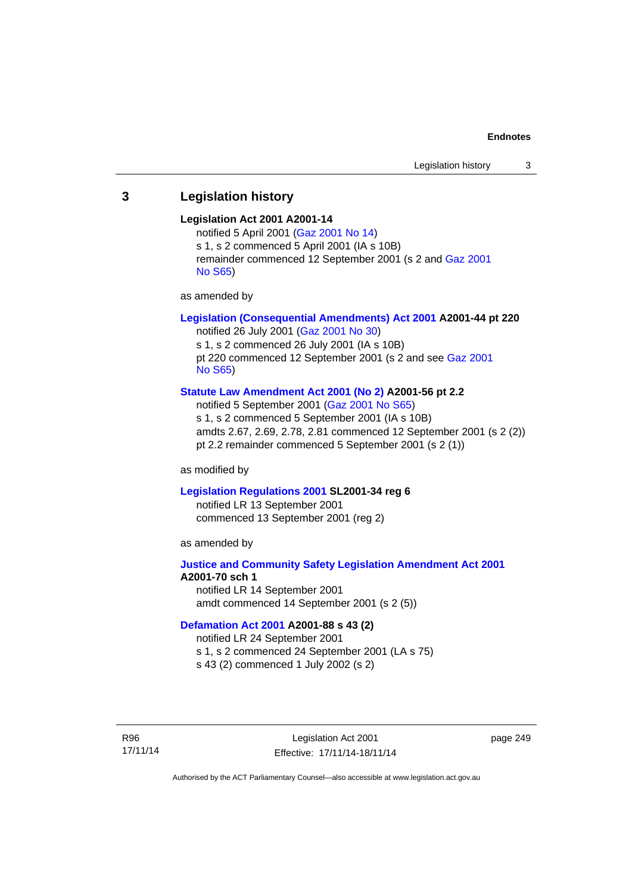## **3 Legislation history**

#### **Legislation Act 2001 A2001-14**

notified 5 April 2001 ([Gaz 2001 No 14](http://www.legislation.act.gov.au/gaz/2001-14/default.asp)) s 1, s 2 commenced 5 April 2001 (IA s 10B) remainder commenced 12 September 2001 (s 2 and [Gaz 2001](http://www.legislation.act.gov.au/gaz/2001-S65/default.asp)  [No S65](http://www.legislation.act.gov.au/gaz/2001-S65/default.asp))

as amended by

## **[Legislation \(Consequential Amendments\) Act 2001](http://www.legislation.act.gov.au/a/2001-44) A2001-44 pt 220**

notified 26 July 2001 ([Gaz 2001 No 30\)](http://www.legislation.act.gov.au/gaz/2001-30/default.asp) s 1, s 2 commenced 26 July 2001 (IA s 10B) pt 220 commenced 12 September 2001 (s 2 and see [Gaz 2001](http://www.legislation.act.gov.au/gaz/2001-S65/default.asp)  [No S65](http://www.legislation.act.gov.au/gaz/2001-S65/default.asp))

#### **[Statute Law Amendment Act 2001 \(No 2\)](http://www.legislation.act.gov.au/a/2001-56) A2001-56 pt 2.2**

notified 5 September 2001 [\(Gaz 2001 No S65\)](http://www.legislation.act.gov.au/gaz/2001-S65/default.asp) s 1, s 2 commenced 5 September 2001 (IA s 10B) amdts 2.67, 2.69, 2.78, 2.81 commenced 12 September 2001 (s 2 (2)) pt 2.2 remainder commenced 5 September 2001 (s 2 (1))

as modified by

#### **[Legislation Regulations 2001](http://www.legislation.act.gov.au/sl/2001-34) SL2001-34 reg 6**

notified LR 13 September 2001 commenced 13 September 2001 (reg 2)

as amended by

## **[Justice and Community Safety Legislation Amendment Act 2001](http://www.legislation.act.gov.au/a/2001-70) A2001-70 sch 1**  notified LR 14 September 2001

amdt commenced 14 September 2001 (s 2 (5))

#### **[Defamation Act 2001](http://www.legislation.act.gov.au/a/2001-88) A2001-88 s 43 (2)**

notified LR 24 September 2001

s 1, s 2 commenced 24 September 2001 (LA s 75)

s 43 (2) commenced 1 July 2002 (s 2)

R96 17/11/14

Legislation Act 2001 Effective: 17/11/14-18/11/14 page 249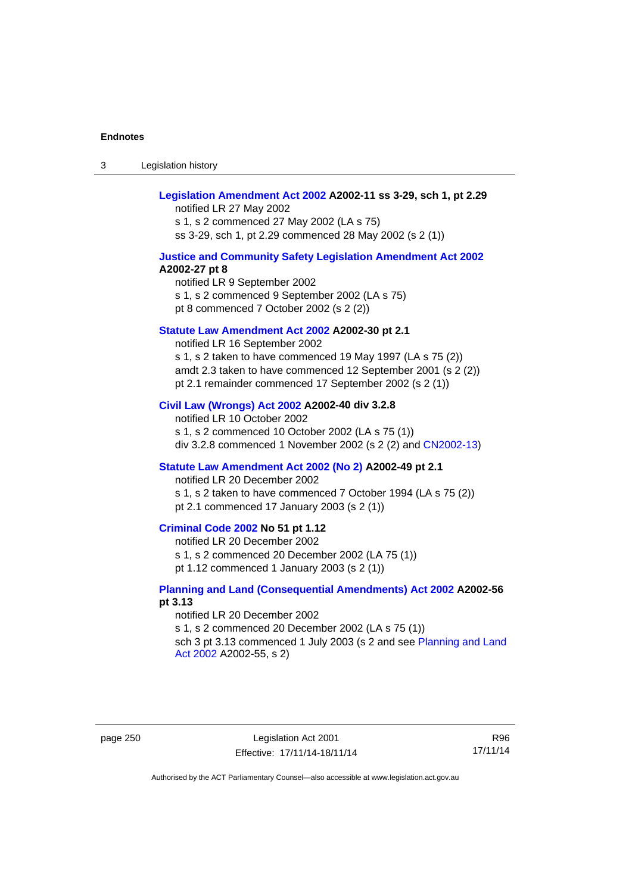3 Legislation history

## **[Legislation Amendment Act 2002](http://www.legislation.act.gov.au/a/2002-11) A2002-11 ss 3-29, sch 1, pt 2.29**

notified LR 27 May 2002 s 1, s 2 commenced 27 May 2002 (LA s 75) ss 3-29, sch 1, pt 2.29 commenced 28 May 2002 (s 2 (1))

#### **[Justice and Community Safety Legislation Amendment Act 2002](http://www.legislation.act.gov.au/a/2002-27) A2002-27 pt 8**

notified LR 9 September 2002 s 1, s 2 commenced 9 September 2002 (LA s 75) pt 8 commenced 7 October 2002 (s 2 (2))

#### **[Statute Law Amendment Act 2002](http://www.legislation.act.gov.au/a/2002-30) A2002-30 pt 2.1**

notified LR 16 September 2002 s 1, s 2 taken to have commenced 19 May 1997 (LA s 75 (2)) amdt 2.3 taken to have commenced 12 September 2001 (s 2 (2)) pt 2.1 remainder commenced 17 September 2002 (s 2 (1))

#### **[Civil Law \(Wrongs\) Act 2002](http://www.legislation.act.gov.au/a/2002-40) A2002-40 div 3.2.8**

notified LR 10 October 2002 s 1, s 2 commenced 10 October 2002 (LA s 75 (1)) div 3.2.8 commenced 1 November 2002 (s 2 (2) and [CN2002-13](http://www.legislation.act.gov.au/cn/2002-13/default.asp))

#### **[Statute Law Amendment Act 2002 \(No 2\)](http://www.legislation.act.gov.au/a/2002-49) A2002-49 pt 2.1**

notified LR 20 December 2002 s 1, s 2 taken to have commenced 7 October 1994 (LA s 75 (2))

pt 2.1 commenced 17 January 2003 (s 2 (1))

## **[Criminal Code 2002](http://www.legislation.act.gov.au/a/2002-51) No 51 pt 1.12**

notified LR 20 December 2002 s 1, s 2 commenced 20 December 2002 (LA 75 (1)) pt 1.12 commenced 1 January 2003 (s 2 (1))

#### **[Planning and Land \(Consequential Amendments\) Act 2002](http://www.legislation.act.gov.au/a/2002-56) A2002-56 pt 3.13**

notified LR 20 December 2002 s 1, s 2 commenced 20 December 2002 (LA s 75 (1)) sch 3 pt 3.13 commenced 1 July 2003 (s 2 and see Planning and Land [Act 2002](http://www.legislation.act.gov.au/a/2002-55) A2002-55, s 2)

page 250 Legislation Act 2001 Effective: 17/11/14-18/11/14

R96 17/11/14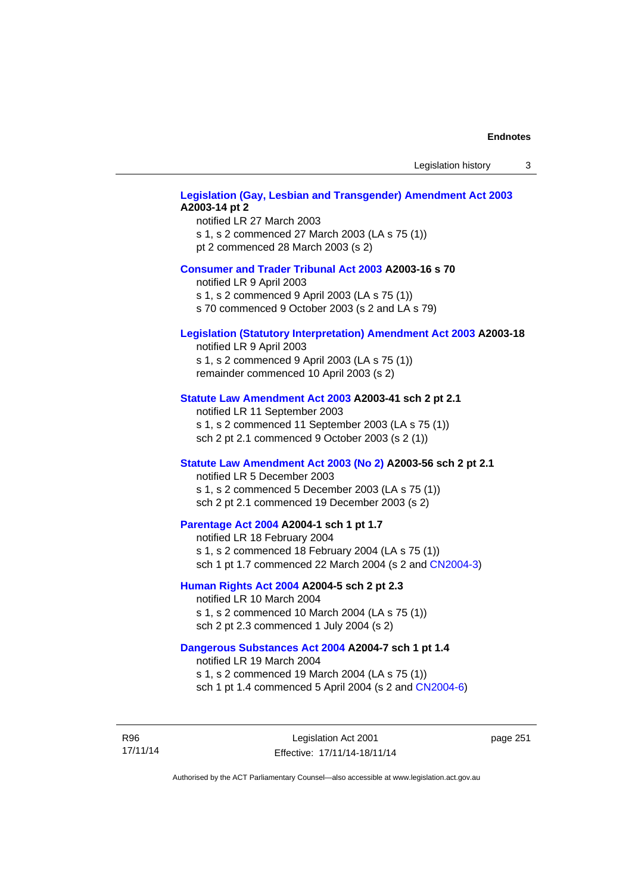Legislation history 3

## **[Legislation \(Gay, Lesbian and Transgender\) Amendment Act 2003](http://www.legislation.act.gov.au/a/2003-14) A2003-14 pt 2**

notified LR 27 March 2003 s 1, s 2 commenced 27 March 2003 (LA s 75 (1)) pt 2 commenced 28 March 2003 (s 2)

## **[Consumer and Trader Tribunal Act 2003](http://www.legislation.act.gov.au/a/2003-16) A2003-16 s 70**

notified LR 9 April 2003

s 1, s 2 commenced 9 April 2003 (LA s 75 (1))

s 70 commenced 9 October 2003 (s 2 and LA s 79)

## **[Legislation \(Statutory Interpretation\) Amendment Act 2003](http://www.legislation.act.gov.au/a/2003-18) A2003-18**

notified LR 9 April 2003 s 1, s 2 commenced 9 April 2003 (LA s 75 (1)) remainder commenced 10 April 2003 (s 2)

#### **[Statute Law Amendment Act 2003](http://www.legislation.act.gov.au/a/2003-41) A2003-41 sch 2 pt 2.1**

notified LR 11 September 2003 s 1, s 2 commenced 11 September 2003 (LA s 75 (1)) sch 2 pt 2.1 commenced 9 October 2003 (s 2 (1))

#### **[Statute Law Amendment Act 2003 \(No 2\)](http://www.legislation.act.gov.au/a/2003-56) A2003-56 sch 2 pt 2.1**

notified LR 5 December 2003 s 1, s 2 commenced 5 December 2003 (LA s 75 (1)) sch 2 pt 2.1 commenced 19 December 2003 (s 2)

## **[Parentage Act 2004](http://www.legislation.act.gov.au/a/2004-1) A2004-1 sch 1 pt 1.7**

notified LR 18 February 2004 s 1, s 2 commenced 18 February 2004 (LA s 75 (1)) sch 1 pt 1.7 commenced 22 March 2004 (s 2 and [CN2004-3\)](http://www.legislation.act.gov.au/cn/2004-3/default.asp)

#### **[Human Rights Act 2004](http://www.legislation.act.gov.au/a/2004-5) A2004-5 sch 2 pt 2.3**

notified LR 10 March 2004 s 1, s 2 commenced 10 March 2004 (LA s 75 (1)) sch 2 pt 2.3 commenced 1 July 2004 (s 2)

#### **[Dangerous Substances Act 2004](http://www.legislation.act.gov.au/a/2004-7) A2004-7 sch 1 pt 1.4**

notified LR 19 March 2004 s 1, s 2 commenced 19 March 2004 (LA s 75 (1)) sch 1 pt 1.4 commenced 5 April 2004 (s 2 and [CN2004-6](http://www.legislation.act.gov.au/cn/2004-6/default.asp))

R96 17/11/14

Legislation Act 2001 Effective: 17/11/14-18/11/14 page 251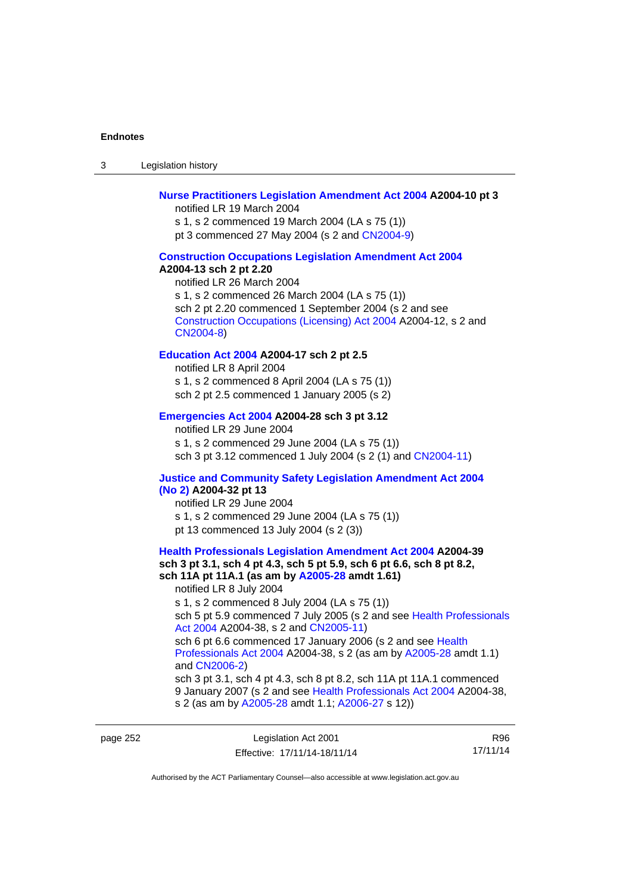3 Legislation history

#### **[Nurse Practitioners Legislation Amendment Act 2004](http://www.legislation.act.gov.au/a/2004-10) A2004-10 pt 3**

notified LR 19 March 2004 s 1, s 2 commenced 19 March 2004 (LA s 75 (1)) pt 3 commenced 27 May 2004 (s 2 and [CN2004-9\)](http://www.legislation.act.gov.au/cn/2004-9/default.asp)

#### **[Construction Occupations Legislation Amendment Act 2004](http://www.legislation.act.gov.au/a/2004-13)**

#### **A2004-13 sch 2 pt 2.20**

notified LR 26 March 2004 s 1, s 2 commenced 26 March 2004 (LA s 75 (1)) sch 2 pt 2.20 commenced 1 September 2004 (s 2 and see [Construction Occupations \(Licensing\) Act 2004](http://www.legislation.act.gov.au/a/2004-12) A2004-12, s 2 and [CN2004-8\)](http://www.legislation.act.gov.au/cn/2004-8/default.asp)

### **[Education Act 2004](http://www.legislation.act.gov.au/a/2004-17) A2004-17 sch 2 pt 2.5**

notified LR 8 April 2004 s 1, s 2 commenced 8 April 2004 (LA s 75 (1)) sch 2 pt 2.5 commenced 1 January 2005 (s 2)

#### **[Emergencies Act 2004](http://www.legislation.act.gov.au/a/2004-28) A2004-28 sch 3 pt 3.12**

notified LR 29 June 2004 s 1, s 2 commenced 29 June 2004 (LA s 75 (1)) sch 3 pt 3.12 commenced 1 July 2004 (s 2 (1) and [CN2004-11](http://www.legislation.act.gov.au/cn/2004-11/default.asp))

## **[Justice and Community Safety Legislation Amendment Act 2004](http://www.legislation.act.gov.au/a/2004-32)**

## **[\(No 2\)](http://www.legislation.act.gov.au/a/2004-32) A2004-32 pt 13**

notified LR 29 June 2004 s 1, s 2 commenced 29 June 2004 (LA s 75 (1)) pt 13 commenced 13 July 2004 (s 2 (3))

## **[Health Professionals Legislation Amendment Act 2004](http://www.legislation.act.gov.au/a/2004-39) A2004-39 sch 3 pt 3.1, sch 4 pt 4.3, sch 5 pt 5.9, sch 6 pt 6.6, sch 8 pt 8.2, sch 11A pt 11A.1 (as am by [A2005-28](http://www.legislation.act.gov.au/a/2005-28) amdt 1.61)**  notified LR 8 July 2004 s 1, s 2 commenced 8 July 2004 (LA s 75 (1)) sch 5 pt 5.9 commenced 7 July 2005 (s 2 and see Health Professionals

[Act 2004](http://www.legislation.act.gov.au/a/2004-38) A2004-38, s 2 and [CN2005-11\)](http://www.legislation.act.gov.au/cn/2005-11/default.asp) sch 6 pt 6.6 commenced 17 January 2006 (s 2 and see Health [Professionals Act 2004](http://www.legislation.act.gov.au/a/2004-38) A2004-38, s 2 (as am by [A2005-28](http://www.legislation.act.gov.au/a/2005-28) amdt 1.1) and [CN2006-2](http://www.legislation.act.gov.au/cn/2006-2/default.asp))

sch 3 pt 3.1, sch 4 pt 4.3, sch 8 pt 8.2, sch 11A pt 11A.1 commenced 9 January 2007 (s 2 and see [Health Professionals Act 2004](http://www.legislation.act.gov.au/a/2004-38) A2004-38, s 2 (as am by [A2005-28](http://www.legislation.act.gov.au/a/2005-28) amdt 1.1; [A2006-27](http://www.legislation.act.gov.au/a/2006-27) s 12))

page 252

| Legislation Act 2001         | R96      |
|------------------------------|----------|
| Effective: 17/11/14-18/11/14 | 17/11/14 |

R96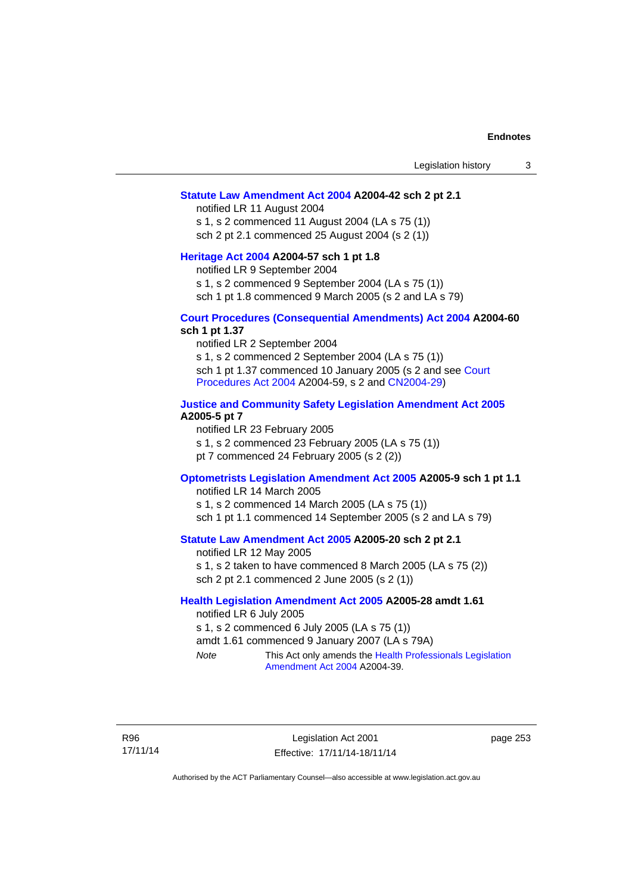#### **[Statute Law Amendment Act 2004](http://www.legislation.act.gov.au/a/2004-42) A2004-42 sch 2 pt 2.1**

notified LR 11 August 2004 s 1, s 2 commenced 11 August 2004 (LA s 75 (1)) sch 2 pt 2.1 commenced 25 August 2004 (s 2 (1))

#### **[Heritage Act 2004](http://www.legislation.act.gov.au/a/2004-57) A2004-57 sch 1 pt 1.8**

notified LR 9 September 2004

s 1, s 2 commenced 9 September 2004 (LA s 75 (1))

sch 1 pt 1.8 commenced 9 March 2005 (s 2 and LA s 79)

#### **[Court Procedures \(Consequential Amendments\) Act 2004](http://www.legislation.act.gov.au/a/2004-60) A2004-60 sch 1 pt 1.37**

notified LR 2 September 2004 s 1, s 2 commenced 2 September 2004 (LA s 75 (1)) sch 1 pt 1.37 commenced 10 January 2005 (s 2 and see [Court](http://www.legislation.act.gov.au/a/2004-59)  [Procedures Act 2004](http://www.legislation.act.gov.au/a/2004-59) A2004-59, s 2 and [CN2004-29\)](http://www.legislation.act.gov.au/cn/2004-29/default.asp)

#### **[Justice and Community Safety Legislation Amendment Act 2005](http://www.legislation.act.gov.au/a/2005-5) A2005-5 pt 7**

notified LR 23 February 2005 s 1, s 2 commenced 23 February 2005 (LA s 75 (1)) pt 7 commenced 24 February 2005 (s 2 (2))

#### **[Optometrists Legislation Amendment Act 2005](http://www.legislation.act.gov.au/a/2005-9) A2005-9 sch 1 pt 1.1**

notified LR 14 March 2005 s 1, s 2 commenced 14 March 2005 (LA s 75 (1)) sch 1 pt 1.1 commenced 14 September 2005 (s 2 and LA s 79)

### **[Statute Law Amendment Act 2005](http://www.legislation.act.gov.au/a/2005-20) A2005-20 sch 2 pt 2.1**

notified LR 12 May 2005 s 1, s 2 taken to have commenced 8 March 2005 (LA s 75 (2)) sch 2 pt 2.1 commenced 2 June 2005 (s 2 (1))

#### **[Health Legislation Amendment Act 2005](http://www.legislation.act.gov.au/a/2005-28) A2005-28 amdt 1.61**

notified LR 6 July 2005 s 1, s 2 commenced 6 July 2005 (LA s 75 (1)) amdt 1.61 commenced 9 January 2007 (LA s 79A) *Note* This Act only amends the [Health Professionals Legislation](http://www.legislation.act.gov.au/a/2004-39)  [Amendment Act 2004](http://www.legislation.act.gov.au/a/2004-39) A2004-39.

R96 17/11/14 page 253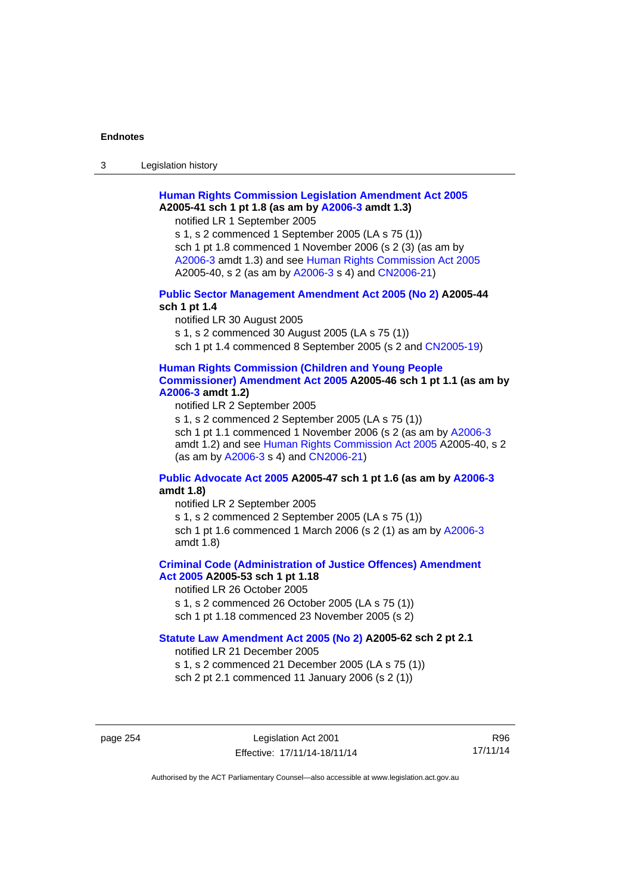3 Legislation history

## **[Human Rights Commission Legislation Amendment Act 2005](http://www.legislation.act.gov.au/a/2005-41) A2005-41 sch 1 pt 1.8 (as am by [A2006-3](http://www.legislation.act.gov.au/a/2006-3) amdt 1.3)**

notified LR 1 September 2005

s 1, s 2 commenced 1 September 2005 (LA s 75 (1)) sch 1 pt 1.8 commenced 1 November 2006 (s 2 (3) (as am by [A2006-3](http://www.legislation.act.gov.au/a/2006-3) amdt 1.3) and see [Human Rights Commission Act 2005](http://www.legislation.act.gov.au/a/2005-40) A2005-40, s 2 (as am by [A2006-3](http://www.legislation.act.gov.au/a/2006-3) s 4) and [CN2006-21](http://www.legislation.act.gov.au/cn/2006-21/default.asp))

### **[Public Sector Management Amendment Act 2005 \(No 2\)](http://www.legislation.act.gov.au/a/2005-44) A2005-44 sch 1 pt 1.4**

notified LR 30 August 2005 s 1, s 2 commenced 30 August 2005 (LA s 75 (1)) sch 1 pt 1.4 commenced 8 September 2005 (s 2 and [CN2005-19\)](http://www.legislation.act.gov.au/cn/2005-19/default.asp)

### **[Human Rights Commission \(Children and Young People](http://www.legislation.act.gov.au/a/2005-46)  [Commissioner\) Amendment Act 2005](http://www.legislation.act.gov.au/a/2005-46) A2005-46 sch 1 pt 1.1 (as am by [A2006-3](http://www.legislation.act.gov.au/a/2006-3) amdt 1.2)**

notified LR 2 September 2005

s 1, s 2 commenced 2 September 2005 (LA s 75 (1)) sch 1 pt 1.1 commenced 1 November 2006 (s 2 (as am by [A2006-3](http://www.legislation.act.gov.au/a/2006-3) amdt 1.2) and see [Human Rights Commission Act 2005](http://www.legislation.act.gov.au/a/2005-40) A2005-40, s 2 (as am by [A2006-3](http://www.legislation.act.gov.au/a/2006-3) s 4) and [CN2006-21](http://www.legislation.act.gov.au/cn/2006-21/default.asp))

### **[Public Advocate Act 2005](http://www.legislation.act.gov.au/a/2005-47) A2005-47 sch 1 pt 1.6 (as am by [A2006-3](http://www.legislation.act.gov.au/a/2006-3) amdt 1.8)**

notified LR 2 September 2005

s 1, s 2 commenced 2 September 2005 (LA s 75 (1)) sch 1 pt 1.6 commenced 1 March 2006 (s 2 (1) as am by [A2006-3](http://www.legislation.act.gov.au/a/2006-3) amdt 1.8)

#### **[Criminal Code \(Administration of Justice Offences\) Amendment](http://www.legislation.act.gov.au/a/2005-53)**

**[Act 2005](http://www.legislation.act.gov.au/a/2005-53) A2005-53 sch 1 pt 1.18** 

notified LR 26 October 2005

s 1, s 2 commenced 26 October 2005 (LA s 75 (1))

sch 1 pt 1.18 commenced 23 November 2005 (s 2)

## **[Statute Law Amendment Act 2005 \(No 2\)](http://www.legislation.act.gov.au/a/2005-62) A2005-62 sch 2 pt 2.1**

notified LR 21 December 2005

s 1, s 2 commenced 21 December 2005 (LA s 75 (1)) sch 2 pt 2.1 commenced 11 January 2006 (s 2 (1))

page 254 Legislation Act 2001 Effective: 17/11/14-18/11/14

R96 17/11/14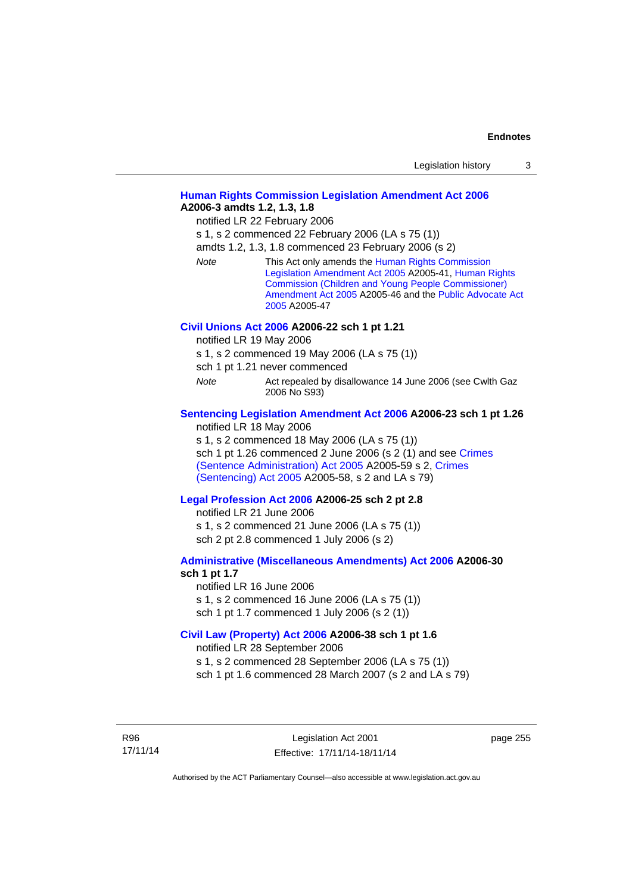| Legislation history |  |
|---------------------|--|
|                     |  |

### **[Human Rights Commission Legislation Amendment Act 2006](http://www.legislation.act.gov.au/a/2006-3) A2006-3 amdts 1.2, 1.3, 1.8**

notified LR 22 February 2006

s 1, s 2 commenced 22 February 2006 (LA s 75 (1))

amdts 1.2, 1.3, 1.8 commenced 23 February 2006 (s 2)

*Note* This Act only amends the [Human Rights Commission](http://www.legislation.act.gov.au/a/2005-41)  [Legislation Amendment Act 2005](http://www.legislation.act.gov.au/a/2005-41) A2005-41, [Human Rights](http://www.legislation.act.gov.au/a/2005-46)  [Commission \(Children and Young People Commissioner\)](http://www.legislation.act.gov.au/a/2005-46)  [Amendment Act 2005](http://www.legislation.act.gov.au/a/2005-46) A2005-46 and the [Public Advocate Act](http://www.legislation.act.gov.au/a/2005-47)  [2005](http://www.legislation.act.gov.au/a/2005-47) A2005-47

#### **[Civil Unions Act 2006](http://www.legislation.act.gov.au/a/2006-22) A2006-22 sch 1 pt 1.21**

notified LR 19 May 2006

s 1, s 2 commenced 19 May 2006 (LA s 75 (1))

sch 1 pt 1.21 never commenced

*Note* **Act repealed by disallowance 14 June 2006 (see Cwlth Gaz** 2006 No S93)

### **[Sentencing Legislation Amendment Act 2006](http://www.legislation.act.gov.au/a/2006-23) A2006-23 sch 1 pt 1.26**

notified LR 18 May 2006

s 1, s 2 commenced 18 May 2006 (LA s 75 (1)) sch 1 pt 1.26 commenced 2 June 2006 (s 2 (1) and see [Crimes](http://www.legislation.act.gov.au/a/2005-59)  [\(Sentence Administration\) Act 2005](http://www.legislation.act.gov.au/a/2005-59) A2005-59 s 2, [Crimes](http://www.legislation.act.gov.au/a/2005-58)  [\(Sentencing\) Act 2005](http://www.legislation.act.gov.au/a/2005-58) A2005-58, s 2 and LA s 79)

#### **[Legal Profession Act 2006](http://www.legislation.act.gov.au/a/2006-25) A2006-25 sch 2 pt 2.8**

notified LR 21 June 2006 s 1, s 2 commenced 21 June 2006 (LA s 75 (1)) sch 2 pt 2.8 commenced 1 July 2006 (s 2)

#### **[Administrative \(Miscellaneous Amendments\) Act 2006](http://www.legislation.act.gov.au/a/2006-30) A2006-30 sch 1 pt 1.7**

notified LR 16 June 2006 s 1, s 2 commenced 16 June 2006 (LA s 75 (1)) sch 1 pt 1.7 commenced 1 July 2006 (s 2 (1))

### **[Civil Law \(Property\) Act 2006](http://www.legislation.act.gov.au/a/2006-38) A2006-38 sch 1 pt 1.6**

notified LR 28 September 2006

s 1, s 2 commenced 28 September 2006 (LA s 75 (1))

sch 1 pt 1.6 commenced 28 March 2007 (s 2 and LA s 79)

R96 17/11/14 page 255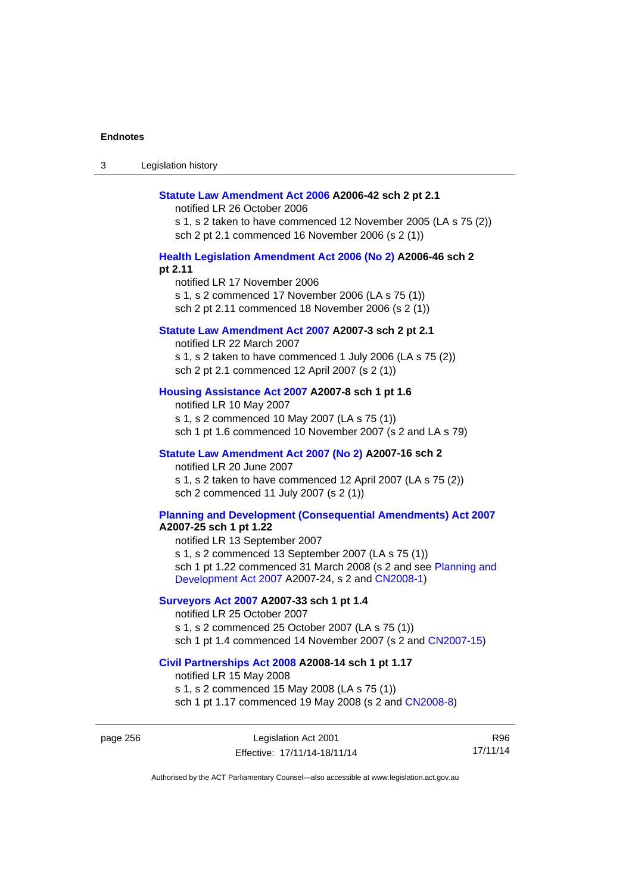| Legislation history<br>-3 |
|---------------------------|
|---------------------------|

#### **[Statute Law Amendment Act 2006](http://www.legislation.act.gov.au/a/2006-42) A2006-42 sch 2 pt 2.1**

notified LR 26 October 2006

s 1, s 2 taken to have commenced 12 November 2005 (LA s 75 (2)) sch 2 pt 2.1 commenced 16 November 2006 (s 2 (1))

#### **[Health Legislation Amendment Act 2006 \(No 2\)](http://www.legislation.act.gov.au/a/2006-46) A2006-46 sch 2 pt 2.11**

notified LR 17 November 2006 s 1, s 2 commenced 17 November 2006 (LA s 75 (1)) sch 2 pt 2.11 commenced 18 November 2006 (s 2 (1))

#### **[Statute Law Amendment Act 2007](http://www.legislation.act.gov.au/a/2007-3) A2007-3 sch 2 pt 2.1**

notified LR 22 March 2007 s 1, s 2 taken to have commenced 1 July 2006 (LA s 75 (2)) sch 2 pt 2.1 commenced 12 April 2007 (s 2 (1))

## **[Housing Assistance Act 2007](http://www.legislation.act.gov.au/a/2007-8) A2007-8 sch 1 pt 1.6**

notified LR 10 May 2007 s 1, s 2 commenced 10 May 2007 (LA s 75 (1)) sch 1 pt 1.6 commenced 10 November 2007 (s 2 and LA s 79)

#### **[Statute Law Amendment Act 2007 \(No 2\)](http://www.legislation.act.gov.au/a/2007-16) A2007-16 sch 2**

notified LR 20 June 2007 s 1, s 2 taken to have commenced 12 April 2007 (LA s 75 (2)) sch 2 commenced 11 July 2007 (s 2 (1))

## **[Planning and Development \(Consequential Amendments\) Act 2007](http://www.legislation.act.gov.au/a/2007-25)**

**A2007-25 sch 1 pt 1.22** 

notified LR 13 September 2007 s 1, s 2 commenced 13 September 2007 (LA s 75 (1)) sch 1 pt 1.22 commenced 31 March 2008 (s 2 and see [Planning and](http://www.legislation.act.gov.au/a/2007-24)  [Development Act 2007](http://www.legislation.act.gov.au/a/2007-24) A2007-24, s 2 and [CN2008-1](http://www.legislation.act.gov.au/cn/2008-1/default.asp))

#### **[Surveyors Act 2007](http://www.legislation.act.gov.au/a/2007-33) A2007-33 sch 1 pt 1.4**

notified LR 25 October 2007 s 1, s 2 commenced 25 October 2007 (LA s 75 (1)) sch 1 pt 1.4 commenced 14 November 2007 (s 2 and [CN2007-15\)](http://www.legislation.act.gov.au/cn/2007-15/default.asp)

#### **[Civil Partnerships Act 2008](http://www.legislation.act.gov.au/a/2008-14) A2008-14 sch 1 pt 1.17**

notified LR 15 May 2008

s 1, s 2 commenced 15 May 2008 (LA s 75 (1)) sch 1 pt 1.17 commenced 19 May 2008 (s 2 and [CN2008-8](http://www.legislation.act.gov.au/cn/2008-8/default.asp))

page 256 Legislation Act 2001 Effective: 17/11/14-18/11/14

R96 17/11/14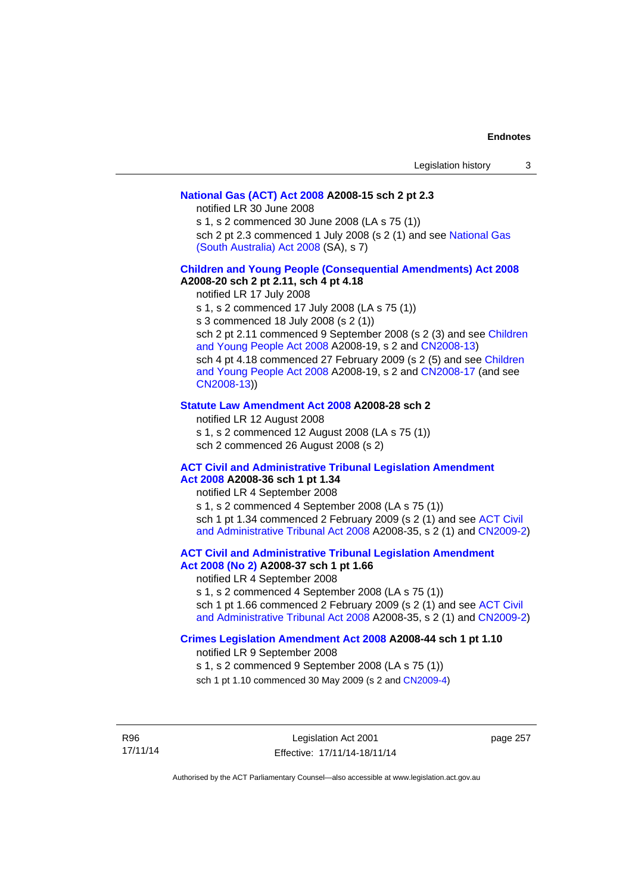#### **[National Gas \(ACT\) Act 2008](http://www.legislation.act.gov.au/a/2008-15) A2008-15 sch 2 pt 2.3**

notified LR 30 June 2008

s 1, s 2 commenced 30 June 2008 (LA s 75 (1))

sch 2 pt 2.3 commenced 1 July 2008 (s 2 (1) and see [National Gas](http://www.legislation.sa.gov.au/LZ/C/A/NATIONAL GAS (SOUTH AUSTRALIA) ACT 2008.aspx)  [\(South Australia\) Act 2008](http://www.legislation.sa.gov.au/LZ/C/A/NATIONAL GAS (SOUTH AUSTRALIA) ACT 2008.aspx) (SA), s 7)

### **[Children and Young People \(Consequential Amendments\) Act 2008](http://www.legislation.act.gov.au/a/2008-20) A2008-20 sch 2 pt 2.11, sch 4 pt 4.18**

notified LR 17 July 2008

s 1, s 2 commenced 17 July 2008 (LA s 75 (1))

s 3 commenced 18 July 2008 (s 2 (1))

sch 2 pt 2.11 commenced 9 September 2008 (s 2 (3) and see [Children](http://www.legislation.act.gov.au/a/2008-19)  [and Young People Act 2008](http://www.legislation.act.gov.au/a/2008-19) A2008-19, s 2 and [CN2008-13](http://www.legislation.act.gov.au/cn/2008-13/default.asp)) sch 4 pt 4.18 commenced 27 February 2009 (s 2 (5) and see [Children](http://www.legislation.act.gov.au/a/2008-19)  [and Young People Act 2008](http://www.legislation.act.gov.au/a/2008-19) A2008-19, s 2 and [CN2008-17 \(](http://www.legislation.act.gov.au/cn/2008-17/default.asp)and see [CN2008-13](http://www.legislation.act.gov.au/cn/2008-13/default.asp)))

#### **[Statute Law Amendment Act 2008](http://www.legislation.act.gov.au/a/2008-28) A2008-28 sch 2**

notified LR 12 August 2008 s 1, s 2 commenced 12 August 2008 (LA s 75 (1)) sch 2 commenced 26 August 2008 (s 2)

### **[ACT Civil and Administrative Tribunal Legislation Amendment](http://www.legislation.act.gov.au/a/2008-36)**

**[Act 2008](http://www.legislation.act.gov.au/a/2008-36) A2008-36 sch 1 pt 1.34**  notified LR 4 September 2008 s 1, s 2 commenced 4 September 2008 (LA s 75 (1)) sch 1 pt 1.34 commenced 2 February 2009 (s 2 (1) and see [ACT Civil](http://www.legislation.act.gov.au/a/2008-35)  [and Administrative Tribunal Act 2008](http://www.legislation.act.gov.au/a/2008-35) A2008-35, s 2 (1) and [CN2009-2](http://www.legislation.act.gov.au/cn/2009-2/default.asp))

**[ACT Civil and Administrative Tribunal Legislation Amendment](http://www.legislation.act.gov.au/a/2008-37)** 

## **[Act 2008 \(No 2\)](http://www.legislation.act.gov.au/a/2008-37) A2008-37 sch 1 pt 1.66**

notified LR 4 September 2008

s 1, s 2 commenced 4 September 2008 (LA s 75 (1))

sch 1 pt 1.66 commenced 2 February 2009 (s 2 (1) and see [ACT Civil](http://www.legislation.act.gov.au/a/2008-35)  [and Administrative Tribunal Act 2008](http://www.legislation.act.gov.au/a/2008-35) A2008-35, s 2 (1) and [CN2009-2](http://www.legislation.act.gov.au/cn/2009-2/default.asp))

### **[Crimes Legislation Amendment Act 2008](http://www.legislation.act.gov.au/a/2008-44) A2008-44 sch 1 pt 1.10**

notified LR 9 September 2008

s 1, s 2 commenced 9 September 2008 (LA s 75 (1))

sch 1 pt 1.10 commenced 30 May 2009 (s 2 and [CN2009-4](http://www.legislation.act.gov.au/cn/2009-4/default.asp))

R96 17/11/14 page 257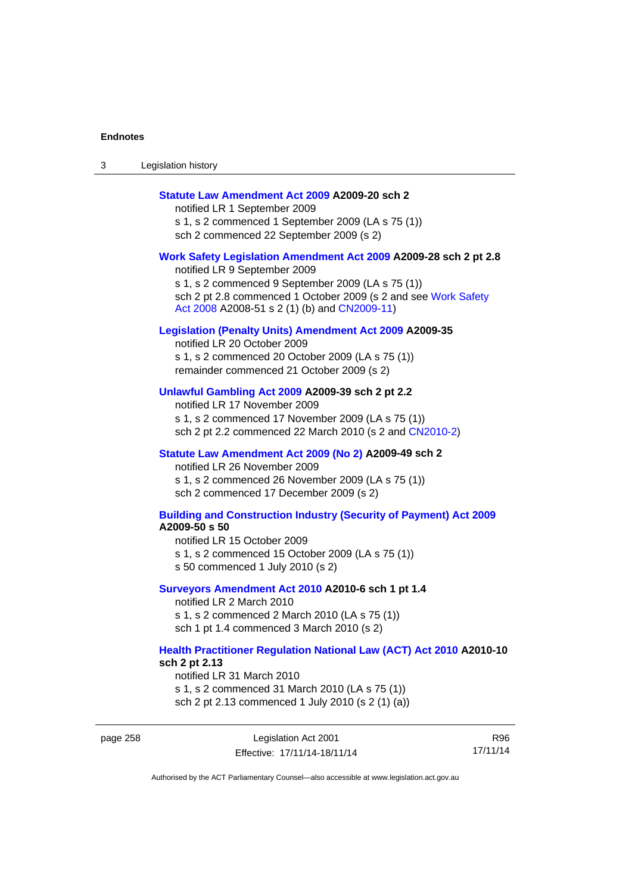page 258

| Legislation history<br>ు |
|--------------------------|
|--------------------------|

#### **[Statute Law Amendment Act 2009](http://www.legislation.act.gov.au/a/2009-20) A2009-20 sch 2**

notified LR 1 September 2009 s 1, s 2 commenced 1 September 2009 (LA s 75 (1)) sch 2 commenced 22 September 2009 (s 2)

#### **[Work Safety Legislation Amendment Act 2009](http://www.legislation.act.gov.au/a/2009-28) A2009-28 sch 2 pt 2.8**

notified LR 9 September 2009 s 1, s 2 commenced 9 September 2009 (LA s 75 (1)) sch 2 pt 2.8 commenced 1 October 2009 (s 2 and see Work Safety [Act 2008](http://www.legislation.act.gov.au/a/2008-51) A2008-51 s 2 (1) (b) and [CN2009-11](http://www.legislation.act.gov.au/cn/2009-11/default.asp))

#### **[Legislation \(Penalty Units\) Amendment Act 2009](http://www.legislation.act.gov.au/a/2009-35) A2009-35**

notified LR 20 October 2009 s 1, s 2 commenced 20 October 2009 (LA s 75 (1)) remainder commenced 21 October 2009 (s 2)

#### **[Unlawful Gambling Act 2009](http://www.legislation.act.gov.au/a/2009-39) A2009-39 sch 2 pt 2.2**

notified LR 17 November 2009 s 1, s 2 commenced 17 November 2009 (LA s 75 (1)) sch 2 pt 2.2 commenced 22 March 2010 (s 2 and [CN2010-2\)](http://www.legislation.act.gov.au/cn/2010-2/default.asp)

#### **[Statute Law Amendment Act 2009 \(No 2\)](http://www.legislation.act.gov.au/a/2009-49) A2009-49 sch 2**

notified LR 26 November 2009 s 1, s 2 commenced 26 November 2009 (LA s 75 (1)) sch 2 commenced 17 December 2009 (s 2)

#### **[Building and Construction Industry \(Security of Payment\) Act 2009](http://www.legislation.act.gov.au/a/2009-50) A2009-50 s 50**

notified LR 15 October 2009 s 1, s 2 commenced 15 October 2009 (LA s 75 (1)) s 50 commenced 1 July 2010 (s 2)

#### **[Surveyors Amendment Act 2010](http://www.legislation.act.gov.au/a/2010-6) A2010-6 sch 1 pt 1.4**

notified LR 2 March 2010 s 1, s 2 commenced 2 March 2010 (LA s 75 (1)) sch 1 pt 1.4 commenced 3 March 2010 (s 2)

### **[Health Practitioner Regulation National Law \(ACT\) Act 2010](http://www.legislation.act.gov.au/a/2010-10) A2010-10 sch 2 pt 2.13**

notified LR 31 March 2010 s 1, s 2 commenced 31 March 2010 (LA s 75 (1)) sch 2 pt 2.13 commenced 1 July 2010 (s 2 (1) (a))

| Legislation Act 2001         | R96      |
|------------------------------|----------|
| Effective: 17/11/14-18/11/14 | 17/11/14 |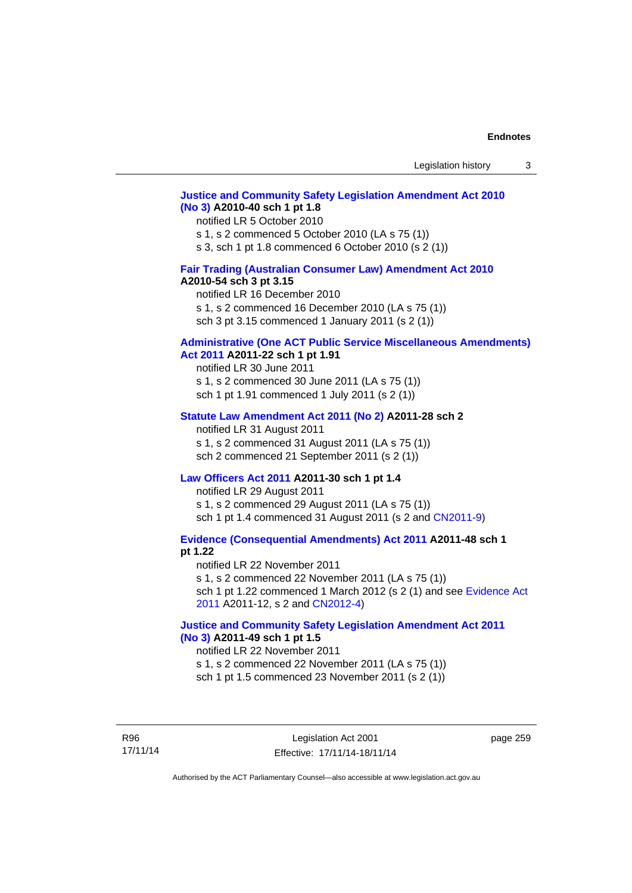### **[Justice and Community Safety Legislation Amendment Act 2010](http://www.legislation.act.gov.au/a/2010-40)  [\(No 3\)](http://www.legislation.act.gov.au/a/2010-40) A2010-40 sch 1 pt 1.8**

#### notified LR 5 October 2010

s 1, s 2 commenced 5 October 2010 (LA s 75 (1))

s 3, sch 1 pt 1.8 commenced 6 October 2010 (s 2 (1))

## **[Fair Trading \(Australian Consumer Law\) Amendment Act 2010](http://www.legislation.act.gov.au/a/2010-54)**

#### **A2010-54 sch 3 pt 3.15**

notified LR 16 December 2010 s 1, s 2 commenced 16 December 2010 (LA s 75 (1)) sch 3 pt 3.15 commenced 1 January 2011 (s 2 (1))

## **[Administrative \(One ACT Public Service Miscellaneous Amendments\)](http://www.legislation.act.gov.au/a/2011-22)**

**[Act 2011](http://www.legislation.act.gov.au/a/2011-22) A2011-22 sch 1 pt 1.91**  notified LR 30 June 2011 s 1, s 2 commenced 30 June 2011 (LA s 75 (1))

sch 1 pt 1.91 commenced 1 July 2011 (s 2 (1))

#### **[Statute Law Amendment Act 2011 \(No 2\)](http://www.legislation.act.gov.au/a/2011-28) A2011-28 sch 2**

notified LR 31 August 2011 s 1, s 2 commenced 31 August 2011 (LA s 75 (1)) sch 2 commenced 21 September 2011 (s 2 (1))

#### **[Law Officers Act 2011](http://www.legislation.act.gov.au/a/2011-30) A2011-30 sch 1 pt 1.4**

notified LR 29 August 2011 s 1, s 2 commenced 29 August 2011 (LA s 75 (1)) sch 1 pt 1.4 commenced 31 August 2011 (s 2 and [CN2011-9](http://www.legislation.act.gov.au/cn/2011-9/default.asp))

**[Evidence \(Consequential Amendments\) Act 2011](http://www.legislation.act.gov.au/a/2011-48) A2011-48 sch 1 pt 1.22** 

notified LR 22 November 2011 s 1, s 2 commenced 22 November 2011 (LA s 75 (1)) sch 1 pt 1.22 commenced 1 March 2012 (s 2 (1) and see [Evidence Act](http://www.legislation.act.gov.au/a/2011-12) 

[2011](http://www.legislation.act.gov.au/a/2011-12) A2011-12, s 2 and [CN2012-4](http://www.legislation.act.gov.au/cn/2012-4/default.asp))

## **[Justice and Community Safety Legislation Amendment Act 2011](http://www.legislation.act.gov.au/a/2011-49)  [\(No 3\)](http://www.legislation.act.gov.au/a/2011-49) A2011-49 sch 1 pt 1.5**

#### notified LR 22 November 2011

s 1, s 2 commenced 22 November 2011 (LA s 75 (1))

sch 1 pt 1.5 commenced 23 November 2011 (s 2 (1))

R96 17/11/14 page 259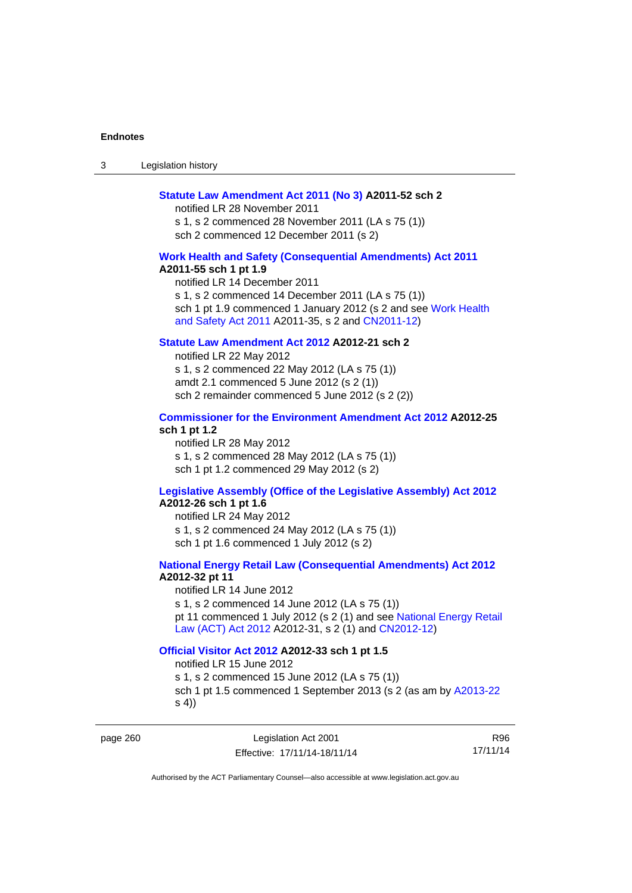3 Legislation history

#### **[Statute Law Amendment Act 2011 \(No 3\)](http://www.legislation.act.gov.au/a/2011-52) A2011-52 sch 2**

notified LR 28 November 2011 s 1, s 2 commenced 28 November 2011 (LA s 75 (1)) sch 2 commenced 12 December 2011 (s 2)

#### **[Work Health and Safety \(Consequential Amendments\) Act 2011](http://www.legislation.act.gov.au/a/2011-55)**

#### **A2011-55 sch 1 pt 1.9**

notified LR 14 December 2011 s 1, s 2 commenced 14 December 2011 (LA s 75 (1)) sch 1 pt 1.9 commenced 1 January 2012 (s 2 and see Work Health [and Safety Act 2011](http://www.legislation.act.gov.au/a/2011-35) A2011-35, s 2 and [CN2011-12](http://www.legislation.act.gov.au/cn/2011-12/default.asp))

## **[Statute Law Amendment Act 2012](http://www.legislation.act.gov.au/a/2012-21) A2012-21 sch 2**

notified LR 22 May 2012 s 1, s 2 commenced 22 May 2012 (LA s 75 (1)) amdt 2.1 commenced 5 June 2012 (s 2 (1)) sch 2 remainder commenced 5 June 2012 (s 2 (2))

## **[Commissioner for the Environment Amendment Act 2012](http://www.legislation.act.gov.au/a/2012-25) A2012-25 sch 1 pt 1.2**

notified LR 28 May 2012 s 1, s 2 commenced 28 May 2012 (LA s 75 (1)) sch 1 pt 1.2 commenced 29 May 2012 (s 2)

## **[Legislative Assembly \(Office of the Legislative Assembly\) Act 2012](http://www.legislation.act.gov.au/a/2012-26)**

## **A2012-26 sch 1 pt 1.6**

notified LR 24 May 2012 s 1, s 2 commenced 24 May 2012 (LA s 75 (1)) sch 1 pt 1.6 commenced 1 July 2012 (s 2)

#### **[National Energy Retail Law \(Consequential Amendments\) Act 2012](http://www.legislation.act.gov.au/a/2012-32) A2012-32 pt 11**

notified LR 14 June 2012 s 1, s 2 commenced 14 June 2012 (LA s 75 (1)) pt 11 commenced 1 July 2012 (s 2 (1) and see [National Energy Retail](http://www.legislation.act.gov.au/a/2012-31)  [Law \(ACT\) Act 2012](http://www.legislation.act.gov.au/a/2012-31) A2012-31, s 2 (1) and [CN2012-12](http://www.legislation.act.gov.au/cn/2012-12/default.asp))

#### **[Official Visitor Act 2012](http://www.legislation.act.gov.au/a/2012-33) A2012-33 sch 1 pt 1.5**

notified LR 15 June 2012 s 1, s 2 commenced 15 June 2012 (LA s 75 (1)) sch 1 pt 1.5 commenced 1 September 2013 (s 2 (as am by [A2013-22](http://www.legislation.act.gov.au/a/2013-22) s 4))

page 260 Legislation Act 2001 Effective: 17/11/14-18/11/14

R96 17/11/14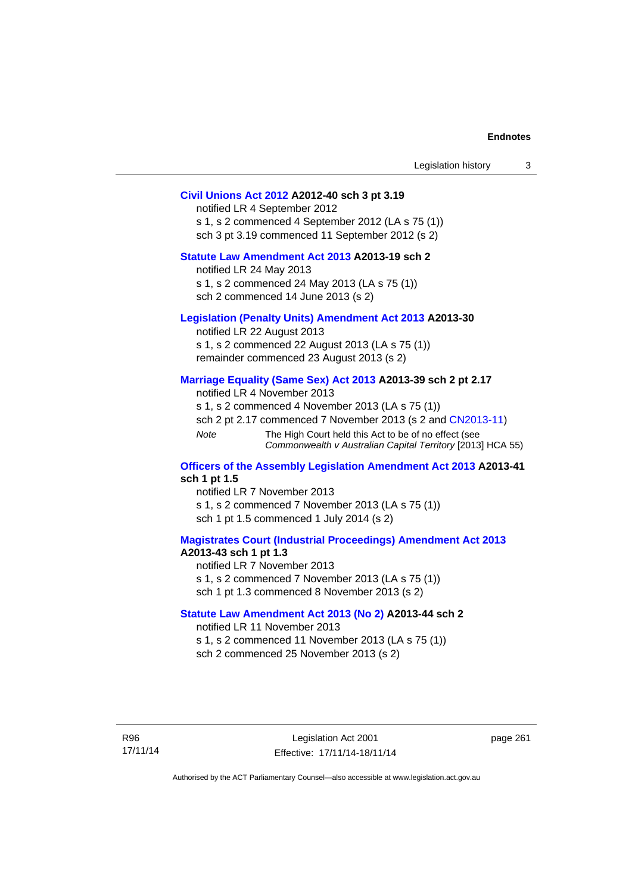| Legislation history |  |
|---------------------|--|
|---------------------|--|

## **[Civil Unions Act 2012](http://www.legislation.act.gov.au/a/2012-40) A2012-40 sch 3 pt 3.19**

notified LR 4 September 2012 s 1, s 2 commenced 4 September 2012 (LA s 75 (1)) sch 3 pt 3.19 commenced 11 September 2012 (s 2)

## **[Statute Law Amendment Act 2013](http://www.legislation.act.gov.au/a/2013-19) A2013-19 sch 2**

notified LR 24 May 2013 s 1, s 2 commenced 24 May 2013 (LA s 75 (1)) sch 2 commenced 14 June 2013 (s 2)

#### **[Legislation \(Penalty Units\) Amendment Act 2013](http://www.legislation.act.gov.au/a/2013-30) A2013-30**

notified LR 22 August 2013 s 1, s 2 commenced 22 August 2013 (LA s 75 (1)) remainder commenced 23 August 2013 (s 2)

#### **[Marriage Equality \(Same Sex\) Act 2013](http://www.legislation.act.gov.au/a/2013-39) A2013-39 sch 2 pt 2.17**

notified LR 4 November 2013 s 1, s 2 commenced 4 November 2013 (LA s 75 (1)) sch 2 pt 2.17 commenced 7 November 2013 (s 2 and [CN2013-11\)](http://www.legislation.act.gov.au/cn/2013-11) *Note* The High Court held this Act to be of no effect (see *Commonwealth v Australian Capital Territory* [2013] HCA 55)

#### **[Officers of the Assembly Legislation Amendment Act 2013](http://www.legislation.act.gov.au/a/2013-41) A2013-41 sch 1 pt 1.5**

notified LR 7 November 2013 s 1, s 2 commenced 7 November 2013 (LA s 75 (1)) sch 1 pt 1.5 commenced 1 July 2014 (s 2)

#### **[Magistrates Court \(Industrial Proceedings\) Amendment Act 2013](http://www.legislation.act.gov.au/a/2013-43) A2013-43 sch 1 pt 1.3**

notified LR 7 November 2013 s 1, s 2 commenced 7 November 2013 (LA s 75 (1)) sch 1 pt 1.3 commenced 8 November 2013 (s 2)

#### **[Statute Law Amendment Act 2013 \(No 2\)](http://www.legislation.act.gov.au/a/2013-44) A2013-44 sch 2**  notified LR 11 November 2013

s 1, s 2 commenced 11 November 2013 (LA s 75 (1))

sch 2 commenced 25 November 2013 (s 2)

page 261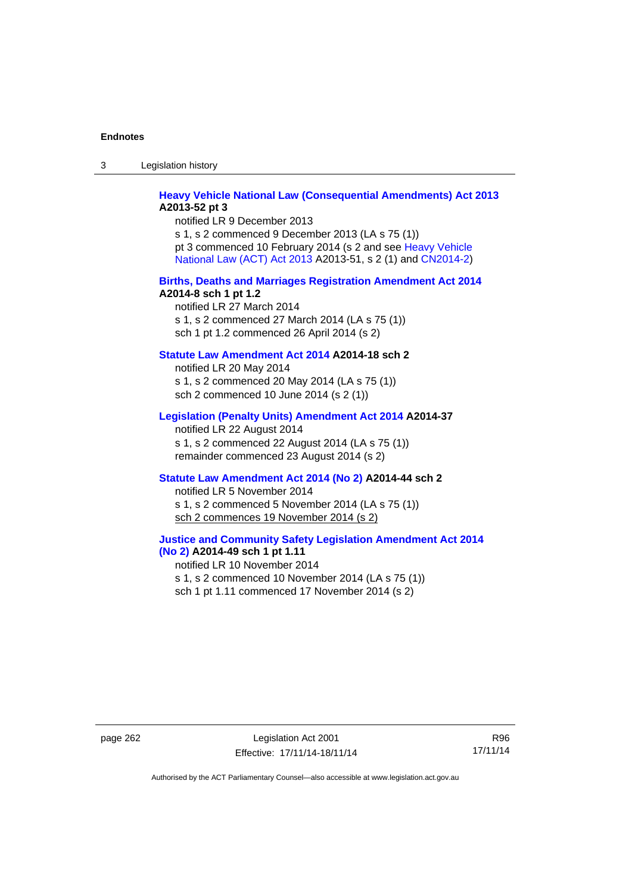3 Legislation history

## **[Heavy Vehicle National Law \(Consequential Amendments\) Act 2013](http://www.legislation.act.gov.au/a/2013-52) A2013-52 pt 3**

notified LR 9 December 2013 s 1, s 2 commenced 9 December 2013 (LA s 75 (1)) pt 3 commenced 10 February 2014 (s 2 and see [Heavy Vehicle](http://www.legislation.act.gov.au/a/2013-51/default.asp)  [National Law \(ACT\) Act 2013](http://www.legislation.act.gov.au/a/2013-51/default.asp) A2013-51, s 2 (1) and [CN2014-2](http://www.legislation.act.gov.au/cn/2014-2/default.asp))

#### **[Births, Deaths and Marriages Registration Amendment Act 2014](http://www.legislation.act.gov.au/a/2014-8) A2014-8 sch 1 pt 1.2**

notified LR 27 March 2014 s 1, s 2 commenced 27 March 2014 (LA s 75 (1)) sch 1 pt 1.2 commenced 26 April 2014 (s 2)

## **[Statute Law Amendment Act 2014](http://www.legislation.act.gov.au/a/2014-18) A2014-18 sch 2**

notified LR 20 May 2014 s 1, s 2 commenced 20 May 2014 (LA s 75 (1)) sch 2 commenced 10 June 2014 (s 2 (1))

#### **[Legislation \(Penalty Units\) Amendment Act 2014](http://www.legislation.act.gov.au/a/2014-37) A2014-37**

notified LR 22 August 2014 s 1, s 2 commenced 22 August 2014 (LA s 75 (1)) remainder commenced 23 August 2014 (s 2)

#### **[Statute Law Amendment Act 2014 \(No 2\)](http://www.legislation.act.gov.au/a/2014-44) A2014-44 sch 2**

notified LR 5 November 2014 s 1, s 2 commenced 5 November 2014 (LA s 75 (1)) sch 2 commences 19 November 2014 (s 2)

## **[Justice and Community Safety Legislation Amendment Act 2014](http://www.legislation.act.gov.au/a/2014-49)**

**[\(No 2\)](http://www.legislation.act.gov.au/a/2014-49) A2014-49 sch 1 pt 1.11**  notified LR 10 November 2014 s 1, s 2 commenced 10 November 2014 (LA s 75 (1)) sch 1 pt 1.11 commenced 17 November 2014 (s 2)

page 262 Legislation Act 2001 Effective: 17/11/14-18/11/14

R96 17/11/14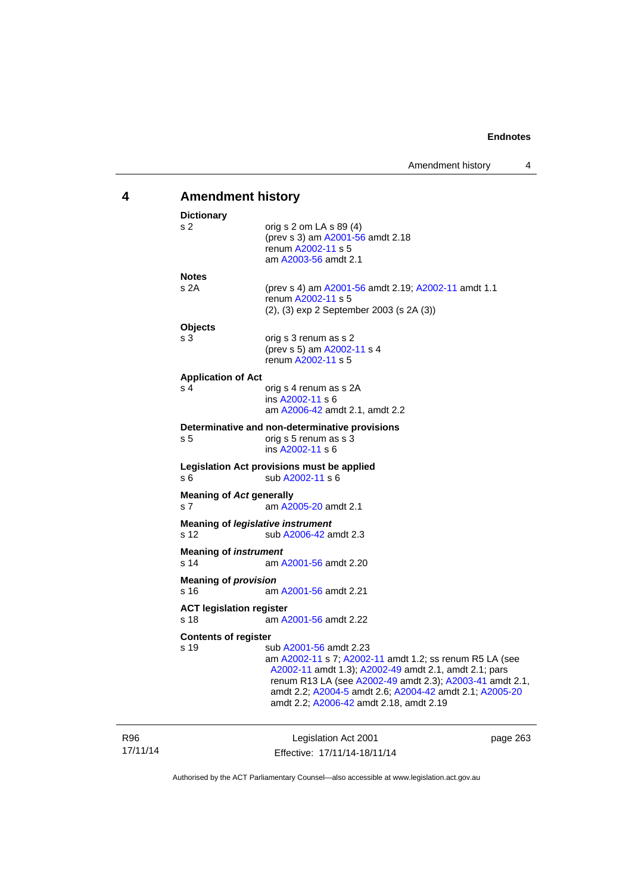# **4 Amendment history**

| <b>Dictionary</b>                       |                                                                                                                                                                                                                                                                                                              |
|-----------------------------------------|--------------------------------------------------------------------------------------------------------------------------------------------------------------------------------------------------------------------------------------------------------------------------------------------------------------|
| s 2                                     | orig s $2$ om LA s $89(4)$<br>(prev s 3) am A2001-56 amdt 2.18<br>renum A2002-11 s 5<br>am A2003-56 amdt 2.1                                                                                                                                                                                                 |
| <b>Notes</b>                            |                                                                                                                                                                                                                                                                                                              |
| s <sub>2A</sub>                         | (prev s 4) am A2001-56 amdt 2.19; A2002-11 amdt 1.1<br>renum A2002-11 s 5<br>(2), (3) exp 2 September 2003 (s 2A (3))                                                                                                                                                                                        |
| <b>Objects</b>                          |                                                                                                                                                                                                                                                                                                              |
| s <sub>3</sub>                          | orig s 3 renum as s 2<br>(prev s 5) am A2002-11 s 4<br>renum A2002-11 s 5                                                                                                                                                                                                                                    |
| <b>Application of Act</b>               |                                                                                                                                                                                                                                                                                                              |
| s 4                                     | orig s 4 renum as s 2A<br>ins A2002-11 s 6<br>am A2006-42 amdt 2.1, amdt 2.2                                                                                                                                                                                                                                 |
| s 5                                     | Determinative and non-determinative provisions<br>orig s 5 renum as s 3<br>ins A2002-11 s 6                                                                                                                                                                                                                  |
| s 6                                     | Legislation Act provisions must be applied<br>sub A2002-11 s 6                                                                                                                                                                                                                                               |
| <b>Meaning of Act generally</b><br>s 7  | am A2005-20 amdt 2.1                                                                                                                                                                                                                                                                                         |
| s 12                                    | <b>Meaning of legislative instrument</b><br>sub A2006-42 amdt 2.3                                                                                                                                                                                                                                            |
| <b>Meaning of instrument</b><br>s 14    | am A2001-56 amdt 2.20                                                                                                                                                                                                                                                                                        |
| <b>Meaning of provision</b><br>s 16     | am A2001-56 amdt 2.21                                                                                                                                                                                                                                                                                        |
| <b>ACT legislation register</b><br>s 18 | am A2001-56 amdt 2.22                                                                                                                                                                                                                                                                                        |
| <b>Contents of register</b>             |                                                                                                                                                                                                                                                                                                              |
| s <sub>19</sub>                         | sub A2001-56 amdt 2.23<br>am A2002-11 s 7; A2002-11 amdt 1.2; ss renum R5 LA (see<br>A2002-11 amdt 1.3); A2002-49 amdt 2.1, amdt 2.1; pars<br>renum R13 LA (see A2002-49 amdt 2.3); A2003-41 amdt 2.1,<br>amdt 2.2; A2004-5 amdt 2.6; A2004-42 amdt 2.1; A2005-20<br>amdt 2.2; A2006-42 amdt 2.18, amdt 2.19 |
|                                         |                                                                                                                                                                                                                                                                                                              |

17/11/14

R96

Legislation Act 2001 Effective: 17/11/14-18/11/14 page 263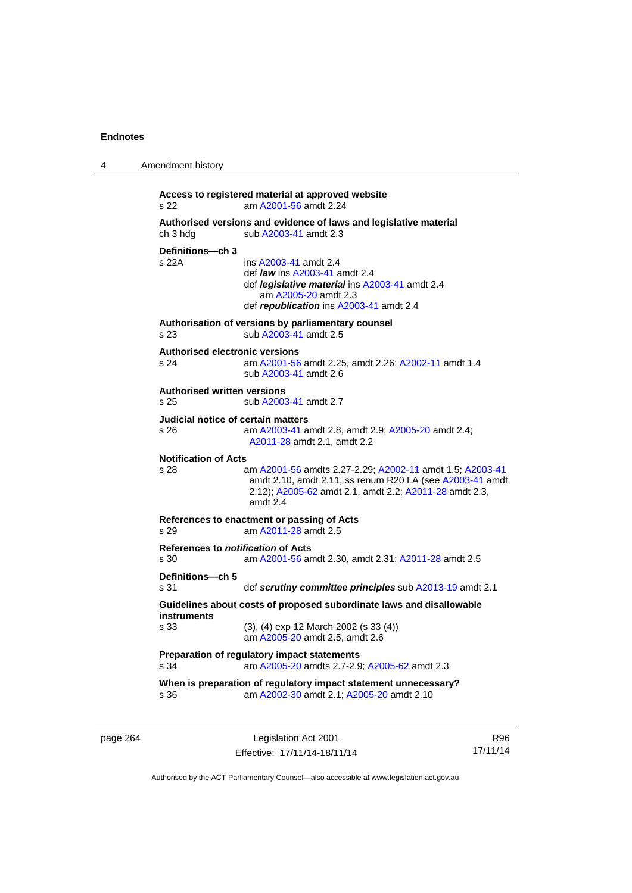4 Amendment history

| s 22                                              | Access to registered material at approved website<br>am A2001-56 amdt 2.24                                                                                                                   |
|---------------------------------------------------|----------------------------------------------------------------------------------------------------------------------------------------------------------------------------------------------|
| ch 3 hdg                                          | Authorised versions and evidence of laws and legislative material<br>sub A2003-41 amdt 2.3                                                                                                   |
| Definitions-ch 3<br>s 22A                         | ins A2003-41 amdt 2.4<br>def <i>law</i> ins A2003-41 amdt 2.4<br>def <i>legislative material</i> ins A2003-41 amdt 2.4<br>am A2005-20 amdt 2.3<br>def republication ins A2003-41 amdt 2.4    |
| s 23                                              | Authorisation of versions by parliamentary counsel<br>sub A2003-41 amdt 2.5                                                                                                                  |
| <b>Authorised electronic versions</b><br>s 24     | am A2001-56 amdt 2.25, amdt 2.26; A2002-11 amdt 1.4<br>sub A2003-41 amdt 2.6                                                                                                                 |
| <b>Authorised written versions</b><br>s 25        | sub A2003-41 amdt 2.7                                                                                                                                                                        |
| Judicial notice of certain matters<br>s 26        | am A2003-41 amdt 2.8, amdt 2.9; A2005-20 amdt 2.4;<br>A2011-28 amdt 2.1, amdt 2.2                                                                                                            |
| <b>Notification of Acts</b><br>s 28               | am A2001-56 amdts 2.27-2.29; A2002-11 amdt 1.5; A2003-41<br>amdt 2.10, amdt 2.11; ss renum R20 LA (see A2003-41 amdt<br>2.12); A2005-62 amdt 2.1, amdt 2.2; A2011-28 amdt 2.3,<br>amdt $2.4$ |
| s 29                                              | References to enactment or passing of Acts<br>am A2011-28 amdt 2.5                                                                                                                           |
| References to <i>notification</i> of Acts<br>s 30 | am A2001-56 amdt 2.30, amdt 2.31; A2011-28 amdt 2.5                                                                                                                                          |
| Definitions-ch 5<br>s 31                          | def scrutiny committee principles sub A2013-19 amdt 2.1                                                                                                                                      |
| instruments                                       | Guidelines about costs of proposed subordinate laws and disallowable                                                                                                                         |
| s 33                                              | $(3)$ , $(4)$ exp 12 March 2002 (s 33 $(4)$ )<br>am A2005-20 amdt 2.5, amdt 2.6                                                                                                              |
| s 34                                              | Preparation of regulatory impact statements<br>am A2005-20 amdts 2.7-2.9; A2005-62 amdt 2.3                                                                                                  |
| s 36                                              | When is preparation of regulatory impact statement unnecessary?<br>am A2002-30 amdt 2.1; A2005-20 amdt 2.10                                                                                  |

page 264 Legislation Act 2001 Effective: 17/11/14-18/11/14

R96 17/11/14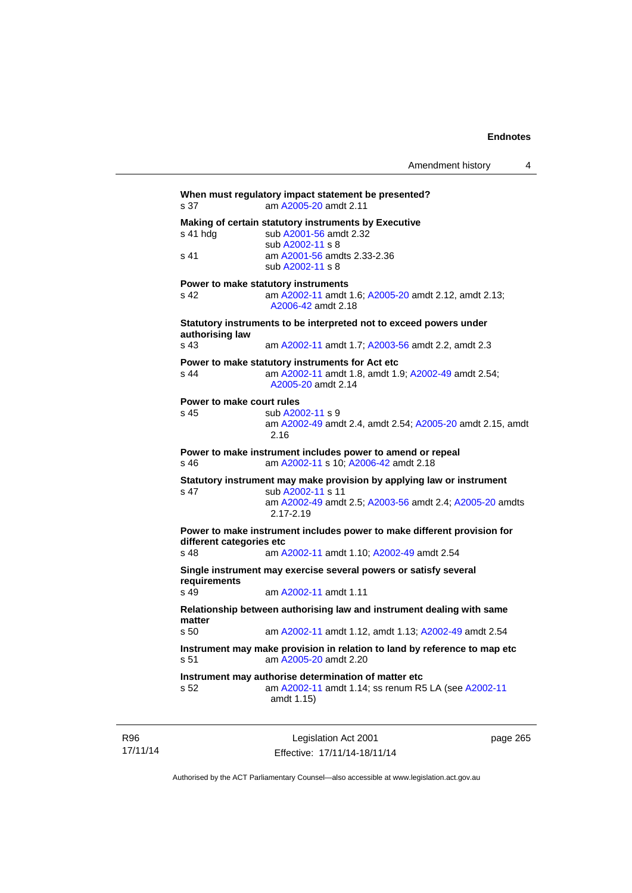| s 37                      | When must regulatory impact statement be presented?<br>am A2005-20 amdt 2.11                                                 |
|---------------------------|------------------------------------------------------------------------------------------------------------------------------|
| s 41 hdg                  | Making of certain statutory instruments by Executive<br>sub A2001-56 amdt 2.32<br>sub A2002-11 s 8                           |
| s 41                      | am A2001-56 amdts 2.33-2.36<br>sub A2002-11 s 8                                                                              |
|                           | Power to make statutory instruments                                                                                          |
| s 42                      | am A2002-11 amdt 1.6; A2005-20 amdt 2.12, amdt 2.13;<br>A2006-42 amdt 2.18                                                   |
| authorising law           | Statutory instruments to be interpreted not to exceed powers under                                                           |
| s 43                      | am A2002-11 amdt 1.7; A2003-56 amdt 2.2, amdt 2.3                                                                            |
| s <sub>44</sub>           | Power to make statutory instruments for Act etc<br>am A2002-11 amdt 1.8, amdt 1.9; A2002-49 amdt 2.54;<br>A2005-20 amdt 2.14 |
| Power to make court rules |                                                                                                                              |
| s 45                      | sub A2002-11 s 9<br>am A2002-49 amdt 2.4, amdt 2.54; A2005-20 amdt 2.15, amdt<br>2.16                                        |
| s 46                      | Power to make instrument includes power to amend or repeal<br>am A2002-11 s 10; A2006-42 amdt 2.18                           |
| s 47                      | Statutory instrument may make provision by applying law or instrument<br>sub A2002-11 s 11                                   |
|                           | am A2002-49 amdt 2.5; A2003-56 amdt 2.4; A2005-20 amdts<br>$2.17 - 2.19$                                                     |
| different categories etc  | Power to make instrument includes power to make different provision for                                                      |
| s <sub>48</sub>           | am A2002-11 amdt 1.10; A2002-49 amdt 2.54                                                                                    |
| requirements              | Single instrument may exercise several powers or satisfy several                                                             |
| s 49                      | am A2002-11 amdt 1.11                                                                                                        |
| matter                    | Relationship between authorising law and instrument dealing with same                                                        |
| s <sub>50</sub>           | am A2002-11 amdt 1.12, amdt 1.13; A2002-49 amdt 2.54                                                                         |
| s 51                      | Instrument may make provision in relation to land by reference to map etc<br>am A2005-20 amdt 2.20                           |
| s <sub>52</sub>           | Instrument may authorise determination of matter etc<br>am A2002-11 amdt 1.14; ss renum R5 LA (see A2002-11<br>amdt 1.15)    |
|                           |                                                                                                                              |

R96 17/11/14

Legislation Act 2001 Effective: 17/11/14-18/11/14 page 265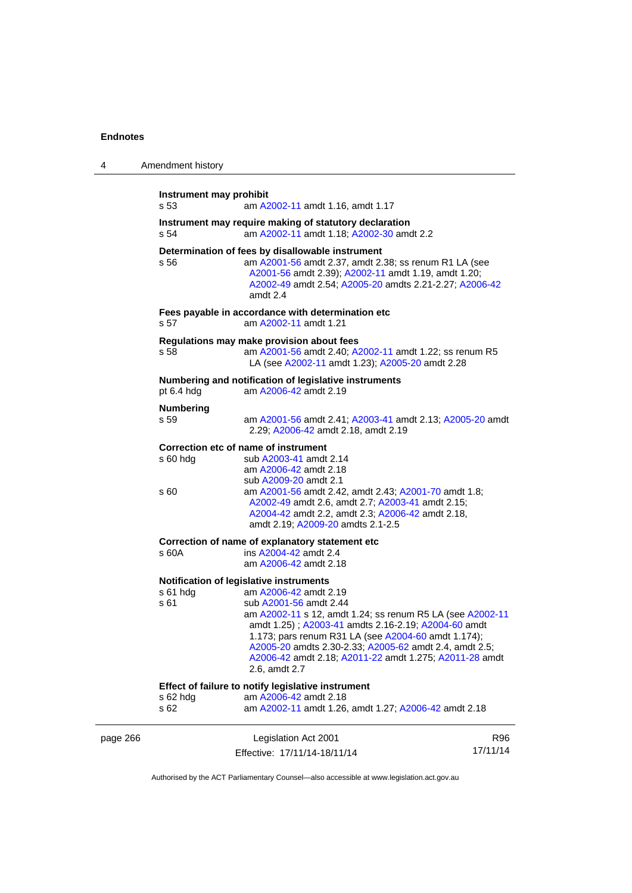| 4        | Amendment history                                                                                                                                       |                                                                                                                                                                                                                                                                                                                                                                 |                 |  |
|----------|---------------------------------------------------------------------------------------------------------------------------------------------------------|-----------------------------------------------------------------------------------------------------------------------------------------------------------------------------------------------------------------------------------------------------------------------------------------------------------------------------------------------------------------|-----------------|--|
|          | Instrument may prohibit<br>s 53                                                                                                                         | am A2002-11 amdt 1.16, amdt 1.17                                                                                                                                                                                                                                                                                                                                |                 |  |
|          | s 54                                                                                                                                                    | Instrument may require making of statutory declaration<br>am A2002-11 amdt 1.18; A2002-30 amdt 2.2                                                                                                                                                                                                                                                              |                 |  |
|          | s 56                                                                                                                                                    | Determination of fees by disallowable instrument<br>am A2001-56 amdt 2.37, amdt 2.38; ss renum R1 LA (see<br>A2001-56 amdt 2.39); A2002-11 amdt 1.19, amdt 1.20;<br>A2002-49 amdt 2.54; A2005-20 amdts 2.21-2.27; A2006-42<br>amdt 2.4                                                                                                                          |                 |  |
|          | s 57                                                                                                                                                    | Fees payable in accordance with determination etc<br>am A2002-11 amdt 1.21                                                                                                                                                                                                                                                                                      |                 |  |
|          | Regulations may make provision about fees<br>s 58                                                                                                       | am A2001-56 amdt 2.40; A2002-11 amdt 1.22; ss renum R5<br>LA (see A2002-11 amdt 1.23); A2005-20 amdt 2.28                                                                                                                                                                                                                                                       |                 |  |
|          | pt 6.4 hdg                                                                                                                                              | Numbering and notification of legislative instruments<br>am A2006-42 amdt 2.19                                                                                                                                                                                                                                                                                  |                 |  |
|          | <b>Numbering</b><br>s 59                                                                                                                                | am A2001-56 amdt 2.41; A2003-41 amdt 2.13; A2005-20 amdt<br>2.29; A2006-42 amdt 2.18, amdt 2.19                                                                                                                                                                                                                                                                 |                 |  |
|          | Correction etc of name of instrument<br>$s60h$ dg<br>s 60                                                                                               | sub A2003-41 amdt 2.14<br>am A2006-42 amdt 2.18<br>sub A2009-20 amdt 2.1<br>am A2001-56 amdt 2.42, amdt 2.43; A2001-70 amdt 1.8;<br>A2002-49 amdt 2.6, amdt 2.7; A2003-41 amdt 2.15;<br>A2004-42 amdt 2.2, amdt 2.3; A2006-42 amdt 2.18,                                                                                                                        |                 |  |
|          | s 60A                                                                                                                                                   | amdt 2.19; A2009-20 amdts 2.1-2.5<br>Correction of name of explanatory statement etc<br>ins A2004-42 amdt 2.4<br>am A2006-42 amdt 2.18                                                                                                                                                                                                                          |                 |  |
|          | Notification of legislative instruments<br>s 61 hdg<br>s 61                                                                                             | am A2006-42 amdt 2.19<br>sub A2001-56 amdt 2.44<br>am A2002-11 s 12, amdt 1.24; ss renum R5 LA (see A2002-11<br>amdt 1.25); A2003-41 amdts 2.16-2.19; A2004-60 amdt<br>1.173; pars renum R31 LA (see A2004-60 amdt 1.174);<br>A2005-20 amdts 2.30-2.33; A2005-62 amdt 2.4, amdt 2.5;<br>A2006-42 amdt 2.18; A2011-22 amdt 1.275; A2011-28 amdt<br>2.6, amdt 2.7 |                 |  |
|          | Effect of failure to notify legislative instrument<br>am A2006-42 amdt 2.18<br>s 62 hdg<br>s 62<br>am A2002-11 amdt 1.26, amdt 1.27; A2006-42 amdt 2.18 |                                                                                                                                                                                                                                                                                                                                                                 |                 |  |
| page 266 |                                                                                                                                                         | Legislation Act 2001<br>Effective: 17/11/14-18/11/14                                                                                                                                                                                                                                                                                                            | R96<br>17/11/14 |  |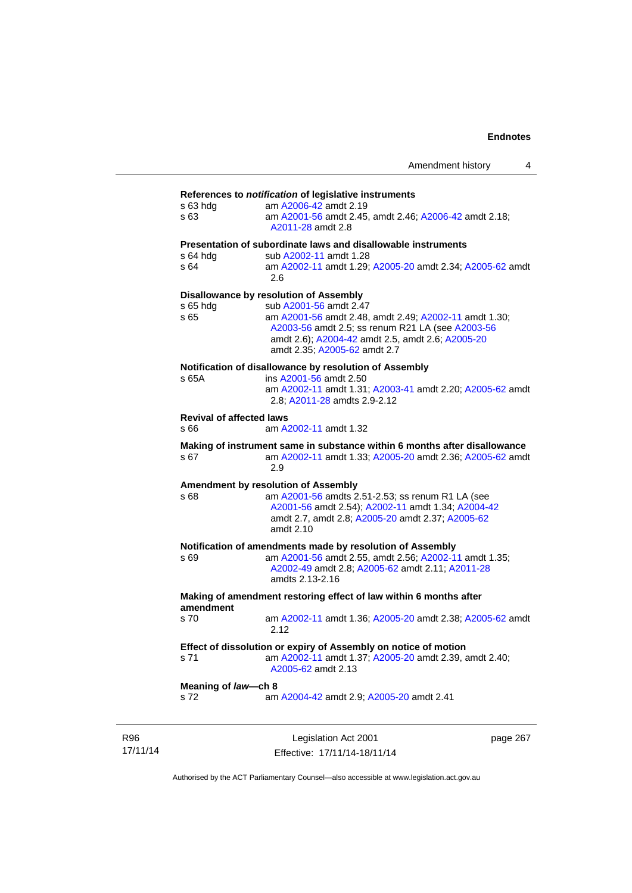#### **References to** *notification* **of legislative instruments**

| s 63 hdg<br>s 63                                                | am A2006-42 amdt 2.19<br>am A2001-56 amdt 2.45, amdt 2.46; A2006-42 amdt 2.18;<br>A2011-28 amdt 2.8 |  |  |  |
|-----------------------------------------------------------------|-----------------------------------------------------------------------------------------------------|--|--|--|
|                                                                 | Presentation of subordinate laws and disallowable instruments                                       |  |  |  |
| s 64 hdg                                                        | sub A2002-11 amdt 1.28                                                                              |  |  |  |
| s 64                                                            | am A2002-11 amdt 1.29; A2005-20 amdt 2.34; A2005-62 amdt<br>2.6                                     |  |  |  |
|                                                                 | Disallowance by resolution of Assembly                                                              |  |  |  |
| s 65 hdg                                                        | sub A2001-56 amdt 2.47                                                                              |  |  |  |
| s 65                                                            | am A2001-56 amdt 2.48, amdt 2.49; A2002-11 amdt 1.30;                                               |  |  |  |
|                                                                 | A2003-56 amdt 2.5; ss renum R21 LA (see A2003-56                                                    |  |  |  |
|                                                                 | amdt 2.6); A2004-42 amdt 2.5, amdt 2.6; A2005-20<br>amdt 2.35; A2005-62 amdt 2.7                    |  |  |  |
|                                                                 |                                                                                                     |  |  |  |
|                                                                 | Notification of disallowance by resolution of Assembly                                              |  |  |  |
| s 65A                                                           | ins A2001-56 amdt 2.50<br>am A2002-11 amdt 1.31; A2003-41 amdt 2.20; A2005-62 amdt                  |  |  |  |
|                                                                 | 2.8; A2011-28 amdts 2.9-2.12                                                                        |  |  |  |
| <b>Revival of affected laws</b>                                 |                                                                                                     |  |  |  |
| s 66                                                            | am A2002-11 amdt 1.32                                                                               |  |  |  |
|                                                                 | Making of instrument same in substance within 6 months after disallowance                           |  |  |  |
| s 67                                                            | am A2002-11 amdt 1.33; A2005-20 amdt 2.36; A2005-62 amdt                                            |  |  |  |
|                                                                 | 2.9                                                                                                 |  |  |  |
|                                                                 | Amendment by resolution of Assembly                                                                 |  |  |  |
| s 68                                                            | am A2001-56 amdts 2.51-2.53; ss renum R1 LA (see                                                    |  |  |  |
|                                                                 | A2001-56 amdt 2.54); A2002-11 amdt 1.34; A2004-42                                                   |  |  |  |
|                                                                 | amdt 2.7, amdt 2.8; A2005-20 amdt 2.37; A2005-62                                                    |  |  |  |
|                                                                 | amdt 2.10                                                                                           |  |  |  |
|                                                                 | Notification of amendments made by resolution of Assembly                                           |  |  |  |
| s 69                                                            | am A2001-56 amdt 2.55, amdt 2.56; A2002-11 amdt 1.35;                                               |  |  |  |
|                                                                 | A2002-49 amdt 2.8; A2005-62 amdt 2.11; A2011-28<br>amdts 2.13-2.16                                  |  |  |  |
|                                                                 |                                                                                                     |  |  |  |
| amendment                                                       | Making of amendment restoring effect of law within 6 months after                                   |  |  |  |
| s 70                                                            | am A2002-11 amdt 1.36; A2005-20 amdt 2.38; A2005-62 amdt                                            |  |  |  |
|                                                                 | 2.12                                                                                                |  |  |  |
| Effect of dissolution or expiry of Assembly on notice of motion |                                                                                                     |  |  |  |
| s 71                                                            | am A2002-11 amdt 1.37; A2005-20 amdt 2.39, amdt 2.40;                                               |  |  |  |
|                                                                 | A2005-62 amdt 2.13                                                                                  |  |  |  |
| Meaning of law-ch 8                                             |                                                                                                     |  |  |  |
| s 72                                                            | am A2004-42 amdt 2.9; A2005-20 amdt 2.41                                                            |  |  |  |
|                                                                 |                                                                                                     |  |  |  |

R96 17/11/14

Legislation Act 2001 Effective: 17/11/14-18/11/14 page 267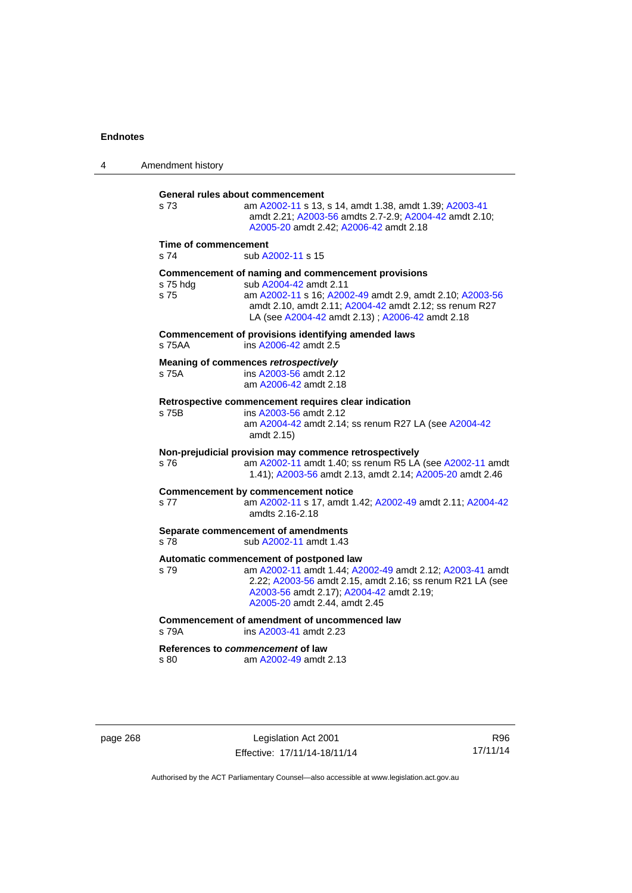| 4 | Amendment history                                                                                                                                                                                                                                                         |  |  |
|---|---------------------------------------------------------------------------------------------------------------------------------------------------------------------------------------------------------------------------------------------------------------------------|--|--|
|   | General rules about commencement<br>s 73<br>am A2002-11 s 13, s 14, amdt 1.38, amdt 1.39; A2003-41<br>amdt 2.21; A2003-56 amdts 2.7-2.9; A2004-42 amdt 2.10;<br>A2005-20 amdt 2.42; A2006-42 amdt 2.18                                                                    |  |  |
|   | Time of commencement<br>s 74<br>sub A2002-11 s 15                                                                                                                                                                                                                         |  |  |
|   | Commencement of naming and commencement provisions<br>sub A2004-42 amdt 2.11<br>s 75 hdg<br>s 75<br>am A2002-11 s 16; A2002-49 amdt 2.9, amdt 2.10; A2003-56<br>amdt 2.10, amdt 2.11; A2004-42 amdt 2.12; ss renum R27<br>LA (see A2004-42 amdt 2.13); A2006-42 amdt 2.18 |  |  |
|   | Commencement of provisions identifying amended laws<br>ins A2006-42 amdt 2.5<br>s 75AA                                                                                                                                                                                    |  |  |
|   | Meaning of commences retrospectively<br>ins A2003-56 amdt 2.12<br>s 75A<br>am A2006-42 amdt 2.18                                                                                                                                                                          |  |  |
|   | Retrospective commencement requires clear indication<br>s 75B<br>ins A2003-56 amdt 2.12<br>am A2004-42 amdt 2.14; ss renum R27 LA (see A2004-42<br>amdt 2.15)                                                                                                             |  |  |
|   | Non-prejudicial provision may commence retrospectively<br>am A2002-11 amdt 1.40; ss renum R5 LA (see A2002-11 amdt<br>s 76<br>1.41); A2003-56 amdt 2.13, amdt 2.14; A2005-20 amdt 2.46                                                                                    |  |  |
|   | <b>Commencement by commencement notice</b><br>am A2002-11 s 17, amdt 1.42; A2002-49 amdt 2.11; A2004-42<br>s 77<br>amdts 2.16-2.18                                                                                                                                        |  |  |
|   | Separate commencement of amendments<br>sub A2002-11 amdt 1.43<br>s 78                                                                                                                                                                                                     |  |  |
|   | Automatic commencement of postponed law<br>am A2002-11 amdt 1.44; A2002-49 amdt 2.12; A2003-41 amdt<br>s 79<br>2.22; A2003-56 amdt 2.15, amdt 2.16; ss renum R21 LA (see<br>A2003-56 amdt 2.17); A2004-42 amdt 2.19;<br>A2005-20 amdt 2.44, amdt 2.45                     |  |  |
|   | Commencement of amendment of uncommenced law<br>s 79A<br>ins A2003-41 amdt 2.23                                                                                                                                                                                           |  |  |
|   | References to commencement of law<br>s 80<br>am A2002-49 amdt 2.13                                                                                                                                                                                                        |  |  |

page 268 Legislation Act 2001 Effective: 17/11/14-18/11/14

R96 17/11/14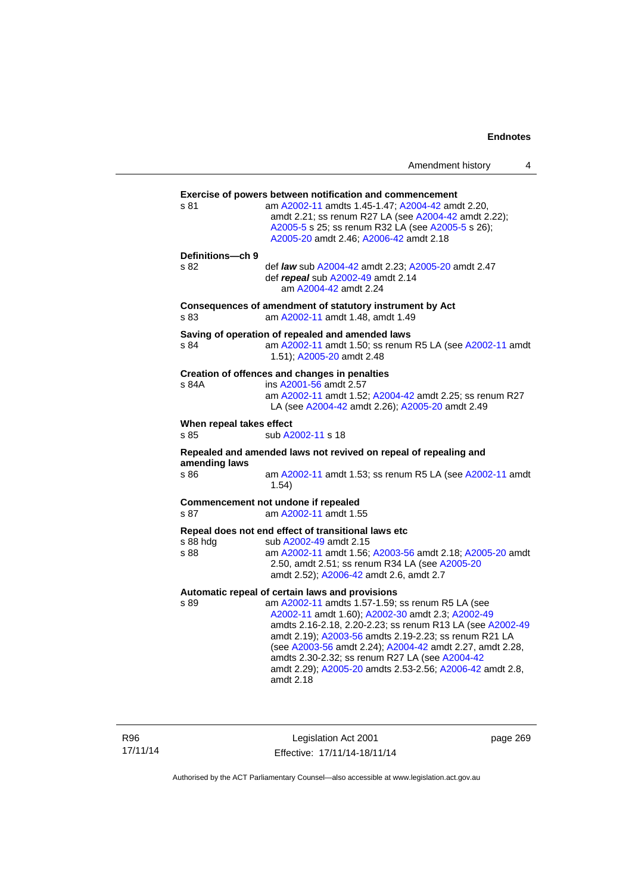Amendment history 4

| s 81                             | am A2002-11 amdts 1.45-1.47; A2004-42 amdt 2.20,<br>amdt 2.21; ss renum R27 LA (see A2004-42 amdt 2.22);<br>A2005-5 s 25; ss renum R32 LA (see A2005-5 s 26);<br>A2005-20 amdt 2.46; A2006-42 amdt 2.18                                                                                                                                                                                                                                                              |
|----------------------------------|----------------------------------------------------------------------------------------------------------------------------------------------------------------------------------------------------------------------------------------------------------------------------------------------------------------------------------------------------------------------------------------------------------------------------------------------------------------------|
| Definitions-ch 9<br>s 82         | def law sub A2004-42 amdt 2.23; A2005-20 amdt 2.47<br>def repeal sub A2002-49 amdt 2.14<br>am A2004-42 amdt 2.24                                                                                                                                                                                                                                                                                                                                                     |
| s 83                             | Consequences of amendment of statutory instrument by Act<br>am A2002-11 amdt 1.48, amdt 1.49                                                                                                                                                                                                                                                                                                                                                                         |
| s 84                             | Saving of operation of repealed and amended laws<br>am A2002-11 amdt 1.50; ss renum R5 LA (see A2002-11 amdt<br>1.51); A2005-20 amdt 2.48                                                                                                                                                                                                                                                                                                                            |
| s 84A                            | Creation of offences and changes in penalties<br>ins A2001-56 amdt 2.57<br>am A2002-11 amdt 1.52; A2004-42 amdt 2.25; ss renum R27<br>LA (see A2004-42 amdt 2.26); A2005-20 amdt 2.49                                                                                                                                                                                                                                                                                |
| When repeal takes effect<br>s.85 | sub A2002-11 s 18                                                                                                                                                                                                                                                                                                                                                                                                                                                    |
|                                  | Repealed and amended laws not revived on repeal of repealing and                                                                                                                                                                                                                                                                                                                                                                                                     |
| amending laws<br>s 86            | am A2002-11 amdt 1.53; ss renum R5 LA (see A2002-11 amdt<br>1.54)                                                                                                                                                                                                                                                                                                                                                                                                    |
| s 87                             | Commencement not undone if repealed<br>am A2002-11 amdt 1.55                                                                                                                                                                                                                                                                                                                                                                                                         |
| s 88 hdg<br>s 88                 | Repeal does not end effect of transitional laws etc<br>sub A2002-49 amdt 2.15<br>am A2002-11 amdt 1.56; A2003-56 amdt 2.18; A2005-20 amdt<br>2.50, amdt 2.51; ss renum R34 LA (see A2005-20<br>amdt 2.52); A2006-42 amdt 2.6, amdt 2.7                                                                                                                                                                                                                               |
| s 89                             | Automatic repeal of certain laws and provisions<br>am A2002-11 amdts 1.57-1.59; ss renum R5 LA (see<br>A2002-11 amdt 1.60); A2002-30 amdt 2.3; A2002-49<br>amdts 2.16-2.18, 2.20-2.23; ss renum R13 LA (see A2002-49<br>amdt 2.19); A2003-56 amdts 2.19-2.23; ss renum R21 LA<br>(see A2003-56 amdt 2.24); A2004-42 amdt 2.27, amdt 2.28,<br>amdts 2.30-2.32; ss renum R27 LA (see A2004-42<br>amdt 2.29); A2005-20 amdts 2.53-2.56; A2006-42 amdt 2.8,<br>amdt 2.18 |

R96 17/11/14

Legislation Act 2001 Effective: 17/11/14-18/11/14 page 269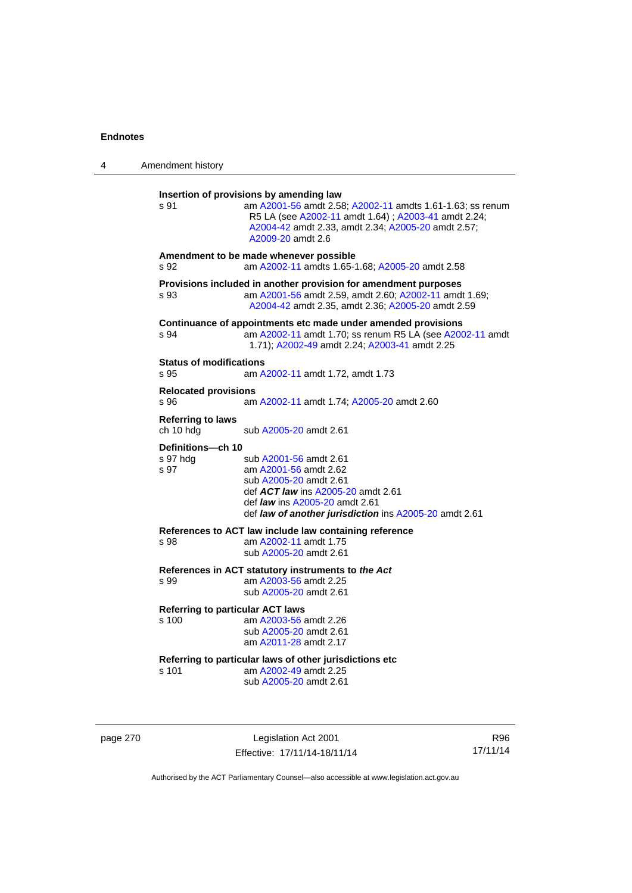| 4 | Amendment history                                |                                                                                                                                                                                                                                         |  |
|---|--------------------------------------------------|-----------------------------------------------------------------------------------------------------------------------------------------------------------------------------------------------------------------------------------------|--|
|   | s 91                                             | Insertion of provisions by amending law<br>am A2001-56 amdt 2.58; A2002-11 amdts 1.61-1.63; ss renum<br>R5 LA (see A2002-11 amdt 1.64) ; A2003-41 amdt 2.24;<br>A2004-42 amdt 2.33, amdt 2.34; A2005-20 amdt 2.57;<br>A2009-20 amdt 2.6 |  |
|   | s 92                                             | Amendment to be made whenever possible<br>am A2002-11 amdts 1.65-1.68; A2005-20 amdt 2.58                                                                                                                                               |  |
|   | s 93                                             | Provisions included in another provision for amendment purposes<br>am A2001-56 amdt 2.59, amdt 2.60; A2002-11 amdt 1.69;<br>A2004-42 amdt 2.35, amdt 2.36; A2005-20 amdt 2.59                                                           |  |
|   | s 94                                             | Continuance of appointments etc made under amended provisions<br>am A2002-11 amdt 1.70; ss renum R5 LA (see A2002-11 amdt<br>1.71); A2002-49 amdt 2.24; A2003-41 amdt 2.25                                                              |  |
|   | <b>Status of modifications</b><br>s 95           | am A2002-11 amdt 1.72, amdt 1.73                                                                                                                                                                                                        |  |
|   | <b>Relocated provisions</b><br>s 96              | am A2002-11 amdt 1.74; A2005-20 amdt 2.60                                                                                                                                                                                               |  |
|   | <b>Referring to laws</b><br>ch 10 hdg            | sub A2005-20 amdt 2.61                                                                                                                                                                                                                  |  |
|   | Definitions-ch 10<br>s 97 hdg<br>s 97            | sub A2001-56 amdt 2.61<br>am A2001-56 amdt 2.62<br>sub A2005-20 amdt 2.61<br>def ACT law ins A2005-20 amdt 2.61<br>def <i>law</i> ins A2005-20 amdt 2.61<br>def law of another jurisdiction ins A2005-20 amdt 2.61                      |  |
|   | s 98                                             | References to ACT law include law containing reference<br>am A2002-11 amdt 1.75<br>sub A2005-20 amdt 2.61                                                                                                                               |  |
|   | s 99                                             | References in ACT statutory instruments to the Act<br>am A2003-56 amdt 2.25<br>sub A2005-20 amdt 2.61                                                                                                                                   |  |
|   | <b>Referring to particular ACT laws</b><br>s 100 | am A2003-56 amdt 2.26<br>sub A2005-20 amdt 2.61<br>am A2011-28 amdt 2.17                                                                                                                                                                |  |
|   | s 101                                            | Referring to particular laws of other jurisdictions etc<br>am A2002-49 amdt 2.25<br>sub A2005-20 amdt 2.61                                                                                                                              |  |

page 270 **Legislation Act 2001** Effective: 17/11/14-18/11/14

R96 17/11/14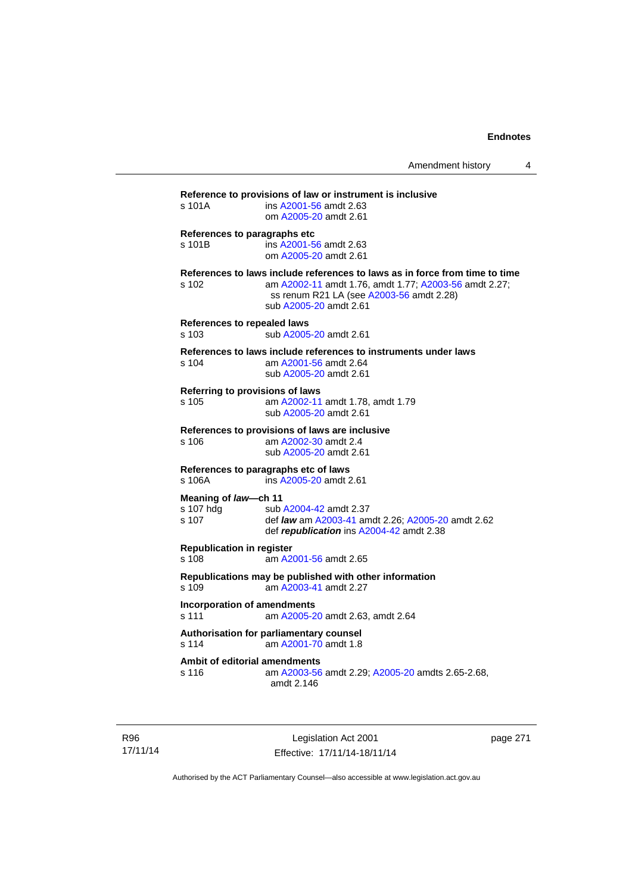| s 101A                                      | ins A2001-56 amdt 2.63<br>om A2005-20 amdt 2.61                                                                                                                                                            |
|---------------------------------------------|------------------------------------------------------------------------------------------------------------------------------------------------------------------------------------------------------------|
| References to paragraphs etc<br>s 101B      | ins A2001-56 amdt 2.63<br>om A2005-20 amdt 2.61                                                                                                                                                            |
| s 102                                       | References to laws include references to laws as in force from time to time<br>am A2002-11 amdt 1.76, amdt 1.77; A2003-56 amdt 2.27;<br>ss renum R21 LA (see A2003-56 amdt 2.28)<br>sub A2005-20 amdt 2.61 |
| <b>References to repealed laws</b><br>s 103 | sub A2005-20 amdt 2.61                                                                                                                                                                                     |
| s 104                                       | References to laws include references to instruments under laws<br>am A2001-56 amdt 2.64<br>sub A2005-20 amdt 2.61                                                                                         |
| s 105                                       | Referring to provisions of laws<br>am A2002-11 amdt 1.78, amdt 1.79<br>sub A2005-20 amdt 2.61                                                                                                              |
| s 106                                       | References to provisions of laws are inclusive<br>am A2002-30 amdt 2.4<br>sub A2005-20 amdt 2.61                                                                                                           |
| s 106A                                      | References to paragraphs etc of laws<br>ins A2005-20 amdt 2.61                                                                                                                                             |
| Meaning of law-ch 11<br>s 107 hdg<br>s 107  | sub A2004-42 amdt 2.37<br>def law am A2003-41 amdt 2.26; A2005-20 amdt 2.62<br>def republication ins A2004-42 amdt 2.38                                                                                    |
| <b>Republication in register</b><br>s 108   | am A2001-56 amdt 2.65                                                                                                                                                                                      |
| s 109                                       | Republications may be published with other information<br>am A2003-41 amdt 2.27                                                                                                                            |
| <b>Incorporation of amendments</b><br>s 111 | am A2005-20 amdt 2.63, amdt 2.64                                                                                                                                                                           |
| s 114                                       | Authorisation for parliamentary counsel<br>am A2001-70 amdt 1.8                                                                                                                                            |
| s 116                                       | Ambit of editorial amendments<br>am A2003-56 amdt 2.29; A2005-20 amdts 2.65-2.68,                                                                                                                          |

R96 17/11/14

Legislation Act 2001 Effective: 17/11/14-18/11/14 page 271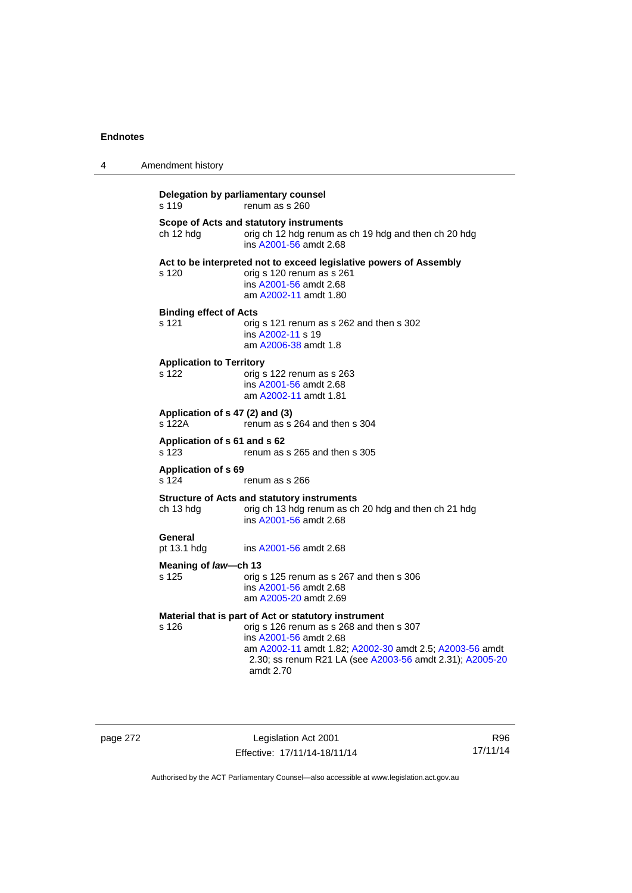| 4 | Amendment history                                              |                                                                                                                                                                                                                                                                |  |  |
|---|----------------------------------------------------------------|----------------------------------------------------------------------------------------------------------------------------------------------------------------------------------------------------------------------------------------------------------------|--|--|
|   | Delegation by parliamentary counsel<br>s 119<br>renum as s 260 |                                                                                                                                                                                                                                                                |  |  |
|   | ch 12 hdg                                                      | Scope of Acts and statutory instruments<br>orig ch 12 hdg renum as ch 19 hdg and then ch 20 hdg<br>ins A2001-56 amdt 2.68                                                                                                                                      |  |  |
|   | s 120                                                          | Act to be interpreted not to exceed legislative powers of Assembly<br>orig s 120 renum as s 261<br>ins A2001-56 amdt 2.68<br>am A2002-11 amdt 1.80                                                                                                             |  |  |
|   | <b>Binding effect of Acts</b><br>s 121                         | orig s 121 renum as s 262 and then s 302<br>ins A2002-11 s 19<br>am A2006-38 amdt 1.8                                                                                                                                                                          |  |  |
|   | <b>Application to Territory</b><br>s 122                       | orig s 122 renum as s 263<br>ins A2001-56 amdt 2.68<br>am A2002-11 amdt 1.81                                                                                                                                                                                   |  |  |
|   | Application of s 47 (2) and (3)<br>s 122A                      | renum as s 264 and then s 304                                                                                                                                                                                                                                  |  |  |
|   | Application of s 61 and s 62<br>s 123                          | renum as s 265 and then s 305                                                                                                                                                                                                                                  |  |  |
|   | <b>Application of s 69</b><br>s 124                            | renum as s 266                                                                                                                                                                                                                                                 |  |  |
|   | ch 13 hdg                                                      | <b>Structure of Acts and statutory instruments</b><br>orig ch 13 hdg renum as ch 20 hdg and then ch 21 hdg<br>ins A2001-56 amdt 2.68                                                                                                                           |  |  |
|   | General<br>pt 13.1 hdg                                         | ins A2001-56 amdt 2.68                                                                                                                                                                                                                                         |  |  |
|   | Meaning of law-ch 13                                           |                                                                                                                                                                                                                                                                |  |  |
|   | s 125                                                          | orig s 125 renum as s 267 and then s 306<br>ins A2001-56 amdt 2.68<br>am A2005-20 amdt 2.69                                                                                                                                                                    |  |  |
|   | s 126                                                          | Material that is part of Act or statutory instrument<br>orig s 126 renum as s 268 and then s 307<br>ins A2001-56 amdt 2.68<br>am A2002-11 amdt 1.82; A2002-30 amdt 2.5; A2003-56 amdt<br>2.30; ss renum R21 LA (see A2003-56 amdt 2.31); A2005-20<br>amdt 2.70 |  |  |

page 272 Legislation Act 2001 Effective: 17/11/14-18/11/14

R96 17/11/14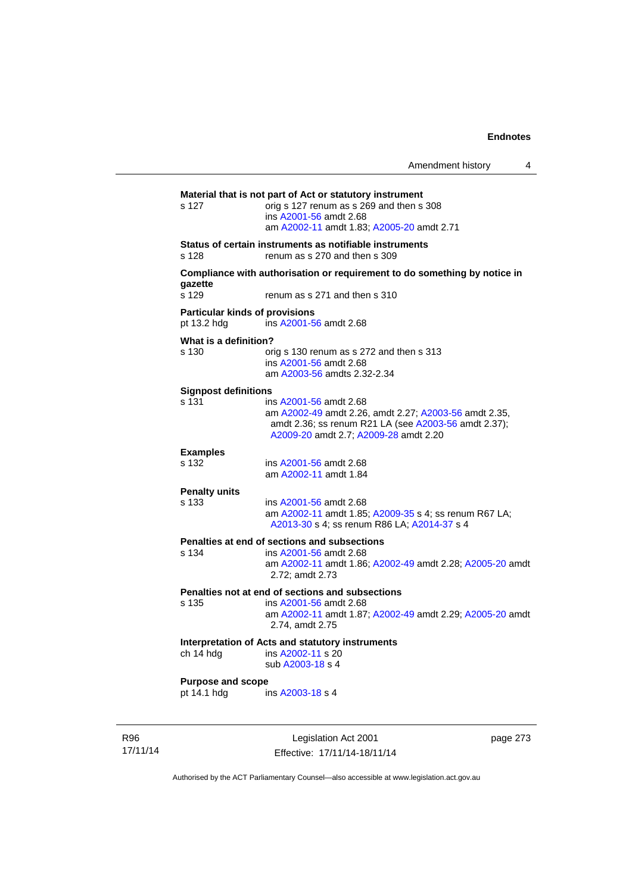|                                                      | Amendment history                                                                                                                                                                |          |
|------------------------------------------------------|----------------------------------------------------------------------------------------------------------------------------------------------------------------------------------|----------|
| s 127                                                | Material that is not part of Act or statutory instrument<br>orig s 127 renum as s 269 and then s 308<br>ins A2001-56 amdt 2.68<br>am A2002-11 amdt 1.83: A2005-20 amdt 2.71      |          |
| s 128                                                | Status of certain instruments as notifiable instruments<br>renum as s 270 and then s 309                                                                                         |          |
| gazette                                              | Compliance with authorisation or requirement to do something by notice in                                                                                                        |          |
| s 129                                                | renum as s 271 and then s 310                                                                                                                                                    |          |
| <b>Particular kinds of provisions</b><br>pt 13.2 hdg | ins A2001-56 amdt 2.68                                                                                                                                                           |          |
| What is a definition?<br>s 130                       | orig s 130 renum as s 272 and then s 313<br>ins A2001-56 amdt 2.68<br>am A2003-56 amdts 2.32-2.34                                                                                |          |
| <b>Signpost definitions</b><br>s 131                 | ins A2001-56 amdt 2.68<br>am A2002-49 amdt 2.26, amdt 2.27; A2003-56 amdt 2.35,<br>amdt 2.36; ss renum R21 LA (see A2003-56 amdt 2.37);<br>A2009-20 amdt 2.7; A2009-28 amdt 2.20 |          |
| <b>Examples</b><br>s 132                             | ins A2001-56 amdt 2.68<br>am A2002-11 amdt 1.84                                                                                                                                  |          |
| <b>Penalty units</b><br>s 133                        | ins A2001-56 amdt 2.68<br>am A2002-11 amdt 1.85; A2009-35 s 4; ss renum R67 LA;<br>A2013-30 s 4; ss renum R86 LA; A2014-37 s 4                                                   |          |
| s 134                                                | Penalties at end of sections and subsections<br>ins A2001-56 amdt 2.68<br>am A2002-11 amdt 1.86; A2002-49 amdt 2.28; A2005-20 amdt<br>2.72; amdt 2.73                            |          |
| s 135                                                | Penalties not at end of sections and subsections<br>ins A2001-56 amdt 2.68<br>am A2002-11 amdt 1.87; A2002-49 amdt 2.29; A2005-20 amdt<br>2.74, amdt 2.75                        |          |
| ch 14 hdg                                            | Interpretation of Acts and statutory instruments<br>ins A2002-11 s 20<br>sub A2003-18 s 4                                                                                        |          |
| <b>Purpose and scope</b><br>pt 14.1 hdg              | ins A2003-18 s 4                                                                                                                                                                 |          |
|                                                      | Legislation Act 2001                                                                                                                                                             | page 273 |

R96 17/11/14

Authorised by the ACT Parliamentary Counsel—also accessible at www.legislation.act.gov.au

Effective: 17/11/14-18/11/14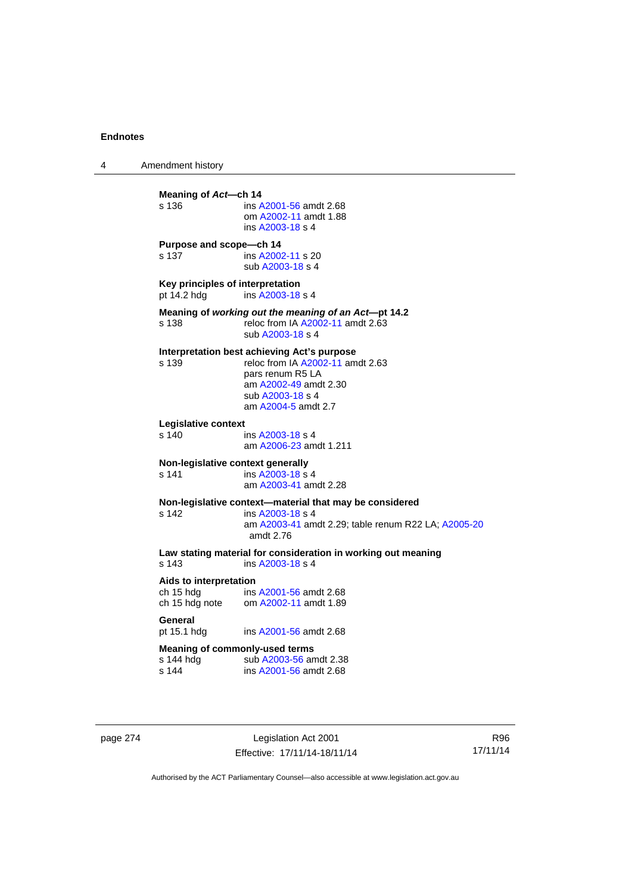4 Amendment history **Meaning of Act—ch 14**<br>s 136 **ins A** s 136 ins [A2001-56](http://www.legislation.act.gov.au/a/2001-56) amdt 2.68 om [A2002-11](http://www.legislation.act.gov.au/a/2002-11) amdt 1.88 ins [A2003-18](http://www.legislation.act.gov.au/a/2003-18) s 4 **Purpose and scope—ch 14**  s 137 ins [A2002-11](http://www.legislation.act.gov.au/a/2002-11) s 20 sub [A2003-18](http://www.legislation.act.gov.au/a/2003-18) s 4 **Key principles of interpretation**<br>pt 14.2 hdg ins A2003-18 ins [A2003-18](http://www.legislation.act.gov.au/a/2003-18) s 4 **Meaning of** *working out the meaning of an Act***—pt 14.2**  s 138 reloc from IA [A2002-11](http://www.legislation.act.gov.au/a/2002-11) amdt 2.63 sub [A2003-18](http://www.legislation.act.gov.au/a/2003-18) s 4 **Interpretation best achieving Act's purpose**  s 139 reloc from IA [A2002-11](http://www.legislation.act.gov.au/a/2002-11) amdt 2.63 pars renum R5 LA am [A2002-49](http://www.legislation.act.gov.au/a/2002-49) amdt 2.30 sub [A2003-18](http://www.legislation.act.gov.au/a/2003-18) s 4 am [A2004-5](http://www.legislation.act.gov.au/a/2004-5) amdt 2.7 **Legislative context**  ins [A2003-18](http://www.legislation.act.gov.au/a/2003-18) s 4 am [A2006-23](http://www.legislation.act.gov.au/a/2006-23) amdt 1.211 **Non-legislative context generally**  s 141 **ins [A2003-18](http://www.legislation.act.gov.au/a/2003-18) s** 4 am [A2003-41](http://www.legislation.act.gov.au/a/2003-41) amdt 2.28 **Non-legislative context—material that may be considered**  s 142 ins [A2003-18](http://www.legislation.act.gov.au/a/2003-18) s 4 am [A2003-41](http://www.legislation.act.gov.au/a/2003-41) amdt 2.29; table renum R22 LA; [A2005-20](http://www.legislation.act.gov.au/a/2005-20) amdt 2.76 **Law stating material for consideration in working out meaning**  ins [A2003-18](http://www.legislation.act.gov.au/a/2003-18) s 4 **Aids to interpretation**  ch 15 hdg ins [A2001-56](http://www.legislation.act.gov.au/a/2001-56) amdt 2.68 ch 15 hdg note om [A2002-11](http://www.legislation.act.gov.au/a/2002-11) amdt 1.89 General<br>pt 15.1 hdg ins [A2001-56](http://www.legislation.act.gov.au/a/2001-56) amdt 2.68 **Meaning of commonly-used terms**  s 144 hdg sub [A2003-56](http://www.legislation.act.gov.au/a/2003-56) amdt 2.38<br>s 144 ins A2001-56 amdt 2.68 ins [A2001-56](http://www.legislation.act.gov.au/a/2001-56) amdt 2.68

page 274 Legislation Act 2001 Effective: 17/11/14-18/11/14

R96 17/11/14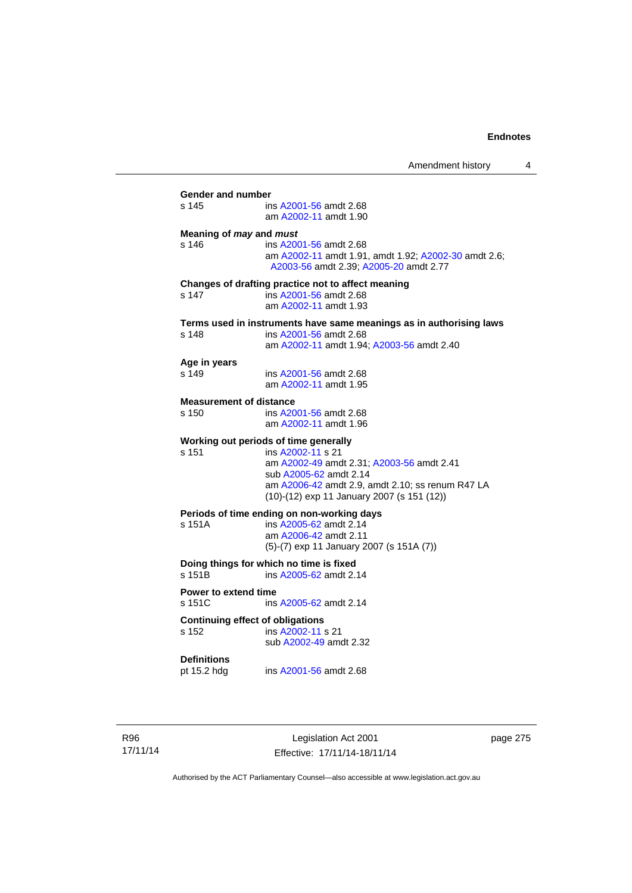| s 145                                   | ins A2001-56 amdt 2.68                                                                         |
|-----------------------------------------|------------------------------------------------------------------------------------------------|
|                                         | am A2002-11 amdt 1.90                                                                          |
| Meaning of may and must                 |                                                                                                |
| $s$ 146                                 | ins A2001-56 amdt 2.68                                                                         |
|                                         | am A2002-11 amdt 1.91, amdt 1.92; A2002-30 amdt 2.6;<br>A2003-56 amdt 2.39; A2005-20 amdt 2.77 |
|                                         | Changes of drafting practice not to affect meaning                                             |
| s 147                                   | ins A2001-56 amdt 2.68                                                                         |
|                                         | am A2002-11 amdt 1.93                                                                          |
|                                         | Terms used in instruments have same meanings as in authorising laws                            |
| s 148                                   | ins A2001-56 amdt 2.68<br>am A2002-11 amdt 1.94; A2003-56 amdt 2.40                            |
|                                         |                                                                                                |
| Age in years                            |                                                                                                |
| s 149                                   | ins A2001-56 amdt 2.68<br>am A2002-11 amdt 1.95                                                |
|                                         |                                                                                                |
| <b>Measurement of distance</b><br>s 150 | ins A2001-56 amdt 2.68                                                                         |
|                                         | am A2002-11 amdt 1.96                                                                          |
|                                         |                                                                                                |
| s 151                                   | Working out periods of time generally<br>ins A2002-11 s 21                                     |
|                                         | am A2002-49 amdt 2.31; A2003-56 amdt 2.41                                                      |
|                                         | sub A2005-62 amdt 2.14                                                                         |
|                                         | am A2006-42 amdt 2.9, amdt 2.10; ss renum R47 LA                                               |
|                                         | (10)-(12) exp 11 January 2007 (s 151 (12))                                                     |
|                                         | Periods of time ending on non-working days                                                     |
| s 151A                                  | ins A2005-62 amdt 2.14<br>am A2006-42 amdt 2.11                                                |
|                                         | (5)-(7) exp 11 January 2007 (s 151A (7))                                                       |
|                                         |                                                                                                |
| s 151B                                  | Doing things for which no time is fixed<br>ins A2005-62 amdt 2.14                              |
|                                         |                                                                                                |
| Power to extend time<br>s 151C          | ins A2005-62 amdt 2.14                                                                         |
|                                         |                                                                                                |
|                                         | <b>Continuing effect of obligations</b>                                                        |
| s 152                                   | ins A2002-11 s 21<br>sub A2002-49 amdt 2.32                                                    |
|                                         |                                                                                                |
| <b>Definitions</b>                      |                                                                                                |
| pt 15.2 hdg                             | ins A2001-56 amdt 2.68                                                                         |

R96 17/11/14

Legislation Act 2001 Effective: 17/11/14-18/11/14 page 275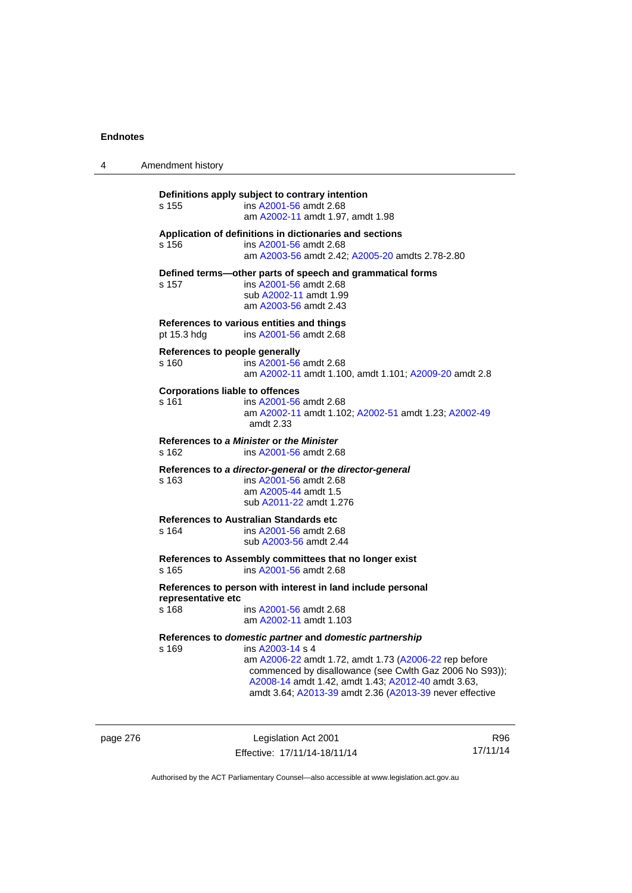| 4 | Amendment history                                                                                                                                                                                                                                                                                                         |
|---|---------------------------------------------------------------------------------------------------------------------------------------------------------------------------------------------------------------------------------------------------------------------------------------------------------------------------|
|   | Definitions apply subject to contrary intention<br>s 155<br>ins A2001-56 amdt 2.68<br>am A2002-11 amdt 1.97, amdt 1.98                                                                                                                                                                                                    |
|   | Application of definitions in dictionaries and sections<br>ins A2001-56 amdt 2.68<br>s 156<br>am A2003-56 amdt 2.42; A2005-20 amdts 2.78-2.80                                                                                                                                                                             |
|   | Defined terms-other parts of speech and grammatical forms<br>ins A2001-56 amdt 2.68<br>s 157<br>sub A2002-11 amdt 1.99<br>am A2003-56 amdt 2.43                                                                                                                                                                           |
|   | References to various entities and things<br>ins A2001-56 amdt 2.68<br>pt 15.3 hdg                                                                                                                                                                                                                                        |
|   | References to people generally<br>s 160<br>ins A2001-56 amdt 2.68<br>am A2002-11 amdt 1.100, amdt 1.101; A2009-20 amdt 2.8                                                                                                                                                                                                |
|   | <b>Corporations liable to offences</b><br>s 161<br>ins A2001-56 amdt 2.68<br>am A2002-11 amdt 1.102; A2002-51 amdt 1.23; A2002-49<br>amdt 2.33                                                                                                                                                                            |
|   | References to a Minister or the Minister<br>s 162<br>ins A2001-56 amdt 2.68                                                                                                                                                                                                                                               |
|   | References to a director-general or the director-general<br>ins A2001-56 amdt 2.68<br>s 163<br>am A2005-44 amdt 1.5<br>sub A2011-22 amdt 1.276                                                                                                                                                                            |
|   | References to Australian Standards etc<br>s 164<br>ins A2001-56 amdt 2.68<br>sub A2003-56 amdt 2.44                                                                                                                                                                                                                       |
|   | References to Assembly committees that no longer exist<br>ins A2001-56 amdt 2.68<br>s 165                                                                                                                                                                                                                                 |
|   | References to person with interest in land include personal<br>representative etc<br>s 168<br>ins A2001-56 amdt 2.68<br>am A2002-11 amdt 1.103                                                                                                                                                                            |
|   | References to domestic partner and domestic partnership<br>ins A2003-14 s 4<br>s 169<br>am A2006-22 amdt 1.72, amdt 1.73 (A2006-22 rep before<br>commenced by disallowance (see Cwlth Gaz 2006 No S93));<br>A2008-14 amdt 1.42, amdt 1.43; A2012-40 amdt 3.63,<br>amdt 3.64; A2013-39 amdt 2.36 (A2013-39 never effective |

page 276 **Legislation Act 2001** Effective: 17/11/14-18/11/14

R96 17/11/14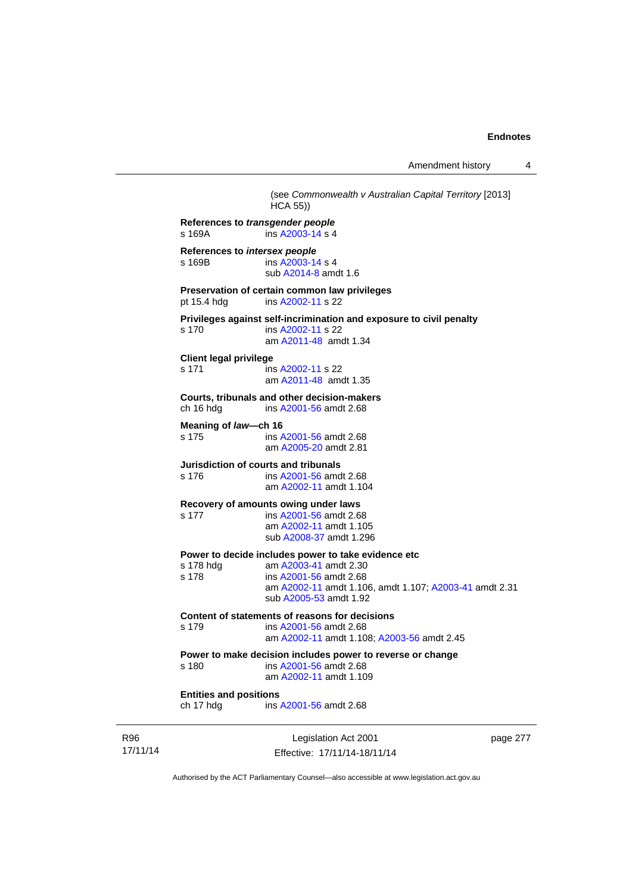Amendment history 4

(see *Commonwealth v Australian Capital Territory* [2013]  $HCA$  55) **References to** *transgender people*  s 169A ins [A2003-14](http://www.legislation.act.gov.au/a/2003-14) s 4 **References to** *intersex people*  ins [A2003-14](http://www.legislation.act.gov.au/a/2003-14) s 4 sub [A2014-8](http://www.legislation.act.gov.au/a/2014-8) amdt 1.6 **Preservation of certain common law privileges**  pt 15.4 hdg ins [A2002-11](http://www.legislation.act.gov.au/a/2002-11) s 22 **Privileges against self-incrimination and exposure to civil penalty**  s 170 ins [A2002-11](http://www.legislation.act.gov.au/a/2002-11) s 22 am [A2011-48](http://www.legislation.act.gov.au/a/2011-48) amdt 1.34 **Client legal privilege**  s 171 ins [A2002-11](http://www.legislation.act.gov.au/a/2002-11) s 22 am [A2011-48](http://www.legislation.act.gov.au/a/2011-48) amdt 1.35 **Courts, tribunals and other decision-makers**  ins [A2001-56](http://www.legislation.act.gov.au/a/2001-56) amdt 2.68 **Meaning of** *law***—ch 16**  s 175 ins [A2001-56](http://www.legislation.act.gov.au/a/2001-56) amdt 2.68 am [A2005-20](http://www.legislation.act.gov.au/a/2005-20) amdt 2.81 **Jurisdiction of courts and tribunals**  s 176 ins [A2001-56](http://www.legislation.act.gov.au/a/2001-56) amdt 2.68 am [A2002-11](http://www.legislation.act.gov.au/a/2002-11) amdt 1.104 **Recovery of amounts owing under laws**  s 177 ins [A2001-56](http://www.legislation.act.gov.au/a/2001-56) amdt 2.68 am [A2002-11](http://www.legislation.act.gov.au/a/2002-11) amdt 1.105 sub [A2008-37](http://www.legislation.act.gov.au/a/2008-37) amdt 1.296 **Power to decide includes power to take evidence etc**  s 178 hdg am [A2003-41](http://www.legislation.act.gov.au/a/2003-41) amdt 2.30<br>s 178 ins A2001-56 amdt 2.68 ins [A2001-56](http://www.legislation.act.gov.au/a/2001-56) amdt 2.68 am [A2002-11](http://www.legislation.act.gov.au/a/2002-11) amdt 1.106, amdt 1.107; [A2003-41](http://www.legislation.act.gov.au/a/2003-41) amdt 2.31 sub [A2005-53](http://www.legislation.act.gov.au/a/2005-53) amdt 1.92 **Content of statements of reasons for decisions**  s 179 ins [A2001-56](http://www.legislation.act.gov.au/a/2001-56) amdt 2.68 am [A2002-11](http://www.legislation.act.gov.au/a/2002-11) amdt 1.108; [A2003-56](http://www.legislation.act.gov.au/a/2003-56) amdt 2.45 **Power to make decision includes power to reverse or change**  s 180 ins [A2001-56](http://www.legislation.act.gov.au/a/2001-56) amdt 2.68 am [A2002-11](http://www.legislation.act.gov.au/a/2002-11) amdt 1.109 **Entities and positions**  ch 17 hdg ins [A2001-56](http://www.legislation.act.gov.au/a/2001-56) amdt 2.68

R96 17/11/14

Legislation Act 2001 Effective: 17/11/14-18/11/14 page 277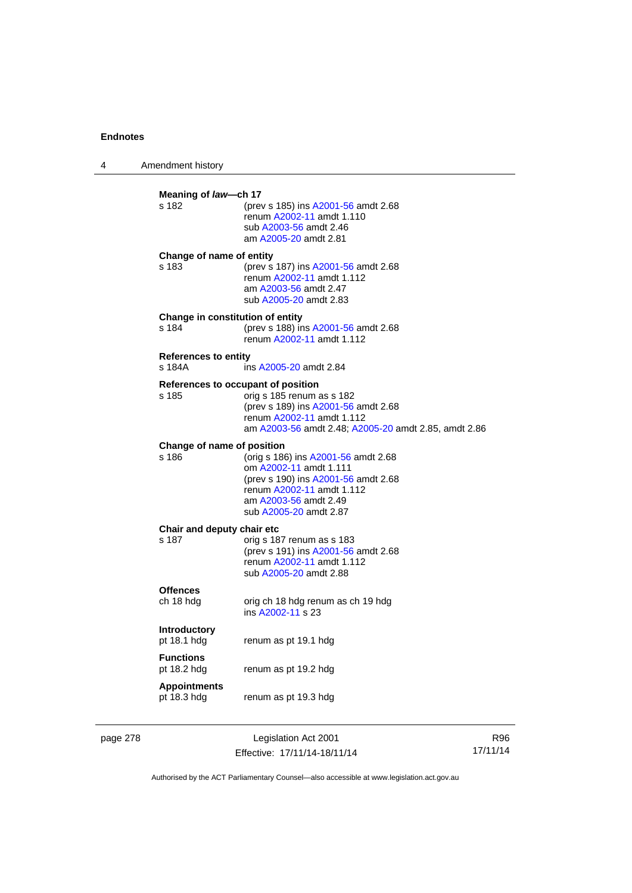| 4 | Amendment history                         |                                                                                                                                                                                             |
|---|-------------------------------------------|---------------------------------------------------------------------------------------------------------------------------------------------------------------------------------------------|
|   | Meaning of law-ch 17<br>s 182             | (prev s 185) ins A2001-56 amdt 2.68<br>renum A2002-11 amdt 1.110<br>sub A2003-56 amdt 2.46<br>am A2005-20 amdt 2.81                                                                         |
|   | Change of name of entity<br>s 183         | (prev s 187) ins A2001-56 amdt 2.68<br>renum A2002-11 amdt 1.112<br>am A2003-56 amdt 2.47<br>sub A2005-20 amdt 2.83                                                                         |
|   | Change in constitution of entity<br>s 184 | (prev s 188) ins A2001-56 amdt 2.68<br>renum A2002-11 amdt 1.112                                                                                                                            |
|   | <b>References to entity</b><br>s 184A     | ins A2005-20 amdt 2.84                                                                                                                                                                      |
|   | s 185                                     | References to occupant of position<br>orig s 185 renum as s 182<br>(prev s 189) ins A2001-56 amdt 2.68<br>renum A2002-11 amdt 1.112<br>am A2003-56 amdt 2.48; A2005-20 amdt 2.85, amdt 2.86 |
|   | Change of name of position<br>s 186       | (orig s 186) ins A2001-56 amdt 2.68<br>om A2002-11 amdt 1.111<br>(prev s 190) ins A2001-56 amdt 2.68<br>renum A2002-11 amdt 1.112<br>am A2003-56 amdt 2.49<br>sub A2005-20 amdt 2.87        |
|   | Chair and deputy chair etc<br>s 187       | orig s 187 renum as s 183<br>(prev s 191) ins A2001-56 amdt 2.68<br>renum A2002-11 amdt 1.112<br>sub A2005-20 amdt 2.88                                                                     |
|   | <b>Offences</b><br>ch 18 hdg              | orig ch 18 hdg renum as ch 19 hdg<br>ins A2002-11 s 23                                                                                                                                      |
|   | <b>Introductory</b><br>pt 18.1 hdg        | renum as pt 19.1 hdg                                                                                                                                                                        |
|   | <b>Functions</b><br>pt 18.2 hdg           | renum as pt 19.2 hdg                                                                                                                                                                        |
|   | <b>Appointments</b><br>pt 18.3 hdg        | renum as pt 19.3 hdg                                                                                                                                                                        |

page 278 Legislation Act 2001 Effective: 17/11/14-18/11/14

R96 17/11/14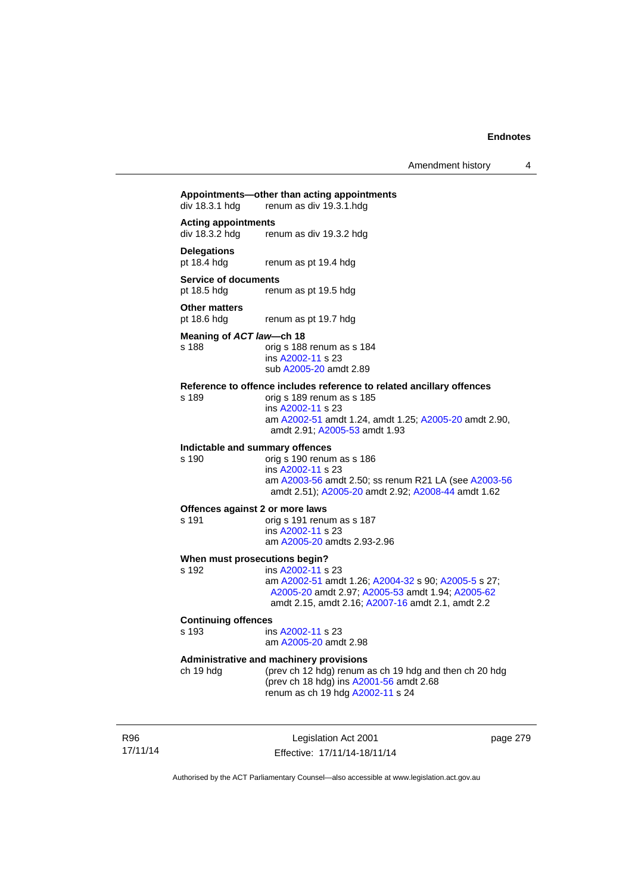Amendment history 4

# **Appointments—other than acting appointments**  renum as div 19.3.1 hdg **Acting appointments**  div 18.3.2 hdg renum as div 19.3.2 hdg **Delegations**  renum as pt 19.4 hdg **Service of documents**  pt 18.5 hdg renum as pt 19.5 hdg **Other matters**<br>pt 18.6 hdg renum as pt 19.7 hdg **Meaning of** *ACT law***—ch 18**  s 188 orig s 188 renum as s 184 ins [A2002-11](http://www.legislation.act.gov.au/a/2002-11) s 23 sub [A2005-20](http://www.legislation.act.gov.au/a/2005-20) amdt 2.89 **Reference to offence includes reference to related ancillary offences**  s 189 orig s 189 renum as s 185 ins [A2002-11](http://www.legislation.act.gov.au/a/2002-11) s 23 am [A2002-51](http://www.legislation.act.gov.au/a/2002-51) amdt 1.24, amdt 1.25; [A2005-20](http://www.legislation.act.gov.au/a/2005-20) amdt 2.90, amdt 2.91; [A2005-53](http://www.legislation.act.gov.au/a/2005-53) amdt 1.93 **Indictable and summary offences**  orig s 190 renum as s 186 ins [A2002-11](http://www.legislation.act.gov.au/a/2002-11) s 23 am [A2003-56](http://www.legislation.act.gov.au/a/2003-56) amdt 2.50; ss renum R21 LA (see [A2003-56](http://www.legislation.act.gov.au/a/2003-56) amdt 2.51); [A2005-20](http://www.legislation.act.gov.au/a/2005-20) amdt 2.92; [A2008-44](http://www.legislation.act.gov.au/a/2008-44) amdt 1.62 **Offences against 2 or more laws**  s 191 orig s 191 renum as s 187 ins [A2002-11](http://www.legislation.act.gov.au/a/2002-11) s 23 am [A2005-20](http://www.legislation.act.gov.au/a/2005-20) amdts 2.93-2.96 **When must prosecutions begin?**  s 192 ins [A2002-11](http://www.legislation.act.gov.au/a/2002-11) s 23 am [A2002-51](http://www.legislation.act.gov.au/a/2002-51) amdt 1.26; [A2004-32](http://www.legislation.act.gov.au/a/2004-32) s 90; [A2005-5](http://www.legislation.act.gov.au/a/2005-5) s 27; [A2005-20](http://www.legislation.act.gov.au/a/2005-20) amdt 2.97; [A2005-53](http://www.legislation.act.gov.au/a/2005-53) amdt 1.94; [A2005-62](http://www.legislation.act.gov.au/a/2005-62) amdt 2.15, amdt 2.16; [A2007-16](http://www.legislation.act.gov.au/a/2007-16) amdt 2.1, amdt 2.2 **Continuing offences**  ins [A2002-11](http://www.legislation.act.gov.au/a/2002-11) s 23 am [A2005-20](http://www.legislation.act.gov.au/a/2005-20) amdt 2.98 **Administrative and machinery provisions**  ch 19 hdg (prev ch 12 hdg) renum as ch 19 hdg and then ch 20 hdg (prev ch 18 hdg) ins [A2001-56](http://www.legislation.act.gov.au/a/2001-56) amdt 2.68 renum as ch 19 hdg [A2002-11](http://www.legislation.act.gov.au/a/2002-11) s 24

R96 17/11/14

Legislation Act 2001 Effective: 17/11/14-18/11/14 page 279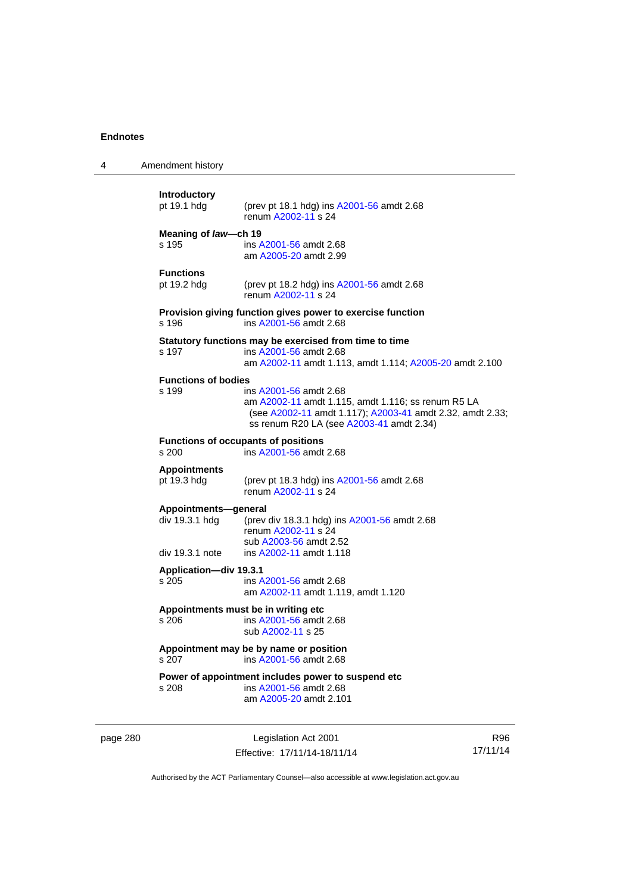| 4        | Amendment history                                  |                                                                                                                                                                                       |                 |
|----------|----------------------------------------------------|---------------------------------------------------------------------------------------------------------------------------------------------------------------------------------------|-----------------|
|          | Introductory<br>pt 19.1 hdg                        | (prev pt 18.1 hdg) ins A2001-56 amdt 2.68<br>renum A2002-11 s 24                                                                                                                      |                 |
|          | Meaning of law-ch 19<br>s 195                      | ins A2001-56 amdt 2.68<br>am A2005-20 amdt 2.99                                                                                                                                       |                 |
|          | <b>Functions</b><br>pt 19.2 hdg                    | (prev pt 18.2 hdg) ins A2001-56 amdt 2.68<br>renum A2002-11 s 24                                                                                                                      |                 |
|          | s 196                                              | Provision giving function gives power to exercise function<br>ins A2001-56 amdt 2.68                                                                                                  |                 |
|          | s 197                                              | Statutory functions may be exercised from time to time<br>ins A2001-56 amdt 2.68<br>am A2002-11 amdt 1.113, amdt 1.114; A2005-20 amdt 2.100                                           |                 |
|          | <b>Functions of bodies</b><br>s 199                | ins A2001-56 amdt 2.68<br>am A2002-11 amdt 1.115, amdt 1.116; ss renum R5 LA<br>(see A2002-11 amdt 1.117); A2003-41 amdt 2.32, amdt 2.33;<br>ss renum R20 LA (see A2003-41 amdt 2.34) |                 |
|          | s 200                                              | <b>Functions of occupants of positions</b><br>ins A2001-56 amdt 2.68                                                                                                                  |                 |
|          | <b>Appointments</b><br>pt 19.3 hdg                 | (prev pt 18.3 hdg) ins A2001-56 amdt 2.68<br>renum A2002-11 s 24                                                                                                                      |                 |
|          | Appointments-general<br>div 19.3.1 hdg             | (prev div 18.3.1 hdg) ins A2001-56 amdt 2.68<br>renum A2002-11 s 24<br>sub A2003-56 amdt 2.52                                                                                         |                 |
|          | div 19.3.1 note<br>Application-div 19.3.1<br>s 205 | ins A2002-11 amdt 1.118<br>ins A2001-56 amdt 2.68<br>am A2002-11 amdt 1.119, amdt 1.120                                                                                               |                 |
|          | s 206                                              | Appointments must be in writing etc.<br>ins A2001-56 amdt 2.68<br>sub A2002-11 s 25                                                                                                   |                 |
|          | s 207                                              | Appointment may be by name or position<br>ins A2001-56 amdt 2.68                                                                                                                      |                 |
|          | s 208                                              | Power of appointment includes power to suspend etc<br>ins A2001-56 amdt 2.68<br>am A2005-20 amdt 2.101                                                                                |                 |
| page 280 |                                                    | Legislation Act 2001<br>Effective: 17/11/14-18/11/14                                                                                                                                  | R96<br>17/11/14 |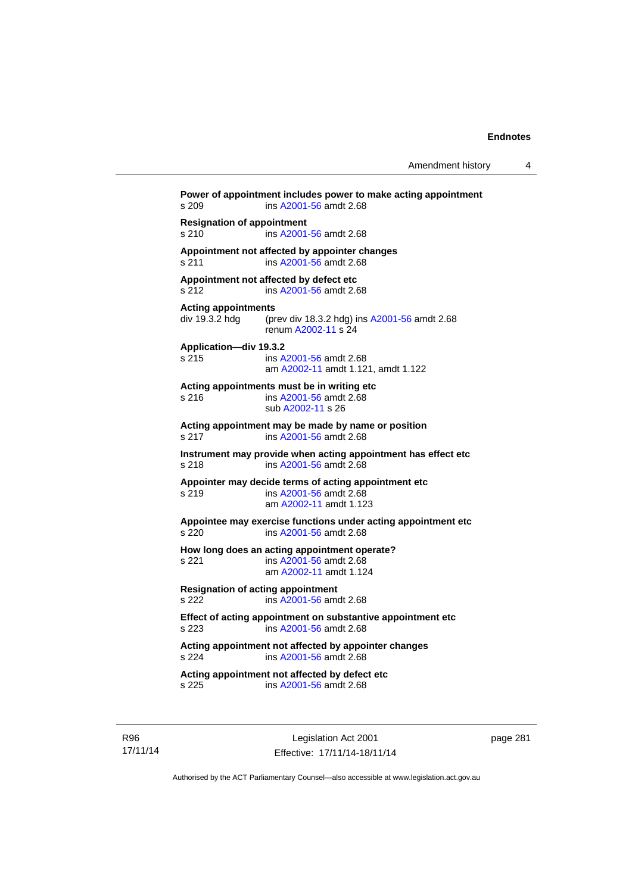**Power of appointment includes power to make acting appointment**  s 209 ins [A2001-56](http://www.legislation.act.gov.au/a/2001-56) amdt 2.68 **Resignation of appointment**  s 210 ins [A2001-56](http://www.legislation.act.gov.au/a/2001-56) amdt 2.68 **Appointment not affected by appointer changes**  s 211 ins [A2001-56](http://www.legislation.act.gov.au/a/2001-56) amdt 2.68 **Appointment not affected by defect etc**  s 212 ins [A2001-56](http://www.legislation.act.gov.au/a/2001-56) amdt 2.68 **Acting appointments**  (prev div 18.3.2 hdg) ins [A2001-56](http://www.legislation.act.gov.au/a/2001-56) amdt 2.68 renum [A2002-11](http://www.legislation.act.gov.au/a/2002-11) s 24 **Application—div 19.3.2**  s 215 ins [A2001-56](http://www.legislation.act.gov.au/a/2001-56) amdt 2.68 am [A2002-11](http://www.legislation.act.gov.au/a/2002-11) amdt 1.121, amdt 1.122 **Acting appointments must be in writing etc**  s 216 ins [A2001-56](http://www.legislation.act.gov.au/a/2001-56) amdt 2.68 sub [A2002-11](http://www.legislation.act.gov.au/a/2002-11) s 26 **Acting appointment may be made by name or position**  s 217 ins [A2001-56](http://www.legislation.act.gov.au/a/2001-56) amdt 2.68 **Instrument may provide when acting appointment has effect etc**  s 218 ins [A2001-56](http://www.legislation.act.gov.au/a/2001-56) amdt 2.68 **Appointer may decide terms of acting appointment etc**  s 219 ins [A2001-56](http://www.legislation.act.gov.au/a/2001-56) amdt 2.68 am [A2002-11](http://www.legislation.act.gov.au/a/2002-11) amdt 1.123 **Appointee may exercise functions under acting appointment etc**  s 220 ins [A2001-56](http://www.legislation.act.gov.au/a/2001-56) amdt 2.68 **How long does an acting appointment operate?**  s 221 ins [A2001-56](http://www.legislation.act.gov.au/a/2001-56) amdt 2.68 am [A2002-11](http://www.legislation.act.gov.au/a/2002-11) amdt 1.124 **Resignation of acting appointment**  s 222 ins [A2001-56](http://www.legislation.act.gov.au/a/2001-56) amdt 2.68 **Effect of acting appointment on substantive appointment etc**  s 223 ins [A2001-56](http://www.legislation.act.gov.au/a/2001-56) amdt 2.68 **Acting appointment not affected by appointer changes**  s 224 ins [A2001-56](http://www.legislation.act.gov.au/a/2001-56) amdt 2.68 **Acting appointment not affected by defect etc**  s 225 ins [A2001-56](http://www.legislation.act.gov.au/a/2001-56) amdt 2.68

R96 17/11/14

Legislation Act 2001 Effective: 17/11/14-18/11/14 page 281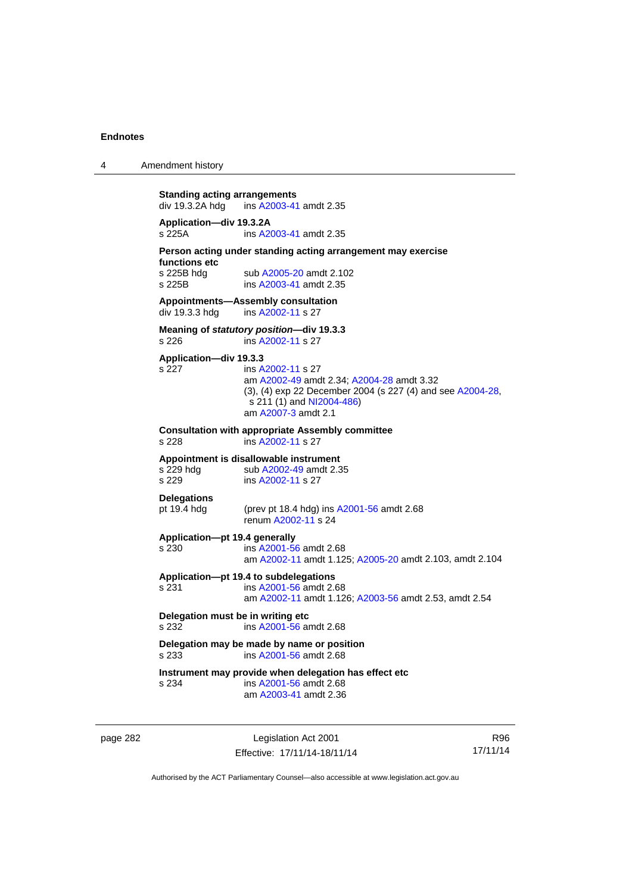4 Amendment history

```
Standing acting arrangements<br>div 19.3.2A hdg ins A2003-41
                 A2003-41 amdt 2.35
Application—div 19.3.2A 
s 225A ins A2003-41 amdt 2.35 
Person acting under standing acting arrangement may exercise 
functions etc 
A2005-20 amdt 2.102<br>s 225B ins A2003-41 amdt 2.35
                 A2003-41 amdt 2.35
Appointments—Assembly consultation 
A2002-11 s 27
Meaning of statutory position—div 19.3.3 
                 s 226 ins A2002-11 s 27 
Application—div 19.3.3 
s 227 ins A2002-11 s 27 
                  am A2002-49 amdt 2.34; A2004-28 amdt 3.32 
                 (3), (4) exp 22 December 2004 (s 227 (4) and see A2004-28, 
                  NI2004-486)
                  am A2007-3 amdt 2.1 
Consultation with appropriate Assembly committee 
s 228 ins A2002-11 s 27 
Appointment is disallowable instrument 
A2002-49 amdt 2.35<br>s 229 sub A2002-11 s 27
                 A2002-11 s 27
Delegations 
pt 19.4 hdg (prev pt 18.4 hdg) ins A2001-56 amdt 2.68 
                  renum A2002-11 s 24 
Application—pt 19.4 generally 
s 230 ins A2001-56 amdt 2.68 
                  am A2002-11 amdt 1.125; A2005-20 amdt 2.103, amdt 2.104 
Application—pt 19.4 to subdelegations 
s 231 ins A2001-56 amdt 2.68 
                  am A2002-11 amdt 1.126; A2003-56 amdt 2.53, amdt 2.54 
Delegation must be in writing etc 
s 232 ins A2001-56 amdt 2.68 
Delegation may be made by name or position 
s 233 ins A2001-56 amdt 2.68 
Instrument may provide when delegation has effect etc 
s 234 ins A2001-56 amdt 2.68 
                  am A2003-41 amdt 2.36
```
page 282 Legislation Act 2001 Effective: 17/11/14-18/11/14

R96 17/11/14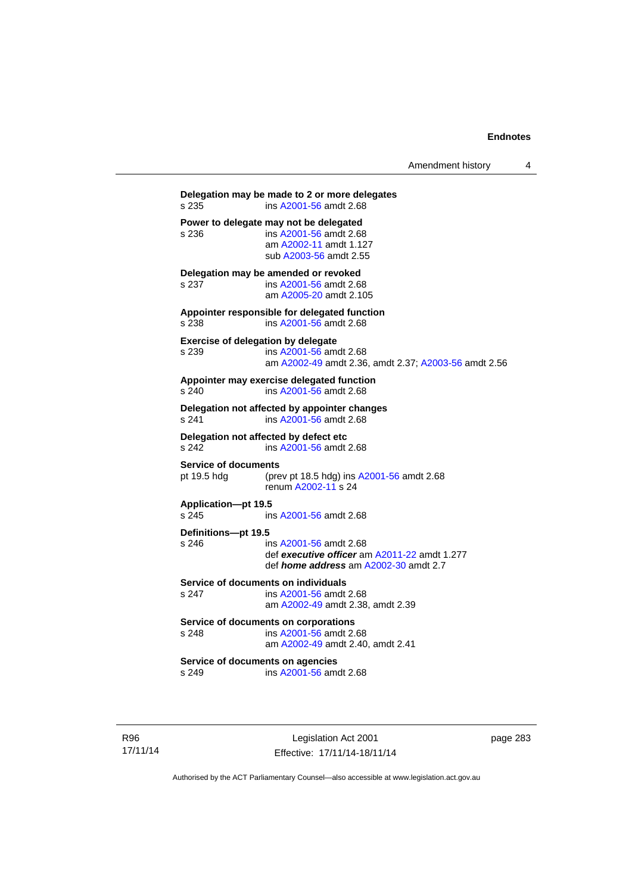| Amendment history |  |
|-------------------|--|
|-------------------|--|

**Delegation may be made to 2 or more delegates**  s 235 ins [A2001-56](http://www.legislation.act.gov.au/a/2001-56) amdt 2.68 **Power to delegate may not be delegated**<br>s 236 **ins A2001-56** amdt 2.68 s 236 ins [A2001-56](http://www.legislation.act.gov.au/a/2001-56) amdt 2.68 am [A2002-11](http://www.legislation.act.gov.au/a/2002-11) amdt 1.127 sub [A2003-56](http://www.legislation.act.gov.au/a/2003-56) amdt 2.55 **Delegation may be amended or revoked**  s 237 ins [A2001-56](http://www.legislation.act.gov.au/a/2001-56) amdt 2.68 am [A2005-20](http://www.legislation.act.gov.au/a/2005-20) amdt 2.105 **Appointer responsible for delegated function**  s 238 ins [A2001-56](http://www.legislation.act.gov.au/a/2001-56) amdt 2.68 **Exercise of delegation by delegate**  s 239 ins [A2001-56](http://www.legislation.act.gov.au/a/2001-56) amdt 2.68 am [A2002-49](http://www.legislation.act.gov.au/a/2002-49) amdt 2.36, amdt 2.37; [A2003-56](http://www.legislation.act.gov.au/a/2003-56) amdt 2.56 **Appointer may exercise delegated function**  s 240 ins [A2001-56](http://www.legislation.act.gov.au/a/2001-56) amdt 2.68 **Delegation not affected by appointer changes**  s 241 ins [A2001-56](http://www.legislation.act.gov.au/a/2001-56) amdt 2.68 **Delegation not affected by defect etc**<br>s 242 **ins A2001-56 amdt** s 242 ins [A2001-56](http://www.legislation.act.gov.au/a/2001-56) amdt 2.68 **Service of documents**  pt 19.5 hdg (prev pt 18.5 hdg) ins [A2001-56](http://www.legislation.act.gov.au/a/2001-56) amdt 2.68 renum [A2002-11](http://www.legislation.act.gov.au/a/2002-11) s 24 **Application—pt 19.5**  ins [A2001-56](http://www.legislation.act.gov.au/a/2001-56) amdt 2.68 **Definitions—pt 19.5**  s 246 ins [A2001-56](http://www.legislation.act.gov.au/a/2001-56) amdt 2.68 def *executive officer* am [A2011-22](http://www.legislation.act.gov.au/a/2011-22) amdt 1.277 def *home address* am [A2002-30](http://www.legislation.act.gov.au/a/2002-30) amdt 2.7 **Service of documents on individuals**  s 247 ins [A2001-56](http://www.legislation.act.gov.au/a/2001-56) amdt 2.68 am [A2002-49](http://www.legislation.act.gov.au/a/2002-49) amdt 2.38, amdt 2.39 **Service of documents on corporations**  s 248 ins [A2001-56](http://www.legislation.act.gov.au/a/2001-56) amdt 2.68 am [A2002-49](http://www.legislation.act.gov.au/a/2002-49) amdt 2.40, amdt 2.41 **Service of documents on agencies**  s 249 ins [A2001-56](http://www.legislation.act.gov.au/a/2001-56) amdt 2.68

R96 17/11/14

Legislation Act 2001 Effective: 17/11/14-18/11/14 page 283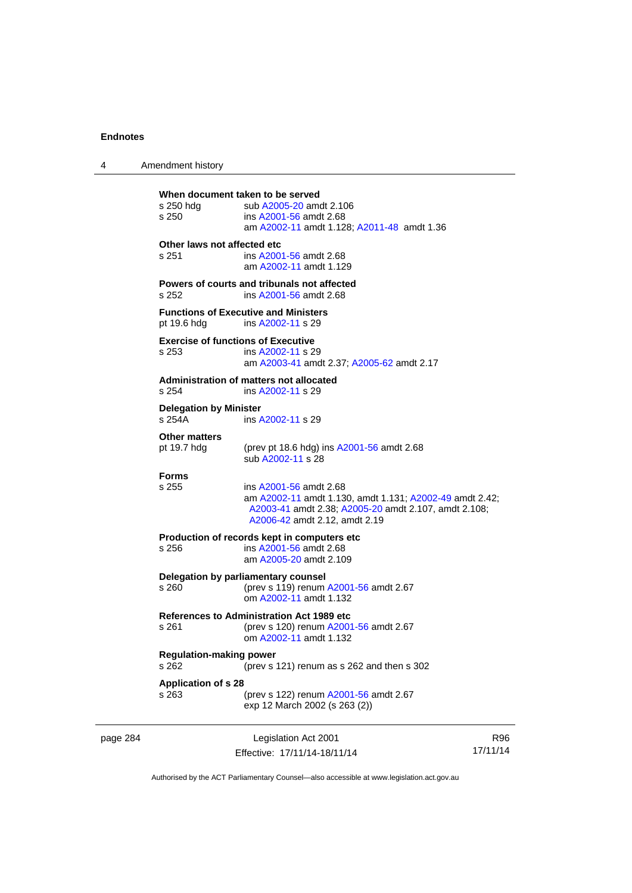| 4        | Amendment history                                  |                                                                                                                                                                            |                 |
|----------|----------------------------------------------------|----------------------------------------------------------------------------------------------------------------------------------------------------------------------------|-----------------|
|          | s 250 hdg<br>s 250                                 | When document taken to be served<br>sub A2005-20 amdt 2.106<br>ins A2001-56 amdt 2.68<br>am A2002-11 amdt 1.128; A2011-48 amdt 1.36                                        |                 |
|          | Other laws not affected etc<br>s 251               | ins A2001-56 amdt 2.68<br>am A2002-11 amdt 1.129                                                                                                                           |                 |
|          | s 252                                              | Powers of courts and tribunals not affected<br>ins A2001-56 amdt 2.68                                                                                                      |                 |
|          | pt 19.6 hdg                                        | <b>Functions of Executive and Ministers</b><br>ins A2002-11 s 29                                                                                                           |                 |
|          | <b>Exercise of functions of Executive</b><br>s 253 | ins A2002-11 s 29<br>am A2003-41 amdt 2.37; A2005-62 amdt 2.17                                                                                                             |                 |
|          | s.254                                              | Administration of matters not allocated<br>ins A2002-11 s 29                                                                                                               |                 |
|          | <b>Delegation by Minister</b><br>s 254A            | ins A2002-11 s 29                                                                                                                                                          |                 |
|          | <b>Other matters</b><br>pt 19.7 hdg                | (prev pt 18.6 hdg) ins A2001-56 amdt 2.68<br>sub A2002-11 s 28                                                                                                             |                 |
|          | <b>Forms</b><br>s 255                              | ins A2001-56 amdt 2.68<br>am A2002-11 amdt 1.130, amdt 1.131; A2002-49 amdt 2.42;<br>A2003-41 amdt 2.38; A2005-20 amdt 2.107, amdt 2.108;<br>A2006-42 amdt 2.12, amdt 2.19 |                 |
|          | s 256                                              | Production of records kept in computers etc<br>ins A2001-56 amdt 2.68<br>am A2005-20 amdt 2.109                                                                            |                 |
|          | s 260                                              | Delegation by parliamentary counsel<br>(prev s 119) renum A2001-56 amdt 2.67<br>om A2002-11 amdt 1.132                                                                     |                 |
|          | s 261                                              | <b>References to Administration Act 1989 etc</b><br>(prev s 120) renum A2001-56 amdt 2.67<br>om A2002-11 amdt 1.132                                                        |                 |
|          | <b>Regulation-making power</b><br>s 262            | (prev s 121) renum as s 262 and then s 302                                                                                                                                 |                 |
|          | <b>Application of s 28</b><br>s 263                | (prev s 122) renum A2001-56 amdt 2.67<br>exp 12 March 2002 (s 263 (2))                                                                                                     |                 |
| page 284 |                                                    | Legislation Act 2001<br>Effective: 17/11/14-18/11/14                                                                                                                       | R96<br>17/11/14 |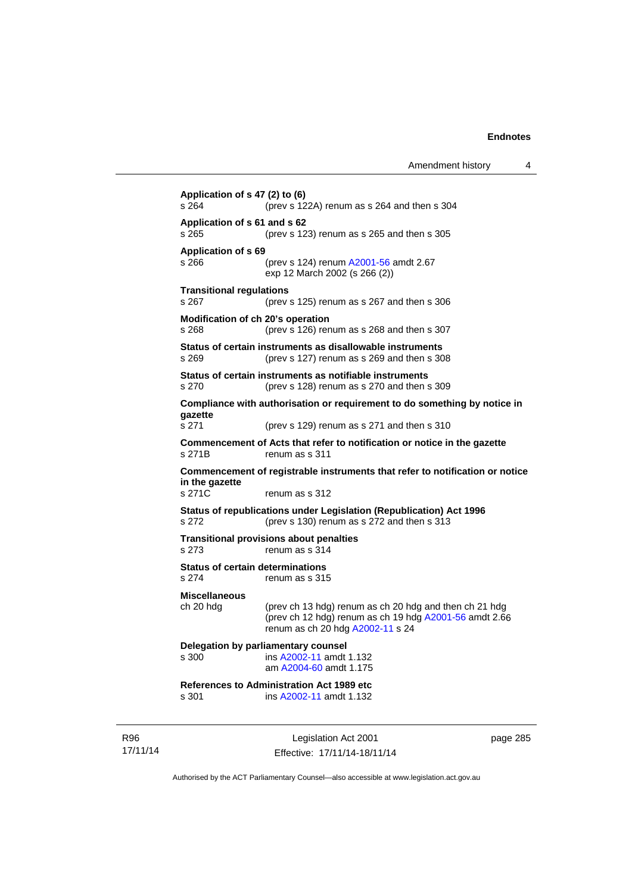**Application of s 47 (2) to (6)**  s 264 (prev s 122A) renum as s 264 and then s 304 **Application of s 61 and s 62**  s 265 (prev s 123) renum as s 265 and then s 305 **Application of s 69**  s 266 (prev s 124) renum [A2001-56](http://www.legislation.act.gov.au/a/2001-56) amdt 2.67 exp 12 March 2002 (s 266 (2)) **Transitional regulations**  s 267 (prev s 125) renum as s 267 and then s 306 **Modification of ch 20's operation**  s 268 (prev s 126) renum as s 268 and then s 307 **Status of certain instruments as disallowable instruments**  s 269 (prev s 127) renum as s 269 and then s 308 **Status of certain instruments as notifiable instruments**  s 270 (prev s 128) renum as s 270 and then s 309 **Compliance with authorisation or requirement to do something by notice in gazette**  s 271 (prev s 129) renum as s 271 and then s 310 **Commencement of Acts that refer to notification or notice in the gazette**  s 271B renum as s 311 **Commencement of registrable instruments that refer to notification or notice in the gazette**  s 271C renum as s 312 **Status of republications under Legislation (Republication) Act 1996**  s 272 (prev s 130) renum as s 272 and then s 313 **Transitional provisions about penalties** s 273 renum as s 314 **Status of certain determinations**  s 274 renum as s 315 **Miscellaneous**  ch 20 hdg (prev ch 13 hdg) renum as ch 20 hdg and then ch 21 hdg (prev ch 12 hdg) renum as ch 19 hdg [A2001-56](http://www.legislation.act.gov.au/a/2001-56) amdt 2.66 renum as ch 20 hdg [A2002-11](http://www.legislation.act.gov.au/a/2002-11) s 24 **Delegation by parliamentary counsel**  s 300 ins [A2002-11](http://www.legislation.act.gov.au/a/2002-11) amdt 1.132 am [A2004-60](http://www.legislation.act.gov.au/a/2004-60) amdt 1.175 **References to Administration Act 1989 etc**  s 301 ins [A2002-11](http://www.legislation.act.gov.au/a/2002-11) amdt 1.132

R96 17/11/14

Legislation Act 2001 Effective: 17/11/14-18/11/14 page 285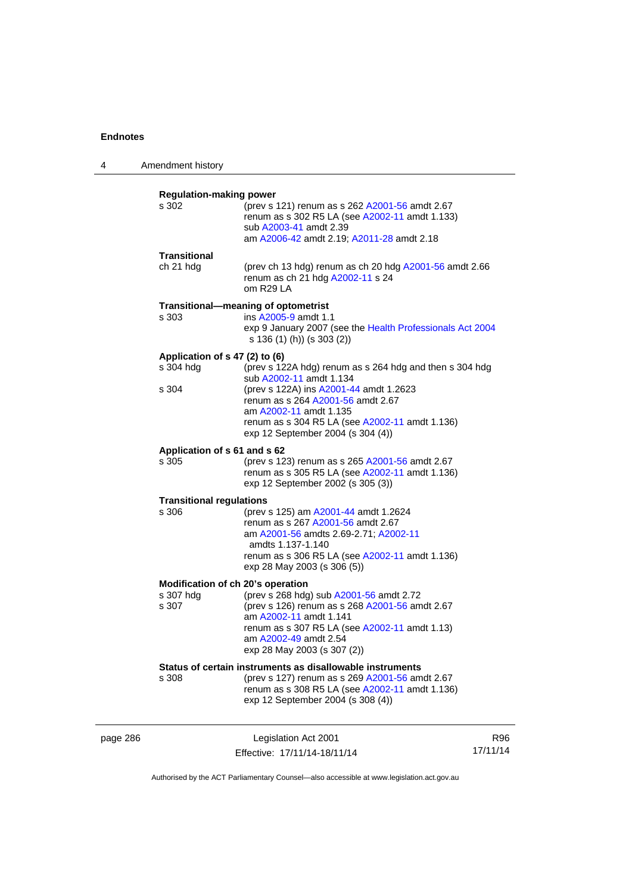| 4        | Amendment history                       |                                                                                                                                                                                                                              |          |
|----------|-----------------------------------------|------------------------------------------------------------------------------------------------------------------------------------------------------------------------------------------------------------------------------|----------|
|          | <b>Regulation-making power</b><br>s 302 | (prev s 121) renum as s 262 A2001-56 amdt 2.67                                                                                                                                                                               |          |
|          |                                         | renum as s 302 R5 LA (see A2002-11 amdt 1.133)<br>sub A2003-41 amdt 2.39<br>am A2006-42 amdt 2.19; A2011-28 amdt 2.18                                                                                                        |          |
|          | Transitional                            |                                                                                                                                                                                                                              |          |
|          | ch 21 hdg                               | (prev ch 13 hdg) renum as ch 20 hdg A2001-56 amdt 2.66<br>renum as ch 21 hdg A2002-11 s 24<br>om R29 LA                                                                                                                      |          |
|          |                                         | Transitional-meaning of optometrist                                                                                                                                                                                          |          |
|          | s 303                                   | ins A2005-9 amdt 1.1<br>exp 9 January 2007 (see the Health Professionals Act 2004<br>s 136 (1) (h)) (s 303 (2))                                                                                                              |          |
|          | Application of s 47 (2) to (6)          |                                                                                                                                                                                                                              |          |
|          | s 304 hdg                               | (prev s 122A hdg) renum as s 264 hdg and then s 304 hdg<br>sub A2002-11 amdt 1.134                                                                                                                                           |          |
|          | s 304                                   | (prev s 122A) ins A2001-44 amdt 1.2623<br>renum as s 264 A2001-56 amdt 2.67<br>am A2002-11 amdt 1.135                                                                                                                        |          |
|          |                                         | renum as s 304 R5 LA (see A2002-11 amdt 1.136)<br>exp 12 September 2004 (s 304 (4))                                                                                                                                          |          |
|          | Application of s 61 and s 62<br>s 305   | (prev s 123) renum as s 265 A2001-56 amdt 2.67<br>renum as s 305 R5 LA (see A2002-11 amdt 1.136)<br>exp 12 September 2002 (s 305 (3))                                                                                        |          |
|          | <b>Transitional regulations</b>         |                                                                                                                                                                                                                              |          |
|          | s 306                                   | (prev s 125) am A2001-44 amdt 1.2624<br>renum as s 267 A2001-56 amdt 2.67<br>am A2001-56 amdts 2.69-2.71; A2002-11<br>amdts 1.137-1.140<br>renum as s 306 R5 LA (see A2002-11 amdt 1.136)<br>exp 28 May 2003 (s 306 (5))     |          |
|          |                                         | Modification of ch 20's operation                                                                                                                                                                                            |          |
|          | s 307 hdg<br>s 307                      | (prev s 268 hdg) sub A2001-56 amdt 2.72<br>(prev s 126) renum as s 268 A2001-56 amdt 2.67<br>am A2002-11 amdt 1.141<br>renum as s 307 R5 LA (see A2002-11 amdt 1.13)<br>am A2002-49 amdt 2.54<br>exp 28 May 2003 (s 307 (2)) |          |
|          |                                         | Status of certain instruments as disallowable instruments                                                                                                                                                                    |          |
|          | s 308                                   | (prev s 127) renum as s 269 A2001-56 amdt 2.67<br>renum as s 308 R5 LA (see A2002-11 amdt 1.136)<br>exp 12 September 2004 (s 308 (4))                                                                                        |          |
| page 286 |                                         | Legislation Act 2001                                                                                                                                                                                                         | R96      |
|          |                                         | Effective: 17/11/14-18/11/14                                                                                                                                                                                                 | 17/11/14 |

Authorised by the ACT Parliamentary Counsel—also accessible at www.legislation.act.gov.au

Effective: 17/11/14-18/11/14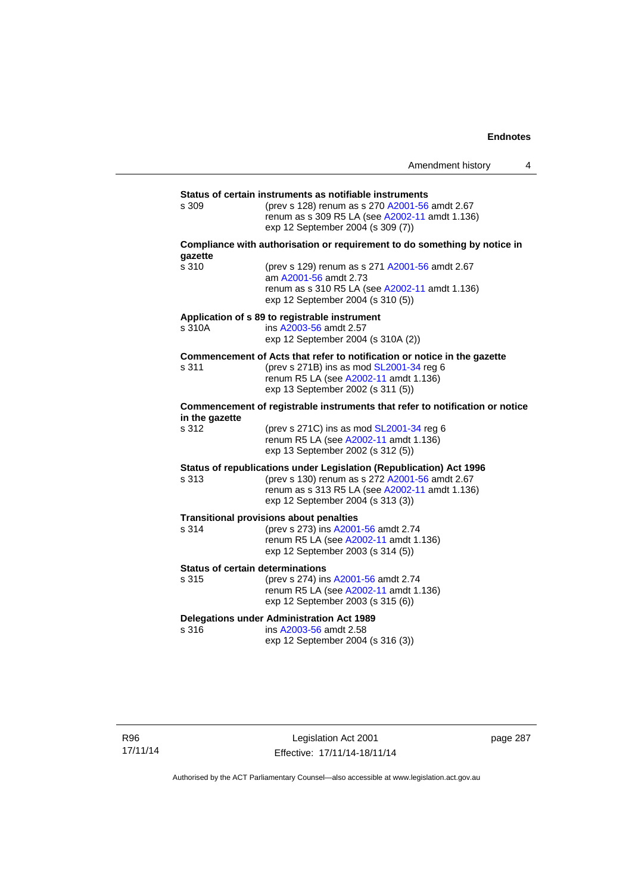|                                                  |                                                                                                                                                                                                              | Amendment history | 4 |
|--------------------------------------------------|--------------------------------------------------------------------------------------------------------------------------------------------------------------------------------------------------------------|-------------------|---|
|                                                  |                                                                                                                                                                                                              |                   |   |
| s 309                                            | Status of certain instruments as notifiable instruments<br>(prev s 128) renum as s 270 A2001-56 amdt 2.67<br>renum as s 309 R5 LA (see A2002-11 amdt 1.136)<br>exp 12 September 2004 (s 309 (7))             |                   |   |
| gazette                                          | Compliance with authorisation or requirement to do something by notice in                                                                                                                                    |                   |   |
| s 310                                            | (prev s 129) renum as s 271 A2001-56 amdt 2.67<br>am A2001-56 amdt 2.73<br>renum as s 310 R5 LA (see A2002-11 amdt 1.136)<br>exp 12 September 2004 (s 310 (5))                                               |                   |   |
| s 310A                                           | Application of s 89 to registrable instrument<br>ins A2003-56 amdt 2.57<br>exp 12 September 2004 (s 310A (2))                                                                                                |                   |   |
| s 311                                            | Commencement of Acts that refer to notification or notice in the gazette<br>(prev s 271B) ins as mod SL2001-34 reg 6<br>renum R5 LA (see A2002-11 amdt 1.136)<br>exp 13 September 2002 (s 311 (5))           |                   |   |
| in the gazette                                   | Commencement of registrable instruments that refer to notification or notice                                                                                                                                 |                   |   |
| s 312                                            | (prev s $271C$ ) ins as mod $SL2001-34$ reg 6<br>renum R5 LA (see A2002-11 amdt 1.136)<br>exp 13 September 2002 (s 312 (5))                                                                                  |                   |   |
| s 313                                            | Status of republications under Legislation (Republication) Act 1996<br>(prev s 130) renum as s 272 A2001-56 amdt 2.67<br>renum as s 313 R5 LA (see A2002-11 amdt 1.136)<br>exp 12 September 2004 (s 313 (3)) |                   |   |
| s 314                                            | <b>Transitional provisions about penalties</b><br>(prev s 273) ins A2001-56 amdt 2.74<br>renum R5 LA (see A2002-11 amdt 1.136)<br>exp 12 September 2003 (s 314 (5))                                          |                   |   |
| <b>Status of certain determinations</b><br>s 315 | (prev s 274) ins A2001-56 amdt 2.74<br>renum R5 LA (see A2002-11 amdt 1.136)<br>exp 12 September 2003 (s 315 (6))                                                                                            |                   |   |
| s 316                                            | <b>Delegations under Administration Act 1989</b><br>ins A2003-56 amdt 2.58<br>exp 12 September 2004 (s 316 (3))                                                                                              |                   |   |

Legislation Act 2001 Effective: 17/11/14-18/11/14 page 287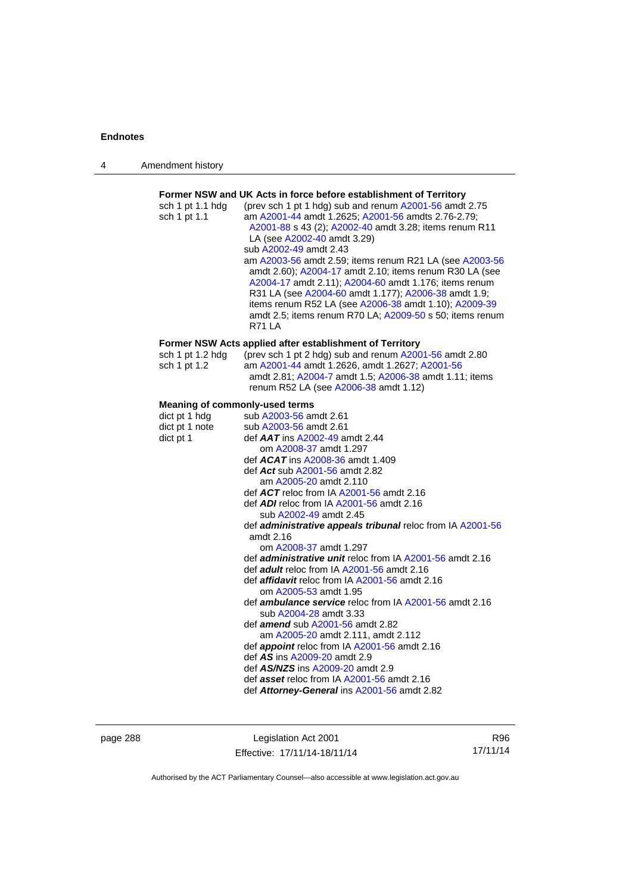| 4 | Amendment history |
|---|-------------------|
|---|-------------------|

| sch 1 pt 1.1 hdg<br>sch 1 pt 1.1                                               | Former NSW and UK Acts in force before establishment of Territory<br>(prev sch 1 pt 1 hdg) sub and renum A2001-56 amdt 2.75<br>am A2001-44 amdt 1.2625; A2001-56 amdts 2.76-2.79;<br>A2001-88 s 43 (2); A2002-40 amdt 3.28; items renum R11<br>LA (see A2002-40 amdt 3.29)<br>sub A2002-49 amdt 2.43<br>am A2003-56 amdt 2.59; items renum R21 LA (see A2003-56<br>amdt 2.60); A2004-17 amdt 2.10; items renum R30 LA (see<br>A2004-17 amdt 2.11); A2004-60 amdt 1.176; items renum<br>R31 LA (see A2004-60 amdt 1.177); A2006-38 amdt 1.9;<br>items renum R52 LA (see A2006-38 amdt 1.10); A2009-39<br>amdt 2.5; items renum R70 LA; A2009-50 s 50; items renum<br><b>R71 LA</b>                                                                             |
|--------------------------------------------------------------------------------|---------------------------------------------------------------------------------------------------------------------------------------------------------------------------------------------------------------------------------------------------------------------------------------------------------------------------------------------------------------------------------------------------------------------------------------------------------------------------------------------------------------------------------------------------------------------------------------------------------------------------------------------------------------------------------------------------------------------------------------------------------------|
|                                                                                |                                                                                                                                                                                                                                                                                                                                                                                                                                                                                                                                                                                                                                                                                                                                                               |
| sch 1 pt 1.2 hdg<br>sch 1 pt 1.2                                               | Former NSW Acts applied after establishment of Territory<br>(prev sch 1 pt 2 hdg) sub and renum A2001-56 amdt 2.80<br>am A2001-44 amdt 1.2626, amdt 1.2627; A2001-56<br>amdt 2.81; A2004-7 amdt 1.5; A2006-38 amdt 1.11; items<br>renum R52 LA (see A2006-38 amdt 1.12)                                                                                                                                                                                                                                                                                                                                                                                                                                                                                       |
|                                                                                |                                                                                                                                                                                                                                                                                                                                                                                                                                                                                                                                                                                                                                                                                                                                                               |
| Meaning of commonly-used terms<br>dict pt 1 hdg<br>dict pt 1 note<br>dict pt 1 | sub A2003-56 amdt 2.61<br>sub A2003-56 amdt 2.61<br>def <b>AAT</b> ins A2002-49 amdt 2.44<br>om A2008-37 amdt 1.297<br>def <b>ACAT</b> ins A2008-36 amdt 1.409<br>def Act sub A2001-56 amdt 2.82<br>am A2005-20 amdt 2.110<br>def ACT reloc from IA A2001-56 amdt 2.16<br>def <b>ADI</b> reloc from IA A2001-56 amdt 2.16<br>sub A2002-49 amdt 2.45<br>def administrative appeals tribunal reloc from IA A2001-56<br>amdt 2.16<br>om A2008-37 amdt 1.297<br>def <i>administrative unit</i> reloc from IA A2001-56 amdt 2.16<br>def <i>adult</i> reloc from IA A2001-56 amdt 2.16<br>def <i>affidavit</i> reloc from IA A2001-56 amdt 2.16<br>om A2005-53 amdt 1.95<br>def <b>ambulance service</b> reloc from IA A2001-56 amdt 2.16<br>sub A2004-28 amdt 3.33 |
|                                                                                | def <i>amend</i> sub A2001-56 amdt 2.82<br>am A2005-20 amdt 2.111, amdt 2.112<br>def appoint reloc from IA A2001-56 amdt 2.16                                                                                                                                                                                                                                                                                                                                                                                                                                                                                                                                                                                                                                 |
|                                                                                | def AS ins A2009-20 amdt 2.9                                                                                                                                                                                                                                                                                                                                                                                                                                                                                                                                                                                                                                                                                                                                  |
|                                                                                | def AS/NZS ins A2009-20 amdt 2.9                                                                                                                                                                                                                                                                                                                                                                                                                                                                                                                                                                                                                                                                                                                              |
|                                                                                | def asset reloc from IA A2001-56 amdt 2.16                                                                                                                                                                                                                                                                                                                                                                                                                                                                                                                                                                                                                                                                                                                    |
|                                                                                | def Attorney-General ins A2001-56 amdt 2.82                                                                                                                                                                                                                                                                                                                                                                                                                                                                                                                                                                                                                                                                                                                   |
|                                                                                |                                                                                                                                                                                                                                                                                                                                                                                                                                                                                                                                                                                                                                                                                                                                                               |

page 288 Legislation Act 2001 Effective: 17/11/14-18/11/14

R96 17/11/14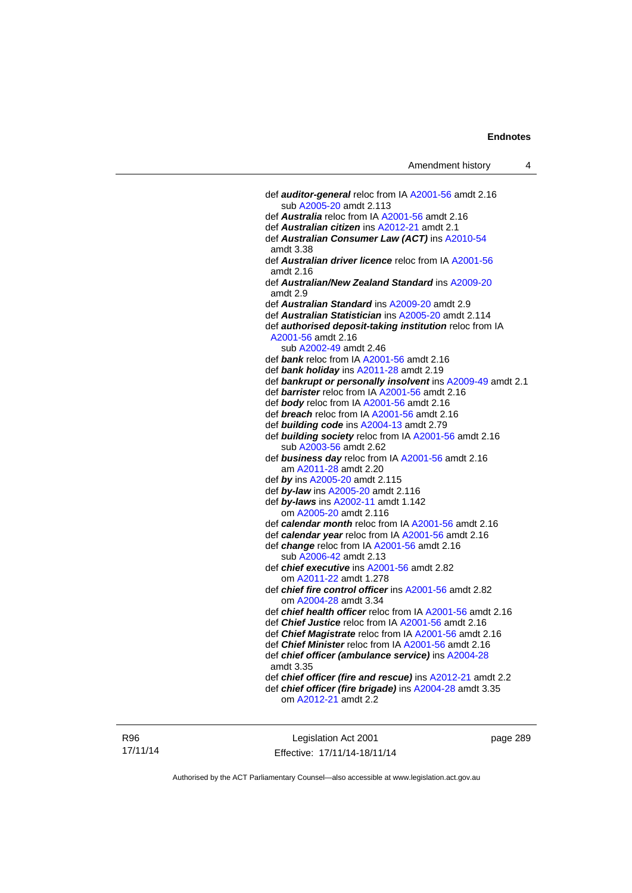| Amendment history |  |
|-------------------|--|
|-------------------|--|

 def *auditor-general* reloc from IA [A2001-56](http://www.legislation.act.gov.au/a/2001-56) amdt 2.16 sub [A2005-20](http://www.legislation.act.gov.au/a/2005-20) amdt 2.113 def *Australia* reloc from IA [A2001-56](http://www.legislation.act.gov.au/a/2001-56) amdt 2.16 def *Australian citizen* ins [A2012-21](http://www.legislation.act.gov.au/a/2012-21) amdt 2.1 def *Australian Consumer Law (ACT)* ins [A2010-54](http://www.legislation.act.gov.au/a/2010-54) amdt 3.38 def *Australian driver licence* reloc from IA [A2001-56](http://www.legislation.act.gov.au/a/2001-56) amdt 2.16 def *Australian/New Zealand Standard* ins [A2009-20](http://www.legislation.act.gov.au/a/2009-20) amdt 2.9 def *Australian Standard* ins [A2009-20](http://www.legislation.act.gov.au/a/2009-20) amdt 2.9 def *Australian Statistician* ins [A2005-20](http://www.legislation.act.gov.au/a/2005-20) amdt 2.114 def *authorised deposit-taking institution* reloc from IA [A2001-56](http://www.legislation.act.gov.au/a/2001-56) amdt 2.16 sub [A2002-49](http://www.legislation.act.gov.au/a/2002-49) amdt 2.46 def *bank* reloc from IA [A2001-56](http://www.legislation.act.gov.au/a/2001-56) amdt 2.16 def *bank holiday* ins [A2011-28](http://www.legislation.act.gov.au/a/2011-28) amdt 2.19 def *bankrupt or personally insolvent* ins [A2009-49](http://www.legislation.act.gov.au/a/2009-49) amdt 2.1 def *barrister* reloc from IA [A2001-56](http://www.legislation.act.gov.au/a/2001-56) amdt 2.16 def *body* reloc from IA [A2001-56](http://www.legislation.act.gov.au/a/2001-56) amdt 2.16 def *breach* reloc from IA [A2001-56](http://www.legislation.act.gov.au/a/2001-56) amdt 2.16 def *building code* ins [A2004-13](http://www.legislation.act.gov.au/a/2004-13) amdt 2.79 def *building society* reloc from IA [A2001-56](http://www.legislation.act.gov.au/a/2001-56) amdt 2.16 sub [A2003-56](http://www.legislation.act.gov.au/a/2003-56) amdt 2.62 def *business day* reloc from IA [A2001-56](http://www.legislation.act.gov.au/a/2001-56) amdt 2.16 am [A2011-28](http://www.legislation.act.gov.au/a/2011-28) amdt 2.20 def *by* ins [A2005-20](http://www.legislation.act.gov.au/a/2005-20) amdt 2.115 def *by-law* ins [A2005-20](http://www.legislation.act.gov.au/a/2005-20) amdt 2.116 def *by-laws* ins [A2002-11](http://www.legislation.act.gov.au/a/2002-11) amdt 1.142 om [A2005-20](http://www.legislation.act.gov.au/a/2005-20) amdt 2.116 def *calendar month* reloc from IA [A2001-56](http://www.legislation.act.gov.au/a/2001-56) amdt 2.16 def *calendar year* reloc from IA [A2001-56](http://www.legislation.act.gov.au/a/2001-56) amdt 2.16 def *change* reloc from IA [A2001-56](http://www.legislation.act.gov.au/a/2001-56) amdt 2.16 sub [A2006-42](http://www.legislation.act.gov.au/a/2006-42) amdt 2.13 def *chief executive* ins [A2001-56](http://www.legislation.act.gov.au/a/2001-56) amdt 2.82 om [A2011-22](http://www.legislation.act.gov.au/a/2011-22) amdt 1.278 def *chief fire control officer* ins [A2001-56](http://www.legislation.act.gov.au/a/2001-56) amdt 2.82 om [A2004-28](http://www.legislation.act.gov.au/a/2004-28) amdt 3.34 def *chief health officer* reloc from IA [A2001-56](http://www.legislation.act.gov.au/a/2001-56) amdt 2.16 def *Chief Justice* reloc from IA [A2001-56](http://www.legislation.act.gov.au/a/2001-56) amdt 2.16 def *Chief Magistrate* reloc from IA [A2001-56](http://www.legislation.act.gov.au/a/2001-56) amdt 2.16 def *Chief Minister* reloc from IA [A2001-56](http://www.legislation.act.gov.au/a/2001-56) amdt 2.16 def *chief officer (ambulance service)* ins [A2004-28](http://www.legislation.act.gov.au/a/2004-28) amdt 3.35 def *chief officer (fire and rescue)* ins [A2012-21](http://www.legislation.act.gov.au/a/2012-21) amdt 2.2 def *chief officer (fire brigade)* ins [A2004-28](http://www.legislation.act.gov.au/a/2004-28) amdt 3.35 om [A2012-21](http://www.legislation.act.gov.au/a/2012-21) amdt 2.2

R96 17/11/14

Legislation Act 2001 Effective: 17/11/14-18/11/14 page 289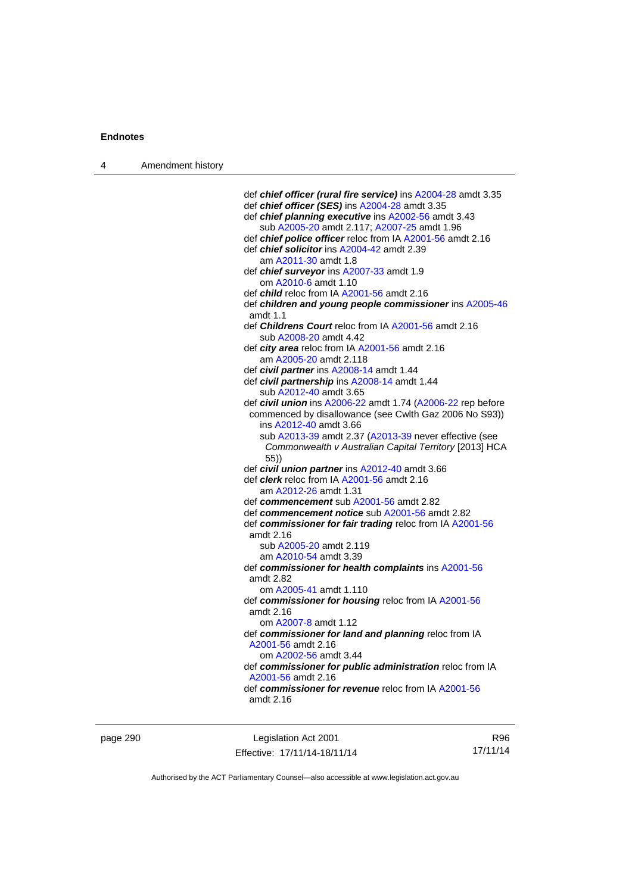| 4 | Amendment history |                                                                       |
|---|-------------------|-----------------------------------------------------------------------|
|   |                   |                                                                       |
|   |                   | def chief officer (rural fire service) ins A2004-28 amdt 3.35         |
|   |                   | def chief officer (SES) ins A2004-28 amdt 3.35                        |
|   |                   | def chief planning executive ins A2002-56 amdt 3.43                   |
|   |                   | sub A2005-20 amdt 2.117; A2007-25 amdt 1.96                           |
|   |                   | def chief police officer reloc from IA A2001-56 amdt 2.16             |
|   |                   | def <i>chief solicitor</i> ins A2004-42 amdt 2.39                     |
|   |                   | am A2011-30 amdt 1.8                                                  |
|   |                   | def <i>chief surveyor</i> ins A2007-33 amdt 1.9                       |
|   |                   | om A2010-6 amdt 1.10                                                  |
|   |                   | def <i>child</i> reloc from IA A2001-56 amdt 2.16                     |
|   |                   | def children and young people commissioner ins A2005-46<br>amdt $1.1$ |
|   |                   | def <i>Childrens Court</i> reloc from IA A2001-56 amdt 2.16           |
|   |                   | sub A2008-20 amdt 4.42                                                |
|   |                   | def city area reloc from IA A2001-56 amdt 2.16                        |
|   |                   | am A2005-20 amdt 2.118                                                |
|   |                   | def civil partner ins A2008-14 amdt 1.44                              |
|   |                   | def civil partnership ins A2008-14 amdt 1.44                          |
|   |                   | sub A2012-40 amdt 3.65                                                |
|   |                   | def civil union ins A2006-22 amdt 1.74 (A2006-22 rep before           |
|   |                   | commenced by disallowance (see Cwlth Gaz 2006 No S93))                |
|   |                   | ins A2012-40 amdt 3.66                                                |
|   |                   | sub A2013-39 amdt 2.37 (A2013-39 never effective (see                 |
|   |                   | Commonwealth v Australian Capital Territory [2013] HCA<br>(55)        |
|   |                   | def civil union partner ins A2012-40 amdt 3.66                        |
|   |                   | def <i>clerk</i> reloc from IA A2001-56 amdt 2.16                     |
|   |                   | am A2012-26 amdt 1.31                                                 |
|   |                   | def commencement sub A2001-56 amdt 2.82                               |
|   |                   | def commencement notice sub A2001-56 amdt 2.82                        |
|   |                   | def commissioner for fair trading reloc from IA A2001-56              |
|   |                   | amdt 2.16                                                             |
|   |                   | sub A2005-20 amdt 2.119                                               |
|   |                   | am A2010-54 amdt 3.39                                                 |
|   |                   | def commissioner for health complaints ins A2001-56                   |
|   |                   | amdt 2.82                                                             |
|   |                   | om A2005-41 amdt 1.110                                                |
|   |                   | def commissioner for housing reloc from IA A2001-56                   |
|   |                   | amdt 2.16                                                             |
|   |                   | om A2007-8 amdt 1.12                                                  |
|   |                   | def commissioner for land and planning reloc from IA                  |
|   |                   | A2001-56 amdt 2.16                                                    |
|   |                   | om A2002-56 amdt 3.44                                                 |
|   |                   | def commissioner for public administration reloc from IA              |
|   |                   | A2001-56 amdt 2.16                                                    |
|   |                   | def commissioner for revenue reloc from IA A2001-56                   |
|   |                   | amdt 2.16                                                             |
|   |                   |                                                                       |

page 290 Legislation Act 2001 Effective: 17/11/14-18/11/14

R96 17/11/14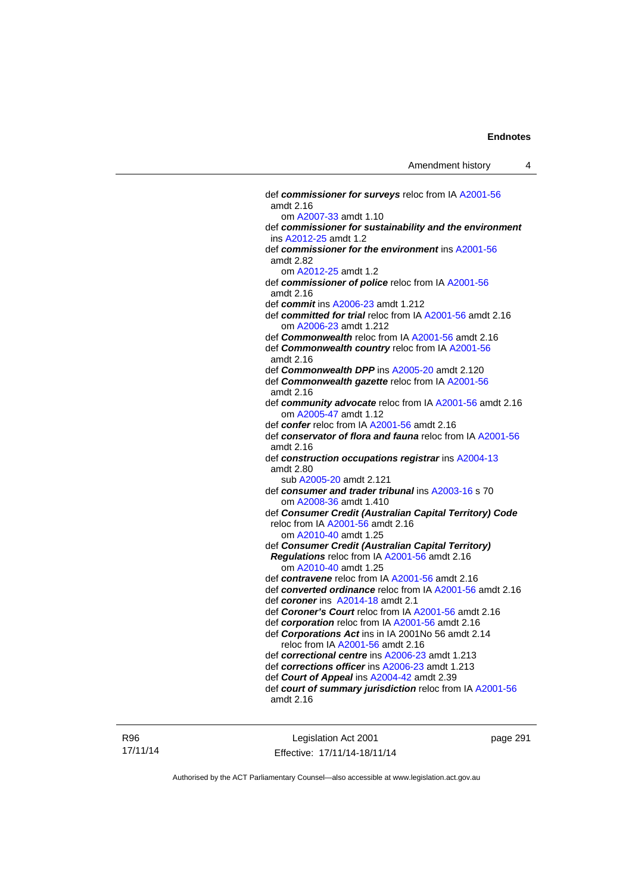def *commissioner for surveys* reloc from IA [A2001-56](http://www.legislation.act.gov.au/a/2001-56) amdt 2.16 om [A2007-33](http://www.legislation.act.gov.au/a/2007-33) amdt 1.10 def *commissioner for sustainability and the environment* ins [A2012-25](http://www.legislation.act.gov.au/a/2012-25) amdt 1.2 def *commissioner for the environment* ins [A2001-56](http://www.legislation.act.gov.au/a/2001-56) amdt 2.82 om [A2012-25](http://www.legislation.act.gov.au/a/2012-25) amdt 1.2 def *commissioner of police* reloc from IA [A2001-56](http://www.legislation.act.gov.au/a/2001-56) amdt 2.16 def *commit* ins [A2006-23](http://www.legislation.act.gov.au/a/2006-23) amdt 1.212 def *committed for trial* reloc from IA [A2001-56](http://www.legislation.act.gov.au/a/2001-56) amdt 2.16 om [A2006-23](http://www.legislation.act.gov.au/a/2006-23) amdt 1.212 def *Commonwealth* reloc from IA [A2001-56](http://www.legislation.act.gov.au/a/2001-56) amdt 2.16 def *Commonwealth country* reloc from IA [A2001-56](http://www.legislation.act.gov.au/a/2001-56) amdt 2.16 def *Commonwealth DPP* ins [A2005-20](http://www.legislation.act.gov.au/a/2005-20) amdt 2.120 def *Commonwealth gazette* reloc from IA [A2001-56](http://www.legislation.act.gov.au/a/2001-56) amdt 2.16 def *community advocate* reloc from IA [A2001-56](http://www.legislation.act.gov.au/a/2001-56) amdt 2.16 om [A2005-47](http://www.legislation.act.gov.au/a/2005-47) amdt 1.12 def *confer* reloc from IA [A2001-56](http://www.legislation.act.gov.au/a/2001-56) amdt 2.16 def *conservator of flora and fauna* reloc from IA [A2001-56](http://www.legislation.act.gov.au/a/2001-56) amdt 2.16 def *construction occupations registrar* ins [A2004-13](http://www.legislation.act.gov.au/a/2004-13) amdt 2.80 sub [A2005-20](http://www.legislation.act.gov.au/a/2005-20) amdt 2.121 def *consumer and trader tribunal* ins [A2003-16](http://www.legislation.act.gov.au/a/2003-16) s 70 om [A2008-36](http://www.legislation.act.gov.au/a/2008-36) amdt 1.410 def *Consumer Credit (Australian Capital Territory) Code* reloc from IA [A2001-56](http://www.legislation.act.gov.au/a/2001-56) amdt 2.16 om [A2010-40](http://www.legislation.act.gov.au/a/2010-40) amdt 1.25 def *Consumer Credit (Australian Capital Territory) Regulations* reloc from IA [A2001-56](http://www.legislation.act.gov.au/a/2001-56) amdt 2.16 om [A2010-40](http://www.legislation.act.gov.au/a/2010-40) amdt 1.25 def *contravene* reloc from IA [A2001-56](http://www.legislation.act.gov.au/a/2001-56) amdt 2.16 def *converted ordinance* reloc from IA [A2001-56](http://www.legislation.act.gov.au/a/2001-56) amdt 2.16 def *coroner* ins [A2014-18](http://www.legislation.act.gov.au/a/2014-18) amdt 2.1 def *Coroner's Court* reloc from IA [A2001-56](http://www.legislation.act.gov.au/a/2001-56) amdt 2.16 def *corporation* reloc from IA [A2001-56](http://www.legislation.act.gov.au/a/2001-56) amdt 2.16 def *Corporations Act* ins in IA 2001No 56 amdt 2.14 reloc from IA [A2001-56](http://www.legislation.act.gov.au/a/2001-56) amdt 2.16 def *correctional centre* ins [A2006-23](http://www.legislation.act.gov.au/a/2006-23) amdt 1.213 def *corrections officer* ins [A2006-23](http://www.legislation.act.gov.au/a/2006-23) amdt 1.213 def *Court of Appeal* ins [A2004-42](http://www.legislation.act.gov.au/a/2004-42) amdt 2.39 def *court of summary jurisdiction* reloc from IA [A2001-56](http://www.legislation.act.gov.au/a/2001-56) amdt 2.16

R96 17/11/14

Legislation Act 2001 Effective: 17/11/14-18/11/14 page 291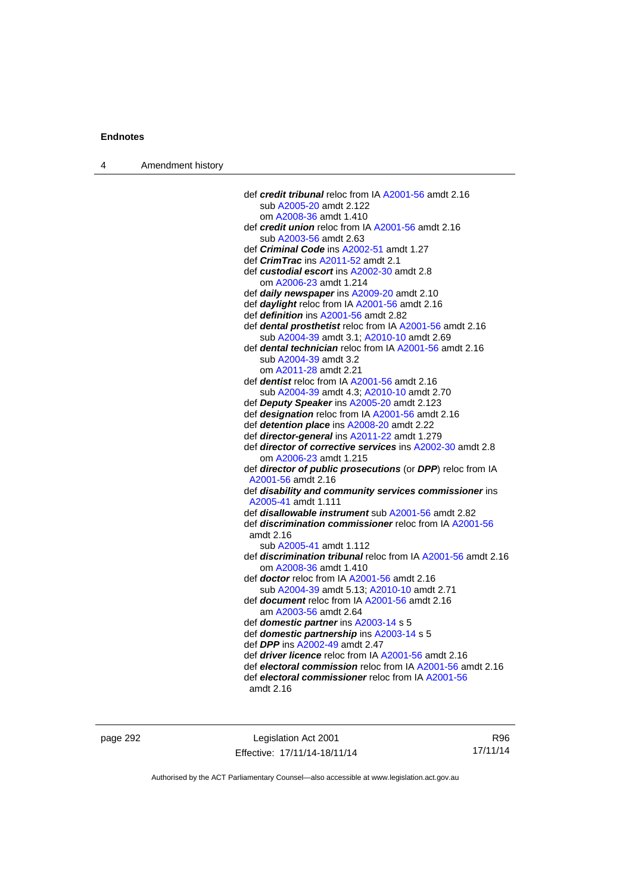| 4 | Amendment history |                                                                                                             |
|---|-------------------|-------------------------------------------------------------------------------------------------------------|
|   |                   |                                                                                                             |
|   |                   | def credit tribunal reloc from IA A2001-56 amdt 2.16                                                        |
|   |                   | sub A2005-20 amdt 2.122                                                                                     |
|   |                   | om A2008-36 amdt 1.410                                                                                      |
|   |                   | def credit union reloc from IA A2001-56 amdt 2.16                                                           |
|   |                   | sub A2003-56 amdt 2.63                                                                                      |
|   |                   | def <i>Criminal Code</i> ins A2002-51 amdt 1.27                                                             |
|   |                   | def <i>CrimTrac</i> ins A2011-52 amdt 2.1                                                                   |
|   |                   | def custodial escort ins A2002-30 amdt 2.8                                                                  |
|   |                   | om A2006-23 amdt 1.214                                                                                      |
|   |                   | def <i>daily newspaper</i> ins A2009-20 amdt 2.10                                                           |
|   |                   | def daylight reloc from IA A2001-56 amdt 2.16                                                               |
|   |                   | def definition ins A2001-56 amdt 2.82                                                                       |
|   |                   | def <b>dental prosthetist</b> reloc from IA A2001-56 amdt 2.16<br>sub A2004-39 amdt 3.1; A2010-10 amdt 2.69 |
|   |                   | def <b>dental technician</b> reloc from IA A2001-56 amdt 2.16                                               |
|   |                   | sub A2004-39 amdt 3.2                                                                                       |
|   |                   | om A2011-28 amdt 2.21                                                                                       |
|   |                   | def <b>dentist</b> reloc from IA A2001-56 amdt 2.16                                                         |
|   |                   | sub A2004-39 amdt 4.3; A2010-10 amdt 2.70                                                                   |
|   |                   | def Deputy Speaker ins A2005-20 amdt 2.123                                                                  |
|   |                   | def designation reloc from IA A2001-56 amdt 2.16                                                            |
|   |                   | def detention place ins A2008-20 amdt 2.22                                                                  |
|   |                   | def <b>director-general</b> ins A2011-22 amdt 1.279                                                         |
|   |                   | def director of corrective services ins A2002-30 amdt 2.8                                                   |
|   |                   | om A2006-23 amdt 1.215                                                                                      |
|   |                   | def director of public prosecutions (or DPP) reloc from IA                                                  |
|   |                   | A2001-56 amdt 2.16                                                                                          |
|   |                   | def disability and community services commissioner ins                                                      |
|   |                   | A2005-41 amdt 1.111                                                                                         |
|   |                   | def <i>disallowable instrument</i> sub A2001-56 amdt 2.82                                                   |
|   |                   | def <i>discrimination commissioner</i> reloc from IA A2001-56                                               |
|   |                   | amdt $2.16$                                                                                                 |
|   |                   | sub A2005-41 amdt 1.112                                                                                     |
|   |                   | def <i>discrimination tribunal</i> reloc from IA A2001-56 amdt 2.16                                         |
|   |                   | om A2008-36 amdt 1.410                                                                                      |
|   |                   | def <b>doctor</b> reloc from IA A2001-56 amdt 2.16                                                          |
|   |                   | sub A2004-39 amdt 5.13; A2010-10 amdt 2.71                                                                  |
|   |                   | def <b>document</b> reloc from IA A2001-56 amdt 2.16                                                        |
|   |                   | am A2003-56 amdt 2.64                                                                                       |
|   |                   | def domestic partner ins A2003-14 s 5                                                                       |
|   |                   | def domestic partnership ins A2003-14 s 5                                                                   |
|   |                   | def <b>DPP</b> ins A2002-49 amdt 2.47                                                                       |
|   |                   | def <i>driver licence</i> reloc from IA A2001-56 amdt 2.16                                                  |
|   |                   | def electoral commission reloc from IA A2001-56 amdt 2.16                                                   |
|   |                   | def electoral commissioner reloc from IA A2001-56<br>amdt 2.16                                              |
|   |                   |                                                                                                             |

page 292 **Legislation Act 2001** Effective: 17/11/14-18/11/14

R96 17/11/14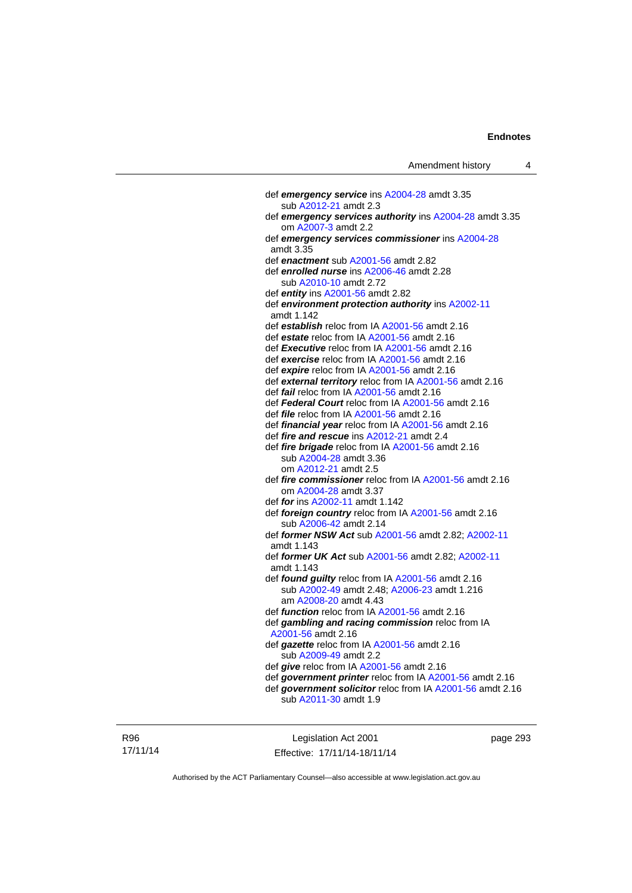def *emergency service* ins [A2004-28](http://www.legislation.act.gov.au/a/2004-28) amdt 3.35 sub [A2012-21](http://www.legislation.act.gov.au/a/2012-21) amdt 2.3 def *emergency services authority* ins [A2004-28](http://www.legislation.act.gov.au/a/2004-28) amdt 3.35 om [A2007-3](http://www.legislation.act.gov.au/a/2007-3) amdt 2.2 def *emergency services commissioner* ins [A2004-28](http://www.legislation.act.gov.au/a/2004-28) amdt 3.35 def *enactment* sub [A2001-56](http://www.legislation.act.gov.au/a/2001-56) amdt 2.82 def *enrolled nurse* ins [A2006-46](http://www.legislation.act.gov.au/a/2006-46) amdt 2.28 sub [A2010-10](http://www.legislation.act.gov.au/a/2010-10) amdt 2.72 def *entity* ins [A2001-56](http://www.legislation.act.gov.au/a/2001-56) amdt 2.82 def *environment protection authority* ins [A2002-11](http://www.legislation.act.gov.au/a/2002-11) amdt 1.142 def *establish* reloc from IA [A2001-56](http://www.legislation.act.gov.au/a/2001-56) amdt 2.16 def *estate* reloc from IA [A2001-56](http://www.legislation.act.gov.au/a/2001-56) amdt 2.16 def *Executive* reloc from IA [A2001-56](http://www.legislation.act.gov.au/a/2001-56) amdt 2.16 def *exercise* reloc from IA [A2001-56](http://www.legislation.act.gov.au/a/2001-56) amdt 2.16 def *expire* reloc from IA [A2001-56](http://www.legislation.act.gov.au/a/2001-56) amdt 2.16 def *external territory* reloc from IA [A2001-56](http://www.legislation.act.gov.au/a/2001-56) amdt 2.16 def *fail* reloc from IA [A2001-56](http://www.legislation.act.gov.au/a/2001-56) amdt 2.16 def *Federal Court* reloc from IA [A2001-56](http://www.legislation.act.gov.au/a/2001-56) amdt 2.16 def *file* reloc from IA [A2001-56](http://www.legislation.act.gov.au/a/2001-56) amdt 2.16 def *financial year* reloc from IA [A2001-56](http://www.legislation.act.gov.au/a/2001-56) amdt 2.16 def *fire and rescue* ins [A2012-21](http://www.legislation.act.gov.au/a/2012-21) amdt 2.4 def *fire brigade* reloc from IA [A2001-56](http://www.legislation.act.gov.au/a/2001-56) amdt 2.16 sub [A2004-28](http://www.legislation.act.gov.au/a/2004-28) amdt 3.36 om [A2012-21](http://www.legislation.act.gov.au/a/2012-21) amdt 2.5 def *fire commissioner* reloc from IA [A2001-56](http://www.legislation.act.gov.au/a/2001-56) amdt 2.16 om [A2004-28](http://www.legislation.act.gov.au/a/2004-28) amdt 3.37 def *for* ins [A2002-11](http://www.legislation.act.gov.au/a/2002-11) amdt 1.142 def *foreign country* reloc from IA [A2001-56](http://www.legislation.act.gov.au/a/2001-56) amdt 2.16 sub [A2006-42](http://www.legislation.act.gov.au/a/2006-42) amdt 2.14 def *former NSW Act* sub [A2001-56](http://www.legislation.act.gov.au/a/2001-56) amdt 2.82; [A2002-11](http://www.legislation.act.gov.au/a/2002-11) amdt 1.143 def *former UK Act* sub [A2001-56](http://www.legislation.act.gov.au/a/2001-56) amdt 2.82; [A2002-11](http://www.legislation.act.gov.au/a/2002-11) amdt 1.143 def *found guilty* reloc from IA [A2001-56](http://www.legislation.act.gov.au/a/2001-56) amdt 2.16 sub [A2002-49](http://www.legislation.act.gov.au/a/2002-49) amdt 2.48; [A2006-23](http://www.legislation.act.gov.au/a/2006-23) amdt 1.216 am [A2008-20](http://www.legislation.act.gov.au/a/2008-20) amdt 4.43 def *function* reloc from IA [A2001-56](http://www.legislation.act.gov.au/a/2001-56) amdt 2.16 def *gambling and racing commission* reloc from IA [A2001-56](http://www.legislation.act.gov.au/a/2001-56) amdt 2.16 def *gazette* reloc from IA [A2001-56](http://www.legislation.act.gov.au/a/2001-56) amdt 2.16 sub [A2009-49](http://www.legislation.act.gov.au/a/2009-49) amdt 2.2 def *give* reloc from IA [A2001-56](http://www.legislation.act.gov.au/a/2001-56) amdt 2.16 def *government printer* reloc from IA [A2001-56](http://www.legislation.act.gov.au/a/2001-56) amdt 2.16 def *government solicitor* reloc from IA [A2001-56](http://www.legislation.act.gov.au/a/2001-56) amdt 2.16 sub [A2011-30](http://www.legislation.act.gov.au/a/2011-30) amdt 1.9

R96 17/11/14

Legislation Act 2001 Effective: 17/11/14-18/11/14 page 293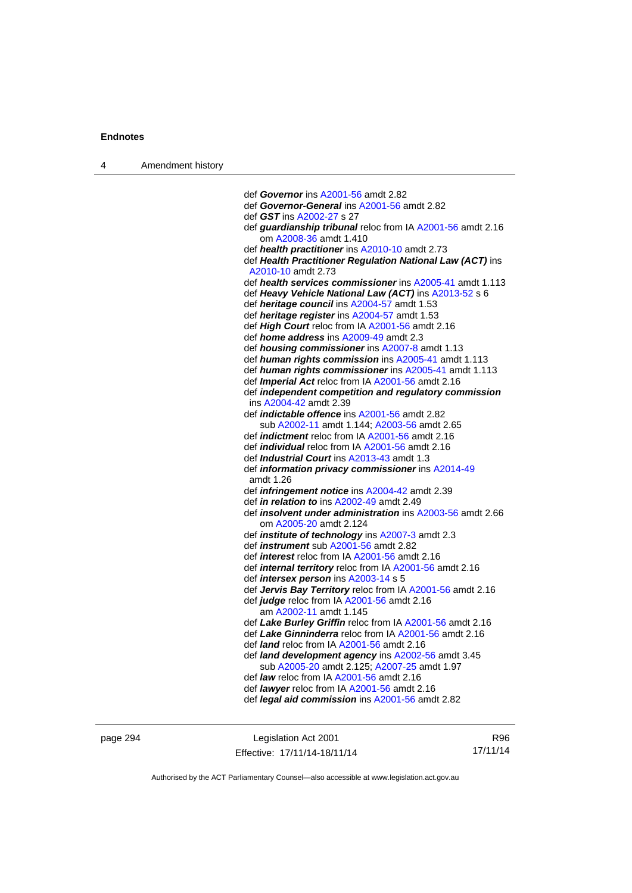| $\boldsymbol{\Lambda}$ | Amendment history |
|------------------------|-------------------|
|------------------------|-------------------|

 def *Governor* ins [A2001-56](http://www.legislation.act.gov.au/a/2001-56) amdt 2.82 def *Governor-General* ins [A2001-56](http://www.legislation.act.gov.au/a/2001-56) amdt 2.82 def *GST* ins [A2002-27](http://www.legislation.act.gov.au/a/2002-27) s 27 def *guardianship tribunal* reloc from IA [A2001-56](http://www.legislation.act.gov.au/a/2001-56) amdt 2.16 om [A2008-36](http://www.legislation.act.gov.au/a/2008-36) amdt 1.410 def *health practitioner* ins [A2010-10](http://www.legislation.act.gov.au/a/2010-10) amdt 2.73 def *Health Practitioner Regulation National Law (ACT)* ins [A2010-10](http://www.legislation.act.gov.au/a/2010-10) amdt 2.73 def *health services commissioner* ins [A2005-41](http://www.legislation.act.gov.au/a/2005-41) amdt 1.113 def *Heavy Vehicle National Law (ACT)* ins [A2013-52](http://www.legislation.act.gov.au/a/2013-52) s 6 def *heritage council* ins [A2004-57](http://www.legislation.act.gov.au/a/2004-57) amdt 1.53 def *heritage register* ins [A2004-57](http://www.legislation.act.gov.au/a/2004-57) amdt 1.53 def *High Court* reloc from IA [A2001-56](http://www.legislation.act.gov.au/a/2001-56) amdt 2.16 def *home address* ins [A2009-49](http://www.legislation.act.gov.au/a/2009-49) amdt 2.3 def *housing commissioner* ins [A2007-8](http://www.legislation.act.gov.au/a/2007-8) amdt 1.13 def *human rights commission* ins [A2005-41](http://www.legislation.act.gov.au/a/2005-41) amdt 1.113 def *human rights commissioner* ins [A2005-41](http://www.legislation.act.gov.au/a/2005-41) amdt 1.113 def *Imperial Act* reloc from IA [A2001-56](http://www.legislation.act.gov.au/a/2001-56) amdt 2.16 def *independent competition and regulatory commission* ins [A2004-42](http://www.legislation.act.gov.au/a/2004-42) amdt 2.39 def *indictable offence* ins [A2001-56](http://www.legislation.act.gov.au/a/2001-56) amdt 2.82 sub [A2002-11](http://www.legislation.act.gov.au/a/2002-11) amdt 1.144; [A2003-56](http://www.legislation.act.gov.au/a/2003-56) amdt 2.65 def *indictment* reloc from IA [A2001-56](http://www.legislation.act.gov.au/a/2001-56) amdt 2.16 def *individual* reloc from IA [A2001-56](http://www.legislation.act.gov.au/a/2001-56) amdt 2.16 def *Industrial Court* ins [A2013-43](http://www.legislation.act.gov.au/a/2013-43) amdt 1.3 def *information privacy commissioner* ins [A2014-49](http://www.legislation.act.gov.au/a/2014-49) amdt 1.26 def *infringement notice* ins [A2004-42](http://www.legislation.act.gov.au/a/2004-42) amdt 2.39 def *in relation to* ins [A2002-49](http://www.legislation.act.gov.au/a/2002-49) amdt 2.49 def *insolvent under administration* ins [A2003-56](http://www.legislation.act.gov.au/a/2003-56) amdt 2.66 om [A2005-20](http://www.legislation.act.gov.au/a/2005-20) amdt 2.124 def *institute of technology* ins [A2007-3](http://www.legislation.act.gov.au/a/2007-3) amdt 2.3 def *instrument* sub [A2001-56](http://www.legislation.act.gov.au/a/2001-56) amdt 2.82 def *interest* reloc from IA [A2001-56](http://www.legislation.act.gov.au/a/2001-56) amdt 2.16 def *internal territory* reloc from IA [A2001-56](http://www.legislation.act.gov.au/a/2001-56) amdt 2.16 def *intersex person* ins [A2003-14](http://www.legislation.act.gov.au/a/2003-14) s 5 def *Jervis Bay Territory* reloc from IA [A2001-56](http://www.legislation.act.gov.au/a/2001-56) amdt 2.16 def *judge* reloc from IA [A2001-56](http://www.legislation.act.gov.au/a/2001-56) amdt 2.16 am [A2002-11](http://www.legislation.act.gov.au/a/2002-11) amdt 1.145 def *Lake Burley Griffin* reloc from IA [A2001-56](http://www.legislation.act.gov.au/a/2001-56) amdt 2.16 def *Lake Ginninderra* reloc from IA [A2001-56](http://www.legislation.act.gov.au/a/2001-56) amdt 2.16 def *land* reloc from IA [A2001-56](http://www.legislation.act.gov.au/a/2001-56) amdt 2.16 def *land development agency* ins [A2002-56](http://www.legislation.act.gov.au/a/2002-56) amdt 3.45 sub [A2005-20](http://www.legislation.act.gov.au/a/2005-20) amdt 2.125; [A2007-25](http://www.legislation.act.gov.au/a/2007-25) amdt 1.97 def *law* reloc from IA [A2001-56](http://www.legislation.act.gov.au/a/2001-56) amdt 2.16 def *lawyer* reloc from IA [A2001-56](http://www.legislation.act.gov.au/a/2001-56) amdt 2.16 def *legal aid commission* ins [A2001-56](http://www.legislation.act.gov.au/a/2001-56) amdt 2.82

page 294 Legislation Act 2001 Effective: 17/11/14-18/11/14

R96 17/11/14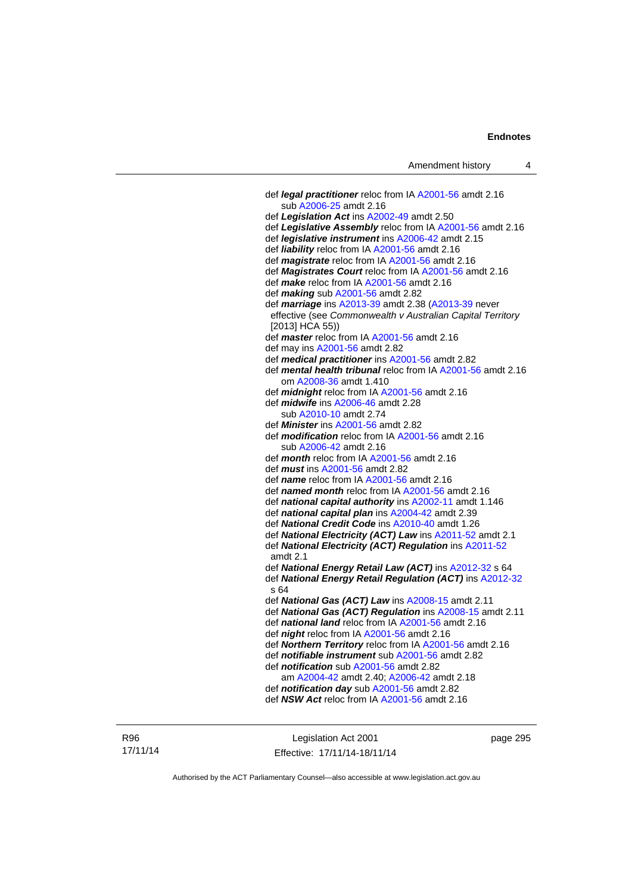| Amendment history |  |  |
|-------------------|--|--|
|-------------------|--|--|

 def *legal practitioner* reloc from IA [A2001-56](http://www.legislation.act.gov.au/a/2001-56) amdt 2.16 sub [A2006-25](http://www.legislation.act.gov.au/a/2006-25) amdt 2.16 def *Legislation Act* ins [A2002-49](http://www.legislation.act.gov.au/a/2002-49) amdt 2.50 def *Legislative Assembly* reloc from IA [A2001-56](http://www.legislation.act.gov.au/a/2001-56) amdt 2.16 def *legislative instrument* ins [A2006-42](http://www.legislation.act.gov.au/a/2006-42) amdt 2.15 def *liability* reloc from IA [A2001-56](http://www.legislation.act.gov.au/a/2001-56) amdt 2.16 def *magistrate* reloc from IA [A2001-56](http://www.legislation.act.gov.au/a/2001-56) amdt 2.16 def *Magistrates Court* reloc from IA [A2001-56](http://www.legislation.act.gov.au/a/2001-56) amdt 2.16 def *make* reloc from IA [A2001-56](http://www.legislation.act.gov.au/a/2001-56) amdt 2.16 def *making* sub [A2001-56](http://www.legislation.act.gov.au/a/2001-56) amdt 2.82 def *marriage* ins [A2013-39](http://www.legislation.act.gov.au/a/2013-39) amdt 2.38 ([A2013-39](http://www.legislation.act.gov.au/a/2013-39) never effective (see *Commonwealth v Australian Capital Territory* [2013] HCA 55)) def *master* reloc from IA [A2001-56](http://www.legislation.act.gov.au/a/2001-56) amdt 2.16 def may ins [A2001-56](http://www.legislation.act.gov.au/a/2001-56) amdt 2.82 def *medical practitioner* ins [A2001-56](http://www.legislation.act.gov.au/a/2001-56) amdt 2.82 def *mental health tribunal* reloc from IA [A2001-56](http://www.legislation.act.gov.au/a/2001-56) amdt 2.16 om [A2008-36](http://www.legislation.act.gov.au/a/2008-36) amdt 1.410 def *midnight* reloc from IA [A2001-56](http://www.legislation.act.gov.au/a/2001-56) amdt 2.16 def *midwife* ins [A2006-46](http://www.legislation.act.gov.au/a/2006-46) amdt 2.28 sub [A2010-10](http://www.legislation.act.gov.au/a/2010-10) amdt 2.74 def *Minister* ins [A2001-56](http://www.legislation.act.gov.au/a/2001-56) amdt 2.82 def *modification* reloc from IA [A2001-56](http://www.legislation.act.gov.au/a/2001-56) amdt 2.16 sub [A2006-42](http://www.legislation.act.gov.au/a/2006-42) amdt 2.16 def *month* reloc from IA [A2001-56](http://www.legislation.act.gov.au/a/2001-56) amdt 2.16 def *must* ins [A2001-56](http://www.legislation.act.gov.au/a/2001-56) amdt 2.82 def *name* reloc from IA [A2001-56](http://www.legislation.act.gov.au/a/2001-56) amdt 2.16 def *named month* reloc from IA [A2001-56](http://www.legislation.act.gov.au/a/2001-56) amdt 2.16 def *national capital authority* ins [A2002-11](http://www.legislation.act.gov.au/a/2002-11) amdt 1.146 def *national capital plan* ins [A2004-42](http://www.legislation.act.gov.au/a/2004-42) amdt 2.39 def *National Credit Code* ins [A2010-40](http://www.legislation.act.gov.au/a/2010-40) amdt 1.26 def *National Electricity (ACT) Law* ins [A2011-52](http://www.legislation.act.gov.au/a/2011-52) amdt 2.1 def *National Electricity (ACT) Regulation* ins [A2011-52](http://www.legislation.act.gov.au/a/2011-52) amdt 2.1 def *National Energy Retail Law (ACT)* ins [A2012-32](http://www.legislation.act.gov.au/a/2012-32) s 64 def *National Energy Retail Regulation (ACT)* ins [A2012-32](http://www.legislation.act.gov.au/a/2012-32) s 64 def *National Gas (ACT) Law* ins [A2008-15](http://www.legislation.act.gov.au/a/2008-15) amdt 2.11 def *National Gas (ACT) Regulation* ins [A2008-15](http://www.legislation.act.gov.au/a/2008-15) amdt 2.11 def *national land* reloc from IA [A2001-56](http://www.legislation.act.gov.au/a/2001-56) amdt 2.16 def *night* reloc from IA [A2001-56](http://www.legislation.act.gov.au/a/2001-56) amdt 2.16 def *Northern Territory* reloc from IA [A2001-56](http://www.legislation.act.gov.au/a/2001-56) amdt 2.16 def *notifiable instrument* sub [A2001-56](http://www.legislation.act.gov.au/a/2001-56) amdt 2.82 def *notification* sub [A2001-56](http://www.legislation.act.gov.au/a/2001-56) amdt 2.82 am [A2004-42](http://www.legislation.act.gov.au/a/2004-42) amdt 2.40; [A2006-42](http://www.legislation.act.gov.au/a/2006-42) amdt 2.18 def *notification day* sub [A2001-56](http://www.legislation.act.gov.au/a/2001-56) amdt 2.82 def *NSW Act* reloc from IA [A2001-56](http://www.legislation.act.gov.au/a/2001-56) amdt 2.16

R96 17/11/14

Legislation Act 2001 Effective: 17/11/14-18/11/14 page 295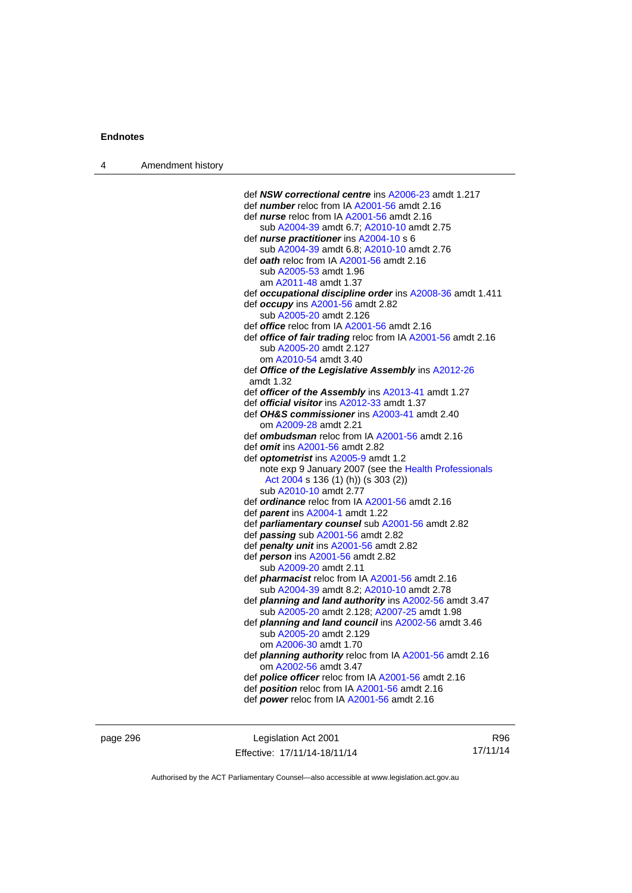| $\boldsymbol{\Lambda}$ | Amendment history |
|------------------------|-------------------|
|------------------------|-------------------|

| def NSW correctional centre ins A2006-23 amdt 1.217            |
|----------------------------------------------------------------|
| def <i>number</i> reloc from IA A2001-56 amdt 2.16             |
| def <i>nurse</i> reloc from IA A2001-56 amdt 2.16              |
| sub A2004-39 amdt 6.7; A2010-10 amdt 2.75                      |
| def <i>nurse practitioner</i> ins A2004-10 s 6                 |
| sub A2004-39 amdt 6.8; A2010-10 amdt 2.76                      |
|                                                                |
| def oath reloc from IA A2001-56 amdt 2.16                      |
| sub A2005-53 amdt 1.96                                         |
| am A2011-48 amdt 1.37                                          |
| def occupational discipline order ins A2008-36 amdt 1.411      |
| def occupy ins A2001-56 amdt 2.82                              |
| sub A2005-20 amdt 2.126                                        |
| def <i>office</i> reloc from IA A2001-56 amdt 2.16             |
| def office of fair trading reloc from IA A2001-56 amdt 2.16    |
| sub A2005-20 amdt 2.127                                        |
| om A2010-54 amdt 3.40                                          |
| def Office of the Legislative Assembly ins A2012-26            |
| amdt 1.32                                                      |
| def officer of the Assembly ins A2013-41 amdt 1.27             |
| def <i>official visitor</i> ins A2012-33 amdt 1.37             |
| def OH&S commissioner ins A2003-41 amdt 2.40                   |
| om A2009-28 amdt 2.21                                          |
| def <b>ombudsman</b> reloc from IA A2001-56 amdt 2.16          |
| def <i>omit</i> ins A2001-56 amdt 2.82                         |
| def optometrist ins A2005-9 amdt 1.2                           |
| note exp 9 January 2007 (see the Health Professionals          |
|                                                                |
| Act 2004 s 136 (1) (h)) (s 303 (2))<br>sub A2010-10 amdt 2.77  |
|                                                                |
| def <i>ordinance</i> reloc from IA A2001-56 amdt 2.16          |
| def parent ins A2004-1 amdt 1.22                               |
| def parliamentary counsel sub A2001-56 amdt 2.82               |
| def passing sub A2001-56 amdt 2.82                             |
| def penalty unit ins A2001-56 amdt 2.82                        |
| def person ins A2001-56 amdt 2.82                              |
| sub A2009-20 amdt 2.11                                         |
| def <i>pharmacist</i> reloc from IA A2001-56 amdt 2.16         |
| sub A2004-39 amdt 8.2; A2010-10 amdt 2.78                      |
| def planning and land authority ins A2002-56 amdt 3.47         |
| sub A2005-20 amdt 2.128; A2007-25 amdt 1.98                    |
| def planning and land council ins A2002-56 amdt 3.46           |
| sub A2005-20 amdt 2.129                                        |
| om A2006-30 amdt 1.70                                          |
| def <i>planning authority</i> reloc from IA A2001-56 amdt 2.16 |
| om A2002-56 amdt 3.47                                          |
| def <i>police officer</i> reloc from IA A2001-56 amdt 2.16     |
| def position reloc from IA A2001-56 amdt 2.16                  |
| def power reloc from IA A2001-56 amdt 2.16                     |
|                                                                |

page 296 **Legislation Act 2001** Effective: 17/11/14-18/11/14

R96 17/11/14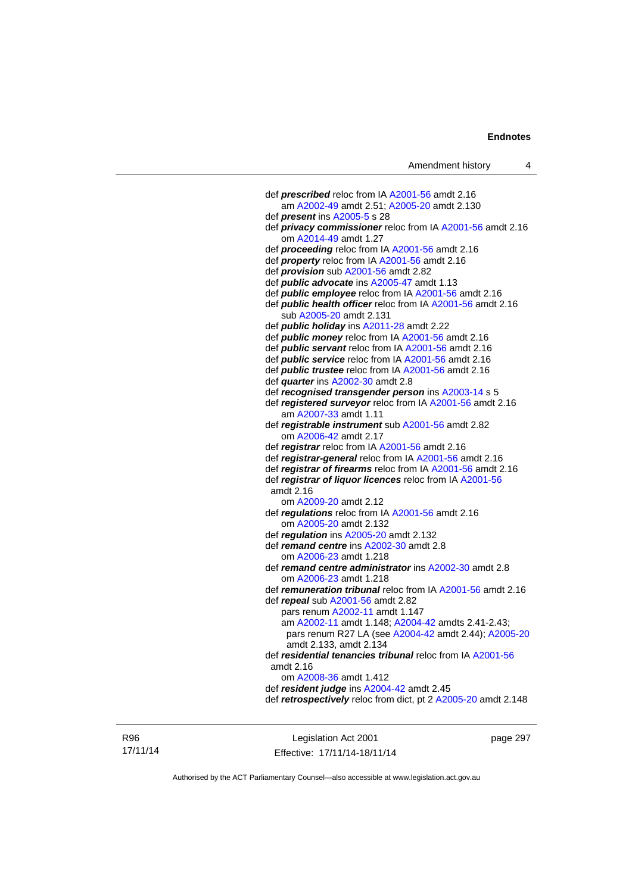| Amendment history |  |
|-------------------|--|
|-------------------|--|

| def prescribed reloc from IA A2001-56 amdt 2.16                                      |
|--------------------------------------------------------------------------------------|
| am A2002-49 amdt 2.51; A2005-20 amdt 2.130                                           |
| def <i>present</i> ins A2005-5 s 28                                                  |
| def privacy commissioner reloc from IA A2001-56 amdt 2.16                            |
| om A2014-49 amdt 1.27                                                                |
| def proceeding reloc from IA A2001-56 amdt 2.16                                      |
| def property reloc from IA A2001-56 amdt 2.16                                        |
| def <i>provision</i> sub A2001-56 amdt 2.82                                          |
| def <i>public advocate</i> ins A2005-47 amdt 1.13                                    |
| def <i>public employee</i> reloc from IA A2001-56 amdt 2.16                          |
| def public health officer reloc from IA A2001-56 amdt 2.16                           |
| sub A2005-20 amdt 2.131                                                              |
| def <i>public holiday</i> ins A2011-28 amdt 2.22                                     |
| def <i>public money</i> reloc from IA A2001-56 amdt 2.16                             |
| def <i>public servant</i> reloc from IA A2001-56 amdt 2.16                           |
| def <i>public</i> service reloc from IA A2001-56 amdt 2.16                           |
| def <i>public trustee</i> reloc from IA A2001-56 amdt 2.16                           |
| def <i>quarter</i> ins A2002-30 amdt 2.8                                             |
| def recognised transgender person ins A2003-14 s 5                                   |
| def registered surveyor reloc from IA A2001-56 amdt 2.16                             |
| am A2007-33 amdt 1.11                                                                |
| def registrable instrument sub A2001-56 amdt 2.82                                    |
| om A2006-42 amdt 2.17                                                                |
| def registrar reloc from IA A2001-56 amdt 2.16                                       |
| def registrar-general reloc from IA A2001-56 amdt 2.16                               |
| def registrar of firearms reloc from IA A2001-56 amdt 2.16                           |
| def registrar of liquor licences reloc from IA A2001-56                              |
| amdt 2.16                                                                            |
| om A2009-20 amdt 2.12                                                                |
| def regulations reloc from IA A2001-56 amdt 2.16                                     |
| om A2005-20 amdt 2.132                                                               |
| def regulation ins A2005-20 amdt 2.132<br>def remand centre ins A2002-30 amdt 2.8    |
|                                                                                      |
| om A2006-23 amdt 1.218                                                               |
| def remand centre administrator ins A2002-30 amdt 2.8                                |
| om A2006-23 amdt 1.218<br>def remuneration tribunal reloc from IA A2001-56 amdt 2.16 |
| def repeal sub A2001-56 amdt 2.82                                                    |
| pars renum A2002-11 amdt 1.147                                                       |
| am A2002-11 amdt 1.148; A2004-42 amdts 2.41-2.43;                                    |
| pars renum R27 LA (see A2004-42 amdt 2.44); A2005-20                                 |
| amdt 2.133, amdt 2.134                                                               |
| def residential tenancies tribunal reloc from IA A2001-56                            |
| amdt 2.16                                                                            |
| om A2008-36 amdt 1.412                                                               |
| def resident judge ins A2004-42 amdt 2.45                                            |
| def retrospectively reloc from dict, pt 2 A2005-20 amdt 2.148                        |
|                                                                                      |

R96 17/11/14

Legislation Act 2001 Effective: 17/11/14-18/11/14 page 297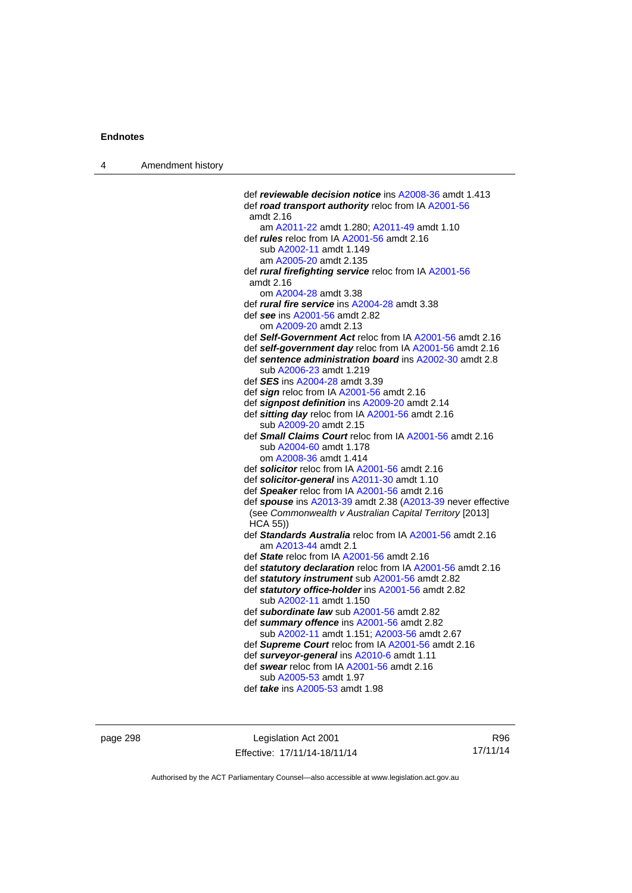| 4 | Amendment history |                                                                                                    |
|---|-------------------|----------------------------------------------------------------------------------------------------|
|   |                   |                                                                                                    |
|   |                   | def reviewable decision notice ins A2008-36 amdt 1.413                                             |
|   |                   | def road transport authority reloc from IA A2001-56                                                |
|   |                   | amdt 2.16<br>am A2011-22 amdt 1.280; A2011-49 amdt 1.10                                            |
|   |                   | def <i>rules</i> reloc from IA A2001-56 amdt 2.16                                                  |
|   |                   | sub A2002-11 amdt 1.149                                                                            |
|   |                   | am A2005-20 amdt 2.135                                                                             |
|   |                   | def rural firefighting service reloc from IA A2001-56                                              |
|   |                   | amdt 2.16                                                                                          |
|   |                   | om A2004-28 amdt 3.38                                                                              |
|   |                   | def <i>rural fire service</i> ins A2004-28 amdt 3.38                                               |
|   |                   | def see ins A2001-56 amdt 2.82                                                                     |
|   |                   | om A2009-20 amdt 2.13                                                                              |
|   |                   | def Self-Government Act reloc from IA A2001-56 amdt 2.16                                           |
|   |                   | def self-government day reloc from IA A2001-56 amdt 2.16                                           |
|   |                   | def sentence administration board ins A2002-30 amdt 2.8                                            |
|   |                   | sub A2006-23 amdt 1.219                                                                            |
|   |                   | def <b>SES</b> ins A2004-28 amdt 3.39                                                              |
|   |                   | def sign reloc from IA A2001-56 amdt 2.16                                                          |
|   |                   | def signpost definition ins A2009-20 amdt 2.14<br>def sitting day reloc from IA A2001-56 amdt 2.16 |
|   |                   | sub A2009-20 amdt 2.15                                                                             |
|   |                   | def Small Claims Court reloc from IA A2001-56 amdt 2.16                                            |
|   |                   | sub A2004-60 amdt 1.178                                                                            |
|   |                   | om A2008-36 amdt 1.414                                                                             |
|   |                   | def solicitor reloc from IA A2001-56 amdt 2.16                                                     |
|   |                   | def solicitor-general ins A2011-30 amdt 1.10                                                       |
|   |                   | def Speaker reloc from IA A2001-56 amdt 2.16                                                       |
|   |                   | def spouse ins A2013-39 amdt 2.38 (A2013-39 never effective                                        |
|   |                   | (see Commonwealth v Australian Capital Territory [2013]<br><b>HCA 55))</b>                         |
|   |                   | def Standards Australia reloc from IA A2001-56 amdt 2.16                                           |
|   |                   | am A2013-44 amdt 2.1                                                                               |
|   |                   | def State reloc from IA A2001-56 amdt 2.16                                                         |
|   |                   | def statutory declaration reloc from IA A2001-56 amdt 2.16                                         |
|   |                   | def statutory instrument sub A2001-56 amdt 2.82                                                    |
|   |                   | def statutory office-holder ins A2001-56 amdt 2.82<br>sub A2002-11 amdt 1.150                      |
|   |                   | def subordinate law sub A2001-56 amdt 2.82                                                         |
|   |                   | def summary offence ins A2001-56 amdt 2.82                                                         |
|   |                   | sub A2002-11 amdt 1.151; A2003-56 amdt 2.67                                                        |
|   |                   | def Supreme Court reloc from IA A2001-56 amdt 2.16                                                 |
|   |                   | def surveyor-general ins A2010-6 amdt 1.11                                                         |
|   |                   | def swear reloc from IA A2001-56 amdt 2.16                                                         |
|   |                   | sub A2005-53 amdt 1.97                                                                             |
|   |                   | def <i>take</i> ins A2005-53 amdt 1.98                                                             |
|   |                   |                                                                                                    |

page 298 Legislation Act 2001 Effective: 17/11/14-18/11/14

R96 17/11/14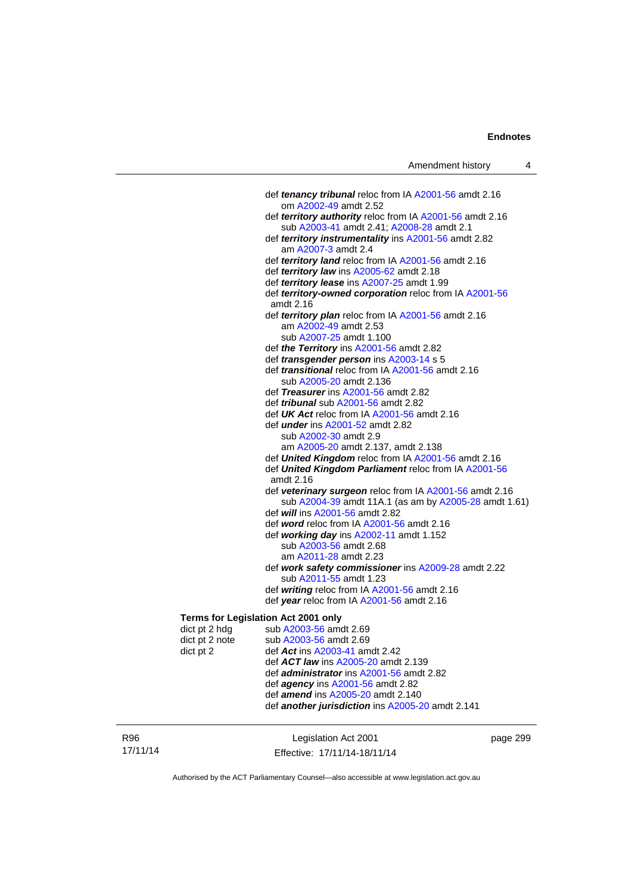def *tenancy tribunal* reloc from IA [A2001-56](http://www.legislation.act.gov.au/a/2001-56) amdt 2.16 om [A2002-49](http://www.legislation.act.gov.au/a/2002-49) amdt 2.52 def *territory authority* reloc from IA [A2001-56](http://www.legislation.act.gov.au/a/2001-56) amdt 2.16 sub [A2003-41](http://www.legislation.act.gov.au/a/2003-41) amdt 2.41; [A2008-28](http://www.legislation.act.gov.au/a/2008-28) amdt 2.1 def *territory instrumentality* ins [A2001-56](http://www.legislation.act.gov.au/a/2001-56) amdt 2.82 am [A2007-3](http://www.legislation.act.gov.au/a/2007-3) amdt 2.4 def *territory land* reloc from IA [A2001-56](http://www.legislation.act.gov.au/a/2001-56) amdt 2.16 def *territory law* ins [A2005-62](http://www.legislation.act.gov.au/a/2005-62) amdt 2.18 def *territory lease* ins [A2007-25](http://www.legislation.act.gov.au/a/2007-25) amdt 1.99 def *territory-owned corporation* reloc from IA [A2001-56](http://www.legislation.act.gov.au/a/2001-56) amdt 2.16 def *territory plan* reloc from IA [A2001-56](http://www.legislation.act.gov.au/a/2001-56) amdt 2.16 am [A2002-49](http://www.legislation.act.gov.au/a/2002-49) amdt 2.53 sub [A2007-25](http://www.legislation.act.gov.au/a/2007-25) amdt 1.100 def *the Territory* ins [A2001-56](http://www.legislation.act.gov.au/a/2001-56) amdt 2.82 def *transgender person* ins [A2003-14](http://www.legislation.act.gov.au/a/2003-14) s 5 def *transitional* reloc from IA [A2001-56](http://www.legislation.act.gov.au/a/2001-56) amdt 2.16 sub [A2005-20](http://www.legislation.act.gov.au/a/2005-20) amdt 2.136 def *Treasurer* ins [A2001-56](http://www.legislation.act.gov.au/a/2001-56) amdt 2.82 def *tribunal* sub [A2001-56](http://www.legislation.act.gov.au/a/2001-56) amdt 2.82 def *UK Act* reloc from IA [A2001-56](http://www.legislation.act.gov.au/a/2001-56) amdt 2.16 def *under* ins [A2001-52](http://www.legislation.act.gov.au/a/2001-52) amdt 2.82 sub [A2002-30](http://www.legislation.act.gov.au/a/2002-30) amdt 2.9 am [A2005-20](http://www.legislation.act.gov.au/a/2005-20) amdt 2.137, amdt 2.138 def *United Kingdom* reloc from IA [A2001-56](http://www.legislation.act.gov.au/a/2001-56) amdt 2.16 def *United Kingdom Parliament* reloc from IA [A2001-56](http://www.legislation.act.gov.au/a/2001-56) amdt 2.16 def *veterinary surgeon* reloc from IA [A2001-56](http://www.legislation.act.gov.au/a/2001-56) amdt 2.16 sub [A2004-39](http://www.legislation.act.gov.au/a/2004-39) amdt 11A.1 (as am by [A2005-28](http://www.legislation.act.gov.au/a/2005-28) amdt 1.61) def *will* ins [A2001-56](http://www.legislation.act.gov.au/a/2001-56) amdt 2.82 def *word* reloc from IA [A2001-56](http://www.legislation.act.gov.au/a/2001-56) amdt 2.16 def *working day* ins [A2002-11](http://www.legislation.act.gov.au/a/2002-11) amdt 1.152 sub [A2003-56](http://www.legislation.act.gov.au/a/2003-56) amdt 2.68 am [A2011-28](http://www.legislation.act.gov.au/a/2011-28) amdt 2.23 def *work safety commissioner* ins [A2009-28](http://www.legislation.act.gov.au/a/2009-28) amdt 2.22 sub [A2011-55](http://www.legislation.act.gov.au/a/2011-55) amdt 1.23 def *writing* reloc from IA [A2001-56](http://www.legislation.act.gov.au/a/2001-56) amdt 2.16 def *year* reloc from IA [A2001-56](http://www.legislation.act.gov.au/a/2001-56) amdt 2.16 **Terms for Legislation Act 2001 only**  dict pt 2 hdg sub  $A2003-56$  amdt  $2.69$ dict pt 2 note sub [A2003-56](http://www.legislation.act.gov.au/a/2003-56) amdt 2.69 dict pt 2 def *Act* ins [A2003-41](http://www.legislation.act.gov.au/a/2003-41) amdt 2.42 def *ACT law* ins [A2005-20](http://www.legislation.act.gov.au/a/2005-20) amdt 2.139

 def *administrator* ins [A2001-56](http://www.legislation.act.gov.au/a/2001-56) amdt 2.82 def *agency* ins [A2001-56](http://www.legislation.act.gov.au/a/2001-56) amdt 2.82 def *amend* ins [A2005-20](http://www.legislation.act.gov.au/a/2005-20) amdt 2.140

def *another jurisdiction* ins [A2005-20](http://www.legislation.act.gov.au/a/2005-20) amdt 2.141

R96 17/11/14 Legislation Act 2001 Effective: 17/11/14-18/11/14 page 299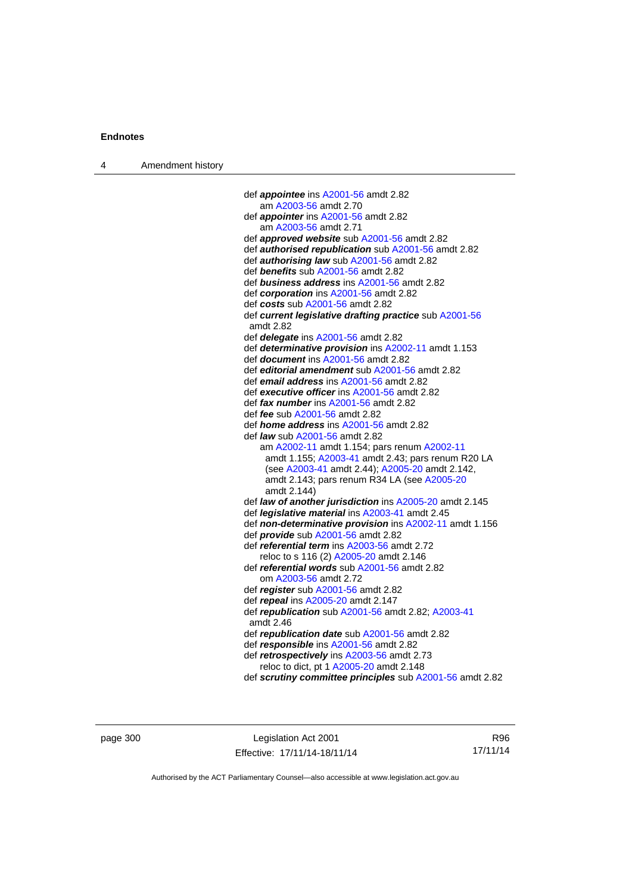| 4 | Amendment history |  |
|---|-------------------|--|
|---|-------------------|--|

| def <i>appointee</i> ins A2001-56 amdt 2.82                         |
|---------------------------------------------------------------------|
| am A2003-56 amdt 2.70                                               |
| def <i>appointer</i> ins A2001-56 amdt 2.82                         |
| am A2003-56 amdt 2.71                                               |
| def approved website sub A2001-56 amdt 2.82                         |
| def <b>authorised republication</b> sub A2001-56 amdt 2.82          |
| def <b>authorising law</b> sub A2001-56 amdt 2.82                   |
| def benefits sub A2001-56 amdt 2.82                                 |
| def business address ins A2001-56 amdt 2.82                         |
| def corporation ins A2001-56 amdt 2.82                              |
| def costs sub A2001-56 amdt 2.82                                    |
| def current legislative drafting practice sub A2001-56<br>amdt 2.82 |
| def delegate ins A2001-56 amdt 2.82                                 |
| def determinative provision ins A2002-11 amdt 1.153                 |
| def <i>document</i> ins A2001-56 amdt 2.82                          |
| def editorial amendment sub A2001-56 amdt 2.82                      |
| def email address ins A2001-56 amdt 2.82                            |
| def executive officer ins A2001-56 amdt 2.82                        |
| def fax number ins A2001-56 amdt 2.82                               |
| def <i>fee</i> sub A2001-56 amdt 2.82                               |
| def <i>home address</i> ins A2001-56 amdt 2.82                      |
| def <i>law</i> sub A2001-56 amdt 2.82                               |
| am A2002-11 amdt 1.154; pars renum A2002-11                         |
| amdt 1.155; A2003-41 amdt 2.43; pars renum R20 LA                   |
| (see A2003-41 amdt 2.44); A2005-20 amdt 2.142,                      |
| amdt 2.143; pars renum R34 LA (see A2005-20                         |
| amdt 2.144)                                                         |
| def law of another jurisdiction ins A2005-20 amdt 2.145             |
| def <i>legislative material</i> ins A2003-41 amdt 2.45              |
| def non-determinative provision ins A2002-11 amdt 1.156             |
| def provide sub A2001-56 amdt 2.82                                  |
| def referential term ins A2003-56 amdt 2.72                         |
| reloc to s 116 (2) A2005-20 amdt 2.146                              |
| def referential words sub A2001-56 amdt 2.82                        |
| om A2003-56 amdt 2.72                                               |
| def register sub A2001-56 amdt 2.82                                 |
| def repeal ins A2005-20 amdt 2.147                                  |
| def republication sub A2001-56 amdt 2.82; A2003-41<br>amdt 2.46     |
| def republication date sub A2001-56 amdt 2.82                       |
| def responsible ins A2001-56 amdt 2.82                              |
| def retrospectively ins A2003-56 amdt 2.73                          |
| reloc to dict, pt 1 A2005-20 amdt 2.148                             |
| def scrutiny committee principles sub A2001-56 amdt 2.82            |
|                                                                     |

page 300 **Legislation Act 2001** Effective: 17/11/14-18/11/14

R96 17/11/14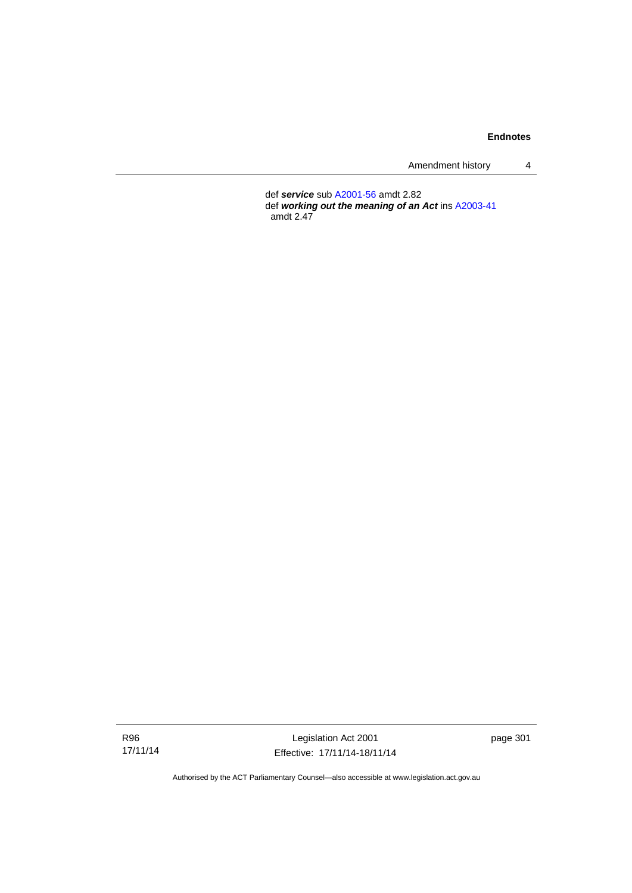Amendment history 4

 def *service* sub [A2001-56](http://www.legislation.act.gov.au/a/2001-56) amdt 2.82 def *working out the meaning of an Act* ins [A2003-41](http://www.legislation.act.gov.au/a/2003-41) amdt 2.47

R96 17/11/14

Legislation Act 2001 Effective: 17/11/14-18/11/14 page 301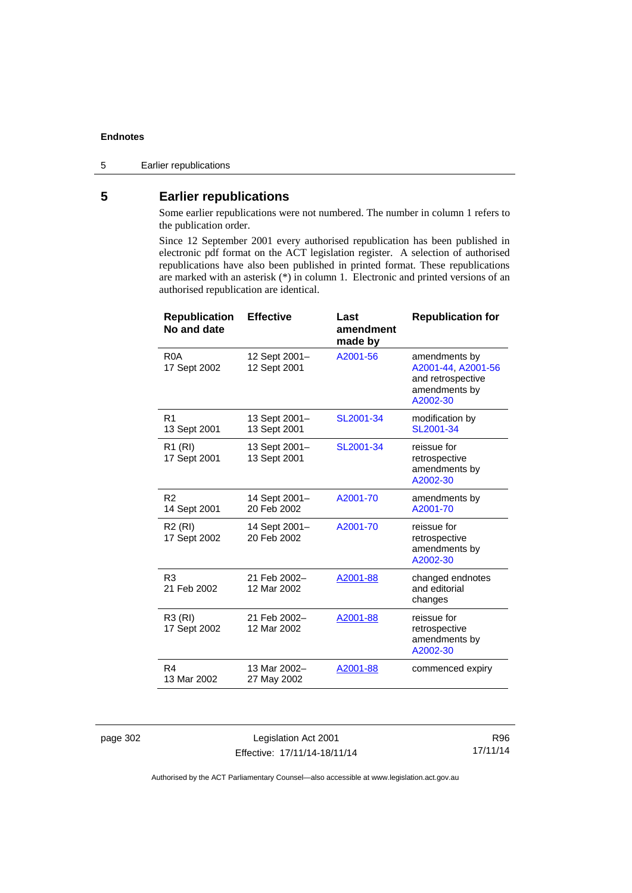# **5 Earlier republications**

Some earlier republications were not numbered. The number in column 1 refers to the publication order.

Since 12 September 2001 every authorised republication has been published in electronic pdf format on the ACT legislation register. A selection of authorised republications have also been published in printed format. These republications are marked with an asterisk (\*) in column 1. Electronic and printed versions of an authorised republication are identical.

| <b>Republication</b><br>No and date | <b>Effective</b>              | Last<br>amendment<br>made by | <b>Republication for</b>                                                              |
|-------------------------------------|-------------------------------|------------------------------|---------------------------------------------------------------------------------------|
| R <sub>0</sub> A<br>17 Sept 2002    | 12 Sept 2001-<br>12 Sept 2001 | A2001-56                     | amendments by<br>A2001-44, A2001-56<br>and retrospective<br>amendments by<br>A2002-30 |
| R <sub>1</sub><br>13 Sept 2001      | 13 Sept 2001-<br>13 Sept 2001 | SL2001-34                    | modification by<br>SL2001-34                                                          |
| R <sub>1</sub> (RI)<br>17 Sept 2001 | 13 Sept 2001-<br>13 Sept 2001 | SL2001-34                    | reissue for<br>retrospective<br>amendments by<br>A2002-30                             |
| R <sub>2</sub><br>14 Sept 2001      | 14 Sept 2001-<br>20 Feb 2002  | A2001-70                     | amendments by<br>A2001-70                                                             |
| R <sub>2</sub> (RI)<br>17 Sept 2002 | 14 Sept 2001-<br>20 Feb 2002  | A2001-70                     | reissue for<br>retrospective<br>amendments by<br>A2002-30                             |
| R <sub>3</sub><br>21 Feb 2002       | 21 Feb 2002-<br>12 Mar 2002   | A2001-88                     | changed endnotes<br>and editorial<br>changes                                          |
| R3 (RI)<br>17 Sept 2002             | 21 Feb 2002-<br>12 Mar 2002   | A2001-88                     | reissue for<br>retrospective<br>amendments by<br>A2002-30                             |
| R4<br>13 Mar 2002                   | 13 Mar 2002-<br>27 May 2002   | A2001-88                     | commenced expiry                                                                      |

page 302 Legislation Act 2001 Effective: 17/11/14-18/11/14

R96 17/11/14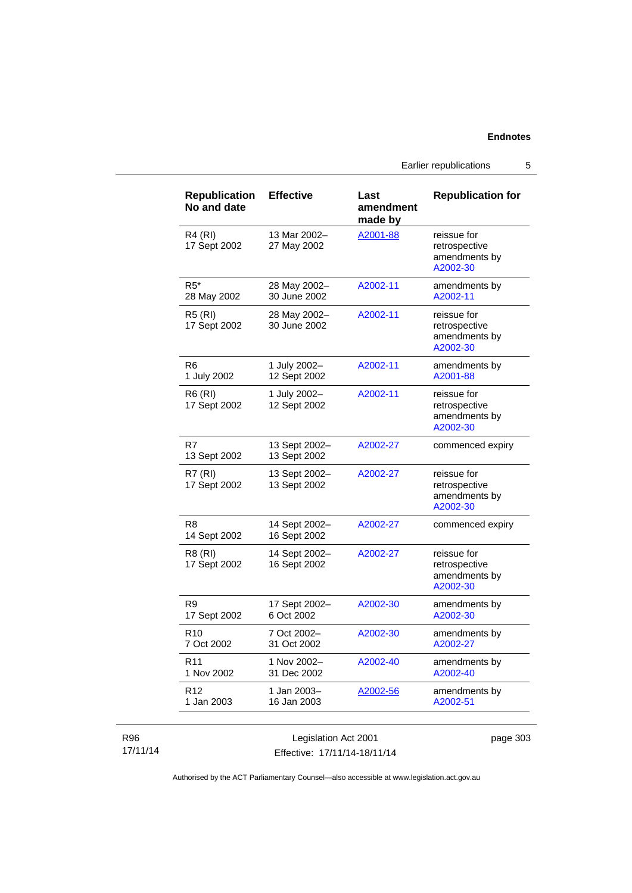Earlier republications 5

| <b>Republication</b><br>No and date | <b>Effective</b>              | Last<br>amendment<br>made by | <b>Republication for</b>                                  |
|-------------------------------------|-------------------------------|------------------------------|-----------------------------------------------------------|
| <b>R4 (RI)</b><br>17 Sept 2002      | 13 Mar 2002-<br>27 May 2002   | A2001-88                     | reissue for<br>retrospective<br>amendments by<br>A2002-30 |
| $R5*$<br>28 May 2002                | 28 May 2002-<br>30 June 2002  | A2002-11                     | amendments by<br>A2002-11                                 |
| <b>R5 (RI)</b><br>17 Sept 2002      | 28 May 2002-<br>30 June 2002  | A2002-11                     | reissue for<br>retrospective<br>amendments by<br>A2002-30 |
| R6<br>1 July 2002                   | 1 July 2002-<br>12 Sept 2002  | A2002-11                     | amendments by<br>A2001-88                                 |
| R6 (RI)<br>17 Sept 2002             | 1 July 2002-<br>12 Sept 2002  | A2002-11                     | reissue for<br>retrospective<br>amendments by<br>A2002-30 |
| R7<br>13 Sept 2002                  | 13 Sept 2002-<br>13 Sept 2002 | A2002-27                     | commenced expiry                                          |
| <b>R7 (RI)</b><br>17 Sept 2002      | 13 Sept 2002-<br>13 Sept 2002 | A2002-27                     | reissue for<br>retrospective<br>amendments by<br>A2002-30 |
| R8<br>14 Sept 2002                  | 14 Sept 2002-<br>16 Sept 2002 | A2002-27                     | commenced expiry                                          |
| R8 (RI)<br>17 Sept 2002             | 14 Sept 2002-<br>16 Sept 2002 | A2002-27                     | reissue for<br>retrospective<br>amendments by<br>A2002-30 |
| R9<br>17 Sept 2002                  | 17 Sept 2002-<br>6 Oct 2002   | A2002-30                     | amendments by<br>A2002-30                                 |
| R <sub>10</sub><br>7 Oct 2002       | 7 Oct 2002-<br>31 Oct 2002    | A2002-30                     | amendments by<br>A2002-27                                 |
| R11<br>1 Nov 2002                   | 1 Nov 2002-<br>31 Dec 2002    | A2002-40                     | amendments by<br>A2002-40                                 |
| R <sub>12</sub><br>1 Jan 2003       | 1 Jan 2003-<br>16 Jan 2003    | A2002-56                     | amendments by<br>A2002-51                                 |

### R96 17/11/14

Legislation Act 2001 Effective: 17/11/14-18/11/14 page 303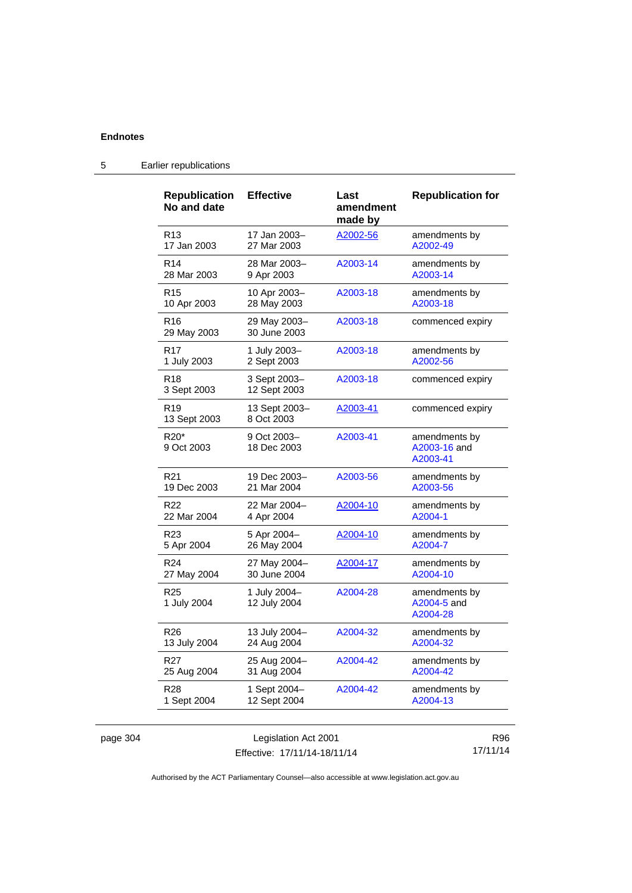| <b>Republication</b><br>No and date        | <b>Effective</b>             | Last<br>amendment<br>made by | <b>Republication for</b>                  |
|--------------------------------------------|------------------------------|------------------------------|-------------------------------------------|
| R <sub>13</sub>                            | 17 Jan 2003-                 | A2002-56                     | amendments by                             |
| 17 Jan 2003                                | 27 Mar 2003                  |                              | A2002-49                                  |
| R <sub>14</sub>                            | 28 Mar 2003-                 | A2003-14                     | amendments by                             |
| 28 Mar 2003                                | 9 Apr 2003                   |                              | A2003-14                                  |
| R <sub>15</sub>                            | 10 Apr 2003-                 | A2003-18                     | amendments by                             |
| 10 Apr 2003                                | 28 May 2003                  |                              | A2003-18                                  |
| R <sub>16</sub><br>29 May 2003             | 29 May 2003-<br>30 June 2003 | A2003-18                     | commenced expiry                          |
| R <sub>17</sub>                            | 1 July 2003-                 | A2003-18                     | amendments by                             |
| 1 July 2003                                | 2 Sept 2003                  |                              | A2002-56                                  |
| R <sub>18</sub><br>3 Sept 2003             | 3 Sept 2003-<br>12 Sept 2003 | A2003-18                     | commenced expiry                          |
| R <sub>19</sub><br>13 Sept 2003            | 13 Sept 2003-<br>8 Oct 2003  | A2003-41                     | commenced expiry                          |
| R <sub>20</sub> <sup>*</sup><br>9 Oct 2003 | 9 Oct 2003-<br>18 Dec 2003   | A2003-41                     | amendments by<br>A2003-16 and<br>A2003-41 |
| R <sub>21</sub>                            | 19 Dec 2003-                 | A2003-56                     | amendments by                             |
| 19 Dec 2003                                | 21 Mar 2004                  |                              | A2003-56                                  |
| R <sub>22</sub>                            | 22 Mar 2004-                 | A2004-10                     | amendments by                             |
| 22 Mar 2004                                | 4 Apr 2004                   |                              | A2004-1                                   |
| R <sub>23</sub>                            | 5 Apr 2004-                  | A2004-10                     | amendments by                             |
| 5 Apr 2004                                 | 26 May 2004                  |                              | A2004-7                                   |
| R <sub>24</sub>                            | 27 May 2004-                 | A2004-17                     | amendments by                             |
| 27 May 2004                                | 30 June 2004                 |                              | A2004-10                                  |
| R <sub>25</sub><br>1 July 2004             | 1 July 2004-<br>12 July 2004 | A2004-28                     | amendments by<br>A2004-5 and<br>A2004-28  |
| R <sub>26</sub>                            | 13 July 2004-                | A2004-32                     | amendments by                             |
| 13 July 2004                               | 24 Aug 2004                  |                              | A2004-32                                  |
| R27                                        | 25 Aug 2004-                 | A2004-42                     | amendments by                             |
| 25 Aug 2004                                | 31 Aug 2004                  |                              | A2004-42                                  |
| R <sub>28</sub>                            | 1 Sept 2004-                 | A2004-42                     | amendments by                             |
| 1 Sept 2004                                | 12 Sept 2004                 |                              | A2004-13                                  |

# 5 Earlier republications

| page 304 |
|----------|
|----------|

Legislation Act 2001 Effective: 17/11/14-18/11/14

R96 17/11/14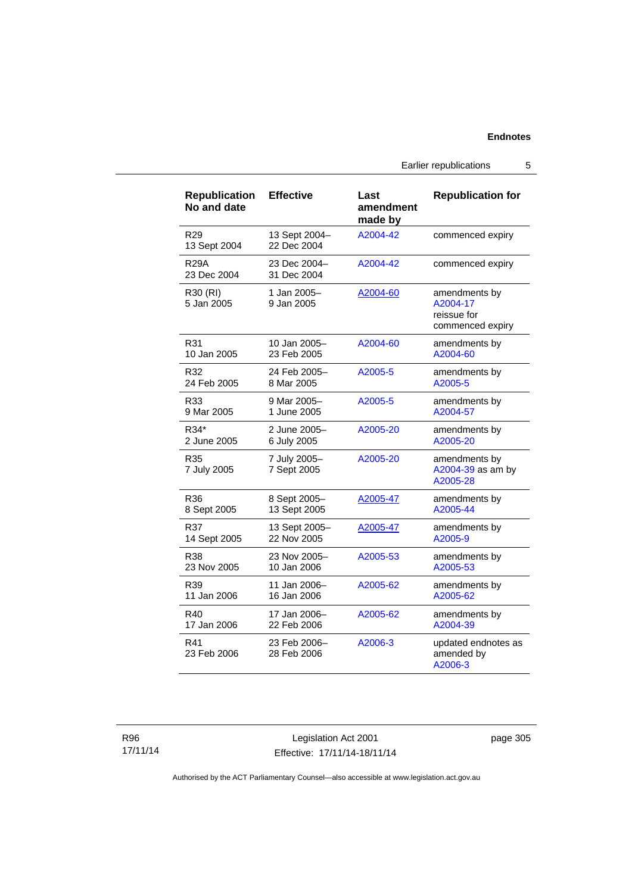Earlier republications 5

| <b>Republication</b><br>No and date | <b>Effective</b>             | Last<br>amendment<br>made by | <b>Republication for</b>                                     |
|-------------------------------------|------------------------------|------------------------------|--------------------------------------------------------------|
| R <sub>29</sub><br>13 Sept 2004     | 13 Sept 2004-<br>22 Dec 2004 | A2004-42                     | commenced expiry                                             |
| <b>R29A</b><br>23 Dec 2004          | 23 Dec 2004-<br>31 Dec 2004  | A2004-42                     | commenced expiry                                             |
| R30 (RI)<br>5 Jan 2005              | 1 Jan 2005-<br>9 Jan 2005    | A2004-60                     | amendments by<br>A2004-17<br>reissue for<br>commenced expiry |
| R31                                 | 10 Jan 2005-                 | A2004-60                     | amendments by                                                |
| 10 Jan 2005                         | 23 Feb 2005                  |                              | A2004-60                                                     |
| R32                                 | 24 Feb 2005-                 | A2005-5                      | amendments by                                                |
| 24 Feb 2005                         | 8 Mar 2005                   |                              | A2005-5                                                      |
| R33                                 | 9 Mar 2005-                  | A2005-5                      | amendments by                                                |
| 9 Mar 2005                          | 1 June 2005                  |                              | A2004-57                                                     |
| R34*                                | 2 June 2005-                 | A2005-20                     | amendments by                                                |
| 2 June 2005                         | 6 July 2005                  |                              | A2005-20                                                     |
| R35<br>7 July 2005                  | 7 July 2005-<br>7 Sept 2005  | A2005-20                     | amendments by<br>A2004-39 as am by<br>A2005-28               |
| R36                                 | 8 Sept 2005-                 | A2005-47                     | amendments by                                                |
| 8 Sept 2005                         | 13 Sept 2005                 |                              | A2005-44                                                     |
| R37                                 | 13 Sept 2005-                | A2005-47                     | amendments by                                                |
| 14 Sept 2005                        | 22 Nov 2005                  |                              | A2005-9                                                      |
| R38                                 | 23 Nov 2005-                 | A2005-53                     | amendments by                                                |
| 23 Nov 2005                         | 10 Jan 2006                  |                              | A2005-53                                                     |
| R39                                 | 11 Jan 2006-                 | A2005-62                     | amendments by                                                |
| 11 Jan 2006                         | 16 Jan 2006                  |                              | A2005-62                                                     |
| R40                                 | 17 Jan 2006-                 | A2005-62                     | amendments by                                                |
| 17 Jan 2006                         | 22 Feb 2006                  |                              | A2004-39                                                     |
| R41<br>23 Feb 2006                  | 23 Feb 2006-<br>28 Feb 2006  | A2006-3                      | updated endnotes as<br>amended by<br>A2006-3                 |

Legislation Act 2001 Effective: 17/11/14-18/11/14 page 305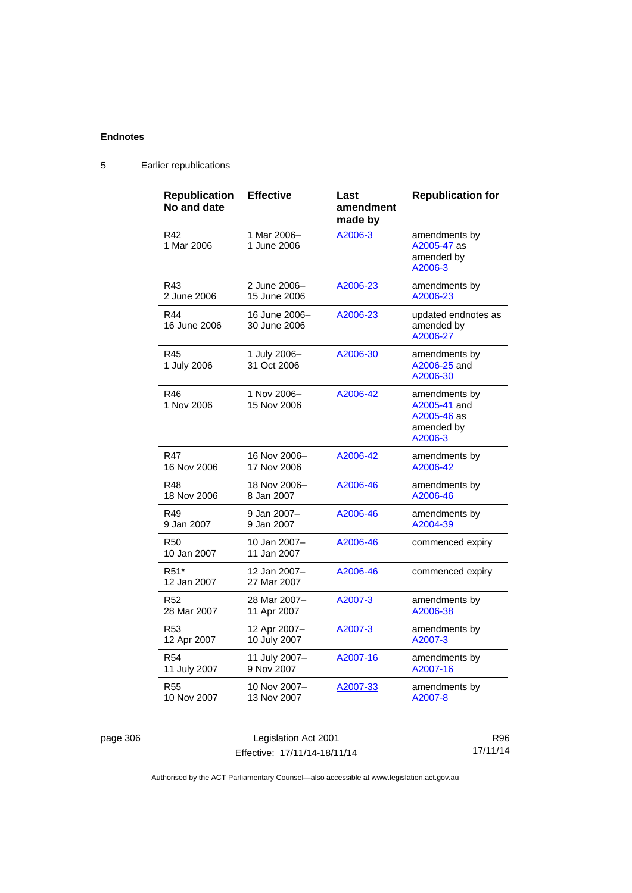| <b>Republication</b><br>No and date | <b>Effective</b>              | Last<br>amendment<br>made by | <b>Republication for</b>                                              |
|-------------------------------------|-------------------------------|------------------------------|-----------------------------------------------------------------------|
| R42<br>1 Mar 2006                   | 1 Mar 2006-<br>1 June 2006    | A2006-3                      | amendments by<br>A2005-47 as<br>amended bv<br>A2006-3                 |
| R43                                 | 2 June 2006-                  | A2006-23                     | amendments by                                                         |
| 2 June 2006                         | 15 June 2006                  |                              | A2006-23                                                              |
| R44<br>16 June 2006                 | 16 June 2006-<br>30 June 2006 | A2006-23                     | updated endnotes as<br>amended by<br>A2006-27                         |
| R45<br>1 July 2006                  | 1 July 2006-<br>31 Oct 2006   | A2006-30                     | amendments by<br>A2006-25 and<br>A2006-30                             |
| R46<br>1 Nov 2006                   | 1 Nov 2006-<br>15 Nov 2006    | A2006-42                     | amendments by<br>A2005-41 and<br>A2005-46 as<br>amended by<br>A2006-3 |
| R47                                 | 16 Nov 2006-                  | A2006-42                     | amendments by                                                         |
| 16 Nov 2006                         | 17 Nov 2006                   |                              | A2006-42                                                              |
| R48                                 | 18 Nov 2006-                  | A2006-46                     | amendments by                                                         |
| 18 Nov 2006                         | 8 Jan 2007                    |                              | A2006-46                                                              |
| R49                                 | 9 Jan 2007-                   | A2006-46                     | amendments by                                                         |
| 9 Jan 2007                          | 9 Jan 2007                    |                              | A2004-39                                                              |
| R <sub>50</sub><br>10 Jan 2007      | 10 Jan 2007-<br>11 Jan 2007   | A2006-46                     | commenced expiry                                                      |
| R <sub>51</sub> *<br>12 Jan 2007    | 12 Jan 2007-<br>27 Mar 2007   | A2006-46                     | commenced expiry                                                      |
| <b>R52</b>                          | 28 Mar 2007-                  | A2007-3                      | amendments by                                                         |
| 28 Mar 2007                         | 11 Apr 2007                   |                              | A2006-38                                                              |
| R <sub>53</sub>                     | 12 Apr 2007-                  | A2007-3                      | amendments by                                                         |
| 12 Apr 2007                         | 10 July 2007                  |                              | A2007-3                                                               |
| R <sub>54</sub>                     | 11 July 2007-                 | A2007-16                     | amendments by                                                         |
| 11 July 2007                        | 9 Nov 2007                    |                              | A2007-16                                                              |
| <b>R55</b>                          | 10 Nov 2007-                  | A2007-33                     | amendments by                                                         |
| 10 Nov 2007                         | 13 Nov 2007                   |                              | A2007-8                                                               |

# 5 Earlier republications

page 306 **Legislation Act 2001** Effective: 17/11/14-18/11/14

R96 17/11/14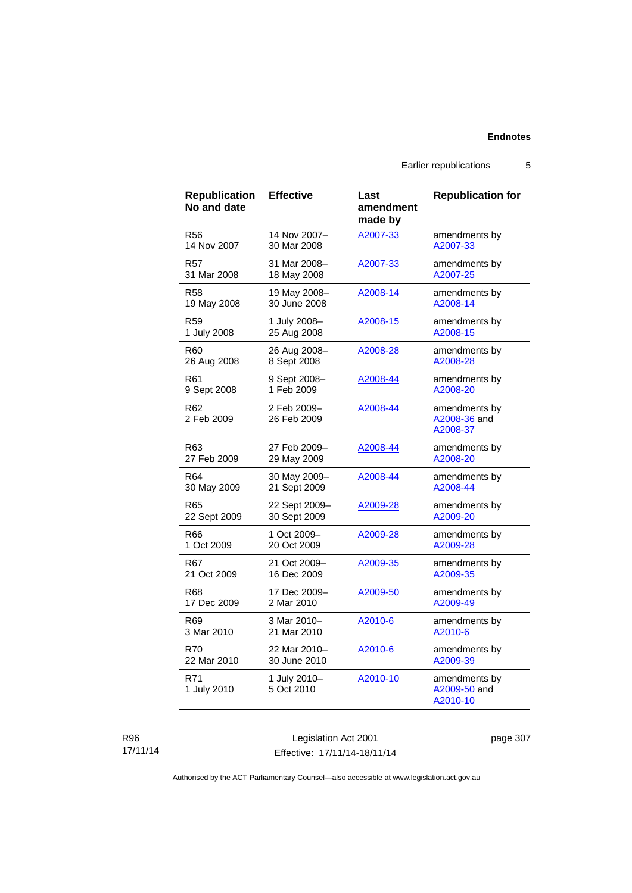Earlier republications 5

| <b>Republication</b><br>No and date | <b>Effective</b>           | Last<br>amendment<br>made by | <b>Republication for</b>                  |
|-------------------------------------|----------------------------|------------------------------|-------------------------------------------|
| <b>R56</b>                          | 14 Nov 2007-               | A2007-33                     | amendments by                             |
| 14 Nov 2007                         | 30 Mar 2008                |                              | A2007-33                                  |
| R57                                 | 31 Mar 2008-               | A2007-33                     | amendments by                             |
| 31 Mar 2008                         | 18 May 2008                |                              | A2007-25                                  |
| R58                                 | 19 May 2008-               | A2008-14                     | amendments by                             |
| 19 May 2008                         | 30 June 2008               |                              | A2008-14                                  |
| R <sub>59</sub>                     | 1 July 2008-               | A2008-15                     | amendments by                             |
| 1 July 2008                         | 25 Aug 2008                |                              | A2008-15                                  |
| R60                                 | 26 Aug 2008-               | A2008-28                     | amendments by                             |
| 26 Aug 2008                         | 8 Sept 2008                |                              | A2008-28                                  |
| R61                                 | 9 Sept 2008-               | A2008-44                     | amendments by                             |
| 9 Sept 2008                         | 1 Feb 2009                 |                              | A2008-20                                  |
| R62<br>2 Feb 2009                   | 2 Feb 2009-<br>26 Feb 2009 | A2008-44                     | amendments by<br>A2008-36 and<br>A2008-37 |
| R63                                 | 27 Feb 2009–               | A2008-44                     | amendments by                             |
| 27 Feb 2009                         | 29 May 2009                |                              | A2008-20                                  |
| R64                                 | 30 May 2009-               | A2008-44                     | amendments by                             |
| 30 May 2009                         | 21 Sept 2009               |                              | A2008-44                                  |
| R65                                 | 22 Sept 2009-              | A2009-28                     | amendments by                             |
| 22 Sept 2009                        | 30 Sept 2009               |                              | A2009-20                                  |
| R66                                 | 1 Oct 2009-                | A2009-28                     | amendments by                             |
| 1 Oct 2009                          | 20 Oct 2009                |                              | A2009-28                                  |
| R67                                 | 21 Oct 2009-               | A2009-35                     | amendments by                             |
| 21 Oct 2009                         | 16 Dec 2009                |                              | A2009-35                                  |
| <b>R68</b>                          | 17 Dec 2009-               | A2009-50                     | amendments by                             |
| 17 Dec 2009                         | 2 Mar 2010                 |                              | A2009-49                                  |
| R69                                 | 3 Mar 2010-                | A2010-6                      | amendments by                             |
| 3 Mar 2010                          | 21 Mar 2010                |                              | A2010-6                                   |
| <b>R70</b>                          | 22 Mar 2010-               | A2010-6                      | amendments by                             |
| 22 Mar 2010                         | 30 June 2010               |                              | A2009-39                                  |
| R71<br>1 July 2010                  | 1 July 2010-<br>5 Oct 2010 | A2010-10                     | amendments by<br>A2009-50 and<br>A2010-10 |

### R96 17/11/14

Legislation Act 2001 Effective: 17/11/14-18/11/14 page 307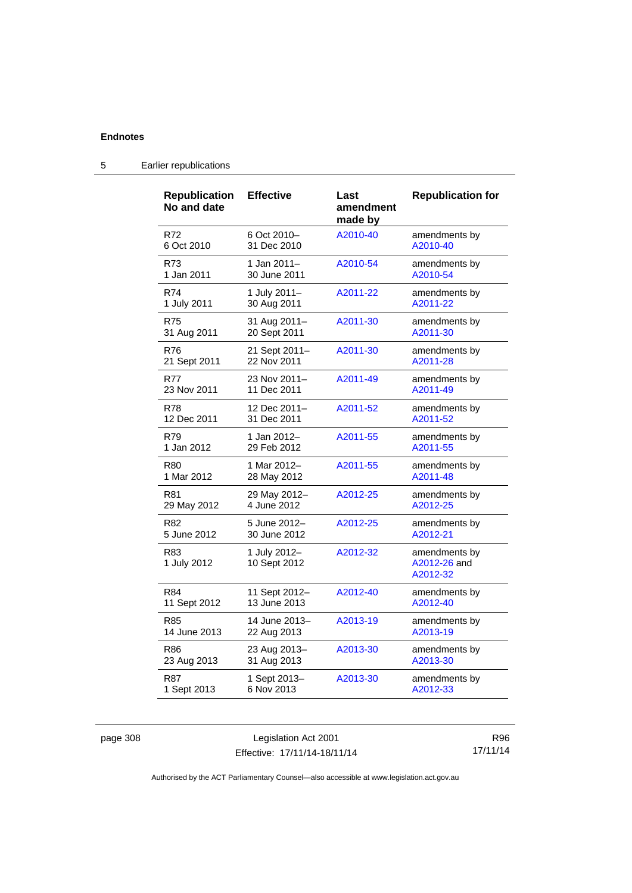| Republication<br>No and date | <b>Effective</b>             | Last<br>amendment<br>made by | <b>Republication for</b>                  |
|------------------------------|------------------------------|------------------------------|-------------------------------------------|
| R72                          | 6 Oct 2010-                  | A2010-40                     | amendments by                             |
| 6 Oct 2010                   | 31 Dec 2010                  |                              | A2010-40                                  |
| R73                          | 1 Jan 2011–                  | A2010-54                     | amendments by                             |
| 1 Jan 2011                   | 30 June 2011                 |                              | A2010-54                                  |
| R74                          | 1 July 2011-                 | A2011-22                     | amendments by                             |
| 1 July 2011                  | 30 Aug 2011                  |                              | A2011-22                                  |
| R75                          | 31 Aug 2011-                 | A2011-30                     | amendments by                             |
| 31 Aug 2011                  | 20 Sept 2011                 |                              | A2011-30                                  |
| R76                          | 21 Sept 2011-                | A2011-30                     | amendments by                             |
| 21 Sept 2011                 | 22 Nov 2011                  |                              | A2011-28                                  |
| R77                          | 23 Nov 2011-                 | A2011-49                     | amendments by                             |
| 23 Nov 2011                  | 11 Dec 2011                  |                              | A2011-49                                  |
| <b>R78</b>                   | 12 Dec 2011-                 | A2011-52                     | amendments by                             |
| 12 Dec 2011                  | 31 Dec 2011                  |                              | A2011-52                                  |
| R79                          | 1 Jan 2012–                  | A2011-55                     | amendments by                             |
| 1 Jan 2012                   | 29 Feb 2012                  |                              | A2011-55                                  |
| R80                          | 1 Mar 2012-                  | A2011-55                     | amendments by                             |
| 1 Mar 2012                   | 28 May 2012                  |                              | A2011-48                                  |
| R81                          | 29 May 2012-                 | A2012-25                     | amendments by                             |
| 29 May 2012                  | 4 June 2012                  |                              | A2012-25                                  |
| R82                          | 5 June 2012-                 | A2012-25                     | amendments by                             |
| 5 June 2012                  | 30 June 2012                 |                              | A2012-21                                  |
| R83<br>1 July 2012           | 1 July 2012-<br>10 Sept 2012 | A2012-32                     | amendments by<br>A2012-26 and<br>A2012-32 |
| R84                          | 11 Sept 2012-                | A2012-40                     | amendments by                             |
| 11 Sept 2012                 | 13 June 2013                 |                              | A2012-40                                  |
| R85                          | 14 June 2013-                | A2013-19                     | amendments by                             |
| 14 June 2013                 | 22 Aug 2013                  |                              | A2013-19                                  |
| R86                          | 23 Aug 2013-                 | A2013-30                     | amendments by                             |
| 23 Aug 2013                  | 31 Aug 2013                  |                              | A2013-30                                  |
| <b>R87</b>                   | 1 Sept 2013-                 | A2013-30                     | amendments by                             |
| 1 Sept 2013                  | 6 Nov 2013                   |                              | A2012-33                                  |

# 5 Earlier republications

page 308 Legislation Act 2001 Effective: 17/11/14-18/11/14

R96 17/11/14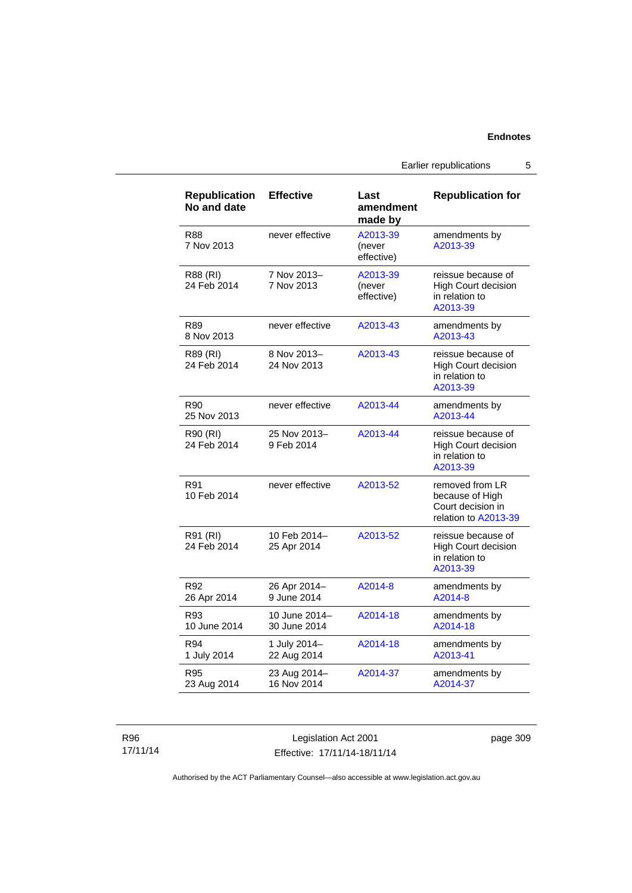## **Endnotes**

Earlier republications 5

| <b>Republication</b><br>No and date | <b>Effective</b>              | Last<br>amendment<br>made by     | <b>Republication for</b>                                                        |
|-------------------------------------|-------------------------------|----------------------------------|---------------------------------------------------------------------------------|
| R88<br>7 Nov 2013                   | never effective               | A2013-39<br>(never<br>effective) | amendments by<br>A2013-39                                                       |
| R88 (RI)<br>24 Feb 2014             | 7 Nov 2013-<br>7 Nov 2013     | A2013-39<br>(never<br>effective) | reissue because of<br>High Court decision<br>in relation to<br>A2013-39         |
| R89<br>8 Nov 2013                   | never effective               | A2013-43                         | amendments by<br>A2013-43                                                       |
| R89 (RI)<br>24 Feb 2014             | 8 Nov 2013-<br>24 Nov 2013    | A2013-43                         | reissue because of<br><b>High Court decision</b><br>in relation to<br>A2013-39  |
| R90<br>25 Nov 2013                  | never effective               | A2013-44                         | amendments by<br>A2013-44                                                       |
| R90 (RI)<br>24 Feb 2014             | 25 Nov 2013-<br>9 Feb 2014    | A2013-44                         | reissue because of<br><b>High Court decision</b><br>in relation to<br>A2013-39  |
| R91<br>10 Feb 2014                  | never effective               | A2013-52                         | removed from LR<br>because of High<br>Court decision in<br>relation to A2013-39 |
| R91 (RI)<br>24 Feb 2014             | 10 Feb 2014-<br>25 Apr 2014   | A2013-52                         | reissue because of<br><b>High Court decision</b><br>in relation to<br>A2013-39  |
| R92<br>26 Apr 2014                  | 26 Apr 2014-<br>9 June 2014   | A2014-8                          | amendments by<br>A2014-8                                                        |
| R93<br>10 June 2014                 | 10 June 2014-<br>30 June 2014 | A2014-18                         | amendments by<br>A2014-18                                                       |
| R94<br>1 July 2014                  | 1 July 2014-<br>22 Aug 2014   | A2014-18                         | amendments by<br>A2013-41                                                       |
| R95<br>23 Aug 2014                  | 23 Aug 2014-<br>16 Nov 2014   | A2014-37                         | amendments by<br>A2014-37                                                       |

R96 17/11/14

Legislation Act 2001 Effective: 17/11/14-18/11/14 page 309

Authorised by the ACT Parliamentary Counsel—also accessible at www.legislation.act.gov.au